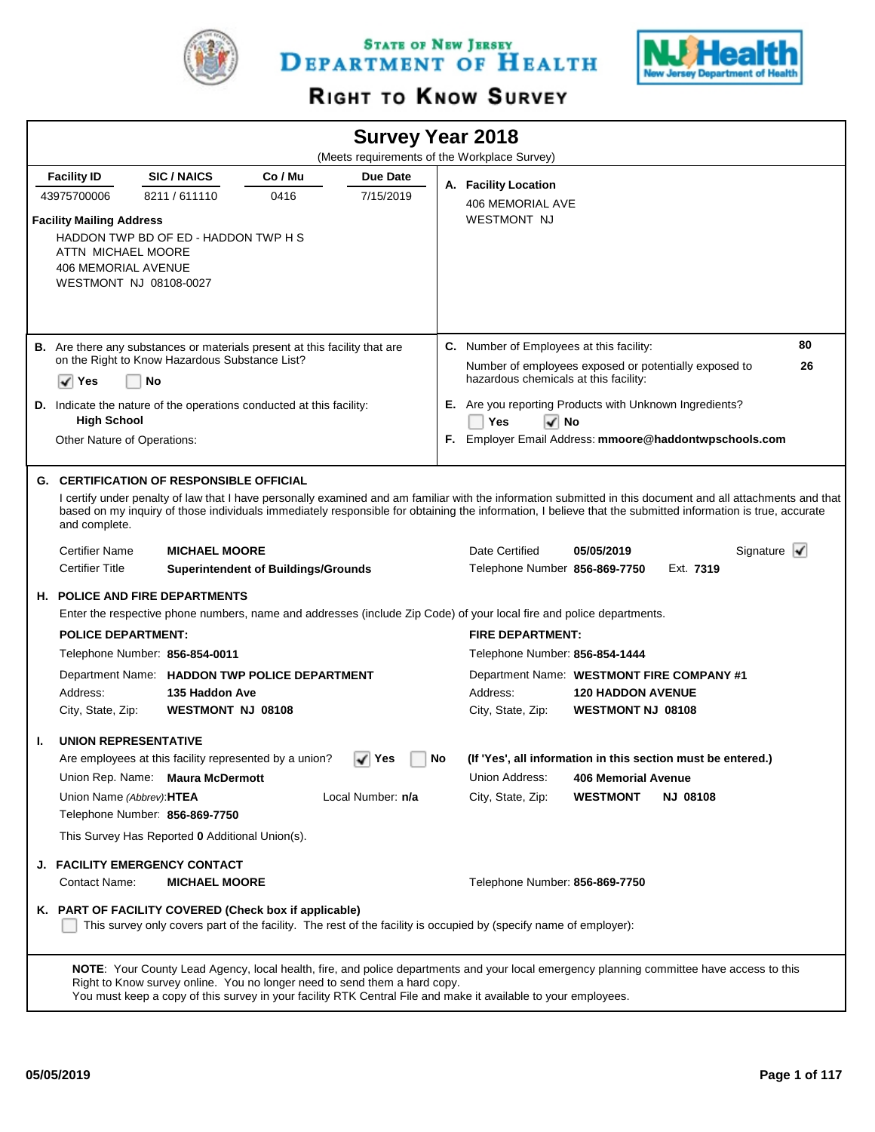

STATE OF NEW JERSEY DEPARTMENT OF HEALTH



# RIGHT TO KNOW SURVEY

|                                                   |                                                                                                                                                                                             |                                            |                   |    | <b>Survey Year 2018</b>                                                        |                            |                 |                                |
|---------------------------------------------------|---------------------------------------------------------------------------------------------------------------------------------------------------------------------------------------------|--------------------------------------------|-------------------|----|--------------------------------------------------------------------------------|----------------------------|-----------------|--------------------------------|
|                                                   |                                                                                                                                                                                             |                                            |                   |    | (Meets requirements of the Workplace Survey)                                   |                            |                 |                                |
| <b>Facility ID</b>                                | <b>SIC/NAICS</b>                                                                                                                                                                            | Co / Mu                                    | Due Date          |    | A. Facility Location                                                           |                            |                 |                                |
| 43975700006                                       | 8211/611110                                                                                                                                                                                 | 0416                                       | 7/15/2019         |    | <b>406 MEMORIAL AVE</b>                                                        |                            |                 |                                |
| <b>Facility Mailing Address</b>                   |                                                                                                                                                                                             |                                            |                   |    | <b>WESTMONT NJ</b>                                                             |                            |                 |                                |
|                                                   | HADDON TWP BD OF ED - HADDON TWP H S                                                                                                                                                        |                                            |                   |    |                                                                                |                            |                 |                                |
| ATTN MICHAEL MOORE                                |                                                                                                                                                                                             |                                            |                   |    |                                                                                |                            |                 |                                |
| <b>406 MEMORIAL AVENUE</b>                        | WESTMONT NJ 08108-0027                                                                                                                                                                      |                                            |                   |    |                                                                                |                            |                 |                                |
|                                                   |                                                                                                                                                                                             |                                            |                   |    |                                                                                |                            |                 |                                |
|                                                   |                                                                                                                                                                                             |                                            |                   |    |                                                                                |                            |                 |                                |
|                                                   | B. Are there any substances or materials present at this facility that are                                                                                                                  |                                            |                   |    | C. Number of Employees at this facility:                                       |                            |                 | 80                             |
|                                                   | on the Right to Know Hazardous Substance List?                                                                                                                                              |                                            |                   |    | Number of employees exposed or potentially exposed to                          |                            |                 | 26                             |
| l√∣Yes                                            | No                                                                                                                                                                                          |                                            |                   |    | hazardous chemicals at this facility:                                          |                            |                 |                                |
|                                                   | D. Indicate the nature of the operations conducted at this facility:                                                                                                                        |                                            |                   |    | E. Are you reporting Products with Unknown Ingredients?                        |                            |                 |                                |
| <b>High School</b><br>Other Nature of Operations: |                                                                                                                                                                                             |                                            |                   |    | Yes<br>$\sqrt{ }$ No<br>F. Employer Email Address: mmoore@haddontwpschools.com |                            |                 |                                |
|                                                   |                                                                                                                                                                                             |                                            |                   |    |                                                                                |                            |                 |                                |
|                                                   | <b>G. CERTIFICATION OF RESPONSIBLE OFFICIAL</b>                                                                                                                                             |                                            |                   |    |                                                                                |                            |                 |                                |
|                                                   | I certify under penalty of law that I have personally examined and am familiar with the information submitted in this document and all attachments and that                                 |                                            |                   |    |                                                                                |                            |                 |                                |
| and complete.                                     | based on my inquiry of those individuals immediately responsible for obtaining the information, I believe that the submitted information is true, accurate                                  |                                            |                   |    |                                                                                |                            |                 |                                |
| <b>Certifier Name</b>                             | <b>MICHAEL MOORE</b>                                                                                                                                                                        |                                            |                   |    | Date Certified                                                                 | 05/05/2019                 |                 | Signature $\blacktriangledown$ |
| <b>Certifier Title</b>                            |                                                                                                                                                                                             | <b>Superintendent of Buildings/Grounds</b> |                   |    | Telephone Number 856-869-7750                                                  |                            | Ext. 7319       |                                |
|                                                   | <b>H. POLICE AND FIRE DEPARTMENTS</b>                                                                                                                                                       |                                            |                   |    |                                                                                |                            |                 |                                |
|                                                   | Enter the respective phone numbers, name and addresses (include Zip Code) of your local fire and police departments.                                                                        |                                            |                   |    |                                                                                |                            |                 |                                |
| <b>POLICE DEPARTMENT:</b>                         |                                                                                                                                                                                             |                                            |                   |    | <b>FIRE DEPARTMENT:</b>                                                        |                            |                 |                                |
|                                                   | Telephone Number: 856-854-0011                                                                                                                                                              |                                            |                   |    | Telephone Number: 856-854-1444                                                 |                            |                 |                                |
|                                                   | Department Name: HADDON TWP POLICE DEPARTMENT                                                                                                                                               |                                            |                   |    | Department Name: WESTMONT FIRE COMPANY #1                                      |                            |                 |                                |
| Address:                                          | 135 Haddon Ave                                                                                                                                                                              |                                            |                   |    | Address:                                                                       | <b>120 HADDON AVENUE</b>   |                 |                                |
| City, State, Zip:                                 | <b>WESTMONT NJ 08108</b>                                                                                                                                                                    |                                            |                   |    | City, State, Zip:                                                              | <b>WESTMONT NJ 08108</b>   |                 |                                |
| Ι.                                                | <b>UNION REPRESENTATIVE</b>                                                                                                                                                                 |                                            |                   |    |                                                                                |                            |                 |                                |
|                                                   | Are employees at this facility represented by a union?                                                                                                                                      |                                            | √∣ Yes            | No | (If 'Yes', all information in this section must be entered.)                   |                            |                 |                                |
|                                                   | Union Rep. Name: Maura McDermott                                                                                                                                                            |                                            |                   |    | Union Address:                                                                 | <b>406 Memorial Avenue</b> |                 |                                |
|                                                   | Union Name (Abbrev): HTEA                                                                                                                                                                   |                                            | Local Number: n/a |    | City, State, Zip:                                                              | <b>WESTMONT</b>            | <b>NJ 08108</b> |                                |
|                                                   | Telephone Number: 856-869-7750                                                                                                                                                              |                                            |                   |    |                                                                                |                            |                 |                                |
|                                                   | This Survey Has Reported 0 Additional Union(s).                                                                                                                                             |                                            |                   |    |                                                                                |                            |                 |                                |
|                                                   | <b>J. FACILITY EMERGENCY CONTACT</b>                                                                                                                                                        |                                            |                   |    |                                                                                |                            |                 |                                |
| Contact Name:                                     | <b>MICHAEL MOORE</b>                                                                                                                                                                        |                                            |                   |    | Telephone Number: 856-869-7750                                                 |                            |                 |                                |
|                                                   | K. PART OF FACILITY COVERED (Check box if applicable)                                                                                                                                       |                                            |                   |    |                                                                                |                            |                 |                                |
|                                                   | This survey only covers part of the facility. The rest of the facility is occupied by (specify name of employer):                                                                           |                                            |                   |    |                                                                                |                            |                 |                                |
|                                                   |                                                                                                                                                                                             |                                            |                   |    |                                                                                |                            |                 |                                |
|                                                   | NOTE: Your County Lead Agency, local health, fire, and police departments and your local emergency planning committee have access to this                                                   |                                            |                   |    |                                                                                |                            |                 |                                |
|                                                   | Right to Know survey online. You no longer need to send them a hard copy.<br>You must keep a copy of this survey in your facility RTK Central File and make it available to your employees. |                                            |                   |    |                                                                                |                            |                 |                                |
|                                                   |                                                                                                                                                                                             |                                            |                   |    |                                                                                |                            |                 |                                |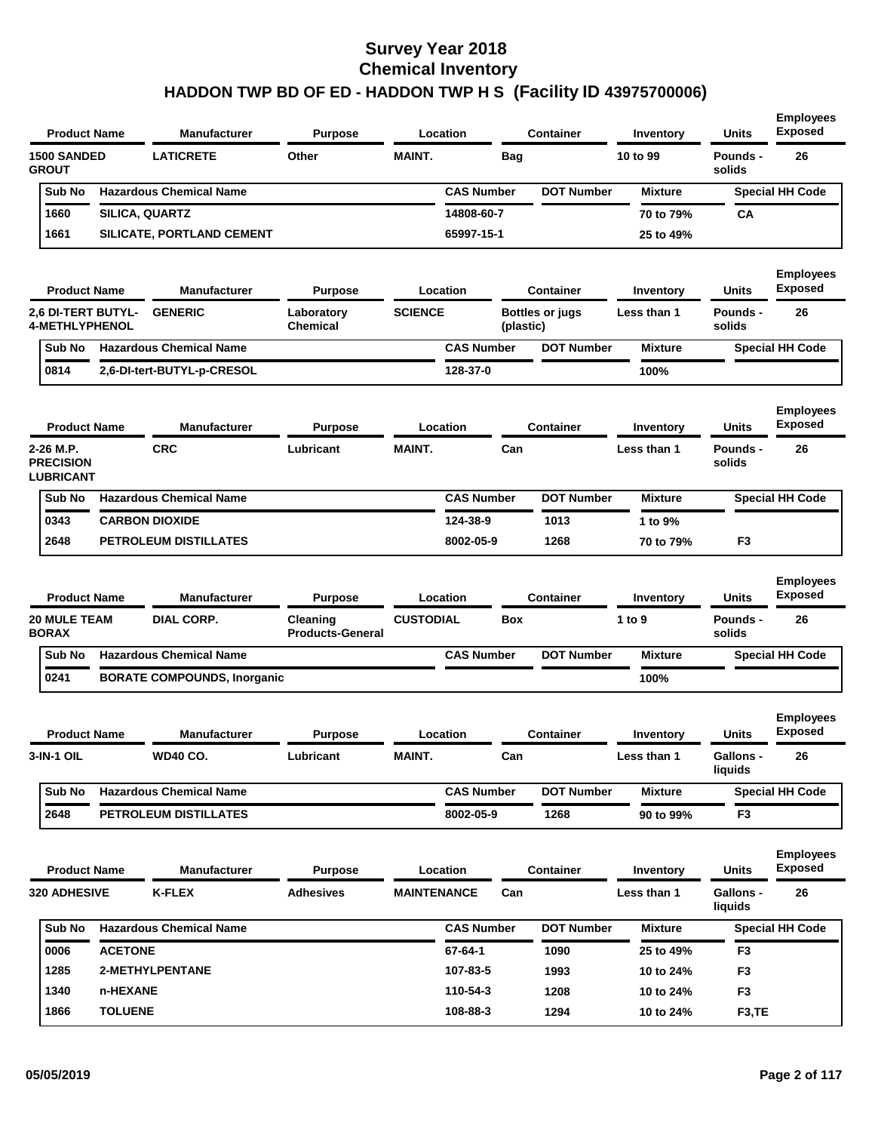| <b>Product Name</b>                                |                | <b>Manufacturer</b>                | <b>Purpose</b>                      |                    | Location          |            | <b>Container</b>       | Inventory        | <b>Units</b>              | <b>Employees</b><br><b>Exposed</b> |
|----------------------------------------------------|----------------|------------------------------------|-------------------------------------|--------------------|-------------------|------------|------------------------|------------------|---------------------------|------------------------------------|
| <b>1500 SANDED</b><br><b>GROUT</b>                 |                | <b>LATICRETE</b>                   | Other                               | <b>MAINT.</b>      |                   | <b>Bag</b> |                        | 10 to 99         | <b>Pounds -</b><br>solids | 26                                 |
| Sub No                                             |                | <b>Hazardous Chemical Name</b>     |                                     |                    | <b>CAS Number</b> |            | <b>DOT Number</b>      | <b>Mixture</b>   |                           | <b>Special HH Code</b>             |
| 1660                                               | SILICA, QUARTZ |                                    |                                     |                    | 14808-60-7        |            |                        | 70 to 79%        | CA                        |                                    |
| 1661                                               |                | SILICATE, PORTLAND CEMENT          |                                     |                    | 65997-15-1        |            |                        | 25 to 49%        |                           |                                    |
| <b>Product Name</b>                                |                | <b>Manufacturer</b>                | <b>Purpose</b>                      |                    | Location          |            | <b>Container</b>       | Inventory        | <b>Units</b>              | <b>Employees</b><br><b>Exposed</b> |
| <b>2.6 DI-TERT BUTYL-</b><br><b>4-METHLYPHENOL</b> |                | <b>GENERIC</b>                     | Laboratory<br>Chemical              | <b>SCIENCE</b>     |                   | (plastic)  | <b>Bottles or jugs</b> | Less than 1      | <b>Pounds -</b><br>solids | 26                                 |
| Sub No                                             |                | <b>Hazardous Chemical Name</b>     |                                     |                    | <b>CAS Number</b> |            | <b>DOT Number</b>      | <b>Mixture</b>   |                           | <b>Special HH Code</b>             |
| 0814                                               |                | 2,6-DI-tert-BUTYL-p-CRESOL         |                                     |                    | 128-37-0          |            |                        | 100%             |                           |                                    |
| <b>Product Name</b>                                |                | <b>Manufacturer</b>                | <b>Purpose</b>                      |                    | Location          |            | <b>Container</b>       | Inventory        | <b>Units</b>              | <b>Employees</b><br><b>Exposed</b> |
| 2-26 M.P.<br><b>PRECISION</b><br>LUBRICANT         |                | <b>CRC</b>                         | Lubricant                           | <b>MAINT.</b>      |                   | Can        |                        | Less than 1      | <b>Pounds -</b><br>solids | 26                                 |
| Sub No                                             |                | <b>Hazardous Chemical Name</b>     |                                     |                    | <b>CAS Number</b> |            | <b>DOT Number</b>      | <b>Mixture</b>   |                           | <b>Special HH Code</b>             |
| 0343                                               |                | <b>CARBON DIOXIDE</b>              |                                     |                    | 124-38-9          |            | 1013                   | 1 to 9%          |                           |                                    |
| 2648                                               |                | PETROLEUM DISTILLATES              |                                     |                    | 8002-05-9         |            | 1268                   | 70 to 79%        | F <sub>3</sub>            |                                    |
|                                                    |                |                                    |                                     |                    |                   |            |                        |                  |                           |                                    |
| <b>Product Name</b>                                |                | <b>Manufacturer</b>                | <b>Purpose</b>                      |                    | Location          |            | Container              | Inventory        | <b>Units</b>              | <b>Employees</b><br><b>Exposed</b> |
| <b>20 MULE TEAM</b><br><b>BORAX</b>                |                | <b>DIAL CORP.</b>                  | Cleaning<br><b>Products-General</b> | <b>CUSTODIAL</b>   |                   | <b>Box</b> |                        | 1 to 9           | <b>Pounds -</b><br>solids | 26                                 |
| Sub No                                             |                | <b>Hazardous Chemical Name</b>     |                                     |                    | <b>CAS Number</b> |            | <b>DOT Number</b>      | <b>Mixture</b>   |                           | <b>Special HH Code</b>             |
| 0241                                               |                | <b>BORATE COMPOUNDS, Inorganic</b> |                                     |                    |                   |            |                        | 100%             |                           |                                    |
| <b>Product Name</b>                                |                | <b>Manufacturer</b>                | <b>Purpose</b>                      |                    | Location          |            | Container              | <b>Inventory</b> | Units                     | <b>Employees</b><br><b>Exposed</b> |
| 3-IN-1 OIL                                         |                | <b>WD40 CO.</b>                    | Lubricant                           | <b>MAINT.</b>      |                   | Can        |                        | Less than 1      | Gallons -<br>liquids      | 26                                 |
| Sub No                                             |                | <b>Hazardous Chemical Name</b>     |                                     |                    | <b>CAS Number</b> |            | <b>DOT Number</b>      | <b>Mixture</b>   |                           | <b>Special HH Code</b>             |
| 2648                                               |                | PETROLEUM DISTILLATES              |                                     |                    | 8002-05-9         |            | 1268                   | 90 to 99%        | F3                        |                                    |
| <b>Product Name</b>                                |                | <b>Manufacturer</b>                | <b>Purpose</b>                      |                    | Location          |            | <b>Container</b>       | Inventory        | Units                     | <b>Employees</b><br><b>Exposed</b> |
| <b>320 ADHESIVE</b>                                |                | <b>K-FLEX</b>                      | <b>Adhesives</b>                    | <b>MAINTENANCE</b> |                   | Can        |                        | Less than 1      | Gallons -<br>liquids      | 26                                 |
| Sub No                                             |                | <b>Hazardous Chemical Name</b>     |                                     |                    | <b>CAS Number</b> |            | <b>DOT Number</b>      | <b>Mixture</b>   |                           | <b>Special HH Code</b>             |
| 0006                                               | <b>ACETONE</b> |                                    |                                     |                    | 67-64-1           |            | 1090                   | 25 to 49%        | F <sub>3</sub>            |                                    |
| 1285                                               |                | <b>2-METHYLPENTANE</b>             |                                     |                    | 107-83-5          |            | 1993                   | 10 to 24%        | F <sub>3</sub>            |                                    |
| 1340                                               | n-HEXANE       |                                    |                                     |                    | 110-54-3          |            | 1208                   | 10 to 24%        | F <sub>3</sub>            |                                    |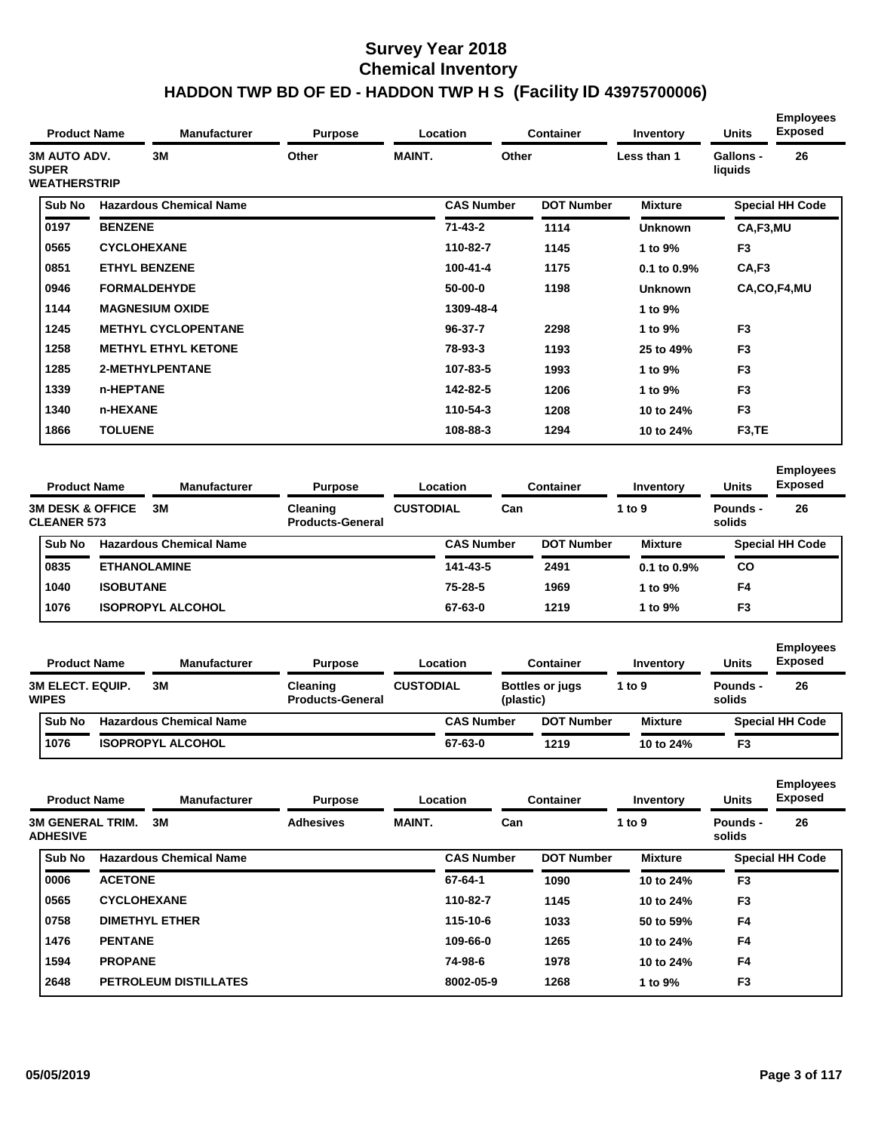| <b>Product Name</b>                                        |                  | <b>Manufacturer</b>            | <b>Purpose</b>                      |                  | Location          |       | <b>Container</b>  | Inventory      | <b>Units</b>         | <b>Employees</b><br><b>Exposed</b> |
|------------------------------------------------------------|------------------|--------------------------------|-------------------------------------|------------------|-------------------|-------|-------------------|----------------|----------------------|------------------------------------|
| <b>3M AUTO ADV.</b><br><b>SUPER</b><br><b>WEATHERSTRIP</b> |                  | 3M                             | Other                               | <b>MAINT.</b>    |                   | Other |                   | Less than 1    | Gallons -<br>liquids | 26                                 |
| Sub No                                                     |                  | <b>Hazardous Chemical Name</b> |                                     |                  | <b>CAS Number</b> |       | <b>DOT Number</b> | <b>Mixture</b> |                      | <b>Special HH Code</b>             |
| 0197                                                       | <b>BENZENE</b>   |                                |                                     |                  | $71 - 43 - 2$     |       | 1114              | <b>Unknown</b> | CA,F3,MU             |                                    |
| 0565                                                       |                  | <b>CYCLOHEXANE</b>             |                                     |                  | 110-82-7          |       | 1145              | 1 to 9%        | F <sub>3</sub>       |                                    |
| 0851                                                       |                  | <b>ETHYL BENZENE</b>           |                                     |                  | $100 - 41 - 4$    |       | 1175              | 0.1 to 0.9%    | CA,F3                |                                    |
| 0946                                                       |                  | <b>FORMALDEHYDE</b>            |                                     |                  | $50-00-0$         |       | 1198              | <b>Unknown</b> |                      | CA,CO,F4,MU                        |
| 1144                                                       |                  | <b>MAGNESIUM OXIDE</b>         |                                     |                  | 1309-48-4         |       |                   | 1 to 9%        |                      |                                    |
| 1245                                                       |                  | <b>METHYL CYCLOPENTANE</b>     |                                     |                  | $96 - 37 - 7$     |       | 2298              | 1 to 9%        | F <sub>3</sub>       |                                    |
| 1258                                                       |                  | <b>METHYL ETHYL KETONE</b>     |                                     |                  | 78-93-3           |       | 1193              | 25 to 49%      | F <sub>3</sub>       |                                    |
| 1285                                                       |                  | 2-METHYLPENTANE                |                                     |                  | 107-83-5          |       | 1993              | 1 to 9%        | F <sub>3</sub>       |                                    |
| 1339                                                       | n-HEPTANE        |                                |                                     |                  | 142-82-5          |       | 1206              | 1 to 9%        | F <sub>3</sub>       |                                    |
| 1340                                                       | n-HEXANE         |                                |                                     |                  | 110-54-3          |       | 1208              | 10 to 24%      | F <sub>3</sub>       |                                    |
| 1866                                                       | <b>TOLUENE</b>   |                                |                                     |                  | 108-88-3          |       | 1294              | 10 to 24%      | F <sub>3</sub> , TE  |                                    |
| <b>Product Name</b>                                        |                  | <b>Manufacturer</b>            | <b>Purpose</b>                      |                  | Location          |       | <b>Container</b>  | Inventory      | <b>Units</b>         | <b>Employees</b><br><b>Exposed</b> |
| <b>3M DESK &amp; OFFICE</b><br><b>CLEANER 573</b>          |                  | 3M                             | Cleaning<br><b>Products-General</b> | <b>CUSTODIAL</b> |                   | Can   |                   | 1 to 9         | Pounds -<br>solids   | 26                                 |
| Sub No                                                     |                  | <b>Hazardous Chemical Name</b> |                                     |                  | <b>CAS Number</b> |       | <b>DOT Number</b> | <b>Mixture</b> |                      | <b>Special HH Code</b>             |
| 0835                                                       |                  | <b>ETHANOLAMINE</b>            |                                     |                  | 141-43-5          |       | 2491              | 0.1 to 0.9%    | <b>CO</b>            |                                    |
| 1040                                                       | <b>ISOBUTANE</b> |                                |                                     |                  | 75-28-5           |       | 1969              | 1 to 9%        | F4                   |                                    |
| 1076                                                       |                  | <b>ISOPROPYL ALCOHOL</b>       |                                     |                  | 67-63-0           |       | 1219              | 1 to 9%        | F <sub>3</sub>       |                                    |

| <b>Product Name</b>                     | <b>Manufacturer</b>            | <b>Purpose</b>                      |                  | Location          | Container                           | Inventory      | <b>Units</b>       | <b>Lilipio yuus</b><br><b>Exposed</b> |
|-----------------------------------------|--------------------------------|-------------------------------------|------------------|-------------------|-------------------------------------|----------------|--------------------|---------------------------------------|
| <b>3M ELECT. EQUIP.</b><br><b>WIPES</b> | 3M                             | Cleaning<br><b>Products-General</b> | <b>CUSTODIAL</b> |                   | <b>Bottles or jugs</b><br>(plastic) | 1 to 9         | Pounds -<br>solids | 26                                    |
| <b>Sub No</b>                           | <b>Hazardous Chemical Name</b> |                                     |                  | <b>CAS Number</b> | <b>DOT Number</b>                   | <b>Mixture</b> |                    | <b>Special HH Code</b>                |
| 1076                                    | <b>ISOPROPYL ALCOHOL</b>       |                                     |                  | 67-63-0           | 1219                                | 10 to 24%      | F <sub>3</sub>     |                                       |

|                                            | <b>Product Name</b> | <b>Manufacturer</b>            | <b>Purpose</b>   |               | Location          | <b>Container</b>  | Inventory      | <b>Units</b>       | <b>Employees</b><br><b>Exposed</b> |
|--------------------------------------------|---------------------|--------------------------------|------------------|---------------|-------------------|-------------------|----------------|--------------------|------------------------------------|
| <b>3M GENERAL TRIM.</b><br><b>ADHESIVE</b> |                     | 3M                             | <b>Adhesives</b> | <b>MAINT.</b> | Can               |                   | 1 to 9         | Pounds -<br>solids | 26                                 |
| Sub No                                     |                     | <b>Hazardous Chemical Name</b> |                  |               | <b>CAS Number</b> | <b>DOT Number</b> | <b>Mixture</b> |                    | <b>Special HH Code</b>             |
| 0006                                       | <b>ACETONE</b>      |                                |                  |               | 67-64-1           | 1090              | 10 to 24%      | F <sub>3</sub>     |                                    |
| 0565                                       | <b>CYCLOHEXANE</b>  |                                |                  |               | 110-82-7          | 1145              | 10 to 24%      | F <sub>3</sub>     |                                    |
| 0758                                       |                     | <b>DIMETHYL ETHER</b>          |                  |               | 115-10-6          | 1033              | 50 to 59%      | F <sub>4</sub>     |                                    |
| 1476                                       | <b>PENTANE</b>      |                                |                  |               | 109-66-0          | 1265              | 10 to 24%      | F <sub>4</sub>     |                                    |
| 1594                                       | <b>PROPANE</b>      |                                |                  |               | 74-98-6           | 1978              | 10 to 24%      | F <sub>4</sub>     |                                    |
| 2648                                       |                     | <b>PETROLEUM DISTILLATES</b>   |                  |               | 8002-05-9         | 1268              | 1 to 9%        | F <sub>3</sub>     |                                    |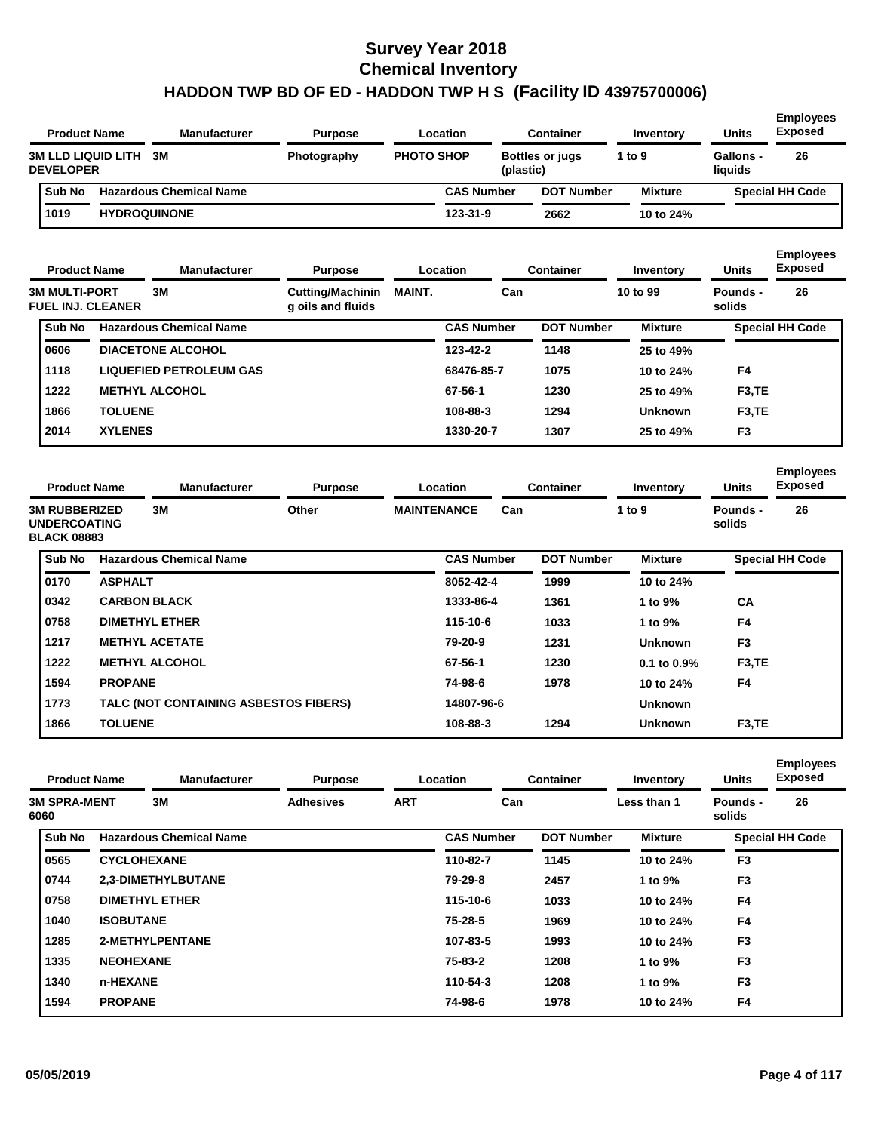| <b>Product Name</b> | <b>Manufacturer</b>            | <b>Purpose</b> |                   | Location          |           | <b>Container</b>       | Inventory      | <b>Units</b>                | <b>Employees</b><br><b>Exposed</b> |
|---------------------|--------------------------------|----------------|-------------------|-------------------|-----------|------------------------|----------------|-----------------------------|------------------------------------|
| <b>DEVELOPER</b>    | <b>3M LLD LIQUID LITH 3M</b>   | Photography    | <b>PHOTO SHOP</b> |                   | (plastic) | <b>Bottles or jugs</b> | 1 to 9         | <b>Gallons -</b><br>liquids | 26                                 |
| <b>Sub No</b>       | <b>Hazardous Chemical Name</b> |                |                   | <b>CAS Number</b> |           | <b>DOT Number</b>      | <b>Mixture</b> |                             | <b>Special HH Code</b>             |
| 1019                | <b>HYDROQUINONE</b>            |                |                   | $123 - 31 - 9$    |           | 2662                   | 10 to 24%      |                             |                                    |

| <b>Product Name</b>                              |                | Manufacturer                   | <b>Purpose</b>                               |               | Location          | <b>Container</b>  | Inventory      | <b>Units</b>        | <b>Employees</b><br><b>Exposed</b> |
|--------------------------------------------------|----------------|--------------------------------|----------------------------------------------|---------------|-------------------|-------------------|----------------|---------------------|------------------------------------|
| <b>3M MULTI-PORT</b><br><b>FUEL INJ. CLEANER</b> |                | 3M                             | <b>Cutting/Machinin</b><br>g oils and fluids | <b>MAINT.</b> | Can               |                   | 10 to 99       | Pounds -<br>solids  | 26                                 |
| Sub No                                           |                | <b>Hazardous Chemical Name</b> |                                              |               | <b>CAS Number</b> | <b>DOT Number</b> | <b>Mixture</b> |                     | <b>Special HH Code</b>             |
| 0606                                             |                | <b>DIACETONE ALCOHOL</b>       |                                              |               | 123-42-2          | 1148              | 25 to 49%      |                     |                                    |
| 1118                                             |                | <b>LIQUEFIED PETROLEUM GAS</b> |                                              |               | 68476-85-7        | 1075              | 10 to 24%      | F4                  |                                    |
| 1222                                             |                | <b>METHYL ALCOHOL</b>          |                                              |               | 67-56-1           | 1230              | 25 to 49%      | F <sub>3</sub> , TE |                                    |
| 1866                                             | <b>TOLUENE</b> |                                |                                              |               | 108-88-3          | 1294              | <b>Unknown</b> | F <sub>3</sub> , TE |                                    |
| 2014                                             | <b>XYLENES</b> |                                |                                              |               | 1330-20-7         | 1307              | 25 to 49%      | F <sub>3</sub>      |                                    |

| <b>Product Name</b><br><b>3M RUBBERIZED</b> | <b>Manufacturer</b><br><b>Purpose</b> |                                       | Location |                    |                   | <b>Container</b> | Inventory         | <b>Units</b>     | <b>Employees</b><br><b>Exposed</b> |                        |
|---------------------------------------------|---------------------------------------|---------------------------------------|----------|--------------------|-------------------|------------------|-------------------|------------------|------------------------------------|------------------------|
| <b>UNDERCOATING</b><br><b>BLACK 08883</b>   |                                       | 3M                                    | Other    | <b>MAINTENANCE</b> |                   | Can              |                   | 1 to 9           | Pounds -<br>solids                 | 26                     |
| Sub No                                      |                                       | <b>Hazardous Chemical Name</b>        |          |                    | <b>CAS Number</b> |                  | <b>DOT Number</b> | <b>Mixture</b>   |                                    | <b>Special HH Code</b> |
| 0170                                        | <b>ASPHALT</b>                        |                                       |          |                    | 8052-42-4         |                  | 1999              | 10 to 24%        |                                    |                        |
| 0342                                        |                                       | <b>CARBON BLACK</b>                   |          |                    | 1333-86-4         |                  | 1361              | 1 to 9%          | CA                                 |                        |
| 0758                                        |                                       | <b>DIMETHYL ETHER</b>                 |          |                    | 115-10-6          |                  | 1033              | 1 to 9%          | F <sub>4</sub>                     |                        |
| 1217                                        |                                       | <b>METHYL ACETATE</b>                 |          |                    | 79-20-9           |                  | 1231              | <b>Unknown</b>   | F <sub>3</sub>                     |                        |
| 1222                                        |                                       | <b>METHYL ALCOHOL</b>                 |          |                    | 67-56-1           |                  | 1230              | $0.1$ to $0.9\%$ | F <sub>3</sub> ,TE                 |                        |
| 1594                                        | <b>PROPANE</b>                        |                                       |          |                    | 74-98-6           |                  | 1978              | 10 to 24%        | F4                                 |                        |
| 1773                                        |                                       | TALC (NOT CONTAINING ASBESTOS FIBERS) |          |                    | 14807-96-6        |                  |                   | <b>Unknown</b>   |                                    |                        |
| 1866                                        | <b>TOLUENE</b>                        |                                       |          |                    | 108-88-3          |                  | 1294              | <b>Unknown</b>   | F <sub>3</sub> , TE                |                        |

|        | <b>Product Name</b><br><b>3M SPRA-MENT</b> | <b>Manufacturer</b>            | <b>Purpose</b>   |            | Location          | <b>Container</b>  | Inventory      | <b>Units</b>       | <b>Employees</b><br><b>Exposed</b> |  |
|--------|--------------------------------------------|--------------------------------|------------------|------------|-------------------|-------------------|----------------|--------------------|------------------------------------|--|
| 6060   |                                            | 3M                             | <b>Adhesives</b> | <b>ART</b> | Can               |                   | Less than 1    | Pounds -<br>solids | 26                                 |  |
| Sub No |                                            | <b>Hazardous Chemical Name</b> |                  |            | <b>CAS Number</b> | <b>DOT Number</b> | <b>Mixture</b> |                    | <b>Special HH Code</b>             |  |
| 0565   |                                            | <b>CYCLOHEXANE</b>             |                  |            | 110-82-7          | 1145              | 10 to 24%      | F <sub>3</sub>     |                                    |  |
| 0744   |                                            | 2.3-DIMETHYLBUTANE             |                  |            | 79-29-8           | 2457              | 1 to 9%        | F <sub>3</sub>     |                                    |  |
| 0758   |                                            | <b>DIMETHYL ETHER</b>          |                  |            | 115-10-6          | 1033              | 10 to 24%      | F4                 |                                    |  |
| 1040   | <b>ISOBUTANE</b>                           |                                |                  |            | 75-28-5           | 1969              | 10 to 24%      | F4                 |                                    |  |
| 1285   |                                            | 2-METHYLPENTANE                |                  |            | 107-83-5          | 1993              | 10 to 24%      | F <sub>3</sub>     |                                    |  |
| 1335   | <b>NEOHEXANE</b>                           |                                |                  |            | 75-83-2           | 1208              | 1 to 9%        | F <sub>3</sub>     |                                    |  |
| 1340   | n-HEXANE                                   |                                |                  |            | 110-54-3          | 1208              | 1 to 9%        | F <sub>3</sub>     |                                    |  |
| 1594   | <b>PROPANE</b>                             |                                |                  |            | 74-98-6           | 1978              | 10 to 24%      | F4                 |                                    |  |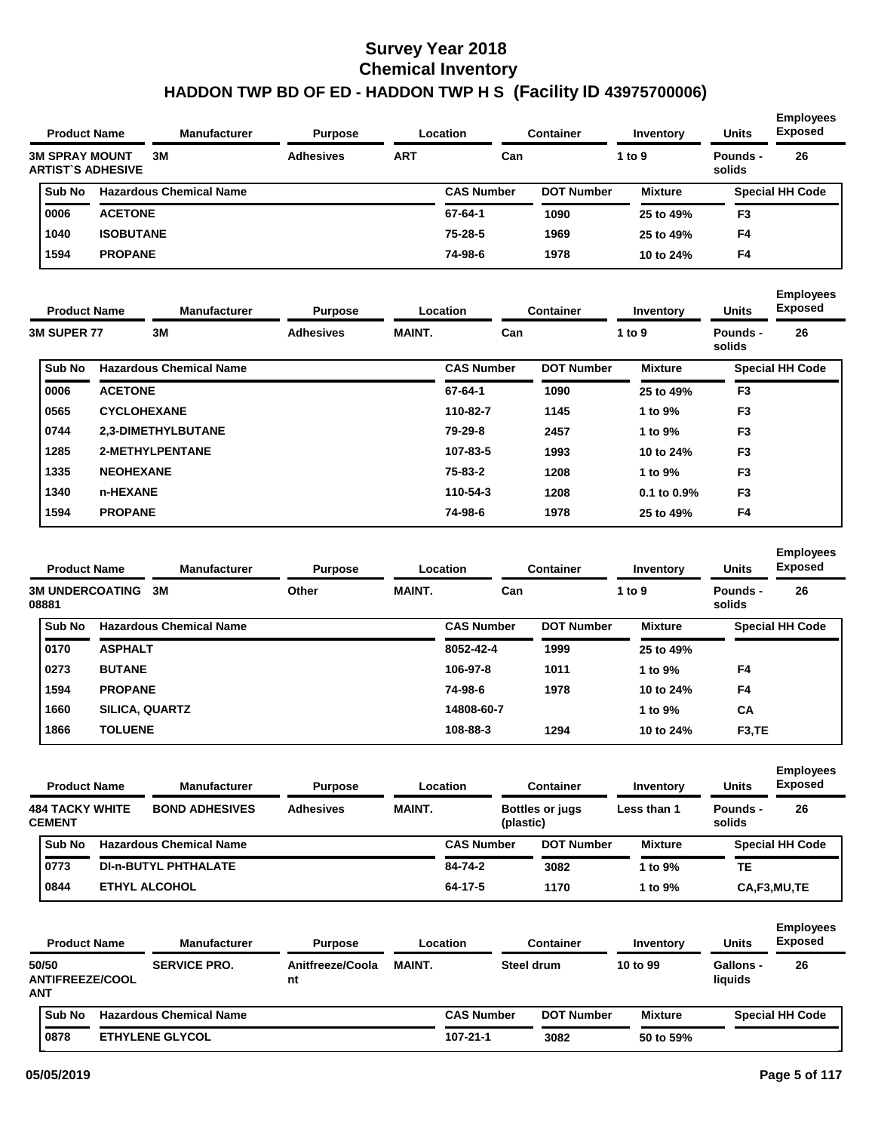| <b>Product Name</b> |                       |                          | <b>Manufacturer</b><br>Location<br><b>Purpose</b> | <b>Container</b> | Inventory | <b>Units</b>      | <b>Employees</b><br><b>Exposed</b> |                |                    |                        |
|---------------------|-----------------------|--------------------------|---------------------------------------------------|------------------|-----------|-------------------|------------------------------------|----------------|--------------------|------------------------|
|                     | <b>3M SPRAY MOUNT</b> | <b>ARTIST'S ADHESIVE</b> | 3M                                                | <b>Adhesives</b> | ART       | Can               |                                    | 1 to $9$       | Pounds -<br>solids | 26                     |
|                     | <b>Sub No</b>         |                          | <b>Hazardous Chemical Name</b>                    |                  |           | <b>CAS Number</b> | <b>DOT Number</b>                  | <b>Mixture</b> |                    | <b>Special HH Code</b> |
|                     | 0006                  | <b>ACETONE</b>           |                                                   |                  |           | 67-64-1           | 1090                               | 25 to 49%      | F <sub>3</sub>     |                        |
|                     | 1040                  | <b>ISOBUTANE</b>         |                                                   |                  |           | 75-28-5           | 1969                               | 25 to 49%      | F4                 |                        |
|                     | 1594                  | <b>PROPANE</b>           |                                                   |                  |           | 74-98-6           | 1978                               | 10 to 24%      | F <sub>4</sub>     |                        |

| <b>Product Name</b>                 |                    | <b>Manufacturer</b>            | <b>Purpose</b>   |               | <b>Location</b>   | <b>Container</b>  | Inventory        | <b>Units</b>       | <b>Employees</b><br><b>Exposed</b> |
|-------------------------------------|--------------------|--------------------------------|------------------|---------------|-------------------|-------------------|------------------|--------------------|------------------------------------|
| <b>3M SUPER 77</b><br><b>Sub No</b> |                    | 3M                             | <b>Adhesives</b> | <b>MAINT.</b> | Can               |                   | 1 to 9           | Pounds -<br>solids | 26                                 |
|                                     |                    | <b>Hazardous Chemical Name</b> |                  |               | <b>CAS Number</b> | <b>DOT Number</b> | <b>Mixture</b>   |                    | <b>Special HH Code</b>             |
| 0006                                | <b>ACETONE</b>     |                                |                  |               | 67-64-1           | 1090              | 25 to 49%        | F <sub>3</sub>     |                                    |
| 0565                                | <b>CYCLOHEXANE</b> |                                |                  |               | 110-82-7          | 1145              | 1 to 9%          | F <sub>3</sub>     |                                    |
| 0744                                |                    | 2,3-DIMETHYLBUTANE             |                  |               | 79-29-8           | 2457              | 1 to 9%          | F <sub>3</sub>     |                                    |
| 1285                                |                    | 2-METHYLPENTANE                |                  |               | 107-83-5          | 1993              | 10 to 24%        | F <sub>3</sub>     |                                    |
| 1335                                | <b>NEOHEXANE</b>   |                                |                  |               | 75-83-2           | 1208              | 1 to 9%          | F <sub>3</sub>     |                                    |
| 1340                                | n-HEXANE           |                                |                  |               | 110-54-3          | 1208              | $0.1$ to $0.9\%$ | F <sub>3</sub>     |                                    |
| 1594                                | <b>PROPANE</b>     |                                |                  |               | 74-98-6           | 1978              | 25 to 49%        | F <sub>4</sub>     |                                    |

| <b>Product Name</b>             |                       | <b>Manufacturer</b><br><b>Purpose</b> |       | Location      | <b>Container</b>  |                   | <b>Units</b>   | <b>Employees</b><br><b>Exposed</b> |                        |
|---------------------------------|-----------------------|---------------------------------------|-------|---------------|-------------------|-------------------|----------------|------------------------------------|------------------------|
| <b>3M UNDERCOATING</b><br>08881 |                       | 3M                                    | Other | <b>MAINT.</b> | Can               |                   | 1 to 9         | Pounds -<br>solids                 | 26                     |
| Sub No                          |                       | <b>Hazardous Chemical Name</b>        |       |               | <b>CAS Number</b> | <b>DOT Number</b> | <b>Mixture</b> |                                    | <b>Special HH Code</b> |
| 0170                            | <b>ASPHALT</b>        |                                       |       |               | 8052-42-4         | 1999              | 25 to 49%      |                                    |                        |
| 0273                            | <b>BUTANE</b>         |                                       |       |               | 106-97-8          | 1011              | 1 to 9%        | F4                                 |                        |
| 1594                            | <b>PROPANE</b>        |                                       |       |               | 74-98-6           | 1978              | 10 to 24%      | F <sub>4</sub>                     |                        |
| 1660                            | <b>SILICA, QUARTZ</b> |                                       |       |               | 14808-60-7        |                   | 1 to 9%        | CA                                 |                        |
| 1866                            | <b>TOLUENE</b>        |                                       |       |               | 108-88-3          | 1294              | 10 to 24%      | F <sub>3</sub> , TE                |                        |

|                                         | <b>Product Name</b> | <b>Manufacturer</b>            | <b>Purpose</b>   |               | Location          | <b>Container</b>       | Inventory      | Units              | <b>Employees</b><br><b>Exposed</b> |
|-----------------------------------------|---------------------|--------------------------------|------------------|---------------|-------------------|------------------------|----------------|--------------------|------------------------------------|
| <b>484 TACKY WHITE</b><br><b>CEMENT</b> |                     | <b>BOND ADHESIVES</b>          | <b>Adhesives</b> | <b>MAINT.</b> | (plastic)         | <b>Bottles or jugs</b> | Less than 1    | Pounds -<br>solids | 26                                 |
| <b>Sub No</b>                           |                     | <b>Hazardous Chemical Name</b> |                  |               | <b>CAS Number</b> | <b>DOT Number</b>      | <b>Mixture</b> |                    | <b>Special HH Code</b>             |
| 0773                                    |                     | <b>DI-n-BUTYL PHTHALATE</b>    |                  |               | 84-74-2           | 3082                   | 1 to 9%        | TЕ                 |                                    |
| 0844                                    |                     | <b>ETHYL ALCOHOL</b>           |                  |               | 64-17-5           | 1170                   | 1 to 9%        |                    | CA,F3,MU,TE                        |

| <b>Product Name</b>                    | <b>Manufacturer</b>            | <b>Purpose</b>         |               | Location          |            | Container         | Inventory      | <b>Units</b>                | <b>Exposed</b>         |
|----------------------------------------|--------------------------------|------------------------|---------------|-------------------|------------|-------------------|----------------|-----------------------------|------------------------|
| 50/50<br><b>ANTIFREEZE/COOL</b><br>ANT | <b>SERVICE PRO.</b>            | Anitfreeze/Coola<br>nt | <b>MAINT.</b> |                   | Steel drum |                   | 10 to 99       | <b>Gallons -</b><br>liquids | 26                     |
| Sub No                                 | <b>Hazardous Chemical Name</b> |                        |               | <b>CAS Number</b> |            | <b>DOT Number</b> | <b>Mixture</b> |                             | <b>Special HH Code</b> |
| 0878                                   | <b>ETHYLENE GLYCOL</b>         |                        |               | 107-21-1          |            | 3082              | 50 to 59%      |                             |                        |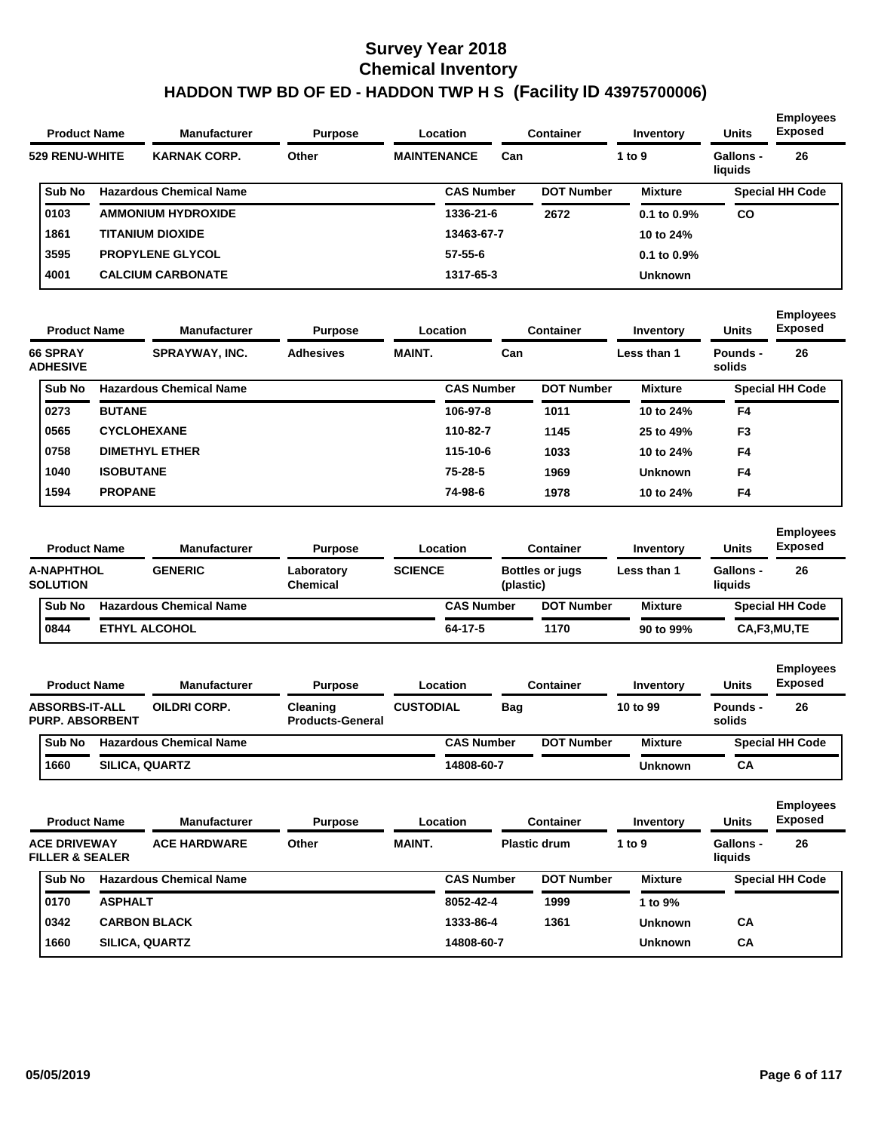| <b>Product Name</b> | <b>Manufacturer</b>            | <b>Purpose</b> |                    | <b>Location</b>   |     | <b>Container</b>  | Inventory        | <b>Units</b>                | <b>Employees</b><br>Exposed |
|---------------------|--------------------------------|----------------|--------------------|-------------------|-----|-------------------|------------------|-----------------------------|-----------------------------|
| 529 RENU-WHITE      | <b>KARNAK CORP.</b>            | Other          | <b>MAINTENANCE</b> |                   | Can |                   | 1 to $9$         | <b>Gallons -</b><br>liquids | 26                          |
| Sub No              | <b>Hazardous Chemical Name</b> |                |                    | <b>CAS Number</b> |     | <b>DOT Number</b> | <b>Mixture</b>   |                             | <b>Special HH Code</b>      |
| 0103                | <b>AMMONIUM HYDROXIDE</b>      |                |                    | 1336-21-6         |     | 2672              | $0.1$ to $0.9\%$ | CO                          |                             |
| 1861                | <b>TITANIUM DIOXIDE</b>        |                |                    | 13463-67-7        |     |                   | 10 to 24%        |                             |                             |
| 3595                | <b>PROPYLENE GLYCOL</b>        |                |                    | $57 - 55 - 6$     |     |                   | $0.1$ to $0.9\%$ |                             |                             |
| 4001                | <b>CALCIUM CARBONATE</b>       |                |                    | 1317-65-3         |     |                   | <b>Unknown</b>   |                             |                             |
|                     |                                |                |                    |                   |     |                   |                  |                             |                             |

| <b>Product Name</b>                |                  | <b>Manufacturer</b>            | <b>Purpose</b>   |               | Location          | <b>Container</b>  | Inventory      | <b>Units</b>       | <b>Employees</b><br><b>Exposed</b> |
|------------------------------------|------------------|--------------------------------|------------------|---------------|-------------------|-------------------|----------------|--------------------|------------------------------------|
| <b>66 SPRAY</b><br><b>ADHESIVE</b> |                  | SPRAYWAY, INC.                 | <b>Adhesives</b> | <b>MAINT.</b> | Can               |                   | Less than 1    | Pounds -<br>solids | 26                                 |
| <b>Sub No</b>                      |                  | <b>Hazardous Chemical Name</b> |                  |               | <b>CAS Number</b> | <b>DOT Number</b> | <b>Mixture</b> |                    | <b>Special HH Code</b>             |
| 0273                               | <b>BUTANE</b>    |                                |                  |               | 106-97-8          | 1011              | 10 to 24%      | F4                 |                                    |
| 0565                               |                  | <b>CYCLOHEXANE</b>             |                  |               | 110-82-7          | 1145              | 25 to 49%      | F <sub>3</sub>     |                                    |
| 0758                               |                  | <b>DIMETHYL ETHER</b>          |                  |               | 115-10-6          | 1033              | 10 to 24%      | F <sub>4</sub>     |                                    |
| 1040                               | <b>ISOBUTANE</b> |                                |                  |               | $75 - 28 - 5$     | 1969              | <b>Unknown</b> | F4                 |                                    |
| 1594                               | <b>PROPANE</b>   |                                |                  |               | 74-98-6           | 1978              | 10 to 24%      | F4                 |                                    |

| <b>Product Name</b> |                                      | <b>Manufacturer</b>            | <b>Purpose</b>                |                | Location          | <b>Container</b>                    | Inventory      | <b>Units</b>                | <b>Employees</b><br><b>Exposed</b> |  |
|---------------------|--------------------------------------|--------------------------------|-------------------------------|----------------|-------------------|-------------------------------------|----------------|-----------------------------|------------------------------------|--|
|                     | <b>A-NAPHTHOL</b><br><b>SOLUTION</b> | <b>GENERIC</b>                 | Laboratory<br><b>Chemical</b> | <b>SCIENCE</b> |                   | <b>Bottles or jugs</b><br>(plastic) | Less than 1    | <b>Gallons -</b><br>liauids | 26                                 |  |
|                     | <b>Sub No</b>                        | <b>Hazardous Chemical Name</b> |                               |                | <b>CAS Number</b> | <b>DOT Number</b>                   | <b>Mixture</b> |                             | <b>Special HH Code</b>             |  |
|                     | 0844                                 | <b>ETHYL ALCOHOL</b>           |                               |                | 64-17-5           | 1170                                | 90 to 99%      |                             | CA,F3,MU,TE                        |  |

| <b>Product Name</b>                             |                       | <b>Manufacturer</b>            | <b>Purpose</b>                      |                  | Location          |     | <b>Container</b>  | Inventory      | <b>Units</b>       | <b>Employees</b><br><b>Exposed</b> |
|-------------------------------------------------|-----------------------|--------------------------------|-------------------------------------|------------------|-------------------|-----|-------------------|----------------|--------------------|------------------------------------|
| <b>ABSORBS-IT-ALL</b><br><b>PURP. ABSORBENT</b> |                       | <b>OILDRI CORP.</b>            | Cleaning<br><b>Products-General</b> | <b>CUSTODIAL</b> |                   | Bag |                   | 10 to 99       | Pounds -<br>solids | 26                                 |
| <b>Sub No</b>                                   |                       | <b>Hazardous Chemical Name</b> |                                     |                  | <b>CAS Number</b> |     | <b>DOT Number</b> | <b>Mixture</b> |                    | <b>Special HH Code</b>             |
| 1660                                            | <b>SILICA, QUARTZ</b> |                                |                                     |                  | 14808-60-7        |     |                   | <b>Unknown</b> | СA                 |                                    |

| <b>Product Name</b>                               |                | <b>Manufacturer</b>            | <b>Container</b><br>Location<br><b>Purpose</b> |               |                   | Inventory           | <b>Units</b>   | <b>Employees</b><br><b>Exposed</b> |                        |
|---------------------------------------------------|----------------|--------------------------------|------------------------------------------------|---------------|-------------------|---------------------|----------------|------------------------------------|------------------------|
| <b>ACE DRIVEWAY</b><br><b>FILLER &amp; SEALER</b> |                | <b>ACE HARDWARE</b>            | Other                                          | <b>MAINT.</b> |                   | <b>Plastic drum</b> | 1 to $9$       | Gallons -<br>liquids               | 26                     |
| Sub No                                            |                | <b>Hazardous Chemical Name</b> |                                                |               | <b>CAS Number</b> | <b>DOT Number</b>   | <b>Mixture</b> |                                    | <b>Special HH Code</b> |
| 0170                                              | <b>ASPHALT</b> |                                |                                                |               | 8052-42-4         | 1999                | 1 to 9%        |                                    |                        |
| 0342                                              |                | <b>CARBON BLACK</b>            |                                                |               | 1333-86-4         | 1361                | <b>Unknown</b> | CA                                 |                        |
| 1660                                              |                | <b>SILICA, QUARTZ</b>          |                                                |               | 14808-60-7        |                     | <b>Unknown</b> | CA                                 |                        |
|                                                   |                |                                |                                                |               |                   |                     |                |                                    |                        |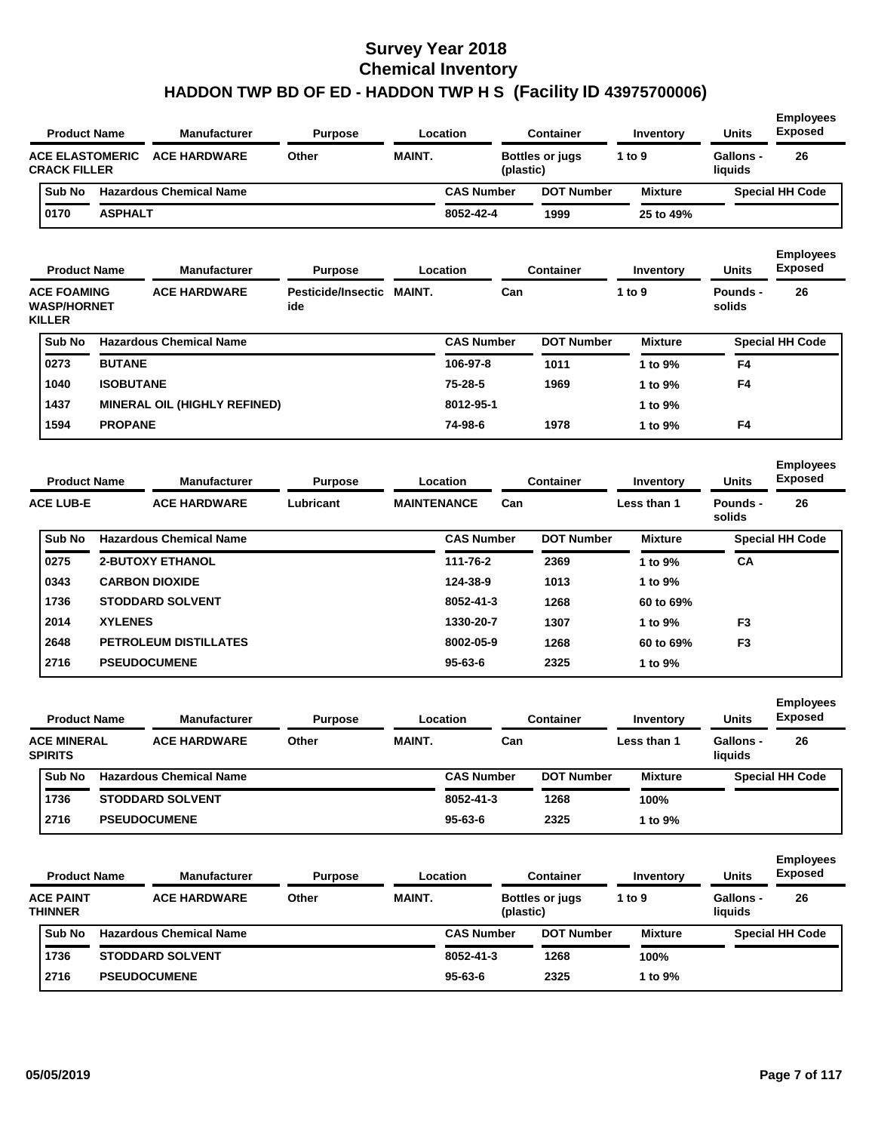| <b>Product Name</b>                                       |                  | <b>Manufacturer</b>                 | <b>Purpose</b>                   |                    | Location          |           | <b>Container</b>       | Inventory      | Units                       | <b>Exposed</b>                     |
|-----------------------------------------------------------|------------------|-------------------------------------|----------------------------------|--------------------|-------------------|-----------|------------------------|----------------|-----------------------------|------------------------------------|
| <b>ACE ELASTOMERIC</b><br><b>CRACK FILLER</b>             |                  | <b>ACE HARDWARE</b>                 | Other                            | <b>MAINT.</b>      |                   | (plastic) | <b>Bottles or jugs</b> | 1 to $9$       | <b>Gallons -</b><br>liquids | 26                                 |
| Sub No                                                    |                  | <b>Hazardous Chemical Name</b>      |                                  |                    | <b>CAS Number</b> |           | <b>DOT Number</b>      | <b>Mixture</b> |                             | <b>Special HH Code</b>             |
| 0170                                                      | <b>ASPHALT</b>   |                                     |                                  |                    | 8052-42-4         |           | 1999                   | 25 to 49%      |                             |                                    |
| <b>Product Name</b>                                       |                  | <b>Manufacturer</b>                 | <b>Purpose</b>                   |                    | Location          |           | <b>Container</b>       | Inventory      | <b>Units</b>                | <b>Employees</b><br><b>Exposed</b> |
| <b>ACE FOAMING</b><br><b>WASP/HORNET</b><br><b>KILLER</b> |                  | <b>ACE HARDWARE</b>                 | Pesticide/Insectic MAINT.<br>ide |                    |                   | Can       |                        | 1 to 9         | <b>Pounds -</b><br>solids   | 26                                 |
| Sub No                                                    |                  | <b>Hazardous Chemical Name</b>      |                                  |                    | <b>CAS Number</b> |           | <b>DOT Number</b>      | <b>Mixture</b> |                             | <b>Special HH Code</b>             |
| 0273                                                      | <b>BUTANE</b>    |                                     |                                  |                    | 106-97-8          |           | 1011                   | 1 to 9%        | F4                          |                                    |
| 1040                                                      | <b>ISOBUTANE</b> |                                     |                                  |                    | 75-28-5           |           | 1969                   | 1 to 9%        | F4                          |                                    |
| 1437                                                      |                  | <b>MINERAL OIL (HIGHLY REFINED)</b> |                                  |                    | 8012-95-1         |           |                        | 1 to 9%        |                             |                                    |
| 1594                                                      | <b>PROPANE</b>   |                                     |                                  |                    | 74-98-6           |           | 1978                   | 1 to 9%        | F4                          |                                    |
| <b>Product Name</b>                                       |                  | Manufacturer                        | <b>Purpose</b>                   |                    | Location          |           | <b>Container</b>       | Inventory      | <b>Units</b>                | <b>Employees</b><br><b>Exposed</b> |
| <b>ACE LUB-E</b>                                          |                  | <b>ACE HARDWARE</b>                 | Lubricant                        | <b>MAINTENANCE</b> |                   | Can       |                        | Less than 1    | Pounds -<br>solids          | 26                                 |
| Sub No                                                    |                  | <b>Hazardous Chemical Name</b>      |                                  |                    | <b>CAS Number</b> |           | <b>DOT Number</b>      | <b>Mixture</b> |                             | <b>Special HH Code</b>             |
| 0275                                                      |                  | <b>2-BUTOXY ETHANOL</b>             |                                  |                    | 111-76-2          |           | 2369                   | 1 to 9%        | CA                          |                                    |
| 0343                                                      |                  | <b>CARBON DIOXIDE</b>               |                                  |                    | 124-38-9          |           | 1013                   | 1 to 9%        |                             |                                    |
| 1736                                                      |                  | <b>STODDARD SOLVENT</b>             |                                  |                    | 8052-41-3         |           | 1268                   | 60 to 69%      |                             |                                    |
| 2014                                                      | <b>XYLENES</b>   |                                     |                                  |                    | 1330-20-7         |           | 1307                   | 1 to 9%        | F <sub>3</sub>              |                                    |
| 2648                                                      |                  | PETROLEUM DISTILLATES               |                                  |                    | 8002-05-9         |           | 1268                   | 60 to 69%      | F <sub>3</sub>              |                                    |
| 2716                                                      |                  | <b>PSEUDOCUMENE</b>                 |                                  |                    | $95 - 63 - 6$     |           | 2325                   | 1 to 9%        |                             |                                    |
| <b>Product Name</b>                                       |                  | <b>Manufacturer</b>                 | <b>Purpose</b>                   |                    | Location          |           | <b>Container</b>       | Inventory      | Units                       | <b>Employees</b><br><b>Exposed</b> |
|                                                           |                  |                                     |                                  |                    |                   |           |                        |                |                             |                                    |
| <b>ACE MINERAL</b><br><b>SPIRITS</b>                      |                  | <b>ACE HARDWARE</b>                 | Other                            | <b>MAINT.</b>      |                   | Can       |                        | Less than 1    | Gallons -<br>liquids        | 26                                 |
| Sub No                                                    |                  | <b>Hazardous Chemical Name</b>      |                                  |                    | <b>CAS Number</b> |           | <b>DOT Number</b>      | <b>Mixture</b> |                             | <b>Special HH Code</b>             |
| 1736                                                      |                  | <b>STODDARD SOLVENT</b>             |                                  |                    | 8052-41-3         |           | 1268                   | 100%           |                             |                                    |
| 2716                                                      |                  | <b>PSEUDOCUMENE</b>                 |                                  |                    | $95 - 63 - 6$     |           | 2325                   | 1 to 9%        |                             |                                    |
| <b>Product Name</b>                                       |                  | Manufacturer                        | <b>Purpose</b>                   |                    | Location          |           | <b>Container</b>       | Inventory      | Units                       | <b>Employees</b><br><b>Exposed</b> |
| <b>ACE PAINT</b><br><b>THINNER</b>                        |                  | <b>ACE HARDWARE</b>                 | Other                            | MAINT.             |                   | (plastic) | <b>Bottles or jugs</b> | 1 to 9         | Gallons -<br>liquids        | 26                                 |
| <b>Sub No</b>                                             |                  | <b>Hazardous Chemical Name</b>      |                                  |                    | <b>CAS Number</b> |           | <b>DOT Number</b>      | <b>Mixture</b> |                             | <b>Special HH Code</b>             |
|                                                           |                  | <b>STODDARD SOLVENT</b>             |                                  |                    | 8052-41-3         |           | 1268                   | 100%           |                             |                                    |
| 1736                                                      |                  |                                     |                                  |                    |                   |           |                        |                |                             |                                    |

**Employees**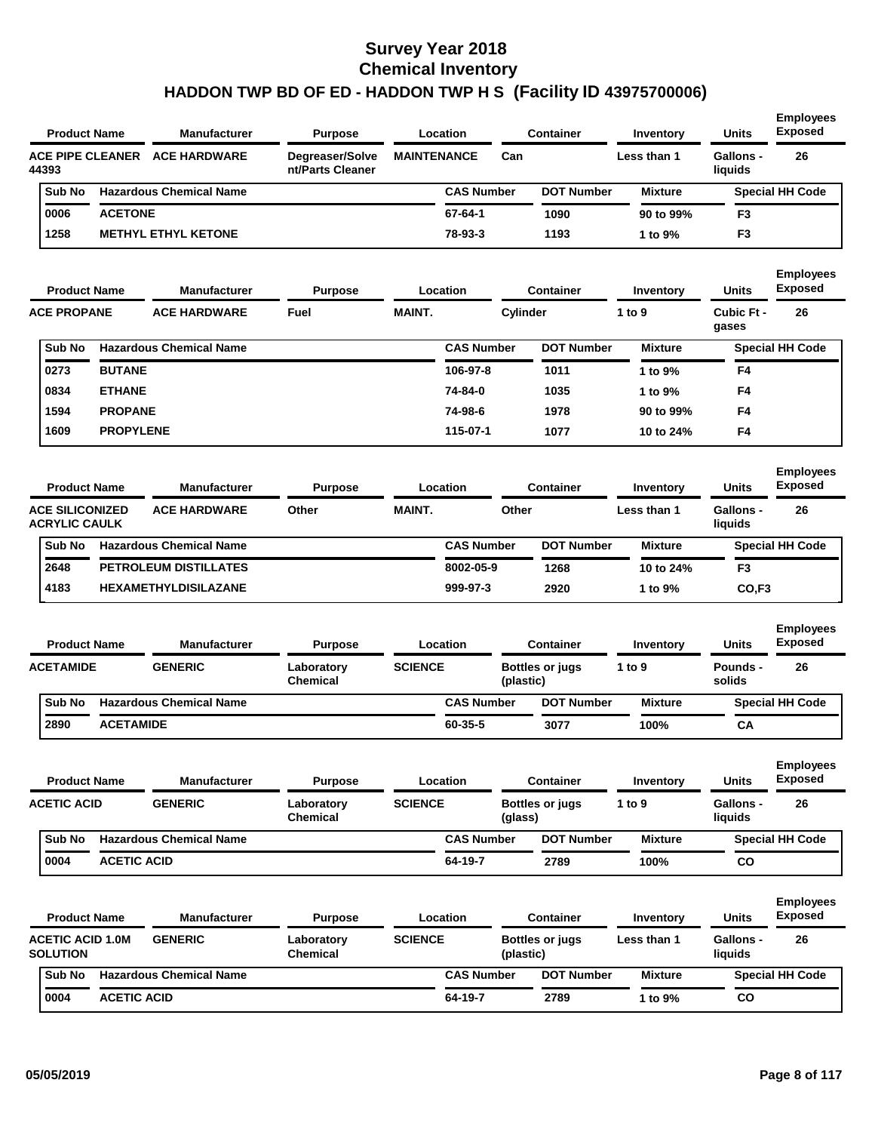|                                            | <b>Product Name</b>     | <b>Manufacturer</b>            | <b>Purpose</b>                      | Location           |           | <b>Container</b>       | Inventory      | <b>Units</b>                | <b>Employees</b><br><b>Exposed</b> |
|--------------------------------------------|-------------------------|--------------------------------|-------------------------------------|--------------------|-----------|------------------------|----------------|-----------------------------|------------------------------------|
| 44393                                      | <b>ACE PIPE CLEANER</b> | <b>ACE HARDWARE</b>            | Degreaser/Solve<br>nt/Parts Cleaner | <b>MAINTENANCE</b> | Can       |                        | Less than 1    | <b>Gallons -</b><br>liquids | 26                                 |
| Sub No                                     |                         | <b>Hazardous Chemical Name</b> |                                     | <b>CAS Number</b>  |           | <b>DOT Number</b>      | <b>Mixture</b> |                             | <b>Special HH Code</b>             |
| 0006                                       | <b>ACETONE</b>          |                                |                                     | 67-64-1            |           | 1090                   | 90 to 99%      | F <sub>3</sub>              |                                    |
| 1258                                       |                         | <b>METHYL ETHYL KETONE</b>     |                                     | 78-93-3            |           | 1193                   | 1 to 9%        | F <sub>3</sub>              |                                    |
|                                            | <b>Product Name</b>     | <b>Manufacturer</b>            | <b>Purpose</b>                      | Location           |           | <b>Container</b>       | Inventory      | <b>Units</b>                | <b>Employees</b><br><b>Exposed</b> |
| <b>ACE PROPANE</b>                         |                         | <b>ACE HARDWARE</b>            | Fuel                                | <b>MAINT.</b>      | Cylinder  |                        | 1 to 9         | Cubic Ft -<br>gases         | 26                                 |
| Sub No                                     |                         | <b>Hazardous Chemical Name</b> |                                     | <b>CAS Number</b>  |           | <b>DOT Number</b>      | <b>Mixture</b> |                             | <b>Special HH Code</b>             |
| 0273                                       | <b>BUTANE</b>           |                                |                                     | 106-97-8           |           | 1011                   | 1 to 9%        | F4                          |                                    |
| 0834                                       | <b>ETHANE</b>           |                                |                                     | 74-84-0            |           | 1035                   | 1 to 9%        | F4                          |                                    |
| 1594                                       | <b>PROPANE</b>          |                                |                                     | 74-98-6            |           | 1978                   | 90 to 99%      | F4                          |                                    |
| 1609                                       | <b>PROPYLENE</b>        |                                |                                     | 115-07-1           |           | 1077                   | 10 to 24%      | F4                          |                                    |
|                                            | <b>Product Name</b>     | <b>Manufacturer</b>            | <b>Purpose</b>                      | Location           |           | <b>Container</b>       | Inventory      | <b>Units</b>                | <b>Employees</b><br><b>Exposed</b> |
| <b>ACE SILICONIZED</b><br>ACRYLIC CAULK    |                         | <b>ACE HARDWARE</b>            | Other                               | <b>MAINT.</b>      | Other     |                        | Less than 1    | <b>Gallons -</b><br>liquids | 26                                 |
| Sub No                                     |                         | <b>Hazardous Chemical Name</b> |                                     | <b>CAS Number</b>  |           | <b>DOT Number</b>      | <b>Mixture</b> |                             | <b>Special HH Code</b>             |
| 2648                                       |                         | PETROLEUM DISTILLATES          |                                     | 8002-05-9          |           | 1268                   | 10 to 24%      | F <sub>3</sub>              |                                    |
| 4183                                       |                         | <b>HEXAMETHYLDISILAZANE</b>    |                                     | 999-97-3           |           | 2920                   | 1 to 9%        | CO, F3                      |                                    |
|                                            | <b>Product Name</b>     | <b>Manufacturer</b>            | <b>Purpose</b>                      | Location           |           | <b>Container</b>       | Inventory      | <b>Units</b>                | <b>Employees</b><br><b>Exposed</b> |
| <b>ACETAMIDE</b>                           |                         | <b>GENERIC</b>                 | Laboratory<br><b>Chemical</b>       | <b>SCIENCE</b>     | (plastic) | Bottles or jugs        | 1 to $9$       | <b>Pounds -</b><br>solids   | 26                                 |
| Sub No                                     |                         | <b>Hazardous Chemical Name</b> |                                     | <b>CAS Number</b>  |           | <b>DOT Number</b>      | <b>Mixture</b> |                             | <b>Special HH Code</b>             |
| 2890                                       | <b>ACETAMIDE</b>        |                                |                                     | 60-35-5            |           | 3077                   | 100%           | CA                          |                                    |
|                                            |                         |                                |                                     |                    |           |                        |                |                             | <b>Employees</b>                   |
|                                            | <b>Product Name</b>     | <b>Manufacturer</b>            | <b>Purpose</b>                      | Location           |           | <b>Container</b>       | Inventory      | <b>Units</b>                | <b>Exposed</b>                     |
| <b>ACETIC ACID</b>                         |                         | <b>GENERIC</b>                 | Laboratory<br><b>Chemical</b>       | <b>SCIENCE</b>     | (glass)   | <b>Bottles or jugs</b> | 1 to $9$       | Gallons -<br>liquids        | 26                                 |
| Sub No                                     |                         | <b>Hazardous Chemical Name</b> |                                     | <b>CAS Number</b>  |           | <b>DOT Number</b>      | <b>Mixture</b> |                             | <b>Special HH Code</b>             |
| 0004                                       | <b>ACETIC ACID</b>      |                                |                                     | 64-19-7            |           | 2789                   | 100%           | co                          |                                    |
|                                            | <b>Product Name</b>     | <b>Manufacturer</b>            | <b>Purpose</b>                      | Location           |           | <b>Container</b>       | Inventory      | <b>Units</b>                | <b>Employees</b><br><b>Exposed</b> |
| <b>ACETIC ACID 1.0M</b><br><b>SOLUTION</b> |                         | <b>GENERIC</b>                 | Laboratory<br><b>Chemical</b>       | <b>SCIENCE</b>     | (plastic) | <b>Bottles or jugs</b> | Less than 1    | <b>Gallons -</b><br>liquids | 26                                 |
| Sub No                                     |                         | <b>Hazardous Chemical Name</b> |                                     | <b>CAS Number</b>  |           | <b>DOT Number</b>      | <b>Mixture</b> |                             | <b>Special HH Code</b>             |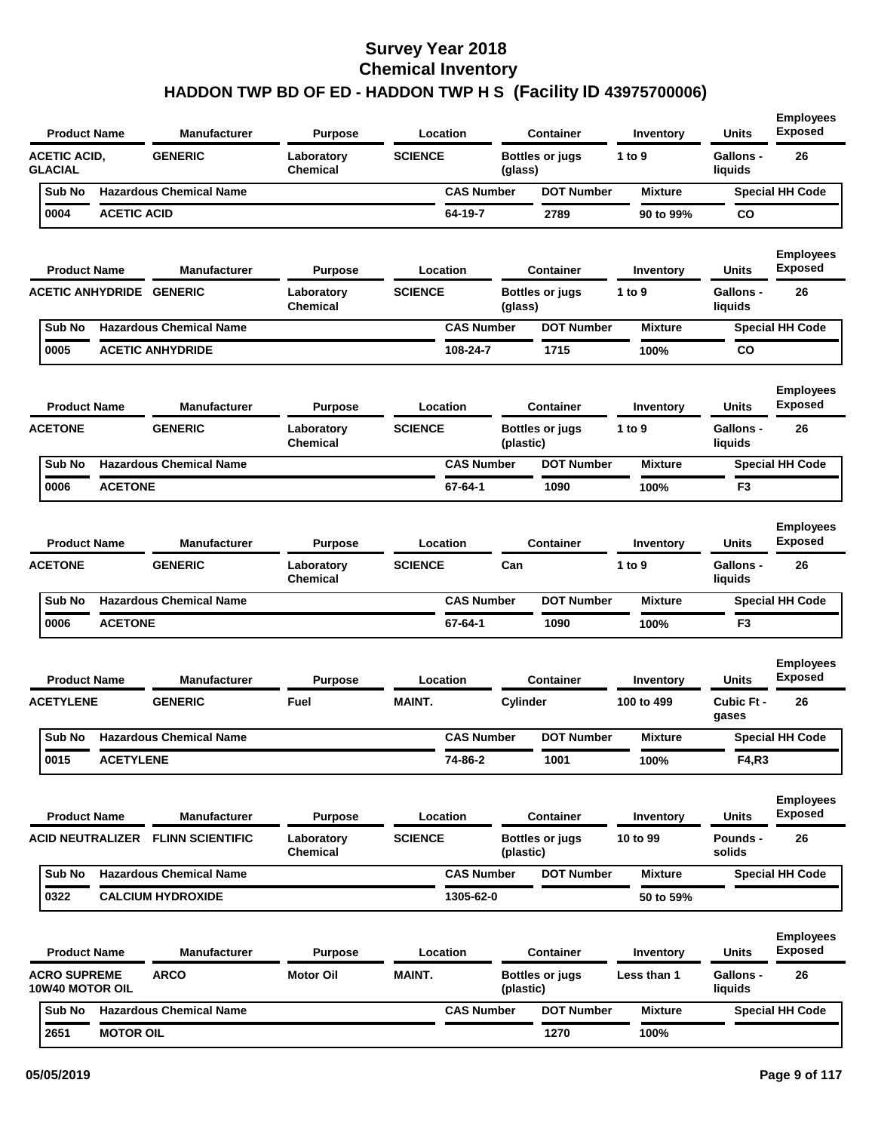| <b>Product Name</b>                    |                    | <b>Manufacturer</b>               | <b>Purpose</b>                | Location          |           | <b>Container</b>       | Inventory      | <b>Units</b>                | <b>Employees</b><br><b>Exposed</b> |
|----------------------------------------|--------------------|-----------------------------------|-------------------------------|-------------------|-----------|------------------------|----------------|-----------------------------|------------------------------------|
| <b>ACETIC ACID,</b><br><b>GLACIAL</b>  |                    | <b>GENERIC</b>                    | Laboratory<br>Chemical        | <b>SCIENCE</b>    | (glass)   | <b>Bottles or jugs</b> | 1 to 9         | <b>Gallons -</b><br>liquids | 26                                 |
| Sub No                                 |                    | <b>Hazardous Chemical Name</b>    |                               | <b>CAS Number</b> |           | <b>DOT Number</b>      | <b>Mixture</b> |                             | <b>Special HH Code</b>             |
| 0004                                   | <b>ACETIC ACID</b> |                                   |                               | 64-19-7           |           | 2789                   | 90 to 99%      | CO                          |                                    |
| <b>Product Name</b>                    |                    | <b>Manufacturer</b>               | <b>Purpose</b>                | Location          |           | <b>Container</b>       | Inventory      | <b>Units</b>                | <b>Employees</b><br><b>Exposed</b> |
| <b>ACETIC ANHYDRIDE GENERIC</b>        |                    |                                   | Laboratory<br>Chemical        | <b>SCIENCE</b>    | (glass)   | <b>Bottles or jugs</b> | 1 to 9         | <b>Gallons -</b><br>liquids | 26                                 |
| Sub No                                 |                    | <b>Hazardous Chemical Name</b>    |                               | <b>CAS Number</b> |           | <b>DOT Number</b>      | <b>Mixture</b> |                             | <b>Special HH Code</b>             |
| 0005                                   |                    | <b>ACETIC ANHYDRIDE</b>           |                               | 108-24-7          |           | 1715                   | 100%           | CO                          |                                    |
| <b>Product Name</b>                    |                    | <b>Manufacturer</b>               | <b>Purpose</b>                | Location          |           | <b>Container</b>       | Inventory      | Units                       | <b>Employees</b><br><b>Exposed</b> |
| <b>ACETONE</b>                         |                    | <b>GENERIC</b>                    | Laboratory<br>Chemical        | <b>SCIENCE</b>    | (plastic) | <b>Bottles or jugs</b> | 1 to 9         | Gallons -<br>liquids        | 26                                 |
| Sub No                                 |                    | <b>Hazardous Chemical Name</b>    |                               | <b>CAS Number</b> |           | <b>DOT Number</b>      | <b>Mixture</b> |                             | <b>Special HH Code</b>             |
| 0006                                   | <b>ACETONE</b>     |                                   |                               | 67-64-1           |           | 1090                   | 100%           | F <sub>3</sub>              |                                    |
| <b>Product Name</b>                    |                    | <b>Manufacturer</b>               | <b>Purpose</b>                | Location          |           | <b>Container</b>       | Inventory      | <b>Units</b>                | <b>Employees</b><br><b>Exposed</b> |
| <b>ACETONE</b>                         |                    | <b>GENERIC</b>                    | Laboratory<br><b>Chemical</b> | <b>SCIENCE</b>    | Can       |                        | 1 to 9         | <b>Gallons -</b><br>liquids | 26                                 |
| Sub No                                 |                    | <b>Hazardous Chemical Name</b>    |                               | <b>CAS Number</b> |           | <b>DOT Number</b>      | <b>Mixture</b> |                             | <b>Special HH Code</b>             |
| 0006                                   | <b>ACETONE</b>     |                                   |                               | 67-64-1           |           | 1090                   | 100%           | F3                          |                                    |
| <b>Product Name</b>                    |                    | <b>Manufacturer</b>               | <b>Purpose</b>                | Location          |           | <b>Container</b>       | Inventory      | Units                       | <b>Employees</b><br><b>Exposed</b> |
| <b>ACETYLENE</b>                       |                    | <b>GENERIC</b>                    | Fuel                          | <b>MAINT.</b>     | Cylinder  |                        | 100 to 499     | Cubic Ft -<br>gases         | 26                                 |
| Sub No                                 |                    | <b>Hazardous Chemical Name</b>    |                               | <b>CAS Number</b> |           | <b>DOT Number</b>      | <b>Mixture</b> |                             | <b>Special HH Code</b>             |
| 0015                                   | <b>ACETYLENE</b>   |                                   |                               | 74-86-2           |           | 1001                   | 100%           | F4,R3                       |                                    |
| <b>Product Name</b>                    |                    | <b>Manufacturer</b>               | <b>Purpose</b>                | Location          |           | <b>Container</b>       | Inventory      | Units                       | <b>Employees</b><br><b>Exposed</b> |
|                                        |                    | ACID NEUTRALIZER FLINN SCIENTIFIC | Laboratory<br>Chemical        | <b>SCIENCE</b>    | (plastic) | <b>Bottles or jugs</b> | 10 to 99       | <b>Pounds -</b><br>solids   | 26                                 |
| Sub No                                 |                    | <b>Hazardous Chemical Name</b>    |                               | <b>CAS Number</b> |           | <b>DOT Number</b>      | <b>Mixture</b> |                             | <b>Special HH Code</b>             |
| 0322                                   |                    | <b>CALCIUM HYDROXIDE</b>          |                               | 1305-62-0         |           |                        | 50 to 59%      |                             |                                    |
| <b>Product Name</b>                    |                    | <b>Manufacturer</b>               | <b>Purpose</b>                | Location          |           | <b>Container</b>       | Inventory      | Units                       | <b>Employees</b><br><b>Exposed</b> |
| <b>ACRO SUPREME</b><br>10W40 MOTOR OIL |                    | <b>ARCO</b>                       | Motor Oil                     | <b>MAINT.</b>     | (plastic) | <b>Bottles or jugs</b> | Less than 1    | Gallons -<br>liquids        | 26                                 |
| Sub No                                 |                    | <b>Hazardous Chemical Name</b>    |                               | <b>CAS Number</b> |           | <b>DOT Number</b>      | <b>Mixture</b> |                             | <b>Special HH Code</b>             |
| 2651                                   | <b>MOTOR OIL</b>   |                                   |                               |                   |           | 1270                   | 100%           |                             |                                    |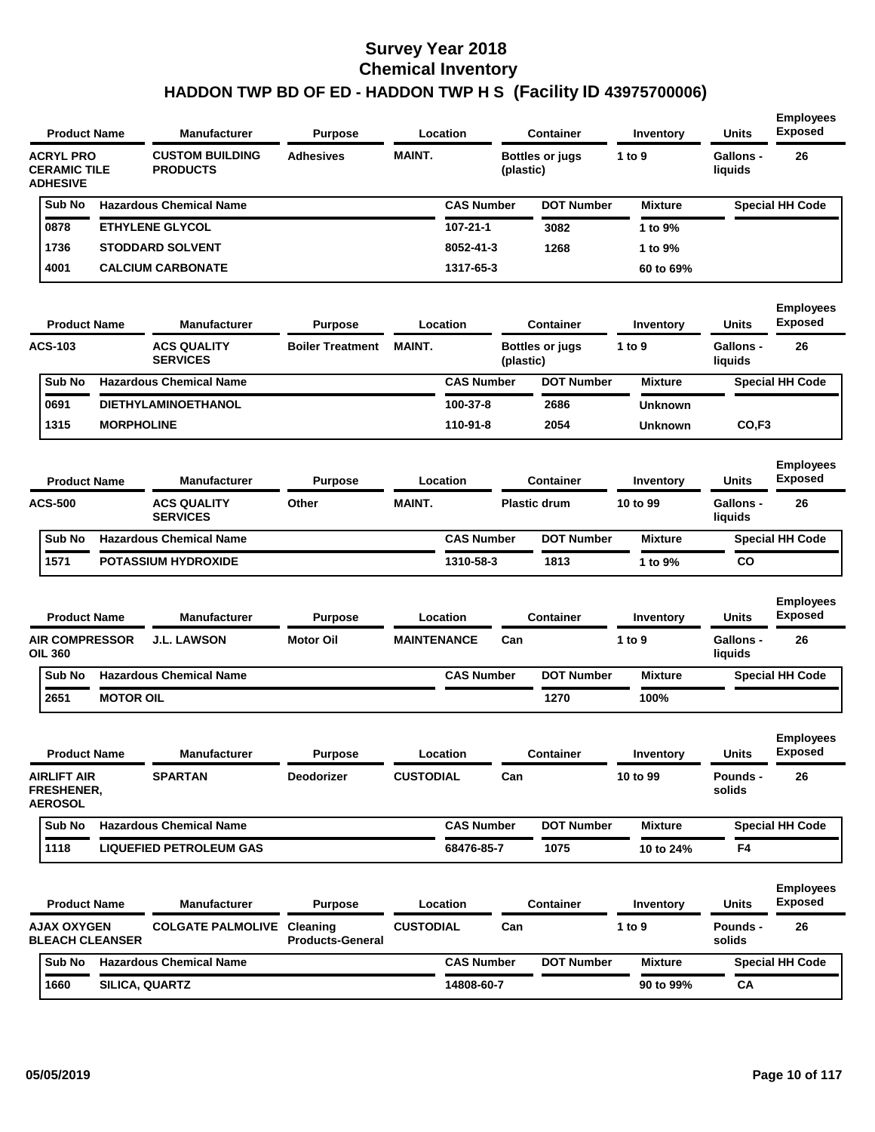| <b>Product Name</b>                                        |                   | <b>Manufacturer</b>                       | <b>Purpose</b>          |                    | Location          |           | <b>Container</b>       | Inventory        | <b>Units</b>                | <b>Employees</b><br><b>Exposed</b> |
|------------------------------------------------------------|-------------------|-------------------------------------------|-------------------------|--------------------|-------------------|-----------|------------------------|------------------|-----------------------------|------------------------------------|
| <b>ACRYL PRO</b><br><b>CERAMIC TILE</b><br><b>ADHESIVE</b> |                   | <b>CUSTOM BUILDING</b><br><b>PRODUCTS</b> | <b>Adhesives</b>        | <b>MAINT.</b>      |                   | (plastic) | <b>Bottles or jugs</b> | 1 to 9           | <b>Gallons -</b><br>liquids | 26                                 |
| Sub No                                                     |                   | <b>Hazardous Chemical Name</b>            |                         |                    | <b>CAS Number</b> |           | <b>DOT Number</b>      | <b>Mixture</b>   |                             | <b>Special HH Code</b>             |
| 0878                                                       |                   | <b>ETHYLENE GLYCOL</b>                    |                         |                    | 107-21-1          |           | 3082                   | 1 to 9%          |                             |                                    |
| 1736                                                       |                   | <b>STODDARD SOLVENT</b>                   |                         |                    | 8052-41-3         |           | 1268                   | 1 to 9%          |                             |                                    |
| 4001                                                       |                   | <b>CALCIUM CARBONATE</b>                  |                         |                    | 1317-65-3         |           |                        | 60 to 69%        |                             |                                    |
| <b>Product Name</b>                                        |                   | Manufacturer                              | <b>Purpose</b>          |                    | Location          |           | <b>Container</b>       | <b>Inventory</b> | <b>Units</b>                | <b>Employees</b><br><b>Exposed</b> |
| <b>ACS-103</b>                                             |                   | <b>ACS QUALITY</b><br><b>SERVICES</b>     | <b>Boiler Treatment</b> | <b>MAINT.</b>      |                   | (plastic) | <b>Bottles or jugs</b> | 1 to $9$         | <b>Gallons -</b><br>liquids | 26                                 |
| Sub No                                                     |                   | <b>Hazardous Chemical Name</b>            |                         |                    | <b>CAS Number</b> |           | <b>DOT Number</b>      | <b>Mixture</b>   |                             | <b>Special HH Code</b>             |
| 0691                                                       |                   | <b>DIETHYLAMINOETHANOL</b>                |                         |                    | 100-37-8          |           | 2686                   | <b>Unknown</b>   |                             |                                    |
| 1315                                                       | <b>MORPHOLINE</b> |                                           |                         |                    | 110-91-8          |           | 2054                   | <b>Unknown</b>   | CO,F <sub>3</sub>           |                                    |
| <b>Product Name</b>                                        |                   | <b>Manufacturer</b>                       | <b>Purpose</b>          |                    | Location          |           | <b>Container</b>       | Inventory        | <b>Units</b>                | <b>Employees</b><br><b>Exposed</b> |
| <b>ACS-500</b>                                             |                   | <b>ACS QUALITY</b><br><b>SERVICES</b>     | Other                   | <b>MAINT.</b>      |                   |           | <b>Plastic drum</b>    | 10 to 99         | <b>Gallons -</b><br>liquids | 26                                 |
| Sub No                                                     |                   | <b>Hazardous Chemical Name</b>            |                         |                    | <b>CAS Number</b> |           | <b>DOT Number</b>      | <b>Mixture</b>   |                             | <b>Special HH Code</b>             |
| 1571                                                       |                   | <b>POTASSIUM HYDROXIDE</b>                |                         |                    | 1310-58-3         |           | 1813                   | 1 to 9%          | <b>CO</b>                   |                                    |
| <b>Product Name</b>                                        |                   | <b>Manufacturer</b>                       | <b>Purpose</b>          |                    | Location          |           | <b>Container</b>       | Inventory        | <b>Units</b>                | <b>Employees</b><br><b>Exposed</b> |
| <b>AIR COMPRESSOR</b><br><b>OIL 360</b>                    |                   | <b>J.L. LAWSON</b>                        | <b>Motor Oil</b>        | <b>MAINTENANCE</b> |                   | Can       |                        | 1 to 9           | <b>Gallons -</b><br>liquids | 26                                 |
| Sub No                                                     |                   | <b>Hazardous Chemical Name</b>            |                         |                    | <b>CAS Number</b> |           | <b>DOT Number</b>      | <b>Mixture</b>   |                             | <b>Special HH Code</b>             |
| 2651                                                       | <b>MOTOR OIL</b>  |                                           |                         |                    |                   |           | 1270                   | 100%             |                             |                                    |
| <b>Product Name</b>                                        |                   | Manufacturer                              | <b>Purpose</b>          |                    | Location          |           | Container              | Inventory        | Units                       | <b>Employees</b><br><b>Exposed</b> |
| <b>AIRLIFT AIR</b><br>FRESHENER,<br><b>AEROSOL</b>         |                   | <b>SPARTAN</b>                            | <b>Deodorizer</b>       | <b>CUSTODIAL</b>   |                   | Can       |                        | 10 to 99         | Pounds -<br>solids          | 26                                 |
| Sub No                                                     |                   | <b>Hazardous Chemical Name</b>            |                         |                    | <b>CAS Number</b> |           | <b>DOT Number</b>      | <b>Mixture</b>   |                             | <b>Special HH Code</b>             |
| 1118                                                       |                   | <b>LIQUEFIED PETROLEUM GAS</b>            |                         |                    | 68476-85-7        |           | 1075                   | 10 to 24%        | F4                          |                                    |
| <b>Product Name</b>                                        |                   | <b>Manufacturer</b>                       | <b>Purpose</b>          |                    | Location          |           | <b>Container</b>       | Inventory        | Units                       | <b>Employees</b><br><b>Exposed</b> |
| <b>AJAX OXYGEN</b><br><b>BLEACH CLEANSER</b>               |                   | <b>COLGATE PALMOLIVE Cleaning</b>         | <b>Products-General</b> | <b>CUSTODIAL</b>   |                   | Can       |                        | 1 to 9           | Pounds -<br>solids          | 26                                 |
| Sub No                                                     |                   | <b>Hazardous Chemical Name</b>            |                         |                    | <b>CAS Number</b> |           | <b>DOT Number</b>      | <b>Mixture</b>   |                             | <b>Special HH Code</b>             |
| 1660                                                       | SILICA, QUARTZ    |                                           |                         |                    | 14808-60-7        |           |                        | 90 to 99%        | CA                          |                                    |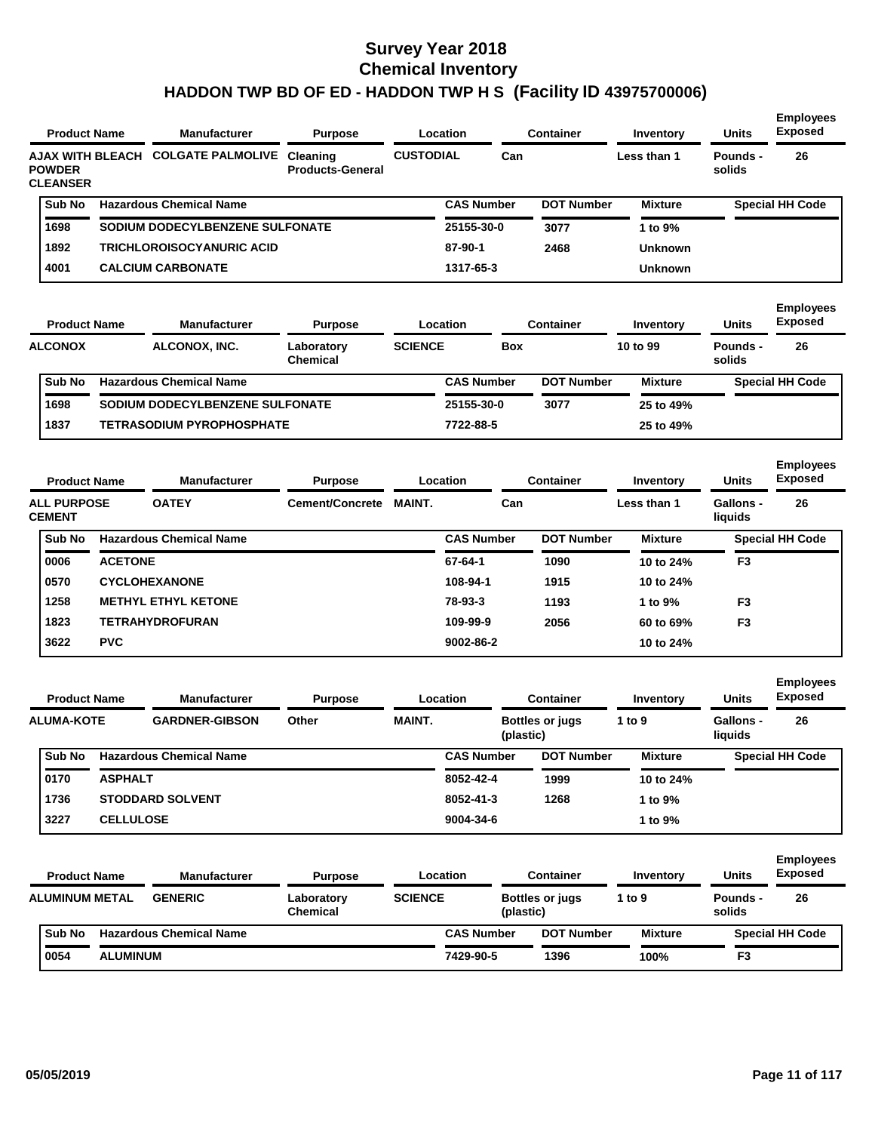| <b>Product Name</b>                                  |                  | <b>Manufacturer</b>             | <b>Purpose</b>                      |                  | Location          |            | <b>Container</b>       | Inventory      | <b>Units</b>              | <b>Employees</b><br><b>Exposed</b> |
|------------------------------------------------------|------------------|---------------------------------|-------------------------------------|------------------|-------------------|------------|------------------------|----------------|---------------------------|------------------------------------|
| AJAX WITH BLEACH<br><b>POWDER</b><br><b>CLEANSER</b> |                  | <b>COLGATE PALMOLIVE</b>        | Cleaning<br><b>Products-General</b> | <b>CUSTODIAL</b> |                   | Can        |                        | Less than 1    | <b>Pounds -</b><br>solids | 26                                 |
| Sub No                                               |                  | <b>Hazardous Chemical Name</b>  |                                     |                  | <b>CAS Number</b> |            | <b>DOT Number</b>      | <b>Mixture</b> |                           | <b>Special HH Code</b>             |
| 1698                                                 |                  | SODIUM DODECYLBENZENE SULFONATE |                                     |                  | 25155-30-0        |            | 3077                   | 1 to 9%        |                           |                                    |
| 1892                                                 |                  | TRICHLOROISOCYANURIC ACID       |                                     |                  | 87-90-1           |            | 2468                   | Unknown        |                           |                                    |
| 4001                                                 |                  | <b>CALCIUM CARBONATE</b>        |                                     |                  | 1317-65-3         |            |                        | <b>Unknown</b> |                           |                                    |
| <b>Product Name</b>                                  |                  | <b>Manufacturer</b>             | <b>Purpose</b>                      |                  | Location          |            | <b>Container</b>       | Inventory      | <b>Units</b>              | <b>Employees</b><br><b>Exposed</b> |
| <b>ALCONOX</b>                                       |                  | ALCONOX, INC.                   | Laboratory<br><b>Chemical</b>       | <b>SCIENCE</b>   |                   | <b>Box</b> |                        | 10 to 99       | Pounds -<br>solids        | 26                                 |
| Sub No                                               |                  | <b>Hazardous Chemical Name</b>  |                                     |                  | <b>CAS Number</b> |            | <b>DOT Number</b>      | <b>Mixture</b> |                           | <b>Special HH Code</b>             |
| 1698                                                 |                  | SODIUM DODECYLBENZENE SULFONATE |                                     |                  | 25155-30-0        |            | 3077                   | 25 to 49%      |                           |                                    |
| 1837                                                 |                  | TETRASODIUM PYROPHOSPHATE       |                                     |                  | 7722-88-5         |            |                        | 25 to 49%      |                           |                                    |
| <b>Product Name</b>                                  |                  | <b>Manufacturer</b>             | <b>Purpose</b>                      |                  | Location          |            | <b>Container</b>       | Inventory      | <b>Units</b>              | <b>Employees</b><br><b>Exposed</b> |
| <b>ALL PURPOSE</b><br><b>CEMENT</b>                  |                  | <b>OATEY</b>                    | <b>Cement/Concrete</b>              | <b>MAINT.</b>    |                   | Can        |                        | Less than 1    | Gallons -<br>liquids      | 26                                 |
| Sub No                                               |                  | <b>Hazardous Chemical Name</b>  |                                     |                  | <b>CAS Number</b> |            | <b>DOT Number</b>      | <b>Mixture</b> |                           | <b>Special HH Code</b>             |
| 0006                                                 | <b>ACETONE</b>   |                                 |                                     |                  | 67-64-1           |            | 1090                   | 10 to 24%      | F <sub>3</sub>            |                                    |
| 0570                                                 |                  | <b>CYCLOHEXANONE</b>            |                                     |                  | 108-94-1          |            | 1915                   | 10 to 24%      |                           |                                    |
| 1258                                                 |                  | <b>METHYL ETHYL KETONE</b>      |                                     |                  | 78-93-3           |            | 1193                   | 1 to 9%        | F <sub>3</sub>            |                                    |
| 1823                                                 |                  | TETRAHYDROFURAN                 |                                     |                  | 109-99-9          |            | 2056                   | 60 to 69%      | F <sub>3</sub>            |                                    |
| 3622                                                 | <b>PVC</b>       |                                 |                                     |                  | 9002-86-2         |            |                        | 10 to 24%      |                           |                                    |
| <b>Product Name</b>                                  |                  | <b>Manufacturer</b>             | <b>Purpose</b>                      |                  | Location          |            | Container              | Inventory      | <b>Units</b>              | <b>Employees</b><br><b>Exposed</b> |
| <b>ALUMA-KOTE</b>                                    |                  | <b>GARDNER-GIBSON</b>           | Other                               | <b>MAINT.</b>    |                   | (plastic)  | <b>Bottles or jugs</b> | 1 to 9         | Gallons -<br>liquids      | 26                                 |
| Sub No                                               |                  | <b>Hazardous Chemical Name</b>  |                                     |                  | <b>CAS Number</b> |            | <b>DOT Number</b>      | <b>Mixture</b> |                           | <b>Special HH Code</b>             |
| 0170                                                 | <b>ASPHALT</b>   |                                 |                                     |                  | 8052-42-4         |            | 1999                   | 10 to 24%      |                           |                                    |
| 1736                                                 |                  | STODDARD SOLVENT                |                                     |                  | 8052-41-3         |            | 1268                   | 1 to 9%        |                           |                                    |
| 3227                                                 | <b>CELLULOSE</b> |                                 |                                     |                  | 9004-34-6         |            |                        | 1 to 9%        |                           |                                    |
| <b>Product Name</b>                                  |                  | <b>Manufacturer</b>             | <b>Purpose</b>                      |                  | Location          |            | <b>Container</b>       | Inventory      | <b>Units</b>              | <b>Employees</b><br><b>Exposed</b> |
| <b>ALUMINUM METAL</b>                                |                  | <b>GENERIC</b>                  | Laboratory<br><b>Chemical</b>       | <b>SCIENCE</b>   |                   | (plastic)  | <b>Bottles or jugs</b> | 1 to $9$       | <b>Pounds -</b><br>solids | 26                                 |
| Sub No                                               |                  | <b>Hazardous Chemical Name</b>  |                                     |                  | <b>CAS Number</b> |            | <b>DOT Number</b>      | <b>Mixture</b> |                           | <b>Special HH Code</b>             |
| 0054                                                 | <b>ALUMINUM</b>  |                                 |                                     |                  | 7429-90-5         |            | 1396                   | 100%           | F3                        |                                    |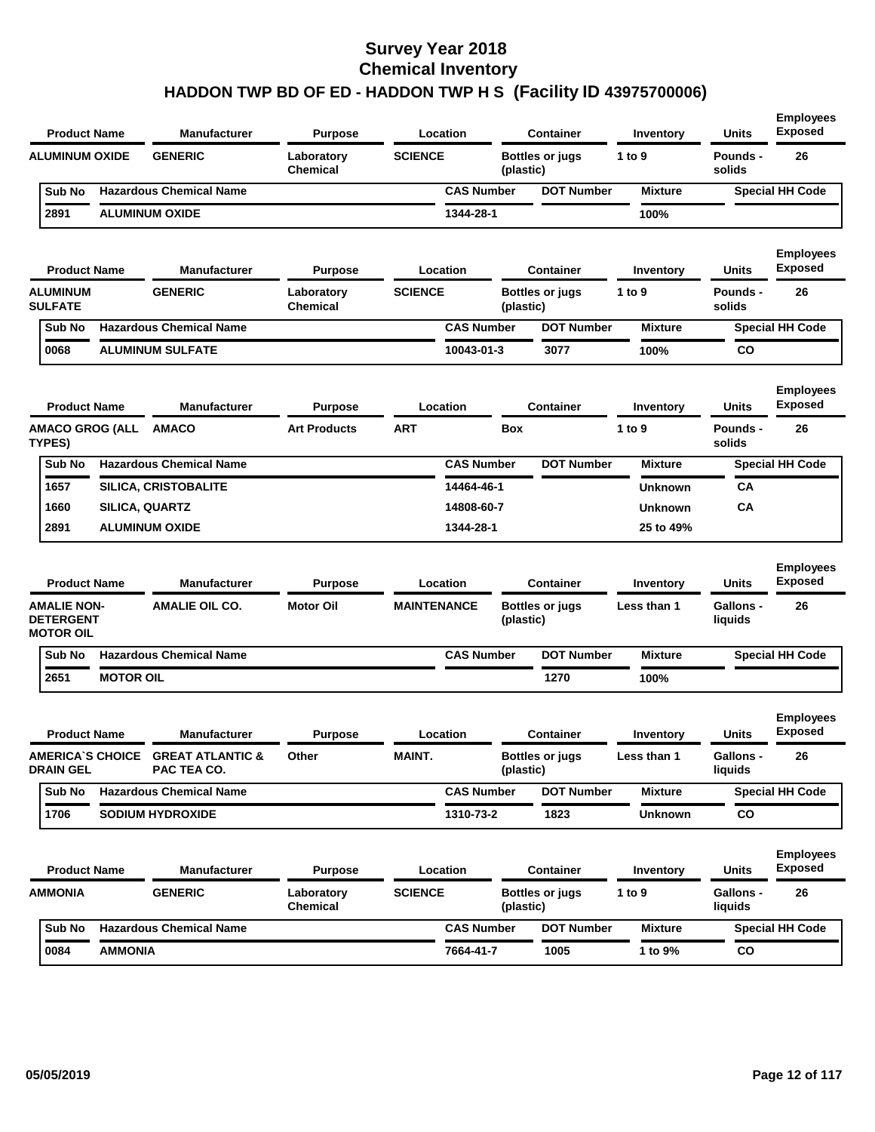| <b>Product Name</b>                                        |                       | <b>Manufacturer</b>                              | <b>Purpose</b>                | Location           |                   | <b>Container</b>       | Inventory          | <b>Units</b>                | <b>Employees</b><br><b>Exposed</b> |
|------------------------------------------------------------|-----------------------|--------------------------------------------------|-------------------------------|--------------------|-------------------|------------------------|--------------------|-----------------------------|------------------------------------|
| <b>ALUMINUM OXIDE</b>                                      |                       | <b>GENERIC</b>                                   | Laboratory<br><b>Chemical</b> | <b>SCIENCE</b>     | (plastic)         | <b>Bottles or jugs</b> | 1 to 9             | Pounds -<br>solids          | 26                                 |
| Sub No                                                     |                       | <b>Hazardous Chemical Name</b>                   |                               |                    | <b>CAS Number</b> | <b>DOT Number</b>      | <b>Mixture</b>     |                             | <b>Special HH Code</b>             |
| 2891                                                       |                       | <b>ALUMINUM OXIDE</b>                            |                               | 1344-28-1          |                   |                        | 100%               |                             |                                    |
| <b>Product Name</b>                                        |                       | <b>Manufacturer</b>                              | <b>Purpose</b>                | Location           |                   | <b>Container</b>       | Inventory          | Units                       | <b>Employees</b><br><b>Exposed</b> |
| <b>ALUMINUM</b><br><b>SULFATE</b>                          |                       | <b>GENERIC</b>                                   | Laboratory<br><b>Chemical</b> | <b>SCIENCE</b>     | (plastic)         | <b>Bottles or jugs</b> | 1 to 9             | <b>Pounds -</b><br>solids   | 26                                 |
| Sub No                                                     |                       | <b>Hazardous Chemical Name</b>                   |                               |                    | <b>CAS Number</b> | <b>DOT Number</b>      | <b>Mixture</b>     |                             | <b>Special HH Code</b>             |
| 0068                                                       |                       | <b>ALUMINUM SULFATE</b>                          |                               |                    | 10043-01-3        | 3077                   | 100%               | CO                          |                                    |
| <b>Product Name</b>                                        |                       | <b>Manufacturer</b>                              | Purpose                       | Location           |                   | <b>Container</b>       | Inventory          | Units                       | <b>Employees</b><br><b>Exposed</b> |
| <b>AMACO GROG (ALL</b><br>TYPES)                           |                       | <b>AMACO</b>                                     | <b>Art Products</b>           | ART                | <b>Box</b>        |                        | 1 to 9             | Pounds -<br>solids          | 26                                 |
| Sub No                                                     |                       | <b>Hazardous Chemical Name</b>                   |                               |                    | <b>CAS Number</b> | <b>DOT Number</b>      | <b>Mixture</b>     |                             | <b>Special HH Code</b>             |
| 1657                                                       |                       | <b>SILICA, CRISTOBALITE</b>                      |                               |                    | 14464-46-1        |                        | <b>Unknown</b>     | CА                          |                                    |
| 1660                                                       | <b>SILICA, QUARTZ</b> |                                                  |                               |                    | 14808-60-7        |                        | <b>Unknown</b>     | CА                          |                                    |
| 2891                                                       |                       | <b>ALUMINUM OXIDE</b>                            |                               | 1344-28-1          |                   |                        | 25 to 49%          |                             |                                    |
| <b>Product Name</b>                                        |                       | <b>Manufacturer</b>                              | <b>Purpose</b>                | Location           |                   | <b>Container</b>       | Inventory          | <b>Units</b>                | <b>Employees</b><br><b>Exposed</b> |
| <b>AMALIE NON-</b><br><b>DETERGENT</b><br><b>MOTOR OIL</b> |                       | <b>AMALIE OIL CO.</b>                            | <b>Motor Oil</b>              | <b>MAINTENANCE</b> | (plastic)         | <b>Bottles or jugs</b> | Less than 1        | <b>Gallons -</b><br>liquids | 26                                 |
| Sub No                                                     |                       |                                                  |                               |                    |                   |                        |                    |                             |                                    |
| 2651                                                       |                       | <b>Hazardous Chemical Name</b>                   |                               |                    | <b>CAS Number</b> | <b>DOT Number</b>      | <b>Mixture</b>     |                             | <b>Special HH Code</b>             |
|                                                            | <b>MOTOR OIL</b>      |                                                  |                               |                    |                   | 1270                   | 100%               |                             |                                    |
| <b>Product Name</b>                                        |                       | <b>Manufacturer</b>                              | Purpose                       | Location           |                   | <b>Container</b>       | Inventory          | Units                       | <b>Employees</b><br><b>Exposed</b> |
| <b>DRAIN GEL</b>                                           |                       | AMERICA'S CHOICE GREAT ATLANTIC &<br>PAC TEA CO. | Other                         | MAINT.             | (plastic)         | <b>Bottles or jugs</b> | <b>Less than 1</b> | Gallons -<br>liquids        | 26                                 |
| Sub No                                                     |                       | <b>Hazardous Chemical Name</b>                   |                               |                    | <b>CAS Number</b> | <b>DOT Number</b>      | <b>Mixture</b>     |                             | <b>Special HH Code</b>             |
| 1706                                                       |                       | <b>SODIUM HYDROXIDE</b>                          |                               | 1310-73-2          |                   | 1823                   | <b>Unknown</b>     | CO                          |                                    |
| <b>Product Name</b>                                        |                       | Manufacturer                                     | <b>Purpose</b>                | Location           |                   | <b>Container</b>       | Inventory          | <b>Units</b>                | <b>Employees</b><br><b>Exposed</b> |
| AMMONIA                                                    |                       | <b>GENERIC</b>                                   | Laboratory<br>Chemical        | <b>SCIENCE</b>     | (plastic)         | <b>Bottles or jugs</b> | 1 to 9             | Gallons -<br>liquids        | 26                                 |
| Sub No                                                     |                       | <b>Hazardous Chemical Name</b>                   |                               |                    | <b>CAS Number</b> | <b>DOT Number</b>      | <b>Mixture</b>     |                             | <b>Special HH Code</b>             |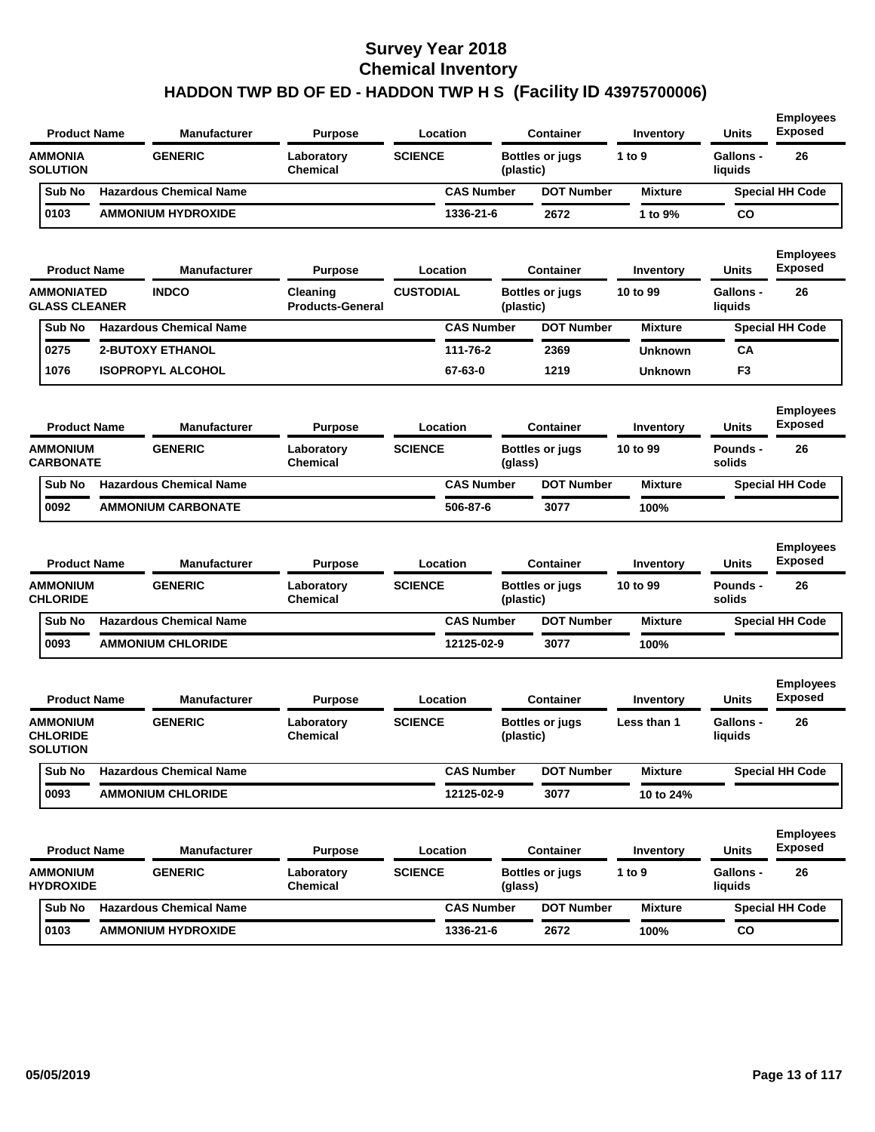| <b>Product Name</b>                                        | <b>Manufacturer</b>                   | <b>Purpose</b>                                  |                  | Location          |           | <b>Container</b>                           | Inventory             | <b>Units</b>                                | <b>Employees</b><br><b>Exposed</b>       |
|------------------------------------------------------------|---------------------------------------|-------------------------------------------------|------------------|-------------------|-----------|--------------------------------------------|-----------------------|---------------------------------------------|------------------------------------------|
| <b>AMMONIA</b><br><b>SOLUTION</b>                          | <b>GENERIC</b>                        | Laboratory<br>Chemical                          | <b>SCIENCE</b>   |                   | (plastic) | <b>Bottles or jugs</b>                     | 1 to 9                | <b>Gallons -</b><br>liquids                 | 26                                       |
| Sub No                                                     | <b>Hazardous Chemical Name</b>        |                                                 |                  | <b>CAS Number</b> |           | <b>DOT Number</b>                          | <b>Mixture</b>        |                                             | <b>Special HH Code</b>                   |
| 0103                                                       | <b>AMMONIUM HYDROXIDE</b>             |                                                 |                  | 1336-21-6         |           | 2672                                       | 1 to 9%               | CO                                          |                                          |
| <b>Product Name</b>                                        | <b>Manufacturer</b>                   | <b>Purpose</b>                                  |                  | Location          |           | <b>Container</b>                           | Inventory             | <b>Units</b>                                | <b>Employees</b><br><b>Exposed</b>       |
| <b>AMMONIATED</b><br><b>GLASS CLEANER</b>                  | <b>INDCO</b>                          | Cleaning<br><b>Products-General</b>             | <b>CUSTODIAL</b> |                   | (plastic) | <b>Bottles or jugs</b>                     | 10 to 99              | <b>Gallons -</b><br>liquids                 | 26                                       |
| Sub No                                                     | <b>Hazardous Chemical Name</b>        |                                                 |                  | <b>CAS Number</b> |           | <b>DOT Number</b>                          | <b>Mixture</b>        |                                             | <b>Special HH Code</b>                   |
| 0275                                                       | <b>2-BUTOXY ETHANOL</b>               |                                                 |                  | 111-76-2          |           | 2369                                       | <b>Unknown</b>        | CA                                          |                                          |
| 1076                                                       | <b>ISOPROPYL ALCOHOL</b>              |                                                 |                  | 67-63-0           |           | 1219                                       | <b>Unknown</b>        | F <sub>3</sub>                              |                                          |
| <b>Product Name</b><br><b>AMMONIUM</b>                     | <b>Manufacturer</b><br><b>GENERIC</b> | <b>Purpose</b><br>Laboratory                    | <b>SCIENCE</b>   | Location          |           | <b>Container</b><br><b>Bottles or jugs</b> | Inventory<br>10 to 99 | <b>Units</b><br>Pounds -                    | <b>Employees</b><br><b>Exposed</b><br>26 |
| <b>CARBONATE</b>                                           |                                       | <b>Chemical</b>                                 |                  |                   | (glass)   |                                            |                       | solids                                      |                                          |
| Sub No                                                     | <b>Hazardous Chemical Name</b>        |                                                 |                  | <b>CAS Number</b> |           | <b>DOT Number</b>                          | <b>Mixture</b>        |                                             | <b>Special HH Code</b>                   |
| 0092                                                       | <b>AMMONIUM CARBONATE</b>             |                                                 |                  | 506-87-6          |           | 3077                                       | 100%                  |                                             |                                          |
| <b>Product Name</b>                                        | <b>Manufacturer</b>                   | <b>Purpose</b>                                  |                  | Location          |           | <b>Container</b>                           | Inventory             | <b>Units</b>                                | <b>Employees</b><br><b>Exposed</b>       |
| <b>AMMONIUM</b><br><b>CHLORIDE</b>                         | <b>GENERIC</b>                        | Laboratory<br>Chemical                          | <b>SCIENCE</b>   |                   | (plastic) | <b>Bottles or jugs</b>                     | 10 to 99              | <b>Pounds -</b><br>solids                   | 26                                       |
| Sub No                                                     | <b>Hazardous Chemical Name</b>        |                                                 |                  | <b>CAS Number</b> |           | <b>DOT Number</b>                          | <b>Mixture</b>        |                                             | <b>Special HH Code</b>                   |
| 0093                                                       | <b>AMMONIUM CHLORIDE</b>              |                                                 |                  | 12125-02-9        |           | 3077                                       | 100%                  |                                             |                                          |
| <b>Product Name</b>                                        | <b>Manufacturer</b>                   | <b>Purpose</b>                                  |                  | Location          |           | <b>Container</b>                           | Inventory             | <b>Units</b>                                | <b>Employees</b><br><b>Exposed</b>       |
| AMMONIUM<br><b>CHLORIDE</b><br><b>SOLUTION</b>             | <b>GENERIC</b>                        | Laboratory<br>Chemical                          | <b>SCIENCE</b>   |                   | (plastic) | <b>Bottles or jugs</b>                     | Less than 1           | Gallons -<br>liquids                        | 26                                       |
| Sub No                                                     | <b>Hazardous Chemical Name</b>        |                                                 |                  | <b>CAS Number</b> |           | <b>DOT Number</b>                          | <b>Mixture</b>        |                                             | <b>Special HH Code</b>                   |
| 0093                                                       | <b>AMMONIUM CHLORIDE</b>              |                                                 |                  | 12125-02-9        |           | 3077                                       | 10 to 24%             |                                             |                                          |
| <b>Product Name</b><br><b>AMMONIUM</b><br><b>HYDROXIDE</b> | <b>Manufacturer</b><br><b>GENERIC</b> | <b>Purpose</b><br>Laboratory<br><b>Chemical</b> | <b>SCIENCE</b>   | Location          | (glass)   | <b>Container</b><br><b>Bottles or jugs</b> | Inventory<br>1 to 9   | <b>Units</b><br><b>Gallons -</b><br>liquids | <b>Employees</b><br><b>Exposed</b><br>26 |
| Sub No                                                     | <b>Hazardous Chemical Name</b>        |                                                 |                  | <b>CAS Number</b> |           | <b>DOT Number</b>                          | <b>Mixture</b>        |                                             | <b>Special HH Code</b>                   |
| 0103                                                       | <b>AMMONIUM HYDROXIDE</b>             |                                                 |                  | 1336-21-6         |           | 2672                                       | 100%                  | co                                          |                                          |
|                                                            |                                       |                                                 |                  |                   |           |                                            |                       |                                             |                                          |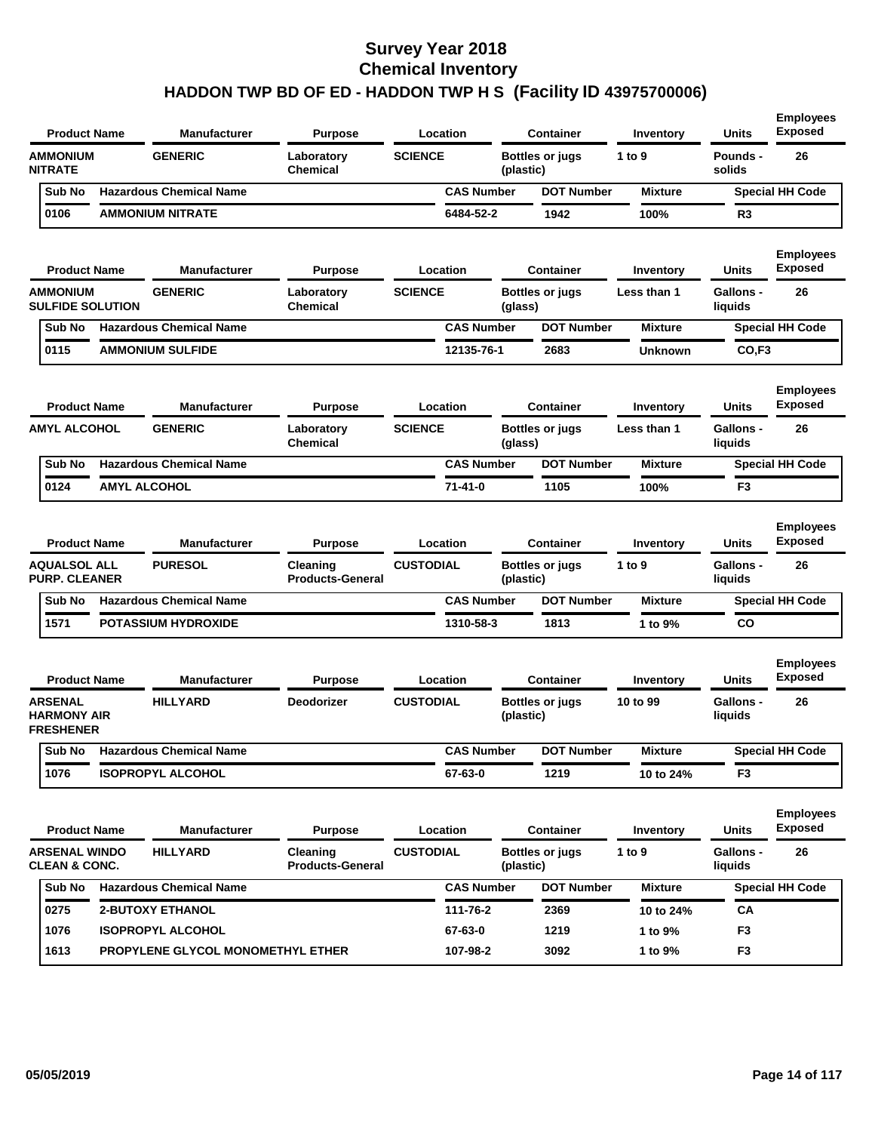|                | <b>Product Name</b>                                      |                         | <b>Manufacturer</b>               | <b>Purpose</b>                      |                  | Location          |           | <b>Container</b>       | Inventory      | Units                       | <b>Employees</b><br><b>Exposed</b> |
|----------------|----------------------------------------------------------|-------------------------|-----------------------------------|-------------------------------------|------------------|-------------------|-----------|------------------------|----------------|-----------------------------|------------------------------------|
| <b>NITRATE</b> | <b>AMMONIUM</b>                                          |                         | <b>GENERIC</b>                    | Laboratory<br><b>Chemical</b>       | <b>SCIENCE</b>   |                   | (plastic) | <b>Bottles or jugs</b> | 1 to 9         | <b>Pounds -</b><br>solids   | 26                                 |
|                | Sub No                                                   |                         | <b>Hazardous Chemical Name</b>    |                                     |                  | <b>CAS Number</b> |           | <b>DOT Number</b>      | <b>Mixture</b> |                             | <b>Special HH Code</b>             |
|                | 0106                                                     |                         | <b>AMMONIUM NITRATE</b>           |                                     |                  | 6484-52-2         |           | 1942                   | 100%           | R <sub>3</sub>              |                                    |
|                | <b>Product Name</b>                                      |                         | <b>Manufacturer</b>               | <b>Purpose</b>                      |                  | Location          |           | <b>Container</b>       | Inventory      | Units                       | <b>Employees</b><br><b>Exposed</b> |
|                | <b>AMMONIUM</b>                                          | <b>SULFIDE SOLUTION</b> | <b>GENERIC</b>                    | Laboratory<br>Chemical              | <b>SCIENCE</b>   |                   | (glass)   | <b>Bottles or jugs</b> | Less than 1    | <b>Gallons -</b><br>liquids | 26                                 |
|                | Sub No                                                   |                         | <b>Hazardous Chemical Name</b>    |                                     |                  | <b>CAS Number</b> |           | <b>DOT Number</b>      | <b>Mixture</b> |                             | <b>Special HH Code</b>             |
|                | 0115                                                     |                         | <b>AMMONIUM SULFIDE</b>           |                                     |                  | 12135-76-1        |           | 2683                   | <b>Unknown</b> | CO.F <sub>3</sub>           |                                    |
|                | <b>Product Name</b>                                      |                         | <b>Manufacturer</b>               | <b>Purpose</b>                      |                  | Location          |           | <b>Container</b>       | Inventory      | Units                       | <b>Employees</b><br><b>Exposed</b> |
|                | <b>AMYL ALCOHOL</b>                                      |                         | <b>GENERIC</b>                    | Laboratory<br>Chemical              | <b>SCIENCE</b>   |                   | (glass)   | <b>Bottles or jugs</b> | Less than 1    | Gallons -<br>liquids        | 26                                 |
|                | Sub No                                                   |                         | <b>Hazardous Chemical Name</b>    |                                     |                  | <b>CAS Number</b> |           | <b>DOT Number</b>      | <b>Mixture</b> |                             | <b>Special HH Code</b>             |
|                | 0124                                                     | <b>AMYL ALCOHOL</b>     |                                   |                                     |                  | $71 - 41 - 0$     |           | 1105                   | 100%           | F <sub>3</sub>              |                                    |
|                | <b>Product Name</b>                                      |                         | <b>Manufacturer</b>               | <b>Purpose</b>                      |                  | Location          |           | <b>Container</b>       | Inventory      | Units                       | <b>Employees</b><br><b>Exposed</b> |
|                | <b>AQUALSOL ALL</b><br><b>PURP. CLEANER</b>              |                         | <b>PURESOL</b>                    | Cleaning<br><b>Products-General</b> | <b>CUSTODIAL</b> |                   | (plastic) | <b>Bottles or jugs</b> | 1 to 9         | Gallons -<br>liquids        | 26                                 |
|                | Sub No                                                   |                         | <b>Hazardous Chemical Name</b>    |                                     |                  | <b>CAS Number</b> |           | <b>DOT Number</b>      | <b>Mixture</b> |                             | <b>Special HH Code</b>             |
|                | 1571                                                     |                         | <b>POTASSIUM HYDROXIDE</b>        |                                     |                  | 1310-58-3         |           | 1813                   | 1 to 9%        | co                          |                                    |
|                | <b>Product Name</b>                                      |                         | <b>Manufacturer</b>               | <b>Purpose</b>                      |                  | Location          |           | <b>Container</b>       | Inventory      | Units                       | <b>Employees</b><br><b>Exposed</b> |
|                | <b>ARSENAL</b><br><b>HARMONY AIR</b><br><b>FRESHENER</b> |                         | <b>HILLYARD</b>                   | Deodorizer                          | <b>CUSTODIAL</b> |                   | (plastic) | <b>Bottles or jugs</b> | 10 to 99       | <b>Gallons -</b><br>liquids | 26                                 |
|                | Sub No                                                   |                         | <b>Hazardous Chemical Name</b>    |                                     |                  | <b>CAS Number</b> |           | <b>DOT Number</b>      | Mixture        |                             | <b>Special HH Code</b>             |
|                | 1076                                                     |                         | <b>ISOPROPYL ALCOHOL</b>          |                                     |                  | 67-63-0           |           | 1219                   | 10 to 24%      | F <sub>3</sub>              |                                    |
|                | <b>Product Name</b>                                      |                         | <b>Manufacturer</b>               | <b>Purpose</b>                      |                  | Location          |           | <b>Container</b>       | Inventory      | <b>Units</b>                | <b>Employees</b><br><b>Exposed</b> |
|                | <b>ARSENAL WINDO</b><br><b>CLEAN &amp; CONC.</b>         |                         | <b>HILLYARD</b>                   | Cleaning<br><b>Products-General</b> | <b>CUSTODIAL</b> |                   | (plastic) | <b>Bottles or jugs</b> | 1 to $9$       | <b>Gallons -</b><br>liquids | 26                                 |
|                | Sub No                                                   |                         | <b>Hazardous Chemical Name</b>    |                                     |                  | <b>CAS Number</b> |           | <b>DOT Number</b>      | <b>Mixture</b> |                             | <b>Special HH Code</b>             |
|                | 0275                                                     |                         | 2-BUTOXY ETHANOL                  |                                     |                  | 111-76-2          |           | 2369                   | 10 to 24%      | CA                          |                                    |
|                | 1076                                                     |                         | <b>ISOPROPYL ALCOHOL</b>          |                                     |                  | 67-63-0           |           | 1219                   | 1 to 9%        | F <sub>3</sub>              |                                    |
|                | 1613                                                     |                         | PROPYLENE GLYCOL MONOMETHYL ETHER |                                     |                  | 107-98-2          |           | 3092                   | 1 to 9%        | F <sub>3</sub>              |                                    |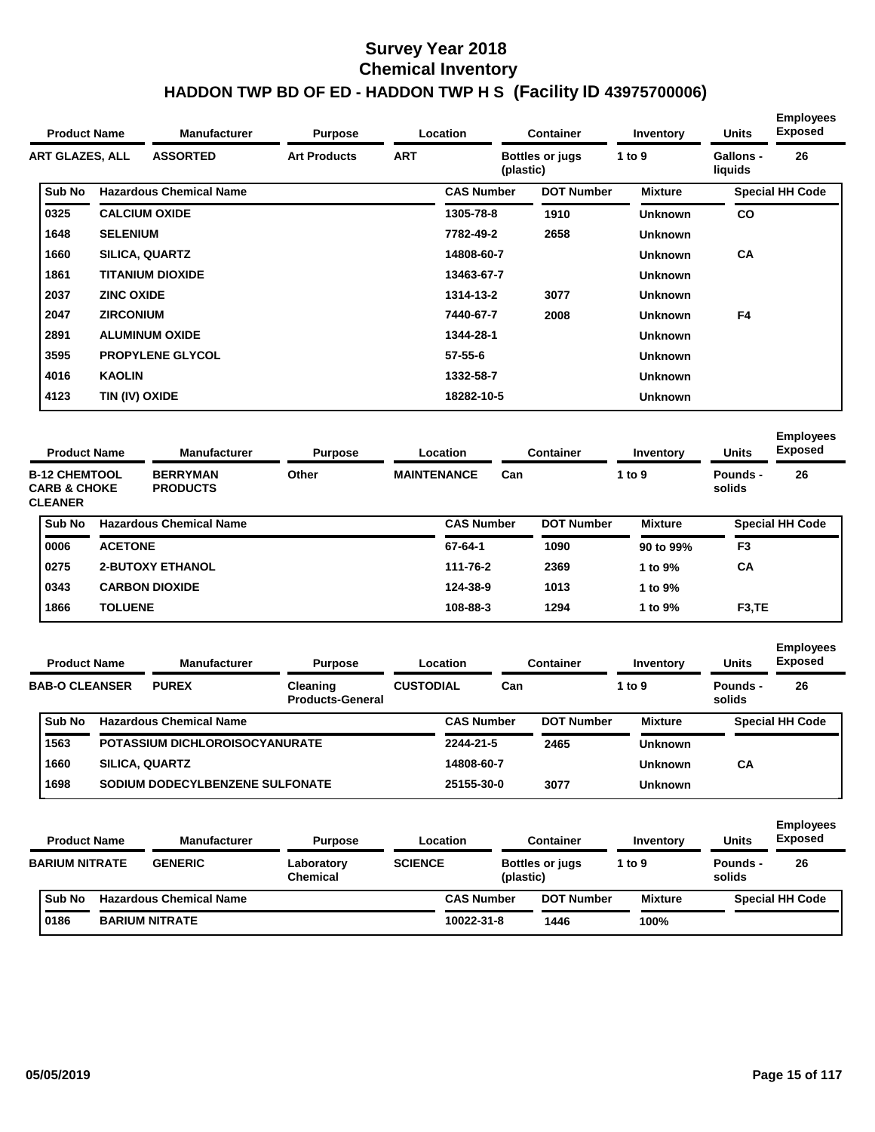| <b>Product Name</b>    |                   | <b>Manufacturer</b>            | <b>Purpose</b>      |            | <b>Location</b>   | <b>Container</b>                    | Inventory      | <b>Units</b>                | <b>Employees</b><br><b>Exposed</b> |
|------------------------|-------------------|--------------------------------|---------------------|------------|-------------------|-------------------------------------|----------------|-----------------------------|------------------------------------|
| <b>ART GLAZES, ALL</b> |                   | <b>ASSORTED</b>                | <b>Art Products</b> | <b>ART</b> |                   | <b>Bottles or jugs</b><br>(plastic) | 1 to 9         | <b>Gallons -</b><br>liquids | 26                                 |
| Sub No                 |                   | <b>Hazardous Chemical Name</b> |                     |            | <b>CAS Number</b> | <b>DOT Number</b>                   | <b>Mixture</b> |                             | <b>Special HH Code</b>             |
| 0325                   |                   | <b>CALCIUM OXIDE</b>           |                     |            | 1305-78-8         | 1910                                | <b>Unknown</b> | <b>CO</b>                   |                                    |
| 1648                   | <b>SELENIUM</b>   |                                |                     |            | 7782-49-2         | 2658                                | <b>Unknown</b> |                             |                                    |
| 1660                   |                   | <b>SILICA, QUARTZ</b>          |                     |            | 14808-60-7        |                                     | <b>Unknown</b> | <b>CA</b>                   |                                    |
| 1861                   |                   | <b>TITANIUM DIOXIDE</b>        |                     |            | 13463-67-7        |                                     | <b>Unknown</b> |                             |                                    |
| 2037                   | <b>ZINC OXIDE</b> |                                |                     |            | 1314-13-2         | 3077                                | <b>Unknown</b> |                             |                                    |
| 2047                   | <b>ZIRCONIUM</b>  |                                |                     |            | 7440-67-7         | 2008                                | <b>Unknown</b> | F <sub>4</sub>              |                                    |
| 2891                   |                   | <b>ALUMINUM OXIDE</b>          |                     |            | 1344-28-1         |                                     | <b>Unknown</b> |                             |                                    |
| 3595                   |                   | <b>PROPYLENE GLYCOL</b>        |                     |            | $57 - 55 - 6$     |                                     | <b>Unknown</b> |                             |                                    |
| 4016                   | <b>KAOLIN</b>     |                                |                     |            | 1332-58-7         |                                     | <b>Unknown</b> |                             |                                    |
| 4123                   | TIN (IV) OXIDE    |                                |                     |            | 18282-10-5        |                                     | <b>Unknown</b> |                             |                                    |

| <b>Product Name</b> |                                                                                                         |                | <b>Manufacturer</b><br>Location<br><b>Purpose</b> |       | <b>Container</b> | Inventory                 | <b>Units</b> | <b>Employees</b><br><b>Exposed</b> |                |                    |                        |
|---------------------|---------------------------------------------------------------------------------------------------------|----------------|---------------------------------------------------|-------|------------------|---------------------------|--------------|------------------------------------|----------------|--------------------|------------------------|
|                     | <b>B-12 CHEMTOOL</b><br><b>BERRYMAN</b><br><b>CARB &amp; CHOKE</b><br><b>PRODUCTS</b><br><b>CLEANER</b> |                |                                                   | Other |                  | <b>MAINTENANCE</b><br>Can |              |                                    | 1 to 9         | Pounds -<br>solids | 26                     |
|                     | <b>Sub No</b>                                                                                           |                | <b>Hazardous Chemical Name</b>                    |       |                  | <b>CAS Number</b>         |              | <b>DOT Number</b>                  | <b>Mixture</b> |                    | <b>Special HH Code</b> |
|                     | 0006                                                                                                    | <b>ACETONE</b> |                                                   |       |                  | 67-64-1                   |              | 1090                               | 90 to 99%      | F <sub>3</sub>     |                        |
|                     | 0275                                                                                                    |                | <b>2-BUTOXY ETHANOL</b>                           |       |                  | 111-76-2                  |              | 2369                               | 1 to 9%        | СA                 |                        |
|                     | 0343                                                                                                    |                | <b>CARBON DIOXIDE</b>                             |       |                  | 124-38-9                  |              | 1013                               | 1 to 9%        |                    |                        |
|                     | 1866                                                                                                    | <b>TOLUENE</b> |                                                   |       |                  | 108-88-3                  |              | 1294                               | 1 to 9%        | F <sub>3</sub> ,TE |                        |
|                     |                                                                                                         |                |                                                   |       |                  |                           |              |                                    |                |                    |                        |

| <b>Product Name</b> |                       | <b>Manufacturer</b><br><b>Purpose</b><br>Location |                                     | <b>Container</b>                   | Inventory         | <b>Units</b>      | <b>Employees</b><br><b>Exposed</b> |                    |                                    |
|---------------------|-----------------------|---------------------------------------------------|-------------------------------------|------------------------------------|-------------------|-------------------|------------------------------------|--------------------|------------------------------------|
|                     | <b>BAB-O CLEANSER</b> | <b>PUREX</b>                                      | Cleaning<br><b>Products-General</b> | <b>CUSTODIAL</b>                   | Can               |                   | 1 to 9                             | Pounds -<br>solids | 26                                 |
|                     | Sub No                | <b>Hazardous Chemical Name</b>                    |                                     |                                    | <b>CAS Number</b> | <b>DOT Number</b> | <b>Mixture</b>                     |                    | <b>Special HH Code</b>             |
|                     | 1563                  | POTASSIUM DICHLOROISOCYANURATE                    |                                     |                                    | 2244-21-5         | 2465              | <b>Unknown</b>                     |                    |                                    |
|                     | 1660                  | <b>SILICA, QUARTZ</b>                             |                                     |                                    | 14808-60-7        |                   | <b>Unknown</b>                     | CA                 |                                    |
|                     | 1698                  | SODIUM DODECYLBENZENE SULFONATE                   |                                     |                                    | 25155-30-0        | 3077              | <b>Unknown</b>                     |                    |                                    |
|                     | <b>Product Name</b>   | <b>Manufacturer</b>                               | <b>Purpose</b>                      |                                    | Location          | <b>Container</b>  | Inventory                          | <b>Units</b>       | <b>Employees</b><br><b>Exposed</b> |
|                     | --------------        | --------                                          | .                                   | $\sim$ $\sim$ $\sim$ $\sim$ $\sim$ |                   |                   | $\cdots$                           | - -                | $\sim$                             |

| BARIUM NITRATE | <b>GENERIC</b>                 | Laboratory<br>Chemical | <b>SCIENCE</b> | (plastic)         | <b>Bottles or jugs</b> | to 9           | Pounds -<br>solids     | 26 |
|----------------|--------------------------------|------------------------|----------------|-------------------|------------------------|----------------|------------------------|----|
| Sub No         | <b>Hazardous Chemical Name</b> |                        |                | <b>CAS Number</b> | <b>DOT Number</b>      | <b>Mixture</b> | <b>Special HH Code</b> |    |
| 0186           | <b>BARIUM NITRATE</b>          |                        |                | 10022-31-8        | 1446                   | 100%           |                        |    |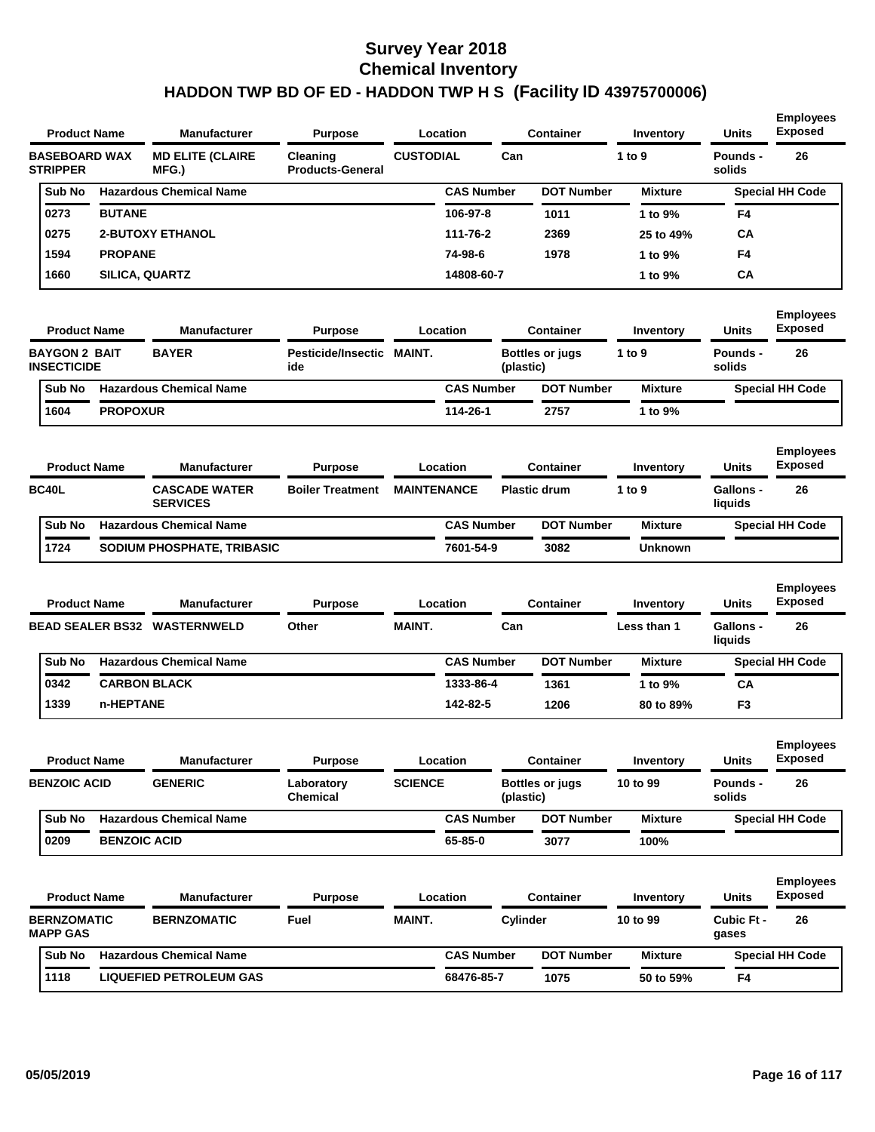| <b>Product Name</b>                        |                     | <b>Manufacturer</b>                     | <b>Purpose</b>                      |                    | Location          |           | <b>Container</b>       | Inventory      | <b>Units</b>              | <b>Employees</b><br><b>Exposed</b> |
|--------------------------------------------|---------------------|-----------------------------------------|-------------------------------------|--------------------|-------------------|-----------|------------------------|----------------|---------------------------|------------------------------------|
| <b>BASEBOARD WAX</b><br><b>STRIPPER</b>    |                     | <b>MD ELITE (CLAIRE</b><br>MFG.)        | Cleaning<br><b>Products-General</b> | <b>CUSTODIAL</b>   |                   | Can       |                        | 1 to 9         | Pounds -<br>solids        | 26                                 |
| Sub No                                     |                     | <b>Hazardous Chemical Name</b>          |                                     |                    | <b>CAS Number</b> |           | <b>DOT Number</b>      | <b>Mixture</b> |                           | <b>Special HH Code</b>             |
| 0273                                       | <b>BUTANE</b>       |                                         |                                     |                    | 106-97-8          |           | 1011                   | 1 to 9%        | F4                        |                                    |
| 0275                                       |                     | <b>2-BUTOXY ETHANOL</b>                 |                                     |                    | 111-76-2          |           | 2369                   | 25 to 49%      | CА                        |                                    |
| 1594                                       | <b>PROPANE</b>      |                                         |                                     |                    | 74-98-6           |           | 1978                   | 1 to 9%        | F4                        |                                    |
| 1660                                       | SILICA, QUARTZ      |                                         |                                     |                    | 14808-60-7        |           |                        | 1 to 9%        | СA                        |                                    |
| <b>Product Name</b>                        |                     | <b>Manufacturer</b>                     | <b>Purpose</b>                      |                    | Location          |           | <b>Container</b>       | Inventory      | <b>Units</b>              | <b>Employees</b><br><b>Exposed</b> |
| <b>BAYGON 2 BAIT</b><br><b>INSECTICIDE</b> |                     | <b>BAYER</b>                            | Pesticide/Insectic MAINT.<br>ide    |                    |                   | (plastic) | <b>Bottles or jugs</b> | 1 to 9         | Pounds -<br>solids        | 26                                 |
| Sub No                                     |                     | <b>Hazardous Chemical Name</b>          |                                     |                    | <b>CAS Number</b> |           | <b>DOT Number</b>      | <b>Mixture</b> |                           | <b>Special HH Code</b>             |
| 1604                                       | <b>PROPOXUR</b>     |                                         |                                     |                    | 114-26-1          |           | 2757                   | 1 to 9%        |                           |                                    |
| <b>Product Name</b>                        |                     | <b>Manufacturer</b>                     | <b>Purpose</b>                      |                    | Location          |           | <b>Container</b>       | Inventory      | <b>Units</b>              | <b>Employees</b><br><b>Exposed</b> |
| <b>BC40L</b>                               |                     | <b>CASCADE WATER</b><br><b>SERVICES</b> | <b>Boiler Treatment</b>             | <b>MAINTENANCE</b> |                   |           | <b>Plastic drum</b>    | 1 to 9         | Gallons -<br>liquids      | 26                                 |
| Sub No                                     |                     | <b>Hazardous Chemical Name</b>          |                                     |                    | <b>CAS Number</b> |           | <b>DOT Number</b>      | <b>Mixture</b> |                           | <b>Special HH Code</b>             |
| 1724                                       |                     | SODIUM PHOSPHATE, TRIBASIC              |                                     |                    | 7601-54-9         |           | 3082                   | <b>Unknown</b> |                           |                                    |
|                                            |                     |                                         |                                     |                    |                   |           |                        |                |                           | <b>Employees</b>                   |
| <b>Product Name</b>                        |                     | <b>Manufacturer</b>                     | <b>Purpose</b>                      |                    | Location          |           | <b>Container</b>       | Inventory      | <b>Units</b>              | <b>Exposed</b>                     |
|                                            |                     | <b>BEAD SEALER BS32 WASTERNWELD</b>     | Other                               | <b>MAINT.</b>      |                   | Can       |                        | Less than 1    | Gallons -<br>liquids      | 26                                 |
| Sub No                                     |                     | <b>Hazardous Chemical Name</b>          |                                     |                    | <b>CAS Number</b> |           | <b>DOT Number</b>      | <b>Mixture</b> |                           | <b>Special HH Code</b>             |
| 0342                                       |                     | <b>CARBON BLACK</b>                     |                                     |                    | 1333-86-4         |           | 1361                   | 1 to 9%        | CА                        |                                    |
| 1339                                       | n-HEPTANE           |                                         |                                     |                    | 142-82-5          |           | 1206                   | 80 to 89%      | F3                        |                                    |
| <b>Product Name</b>                        |                     | <b>Manufacturer</b>                     | <b>Purpose</b>                      |                    | Location          |           | <b>Container</b>       | Inventory      | <b>Units</b>              | <b>Employees</b><br><b>Exposed</b> |
| <b>BENZOIC ACID</b>                        |                     | <b>GENERIC</b>                          | Laboratory<br>Chemical              | <b>SCIENCE</b>     |                   | (plastic) | <b>Bottles or jugs</b> | 10 to 99       | <b>Pounds -</b><br>solids | 26                                 |
| Sub No                                     |                     | <b>Hazardous Chemical Name</b>          |                                     |                    | <b>CAS Number</b> |           | <b>DOT Number</b>      | <b>Mixture</b> |                           | <b>Special HH Code</b>             |
| 0209                                       | <b>BENZOIC ACID</b> |                                         |                                     |                    | 65-85-0           |           | 3077                   | 100%           |                           |                                    |
| <b>Product Name</b>                        |                     | <b>Manufacturer</b>                     | <b>Purpose</b>                      |                    | Location          |           | <b>Container</b>       | Inventory      | Units                     | <b>Employees</b><br><b>Exposed</b> |
| <b>BERNZOMATIC</b><br><b>MAPP GAS</b>      |                     | <b>BERNZOMATIC</b>                      | Fuel                                | MAINT.             |                   | Cylinder  |                        | 10 to 99       | Cubic Ft -<br>gases       | 26                                 |
|                                            |                     |                                         |                                     |                    |                   |           |                        |                |                           |                                    |
| Sub No                                     |                     | <b>Hazardous Chemical Name</b>          |                                     |                    | <b>CAS Number</b> |           | <b>DOT Number</b>      | <b>Mixture</b> |                           | <b>Special HH Code</b>             |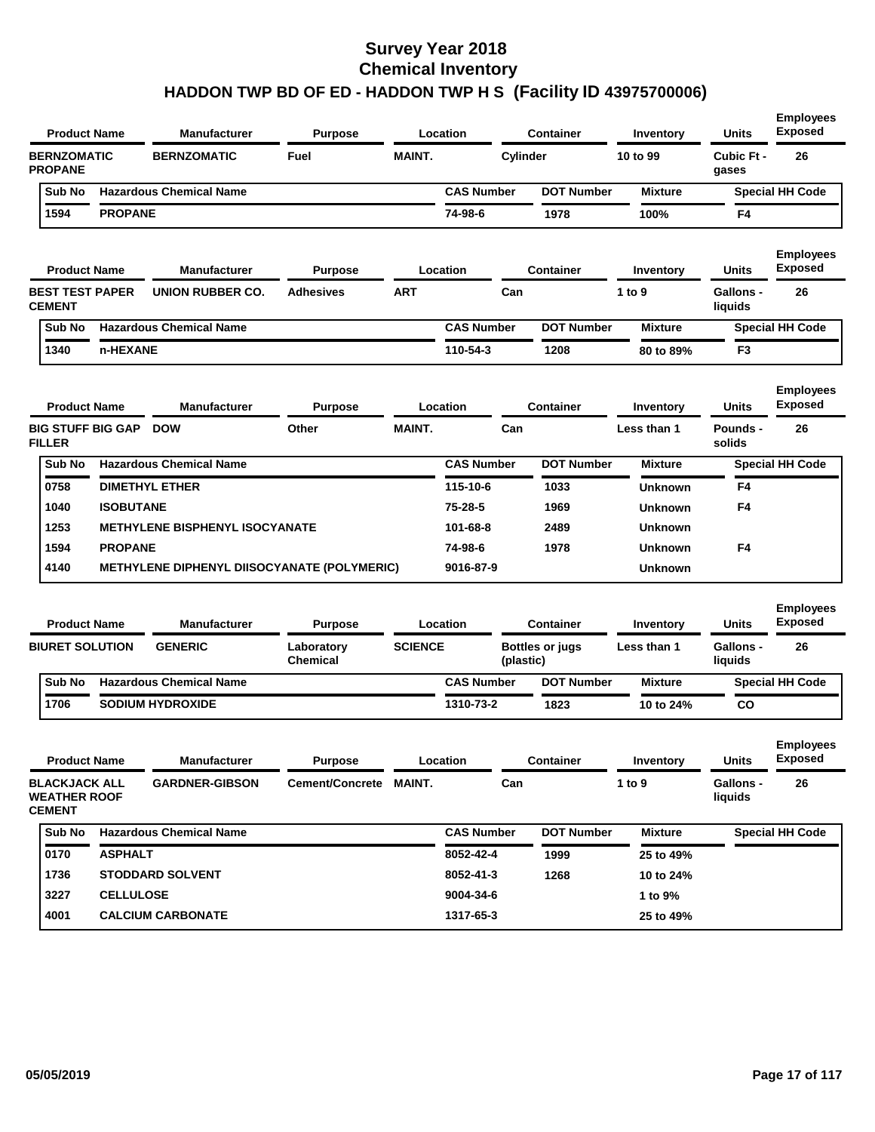| <b>Product Name</b>                                          |                  | <b>Manufacturer</b>                                | <b>Purpose</b>                |                | Location          |           | <b>Container</b>       | Inventory      | <b>Units</b>                | <b>Employees</b><br><b>Exposed</b> |
|--------------------------------------------------------------|------------------|----------------------------------------------------|-------------------------------|----------------|-------------------|-----------|------------------------|----------------|-----------------------------|------------------------------------|
| <b>BERNZOMATIC</b><br><b>PROPANE</b>                         |                  | <b>BERNZOMATIC</b>                                 | Fuel                          | <b>MAINT.</b>  |                   | Cylinder  |                        | 10 to 99       | Cubic Ft -<br>gases         | 26                                 |
| Sub No                                                       |                  | <b>Hazardous Chemical Name</b>                     |                               |                | <b>CAS Number</b> |           | <b>DOT Number</b>      | <b>Mixture</b> |                             | <b>Special HH Code</b>             |
| 1594                                                         | <b>PROPANE</b>   |                                                    |                               |                | 74-98-6           |           | 1978                   | 100%           | F4                          |                                    |
| <b>Product Name</b>                                          |                  | <b>Manufacturer</b>                                | <b>Purpose</b>                |                | Location          |           | <b>Container</b>       | Inventory      | <b>Units</b>                | <b>Employees</b><br><b>Exposed</b> |
| <b>BEST TEST PAPER</b><br><b>CEMENT</b>                      |                  | UNION RUBBER CO.                                   | <b>Adhesives</b>              | <b>ART</b>     |                   | Can       |                        | 1 to 9         | Gallons -<br>liquids        | 26                                 |
| Sub No                                                       |                  | <b>Hazardous Chemical Name</b>                     |                               |                | <b>CAS Number</b> |           | <b>DOT Number</b>      | <b>Mixture</b> |                             | <b>Special HH Code</b>             |
| 1340                                                         | n-HEXANE         |                                                    |                               |                | 110-54-3          |           | 1208                   | 80 to 89%      | F <sub>3</sub>              |                                    |
| <b>Product Name</b>                                          |                  | <b>Manufacturer</b>                                | <b>Purpose</b>                |                | Location          |           | <b>Container</b>       | Inventory      | <b>Units</b>                | <b>Employees</b><br><b>Exposed</b> |
| <b>BIG STUFF BIG GAP</b><br><b>FILLER</b>                    |                  | <b>DOW</b>                                         | Other                         | <b>MAINT.</b>  |                   | Can       |                        | Less than 1    | Pounds -<br>solids          | 26                                 |
| Sub No                                                       |                  | <b>Hazardous Chemical Name</b>                     |                               |                | <b>CAS Number</b> |           | <b>DOT Number</b>      | <b>Mixture</b> |                             | <b>Special HH Code</b>             |
| 0758                                                         |                  | <b>DIMETHYL ETHER</b>                              |                               |                | 115-10-6          |           | 1033                   | <b>Unknown</b> | F4                          |                                    |
| 1040                                                         | <b>ISOBUTANE</b> |                                                    |                               |                | 75-28-5           |           | 1969                   | <b>Unknown</b> | F <sub>4</sub>              |                                    |
| 1253                                                         |                  | <b>METHYLENE BISPHENYL ISOCYANATE</b>              |                               |                | 101-68-8          |           | 2489                   | <b>Unknown</b> |                             |                                    |
| 1594                                                         | <b>PROPANE</b>   |                                                    |                               |                | 74-98-6           |           | 1978                   | <b>Unknown</b> | F <sub>4</sub>              |                                    |
| 4140                                                         |                  | <b>METHYLENE DIPHENYL DIISOCYANATE (POLYMERIC)</b> |                               |                | 9016-87-9         |           |                        | <b>Unknown</b> |                             |                                    |
| <b>Product Name</b>                                          |                  | <b>Manufacturer</b>                                | <b>Purpose</b>                |                | Location          |           | <b>Container</b>       | Inventory      | <b>Units</b>                | <b>Employees</b><br><b>Exposed</b> |
| <b>BIURET SOLUTION</b>                                       |                  | <b>GENERIC</b>                                     | Laboratory<br><b>Chemical</b> | <b>SCIENCE</b> |                   | (plastic) | <b>Bottles or jugs</b> | Less than 1    | <b>Gallons -</b><br>liquids | 26                                 |
| Sub No                                                       |                  | <b>Hazardous Chemical Name</b>                     |                               |                | <b>CAS Number</b> |           | <b>DOT Number</b>      | <b>Mixture</b> |                             | <b>Special HH Code</b>             |
| 1706                                                         |                  | <b>SODIUM HYDROXIDE</b>                            |                               |                | 1310-73-2         |           | 1823                   | 10 to 24%      | CO                          |                                    |
| <b>Product Name</b>                                          |                  | Manufacturer                                       | <b>Purpose</b>                |                | Location          |           | <b>Container</b>       | Inventory      | <b>Units</b>                | <b>Employees</b><br>Exposed        |
| <b>BLACKJACK ALL</b><br><b>WEATHER ROOF</b><br><b>CEMENT</b> |                  | <b>GARDNER-GIBSON</b>                              | Cement/Concrete MAINT.        |                |                   | Can       |                        | $1$ to $9$     | Gallons -<br>liquids        | 26                                 |
| Sub No                                                       |                  | <b>Hazardous Chemical Name</b>                     |                               |                | <b>CAS Number</b> |           | <b>DOT Number</b>      | <b>Mixture</b> |                             | <b>Special HH Code</b>             |
| 0170                                                         | <b>ASPHALT</b>   |                                                    |                               |                | 8052-42-4         |           | 1999                   | 25 to 49%      |                             |                                    |
| 1736                                                         |                  | <b>STODDARD SOLVENT</b>                            |                               |                | 8052-41-3         |           | 1268                   | 10 to 24%      |                             |                                    |
| 3227                                                         | <b>CELLULOSE</b> |                                                    |                               |                | 9004-34-6         |           |                        | 1 to 9%        |                             |                                    |
| 4001                                                         |                  | <b>CALCIUM CARBONATE</b>                           |                               |                | 1317-65-3         |           |                        | 25 to 49%      |                             |                                    |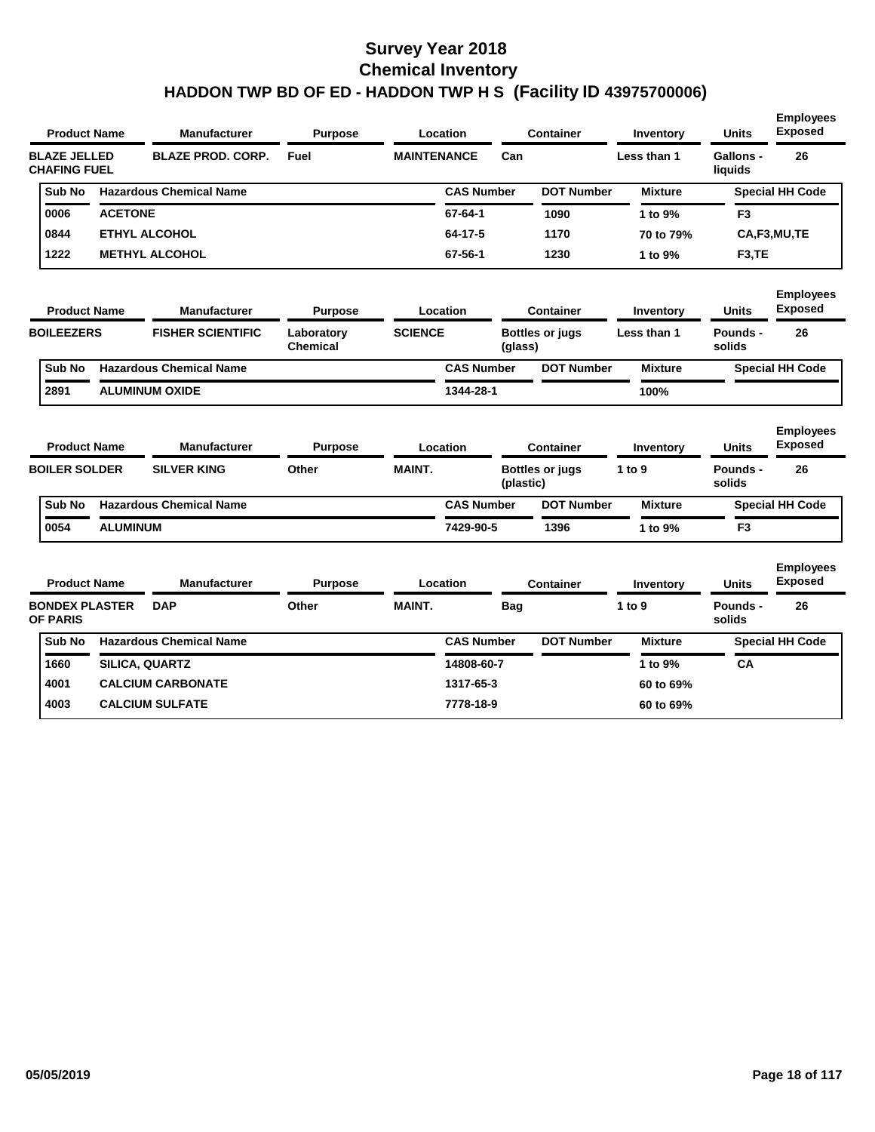| <b>Product Name</b>                        |                 | <b>Manufacturer</b>            | <b>Purpose</b>         |                    | Location          |            | <b>Container</b>       | Inventory      | <b>Units</b>         | <b>Employees</b><br><b>Exposed</b> |
|--------------------------------------------|-----------------|--------------------------------|------------------------|--------------------|-------------------|------------|------------------------|----------------|----------------------|------------------------------------|
| <b>BLAZE JELLED</b><br><b>CHAFING FUEL</b> |                 | <b>BLAZE PROD. CORP.</b>       | Fuel                   | <b>MAINTENANCE</b> |                   | Can        |                        | Less than 1    | Gallons -<br>liquids | 26                                 |
| Sub No                                     |                 | <b>Hazardous Chemical Name</b> |                        |                    | <b>CAS Number</b> |            | <b>DOT Number</b>      | <b>Mixture</b> |                      | <b>Special HH Code</b>             |
| 0006                                       | <b>ACETONE</b>  |                                |                        |                    | 67-64-1           |            | 1090                   | 1 to 9%        | F <sub>3</sub>       |                                    |
| 0844                                       |                 | <b>ETHYL ALCOHOL</b>           |                        |                    | 64-17-5           |            | 1170                   | 70 to 79%      |                      | CA,F3,MU,TE                        |
| 1222                                       |                 | <b>METHYL ALCOHOL</b>          |                        |                    | 67-56-1           |            | 1230                   | 1 to 9%        | F <sub>3</sub> , TE  |                                    |
| <b>Product Name</b>                        |                 | <b>Manufacturer</b>            | <b>Purpose</b>         |                    | Location          |            | <b>Container</b>       | Inventory      | <b>Units</b>         | <b>Employees</b><br><b>Exposed</b> |
| <b>BOILEEZERS</b>                          |                 | <b>FISHER SCIENTIFIC</b>       | Laboratory<br>Chemical | <b>SCIENCE</b>     |                   | (glass)    | <b>Bottles or jugs</b> | Less than 1    | Pounds -<br>solids   | 26                                 |
| Sub No                                     |                 | <b>Hazardous Chemical Name</b> |                        |                    | <b>CAS Number</b> |            | <b>DOT Number</b>      | <b>Mixture</b> |                      | <b>Special HH Code</b>             |
| 2891                                       |                 | <b>ALUMINUM OXIDE</b>          |                        |                    | 1344-28-1         |            |                        | 100%           |                      |                                    |
| <b>Product Name</b>                        |                 | <b>Manufacturer</b>            | <b>Purpose</b>         |                    | Location          |            | <b>Container</b>       | Inventory      | <b>Units</b>         | <b>Employees</b><br><b>Exposed</b> |
| <b>BOILER SOLDER</b>                       |                 | <b>SILVER KING</b>             | Other                  | <b>MAINT.</b>      |                   | (plastic)  | <b>Bottles or jugs</b> | 1 to 9         | Pounds -<br>solids   | 26                                 |
| Sub No                                     |                 | <b>Hazardous Chemical Name</b> |                        |                    | <b>CAS Number</b> |            | <b>DOT Number</b>      | <b>Mixture</b> |                      | <b>Special HH Code</b>             |
| 0054                                       | <b>ALUMINUM</b> |                                |                        |                    | 7429-90-5         |            | 1396                   | 1 to 9%        | F <sub>3</sub>       |                                    |
| <b>Product Name</b>                        |                 | <b>Manufacturer</b>            | <b>Purpose</b>         |                    | Location          |            | <b>Container</b>       | Inventory      | <b>Units</b>         | <b>Employees</b><br><b>Exposed</b> |
| <b>BONDEX PLASTER</b><br>OF PARIS          |                 | <b>DAP</b>                     | Other                  | <b>MAINT.</b>      |                   | <b>Bag</b> |                        | 1 to 9         | Pounds -<br>solids   | 26                                 |
| Sub No                                     |                 | <b>Hazardous Chemical Name</b> |                        |                    | <b>CAS Number</b> |            | <b>DOT Number</b>      | <b>Mixture</b> |                      | <b>Special HH Code</b>             |
| 1660                                       |                 | <b>SILICA, QUARTZ</b>          |                        |                    | 14808-60-7        |            |                        | 1 to 9%        | CA                   |                                    |
| 4001                                       |                 | <b>CALCIUM CARBONATE</b>       |                        |                    | 1317-65-3         |            |                        | 60 to 69%      |                      |                                    |
| 4003                                       |                 | <b>CALCIUM SULFATE</b>         |                        |                    | 7778-18-9         |            |                        | 60 to 69%      |                      |                                    |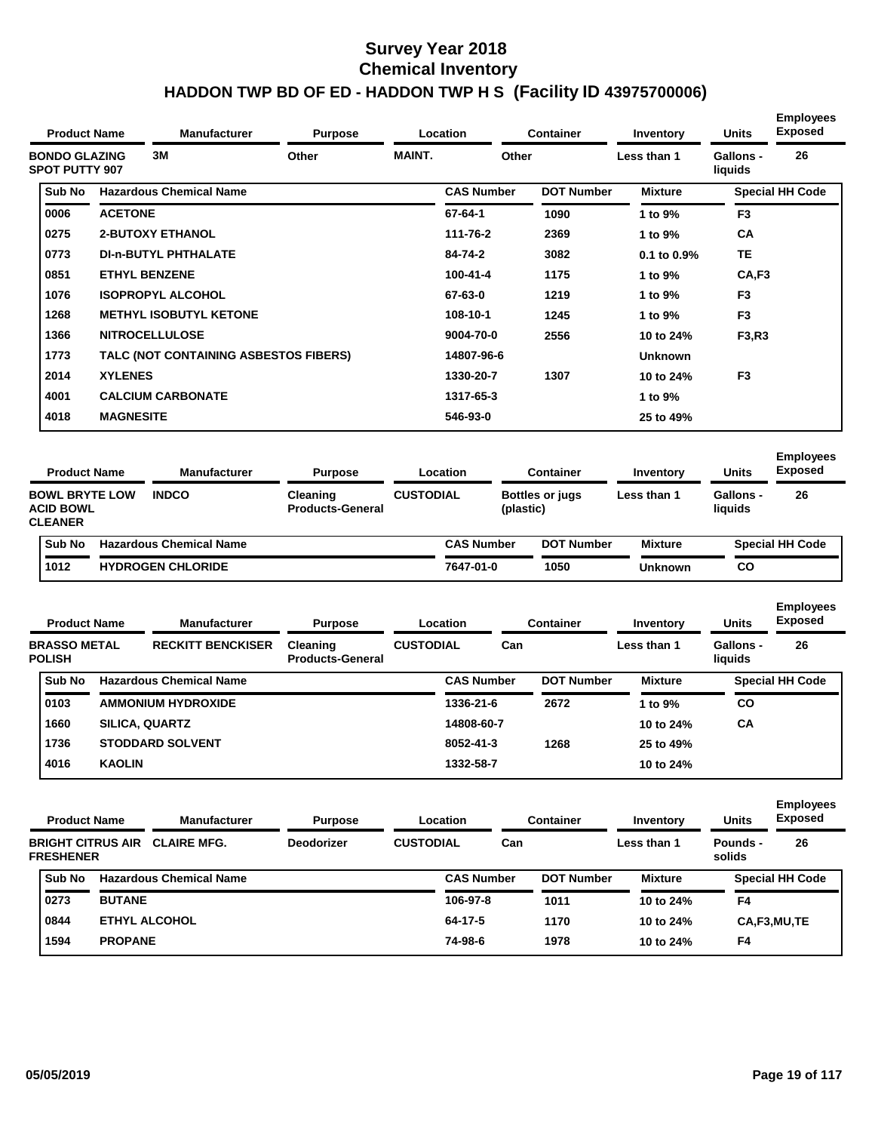| <b>Product Name</b>                           |                  | <b>Manufacturer</b>                   | <b>Purpose</b>                      | Location         |                   | <b>Container</b>                    | Inventory      | <b>Units</b>         | <b>Employees</b><br><b>Exposed</b> |
|-----------------------------------------------|------------------|---------------------------------------|-------------------------------------|------------------|-------------------|-------------------------------------|----------------|----------------------|------------------------------------|
| <b>BONDO GLAZING</b><br><b>SPOT PUTTY 907</b> |                  | 3M                                    | Other                               | <b>MAINT.</b>    |                   | Other                               | Less than 1    | Gallons -<br>liquids | 26                                 |
| Sub No                                        |                  | <b>Hazardous Chemical Name</b>        |                                     |                  | <b>CAS Number</b> | <b>DOT Number</b>                   | <b>Mixture</b> |                      | <b>Special HH Code</b>             |
| 0006                                          | <b>ACETONE</b>   |                                       |                                     |                  | 67-64-1           | 1090                                | 1 to 9%        | F <sub>3</sub>       |                                    |
| 0275                                          |                  | <b>2-BUTOXY ETHANOL</b>               |                                     |                  | 111-76-2          | 2369                                | 1 to 9%        | <b>CA</b>            |                                    |
| 0773                                          |                  | <b>DI-n-BUTYL PHTHALATE</b>           |                                     |                  | 84-74-2           | 3082                                | 0.1 to 0.9%    | <b>TE</b>            |                                    |
| 0851                                          |                  | <b>ETHYL BENZENE</b>                  |                                     |                  | 100-41-4          | 1175                                | 1 to 9%        | CA, F3               |                                    |
| 1076                                          |                  | <b>ISOPROPYL ALCOHOL</b>              |                                     |                  | 67-63-0           | 1219                                | 1 to 9%        | F <sub>3</sub>       |                                    |
| 1268                                          |                  | <b>METHYL ISOBUTYL KETONE</b>         |                                     |                  | 108-10-1          | 1245                                | 1 to 9%        | F <sub>3</sub>       |                                    |
| 1366                                          |                  | <b>NITROCELLULOSE</b>                 |                                     |                  | 9004-70-0         | 2556                                | 10 to 24%      | F3,R3                |                                    |
| 1773                                          |                  | TALC (NOT CONTAINING ASBESTOS FIBERS) |                                     |                  | 14807-96-6        |                                     | <b>Unknown</b> |                      |                                    |
| 2014                                          | <b>XYLENES</b>   |                                       |                                     |                  | 1330-20-7         | 1307                                | 10 to 24%      | F <sub>3</sub>       |                                    |
| 4001                                          |                  | <b>CALCIUM CARBONATE</b>              |                                     |                  | 1317-65-3         |                                     | 1 to 9%        |                      |                                    |
| 4018                                          | <b>MAGNESITE</b> |                                       |                                     |                  | 546-93-0          |                                     | 25 to 49%      |                      |                                    |
| <b>Product Name</b>                           |                  | <b>Manufacturer</b>                   | <b>Purpose</b>                      | Location         |                   | <b>Container</b>                    | Inventory      | <b>Units</b>         | <b>Employees</b><br><b>Exposed</b> |
| <b>BOWL BRYTE LOW</b><br><b>ACID BOWL</b>     |                  | <b>INDCO</b>                          | Cleaning<br><b>Products-General</b> | <b>CUSTODIAL</b> |                   | <b>Bottles or jugs</b><br>(plastic) | Less than 1    | Gallons -<br>liquids | 26                                 |

| <b>CLEANER</b> |                                |                   |                   |                |                        |
|----------------|--------------------------------|-------------------|-------------------|----------------|------------------------|
| Sub No         | <b>Hazardous Chemical Name</b> | <b>CAS Number</b> | <b>DOT Number</b> | <b>Mixture</b> | <b>Special HH Code</b> |
| <u>! 1012</u>  | <b>HYDROGEN CHLORIDE</b>       | 7647-01-0         | 1050              | <b>Unknown</b> | co                     |

|  | <b>Product Name</b><br><b>Manufacturer</b><br><b>BRASSO METAL</b><br><b>POLISH</b> |                       |                                | Location<br><b>Purpose</b>                 |                  |                   | <b>Container</b>  | Inventory      | <b>Units</b>                | <b>Employees</b><br><b>Exposed</b> |  |
|--|------------------------------------------------------------------------------------|-----------------------|--------------------------------|--------------------------------------------|------------------|-------------------|-------------------|----------------|-----------------------------|------------------------------------|--|
|  |                                                                                    |                       | <b>RECKITT BENCKISER</b>       | <b>Cleaning</b><br><b>Products-General</b> | <b>CUSTODIAL</b> | Can               |                   | Less than 1    | <b>Gallons -</b><br>liquids | 26                                 |  |
|  | Sub No                                                                             |                       | <b>Hazardous Chemical Name</b> |                                            |                  | <b>CAS Number</b> | <b>DOT Number</b> | <b>Mixture</b> |                             | <b>Special HH Code</b>             |  |
|  | 0103                                                                               |                       | <b>AMMONIUM HYDROXIDE</b>      |                                            |                  | 1336-21-6         | 2672              | 1 to 9%        | CO                          |                                    |  |
|  | 1660                                                                               | <b>SILICA, QUARTZ</b> |                                |                                            |                  | 14808-60-7        |                   | 10 to 24%      | <b>CA</b>                   |                                    |  |
|  | 1736                                                                               |                       | <b>STODDARD SOLVENT</b>        |                                            |                  | 8052-41-3         | 1268              | 25 to 49%      |                             |                                    |  |
|  | 4016                                                                               | <b>KAOLIN</b>         |                                |                                            |                  | 1332-58-7         |                   | 10 to 24%      |                             |                                    |  |

| <b>Product Name</b>                          |                | <b>Manufacturer</b>            | <b>Purpose</b>    |                  | Location          |     | <b>Container</b>  | Inventory      | <b>Units</b>       | <b>Employees</b><br><b>Exposed</b> |
|----------------------------------------------|----------------|--------------------------------|-------------------|------------------|-------------------|-----|-------------------|----------------|--------------------|------------------------------------|
| <b>BRIGHT CITRUS AIR</b><br><b>FRESHENER</b> |                | <b>CLAIRE MFG.</b>             | <b>Deodorizer</b> | <b>CUSTODIAL</b> |                   | Can |                   | Less than 1    | Pounds -<br>solids | 26                                 |
| Sub No                                       |                | <b>Hazardous Chemical Name</b> |                   |                  | <b>CAS Number</b> |     | <b>DOT Number</b> | <b>Mixture</b> |                    | <b>Special HH Code</b>             |
| 0273                                         | <b>BUTANE</b>  |                                |                   |                  | 106-97-8          |     | 1011              | 10 to 24%      | F4                 |                                    |
| 0844                                         |                | <b>ETHYL ALCOHOL</b>           |                   |                  | 64-17-5           |     | 1170              | 10 to 24%      |                    | CA,F3,MU,TE                        |
| 1594                                         | <b>PROPANE</b> |                                |                   |                  | 74-98-6           |     | 1978              | 10 to 24%      | F4                 |                                    |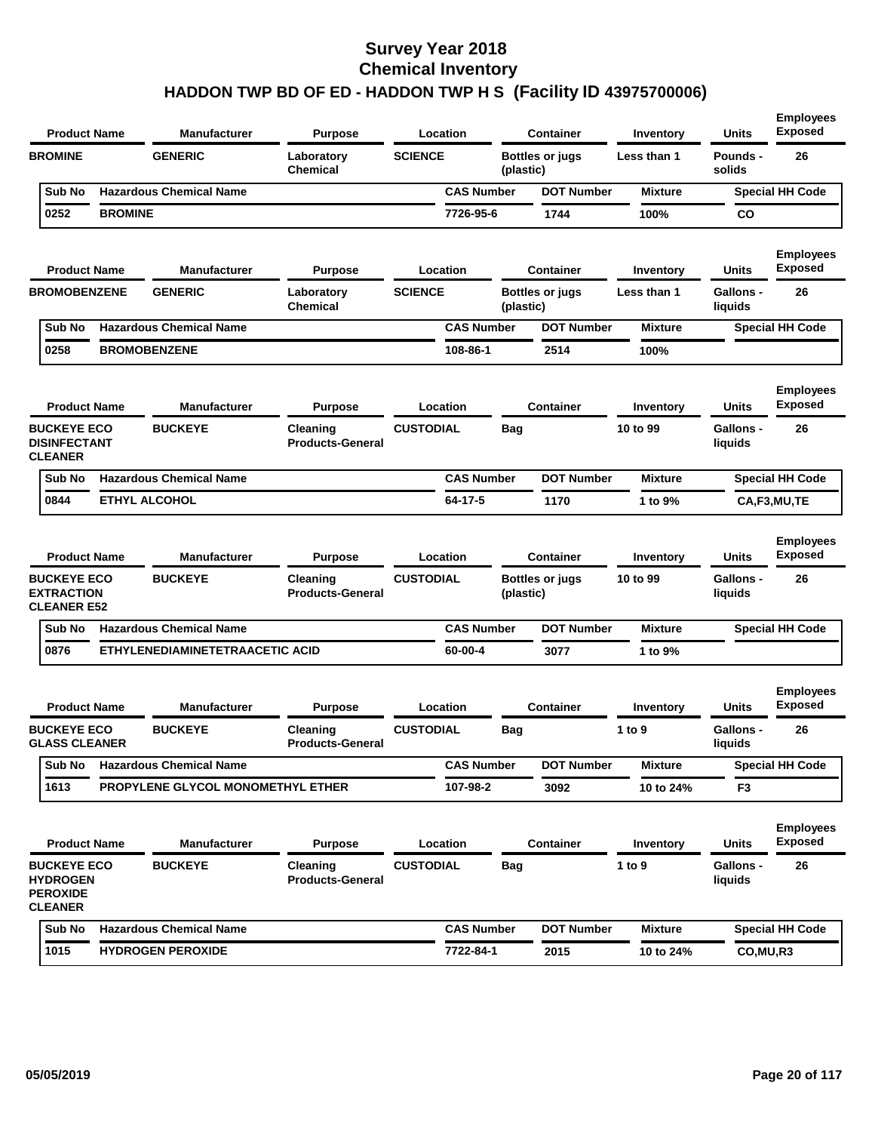| <b>Product Name</b>                                                        |                | Manufacturer                      | <b>Purpose</b>                      |                  | Location          |            | <b>Container</b>       | Inventory      | <b>Units</b>                | <b>Employees</b><br><b>Exposed</b> |
|----------------------------------------------------------------------------|----------------|-----------------------------------|-------------------------------------|------------------|-------------------|------------|------------------------|----------------|-----------------------------|------------------------------------|
| <b>BROMINE</b>                                                             |                | <b>GENERIC</b>                    | Laboratory<br><b>Chemical</b>       | <b>SCIENCE</b>   |                   | (plastic)  | <b>Bottles or jugs</b> | Less than 1    | Pounds -<br>solids          | 26                                 |
| Sub No                                                                     |                | <b>Hazardous Chemical Name</b>    |                                     |                  | <b>CAS Number</b> |            | <b>DOT Number</b>      | <b>Mixture</b> |                             | <b>Special HH Code</b>             |
| 0252                                                                       | <b>BROMINE</b> |                                   |                                     |                  | 7726-95-6         |            | 1744                   | 100%           | CO                          |                                    |
| <b>Product Name</b>                                                        |                | Manufacturer                      | <b>Purpose</b>                      |                  | Location          |            | <b>Container</b>       | Inventory      | Units                       | <b>Employees</b><br><b>Exposed</b> |
| <b>BROMOBENZENE</b>                                                        |                | <b>GENERIC</b>                    | Laboratory<br>Chemical              | <b>SCIENCE</b>   |                   | (plastic)  | <b>Bottles or jugs</b> | Less than 1    | Gallons -<br>liquids        | 26                                 |
| Sub No                                                                     |                | <b>Hazardous Chemical Name</b>    |                                     |                  | <b>CAS Number</b> |            | <b>DOT Number</b>      | <b>Mixture</b> |                             | <b>Special HH Code</b>             |
| 0258                                                                       |                | <b>BROMOBENZENE</b>               |                                     |                  | 108-86-1          |            | 2514                   | 100%           |                             |                                    |
| <b>Product Name</b>                                                        |                | <b>Manufacturer</b>               | <b>Purpose</b>                      |                  | Location          |            | <b>Container</b>       | Inventory      | Units                       | <b>Employees</b><br><b>Exposed</b> |
| <b>BUCKEYE ECO</b><br><b>DISINFECTANT</b><br><b>CLEANER</b>                |                | <b>BUCKEYE</b>                    | Cleaning<br><b>Products-General</b> | <b>CUSTODIAL</b> |                   | Bag        |                        | 10 to 99       | <b>Gallons -</b><br>liquids | 26                                 |
| Sub No                                                                     |                | <b>Hazardous Chemical Name</b>    |                                     |                  | <b>CAS Number</b> |            | <b>DOT Number</b>      | <b>Mixture</b> |                             | <b>Special HH Code</b>             |
| 0844                                                                       |                | <b>ETHYL ALCOHOL</b>              |                                     |                  | 64-17-5           |            | 1170                   | 1 to 9%        |                             | CA,F3,MU,TE                        |
| <b>Product Name</b>                                                        |                | <b>Manufacturer</b>               | <b>Purpose</b>                      |                  | Location          |            | <b>Container</b>       | Inventory      | Units                       | <b>Employees</b><br><b>Exposed</b> |
| <b>BUCKEYE ECO</b><br><b>EXTRACTION</b><br><b>CLEANER E52</b>              |                | <b>BUCKEYE</b>                    | Cleaning<br><b>Products-General</b> | <b>CUSTODIAL</b> |                   | (plastic)  | <b>Bottles or jugs</b> | 10 to 99       | Gallons -<br>liquids        | 26                                 |
| Sub No                                                                     |                | <b>Hazardous Chemical Name</b>    |                                     |                  | <b>CAS Number</b> |            | <b>DOT Number</b>      | <b>Mixture</b> |                             | <b>Special HH Code</b>             |
| 0876                                                                       |                | ETHYLENEDIAMINETETRAACETIC ACID   |                                     |                  | 60-00-4           |            | 3077                   | 1 to 9%        |                             |                                    |
| <b>Product Name</b>                                                        |                | <b>Manufacturer</b>               | <b>Purpose</b>                      |                  | Location          |            | <b>Container</b>       | Inventory      | Units                       | <b>Employees</b><br><b>Exposed</b> |
| <b>BUCKEYE ECO</b><br><b>GLASS CLEANER</b>                                 |                | <b>BUCKEYE</b>                    | Cleaning<br><b>Products-General</b> | <b>CUSTODIAL</b> |                   | <b>Bag</b> |                        | 1 to 9         | <b>Gallons -</b><br>liquids | 26                                 |
| Sub No                                                                     |                | <b>Hazardous Chemical Name</b>    |                                     |                  | <b>CAS Number</b> |            | <b>DOT Number</b>      | <b>Mixture</b> |                             | <b>Special HH Code</b>             |
| 1613                                                                       |                | PROPYLENE GLYCOL MONOMETHYL ETHER |                                     |                  | 107-98-2          |            | 3092                   | 10 to 24%      | F <sub>3</sub>              |                                    |
| <b>Product Name</b>                                                        |                | <b>Manufacturer</b>               | <b>Purpose</b>                      |                  | Location          |            | <b>Container</b>       | Inventory      | <b>Units</b>                | <b>Employees</b><br><b>Exposed</b> |
| <b>BUCKEYE ECO</b><br><b>HYDROGEN</b><br><b>PEROXIDE</b><br><b>CLEANER</b> |                | <b>BUCKEYE</b>                    | Cleaning<br><b>Products-General</b> | <b>CUSTODIAL</b> |                   | <b>Bag</b> |                        | 1 to 9         | <b>Gallons -</b><br>liquids | 26                                 |
| Sub No                                                                     |                | <b>Hazardous Chemical Name</b>    |                                     |                  | <b>CAS Number</b> |            | <b>DOT Number</b>      | <b>Mixture</b> |                             | <b>Special HH Code</b>             |
| 1015                                                                       |                | <b>HYDROGEN PEROXIDE</b>          |                                     |                  | 7722-84-1         |            | 2015                   | 10 to 24%      | CO, MU, R3                  |                                    |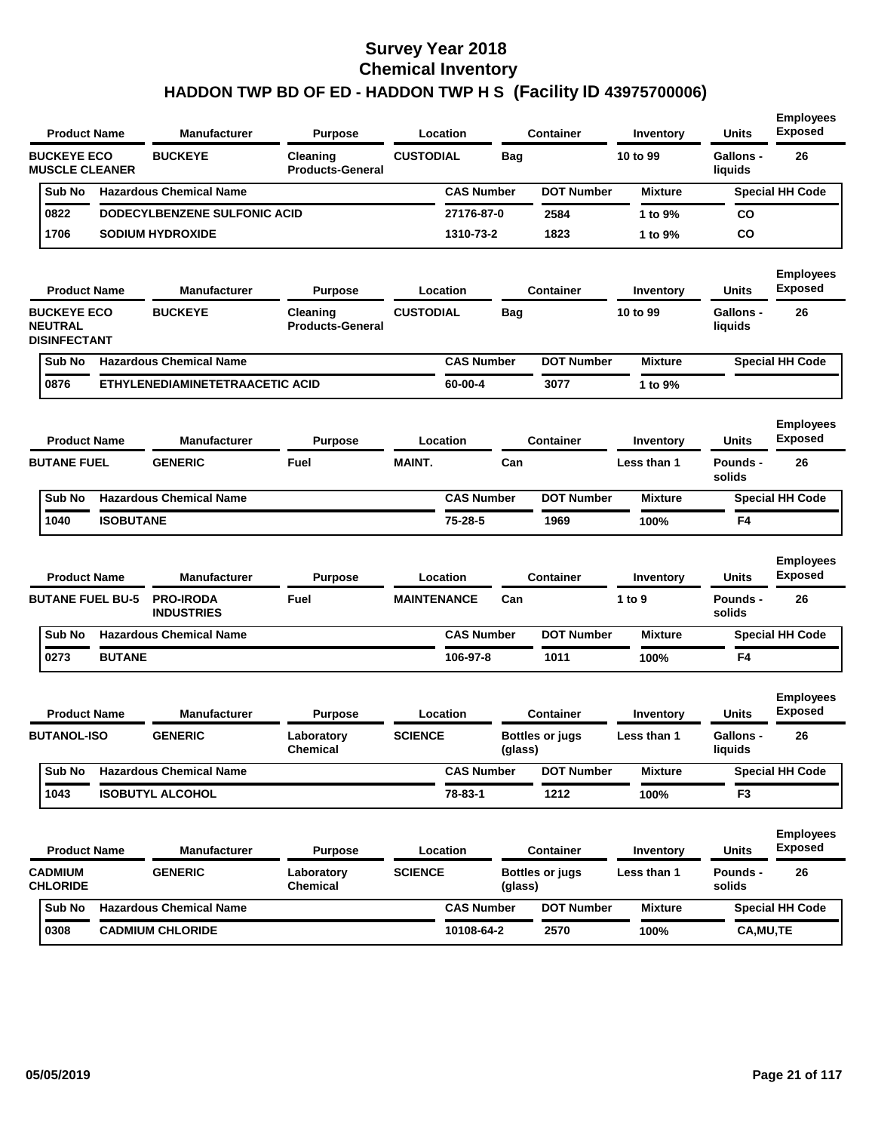| <b>Product Name</b>                                         |                  | <b>Manufacturer</b>             | <b>Purpose</b>                      | Location           |                   | <b>Container</b>       | Inventory      | <b>Units</b>                | <b>Employees</b><br><b>Exposed</b> |
|-------------------------------------------------------------|------------------|---------------------------------|-------------------------------------|--------------------|-------------------|------------------------|----------------|-----------------------------|------------------------------------|
| <b>BUCKEYE ECO</b><br><b>MUSCLE CLEANER</b>                 |                  | <b>BUCKEYE</b>                  | Cleaning<br><b>Products-General</b> | <b>CUSTODIAL</b>   | <b>Bag</b>        |                        | 10 to 99       | Gallons -<br>liquids        | 26                                 |
| Sub No                                                      |                  | <b>Hazardous Chemical Name</b>  |                                     |                    | <b>CAS Number</b> | <b>DOT Number</b>      | <b>Mixture</b> |                             | <b>Special HH Code</b>             |
| 0822                                                        |                  | DODECYLBENZENE SULFONIC ACID    |                                     |                    | 27176-87-0        | 2584                   | 1 to 9%        | CO                          |                                    |
| 1706                                                        |                  | <b>SODIUM HYDROXIDE</b>         |                                     |                    | 1310-73-2         | 1823                   | 1 to 9%        | <b>CO</b>                   |                                    |
| <b>Product Name</b>                                         |                  | <b>Manufacturer</b>             | <b>Purpose</b>                      | Location           |                   | <b>Container</b>       | Inventory      | <b>Units</b>                | <b>Employees</b><br><b>Exposed</b> |
| <b>BUCKEYE ECO</b><br><b>NEUTRAL</b><br><b>DISINFECTANT</b> |                  | <b>BUCKEYE</b>                  | Cleaning<br><b>Products-General</b> | <b>CUSTODIAL</b>   | Bag               |                        | 10 to 99       | Gallons -<br>liquids        | 26                                 |
| Sub No                                                      |                  | <b>Hazardous Chemical Name</b>  |                                     |                    | <b>CAS Number</b> | <b>DOT Number</b>      | <b>Mixture</b> |                             | <b>Special HH Code</b>             |
| 0876                                                        |                  | ETHYLENEDIAMINETETRAACETIC ACID |                                     |                    | 60-00-4           | 3077                   | 1 to 9%        |                             |                                    |
| <b>Product Name</b>                                         |                  | <b>Manufacturer</b>             | <b>Purpose</b>                      | Location           |                   | <b>Container</b>       | Inventory      | Units                       | <b>Employees</b><br><b>Exposed</b> |
| <b>BUTANE FUEL</b>                                          |                  | <b>GENERIC</b>                  | Fuel                                | <b>MAINT.</b>      | Can               |                        | Less than 1    | <b>Pounds -</b><br>solids   | 26                                 |
| Sub No                                                      |                  | <b>Hazardous Chemical Name</b>  |                                     |                    | <b>CAS Number</b> | <b>DOT Number</b>      | <b>Mixture</b> |                             | <b>Special HH Code</b>             |
| 1040                                                        | <b>ISOBUTANE</b> |                                 |                                     |                    | 75-28-5           | 1969                   | 100%           | F <sub>4</sub>              |                                    |
| <b>Product Name</b>                                         |                  | <b>Manufacturer</b>             | <b>Purpose</b>                      | Location           |                   | <b>Container</b>       | Inventory      | <b>Units</b>                | <b>Employees</b><br><b>Exposed</b> |
| <b>BUTANE FUEL BU-5</b>                                     |                  | <b>PRO-IRODA</b>                | Fuel                                | <b>MAINTENANCE</b> | Can               |                        | 1 to 9         | Pounds -                    |                                    |
| Sub No                                                      |                  | <b>INDUSTRIES</b>               |                                     |                    |                   |                        |                | solids                      | 26                                 |
|                                                             |                  | <b>Hazardous Chemical Name</b>  |                                     |                    | <b>CAS Number</b> | <b>DOT Number</b>      | <b>Mixture</b> |                             | <b>Special HH Code</b>             |
| 0273                                                        | <b>BUTANE</b>    |                                 |                                     |                    | 106-97-8          | 1011                   | 100%           | F <sub>4</sub>              |                                    |
| <b>Product Name</b>                                         |                  | <b>Manufacturer</b>             | <b>Purpose</b>                      | Location           |                   | <b>Container</b>       | Inventory      | <b>Units</b>                | <b>Employees</b><br><b>Exposed</b> |
| <b>BUTANOL-ISO</b>                                          |                  | <b>GENERIC</b>                  | Laboratory<br><b>Chemical</b>       | <b>SCIENCE</b>     | (glass)           | <b>Bottles or jugs</b> | Less than 1    | <b>Gallons -</b><br>liauids | 26                                 |
| Sub No                                                      |                  | <b>Hazardous Chemical Name</b>  |                                     |                    | <b>CAS Number</b> | <b>DOT Number</b>      | <b>Mixture</b> |                             | <b>Special HH Code</b>             |
| 1043                                                        |                  | <b>ISOBUTYL ALCOHOL</b>         |                                     |                    | 78-83-1           | 1212                   | 100%           | F <sub>3</sub>              |                                    |
| <b>Product Name</b>                                         |                  | <b>Manufacturer</b>             | <b>Purpose</b>                      | Location           |                   | Container              | Inventory      | Units                       | <b>Employees</b><br><b>Exposed</b> |
| <b>CADMIUM</b><br><b>CHLORIDE</b>                           |                  | <b>GENERIC</b>                  | Laboratory<br>Chemical              | <b>SCIENCE</b>     | (glass)           | <b>Bottles or jugs</b> | Less than 1    | Pounds -<br>solids          | 26                                 |
| Sub No                                                      |                  | <b>Hazardous Chemical Name</b>  |                                     |                    | <b>CAS Number</b> | <b>DOT Number</b>      | <b>Mixture</b> |                             | <b>Special HH Code</b>             |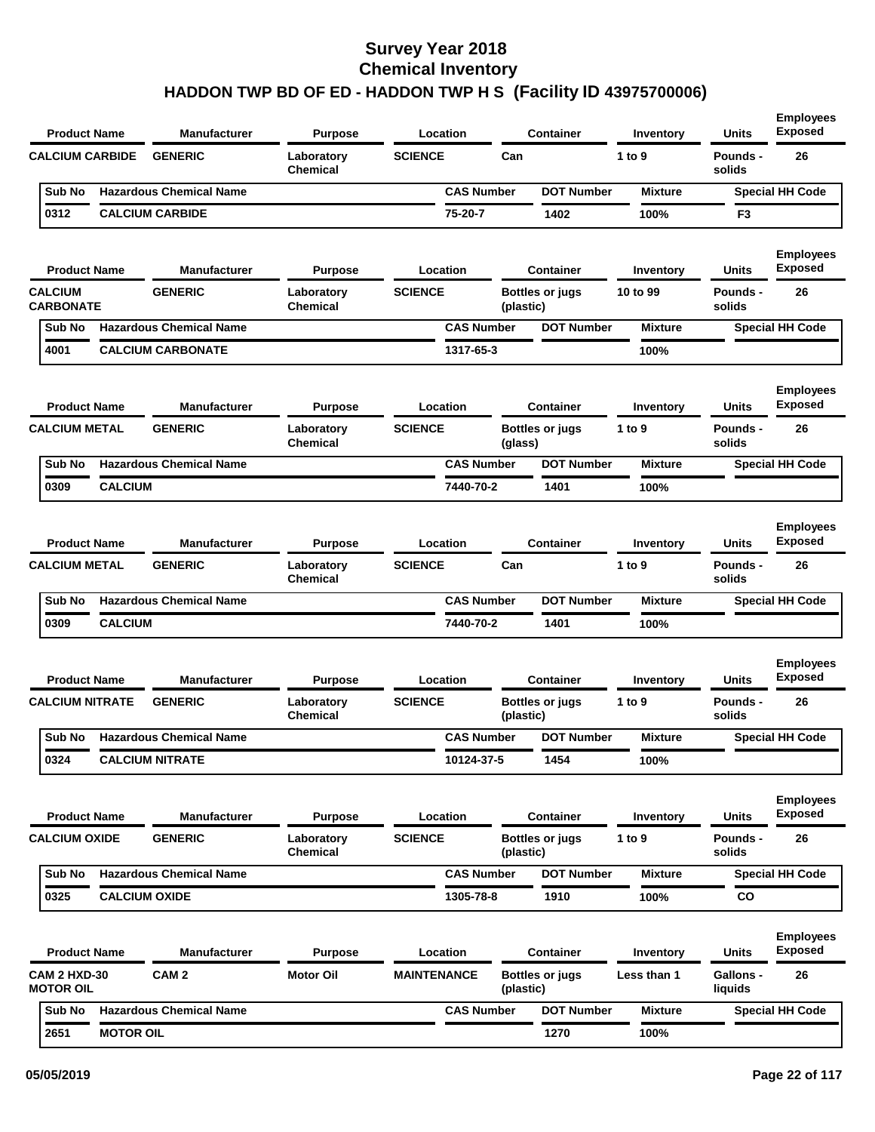| <b>Product Name</b>                     |                  | <b>Manufacturer</b>                   | <b>Purpose</b>                | Location                   |           | <b>Container</b>       | <b>Inventory</b>    | <b>Units</b>                | <b>Employees</b><br><b>Exposed</b>       |
|-----------------------------------------|------------------|---------------------------------------|-------------------------------|----------------------------|-----------|------------------------|---------------------|-----------------------------|------------------------------------------|
| <b>CALCIUM CARBIDE</b>                  |                  | <b>GENERIC</b>                        | Laboratory<br>Chemical        | <b>SCIENCE</b>             | Can       |                        | 1 to 9              | Pounds -<br>solids          | 26                                       |
| Sub No                                  |                  | <b>Hazardous Chemical Name</b>        |                               | <b>CAS Number</b>          |           | <b>DOT Number</b>      | <b>Mixture</b>      |                             | <b>Special HH Code</b>                   |
| 0312                                    |                  | <b>CALCIUM CARBIDE</b>                |                               | 75-20-7                    |           | 1402                   | 100%                | F3                          |                                          |
| <b>Product Name</b>                     |                  | <b>Manufacturer</b>                   | <b>Purpose</b>                | Location                   |           | <b>Container</b>       | Inventory           | <b>Units</b>                | <b>Employees</b><br><b>Exposed</b>       |
| <b>CALCIUM</b>                          |                  | <b>GENERIC</b>                        | Laboratory                    | <b>SCIENCE</b>             |           | Bottles or jugs        | 10 to 99            | Pounds -                    | 26                                       |
| <b>CARBONATE</b>                        |                  |                                       | Chemical                      |                            | (plastic) |                        |                     | solids                      |                                          |
| Sub No                                  |                  | <b>Hazardous Chemical Name</b>        |                               | <b>CAS Number</b>          |           | <b>DOT Number</b>      | <b>Mixture</b>      |                             | <b>Special HH Code</b>                   |
| 4001                                    |                  | <b>CALCIUM CARBONATE</b>              |                               | 1317-65-3                  |           |                        | 100%                |                             |                                          |
| <b>Product Name</b>                     |                  | <b>Manufacturer</b>                   | <b>Purpose</b>                | Location                   |           | <b>Container</b>       | Inventory           | <b>Units</b>                | <b>Employees</b><br><b>Exposed</b>       |
| <b>CALCIUM METAL</b>                    |                  | <b>GENERIC</b>                        | Laboratory<br><b>Chemical</b> | <b>SCIENCE</b>             | (glass)   | Bottles or jugs        | 1 to 9              | Pounds -<br>solids          | 26                                       |
| Sub No                                  |                  | <b>Hazardous Chemical Name</b>        |                               | <b>CAS Number</b>          |           | <b>DOT Number</b>      | <b>Mixture</b>      |                             | <b>Special HH Code</b>                   |
| 0309                                    | <b>CALCIUM</b>   |                                       |                               | 7440-70-2                  |           | 1401                   | 100%                |                             |                                          |
| <b>Product Name</b>                     |                  | <b>Manufacturer</b><br><b>GENERIC</b> | <b>Purpose</b>                | Location<br><b>SCIENCE</b> | Can       | <b>Container</b>       | Inventory<br>1 to 9 | <b>Units</b>                | <b>Employees</b><br><b>Exposed</b><br>26 |
| <b>CALCIUM METAL</b>                    |                  |                                       | Laboratory<br><b>Chemical</b> |                            |           |                        |                     | Pounds -<br>solids          |                                          |
| Sub No                                  |                  | <b>Hazardous Chemical Name</b>        |                               | <b>CAS Number</b>          |           | <b>DOT Number</b>      | <b>Mixture</b>      |                             | <b>Special HH Code</b>                   |
| 0309                                    | <b>CALCIUM</b>   |                                       |                               | 7440-70-2                  |           | 1401                   | 100%                |                             |                                          |
| <b>Product Name</b>                     |                  | <b>Manufacturer</b>                   | <b>Purpose</b>                | Location                   |           | <b>Container</b>       | Inventory           | <b>Units</b>                | <b>Employees</b><br><b>Exposed</b>       |
| <b>CALCIUM NITRATE</b>                  |                  | <b>GENERIC</b>                        | Laboratory<br><b>Chemical</b> | <b>SCIENCE</b>             | (plastic) | <b>Bottles or jugs</b> | 1 to 9              | Pounds -<br>solids          | 26                                       |
| Sub No                                  |                  | <b>Hazardous Chemical Name</b>        |                               | <b>CAS Number</b>          |           | <b>DOT Number</b>      | <b>Mixture</b>      |                             | <b>Special HH Code</b>                   |
| 0324                                    |                  | <b>CALCIUM NITRATE</b>                |                               | 10124-37-5                 |           | 1454                   | 100%                |                             |                                          |
| <b>Product Name</b>                     |                  | <b>Manufacturer</b>                   | <b>Purpose</b>                | Location                   |           | <b>Container</b>       | Inventory           | <b>Units</b>                | <b>Employees</b><br><b>Exposed</b>       |
| <b>CALCIUM OXIDE</b>                    |                  | <b>GENERIC</b>                        | Laboratory<br><b>Chemical</b> | <b>SCIENCE</b>             | (plastic) | <b>Bottles or jugs</b> | 1 to $9$            | Pounds -<br>solids          | 26                                       |
| Sub No                                  |                  | <b>Hazardous Chemical Name</b>        |                               | <b>CAS Number</b>          |           | <b>DOT Number</b>      | <b>Mixture</b>      |                             | <b>Special HH Code</b>                   |
| 0325                                    |                  | <b>CALCIUM OXIDE</b>                  |                               | 1305-78-8                  |           | 1910                   | 100%                | CO                          |                                          |
| <b>Product Name</b>                     |                  | <b>Manufacturer</b>                   | <b>Purpose</b>                | Location                   |           | <b>Container</b>       | Inventory           | <b>Units</b>                | <b>Employees</b><br><b>Exposed</b>       |
| <b>CAM 2 HXD-30</b><br><b>MOTOR OIL</b> |                  | CAM <sub>2</sub>                      | <b>Motor Oil</b>              | <b>MAINTENANCE</b>         | (plastic) | <b>Bottles or jugs</b> | Less than 1         | <b>Gallons -</b><br>liquids | 26                                       |
| Sub No                                  |                  | <b>Hazardous Chemical Name</b>        |                               | <b>CAS Number</b>          |           | <b>DOT Number</b>      | <b>Mixture</b>      |                             | <b>Special HH Code</b>                   |
| 2651                                    | <b>MOTOR OIL</b> |                                       |                               |                            |           | 1270                   | 100%                |                             |                                          |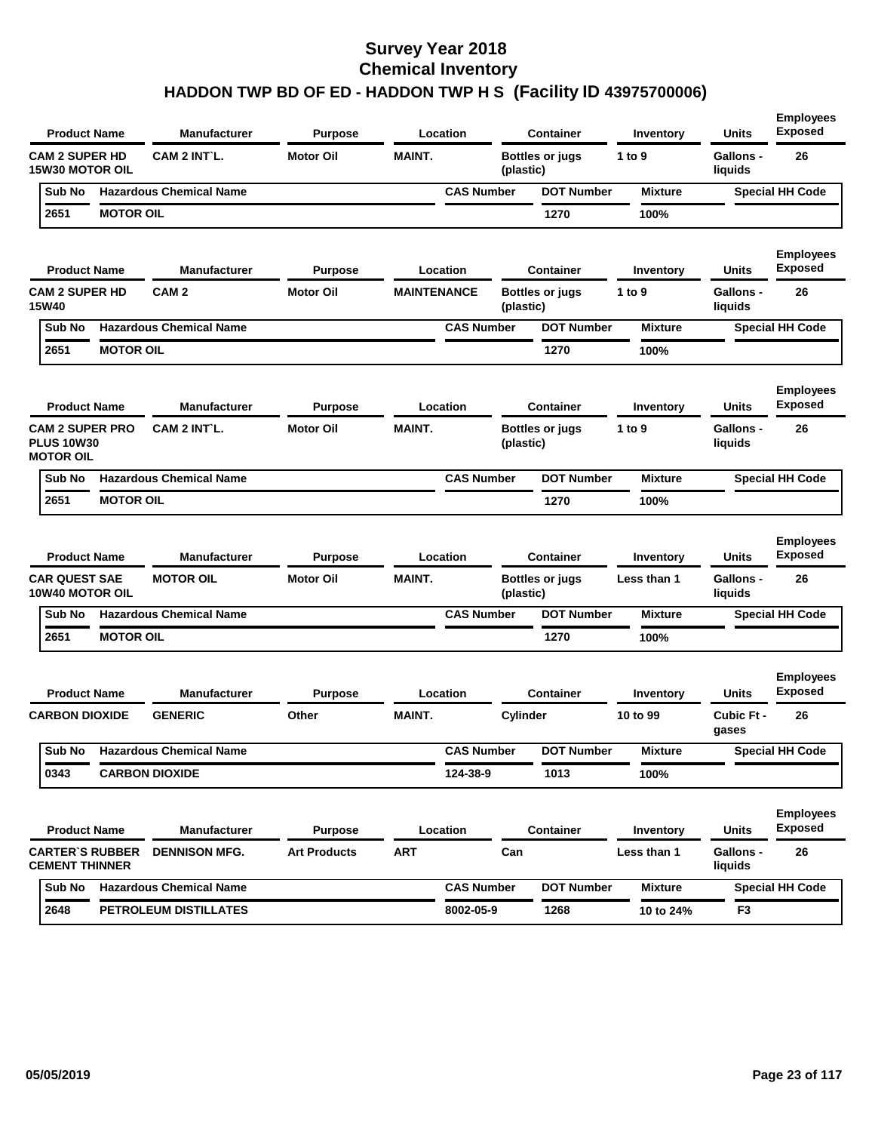| <b>Product Name</b>                                             |                  | Manufacturer                   | Purpose             | Location           |                   | <b>Container</b>       | Inventory      | Units                       | <b>Employees</b><br><b>Exposed</b> |
|-----------------------------------------------------------------|------------------|--------------------------------|---------------------|--------------------|-------------------|------------------------|----------------|-----------------------------|------------------------------------|
| <b>CAM 2 SUPER HD</b><br><b>15W30 MOTOR OIL</b>                 |                  | CAM 2 INT L.                   | <b>Motor Oil</b>    | <b>MAINT.</b>      | (plastic)         | <b>Bottles or jugs</b> | 1 to $9$       | <b>Gallons -</b><br>liquids | 26                                 |
| Sub No                                                          |                  | <b>Hazardous Chemical Name</b> |                     |                    | <b>CAS Number</b> | <b>DOT Number</b>      | <b>Mixture</b> |                             | <b>Special HH Code</b>             |
| 2651                                                            | <b>MOTOR OIL</b> |                                |                     |                    |                   | 1270                   | 100%           |                             |                                    |
| <b>Product Name</b>                                             |                  | <b>Manufacturer</b>            | Purpose             | Location           |                   | <b>Container</b>       | Inventory      | Units                       | <b>Employees</b><br><b>Exposed</b> |
| <b>CAM 2 SUPER HD</b><br>15W40                                  |                  | CAM <sub>2</sub>               | <b>Motor Oil</b>    | <b>MAINTENANCE</b> | (plastic)         | <b>Bottles or jugs</b> | 1 to 9         | <b>Gallons -</b><br>liquids | 26                                 |
| Sub No                                                          |                  | <b>Hazardous Chemical Name</b> |                     |                    | <b>CAS Number</b> | <b>DOT Number</b>      | <b>Mixture</b> |                             | <b>Special HH Code</b>             |
| 2651                                                            | <b>MOTOR OIL</b> |                                |                     |                    |                   | 1270                   | 100%           |                             |                                    |
| <b>Product Name</b>                                             |                  | Manufacturer                   | Purpose             | Location           |                   | <b>Container</b>       | Inventory      | Units                       | <b>Employees</b><br><b>Exposed</b> |
| <b>CAM 2 SUPER PRO</b><br><b>PLUS 10W30</b><br><b>MOTOR OIL</b> |                  | CAM 2 INT L.                   | <b>Motor Oil</b>    | <b>MAINT.</b>      | (plastic)         | <b>Bottles or jugs</b> | 1 to 9         | <b>Gallons -</b><br>liquids | 26                                 |
| Sub No                                                          |                  | <b>Hazardous Chemical Name</b> |                     |                    | <b>CAS Number</b> | <b>DOT Number</b>      | <b>Mixture</b> |                             | <b>Special HH Code</b>             |
| 2651                                                            | <b>MOTOR OIL</b> |                                |                     |                    |                   | 1270                   | 100%           |                             |                                    |
| <b>Product Name</b>                                             |                  | <b>Manufacturer</b>            | Purpose             | Location           |                   | <b>Container</b>       | Inventory      | Units                       | <b>Employees</b><br><b>Exposed</b> |
| <b>CAR QUEST SAE</b><br><b>10W40 MOTOR OIL</b>                  |                  | <b>MOTOR OIL</b>               |                     | <b>MAINT.</b>      |                   | <b>Bottles or jugs</b> | Less than 1    |                             |                                    |
|                                                                 |                  |                                | <b>Motor Oil</b>    |                    | (plastic)         |                        |                | <b>Gallons -</b><br>liquids | 26                                 |
| Sub No                                                          |                  | <b>Hazardous Chemical Name</b> |                     |                    | <b>CAS Number</b> | <b>DOT Number</b>      | <b>Mixture</b> |                             | <b>Special HH Code</b>             |
| 2651                                                            | <b>MOTOR OIL</b> |                                |                     |                    |                   | 1270                   | 100%           |                             |                                    |
| <b>Product Name</b>                                             |                  | Manufacturer                   | Purpose             | Location           |                   | <b>Container</b>       | Inventory      | Units                       | <b>Employees</b><br><b>Exposed</b> |
| <b>CARBON DIOXIDE</b>                                           |                  | <b>GENERIC</b>                 | Other               | <b>MAINT.</b>      | Cylinder          |                        | 10 to 99       | Cubic Ft -<br>gases         | 26                                 |
| Sub No                                                          |                  | <b>Hazardous Chemical Name</b> |                     |                    | <b>CAS Number</b> | <b>DOT Number</b>      | <b>Mixture</b> |                             | <b>Special HH Code</b>             |
| 0343                                                            |                  | <b>CARBON DIOXIDE</b>          |                     | 124-38-9           |                   | 1013                   | 100%           |                             |                                    |
| <b>Product Name</b>                                             |                  | <b>Manufacturer</b>            | <b>Purpose</b>      | Location           |                   | Container              | Inventory      | Units                       | <b>Employees</b><br><b>Exposed</b> |
| <b>CARTER'S RUBBER</b><br><b>CEMENT THINNER</b>                 |                  | <b>DENNISON MFG.</b>           | <b>Art Products</b> | <b>ART</b>         | Can               |                        | Less than 1    | Gallons -<br>liquids        | 26                                 |
| Sub No                                                          |                  | <b>Hazardous Chemical Name</b> |                     |                    | <b>CAS Number</b> | <b>DOT Number</b>      | <b>Mixture</b> |                             | <b>Special HH Code</b>             |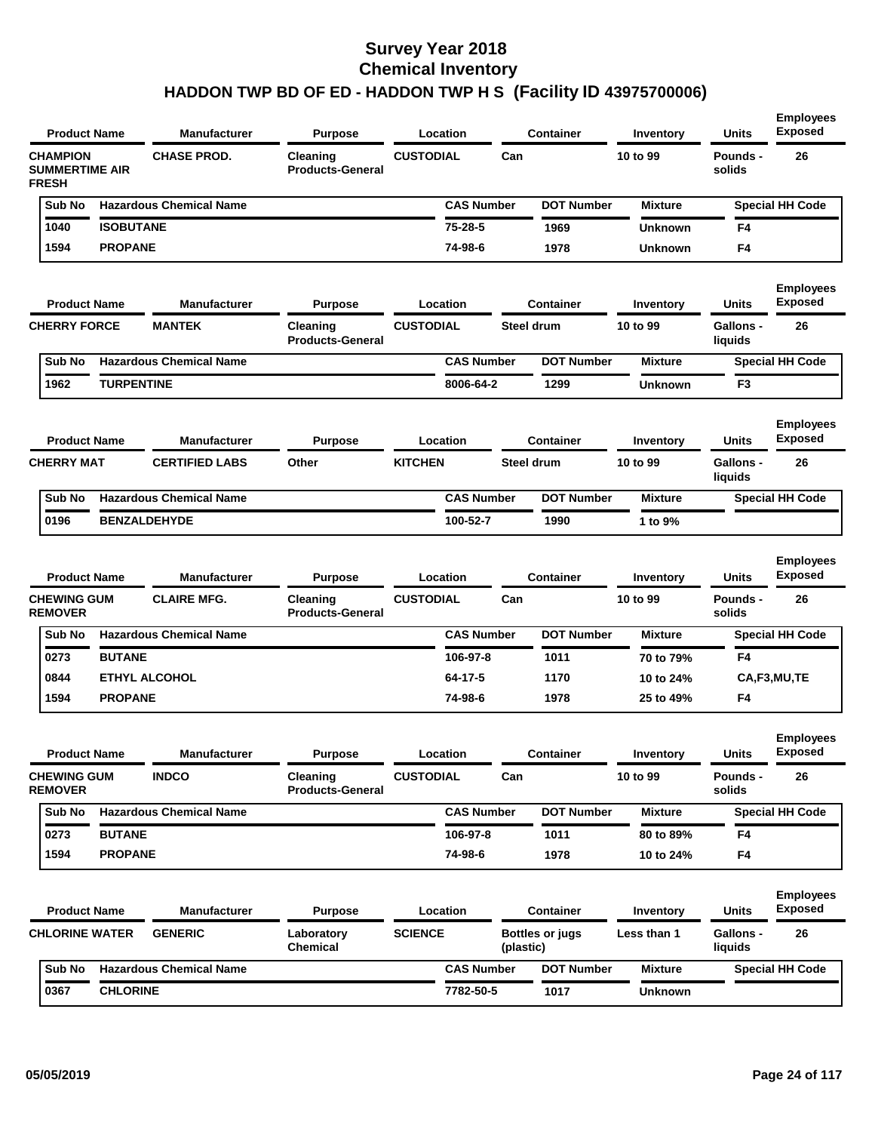| <b>Product Name</b>                                      |                   | <b>Manufacturer</b>            | <b>Purpose</b>                      | Location          |           | <b>Container</b>       | Inventory      | <b>Units</b>                | <b>Employees</b><br><b>Exposed</b> |
|----------------------------------------------------------|-------------------|--------------------------------|-------------------------------------|-------------------|-----------|------------------------|----------------|-----------------------------|------------------------------------|
| <b>CHAMPION</b><br><b>SUMMERTIME AIR</b><br><b>FRESH</b> |                   | <b>CHASE PROD.</b>             | Cleaning<br><b>Products-General</b> | <b>CUSTODIAL</b>  | Can       |                        | 10 to 99       | <b>Pounds -</b><br>solids   | 26                                 |
| Sub No                                                   |                   | <b>Hazardous Chemical Name</b> |                                     | <b>CAS Number</b> |           | <b>DOT Number</b>      | <b>Mixture</b> |                             | <b>Special HH Code</b>             |
| 1040                                                     | <b>ISOBUTANE</b>  |                                |                                     | $75 - 28 - 5$     |           | 1969                   | <b>Unknown</b> | F4                          |                                    |
| 1594                                                     | <b>PROPANE</b>    |                                |                                     | 74-98-6           |           | 1978                   | Unknown        | F4                          |                                    |
| <b>Product Name</b>                                      |                   | <b>Manufacturer</b>            | <b>Purpose</b>                      | Location          |           | Container              | Inventory      | <b>Units</b>                | <b>Employees</b><br><b>Exposed</b> |
| <b>CHERRY FORCE</b>                                      |                   | <b>MANTEK</b>                  | Cleaning<br><b>Products-General</b> | <b>CUSTODIAL</b>  |           | Steel drum             | 10 to 99       | <b>Gallons -</b><br>liquids | 26                                 |
| Sub No                                                   |                   | <b>Hazardous Chemical Name</b> |                                     | <b>CAS Number</b> |           | <b>DOT Number</b>      | <b>Mixture</b> |                             | <b>Special HH Code</b>             |
| 1962                                                     | <b>TURPENTINE</b> |                                |                                     | 8006-64-2         |           | 1299                   | <b>Unknown</b> | F <sub>3</sub>              |                                    |
| <b>Product Name</b>                                      |                   | <b>Manufacturer</b>            | <b>Purpose</b>                      | Location          |           | <b>Container</b>       | Inventory      | <b>Units</b>                | <b>Employees</b><br><b>Exposed</b> |
| <b>CHERRY MAT</b>                                        |                   | <b>CERTIFIED LABS</b>          | Other                               | <b>KITCHEN</b>    |           | Steel drum             | 10 to 99       | <b>Gallons -</b><br>liquids | 26                                 |
| Sub No                                                   |                   | <b>Hazardous Chemical Name</b> |                                     | <b>CAS Number</b> |           | <b>DOT Number</b>      | <b>Mixture</b> |                             | <b>Special HH Code</b>             |
| 0196                                                     |                   | <b>BENZALDEHYDE</b>            |                                     | 100-52-7          |           | 1990                   | 1 to 9%        |                             |                                    |
| <b>Product Name</b>                                      |                   | <b>Manufacturer</b>            | <b>Purpose</b>                      | Location          |           | <b>Container</b>       | Inventory      | <b>Units</b>                | <b>Employees</b><br><b>Exposed</b> |
| <b>CHEWING GUM</b><br><b>REMOVER</b>                     |                   | <b>CLAIRE MFG.</b>             | Cleaning<br><b>Products-General</b> | <b>CUSTODIAL</b>  | Can       |                        | 10 to 99       | <b>Pounds -</b><br>solids   | 26                                 |
| Sub No                                                   |                   | <b>Hazardous Chemical Name</b> |                                     | <b>CAS Number</b> |           | <b>DOT Number</b>      | <b>Mixture</b> |                             | <b>Special HH Code</b>             |
| 0273                                                     | <b>BUTANE</b>     |                                |                                     | 106-97-8          |           | 1011                   | 70 to 79%      | F4                          |                                    |
| 0844                                                     |                   | <b>ETHYL ALCOHOL</b>           |                                     | 64-17-5           |           | 1170                   | 10 to 24%      |                             | CA,F3,MU,TE                        |
| 1594                                                     | <b>PROPANE</b>    |                                |                                     | 74-98-6           |           | 1978                   | 25 to 49%      | F <sub>4</sub>              |                                    |
| <b>Product Name</b>                                      |                   | Manufacturer                   | <b>Purpose</b>                      | Location          |           | Container              | Inventory      | Units                       | <b>Employees</b><br>Exposea        |
| <b>CHEWING GUM</b><br><b>REMOVER</b>                     |                   | <b>INDCO</b>                   | Cleaning<br><b>Products-General</b> | <b>CUSTODIAL</b>  | Can       |                        | 10 to 99       | Pounds -<br>solids          | 26                                 |
| Sub No                                                   |                   | <b>Hazardous Chemical Name</b> |                                     | <b>CAS Number</b> |           | <b>DOT Number</b>      | <b>Mixture</b> |                             | <b>Special HH Code</b>             |
| 0273                                                     | <b>BUTANE</b>     |                                |                                     | 106-97-8          |           | 1011                   | 80 to 89%      | F4                          |                                    |
| 1594                                                     | <b>PROPANE</b>    |                                |                                     | 74-98-6           |           | 1978                   | 10 to 24%      | F4                          |                                    |
| <b>Product Name</b>                                      |                   | <b>Manufacturer</b>            | <b>Purpose</b>                      | Location          |           | <b>Container</b>       | Inventory      | Units                       | <b>Employees</b><br><b>Exposed</b> |
| <b>CHLORINE WATER</b>                                    |                   | <b>GENERIC</b>                 | Laboratory                          | <b>SCIENCE</b>    |           | <b>Bottles or jugs</b> | Less than 1    | Gallons -                   | 26                                 |
|                                                          |                   |                                | <b>Chemical</b>                     |                   | (plastic) |                        |                | liquids                     |                                    |
| Sub No                                                   |                   | <b>Hazardous Chemical Name</b> |                                     | <b>CAS Number</b> |           | <b>DOT Number</b>      | <b>Mixture</b> |                             | <b>Special HH Code</b>             |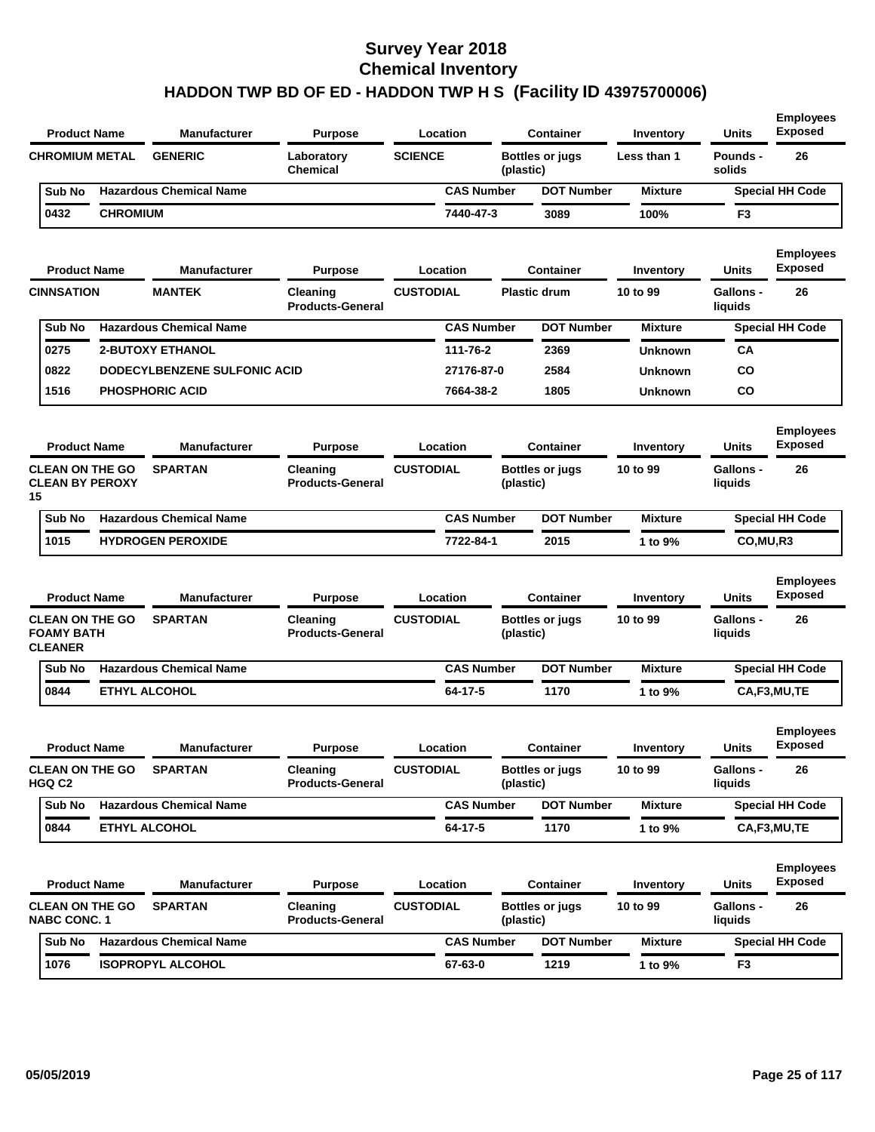|                                                               | <b>Product Name</b> | <b>Manufacturer</b>            | <b>Purpose</b>                      | Location          |           | <b>Container</b>       | Inventory        | <b>Units</b>                | <b>Employees</b><br><b>Exposed</b> |
|---------------------------------------------------------------|---------------------|--------------------------------|-------------------------------------|-------------------|-----------|------------------------|------------------|-----------------------------|------------------------------------|
| <b>CHROMIUM METAL</b>                                         |                     | <b>GENERIC</b>                 | Laboratory<br><b>Chemical</b>       | <b>SCIENCE</b>    | (plastic) | <b>Bottles or jugs</b> | Less than 1      | Pounds -<br>solids          | 26                                 |
| Sub No                                                        |                     | <b>Hazardous Chemical Name</b> |                                     | <b>CAS Number</b> |           | <b>DOT Number</b>      | <b>Mixture</b>   |                             | <b>Special HH Code</b>             |
| 0432                                                          | <b>CHROMIUM</b>     |                                |                                     | 7440-47-3         |           | 3089                   | 100%             | F <sub>3</sub>              |                                    |
|                                                               | <b>Product Name</b> | <b>Manufacturer</b>            | <b>Purpose</b>                      | Location          |           | <b>Container</b>       | Inventory        | <b>Units</b>                | <b>Employees</b><br><b>Exposed</b> |
| <b>CINNSATION</b>                                             |                     | <b>MANTEK</b>                  | Cleaning<br><b>Products-General</b> | <b>CUSTODIAL</b>  |           | <b>Plastic drum</b>    | 10 to 99         | <b>Gallons -</b><br>liquids | 26                                 |
| Sub No                                                        |                     | <b>Hazardous Chemical Name</b> |                                     | <b>CAS Number</b> |           | <b>DOT Number</b>      | <b>Mixture</b>   |                             | <b>Special HH Code</b>             |
| 0275                                                          |                     | <b>2-BUTOXY ETHANOL</b>        |                                     | 111-76-2          |           | 2369                   | <b>Unknown</b>   | CА                          |                                    |
| 0822                                                          |                     | DODECYLBENZENE SULFONIC ACID   |                                     | 27176-87-0        |           | 2584                   | <b>Unknown</b>   | co                          |                                    |
| 1516                                                          |                     | <b>PHOSPHORIC ACID</b>         |                                     | 7664-38-2         |           | 1805                   | <b>Unknown</b>   | CO                          |                                    |
|                                                               | <b>Product Name</b> | <b>Manufacturer</b>            | <b>Purpose</b>                      | Location          |           | <b>Container</b>       | Inventory        | Units                       | <b>Employees</b><br><b>Exposed</b> |
| <b>CLEAN ON THE GO</b><br><b>CLEAN BY PEROXY</b><br>15        |                     | <b>SPARTAN</b>                 | Cleaning<br><b>Products-General</b> | <b>CUSTODIAL</b>  | (plastic) | <b>Bottles or jugs</b> | 10 to 99         | Gallons -<br>liquids        | 26                                 |
| Sub No                                                        |                     | <b>Hazardous Chemical Name</b> |                                     | <b>CAS Number</b> |           | <b>DOT Number</b>      | <b>Mixture</b>   |                             | <b>Special HH Code</b>             |
| 1015                                                          |                     | <b>HYDROGEN PEROXIDE</b>       |                                     | 7722-84-1         |           | 2015                   | 1 to 9%          | CO,MU,R3                    |                                    |
|                                                               | <b>Product Name</b> | <b>Manufacturer</b>            | <b>Purpose</b>                      | Location          |           | <b>Container</b>       | <b>Inventory</b> | Units                       | <b>Employees</b><br><b>Exposed</b> |
| <b>CLEAN ON THE GO</b><br><b>FOAMY BATH</b><br><b>CLEANER</b> |                     | <b>SPARTAN</b>                 | Cleaning<br><b>Products-General</b> | <b>CUSTODIAL</b>  | (plastic) | <b>Bottles or jugs</b> | 10 to 99         | <b>Gallons -</b><br>liquids | 26                                 |
| Sub No                                                        |                     | <b>Hazardous Chemical Name</b> |                                     | <b>CAS Number</b> |           | <b>DOT Number</b>      | <b>Mixture</b>   |                             | <b>Special HH Code</b>             |
| 0844                                                          |                     | <b>ETHYL ALCOHOL</b>           |                                     | 64-17-5           |           | 1170                   | 1 to 9%          |                             | CA,F3,MU,TE                        |
|                                                               | <b>Product Name</b> | <b>Manufacturer</b>            | <b>Purpose</b>                      | Location          |           | <b>Container</b>       | Inventory        | <b>Units</b>                | <b>Employees</b><br><b>Exposed</b> |
| <b>CLEAN ON THE GO</b><br>HGQ C2                              |                     | <b>SPARTAN</b>                 | Cleaning<br><b>Products-General</b> | <b>CUSTODIAL</b>  | (plastic) | <b>Bottles or jugs</b> | 10 to 99         | <b>Gallons -</b><br>liquids | 26                                 |
| Sub No                                                        |                     | <b>Hazardous Chemical Name</b> |                                     | <b>CAS Number</b> |           | <b>DOT Number</b>      | <b>Mixture</b>   |                             | <b>Special HH Code</b>             |
| 0844                                                          |                     | <b>ETHYL ALCOHOL</b>           |                                     | 64-17-5           |           | 1170                   | 1 to 9%          |                             | CA,F3,MU,TE                        |
|                                                               | <b>Product Name</b> | <b>Manufacturer</b>            | <b>Purpose</b>                      | Location          |           | <b>Container</b>       | Inventory        | Units                       | <b>Employees</b><br><b>Exposed</b> |
| <b>CLEAN ON THE GO</b><br><b>NABC CONC. 1</b>                 |                     | <b>SPARTAN</b>                 | Cleaning<br><b>Products-General</b> | <b>CUSTODIAL</b>  | (plastic) | <b>Bottles or jugs</b> | 10 to 99         | Gallons -<br>liquids        | 26                                 |
| Sub No                                                        |                     | <b>Hazardous Chemical Name</b> |                                     | <b>CAS Number</b> |           | <b>DOT Number</b>      | <b>Mixture</b>   |                             | <b>Special HH Code</b>             |
| 1076                                                          |                     | <b>ISOPROPYL ALCOHOL</b>       |                                     | 67-63-0           |           | 1219                   | 1 to 9%          | F3                          |                                    |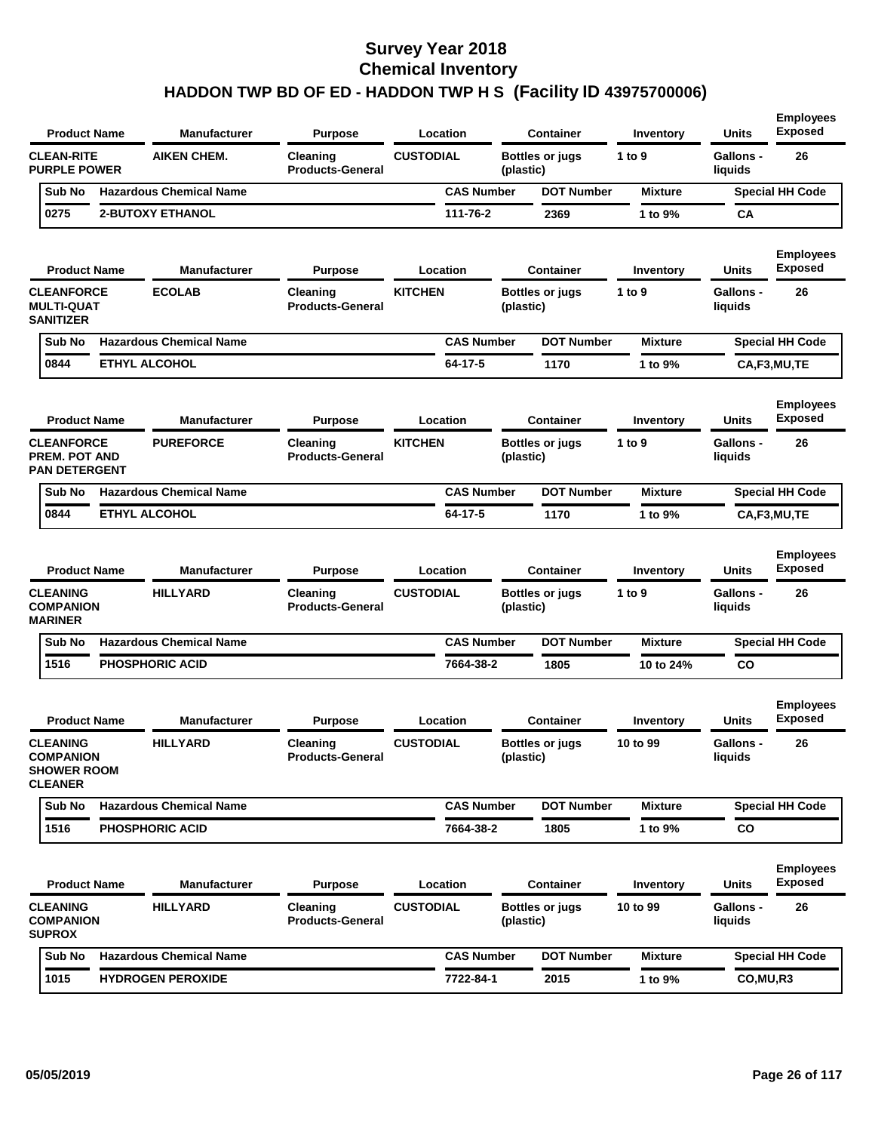| <b>Product Name</b>                                                         | <b>Manufacturer</b>             | <b>Purpose</b>                      | Location                     |           | <b>Container</b>       | Inventory             | <b>Units</b>                     | <b>Employees</b><br><b>Exposed</b>       |
|-----------------------------------------------------------------------------|---------------------------------|-------------------------------------|------------------------------|-----------|------------------------|-----------------------|----------------------------------|------------------------------------------|
| <b>CLEAN-RITE</b><br><b>PURPLE POWER</b>                                    | <b>AIKEN CHEM.</b>              | Cleaning<br><b>Products-General</b> | <b>CUSTODIAL</b>             | (plastic) | <b>Bottles or jugs</b> | 1 to 9                | <b>Gallons -</b><br>liquids      | 26                                       |
| Sub No                                                                      | <b>Hazardous Chemical Name</b>  |                                     | <b>CAS Number</b>            |           | <b>DOT Number</b>      | <b>Mixture</b>        |                                  | <b>Special HH Code</b>                   |
| 0275                                                                        | <b>2-BUTOXY ETHANOL</b>         |                                     | 111-76-2                     |           | 2369                   | 1 to 9%               | CA                               |                                          |
| <b>Product Name</b>                                                         | <b>Manufacturer</b>             | <b>Purpose</b>                      | Location                     |           | <b>Container</b>       | Inventory             | <b>Units</b>                     | <b>Employees</b><br><b>Exposed</b>       |
| <b>CLEANFORCE</b><br><b>MULTI-QUAT</b><br><b>SANITIZER</b>                  | <b>ECOLAB</b>                   | Cleaning<br><b>Products-General</b> | <b>KITCHEN</b>               | (plastic) | Bottles or jugs        | 1 to 9                | <b>Gallons -</b><br>liquids      | 26                                       |
| Sub No                                                                      | <b>Hazardous Chemical Name</b>  |                                     | <b>CAS Number</b>            |           | <b>DOT Number</b>      | <b>Mixture</b>        |                                  | <b>Special HH Code</b>                   |
| 0844                                                                        | <b>ETHYL ALCOHOL</b>            |                                     | $64 - 17 - 5$                |           | 1170                   | 1 to 9%               |                                  | CA,F3,MU,TE                              |
| <b>Product Name</b>                                                         | <b>Manufacturer</b>             | <b>Purpose</b>                      | Location                     |           | <b>Container</b>       | Inventory             | <b>Units</b>                     | <b>Employees</b><br><b>Exposed</b>       |
| <b>CLEANFORCE</b><br><b>PREM. POT AND</b><br><b>PAN DETERGENT</b>           | <b>PUREFORCE</b>                | Cleaning<br><b>Products-General</b> | <b>KITCHEN</b>               | (plastic) | <b>Bottles or jugs</b> | 1 to 9                | Gallons -<br>liquids             | 26                                       |
| Sub No                                                                      | <b>Hazardous Chemical Name</b>  |                                     | <b>CAS Number</b>            |           | <b>DOT Number</b>      | <b>Mixture</b>        |                                  | <b>Special HH Code</b>                   |
| 0844                                                                        | <b>ETHYL ALCOHOL</b>            |                                     | 64-17-5                      |           | 1170                   | 1 to 9%               |                                  | CA,F3,MU,TE                              |
| <b>Product Name</b><br><b>CLEANING</b>                                      | Manufacturer<br><b>HILLYARD</b> | <b>Purpose</b>                      | Location<br><b>CUSTODIAL</b> |           | <b>Container</b>       | Inventory<br>1 to $9$ | <b>Units</b><br><b>Gallons -</b> | <b>Employees</b><br><b>Exposed</b><br>26 |
| <b>COMPANION</b><br><b>MARINER</b>                                          |                                 | Cleaning<br><b>Products-General</b> |                              | (plastic) | Bottles or jugs        |                       | liquids                          |                                          |
| Sub No                                                                      | <b>Hazardous Chemical Name</b>  |                                     | <b>CAS Number</b>            |           | <b>DOT Number</b>      | <b>Mixture</b>        |                                  | <b>Special HH Code</b>                   |
| 1516                                                                        | <b>PHOSPHORIC ACID</b>          |                                     | 7664-38-2                    |           | 1805                   | 10 to 24%             | <b>CO</b>                        |                                          |
| <b>Product Name</b>                                                         | <b>Manufacturer</b>             | <b>Purpose</b>                      | Location                     |           | <b>Container</b>       | Inventory             | <b>Units</b>                     | <b>Employees</b><br><b>Exposed</b>       |
| <b>CLEANING</b><br><b>COMPANION</b><br><b>SHOWER ROOM</b><br><b>CLEANER</b> | <b>HILLYARD</b>                 | Cleaning<br><b>Products-General</b> | <b>CUSTODIAL</b>             | (plastic) | <b>Bottles or jugs</b> | 10 to 99              | <b>Gallons -</b><br>liquids      | 26                                       |
| Sub No                                                                      | <b>Hazardous Chemical Name</b>  |                                     | <b>CAS Number</b>            |           | <b>DOT Number</b>      | <b>Mixture</b>        |                                  | <b>Special HH Code</b>                   |
| 1516                                                                        | PHOSPHORIC ACID                 |                                     | 7664-38-2                    |           | 1805                   | 1 to 9%               | <b>CO</b>                        |                                          |
| <b>Product Name</b>                                                         | Manufacturer                    | <b>Purpose</b>                      | Location                     |           | <b>Container</b>       | Inventory             | <b>Units</b>                     | <b>Employees</b><br><b>Exposed</b>       |
| <b>CLEANING</b><br><b>COMPANION</b><br><b>SUPROX</b>                        | <b>HILLYARD</b>                 | Cleaning<br><b>Products-General</b> | <b>CUSTODIAL</b>             | (plastic) | <b>Bottles or jugs</b> | 10 to 99              | <b>Gallons -</b><br>liquids      | 26                                       |
| Sub No                                                                      | <b>Hazardous Chemical Name</b>  |                                     | <b>CAS Number</b>            |           | <b>DOT Number</b>      | <b>Mixture</b>        |                                  | <b>Special HH Code</b>                   |
| 1015                                                                        | <b>HYDROGEN PEROXIDE</b>        |                                     | 7722-84-1                    |           | 2015                   | 1 to 9%               | CO,MU,R3                         |                                          |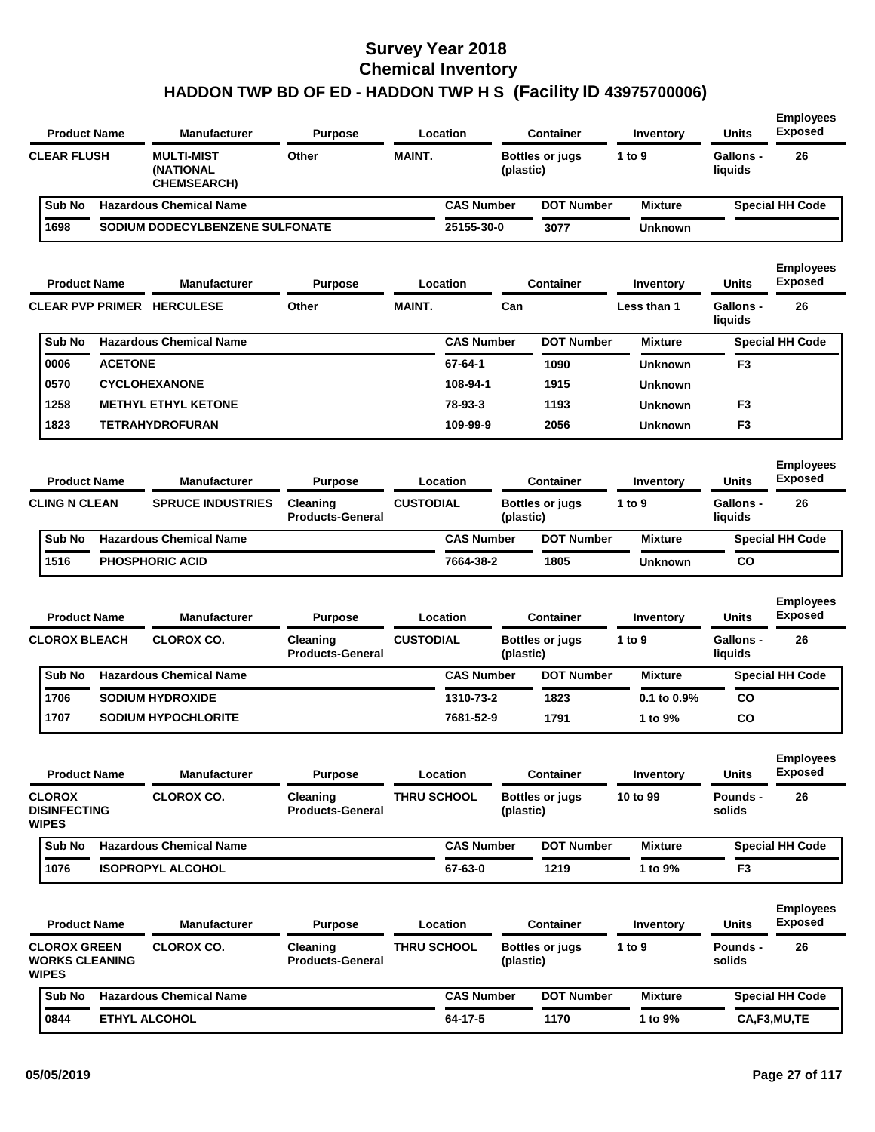| <b>Product Name</b>                                         | <b>Manufacturer</b>                                  | <b>Purpose</b>                                        |                    | Location          |           | <b>Container</b>                           | <b>Inventory</b>      | Units                                       | <b>Exposed</b>                           |
|-------------------------------------------------------------|------------------------------------------------------|-------------------------------------------------------|--------------------|-------------------|-----------|--------------------------------------------|-----------------------|---------------------------------------------|------------------------------------------|
| <b>CLEAR FLUSH</b>                                          | <b>MULTI-MIST</b><br>(NATIONAL<br><b>CHEMSEARCH)</b> | Other                                                 | <b>MAINT.</b>      |                   | (plastic) | <b>Bottles or jugs</b>                     | 1 to 9                | <b>Gallons -</b><br>liquids                 | 26                                       |
| Sub No                                                      | <b>Hazardous Chemical Name</b>                       |                                                       |                    | <b>CAS Number</b> |           | <b>DOT Number</b>                          | <b>Mixture</b>        |                                             | <b>Special HH Code</b>                   |
| 1698                                                        | SODIUM DODECYLBENZENE SULFONATE                      |                                                       |                    | 25155-30-0        |           | 3077                                       | <b>Unknown</b>        |                                             |                                          |
| <b>Product Name</b>                                         | <b>Manufacturer</b>                                  | <b>Purpose</b>                                        |                    | Location          |           | <b>Container</b>                           | Inventory             | <b>Units</b>                                | <b>Employees</b><br><b>Exposed</b>       |
| <b>CLEAR PVP PRIMER</b>                                     | <b>HERCULESE</b>                                     | Other                                                 | <b>MAINT.</b>      |                   | Can       |                                            | Less than 1           | <b>Gallons -</b><br>liquids                 | 26                                       |
| Sub No                                                      | <b>Hazardous Chemical Name</b>                       |                                                       |                    | <b>CAS Number</b> |           | <b>DOT Number</b>                          | <b>Mixture</b>        |                                             | <b>Special HH Code</b>                   |
| 0006<br><b>ACETONE</b>                                      |                                                      |                                                       |                    | 67-64-1           |           | 1090                                       | <b>Unknown</b>        | F3                                          |                                          |
| 0570                                                        | <b>CYCLOHEXANONE</b>                                 |                                                       |                    | 108-94-1          |           | 1915                                       | <b>Unknown</b>        |                                             |                                          |
| 1258                                                        | <b>METHYL ETHYL KETONE</b>                           |                                                       |                    | 78-93-3           |           | 1193                                       | <b>Unknown</b>        | F <sub>3</sub>                              |                                          |
| 1823                                                        | <b>TETRAHYDROFURAN</b>                               |                                                       |                    | 109-99-9          |           | 2056                                       | <b>Unknown</b>        | F3                                          |                                          |
| <b>Product Name</b>                                         | <b>Manufacturer</b>                                  | <b>Purpose</b>                                        |                    | Location          |           | Container                                  | Inventory             | <b>Units</b>                                | <b>Employees</b><br><b>Exposed</b>       |
| <b>CLING N CLEAN</b>                                        | <b>SPRUCE INDUSTRIES</b>                             | Cleaning<br><b>Products-General</b>                   | <b>CUSTODIAL</b>   |                   | (plastic) | <b>Bottles or jugs</b>                     | 1 to 9                | <b>Gallons -</b><br>liquids                 | 26                                       |
| Sub No                                                      | <b>Hazardous Chemical Name</b>                       |                                                       |                    | <b>CAS Number</b> |           | <b>DOT Number</b>                          | <b>Mixture</b>        |                                             | <b>Special HH Code</b>                   |
| 1516                                                        | <b>PHOSPHORIC ACID</b>                               |                                                       |                    | 7664-38-2         |           | 1805                                       | <b>Unknown</b>        | CO                                          |                                          |
| <b>Product Name</b><br><b>CLOROX BLEACH</b>                 | <b>Manufacturer</b><br><b>CLOROX CO.</b>             | <b>Purpose</b><br>Cleaning<br><b>Products-General</b> | <b>CUSTODIAL</b>   | Location          | (plastic) | <b>Container</b><br><b>Bottles or jugs</b> | Inventory<br>1 to 9   | <b>Units</b><br><b>Gallons -</b><br>liquids | <b>Employees</b><br><b>Exposed</b><br>26 |
| Sub No                                                      | <b>Hazardous Chemical Name</b>                       |                                                       |                    | <b>CAS Number</b> |           | <b>DOT Number</b>                          | <b>Mixture</b>        |                                             | <b>Special HH Code</b>                   |
| 1706                                                        | <b>SODIUM HYDROXIDE</b>                              |                                                       |                    | 1310-73-2         |           | 1823                                       | 0.1 to 0.9%           | CO                                          |                                          |
| 1707                                                        | <b>SODIUM HYPOCHLORITE</b>                           |                                                       |                    | 7681-52-9         |           | 1791                                       | 1 to 9%               | CO                                          |                                          |
| <b>Product Name</b><br><b>CLOROX</b><br><b>DISINFECTING</b> | <b>Manufacturer</b><br><b>CLOROX CO.</b>             | <b>Purpose</b><br>Cleaning                            | <b>THRU SCHOOL</b> | Location          |           | <b>Container</b><br><b>Bottles or jugs</b> | Inventory<br>10 to 99 | <b>Units</b><br>Pounds -                    | <b>Employees</b><br><b>Exposed</b><br>26 |
| <b>WIPES</b>                                                |                                                      | <b>Products-General</b>                               |                    |                   | (plastic) |                                            |                       | solids                                      |                                          |
| Sub No                                                      | <b>Hazardous Chemical Name</b>                       |                                                       |                    | <b>CAS Number</b> |           | <b>DOT Number</b>                          | <b>Mixture</b>        |                                             | <b>Special HH Code</b>                   |
| 1076                                                        | <b>ISOPROPYL ALCOHOL</b>                             |                                                       |                    | 67-63-0           |           | 1219                                       | 1 to 9%               | F <sub>3</sub>                              |                                          |
| <b>Product Name</b><br><b>CLOROX GREEN</b>                  | <b>Manufacturer</b><br><b>CLOROX CO.</b>             | <b>Purpose</b><br>Cleaning                            | <b>THRU SCHOOL</b> | Location          |           | <b>Container</b><br><b>Bottles or jugs</b> | Inventory<br>1 to 9   | Units<br>Pounds -                           | <b>Employees</b><br><b>Exposed</b><br>26 |
| <b>WORKS CLEANING</b><br><b>WIPES</b>                       |                                                      | <b>Products-General</b>                               |                    |                   | (plastic) |                                            |                       | solids                                      |                                          |
| Sub No                                                      | <b>Hazardous Chemical Name</b>                       |                                                       |                    | <b>CAS Number</b> |           | <b>DOT Number</b>                          | <b>Mixture</b>        |                                             | <b>Special HH Code</b>                   |
| 0844                                                        | ETHYL ALCOHOL                                        |                                                       |                    | 64-17-5           |           | 1170                                       | 1 to 9%               |                                             | CA,F3,MU,TE                              |
|                                                             |                                                      |                                                       |                    |                   |           |                                            |                       |                                             |                                          |

**Employees**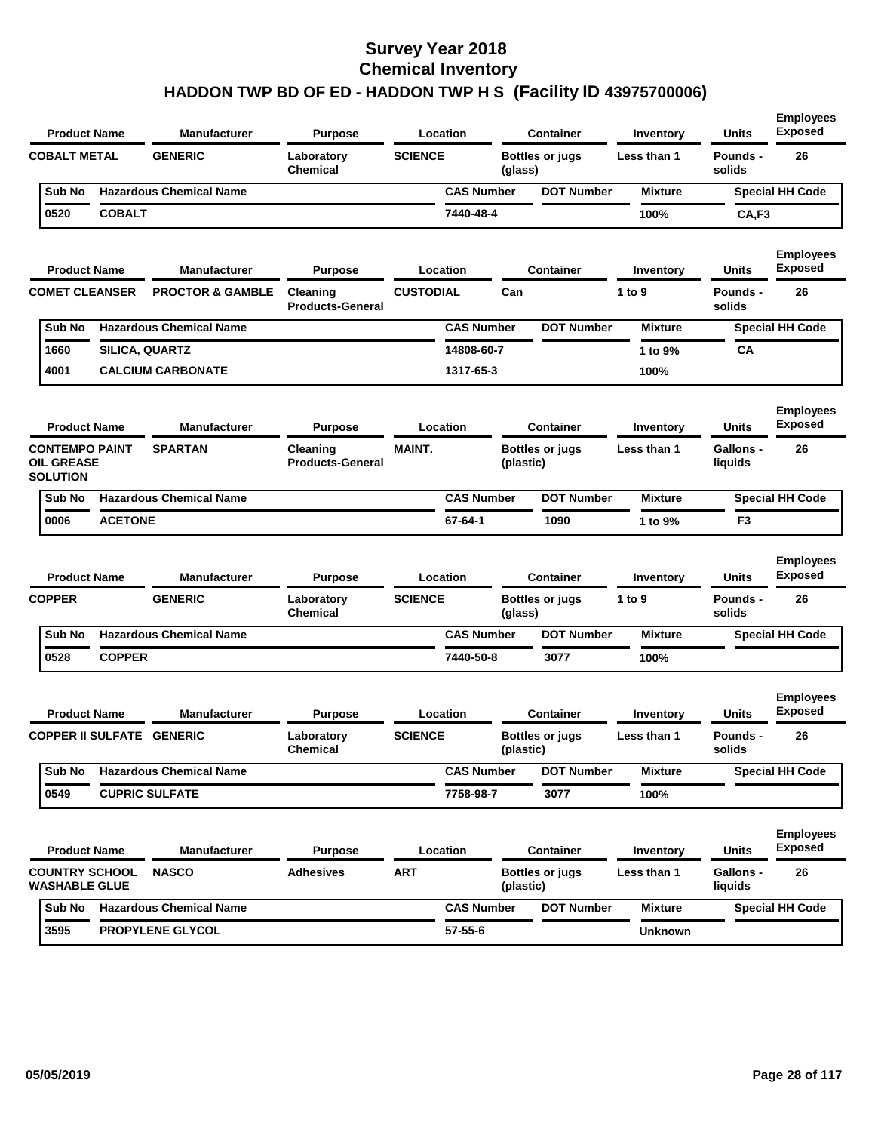| <b>Product Name</b>                                           |                                  | <b>Manufacturer</b>            | <b>Purpose</b>                      |                  | Location          |           | <b>Container</b>       | Inventory      | <b>Units</b>                | <b>Employees</b><br><b>Exposed</b> |
|---------------------------------------------------------------|----------------------------------|--------------------------------|-------------------------------------|------------------|-------------------|-----------|------------------------|----------------|-----------------------------|------------------------------------|
| <b>COBALT METAL</b>                                           |                                  | <b>GENERIC</b>                 | Laboratory<br><b>Chemical</b>       | <b>SCIENCE</b>   |                   | (glass)   | <b>Bottles or jugs</b> | Less than 1    | Pounds -<br>solids          | 26                                 |
| Sub No                                                        |                                  | <b>Hazardous Chemical Name</b> |                                     |                  | <b>CAS Number</b> |           | <b>DOT Number</b>      | <b>Mixture</b> |                             | <b>Special HH Code</b>             |
| 0520                                                          | <b>COBALT</b>                    |                                |                                     |                  | 7440-48-4         |           |                        | 100%           | CA,F3                       |                                    |
| <b>Product Name</b>                                           |                                  | <b>Manufacturer</b>            | <b>Purpose</b>                      |                  | Location          |           | Container              | Inventory      | Units                       | <b>Employees</b><br><b>Exposed</b> |
| <b>COMET CLEANSER</b>                                         |                                  | <b>PROCTOR &amp; GAMBLE</b>    | Cleaning<br><b>Products-General</b> | <b>CUSTODIAL</b> |                   | Can       |                        | 1 to 9         | Pounds -<br>solids          | 26                                 |
| Sub No                                                        |                                  | <b>Hazardous Chemical Name</b> |                                     |                  | <b>CAS Number</b> |           | <b>DOT Number</b>      | <b>Mixture</b> |                             | <b>Special HH Code</b>             |
| 1660                                                          | SILICA, QUARTZ                   |                                |                                     |                  | 14808-60-7        |           |                        | 1 to 9%        | СA                          |                                    |
| 4001                                                          |                                  | <b>CALCIUM CARBONATE</b>       |                                     |                  | 1317-65-3         |           |                        | 100%           |                             |                                    |
| <b>Product Name</b>                                           |                                  | <b>Manufacturer</b>            | <b>Purpose</b>                      |                  | Location          |           | <b>Container</b>       | Inventory      | <b>Units</b>                | <b>Employees</b><br><b>Exposed</b> |
| <b>CONTEMPO PAINT</b><br><b>OIL GREASE</b><br><b>SOLUTION</b> |                                  | <b>SPARTAN</b>                 | Cleaning<br><b>Products-General</b> | <b>MAINT.</b>    |                   | (plastic) | <b>Bottles or jugs</b> | Less than 1    | <b>Gallons -</b><br>liquids | 26                                 |
| Sub No                                                        |                                  | <b>Hazardous Chemical Name</b> |                                     |                  | <b>CAS Number</b> |           | <b>DOT Number</b>      | <b>Mixture</b> |                             | <b>Special HH Code</b>             |
| 0006                                                          | <b>ACETONE</b>                   |                                |                                     |                  | 67-64-1           |           | 1090                   | 1 to 9%        | F <sub>3</sub>              |                                    |
| <b>Product Name</b>                                           |                                  | <b>Manufacturer</b>            | <b>Purpose</b>                      |                  | Location          |           | <b>Container</b>       | Inventory      | <b>Units</b>                | <b>Employees</b><br><b>Exposed</b> |
| <b>COPPER</b>                                                 |                                  | <b>GENERIC</b>                 | Laboratory<br><b>Chemical</b>       | <b>SCIENCE</b>   |                   | (glass)   | <b>Bottles or jugs</b> | 1 to 9         | <b>Pounds -</b><br>solids   | 26                                 |
| Sub No                                                        |                                  | <b>Hazardous Chemical Name</b> |                                     |                  | <b>CAS Number</b> |           | <b>DOT Number</b>      | <b>Mixture</b> |                             | <b>Special HH Code</b>             |
| 0528                                                          | <b>COPPER</b>                    |                                |                                     |                  | 7440-50-8         |           | 3077                   | 100%           |                             |                                    |
| <b>Product Name</b>                                           |                                  | <b>Manufacturer</b>            | <b>Purpose</b>                      |                  | Location          |           | Container              | Inventory      | Units                       | <b>Employees</b><br><b>Exposed</b> |
|                                                               | <b>COPPER II SULFATE GENERIC</b> |                                | Laboratory<br>Chemical              | <b>SCIENCE</b>   |                   | (plastic) | <b>Bottles or jugs</b> | Less than 1    | <b>Pounds -</b><br>solids   | 26                                 |
| Sub No                                                        |                                  | <b>Hazardous Chemical Name</b> |                                     |                  | <b>CAS Number</b> |           | <b>DOT Number</b>      | <b>Mixture</b> |                             | <b>Special HH Code</b>             |
| 0549                                                          |                                  | <b>CUPRIC SULFATE</b>          |                                     |                  | 7758-98-7         |           | 3077                   | 100%           |                             |                                    |
| <b>Product Name</b>                                           |                                  | <b>Manufacturer</b>            | <b>Purpose</b>                      |                  | Location          |           | <b>Container</b>       | Inventory      | <b>Units</b>                | <b>Employees</b><br><b>Exposed</b> |
| <b>COUNTRY SCHOOL</b><br><b>WASHABLE GLUE</b>                 |                                  | <b>NASCO</b>                   | <b>Adhesives</b>                    | <b>ART</b>       |                   | (plastic) | <b>Bottles or jugs</b> | Less than 1    | Gallons -<br>liquids        | 26                                 |
|                                                               |                                  |                                |                                     |                  |                   |           |                        |                |                             |                                    |
| Sub No                                                        |                                  | <b>Hazardous Chemical Name</b> |                                     |                  | <b>CAS Number</b> |           | <b>DOT Number</b>      | <b>Mixture</b> |                             | <b>Special HH Code</b>             |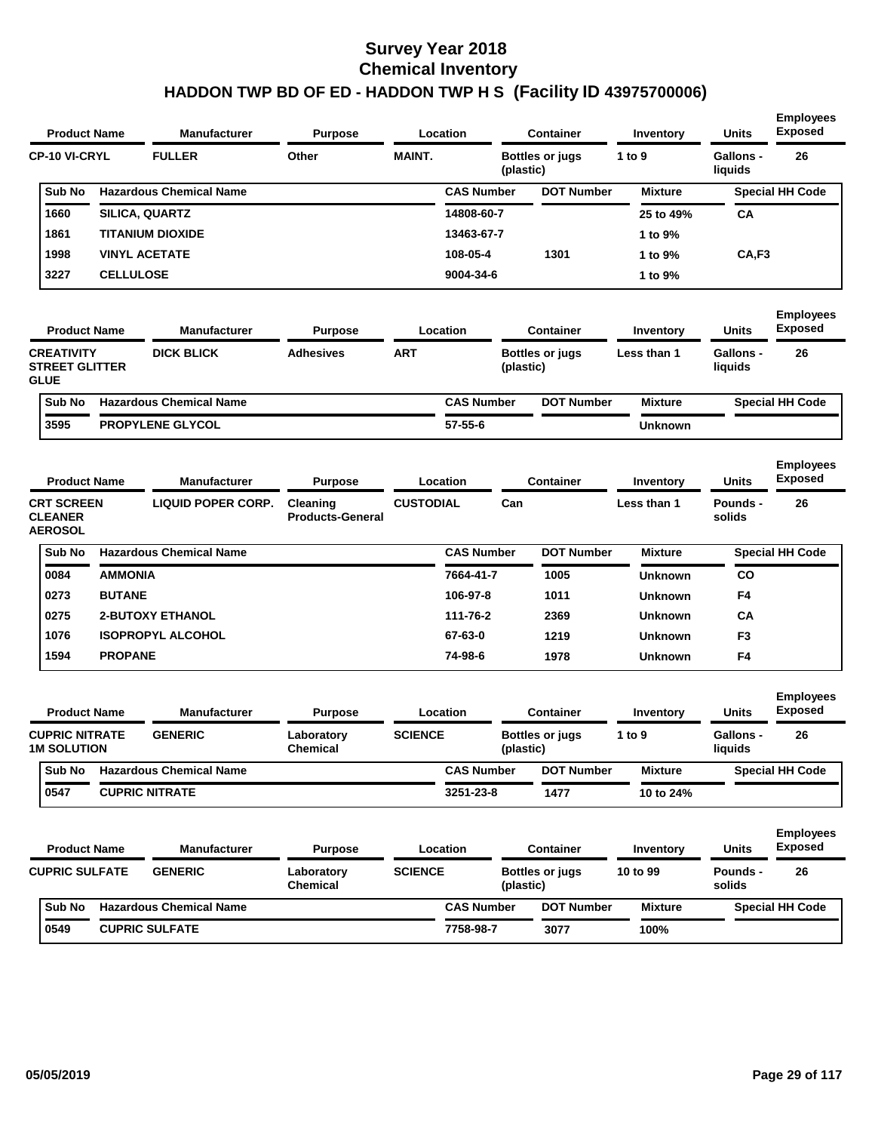| <b>Product Name</b>                                       |                  | <b>Manufacturer</b>            | <b>Purpose</b>                      |                  | Location          |           | <b>Container</b>       | Inventory        | <b>Units</b>                | <b>Employees</b><br><b>Exposed</b> |
|-----------------------------------------------------------|------------------|--------------------------------|-------------------------------------|------------------|-------------------|-----------|------------------------|------------------|-----------------------------|------------------------------------|
| <b>CP-10 VI-CRYL</b>                                      |                  | <b>FULLER</b>                  | Other                               | <b>MAINT.</b>    |                   | (plastic) | <b>Bottles or jugs</b> | 1 to 9           | <b>Gallons -</b><br>liquids | 26                                 |
| Sub No                                                    |                  | <b>Hazardous Chemical Name</b> |                                     |                  | <b>CAS Number</b> |           | <b>DOT Number</b>      | <b>Mixture</b>   |                             | <b>Special HH Code</b>             |
| 1660                                                      |                  | SILICA, QUARTZ                 |                                     |                  | 14808-60-7        |           |                        | 25 to 49%        | CA                          |                                    |
| 1861                                                      |                  | <b>TITANIUM DIOXIDE</b>        |                                     |                  | 13463-67-7        |           |                        | 1 to 9%          |                             |                                    |
| 1998                                                      |                  | <b>VINYL ACETATE</b>           |                                     |                  | 108-05-4          |           | 1301                   | 1 to 9%          | CA,F3                       |                                    |
| 3227                                                      | <b>CELLULOSE</b> |                                |                                     |                  | 9004-34-6         |           |                        | 1 to 9%          |                             |                                    |
| <b>Product Name</b>                                       |                  | <b>Manufacturer</b>            | <b>Purpose</b>                      |                  | Location          |           | <b>Container</b>       | <b>Inventory</b> | <b>Units</b>                | <b>Employees</b><br><b>Exposed</b> |
| <b>CREATIVITY</b><br><b>STREET GLITTER</b><br><b>GLUE</b> |                  | <b>DICK BLICK</b>              | <b>Adhesives</b>                    | ART              |                   | (plastic) | Bottles or jugs        | Less than 1      | <b>Gallons -</b><br>liquids | 26                                 |
| Sub No                                                    |                  | <b>Hazardous Chemical Name</b> |                                     |                  | <b>CAS Number</b> |           | <b>DOT Number</b>      | <b>Mixture</b>   |                             | <b>Special HH Code</b>             |
| 3595                                                      |                  | PROPYLENE GLYCOL               |                                     |                  | 57-55-6           |           |                        | <b>Unknown</b>   |                             |                                    |
| <b>Product Name</b>                                       |                  | <b>Manufacturer</b>            | <b>Purpose</b>                      |                  | Location          |           | <b>Container</b>       | Inventory        | <b>Units</b>                | <b>Employees</b><br><b>Exposed</b> |
| <b>CRT SCREEN</b><br><b>CLEANER</b><br><b>AEROSOL</b>     |                  | <b>LIQUID POPER CORP.</b>      | Cleaning<br><b>Products-General</b> | <b>CUSTODIAL</b> |                   | Can       |                        | Less than 1      | <b>Pounds -</b><br>solids   | 26                                 |
| Sub No                                                    |                  | <b>Hazardous Chemical Name</b> |                                     |                  | <b>CAS Number</b> |           | <b>DOT Number</b>      | <b>Mixture</b>   |                             | <b>Special HH Code</b>             |
| 0084                                                      | <b>AMMONIA</b>   |                                |                                     |                  | 7664-41-7         |           | 1005                   | <b>Unknown</b>   | <b>CO</b>                   |                                    |
| 0273                                                      | <b>BUTANE</b>    |                                |                                     |                  | 106-97-8          |           | 1011                   | <b>Unknown</b>   | F4                          |                                    |
| 0275                                                      |                  | <b>2-BUTOXY ETHANOL</b>        |                                     |                  | 111-76-2          |           | 2369                   | <b>Unknown</b>   | СA                          |                                    |
| 1076                                                      |                  | <b>ISOPROPYL ALCOHOL</b>       |                                     |                  | 67-63-0           |           | 1219                   | <b>Unknown</b>   | F <sub>3</sub>              |                                    |
| 1594                                                      | <b>PROPANE</b>   |                                |                                     |                  | 74-98-6           |           | 1978                   | <b>Unknown</b>   | F4                          |                                    |
| <b>Product Name</b>                                       |                  | <b>Manufacturer</b>            | <b>Purpose</b>                      |                  | Location          |           | <b>Container</b>       | Inventory        | <b>Units</b>                | <b>Employees</b><br><b>Exposed</b> |
| <b>CUPRIC NITRATE</b><br><b>1M SOLUTION</b>               |                  | <b>GENERIC</b>                 | Laboratory<br><b>Chemical</b>       | <b>SCIENCE</b>   |                   | (plastic) | Bottles or jugs        | 1 to 9           | Gallons -<br>liquids        | 26                                 |
| Sub No                                                    |                  | <b>Hazardous Chemical Name</b> |                                     |                  | <b>CAS Number</b> |           | <b>DOT Number</b>      | <b>Mixture</b>   |                             | <b>Special HH Code</b>             |
| 0547                                                      |                  | <b>CUPRIC NITRATE</b>          |                                     |                  | 3251-23-8         |           | 1477                   | 10 to 24%        |                             |                                    |
| <b>Product Name</b>                                       |                  | <b>Manufacturer</b>            | <b>Purpose</b>                      |                  | Location          |           | <b>Container</b>       | Inventory        | <b>Units</b>                | <b>Employees</b><br><b>Exposed</b> |
| <b>CUPRIC SULFATE</b>                                     |                  | <b>GENERIC</b>                 | Laboratory<br><b>Chemical</b>       | <b>SCIENCE</b>   |                   | (plastic) | <b>Bottles or jugs</b> | 10 to 99         | Pounds -<br>solids          | 26                                 |
| Sub No                                                    |                  | <b>Hazardous Chemical Name</b> |                                     |                  | <b>CAS Number</b> |           | <b>DOT Number</b>      | <b>Mixture</b>   |                             | <b>Special HH Code</b>             |
| 0549                                                      |                  | <b>CUPRIC SULFATE</b>          |                                     |                  | 7758-98-7         |           | 3077                   | 100%             |                             |                                    |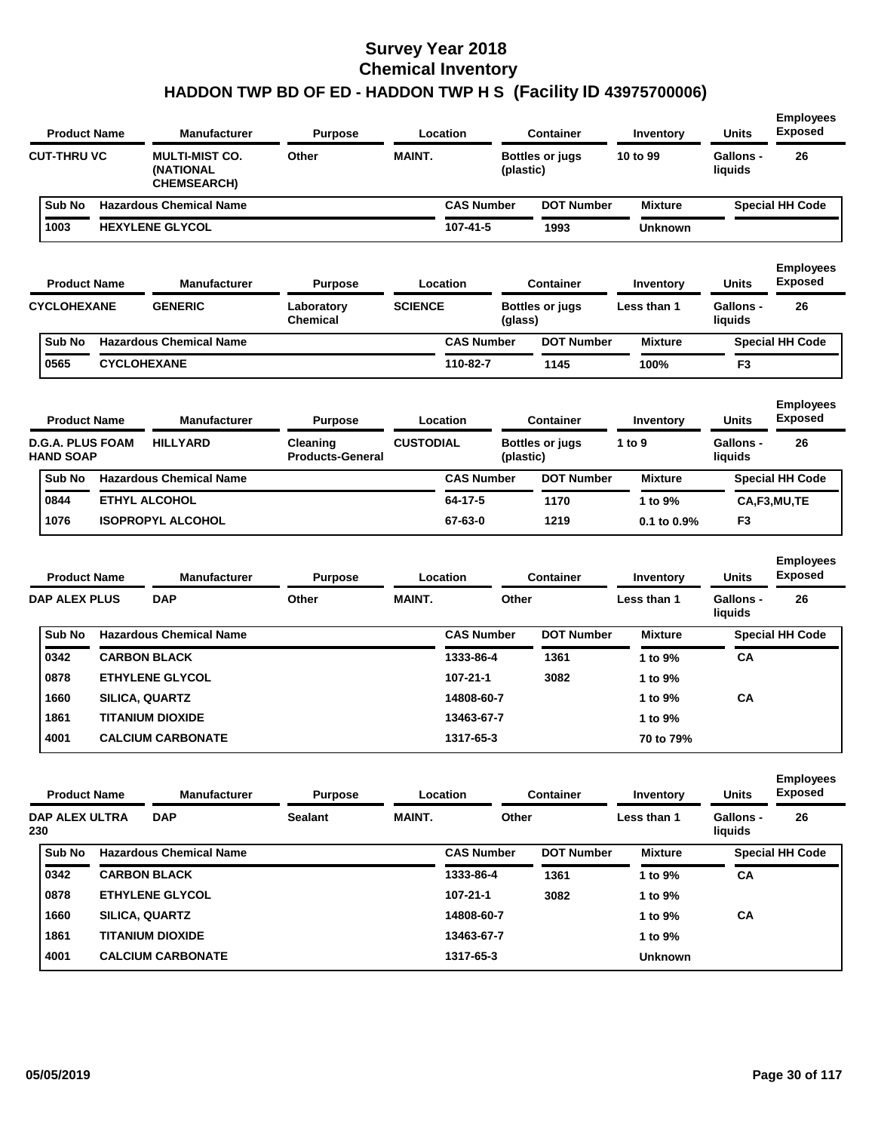| <b>Product Name</b>                         |                    | <b>Manufacturer</b>                                               | Location<br><b>Purpose</b>          |                  |                   |           | <b>Container</b>                    | Inventory      | <b>Units</b>                | <b>Employees</b><br><b>Exposed</b> |
|---------------------------------------------|--------------------|-------------------------------------------------------------------|-------------------------------------|------------------|-------------------|-----------|-------------------------------------|----------------|-----------------------------|------------------------------------|
| <b>CUT-THRU VC</b>                          |                    | <b>MULTI-MIST CO.</b><br>Other<br>(NATIONAL<br><b>CHEMSEARCH)</b> |                                     | <b>MAINT.</b>    |                   |           | <b>Bottles or jugs</b><br>(plastic) | 10 to 99       | <b>Gallons -</b><br>liquids | 26                                 |
| Sub No                                      |                    | <b>Hazardous Chemical Name</b>                                    |                                     |                  | <b>CAS Number</b> |           | <b>DOT Number</b>                   | <b>Mixture</b> |                             | <b>Special HH Code</b>             |
| 1003                                        |                    | <b>HEXYLENE GLYCOL</b>                                            |                                     |                  | 107-41-5          |           | 1993                                | Unknown        |                             |                                    |
| <b>Product Name</b>                         |                    | <b>Manufacturer</b>                                               | <b>Purpose</b>                      |                  | Location          |           | <b>Container</b>                    | Inventory      | <b>Units</b>                | <b>Employees</b><br><b>Exposed</b> |
| <b>CYCLOHEXANE</b>                          |                    | <b>GENERIC</b>                                                    | Laboratory<br><b>Chemical</b>       | <b>SCIENCE</b>   |                   | (glass)   | <b>Bottles or jugs</b>              | Less than 1    | <b>Gallons -</b><br>liquids | 26                                 |
| Sub No                                      |                    | <b>Hazardous Chemical Name</b>                                    |                                     |                  | <b>CAS Number</b> |           | <b>DOT Number</b>                   | <b>Mixture</b> |                             | <b>Special HH Code</b>             |
| 0565                                        | <b>CYCLOHEXANE</b> |                                                                   |                                     |                  | 110-82-7          |           | 1145                                | 100%           | F3                          |                                    |
| <b>Product Name</b>                         |                    | <b>Manufacturer</b>                                               | <b>Purpose</b>                      |                  | Location          |           | <b>Container</b>                    | Inventory      | <b>Units</b>                | <b>Employees</b><br><b>Exposed</b> |
| <b>D.G.A. PLUS FOAM</b><br><b>HAND SOAP</b> |                    | <b>HILLYARD</b>                                                   | Cleaning<br><b>Products-General</b> | <b>CUSTODIAL</b> |                   | (plastic) | <b>Bottles or jugs</b>              | 1 to 9         | <b>Gallons -</b><br>liquids | 26                                 |
| Sub No                                      |                    | <b>Hazardous Chemical Name</b>                                    |                                     |                  | <b>CAS Number</b> |           | <b>DOT Number</b>                   | <b>Mixture</b> |                             | <b>Special HH Code</b>             |
|                                             |                    |                                                                   |                                     |                  |                   |           |                                     | 1 to 9%        |                             | CA,F3,MU,TE                        |
| 0844                                        |                    | <b>ETHYL ALCOHOL</b>                                              |                                     |                  | 64-17-5           |           | 1170                                |                |                             |                                    |
| 1076                                        |                    | <b>ISOPROPYL ALCOHOL</b>                                          |                                     |                  | 67-63-0           |           | 1219                                | 0.1 to 0.9%    | F3                          |                                    |
| <b>Product Name</b>                         |                    | <b>Manufacturer</b>                                               | <b>Purpose</b>                      |                  | Location          |           | <b>Container</b>                    | Inventory      | <b>Units</b>                | <b>Employees</b><br><b>Exposed</b> |
| <b>DAP ALEX PLUS</b>                        |                    | <b>DAP</b>                                                        | Other                               | <b>MAINT.</b>    |                   | Other     |                                     | Less than 1    | <b>Gallons -</b><br>liquids | 26                                 |
| Sub No                                      |                    | <b>Hazardous Chemical Name</b>                                    |                                     |                  | <b>CAS Number</b> |           | <b>DOT Number</b>                   | <b>Mixture</b> |                             | <b>Special HH Code</b>             |
| 0342                                        |                    | <b>CARBON BLACK</b>                                               |                                     |                  | 1333-86-4         |           | 1361                                | 1 to 9%        | CА                          |                                    |
| 0878                                        |                    | <b>ETHYLENE GLYCOL</b>                                            |                                     |                  | 107-21-1          |           | 3082                                | 1 to 9%        |                             |                                    |
| 1660                                        |                    | SILICA, QUARTZ                                                    |                                     |                  | 14808-60-7        |           |                                     | 1 to 9%        | CA                          |                                    |
| 1861                                        |                    | TITANIUM DIOXIDE                                                  |                                     |                  | 13463-67-7        |           |                                     | 1 to 9%        |                             |                                    |
| 4001                                        |                    | <b>CALCIUM CARBONATE</b>                                          |                                     |                  | 1317-65-3         |           |                                     | 70 to 79%      |                             |                                    |
| <b>Product Name</b>                         |                    | <b>Manufacturer</b>                                               | <b>Purpose</b>                      |                  | Location          |           | <b>Container</b>                    | Inventory      | <b>Units</b>                | <b>Employees</b><br><b>Exposed</b> |
| DAP ALEX ULTRA<br>230                       |                    | <b>DAP</b>                                                        | <b>Sealant</b>                      | <b>MAINT.</b>    |                   | Other     |                                     | Less than 1    | Gallons -<br>liquids        | 26                                 |
| Sub No                                      |                    | <b>Hazardous Chemical Name</b>                                    |                                     |                  | <b>CAS Number</b> |           | <b>DOT Number</b>                   | <b>Mixture</b> |                             | <b>Special HH Code</b>             |
| 0342                                        |                    | <b>CARBON BLACK</b>                                               |                                     |                  | 1333-86-4         |           | 1361                                | 1 to 9%        | СA                          |                                    |
| 0878                                        |                    | <b>ETHYLENE GLYCOL</b>                                            |                                     |                  | 107-21-1          |           | 3082                                | 1 to 9%        |                             |                                    |
| 1660                                        |                    | SILICA, QUARTZ                                                    |                                     |                  | 14808-60-7        |           |                                     | 1 to 9%        | CА                          |                                    |
| 1861                                        |                    | <b>TITANIUM DIOXIDE</b>                                           |                                     |                  | 13463-67-7        |           |                                     | 1 to 9%        |                             |                                    |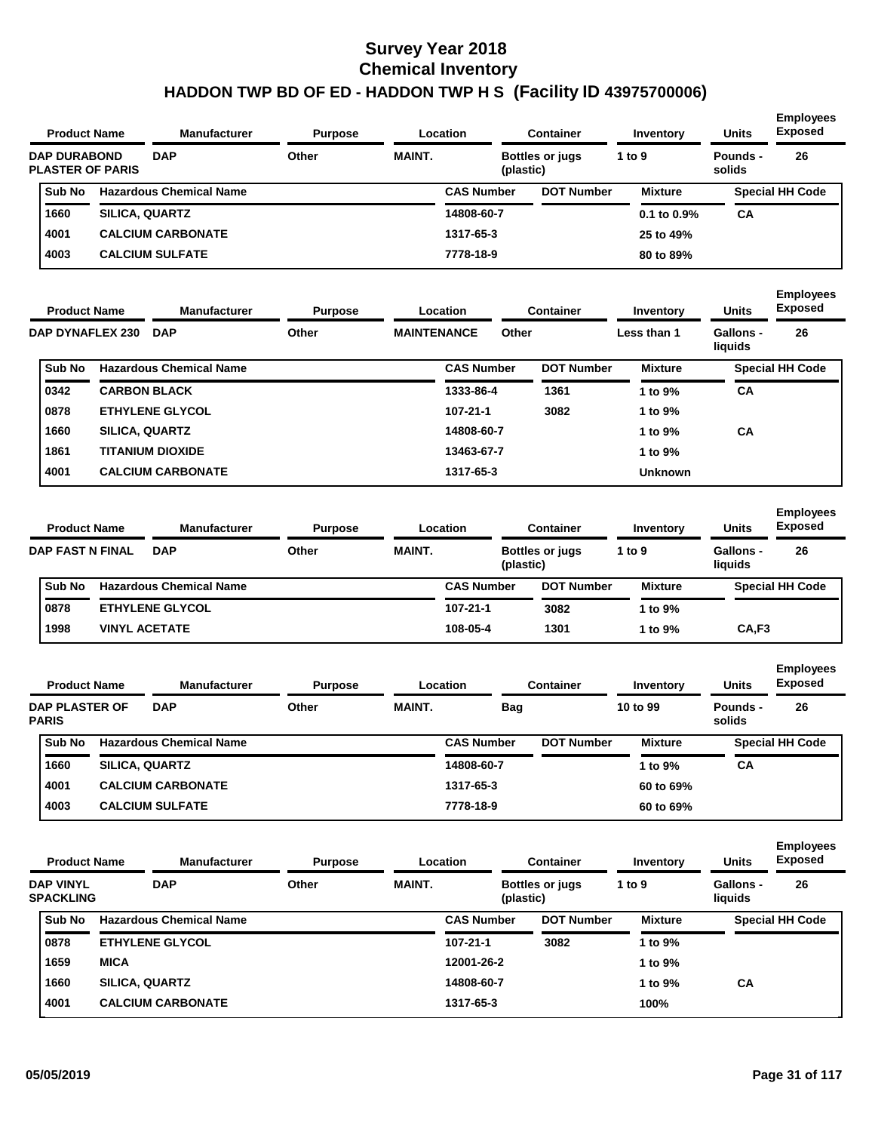| <b>Product Name</b>                            |                       | <b>Manufacturer</b>            | <b>Purpose</b> |                    | Location          |            | <b>Container</b>       | Inventory        | Units                       | <b>Employees</b><br><b>Exposed</b> |
|------------------------------------------------|-----------------------|--------------------------------|----------------|--------------------|-------------------|------------|------------------------|------------------|-----------------------------|------------------------------------|
| <b>DAP DURABOND</b><br><b>PLASTER OF PARIS</b> |                       | <b>DAP</b>                     | Other          | <b>MAINT.</b>      |                   | (plastic)  | <b>Bottles or jugs</b> | 1 to 9           | Pounds -<br>solids          | 26                                 |
| Sub No                                         |                       | <b>Hazardous Chemical Name</b> |                |                    | <b>CAS Number</b> |            | <b>DOT Number</b>      | <b>Mixture</b>   |                             | <b>Special HH Code</b>             |
| 1660                                           | <b>SILICA, QUARTZ</b> |                                |                |                    | 14808-60-7        |            |                        | $0.1$ to $0.9\%$ | CА                          |                                    |
| 4001                                           |                       | <b>CALCIUM CARBONATE</b>       |                |                    | 1317-65-3         |            |                        | 25 to 49%        |                             |                                    |
| 4003                                           |                       | <b>CALCIUM SULFATE</b>         |                |                    | 7778-18-9         |            |                        | 80 to 89%        |                             |                                    |
| <b>Product Name</b>                            |                       | <b>Manufacturer</b>            | <b>Purpose</b> |                    | Location          |            | <b>Container</b>       | <b>Inventory</b> | Units                       | <b>Employees</b><br><b>Exposed</b> |
| <b>DAP DYNAFLEX 230</b>                        |                       | <b>DAP</b>                     | Other          | <b>MAINTENANCE</b> |                   | Other      |                        | Less than 1      | <b>Gallons -</b><br>liquids | 26                                 |
| Sub No                                         |                       | <b>Hazardous Chemical Name</b> |                |                    | <b>CAS Number</b> |            | <b>DOT Number</b>      | Mixture          |                             | <b>Special HH Code</b>             |
| 0342                                           |                       | <b>CARBON BLACK</b>            |                |                    | 1333-86-4         |            | 1361                   | 1 to 9%          | СA                          |                                    |
| 0878                                           |                       | <b>ETHYLENE GLYCOL</b>         |                |                    | $107 - 21 - 1$    |            | 3082                   | 1 to 9%          |                             |                                    |
| 1660                                           | <b>SILICA, QUARTZ</b> |                                |                |                    | 14808-60-7        |            |                        | 1 to 9%          | СA                          |                                    |
| 1861                                           |                       | <b>TITANIUM DIOXIDE</b>        |                |                    | 13463-67-7        |            |                        | 1 to 9%          |                             |                                    |
| 4001                                           |                       | <b>CALCIUM CARBONATE</b>       |                |                    | 1317-65-3         |            |                        | <b>Unknown</b>   |                             |                                    |
| <b>Product Name</b>                            |                       | <b>Manufacturer</b>            | <b>Purpose</b> |                    | Location          |            | <b>Container</b>       | Inventory        | Units                       | <b>Employees</b><br><b>Exposed</b> |
| <b>DAP FAST N FINAL</b>                        |                       | <b>DAP</b>                     | Other          | <b>MAINT.</b>      |                   | (plastic)  | <b>Bottles or jugs</b> | 1 to $9$         | <b>Gallons -</b><br>liquids | 26                                 |
| Sub No                                         |                       | <b>Hazardous Chemical Name</b> |                |                    | <b>CAS Number</b> |            | <b>DOT Number</b>      | <b>Mixture</b>   |                             | <b>Special HH Code</b>             |
| 0878                                           |                       | <b>ETHYLENE GLYCOL</b>         |                |                    | 107-21-1          |            | 3082                   | 1 to 9%          |                             |                                    |
| 1998                                           | <b>VINYL ACETATE</b>  |                                |                |                    | 108-05-4          |            | 1301                   | 1 to 9%          | CA,F3                       |                                    |
| <b>Product Name</b>                            |                       | <b>Manufacturer</b>            | <b>Purpose</b> |                    | Location          |            | <b>Container</b>       | Inventory        | Units                       | <b>Employees</b><br><b>Exposed</b> |
| <b>DAP PLASTER OF</b><br><b>PARIS</b>          |                       | <b>DAP</b>                     | Other          | <b>MAINT.</b>      |                   | <b>Bag</b> |                        | 10 to 99         | <b>Pounds -</b><br>solids   | 26                                 |
| Sub No                                         |                       | <b>Hazardous Chemical Name</b> |                |                    | <b>CAS Number</b> |            | <b>DOT Number</b>      | <b>Mixture</b>   |                             | <b>Special HH Code</b>             |
| 1660                                           | SILICA, QUARTZ        |                                |                |                    | 14808-60-7        |            |                        | 1 to 9%          | CA                          |                                    |
| 4001                                           |                       | <b>CALCIUM CARBONATE</b>       |                |                    | 1317-65-3         |            |                        | 60 to 69%        |                             |                                    |
| 4003                                           |                       | <b>CALCIUM SULFATE</b>         |                |                    | 7778-18-9         |            |                        | 60 to 69%        |                             |                                    |
| <b>Product Name</b>                            |                       | <b>Manufacturer</b>            | <b>Purpose</b> |                    | Location          |            | <b>Container</b>       | Inventory        | Units                       | <b>Employees</b><br><b>Exposed</b> |
| <b>DAP VINYL</b><br><b>SPACKLING</b>           |                       | <b>DAP</b>                     | Other          | MAINT.             |                   | (plastic)  | <b>Bottles or jugs</b> | 1 to 9           | Gallons -<br>liquids        | 26                                 |
| Sub No                                         |                       | <b>Hazardous Chemical Name</b> |                |                    | <b>CAS Number</b> |            | <b>DOT Number</b>      | <b>Mixture</b>   |                             | <b>Special HH Code</b>             |
| 0878                                           |                       | ETHYLENE GLYCOL                |                |                    | $107 - 21 - 1$    |            | 3082                   | 1 to 9%          |                             |                                    |
| 1659                                           | <b>MICA</b>           |                                |                |                    | 12001-26-2        |            |                        | 1 to 9%          |                             |                                    |
| 1660                                           | SILICA, QUARTZ        |                                |                |                    | 14808-60-7        |            |                        | 1 to 9%          | CA                          |                                    |
| 4001                                           |                       | <b>CALCIUM CARBONATE</b>       |                |                    | 1317-65-3         |            |                        | 100%             |                             |                                    |
|                                                |                       |                                |                |                    |                   |            |                        |                  |                             |                                    |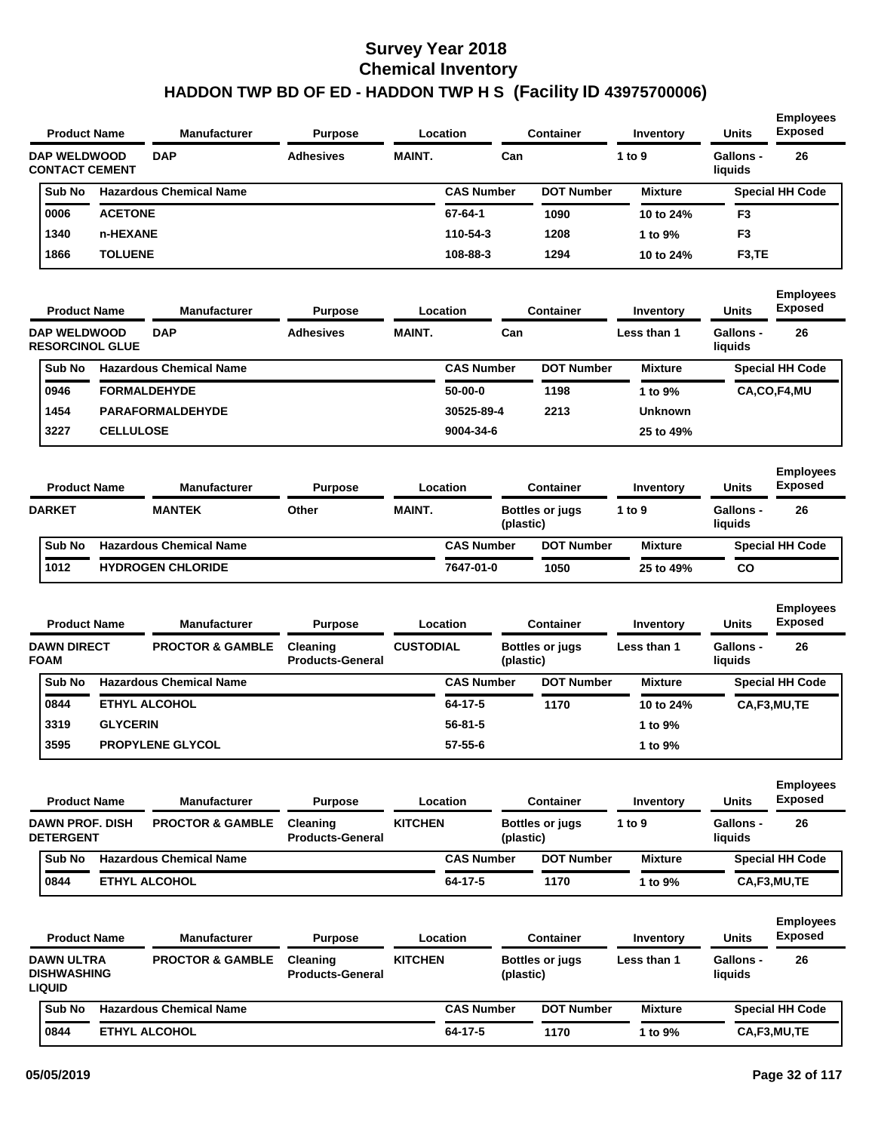| <b>Product Name</b>                                      |                  | <b>Manufacturer</b>            | <b>Purpose</b>                      |                  | Location          |     | <b>Container</b>                    | Inventory      | <b>Units</b>                | <b>Employees</b><br><b>Exposed</b> |
|----------------------------------------------------------|------------------|--------------------------------|-------------------------------------|------------------|-------------------|-----|-------------------------------------|----------------|-----------------------------|------------------------------------|
| <b>DAP WELDWOOD</b><br><b>CONTACT CEMENT</b>             |                  | <b>DAP</b>                     | <b>Adhesives</b>                    | <b>MAINT.</b>    |                   | Can |                                     | 1 to 9         | <b>Gallons -</b><br>liquids | 26                                 |
| Sub No                                                   |                  | <b>Hazardous Chemical Name</b> |                                     |                  | <b>CAS Number</b> |     | <b>DOT Number</b>                   | <b>Mixture</b> |                             | <b>Special HH Code</b>             |
| 0006                                                     | <b>ACETONE</b>   |                                |                                     |                  | 67-64-1           |     | 1090                                | 10 to 24%      | F3                          |                                    |
| 1340                                                     | n-HEXANE         |                                |                                     |                  | 110-54-3          |     | 1208                                | 1 to 9%        | F <sub>3</sub>              |                                    |
| 1866                                                     | <b>TOLUENE</b>   |                                |                                     |                  | 108-88-3          |     | 1294                                | 10 to 24%      | F <sub>3</sub> ,TE          |                                    |
| <b>Product Name</b>                                      |                  | <b>Manufacturer</b>            | <b>Purpose</b>                      |                  | Location          |     | Container                           | Inventory      | <b>Units</b>                | <b>Employees</b><br><b>Exposed</b> |
| <b>DAP WELDWOOD</b><br><b>RESORCINOL GLUE</b>            |                  | <b>DAP</b>                     | <b>Adhesives</b>                    | <b>MAINT.</b>    |                   | Can |                                     | Less than 1    | <b>Gallons -</b><br>liquids | 26                                 |
| Sub No                                                   |                  | <b>Hazardous Chemical Name</b> |                                     |                  | <b>CAS Number</b> |     | <b>DOT Number</b>                   | <b>Mixture</b> |                             | <b>Special HH Code</b>             |
| 0946                                                     |                  | <b>FORMALDEHYDE</b>            |                                     |                  | $50-00-0$         |     | 1198                                | 1 to 9%        |                             | CA,CO,F4,MU                        |
| 1454                                                     |                  | <b>PARAFORMALDEHYDE</b>        |                                     |                  | 30525-89-4        |     | 2213                                | <b>Unknown</b> |                             |                                    |
| 3227                                                     | <b>CELLULOSE</b> |                                |                                     |                  | 9004-34-6         |     |                                     | 25 to 49%      |                             |                                    |
| <b>Product Name</b>                                      |                  | <b>Manufacturer</b>            | <b>Purpose</b>                      |                  | Location          |     | <b>Container</b>                    | Inventory      | <b>Units</b>                | <b>Employees</b><br><b>Exposed</b> |
| <b>DARKET</b>                                            |                  | <b>MANTEK</b>                  | Other                               | <b>MAINT.</b>    |                   |     | Bottles or jugs<br>(plastic)        | 1 to 9         | <b>Gallons -</b><br>liquids | 26                                 |
| Sub No                                                   |                  | <b>Hazardous Chemical Name</b> |                                     |                  | <b>CAS Number</b> |     | <b>DOT Number</b>                   | <b>Mixture</b> |                             | <b>Special HH Code</b>             |
| 1012                                                     |                  | <b>HYDROGEN CHLORIDE</b>       |                                     |                  | 7647-01-0         |     | 1050                                | 25 to 49%      | CO                          |                                    |
| <b>Product Name</b>                                      |                  | <b>Manufacturer</b>            | <b>Purpose</b>                      |                  | Location          |     | <b>Container</b>                    | Inventory      | <b>Units</b>                | <b>Employees</b><br><b>Exposed</b> |
| <b>DAWN DIRECT</b><br><b>FOAM</b>                        |                  | <b>PROCTOR &amp; GAMBLE</b>    | Cleaning<br><b>Products-General</b> | <b>CUSTODIAL</b> |                   |     | <b>Bottles or jugs</b><br>(plastic) | Less than 1    | <b>Gallons -</b><br>liquids | 26                                 |
| Sub No                                                   |                  | <b>Hazardous Chemical Name</b> |                                     |                  | <b>CAS Number</b> |     | <b>DOT Number</b>                   | <b>Mixture</b> |                             | <b>Special HH Code</b>             |
| 0844                                                     |                  | <b>ETHYL ALCOHOL</b>           |                                     |                  | 64-17-5           |     | 1170                                | 10 to 24%      |                             | CA,F3,MU,TE                        |
| 3319                                                     | <b>GLYCERIN</b>  |                                |                                     |                  | $56 - 81 - 5$     |     |                                     | 1 to 9%        |                             |                                    |
| 3595                                                     |                  | <b>PROPYLENE GLYCOL</b>        |                                     |                  | 57-55-6           |     |                                     | 1 to 9%        |                             |                                    |
| <b>Product Name</b>                                      |                  | <b>Manufacturer</b>            | <b>Purpose</b>                      |                  | Location          |     | <b>Container</b>                    | Inventory      | <b>Units</b>                | <b>Employees</b><br><b>Exposed</b> |
| <b>DAWN PROF. DISH</b><br><b>DETERGENT</b>               |                  | <b>PROCTOR &amp; GAMBLE</b>    | Cleaning<br><b>Products-General</b> | <b>KITCHEN</b>   |                   |     | <b>Bottles or jugs</b><br>(plastic) | 1 to 9         | <b>Gallons -</b><br>liquids | 26                                 |
| Sub No                                                   |                  | <b>Hazardous Chemical Name</b> |                                     |                  | <b>CAS Number</b> |     | <b>DOT Number</b>                   | <b>Mixture</b> |                             | <b>Special HH Code</b>             |
| 0844                                                     |                  | <b>ETHYL ALCOHOL</b>           |                                     |                  | 64-17-5           |     | 1170                                | 1 to 9%        |                             | CA,F3,MU,TE                        |
| <b>Product Name</b>                                      |                  | <b>Manufacturer</b>            | <b>Purpose</b>                      |                  | Location          |     | <b>Container</b>                    | Inventory      | <b>Units</b>                | <b>Employees</b><br><b>Exposed</b> |
| <b>DAWN ULTRA</b><br><b>DISHWASHING</b><br><b>LIQUID</b> |                  | <b>PROCTOR &amp; GAMBLE</b>    | Cleaning<br><b>Products-General</b> | <b>KITCHEN</b>   |                   |     | <b>Bottles or jugs</b><br>(plastic) | Less than 1    | <b>Gallons -</b><br>liquids | 26                                 |
| Sub No                                                   |                  | <b>Hazardous Chemical Name</b> |                                     |                  | <b>CAS Number</b> |     | <b>DOT Number</b>                   | <b>Mixture</b> |                             | <b>Special HH Code</b>             |
| 0844                                                     |                  | <b>ETHYL ALCOHOL</b>           |                                     |                  | 64-17-5           |     | 1170                                | 1 to 9%        |                             | CA,F3,MU,TE                        |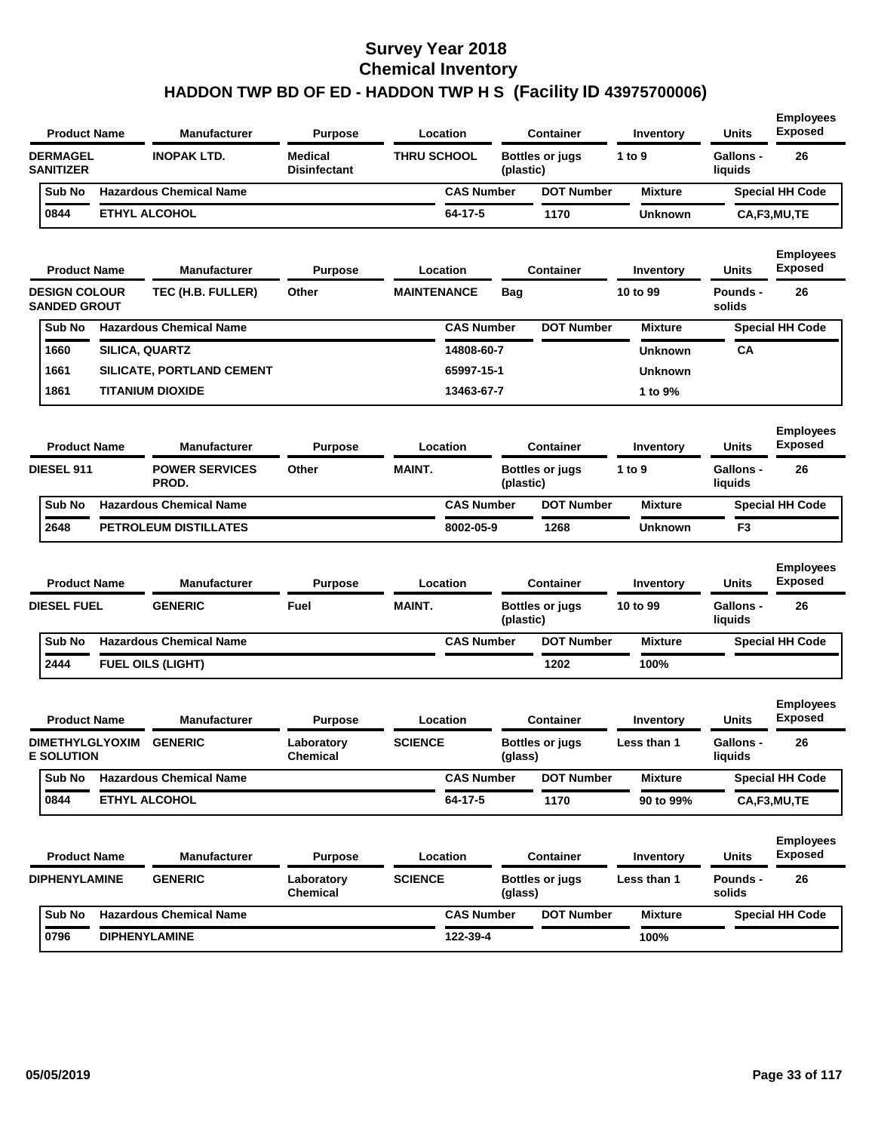| <b>Product Name</b>                         |                | <b>Manufacturer</b>              | <b>Purpose</b>                        | Location           |           | <b>Container</b>       | Inventory      | Units                       | <b>Employees</b><br><b>Exposed</b> |
|---------------------------------------------|----------------|----------------------------------|---------------------------------------|--------------------|-----------|------------------------|----------------|-----------------------------|------------------------------------|
| <b>DERMAGEL</b><br><b>SANITIZER</b>         |                | <b>INOPAK LTD.</b>               | <b>Medical</b><br><b>Disinfectant</b> | <b>THRU SCHOOL</b> | (plastic) | <b>Bottles or jugs</b> | 1 to 9         | <b>Gallons -</b><br>liquids | 26                                 |
| Sub No                                      |                | <b>Hazardous Chemical Name</b>   |                                       | <b>CAS Number</b>  |           | <b>DOT Number</b>      | <b>Mixture</b> |                             | <b>Special HH Code</b>             |
| 0844                                        |                | <b>ETHYL ALCOHOL</b>             |                                       | 64-17-5            |           | 1170                   | <b>Unknown</b> |                             | CA,F3,MU,TE                        |
| <b>Product Name</b>                         |                | <b>Manufacturer</b>              | Purpose                               | Location           |           | <b>Container</b>       | Inventory      | Units                       | <b>Employees</b><br><b>Exposed</b> |
| <b>DESIGN COLOUR</b><br><b>SANDED GROUT</b> |                | TEC (H.B. FULLER)                | Other                                 | <b>MAINTENANCE</b> | Bag       |                        | 10 to 99       | <b>Pounds -</b><br>solids   | 26                                 |
| Sub No                                      |                | <b>Hazardous Chemical Name</b>   |                                       | <b>CAS Number</b>  |           | <b>DOT Number</b>      | <b>Mixture</b> |                             | <b>Special HH Code</b>             |
| 1660                                        | SILICA, QUARTZ |                                  |                                       | 14808-60-7         |           |                        | <b>Unknown</b> | СA                          |                                    |
| 1661                                        |                | <b>SILICATE, PORTLAND CEMENT</b> |                                       | 65997-15-1         |           |                        | <b>Unknown</b> |                             |                                    |
| 1861                                        |                | <b>TITANIUM DIOXIDE</b>          |                                       | 13463-67-7         |           |                        | 1 to 9%        |                             |                                    |
| <b>Product Name</b>                         |                | <b>Manufacturer</b>              | <b>Purpose</b>                        | Location           |           | <b>Container</b>       | Inventory      | <b>Units</b>                | <b>Employees</b><br><b>Exposed</b> |
| DIESEL 911                                  |                | <b>POWER SERVICES</b><br>PROD.   | Other                                 | <b>MAINT.</b>      | (plastic) | <b>Bottles or jugs</b> | 1 to 9         | <b>Gallons -</b><br>liquids | 26                                 |
| Sub No                                      |                | <b>Hazardous Chemical Name</b>   |                                       | <b>CAS Number</b>  |           | <b>DOT Number</b>      | <b>Mixture</b> |                             | <b>Special HH Code</b>             |
| 2648                                        |                | <b>PETROLEUM DISTILLATES</b>     |                                       | 8002-05-9          |           | 1268                   | <b>Unknown</b> | F <sub>3</sub>              |                                    |
| <b>Product Name</b>                         |                | <b>Manufacturer</b>              | <b>Purpose</b>                        | Location           |           | <b>Container</b>       | Inventory      | Units                       | <b>Employees</b><br><b>Exposed</b> |
| <b>DIESEL FUEL</b>                          |                | <b>GENERIC</b>                   | Fuel                                  | <b>MAINT.</b>      | (plastic) | <b>Bottles or jugs</b> | 10 to 99       | <b>Gallons -</b><br>liquids | 26                                 |
| Sub No                                      |                | <b>Hazardous Chemical Name</b>   |                                       | <b>CAS Number</b>  |           | <b>DOT Number</b>      | <b>Mixture</b> |                             | <b>Special HH Code</b>             |
| 2444                                        |                | FUEL OILS (LIGHT)                |                                       |                    |           | 1202                   | 100%           |                             |                                    |
| <b>Product Name</b>                         |                | <b>Manufacturer</b>              | <b>Purpose</b>                        | Location           |           | <b>Container</b>       | Inventory      | Units                       | <b>Employees</b><br><b>Exposed</b> |
| <b>DIMETHYLGLYOXIM</b><br><b>E SOLUTION</b> |                | <b>GENERIC</b>                   | Laboratory<br>Chemical                | <b>SCIENCE</b>     | (glass)   | <b>Bottles or jugs</b> | Less than 1    | <b>Gallons -</b><br>liquids | 26                                 |
| Sub No                                      |                | <b>Hazardous Chemical Name</b>   |                                       | <b>CAS Number</b>  |           | <b>DOT Number</b>      | <b>Mixture</b> |                             | <b>Special HH Code</b>             |
| 0844                                        |                | ETHYL ALCOHOL                    |                                       | 64-17-5            |           | 1170                   | 90 to 99%      |                             | CA,F3,MU,TE                        |
| <b>Product Name</b>                         |                | <b>Manufacturer</b>              | <b>Purpose</b>                        | Location           |           | <b>Container</b>       | Inventory      | Units                       | <b>Employees</b><br><b>Exposed</b> |
| <b>DIPHENYLAMINE</b>                        |                | <b>GENERIC</b>                   | Laboratory                            | <b>SCIENCE</b>     |           | <b>Bottles or jugs</b> | Less than 1    | Pounds -                    | 26                                 |
|                                             |                |                                  | Chemical                              |                    | (glass)   |                        |                | solids                      |                                    |
| Sub No                                      |                | <b>Hazardous Chemical Name</b>   |                                       | <b>CAS Number</b>  |           | <b>DOT Number</b>      | <b>Mixture</b> |                             | <b>Special HH Code</b>             |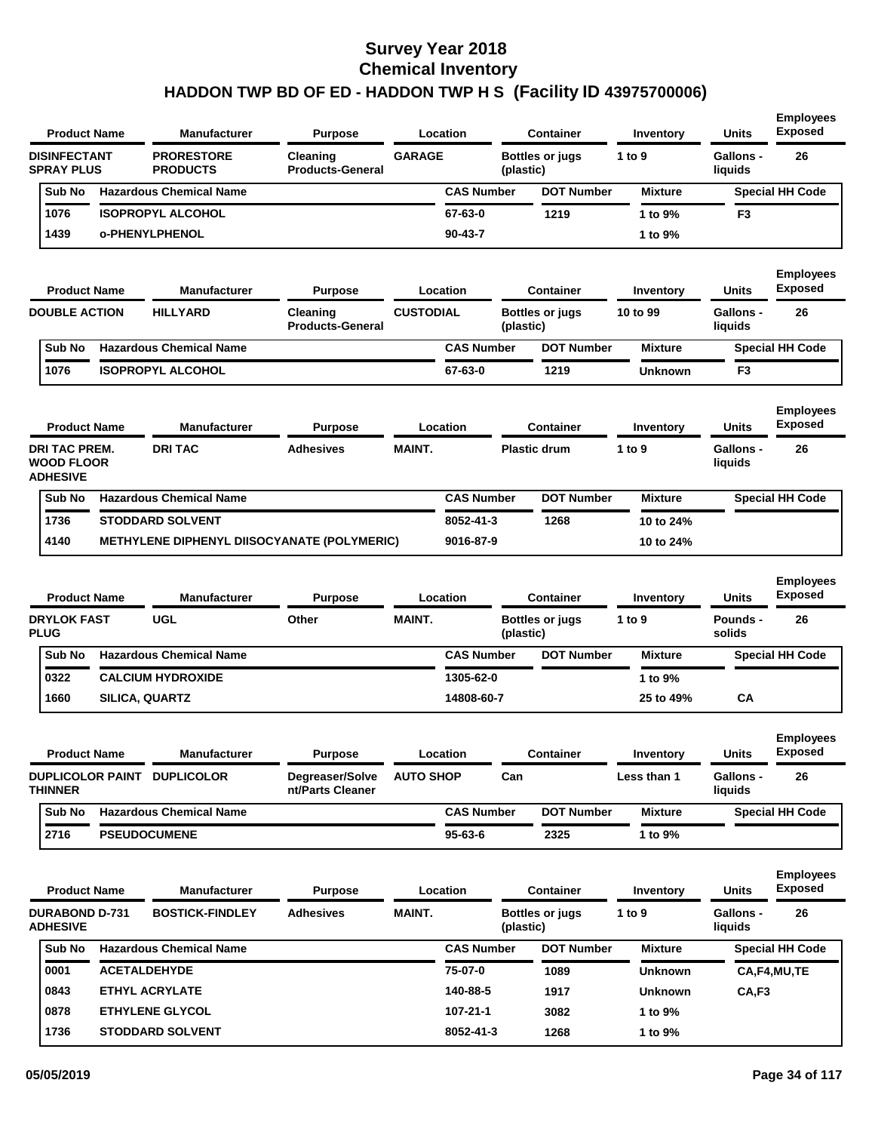| <b>Product Name</b>                                          | Manufacturer                                | <b>Purpose</b>                      |                  | Location          |           | <b>Container</b>                           | Inventory             | <b>Units</b>                | <b>Employees</b><br><b>Exposed</b>       |
|--------------------------------------------------------------|---------------------------------------------|-------------------------------------|------------------|-------------------|-----------|--------------------------------------------|-----------------------|-----------------------------|------------------------------------------|
| <b>DISINFECTANT</b><br><b>SPRAY PLUS</b>                     | <b>PRORESTORE</b><br><b>PRODUCTS</b>        | Cleaning<br><b>Products-General</b> | <b>GARAGE</b>    |                   | (plastic) | <b>Bottles or jugs</b>                     | 1 to 9                | <b>Gallons -</b><br>liquids | 26                                       |
| Sub No                                                       | <b>Hazardous Chemical Name</b>              |                                     |                  | <b>CAS Number</b> |           | <b>DOT Number</b>                          | <b>Mixture</b>        |                             | <b>Special HH Code</b>                   |
| 1076                                                         | <b>ISOPROPYL ALCOHOL</b>                    |                                     |                  | 67-63-0           |           | 1219                                       | 1 to 9%               | F3                          |                                          |
| 1439                                                         | <b>o-PHENYLPHENOL</b>                       |                                     |                  | $90 - 43 - 7$     |           |                                            | 1 to 9%               |                             |                                          |
| <b>Product Name</b><br><b>DOUBLE ACTION</b>                  | Manufacturer<br><b>HILLYARD</b>             | <b>Purpose</b><br>Cleaning          | <b>CUSTODIAL</b> | Location          |           | <b>Container</b><br><b>Bottles or jugs</b> | Inventory<br>10 to 99 | Units<br><b>Gallons -</b>   | <b>Employees</b><br><b>Exposed</b><br>26 |
|                                                              |                                             | <b>Products-General</b>             |                  |                   | (plastic) |                                            |                       | liquids                     |                                          |
| Sub No                                                       | <b>Hazardous Chemical Name</b>              |                                     |                  | <b>CAS Number</b> |           | <b>DOT Number</b>                          | <b>Mixture</b>        |                             | <b>Special HH Code</b>                   |
| 1076                                                         | <b>ISOPROPYL ALCOHOL</b>                    |                                     |                  | 67-63-0           |           | 1219                                       | <b>Unknown</b>        | F3                          |                                          |
| <b>Product Name</b>                                          | Manufacturer                                | <b>Purpose</b>                      |                  | Location          |           | <b>Container</b>                           | Inventory             | <b>Units</b>                | <b>Employees</b><br><b>Exposed</b>       |
| <b>DRI TAC PREM.</b><br><b>WOOD FLOOR</b><br><b>ADHESIVE</b> | <b>DRITAC</b>                               | <b>Adhesives</b>                    | <b>MAINT.</b>    |                   |           | <b>Plastic drum</b>                        | 1 to 9                | Gallons -<br>liquids        | 26                                       |
| Sub No                                                       | <b>Hazardous Chemical Name</b>              |                                     |                  | <b>CAS Number</b> |           | <b>DOT Number</b>                          | <b>Mixture</b>        |                             | <b>Special HH Code</b>                   |
| 1736                                                         | <b>STODDARD SOLVENT</b>                     |                                     |                  | 8052-41-3         |           | 1268                                       | 10 to 24%             |                             |                                          |
| 4140                                                         | METHYLENE DIPHENYL DIISOCYANATE (POLYMERIC) |                                     |                  | 9016-87-9         |           |                                            | 10 to 24%             |                             |                                          |
| <b>Product Name</b>                                          | Manufacturer                                | <b>Purpose</b>                      |                  | Location          |           | <b>Container</b>                           | Inventory             | <b>Units</b>                | <b>Employees</b><br><b>Exposed</b>       |
| <b>DRYLOK FAST</b><br><b>PLUG</b>                            | <b>UGL</b>                                  | Other                               | <b>MAINT.</b>    |                   | (plastic) | <b>Bottles or jugs</b>                     | 1 to 9                | Pounds -<br>solids          | 26                                       |
| Sub No                                                       | <b>Hazardous Chemical Name</b>              |                                     |                  | <b>CAS Number</b> |           | <b>DOT Number</b>                          | <b>Mixture</b>        |                             | <b>Special HH Code</b>                   |
| 0322                                                         | <b>CALCIUM HYDROXIDE</b>                    |                                     |                  | 1305-62-0         |           |                                            | 1 to 9%               |                             |                                          |
| 1660                                                         | <b>SILICA, QUARTZ</b>                       |                                     |                  | 14808-60-7        |           |                                            | 25 to 49%             | CA                          |                                          |
| <b>Product Name</b>                                          | Manufacturer                                | <b>Purpose</b>                      |                  | Location          |           | <b>Container</b>                           | Inventory             | <b>Units</b>                | <b>Employees</b><br><b>Exposed</b>       |
| <b>THINNER</b>                                               | DUPLICOLOR PAINT DUPLICOLOR                 | Degreaser/Solve<br>nt/Parts Cleaner | <b>AUTO SHOP</b> |                   | Can       |                                            | Less than 1           | <b>Gallons -</b><br>liquids | 26                                       |
| Sub No                                                       | <b>Hazardous Chemical Name</b>              |                                     |                  | <b>CAS Number</b> |           | <b>DOT Number</b>                          | <b>Mixture</b>        |                             | <b>Special HH Code</b>                   |
| 2716                                                         | <b>PSEUDOCUMENE</b>                         |                                     |                  | $95 - 63 - 6$     |           | 2325                                       | 1 to 9%               |                             |                                          |
| <b>Product Name</b><br><b>DURABOND D-731</b>                 | Manufacturer<br><b>BOSTICK-FINDLEY</b>      | <b>Purpose</b><br><b>Adhesives</b>  | <b>MAINT.</b>    | <b>Location</b>   |           | <b>Container</b><br><b>Bottles or jugs</b> | Inventory<br>1 to $9$ | Units<br>Gallons -          | <b>Employees</b><br><b>Exposed</b><br>26 |
| <b>ADHESIVE</b>                                              |                                             |                                     |                  |                   | (plastic) |                                            |                       | liquids                     |                                          |
| Sub No                                                       | <b>Hazardous Chemical Name</b>              |                                     |                  | <b>CAS Number</b> |           | <b>DOT Number</b>                          | <b>Mixture</b>        |                             | <b>Special HH Code</b>                   |
| 0001                                                         | <b>ACETALDEHYDE</b>                         |                                     |                  | 75-07-0           |           | 1089                                       | <b>Unknown</b>        |                             | CA,F4,MU,TE                              |
| 0843                                                         | <b>ETHYL ACRYLATE</b>                       |                                     |                  | 140-88-5          |           | 1917                                       | <b>Unknown</b>        | CA, F3                      |                                          |

**107-21-1 8052-41-3** **3082 1268**

**0878 1736** **ETHYLENE GLYCOL STODDARD SOLVENT** **1 to 9% 1 to 9%**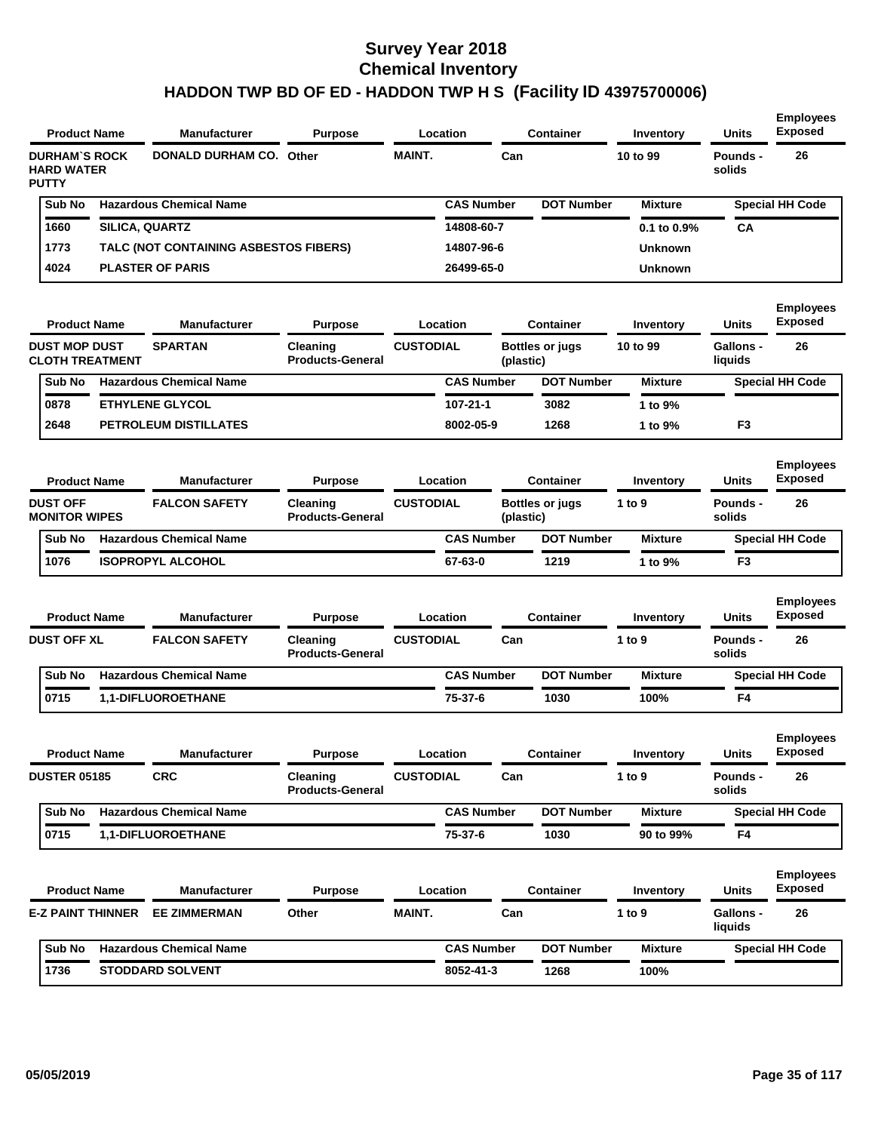| <b>Product Name</b>                                       |  | <b>Manufacturer</b>                   | <b>Purpose</b>                           |                  | Location          |           | <b>Container</b>       | Inventory          | <b>Units</b>         | <b>Employees</b><br><b>Exposed</b> |
|-----------------------------------------------------------|--|---------------------------------------|------------------------------------------|------------------|-------------------|-----------|------------------------|--------------------|----------------------|------------------------------------|
| <b>DURHAM'S ROCK</b><br><b>HARD WATER</b><br><b>PUTTY</b> |  |                                       | <b>MAINT.</b><br>DONALD DURHAM CO. Other |                  | Can               |           | 10 to 99               | Pounds -<br>solids | 26                   |                                    |
| Sub No                                                    |  | <b>Hazardous Chemical Name</b>        |                                          |                  | <b>CAS Number</b> |           | <b>DOT Number</b>      | <b>Mixture</b>     |                      | <b>Special HH Code</b>             |
| 1660                                                      |  | SILICA, QUARTZ                        |                                          |                  | 14808-60-7        |           |                        | 0.1 to 0.9%        | СA                   |                                    |
| 1773                                                      |  | TALC (NOT CONTAINING ASBESTOS FIBERS) |                                          |                  | 14807-96-6        |           |                        | <b>Unknown</b>     |                      |                                    |
| 4024                                                      |  | <b>PLASTER OF PARIS</b>               |                                          |                  | 26499-65-0        |           |                        | <b>Unknown</b>     |                      |                                    |
| <b>Product Name</b>                                       |  | <b>Manufacturer</b>                   | <b>Purpose</b>                           |                  | Location          |           | <b>Container</b>       | Inventory          | Units                | <b>Employees</b><br><b>Exposed</b> |
| <b>DUST MOP DUST</b><br><b>CLOTH TREATMENT</b>            |  | <b>SPARTAN</b>                        | Cleaning<br><b>Products-General</b>      | <b>CUSTODIAL</b> |                   | (plastic) | <b>Bottles or jugs</b> | 10 to 99           | Gallons -<br>liquids | 26                                 |
| Sub No                                                    |  | <b>Hazardous Chemical Name</b>        |                                          |                  | <b>CAS Number</b> |           | <b>DOT Number</b>      | <b>Mixture</b>     |                      | <b>Special HH Code</b>             |
| 0878                                                      |  | <b>ETHYLENE GLYCOL</b>                |                                          |                  | 107-21-1          |           | 3082                   | 1 to 9%            |                      |                                    |
| 2648                                                      |  | PETROLEUM DISTILLATES                 |                                          |                  | 8002-05-9         |           | 1268                   | 1 to 9%            | F <sub>3</sub>       |                                    |
| <b>Product Name</b>                                       |  | <b>Manufacturer</b>                   | <b>Purpose</b>                           |                  | Location          |           | <b>Container</b>       | Inventory          | Units                | <b>Employees</b><br><b>Exposed</b> |
| <b>DUST OFF</b><br><b>MONITOR WIPES</b>                   |  | <b>FALCON SAFETY</b>                  | Cleaning<br><b>Products-General</b>      | <b>CUSTODIAL</b> |                   | (plastic) | Bottles or jugs        | 1 to 9             | Pounds -<br>solids   | 26                                 |
| Sub No                                                    |  | <b>Hazardous Chemical Name</b>        |                                          |                  | <b>CAS Number</b> |           | <b>DOT Number</b>      | <b>Mixture</b>     |                      | <b>Special HH Code</b>             |
| 1076                                                      |  | <b>ISOPROPYL ALCOHOL</b>              |                                          |                  | 67-63-0           |           | 1219                   | 1 to 9%            | F <sub>3</sub>       |                                    |
| <b>Product Name</b>                                       |  | <b>Manufacturer</b>                   | <b>Purpose</b>                           |                  | Location          |           | <b>Container</b>       | Inventory          | Units                | <b>Employees</b><br><b>Exposed</b> |
| <b>DUST OFF XL</b>                                        |  | <b>FALCON SAFETY</b>                  | Cleaning<br><b>Products-General</b>      | <b>CUSTODIAL</b> |                   | Can       |                        | 1 to 9             | Pounds -<br>solids   | 26                                 |
| Sub No                                                    |  | <b>Hazardous Chemical Name</b>        |                                          |                  | <b>CAS Number</b> |           | <b>DOT Number</b>      | <b>Mixture</b>     |                      | <b>Special HH Code</b>             |
| 0715                                                      |  | 1,1-DIFLUOROETHANE                    |                                          |                  | 75-37-6           |           | 1030                   | 100%               | F4                   |                                    |
| <b>Product Name</b>                                       |  | <b>Manufacturer</b>                   | <b>Purpose</b>                           |                  | Location          |           | <b>Container</b>       | Inventory          | <b>Units</b>         | <b>Employees</b><br><b>Exposed</b> |
| <b>DUSTER 05185</b>                                       |  | <b>CRC</b>                            | Cleaning<br><b>Products-General</b>      | <b>CUSTODIAL</b> |                   | Can       |                        | 1 to $9$           | Pounds -<br>solids   | 26                                 |
| Sub No                                                    |  | <b>Hazardous Chemical Name</b>        |                                          |                  | <b>CAS Number</b> |           | <b>DOT Number</b>      | <b>Mixture</b>     |                      | <b>Special HH Code</b>             |
| 0715                                                      |  | 1,1-DIFLUOROETHANE                    |                                          |                  | 75-37-6           |           | 1030                   | 90 to 99%          | F4                   |                                    |
| <b>Product Name</b>                                       |  | <b>Manufacturer</b>                   | <b>Purpose</b>                           |                  | Location          |           | <b>Container</b>       | Inventory          | Units                | <b>Employees</b><br><b>Exposed</b> |
| <b>E-Z PAINT THINNER</b>                                  |  | <b>EE ZIMMERMAN</b>                   | Other                                    | MAINT.           |                   | Can       |                        | 1 to 9             | Gallons -<br>liquids | 26                                 |
| Sub No                                                    |  | <b>Hazardous Chemical Name</b>        |                                          |                  | <b>CAS Number</b> |           | <b>DOT Number</b>      | <b>Mixture</b>     |                      | <b>Special HH Code</b>             |
| 1736                                                      |  | <b>STODDARD SOLVENT</b>               |                                          |                  | 8052-41-3         |           | 1268                   | 100%               |                      |                                    |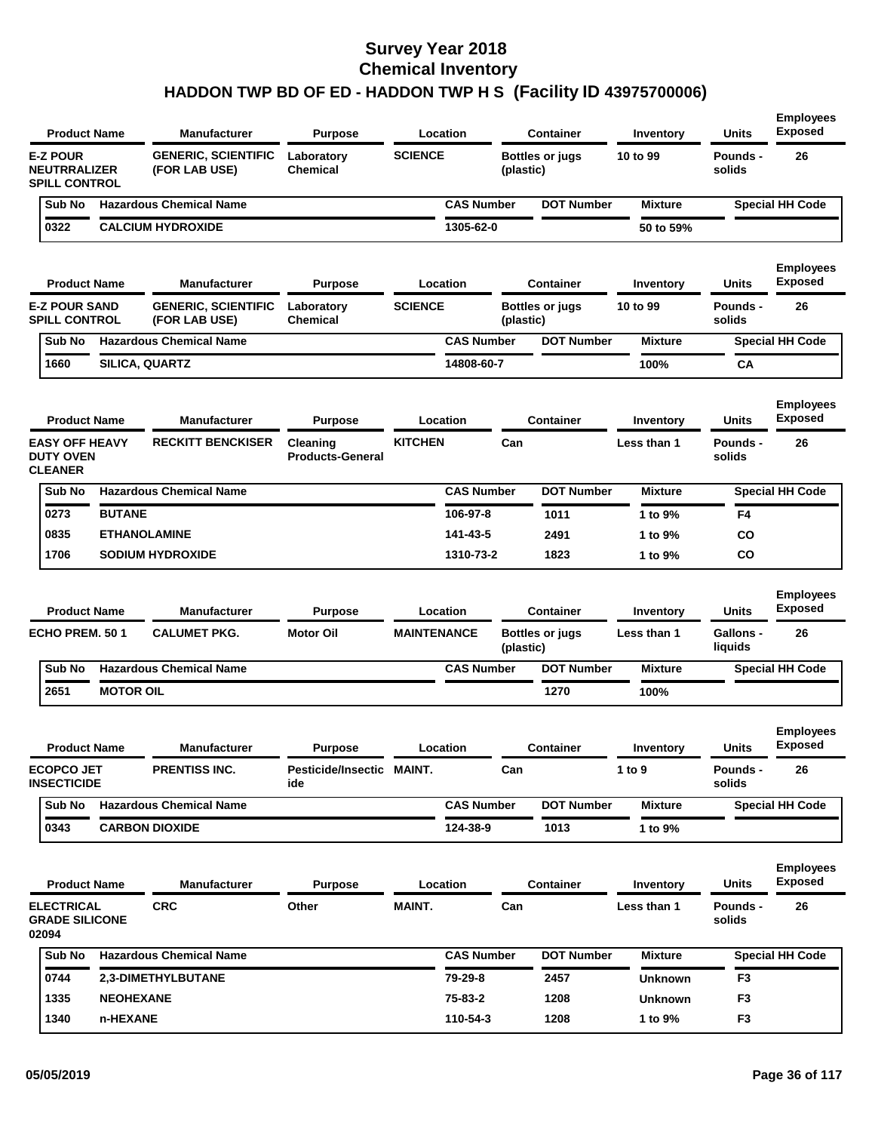|                                                                | <b>Product Name</b> | <b>Manufacturer</b>                                                                                                                   | <b>Purpose</b>                              |                    | Location          |                    | <b>Container</b>       | Inventory           | Units                     | <b>Employees</b><br><b>Exposed</b> |
|----------------------------------------------------------------|---------------------|---------------------------------------------------------------------------------------------------------------------------------------|---------------------------------------------|--------------------|-------------------|--------------------|------------------------|---------------------|---------------------------|------------------------------------|
| <b>E-Z POUR</b><br><b>NEUTRRALIZER</b><br><b>SPILL CONTROL</b> |                     | <b>SCIENCE</b><br><b>GENERIC, SCIENTIFIC</b><br>Laboratory<br><b>Bottles or jugs</b><br><b>Chemical</b><br>(FOR LAB USE)<br>(plastic) |                                             |                    | 10 to 99          | Pounds -<br>solids | 26                     |                     |                           |                                    |
| Sub No                                                         |                     | <b>Hazardous Chemical Name</b>                                                                                                        |                                             |                    | <b>CAS Number</b> |                    | <b>DOT Number</b>      | <b>Mixture</b>      |                           | <b>Special HH Code</b>             |
| 0322                                                           |                     | <b>CALCIUM HYDROXIDE</b>                                                                                                              |                                             |                    | 1305-62-0         |                    |                        | 50 to 59%           |                           |                                    |
|                                                                | <b>Product Name</b> | <b>Manufacturer</b>                                                                                                                   | <b>Purpose</b>                              |                    | Location          |                    | <b>Container</b>       | Inventory           | Units                     | <b>Employees</b><br><b>Exposed</b> |
| <b>E-Z POUR SAND</b><br><b>SPILL CONTROL</b>                   |                     | <b>GENERIC, SCIENTIFIC</b><br>(FOR LAB USE)                                                                                           | Laboratory<br>Chemical                      | <b>SCIENCE</b>     |                   | (plastic)          | <b>Bottles or jugs</b> | 10 to 99            | <b>Pounds -</b><br>solids | 26                                 |
| Sub No                                                         |                     | <b>Hazardous Chemical Name</b>                                                                                                        |                                             |                    | <b>CAS Number</b> |                    | <b>DOT Number</b>      | <b>Mixture</b>      |                           | <b>Special HH Code</b>             |
| 1660                                                           |                     | <b>SILICA, QUARTZ</b>                                                                                                                 |                                             |                    | 14808-60-7        |                    |                        | 100%                | CА                        |                                    |
|                                                                | <b>Product Name</b> | <b>Manufacturer</b>                                                                                                                   | <b>Purpose</b>                              |                    | Location          |                    | <b>Container</b>       | Inventory           | Units                     | <b>Employees</b><br><b>Exposed</b> |
| <b>EASY OFF HEAVY</b><br><b>DUTY OVEN</b><br><b>CLEANER</b>    |                     | <b>RECKITT BENCKISER</b>                                                                                                              | Cleaning<br><b>Products-General</b>         | <b>KITCHEN</b>     |                   | Can                |                        | Less than 1         | <b>Pounds -</b><br>solids | 26                                 |
| Sub No                                                         |                     | <b>Hazardous Chemical Name</b>                                                                                                        |                                             |                    | <b>CAS Number</b> |                    | <b>DOT Number</b>      | <b>Mixture</b>      |                           | <b>Special HH Code</b>             |
| 0273                                                           | <b>BUTANE</b>       |                                                                                                                                       |                                             |                    | 106-97-8          |                    | 1011                   | 1 to 9%             | F4                        |                                    |
| 0835                                                           |                     | <b>ETHANOLAMINE</b>                                                                                                                   |                                             |                    | 141-43-5          |                    | 2491                   | 1 to 9%             | CO                        |                                    |
| 1706                                                           |                     | <b>SODIUM HYDROXIDE</b>                                                                                                               |                                             |                    | 1310-73-2         |                    | 1823                   | 1 to 9%             | CO                        |                                    |
|                                                                | <b>Product Name</b> | <b>Manufacturer</b>                                                                                                                   | <b>Purpose</b>                              |                    | Location          |                    | <b>Container</b>       | Inventory           | Units                     | <b>Employees</b><br><b>Exposed</b> |
| ECHO PREM. 501                                                 |                     | <b>CALUMET PKG.</b>                                                                                                                   | <b>Motor Oil</b>                            | <b>MAINTENANCE</b> |                   | (plastic)          | <b>Bottles or jugs</b> | Less than 1         | Gallons -<br>liquids      | 26                                 |
| Sub No                                                         |                     | <b>Hazardous Chemical Name</b>                                                                                                        |                                             |                    | <b>CAS Number</b> |                    | <b>DOT Number</b>      | <b>Mixture</b>      |                           | <b>Special HH Code</b>             |
| 2651                                                           | <b>MOTOR OIL</b>    |                                                                                                                                       |                                             |                    |                   |                    | 1270                   | 100%                |                           |                                    |
|                                                                |                     |                                                                                                                                       |                                             |                    |                   |                    |                        |                     |                           | <b>Employees</b><br><b>Exposed</b> |
| <b>ECOPCO JET</b>                                              | <b>Product Name</b> | <b>Manufacturer</b><br>PRENTISS INC.                                                                                                  | <b>Purpose</b><br>Pesticide/Insectic MAINT. |                    | Location          | Can                | <b>Container</b>       | Inventory<br>1 to 9 | Units<br>Pounds -         | 26                                 |
| <b>INSECTICIDE</b>                                             |                     |                                                                                                                                       | ide                                         |                    |                   |                    |                        |                     | solids                    |                                    |
| Sub No                                                         |                     | <b>Hazardous Chemical Name</b>                                                                                                        |                                             |                    | <b>CAS Number</b> |                    | <b>DOT Number</b>      | <b>Mixture</b>      |                           | <b>Special HH Code</b>             |
| 0343                                                           |                     | <b>CARBON DIOXIDE</b>                                                                                                                 |                                             |                    | 124-38-9          |                    | 1013                   | 1 to 9%             |                           |                                    |
|                                                                | <b>Product Name</b> | <b>Manufacturer</b>                                                                                                                   | <b>Purpose</b>                              |                    | Location          |                    | <b>Container</b>       | Inventory           | <b>Units</b>              | <b>Employees</b><br><b>Exposed</b> |
| <b>ELECTRICAL</b><br><b>GRADE SILICONE</b><br>02094            |                     | <b>CRC</b>                                                                                                                            | Other                                       | <b>MAINT.</b>      |                   | Can                |                        | Less than 1         | <b>Pounds -</b><br>solids | 26                                 |
|                                                                |                     | <b>Hazardous Chemical Name</b>                                                                                                        |                                             |                    | <b>CAS Number</b> |                    | <b>DOT Number</b>      | <b>Mixture</b>      |                           | <b>Special HH Code</b>             |
| Sub No                                                         |                     |                                                                                                                                       |                                             |                    |                   |                    |                        |                     |                           |                                    |
| 0744                                                           |                     | 2,3-DIMETHYLBUTANE                                                                                                                    |                                             |                    | 79-29-8           |                    | 2457                   | <b>Unknown</b>      | F <sub>3</sub>            |                                    |
| 1335                                                           | <b>NEOHEXANE</b>    |                                                                                                                                       |                                             |                    | 75-83-2           |                    | 1208                   | <b>Unknown</b>      | F <sub>3</sub>            |                                    |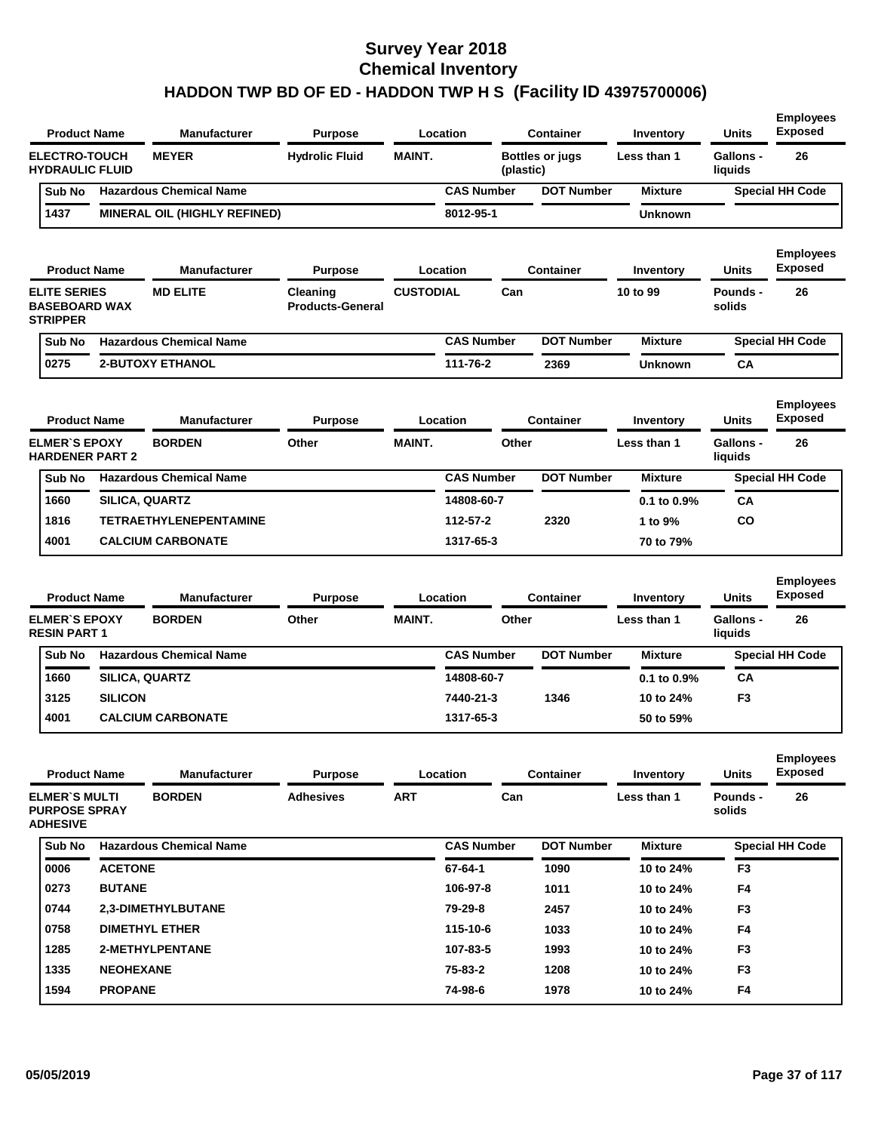| <b>Product Name</b>                                            | <b>Manufacturer</b>                  | <b>Purpose</b>                      |                  | Location          |           | <b>Container</b>       | Inventory                | <b>Units</b>                | <b>Employees</b><br><b>Exposed</b>       |
|----------------------------------------------------------------|--------------------------------------|-------------------------------------|------------------|-------------------|-----------|------------------------|--------------------------|-----------------------------|------------------------------------------|
| <b>ELECTRO-TOUCH</b><br><b>HYDRAULIC FLUID</b>                 | <b>MEYER</b>                         | <b>Hydrolic Fluid</b>               | <b>MAINT.</b>    |                   | (plastic) | <b>Bottles or jugs</b> | Less than 1              | Gallons -<br>liquids        | 26                                       |
| Sub No                                                         | <b>Hazardous Chemical Name</b>       |                                     |                  | <b>CAS Number</b> |           | <b>DOT Number</b>      | <b>Mixture</b>           |                             | <b>Special HH Code</b>                   |
| 1437                                                           | <b>MINERAL OIL (HIGHLY REFINED)</b>  |                                     |                  | 8012-95-1         |           |                        | Unknown                  |                             |                                          |
| <b>Product Name</b>                                            | <b>Manufacturer</b>                  | <b>Purpose</b>                      |                  | Location          |           | Container              | Inventory                | Units                       | <b>Employees</b><br><b>Exposed</b>       |
| <b>ELITE SERIES</b><br><b>BASEBOARD WAX</b><br><b>STRIPPER</b> | <b>MD ELITE</b>                      | Cleaning<br><b>Products-General</b> | <b>CUSTODIAL</b> |                   | Can       |                        | 10 to 99                 | Pounds -<br>solids          | 26                                       |
| Sub No                                                         | <b>Hazardous Chemical Name</b>       |                                     |                  | <b>CAS Number</b> |           | <b>DOT Number</b>      | <b>Mixture</b>           |                             | <b>Special HH Code</b>                   |
| 0275                                                           | <b>2-BUTOXY ETHANOL</b>              |                                     |                  | 111-76-2          |           | 2369                   | Unknown                  | CA                          |                                          |
| <b>Product Name</b><br><b>ELMER'S EPOXY</b>                    | <b>Manufacturer</b><br><b>BORDEN</b> | <b>Purpose</b><br>Other             | <b>MAINT.</b>    | Location          | Other     | <b>Container</b>       | Inventory<br>Less than 1 | Units<br>Gallons -          | <b>Employees</b><br><b>Exposed</b><br>26 |
| <b>HARDENER PART 2</b>                                         |                                      |                                     |                  |                   |           |                        |                          | liquids                     |                                          |
| Sub No                                                         | <b>Hazardous Chemical Name</b>       |                                     |                  | <b>CAS Number</b> |           | <b>DOT Number</b>      | <b>Mixture</b>           |                             | <b>Special HH Code</b>                   |
| 1660                                                           | SILICA, QUARTZ                       |                                     |                  | 14808-60-7        |           |                        | $0.1$ to $0.9\%$         | CA                          |                                          |
| 1816                                                           | <b>TETRAETHYLENEPENTAMINE</b>        |                                     |                  | 112-57-2          |           | 2320                   | 1 to 9%                  | CO                          |                                          |
| 4001                                                           | <b>CALCIUM CARBONATE</b>             |                                     |                  | 1317-65-3         |           |                        | 70 to 79%                |                             |                                          |
| <b>Product Name</b>                                            | <b>Manufacturer</b>                  | <b>Purpose</b>                      |                  | Location          |           | <b>Container</b>       | Inventory                | <b>Units</b>                | <b>Employees</b><br><b>Exposed</b>       |
| <b>ELMER'S EPOXY</b><br><b>RESIN PART 1</b>                    | <b>BORDEN</b>                        | Other                               | <b>MAINT.</b>    |                   | Other     |                        | Less than 1              | <b>Gallons -</b><br>liquids | 26                                       |
| Sub No                                                         | <b>Hazardous Chemical Name</b>       |                                     |                  | <b>CAS Number</b> |           | <b>DOT Number</b>      | <b>Mixture</b>           |                             | <b>Special HH Code</b>                   |
|                                                                | $0.0001$ $0.0007$                    |                                     |                  |                   |           |                        |                          |                             |                                          |

| 1660 | <b>SILICA, QUARTZ</b>    | 14808-60-7 |      | $0.1$ to $0.9\%$ | CA               |
|------|--------------------------|------------|------|------------------|------------------|
| 3125 | <b>SILICON</b>           | 7440-21-3  | 1346 | 10 to 24%        | F <sub>3</sub>   |
| 4001 | <b>CALCIUM CARBONATE</b> | 1317-65-3  |      | 50 to 59%        |                  |
|      |                          |            |      |                  | <b>Employees</b> |

| <b>Product Name</b>                                             |                  | <b>Manufacturer</b>            | <b>Purpose</b>   |            | Location          | <b>Container</b>  | Inventory      | <b>Units</b>       | <b>Exposed</b>         |
|-----------------------------------------------------------------|------------------|--------------------------------|------------------|------------|-------------------|-------------------|----------------|--------------------|------------------------|
| <b>ELMER'S MULTI</b><br><b>PURPOSE SPRAY</b><br><b>ADHESIVE</b> |                  | <b>BORDEN</b>                  | <b>Adhesives</b> | <b>ART</b> | Can               |                   | Less than 1    | Pounds -<br>solids | 26                     |
| Sub No                                                          |                  | <b>Hazardous Chemical Name</b> |                  |            | <b>CAS Number</b> | <b>DOT Number</b> | <b>Mixture</b> |                    | <b>Special HH Code</b> |
| 0006                                                            | <b>ACETONE</b>   |                                |                  |            | 67-64-1           | 1090              | 10 to 24%      | F <sub>3</sub>     |                        |
| 0273                                                            | <b>BUTANE</b>    |                                |                  |            | 106-97-8          | 1011              | 10 to 24%      | F <sub>4</sub>     |                        |
| 0744                                                            |                  | 2.3-DIMETHYLBUTANE             |                  |            | 79-29-8           | 2457              | 10 to 24%      | F <sub>3</sub>     |                        |
| 0758                                                            |                  | <b>DIMETHYL ETHER</b>          |                  |            | 115-10-6          | 1033              | 10 to 24%      | F <sub>4</sub>     |                        |
| 1285                                                            |                  | 2-METHYLPENTANE                |                  |            | 107-83-5          | 1993              | 10 to 24%      | F <sub>3</sub>     |                        |
| 1335                                                            | <b>NEOHEXANE</b> |                                |                  |            | 75-83-2           | 1208              | 10 to 24%      | F <sub>3</sub>     |                        |
| 1594                                                            | <b>PROPANE</b>   |                                |                  |            | 74-98-6           | 1978              | 10 to 24%      | F4                 |                        |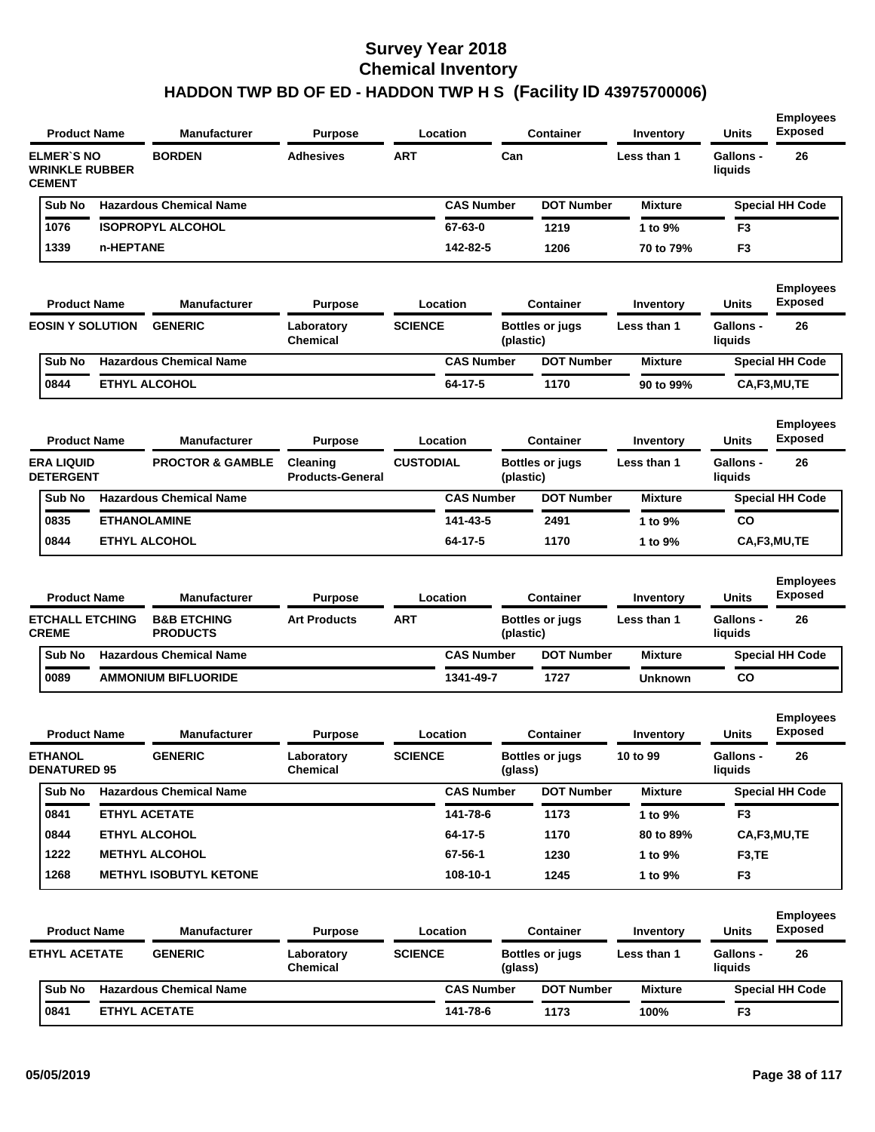|                                                             | <b>Product Name</b> | <b>Manufacturer</b>                       | <b>Purpose</b>                      |                  | Location          |           | <b>Container</b>       | Inventory      | <b>Units</b>                | <b>Exposed</b>                     |
|-------------------------------------------------------------|---------------------|-------------------------------------------|-------------------------------------|------------------|-------------------|-----------|------------------------|----------------|-----------------------------|------------------------------------|
| <b>ELMER'S NO</b><br><b>WRINKLE RUBBER</b><br><b>CEMENT</b> |                     | <b>BORDEN</b>                             | Adhesives                           | <b>ART</b>       |                   | Can       |                        | Less than 1    | <b>Gallons -</b><br>liquids | 26                                 |
| Sub No                                                      |                     | <b>Hazardous Chemical Name</b>            |                                     |                  | <b>CAS Number</b> |           | <b>DOT Number</b>      | <b>Mixture</b> |                             | <b>Special HH Code</b>             |
| 1076                                                        |                     | <b>ISOPROPYL ALCOHOL</b>                  |                                     |                  | 67-63-0           |           | 1219                   | 1 to 9%        | F <sub>3</sub>              |                                    |
| 1339                                                        | n-HEPTANE           |                                           |                                     |                  | 142-82-5          |           | 1206                   | 70 to 79%      | F3                          |                                    |
| <b>Product Name</b>                                         |                     | <b>Manufacturer</b>                       | <b>Purpose</b>                      |                  | Location          |           | <b>Container</b>       | Inventory      | Units                       | <b>Employees</b><br><b>Exposed</b> |
| <b>EOSIN Y SOLUTION</b>                                     |                     | <b>GENERIC</b>                            | Laboratory<br><b>Chemical</b>       | <b>SCIENCE</b>   |                   | (plastic) | <b>Bottles or jugs</b> | Less than 1    | <b>Gallons -</b><br>liquids | 26                                 |
| Sub No                                                      |                     | <b>Hazardous Chemical Name</b>            |                                     |                  | <b>CAS Number</b> |           | <b>DOT Number</b>      | <b>Mixture</b> |                             | <b>Special HH Code</b>             |
| 0844                                                        |                     | <b>ETHYL ALCOHOL</b>                      |                                     |                  | 64-17-5           |           | 1170                   | 90 to 99%      |                             | CA,F3,MU,TE                        |
| <b>Product Name</b>                                         |                     | <b>Manufacturer</b>                       | <b>Purpose</b>                      |                  | Location          |           | <b>Container</b>       | Inventory      | Units                       | <b>Employees</b><br><b>Exposed</b> |
| <b>ERA LIQUID</b><br><b>DETERGENT</b>                       |                     | <b>PROCTOR &amp; GAMBLE</b>               | Cleaning<br><b>Products-General</b> | <b>CUSTODIAL</b> |                   | (plastic) | <b>Bottles or jugs</b> | Less than 1    | <b>Gallons -</b><br>liquids | 26                                 |
| Sub No                                                      |                     | <b>Hazardous Chemical Name</b>            |                                     |                  | <b>CAS Number</b> |           | <b>DOT Number</b>      | <b>Mixture</b> |                             | <b>Special HH Code</b>             |
| 0835                                                        | <b>ETHANOLAMINE</b> |                                           |                                     |                  | 141-43-5          |           | 2491                   | 1 to 9%        | CO                          |                                    |
| 0844                                                        |                     | <b>ETHYL ALCOHOL</b>                      |                                     |                  | 64-17-5           |           | 1170                   | 1 to 9%        |                             | CA,F3,MU,TE                        |
| <b>Product Name</b>                                         |                     | <b>Manufacturer</b>                       | <b>Purpose</b>                      |                  | Location          |           | <b>Container</b>       | Inventory      | Units                       | <b>Employees</b><br><b>Exposed</b> |
| <b>ETCHALL ETCHING</b><br><b>CREME</b>                      |                     | <b>B&amp;B ETCHING</b><br><b>PRODUCTS</b> | <b>Art Products</b>                 | ART              |                   | (plastic) | <b>Bottles or jugs</b> | Less than 1    | <b>Gallons -</b><br>liquids | 26                                 |
| Sub No                                                      |                     | <b>Hazardous Chemical Name</b>            |                                     |                  | <b>CAS Number</b> |           | <b>DOT Number</b>      | <b>Mixture</b> |                             | <b>Special HH Code</b>             |
| 0089                                                        |                     | <b>AMMONIUM BIFLUORIDE</b>                |                                     |                  | 1341-49-7         |           | 1727                   | <b>Unknown</b> | CO                          |                                    |
| <b>Product Name</b>                                         |                     | <b>Manufacturer</b>                       | <b>Purpose</b>                      |                  | Location          |           | <b>Container</b>       | Inventory      | Units                       | <b>Employees</b><br><b>Exposed</b> |
| <b>ETHANOL</b><br><b>DENATURED 95</b>                       |                     | <b>GENERIC</b>                            | Laboratory<br>Chemical              | <b>SCIENCE</b>   |                   | (giass)   | <b>Bottles or jugs</b> | 10 to 99       | <b>Gallons -</b><br>liquias | 26                                 |
| Sub No                                                      |                     | <b>Hazardous Chemical Name</b>            |                                     |                  | <b>CAS Number</b> |           | <b>DOT Number</b>      | <b>Mixture</b> |                             | <b>Special HH Code</b>             |
| 0841                                                        |                     | <b>ETHYL ACETATE</b>                      |                                     |                  | 141-78-6          |           | 1173                   | 1 to 9%        | F3                          |                                    |
| 0844                                                        |                     | <b>ETHYL ALCOHOL</b>                      |                                     |                  | 64-17-5           |           | 1170                   | 80 to 89%      |                             | CA,F3,MU,TE                        |
| 1222                                                        |                     | <b>METHYL ALCOHOL</b>                     |                                     |                  | 67-56-1           |           | 1230                   | 1 to 9%        | F <sub>3</sub> ,TE          |                                    |
| 1268                                                        |                     | <b>METHYL ISOBUTYL KETONE</b>             |                                     |                  | 108-10-1          |           | 1245                   | 1 to 9%        | F <sub>3</sub>              |                                    |
| <b>Product Name</b>                                         |                     | <b>Manufacturer</b>                       | <b>Purpose</b>                      |                  | Location          |           | <b>Container</b>       | Inventory      | Units                       | <b>Employees</b><br><b>Exposed</b> |
| <b>ETHYL ACETATE</b>                                        |                     | <b>GENERIC</b>                            | Laboratory<br><b>Chemical</b>       | <b>SCIENCE</b>   |                   | (glass)   | <b>Bottles or jugs</b> | Less than 1    | Gallons -<br>liquids        | 26                                 |
| Sub No                                                      |                     | <b>Hazardous Chemical Name</b>            |                                     |                  | <b>CAS Number</b> |           | <b>DOT Number</b>      | <b>Mixture</b> |                             | <b>Special HH Code</b>             |
|                                                             |                     |                                           |                                     |                  |                   |           |                        |                |                             |                                    |

**Employees**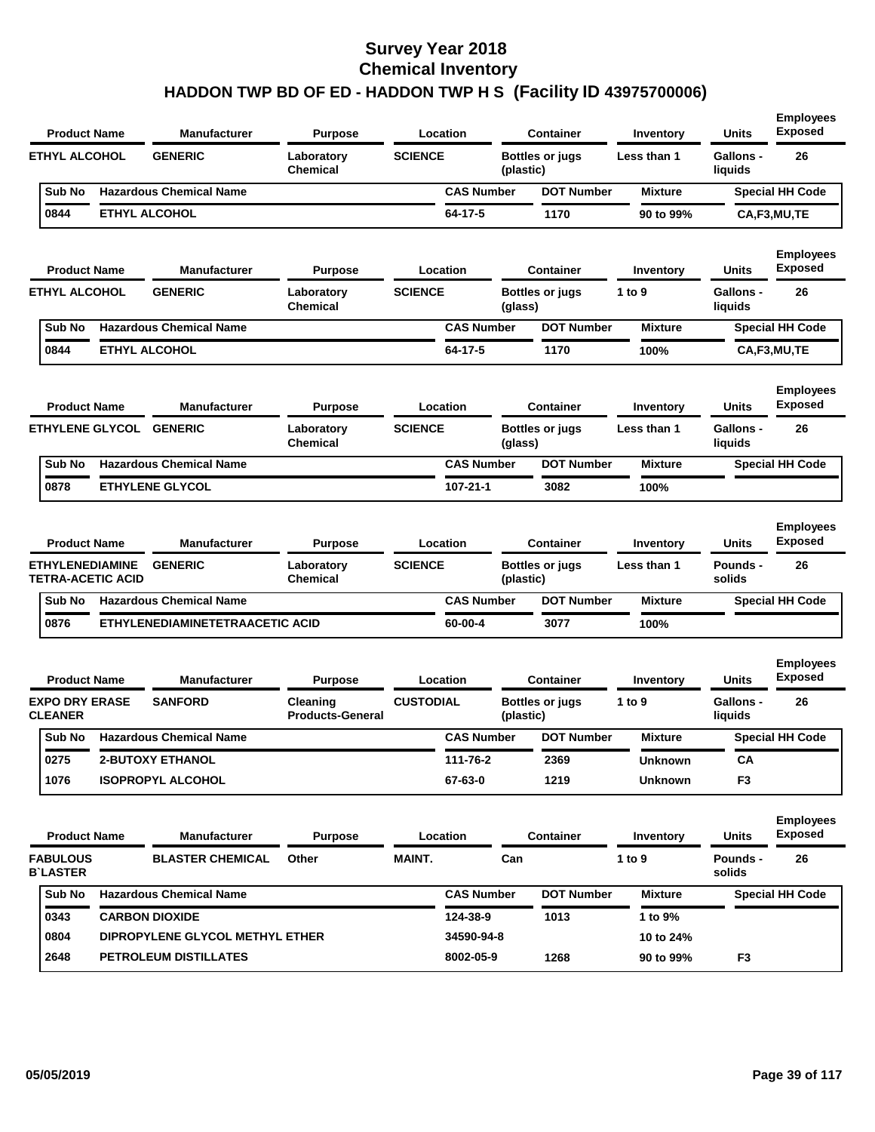| <b>Product Name</b>                         | <b>Units</b><br><b>Manufacturer</b><br><b>Purpose</b><br>Location<br><b>Container</b><br>Inventory | <b>Employees</b><br><b>Exposed</b>  |                  |                   |           |                        |                |                             |                                    |
|---------------------------------------------|----------------------------------------------------------------------------------------------------|-------------------------------------|------------------|-------------------|-----------|------------------------|----------------|-----------------------------|------------------------------------|
| <b>ETHYL ALCOHOL</b>                        | <b>GENERIC</b>                                                                                     | Laboratory<br><b>Chemical</b>       | <b>SCIENCE</b>   |                   | (plastic) | <b>Bottles or jugs</b> | Less than 1    | <b>Gallons -</b><br>liquids | 26                                 |
| Sub No                                      | <b>Hazardous Chemical Name</b>                                                                     |                                     |                  | <b>CAS Number</b> |           | <b>DOT Number</b>      | <b>Mixture</b> |                             | <b>Special HH Code</b>             |
| 0844                                        | <b>ETHYL ALCOHOL</b>                                                                               |                                     |                  | 64-17-5           |           | 1170                   | 90 to 99%      |                             | CA,F3,MU,TE                        |
| <b>Product Name</b>                         | <b>Manufacturer</b>                                                                                | <b>Purpose</b>                      |                  | Location          |           | <b>Container</b>       | Inventory      | Units                       | <b>Employees</b><br><b>Exposed</b> |
| <b>ETHYL ALCOHOL</b>                        | <b>GENERIC</b>                                                                                     | Laboratory<br><b>Chemical</b>       | <b>SCIENCE</b>   |                   | (glass)   | <b>Bottles or jugs</b> | 1 to 9         | Gallons -<br>liquids        | 26                                 |
| Sub No                                      | <b>Hazardous Chemical Name</b>                                                                     |                                     |                  | <b>CAS Number</b> |           | <b>DOT Number</b>      | <b>Mixture</b> |                             | <b>Special HH Code</b>             |
| 0844                                        | <b>ETHYL ALCOHOL</b>                                                                               |                                     |                  | 64-17-5           |           | 1170                   | 100%           |                             | CA,F3,MU,TE                        |
| <b>Product Name</b>                         | <b>Manufacturer</b>                                                                                | <b>Purpose</b>                      |                  | Location          |           | <b>Container</b>       | Inventory      | Units                       | <b>Employees</b><br><b>Exposed</b> |
| ETHYLENE GLYCOL GENERIC                     |                                                                                                    | Laboratory<br><b>Chemical</b>       | <b>SCIENCE</b>   |                   | (glass)   | <b>Bottles or jugs</b> | Less than 1    | <b>Gallons -</b><br>liquids | 26                                 |
| Sub No                                      | <b>Hazardous Chemical Name</b>                                                                     |                                     |                  | <b>CAS Number</b> |           | <b>DOT Number</b>      | <b>Mixture</b> |                             | <b>Special HH Code</b>             |
| 0878                                        | <b>ETHYLENE GLYCOL</b>                                                                             |                                     |                  | $107 - 21 - 1$    |           | 3082                   | 100%           |                             |                                    |
| <b>Product Name</b>                         | <b>Manufacturer</b>                                                                                | <b>Purpose</b>                      |                  | Location          |           | <b>Container</b>       | Inventory      | <b>Units</b>                | <b>Employees</b><br><b>Exposed</b> |
| <b>ETHYLENEDIAMINE</b><br>TETRA-ACETIC ACID | <b>GENERIC</b>                                                                                     | Laboratory<br><b>Chemical</b>       | <b>SCIENCE</b>   |                   | (plastic) | <b>Bottles or jugs</b> | Less than 1    | <b>Pounds -</b><br>solids   | 26                                 |
| Sub No                                      | <b>Hazardous Chemical Name</b>                                                                     |                                     |                  | <b>CAS Number</b> |           | <b>DOT Number</b>      | <b>Mixture</b> |                             | <b>Special HH Code</b>             |
| 0876                                        | ETHYLENEDIAMINETETRAACETIC ACID                                                                    |                                     |                  | 60-00-4           |           | 3077                   | 100%           |                             |                                    |
| <b>Product Name</b>                         | <b>Manufacturer</b>                                                                                | <b>Purpose</b>                      |                  | Location          |           | <b>Container</b>       | Inventory      | <b>Units</b>                | <b>Employees</b><br><b>Exposed</b> |
| <b>EXPO DRY ERASE</b><br><b>CLEANER</b>     | <b>SANFORD</b>                                                                                     | Cleaning<br><b>Products-General</b> | <b>CUSTODIAL</b> |                   | (plastic) | <b>Bottles or jugs</b> | 1 to 9         | <b>Gallons -</b><br>liquids | 26                                 |
| Sub No                                      | <b>Hazardous Chemical Name</b>                                                                     |                                     |                  | <b>CAS Number</b> |           | <b>DOT Number</b>      | <b>Mixture</b> |                             | <b>Special HH Code</b>             |
| 0275                                        | <b>2-BUTOXY ETHANOL</b>                                                                            |                                     |                  | 111-76-2          |           | 2369                   | <b>Unknown</b> | <b>CA</b>                   |                                    |
| 1076                                        | <b>ISOPROPYL ALCOHOL</b>                                                                           |                                     |                  | 67-63-0           |           | 1219                   | <b>Unknown</b> | F <sub>3</sub>              |                                    |
| <b>Product Name</b>                         | <b>Manufacturer</b>                                                                                | <b>Purpose</b>                      |                  | Location          |           | <b>Container</b>       | Inventory      | <b>Units</b>                | <b>Employees</b><br><b>Exposed</b> |
| <b>FABULOUS</b><br><b>B`LASTER</b>          | <b>BLASTER CHEMICAL</b>                                                                            | Other                               | MAINT.           |                   | Can       |                        | 1 to 9         | Pounds -<br>solids          | 26                                 |
| Sub No                                      | <b>Hazardous Chemical Name</b>                                                                     |                                     |                  | <b>CAS Number</b> |           | <b>DOT Number</b>      | <b>Mixture</b> |                             | <b>Special HH Code</b>             |
| 0343                                        | <b>CARBON DIOXIDE</b>                                                                              |                                     |                  | 124-38-9          |           | 1013                   | 1 to 9%        |                             |                                    |
| 0804                                        | DIPROPYLENE GLYCOL METHYL ETHER                                                                    |                                     |                  | 34590-94-8        |           |                        | 10 to 24%      |                             |                                    |
| 2648                                        | PETROLEUM DISTILLATES                                                                              |                                     |                  | 8002-05-9         |           | 1268                   | 90 to 99%      | F <sub>3</sub>              |                                    |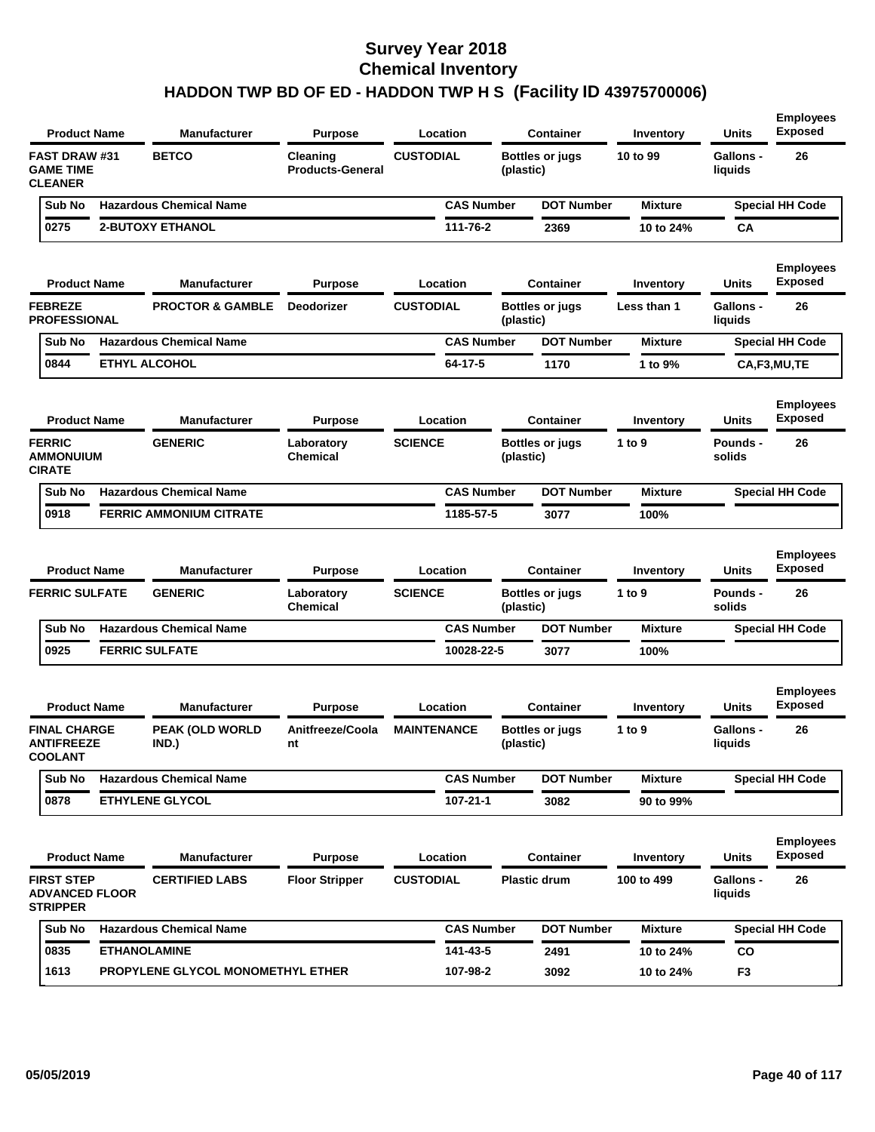| <b>Product Name</b>                                           | <b>Manufacturer</b>               | <b>Purpose</b>                      | Location           |           | <b>Container</b>       | Inventory      | Units                       | <b>Employees</b><br><b>Exposed</b> |
|---------------------------------------------------------------|-----------------------------------|-------------------------------------|--------------------|-----------|------------------------|----------------|-----------------------------|------------------------------------|
| <b>FAST DRAW #31</b><br><b>GAME TIME</b><br><b>CLEANER</b>    | <b>BETCO</b>                      | Cleaning<br><b>Products-General</b> | <b>CUSTODIAL</b>   | (plastic) | <b>Bottles or jugs</b> | 10 to 99       | <b>Gallons -</b><br>liquids | 26                                 |
| Sub No                                                        | <b>Hazardous Chemical Name</b>    |                                     | <b>CAS Number</b>  |           | <b>DOT Number</b>      | <b>Mixture</b> |                             | <b>Special HH Code</b>             |
| 0275                                                          | <b>2-BUTOXY ETHANOL</b>           |                                     | 111-76-2           |           | 2369                   | 10 to 24%      | СA                          |                                    |
| <b>Product Name</b>                                           | <b>Manufacturer</b>               | <b>Purpose</b>                      | Location           |           | <b>Container</b>       | Inventory      | Units                       | <b>Employees</b><br><b>Exposed</b> |
| <b>FEBREZE</b><br><b>PROFESSIONAL</b>                         | <b>PROCTOR &amp; GAMBLE</b>       | <b>Deodorizer</b>                   | <b>CUSTODIAL</b>   | (plastic) | <b>Bottles or jugs</b> | Less than 1    | <b>Gallons -</b><br>liquids | 26                                 |
| Sub No                                                        | <b>Hazardous Chemical Name</b>    |                                     | <b>CAS Number</b>  |           | <b>DOT Number</b>      | <b>Mixture</b> |                             | <b>Special HH Code</b>             |
| 0844                                                          | <b>ETHYL ALCOHOL</b>              |                                     | 64-17-5            |           | 1170                   | 1 to 9%        |                             | CA,F3,MU,TE                        |
| <b>Product Name</b>                                           | <b>Manufacturer</b>               | <b>Purpose</b>                      | Location           |           | <b>Container</b>       | Inventory      | Units                       | <b>Employees</b><br><b>Exposed</b> |
| <b>FERRIC</b><br><b>AMMONUIUM</b><br><b>CIRATE</b>            | <b>GENERIC</b>                    | Laboratory<br><b>Chemical</b>       | <b>SCIENCE</b>     | (plastic) | <b>Bottles or jugs</b> | 1 to $9$       | Pounds -<br>solids          | 26                                 |
| Sub No                                                        | <b>Hazardous Chemical Name</b>    |                                     | <b>CAS Number</b>  |           | <b>DOT Number</b>      | <b>Mixture</b> |                             | <b>Special HH Code</b>             |
| 0918                                                          | <b>FERRIC AMMONIUM CITRATE</b>    |                                     | 1185-57-5          |           | 3077                   | 100%           |                             |                                    |
| <b>Product Name</b>                                           | <b>Manufacturer</b>               | <b>Purpose</b>                      | Location           |           | <b>Container</b>       | Inventory      | Units                       | <b>Employees</b><br><b>Exposed</b> |
| <b>FERRIC SULFATE</b>                                         | <b>GENERIC</b>                    | Laboratory<br><b>Chemical</b>       | <b>SCIENCE</b>     | (plastic) | <b>Bottles or jugs</b> | 1 to $9$       | <b>Pounds -</b><br>solids   | 26                                 |
| Sub No                                                        | <b>Hazardous Chemical Name</b>    |                                     | <b>CAS Number</b>  |           | <b>DOT Number</b>      | <b>Mixture</b> |                             | <b>Special HH Code</b>             |
| 0925                                                          | <b>FERRIC SULFATE</b>             |                                     | 10028-22-5         |           | 3077                   | 100%           |                             |                                    |
| <b>Product Name</b>                                           | <b>Manufacturer</b>               | <b>Purpose</b>                      | Location           |           | <b>Container</b>       | Inventory      | Units                       | <b>Employees</b><br><b>Exposed</b> |
| <b>FINAL CHARGE</b><br><b>ANTIFREEZE</b><br><b>COOLAN I</b>   | <b>PEAK (OLD WORLD</b><br>IND.)   | Anitfreeze/Coola<br>nt              | <b>MAINTENANCE</b> | (plastic) | <b>Bottles or jugs</b> | 1 to $9$       | <b>Gallons -</b><br>liquids | 26                                 |
| Sub No                                                        | <b>Hazardous Chemical Name</b>    |                                     | <b>CAS Number</b>  |           | <b>DOT Number</b>      | <b>Mixture</b> |                             | <b>Special HH Code</b>             |
| 0878                                                          | <b>ETHYLENE GLYCOL</b>            |                                     | 107-21-1           |           | 3082                   | 90 to 99%      |                             |                                    |
| <b>Product Name</b>                                           | <b>Manufacturer</b>               | <b>Purpose</b>                      | Location           |           | <b>Container</b>       | Inventory      | Units                       | <b>Employees</b><br><b>Exposed</b> |
| <b>FIRST STEP</b><br><b>ADVANCED FLOOR</b><br><b>STRIPPER</b> | <b>CERTIFIED LABS</b>             | <b>Floor Stripper</b>               | <b>CUSTODIAL</b>   |           | <b>Plastic drum</b>    | 100 to 499     | <b>Gallons -</b><br>liquids | 26                                 |
| Sub No                                                        | <b>Hazardous Chemical Name</b>    |                                     | <b>CAS Number</b>  |           | <b>DOT Number</b>      | <b>Mixture</b> |                             | <b>Special HH Code</b>             |
| 0835                                                          | <b>ETHANOLAMINE</b>               |                                     | 141-43-5           |           | 2491                   | 10 to 24%      | CO                          |                                    |
| 1613                                                          | PROPYLENE GLYCOL MONOMETHYL ETHER |                                     | 107-98-2           |           | 3092                   | 10 to 24%      | F3                          |                                    |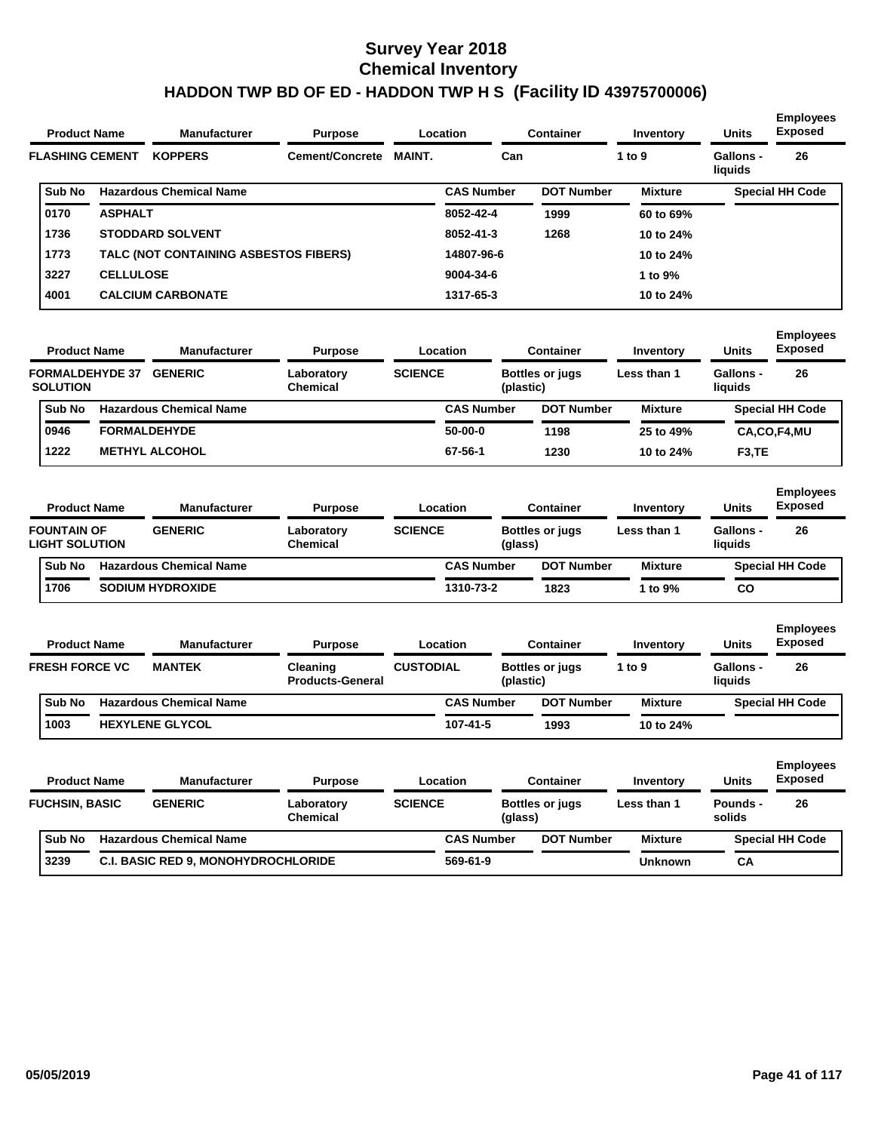| <b>Product Name</b><br><b>FLASHING CEMENT</b><br>Sub No<br>0170<br><b>ASPHALT</b><br>1736<br>1773<br>3227<br><b>CELLULOSE</b> | <b>Manufacturer</b> | <b>Purpose</b>                        | <b>Location</b> |     | <b>Container</b>  | Inventory         | <b>Units</b>         | <b>Employees</b><br><b>Exposed</b> |                        |
|-------------------------------------------------------------------------------------------------------------------------------|---------------------|---------------------------------------|-----------------|-----|-------------------|-------------------|----------------------|------------------------------------|------------------------|
|                                                                                                                               | <b>KOPPERS</b>      | Cement/Concrete                       | <b>MAINT.</b>   | Can |                   | 1 to 9            | Gallons -<br>liquids | 26                                 |                        |
|                                                                                                                               |                     | <b>Hazardous Chemical Name</b>        |                 |     | <b>CAS Number</b> | <b>DOT Number</b> | <b>Mixture</b>       |                                    | <b>Special HH Code</b> |
|                                                                                                                               |                     |                                       |                 |     | 8052-42-4         | 1999              | 60 to 69%            |                                    |                        |
|                                                                                                                               |                     | <b>STODDARD SOLVENT</b>               |                 |     | 8052-41-3         | 1268              | 10 to 24%            |                                    |                        |
|                                                                                                                               |                     | TALC (NOT CONTAINING ASBESTOS FIBERS) |                 |     | 14807-96-6        |                   | 10 to 24%            |                                    |                        |
|                                                                                                                               |                     |                                       |                 |     | 9004-34-6         |                   | 1 to 9%              |                                    |                        |
| 4001                                                                                                                          |                     | <b>CALCIUM CARBONATE</b>              |                 |     | 1317-65-3         |                   | 10 to 24%            |                                    |                        |

| <b>Product Name</b>                       |                     | <b>Manufacturer</b>            | <b>Purpose</b>                |                | Location          | Container                           | Inventory   | <b>Units</b>         | <b>Employees</b><br><b>Exposed</b> |
|-------------------------------------------|---------------------|--------------------------------|-------------------------------|----------------|-------------------|-------------------------------------|-------------|----------------------|------------------------------------|
| <b>FORMALDEHYDE 37</b><br><b>SOLUTION</b> |                     | <b>GENERIC</b>                 | Laboratory<br><b>Chemical</b> | <b>SCIENCE</b> |                   | <b>Bottles or jugs</b><br>(plastic) | Less than 1 | Gallons -<br>liquids | 26                                 |
| <b>Sub No</b>                             |                     | <b>Hazardous Chemical Name</b> |                               |                | <b>CAS Number</b> | <b>DOT Number</b>                   | Mixture     |                      | <b>Special HH Code</b>             |
| 0946                                      | <b>FORMALDEHYDE</b> |                                |                               |                | $50-00-0$         | 1198                                | 25 to 49%   |                      | CA,CO,F4,MU                        |
| 1222                                      |                     | <b>METHYL ALCOHOL</b>          |                               |                | 67-56-1           | 1230                                | 10 to 24%   | F <sub>3</sub> .TE   |                                    |
|                                           |                     |                                |                               |                |                   |                                     |             |                      |                                    |

| <b>Product Name</b> |                                             | <b>Manufacturer</b><br>Location<br><b>Purpose</b> |                                |                               | Container      | Inventory         | <b>Units</b>           | <b>Employees</b><br><b>Exposed</b> |                      |                        |
|---------------------|---------------------------------------------|---------------------------------------------------|--------------------------------|-------------------------------|----------------|-------------------|------------------------|------------------------------------|----------------------|------------------------|
|                     | <b>FOUNTAIN OF</b><br><b>LIGHT SOLUTION</b> |                                                   | <b>GENERIC</b>                 | Laboratory<br><b>Chemical</b> | <b>SCIENCE</b> | (glass)           | <b>Bottles or jugs</b> | Less than 1                        | Gallons -<br>liquids | 26                     |
|                     | <b>Sub No</b>                               |                                                   | <b>Hazardous Chemical Name</b> |                               |                | <b>CAS Number</b> | <b>DOT Number</b>      | <b>Mixture</b>                     |                      | <b>Special HH Code</b> |
|                     | 1706                                        |                                                   | <b>SODIUM HYDROXIDE</b>        |                               |                | 1310-73-2         | 1823                   | 1 to $9\%$                         | <b>CO</b>            |                        |

| <b>Product Name</b>   |  | <b>Manufacturer</b>            | <b>Purpose</b>                      |                  | Location          |           | <b>Container</b><br>Inventory |                | <b>Units</b>                | <b>Employees</b><br><b>Exposed</b> |
|-----------------------|--|--------------------------------|-------------------------------------|------------------|-------------------|-----------|-------------------------------|----------------|-----------------------------|------------------------------------|
| <b>FRESH FORCE VC</b> |  | <b>MANTEK</b>                  | Cleaning<br><b>Products-General</b> | <b>CUSTODIAL</b> |                   | (plastic) | <b>Bottles or jugs</b>        | 1 to $9$       | <b>Gallons -</b><br>liquids | 26                                 |
| <b>Sub No</b>         |  | <b>Hazardous Chemical Name</b> |                                     |                  | <b>CAS Number</b> |           | <b>DOT Number</b>             | <b>Mixture</b> |                             | <b>Special HH Code</b>             |
| 1003                  |  | <b>HEXYLENE GLYCOL</b>         |                                     |                  | 107-41-5          |           | 1993                          | 10 to 24%      |                             |                                    |

| <b>Product Name</b> | <b>Manufacturer</b>   | <b>Purpose</b> | Location                                   |                               | Container      |                   | <b>Units</b>           | <b>Employees</b><br><b>Exposed</b> |                    |                        |
|---------------------|-----------------------|----------------|--------------------------------------------|-------------------------------|----------------|-------------------|------------------------|------------------------------------|--------------------|------------------------|
|                     | <b>FUCHSIN, BASIC</b> |                | <b>GENERIC</b>                             | Laboratory<br><b>Chemical</b> | <b>SCIENCE</b> | (glass)           | <b>Bottles or jugs</b> | Less than 1                        | Pounds -<br>solids | 26                     |
|                     | <b>Sub No</b>         |                | <b>Hazardous Chemical Name</b>             |                               |                | <b>CAS Number</b> | <b>DOT Number</b>      | <b>Mixture</b>                     |                    | <b>Special HH Code</b> |
|                     | 3239                  |                | <b>C.I. BASIC RED 9, MONOHYDROCHLORIDE</b> |                               |                | 569-61-9          |                        | <b>Unknown</b>                     | CА                 |                        |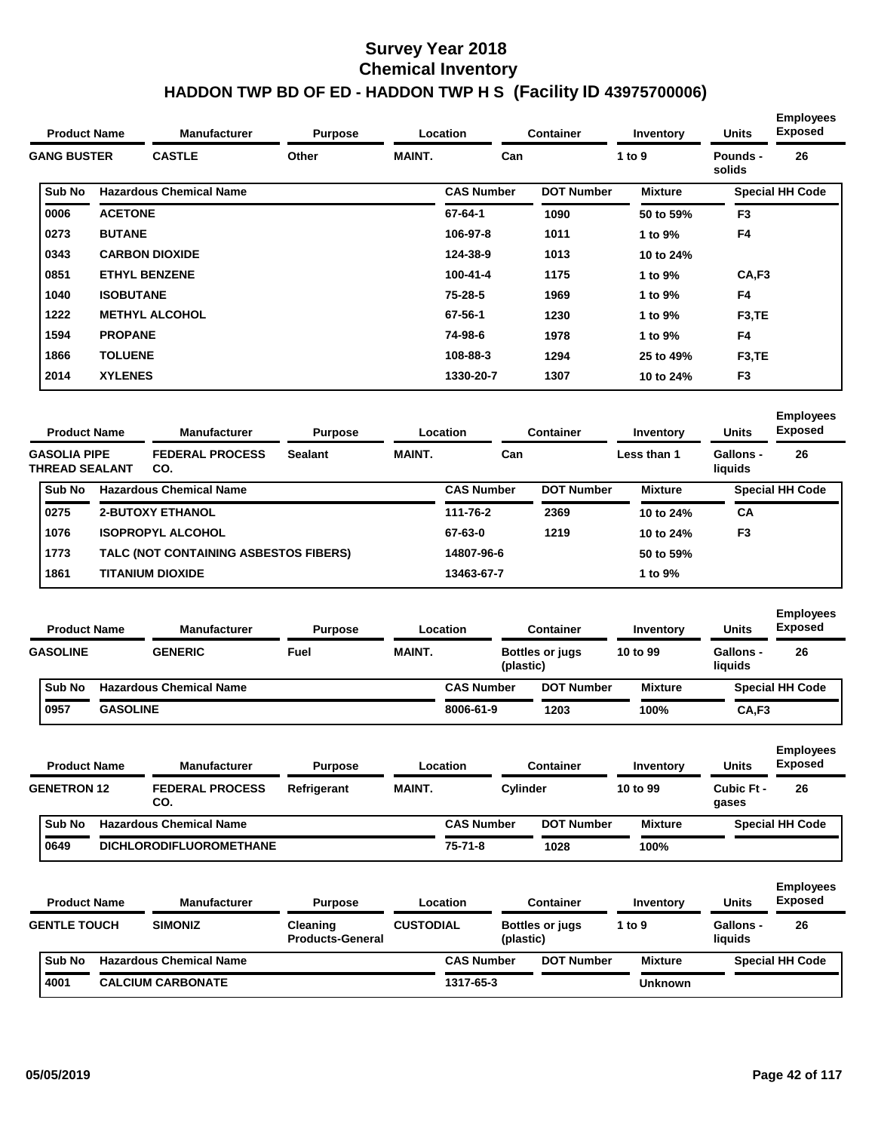| <b>Product Name</b> | <b>Manufacturer</b> | <b>Purpose</b>                 |                | Location      | <b>Container</b>  | Inventory         | <b>Units</b>   | <b>LIII</b> pioyees<br><b>Exposed</b> |                                    |
|---------------------|---------------------|--------------------------------|----------------|---------------|-------------------|-------------------|----------------|---------------------------------------|------------------------------------|
| <b>GANG BUSTER</b>  |                     | <b>CASTLE</b>                  | Other          | <b>MAINT.</b> | Can               |                   | 1 to $9$       | <b>Pounds -</b><br>solids             | 26                                 |
| Sub No              |                     | <b>Hazardous Chemical Name</b> |                |               | <b>CAS Number</b> | <b>DOT Number</b> | <b>Mixture</b> |                                       | <b>Special HH Code</b>             |
| 0006                | <b>ACETONE</b>      |                                |                |               | 67-64-1           | 1090              | 50 to 59%      | F <sub>3</sub>                        |                                    |
| 0273                | <b>BUTANE</b>       |                                |                |               | 106-97-8          | 1011              | 1 to 9%        | F <sub>4</sub>                        |                                    |
| 0343                |                     | <b>CARBON DIOXIDE</b>          |                |               | 124-38-9          | 1013              | 10 to 24%      |                                       |                                    |
| 0851                |                     | <b>ETHYL BENZENE</b>           |                |               | 100-41-4          | 1175              | 1 to 9%        | CA, F3                                |                                    |
| 1040                | <b>ISOBUTANE</b>    |                                |                |               | 75-28-5           | 1969              | 1 to 9%        | F <sub>4</sub>                        |                                    |
| 1222                |                     | <b>METHYL ALCOHOL</b>          |                |               | 67-56-1           | 1230              | 1 to 9%        | F <sub>3</sub> ,TE                    |                                    |
| 1594                | <b>PROPANE</b>      |                                |                |               | 74-98-6           | 1978              | 1 to 9%        | F <sub>4</sub>                        |                                    |
| 1866                | <b>TOLUENE</b>      |                                |                |               | 108-88-3          | 1294              | 25 to 49%      | F <sub>3</sub> ,TE                    |                                    |
| 2014                | <b>XYLENES</b>      |                                |                |               | 1330-20-7         | 1307              | 10 to 24%      | F <sub>3</sub>                        |                                    |
| <b>Product Name</b> |                     | <b>Manufacturer</b>            | <b>Purpose</b> |               | Location          | <b>Container</b>  | Inventory      | <b>Units</b>                          | <b>Employees</b><br><b>Exposed</b> |

| <b>Product Name</b><br><b>GASOLIA PIPE</b> | <b>Manufacturer</b>   | Location<br><b>Purpose</b> |                                       |                | <b>Container</b> | Inventory         | <b>Units</b>      | Exposed     |                      |                        |
|--------------------------------------------|-----------------------|----------------------------|---------------------------------------|----------------|------------------|-------------------|-------------------|-------------|----------------------|------------------------|
|                                            | <b>THREAD SEALANT</b> |                            | <b>FEDERAL PROCESS</b><br>CO.         | <b>Sealant</b> | <b>MAINT.</b>    | Can               |                   | Less than 1 | Gallons -<br>liquids | 26                     |
|                                            | Sub No                |                            | <b>Hazardous Chemical Name</b>        |                |                  | <b>CAS Number</b> | <b>DOT Number</b> | Mixture     |                      | <b>Special HH Code</b> |
|                                            | 0275                  |                            | <b>2-BUTOXY ETHANOL</b>               |                |                  | 111-76-2          | 2369              | 10 to 24%   | CA                   |                        |
|                                            | 1076                  |                            | <b>ISOPROPYL ALCOHOL</b>              |                |                  | 67-63-0           | 1219              | 10 to 24%   | F <sub>3</sub>       |                        |
|                                            | 1773                  |                            | TALC (NOT CONTAINING ASBESTOS FIBERS) |                |                  | 14807-96-6        |                   | 50 to 59%   |                      |                        |
|                                            | 1861                  |                            | <b>TITANIUM DIOXIDE</b>               |                |                  | 13463-67-7        |                   | 1 to 9%     |                      |                        |

| <b>Product Name</b> |                 | <b>Manufacturer</b>            | <b>Purpose</b> |               | Location                            | Container         | Inventory      | <b>Units</b><br>Gallons -<br>liquids | <b>Employees</b><br><b>Exposed</b> |
|---------------------|-----------------|--------------------------------|----------------|---------------|-------------------------------------|-------------------|----------------|--------------------------------------|------------------------------------|
|                     | <b>GASOLINE</b> | <b>GENERIC</b>                 | Fuel           | <b>MAINT.</b> | <b>Bottles or jugs</b><br>(plastic) |                   | 10 to 99       |                                      | 26                                 |
|                     | <b>Sub No</b>   | <b>Hazardous Chemical Name</b> |                |               | <b>CAS Number</b>                   | <b>DOT Number</b> | <b>Mixture</b> |                                      | <b>Special HH Code</b>             |
|                     | 0957            | <b>GASOLINE</b>                |                |               | 8006-61-9                           | 1203              | 100%           | CA,F3                                |                                    |

| <b>Product Name</b> |                    | <b>Manufacturer</b>            | <b>Purpose</b> |               | Container<br>Location |                   | Inventory      | <b>Units</b>        | <b>Employees</b><br><b>Exposed</b> |
|---------------------|--------------------|--------------------------------|----------------|---------------|-----------------------|-------------------|----------------|---------------------|------------------------------------|
|                     | <b>GENETRON 12</b> | <b>FEDERAL PROCESS</b><br>CO.  | Refrigerant    | <b>MAINT.</b> |                       | Cylinder          | 10 to 99       | Cubic Ft -<br>gases | 26                                 |
|                     | <b>Sub No</b>      | <b>Hazardous Chemical Name</b> |                |               | <b>CAS Number</b>     | <b>DOT Number</b> | <b>Mixture</b> |                     | <b>Special HH Code</b>             |
|                     | 0649               | <b>DICHLORODIFLUOROMETHANE</b> |                |               | $75 - 71 - 8$         | 1028              | 100%           |                     |                                    |

| <b>Product Name</b> |                     | <b>Manufacturer</b>            | <b>Purpose</b>                      |                  | Location          |           | Container              | Inventory |                | <b>Units</b>         | <b>Employees</b><br><b>Exposed</b> |
|---------------------|---------------------|--------------------------------|-------------------------------------|------------------|-------------------|-----------|------------------------|-----------|----------------|----------------------|------------------------------------|
|                     | <b>GENTLE TOUCH</b> | <b>SIMONIZ</b>                 | Cleaning<br><b>Products-General</b> | <b>CUSTODIAL</b> |                   | (plastic) | <b>Bottles or jugs</b> | 1 to 9    |                | Gallons -<br>liauids | 26                                 |
|                     | <b>Sub No</b>       | <b>Hazardous Chemical Name</b> |                                     |                  | <b>CAS Number</b> |           | <b>DOT Number</b>      |           | <b>Mixture</b> |                      | <b>Special HH Code</b>             |
|                     | 4001                | <b>CALCIUM CARBONATE</b>       |                                     |                  | 1317-65-3         |           |                        |           | <b>Unknown</b> |                      |                                    |

**Employees**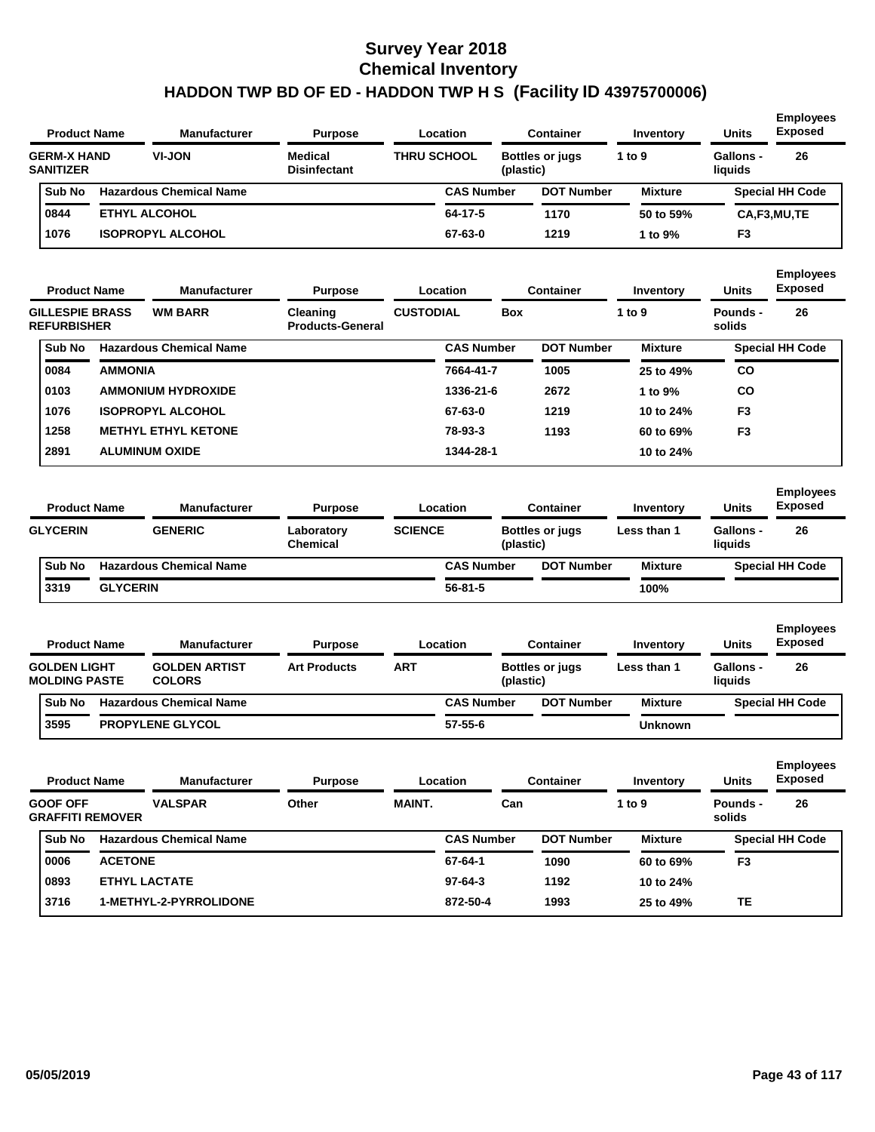|                                        | <b>Product Name</b> | <b>Manufacturer</b><br><b>Purpose</b><br>Location |                                       |                    | <b>Container</b> | Inventory              | <b>Units</b>   | <b>Employees</b><br><b>Exposed</b> |                                    |
|----------------------------------------|---------------------|---------------------------------------------------|---------------------------------------|--------------------|------------------|------------------------|----------------|------------------------------------|------------------------------------|
| <b>GERM-X HAND</b><br><b>SANITIZER</b> |                     | <b>VI-JON</b>                                     | <b>Medical</b><br><b>Disinfectant</b> | <b>THRU SCHOOL</b> | (plastic)        | <b>Bottles or jugs</b> | 1 to 9         | Gallons -<br>liquids               | 26                                 |
| Sub No                                 |                     | <b>Hazardous Chemical Name</b>                    |                                       | <b>CAS Number</b>  |                  | <b>DOT Number</b>      | <b>Mixture</b> |                                    | <b>Special HH Code</b>             |
| 0844                                   |                     | <b>ETHYL ALCOHOL</b>                              |                                       | 64-17-5            |                  | 1170                   | 50 to 59%      |                                    | CA,F3,MU,TE                        |
| 1076                                   |                     | <b>ISOPROPYL ALCOHOL</b>                          |                                       | 67-63-0            |                  | 1219                   | 1 to 9%        | F <sub>3</sub>                     |                                    |
|                                        | <b>Product Name</b> | <b>Manufacturer</b>                               | <b>Purpose</b>                        | Location           |                  | <b>Container</b>       | Inventory      | <b>Units</b>                       | <b>Employees</b><br><b>Exposed</b> |
| <b>GILLESPIE BRASS</b>                 |                     | <b>WM BARR</b>                                    | Cleaning                              | <b>CUSTODIAL</b>   | <b>Box</b>       |                        | 1 to $9$       | Pounds -                           | 26                                 |

| <b>REFURBISHER</b> |                                | <b>Products-General</b> |                   | solids            |                |                        |  |
|--------------------|--------------------------------|-------------------------|-------------------|-------------------|----------------|------------------------|--|
| Sub No             | <b>Hazardous Chemical Name</b> |                         | <b>CAS Number</b> | <b>DOT Number</b> | <b>Mixture</b> | <b>Special HH Code</b> |  |
| 0084               | <b>AMMONIA</b>                 |                         | 7664-41-7         | 1005              | 25 to 49%      | <b>CO</b>              |  |
| 0103               | <b>AMMONIUM HYDROXIDE</b>      |                         | 1336-21-6         | 2672              | 1 to 9%        | CO                     |  |
| 1076               | <b>ISOPROPYL ALCOHOL</b>       |                         | 67-63-0           | 1219              | 10 to 24%      | F <sub>3</sub>         |  |
| 1258               | <b>METHYL ETHYL KETONE</b>     |                         | 78-93-3           | 1193              | 60 to 69%      | F <sub>3</sub>         |  |
| 2891               | <b>ALUMINUM OXIDE</b>          |                         | 1344-28-1         |                   | 10 to 24%      |                        |  |

| <b>Product Name</b> |                 | <b>Manufacturer</b>            | <b>Purpose</b>                |                | Location          | <b>Container</b>       | Inventory      | <b>Units</b>         | <b>Employees</b><br><b>Exposed</b> |
|---------------------|-----------------|--------------------------------|-------------------------------|----------------|-------------------|------------------------|----------------|----------------------|------------------------------------|
|                     | <b>GLYCERIN</b> | <b>GENERIC</b>                 | Laboratory<br><b>Chemical</b> | <b>SCIENCE</b> | (plastic)         | <b>Bottles or jugs</b> | Less than 1    | Gallons -<br>liauids | 26                                 |
|                     | <b>Sub No</b>   | <b>Hazardous Chemical Name</b> |                               |                | <b>CAS Number</b> | <b>DOT Number</b>      | <b>Mixture</b> |                      | <b>Special HH Code</b>             |
|                     | 3319            | <b>GLYCERIN</b>                |                               |                | $56 - 81 - 5$     |                        | 100%           |                      |                                    |

| <b>Product Name</b> |                                             | <b>Manufacturer</b><br><b>Purpose</b> |                                       |                     | Location | <b>Container</b>  | Inventory              | <b>Units</b>   | <b>Employees</b><br><b>Exposed</b> |                        |
|---------------------|---------------------------------------------|---------------------------------------|---------------------------------------|---------------------|----------|-------------------|------------------------|----------------|------------------------------------|------------------------|
|                     | <b>GOLDEN LIGHT</b><br><b>MOLDING PASTE</b> |                                       | <b>GOLDEN ARTIST</b><br><b>COLORS</b> | <b>Art Products</b> | ART      | (plastic)         | <b>Bottles or jugs</b> | Less than 1    | Gallons -<br>liquids               | 26                     |
|                     | <b>Sub No</b>                               |                                       | <b>Hazardous Chemical Name</b>        |                     |          | <b>CAS Number</b> | <b>DOT Number</b>      | <b>Mixture</b> |                                    | <b>Special HH Code</b> |
|                     | 3595                                        |                                       | <b>PROPYLENE GLYCOL</b>               |                     |          | $57 - 55 - 6$     |                        | <b>Unknown</b> |                                    |                        |

| <b>Product Name</b> |                 |                         | <b>Container</b><br><b>Manufacturer</b><br>Location<br><b>Purpose</b> |       |               | Inventory         | <b>Units</b>      | <b>Employees</b><br><b>Exposed</b> |                    |                        |
|---------------------|-----------------|-------------------------|-----------------------------------------------------------------------|-------|---------------|-------------------|-------------------|------------------------------------|--------------------|------------------------|
|                     | <b>GOOF OFF</b> | <b>GRAFFITI REMOVER</b> | <b>VALSPAR</b>                                                        | Other | <b>MAINT.</b> | Can               |                   | 1 to $9$                           | Pounds -<br>solids | 26                     |
|                     | Sub No          |                         | <b>Hazardous Chemical Name</b>                                        |       |               | <b>CAS Number</b> | <b>DOT Number</b> | <b>Mixture</b>                     |                    | <b>Special HH Code</b> |
|                     | 0006            | <b>ACETONE</b>          |                                                                       |       |               | 67-64-1           | 1090              | 60 to 69%                          | F <sub>3</sub>     |                        |
|                     | 0893            |                         | <b>ETHYL LACTATE</b>                                                  |       |               | $97-64-3$         | 1192              | 10 to 24%                          |                    |                        |
|                     | 3716            |                         | <b>1-METHYL-2-PYRROLIDONE</b>                                         |       |               | 872-50-4          | 1993              | 25 to 49%                          | TΕ                 |                        |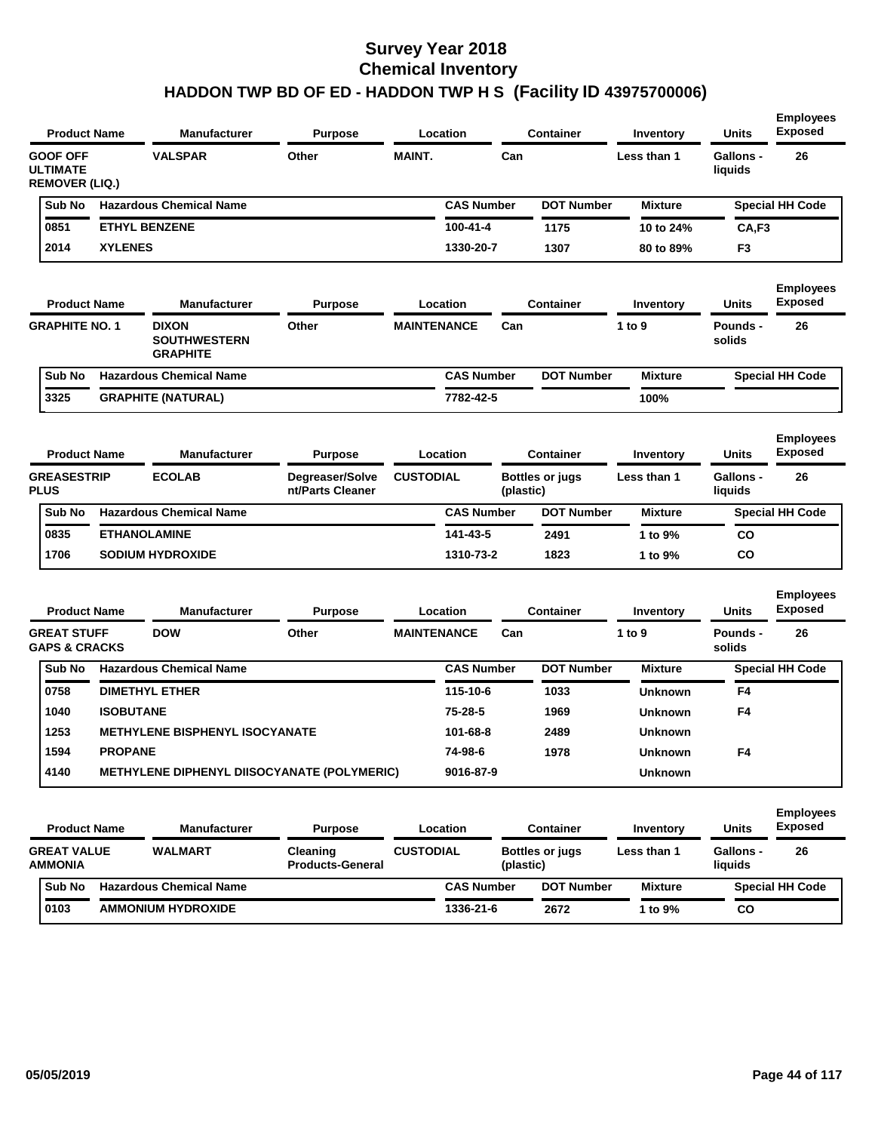| <b>Product Name</b>                                         |                  | <b>Manufacturer</b>                                    | <b>Purpose</b>                      |                    | Location          |           | <b>Container</b>       | Inventory      | <b>Units</b>                | <b>Employees</b><br><b>Exposed</b> |
|-------------------------------------------------------------|------------------|--------------------------------------------------------|-------------------------------------|--------------------|-------------------|-----------|------------------------|----------------|-----------------------------|------------------------------------|
| <b>GOOF OFF</b><br><b>ULTIMATE</b><br><b>REMOVER (LIQ.)</b> |                  | <b>VALSPAR</b>                                         | Other                               | <b>MAINT.</b>      |                   | Can       |                        | Less than 1    | <b>Gallons -</b><br>liquids | 26                                 |
| Sub No                                                      |                  | <b>Hazardous Chemical Name</b>                         |                                     |                    | <b>CAS Number</b> |           | <b>DOT Number</b>      | <b>Mixture</b> |                             | <b>Special HH Code</b>             |
| 0851                                                        |                  | <b>ETHYL BENZENE</b>                                   |                                     |                    | 100-41-4          |           | 1175                   | 10 to 24%      | CA,F3                       |                                    |
| 2014                                                        | <b>XYLENES</b>   |                                                        |                                     |                    | 1330-20-7         |           | 1307                   | 80 to 89%      | F3                          |                                    |
| <b>Product Name</b>                                         |                  | <b>Manufacturer</b>                                    | <b>Purpose</b>                      |                    | Location          |           | <b>Container</b>       | Inventory      | Units                       | <b>Employees</b><br>Exposed        |
| <b>GRAPHITE NO. 1</b>                                       |                  | <b>DIXON</b><br><b>SOUTHWESTERN</b><br><b>GRAPHITE</b> | Other                               | <b>MAINTENANCE</b> |                   | Can       |                        | 1 to 9         | Pounds -<br>solids          | 26                                 |
| Sub No                                                      |                  | <b>Hazardous Chemical Name</b>                         |                                     |                    | <b>CAS Number</b> |           | <b>DOT Number</b>      | <b>Mixture</b> |                             | <b>Special HH Code</b>             |
| 3325                                                        |                  | <b>GRAPHITE (NATURAL)</b>                              |                                     |                    | 7782-42-5         |           |                        | 100%           |                             |                                    |
| <b>Product Name</b>                                         |                  | <b>Manufacturer</b>                                    | <b>Purpose</b>                      |                    | Location          |           | <b>Container</b>       | Inventory      | Units                       | <b>Employees</b><br><b>Exposed</b> |
| <b>GREASESTRIP</b><br><b>PLUS</b>                           |                  | <b>ECOLAB</b>                                          | Degreaser/Solve<br>nt/Parts Cleaner | <b>CUSTODIAL</b>   |                   | (plastic) | Bottles or jugs        | Less than 1    | <b>Gallons -</b><br>liquids | 26                                 |
| Sub No                                                      |                  | <b>Hazardous Chemical Name</b>                         |                                     |                    | <b>CAS Number</b> |           | <b>DOT Number</b>      | <b>Mixture</b> |                             | <b>Special HH Code</b>             |
| 0835                                                        |                  | <b>ETHANOLAMINE</b>                                    |                                     |                    | 141-43-5          |           | 2491                   | 1 to 9%        | CO                          |                                    |
| 1706                                                        |                  | <b>SODIUM HYDROXIDE</b>                                |                                     |                    | 1310-73-2         |           | 1823                   | 1 to 9%        | CO                          |                                    |
| <b>Product Name</b>                                         |                  | <b>Manufacturer</b>                                    | <b>Purpose</b>                      |                    | Location          |           | <b>Container</b>       | Inventory      | Units                       | <b>Employees</b><br><b>Exposed</b> |
| <b>GREAT STUFF</b><br><b>GAPS &amp; CRACKS</b>              |                  | <b>DOW</b>                                             | Other                               | <b>MAINTENANCE</b> |                   | Can       |                        | 1 to $9$       | <b>Pounds -</b><br>solids   | 26                                 |
| Sub No                                                      |                  | <b>Hazardous Chemical Name</b>                         |                                     |                    | <b>CAS Number</b> |           | <b>DOT Number</b>      | <b>Mixture</b> |                             | <b>Special HH Code</b>             |
| 0758                                                        |                  | <b>DIMETHYL ETHER</b>                                  |                                     |                    | 115-10-6          |           | 1033                   | <b>Unknown</b> | F4                          |                                    |
| 1040                                                        | <b>ISOBUTANE</b> |                                                        |                                     |                    | 75-28-5           |           | 1969                   | <b>Unknown</b> | F4                          |                                    |
| 1253                                                        |                  | <b>METHYLENE BISPHENYL ISOCYANATE</b>                  |                                     |                    | 101-68-8          |           | 2489                   | Unknown        |                             |                                    |
| 1594                                                        | <b>PROPANE</b>   |                                                        |                                     |                    | 74-98-6           |           | 1978                   | <b>Unknown</b> | F4                          |                                    |
| 4140                                                        |                  | METHYLENE DIPHENYL DIISOCYANATE (POLYMERIC)            |                                     |                    | 9016-87-9         |           |                        | Unknown        |                             |                                    |
| <b>Product Name</b>                                         |                  | <b>Manufacturer</b>                                    | <b>Purpose</b>                      |                    | Location          |           | <b>Container</b>       | Inventory      | Units                       | <b>Employees</b><br><b>Exposed</b> |
| <b>GREAT VALUE</b><br><b>AMMONIA</b>                        |                  | WALMART                                                | Cleaning<br><b>Products-General</b> | <b>CUSTODIAL</b>   |                   | (plastic) | <b>Bottles or jugs</b> | Less than 1    | Gallons -<br>liquids        | 26                                 |
| Sub No                                                      |                  | <b>Hazardous Chemical Name</b>                         |                                     |                    | <b>CAS Number</b> |           | <b>DOT Number</b>      | <b>Mixture</b> |                             | <b>Special HH Code</b>             |
| 0103                                                        |                  | <b>AMMONIUM HYDROXIDE</b>                              |                                     |                    | 1336-21-6         |           | 2672                   | 1 to 9%        | CO                          |                                    |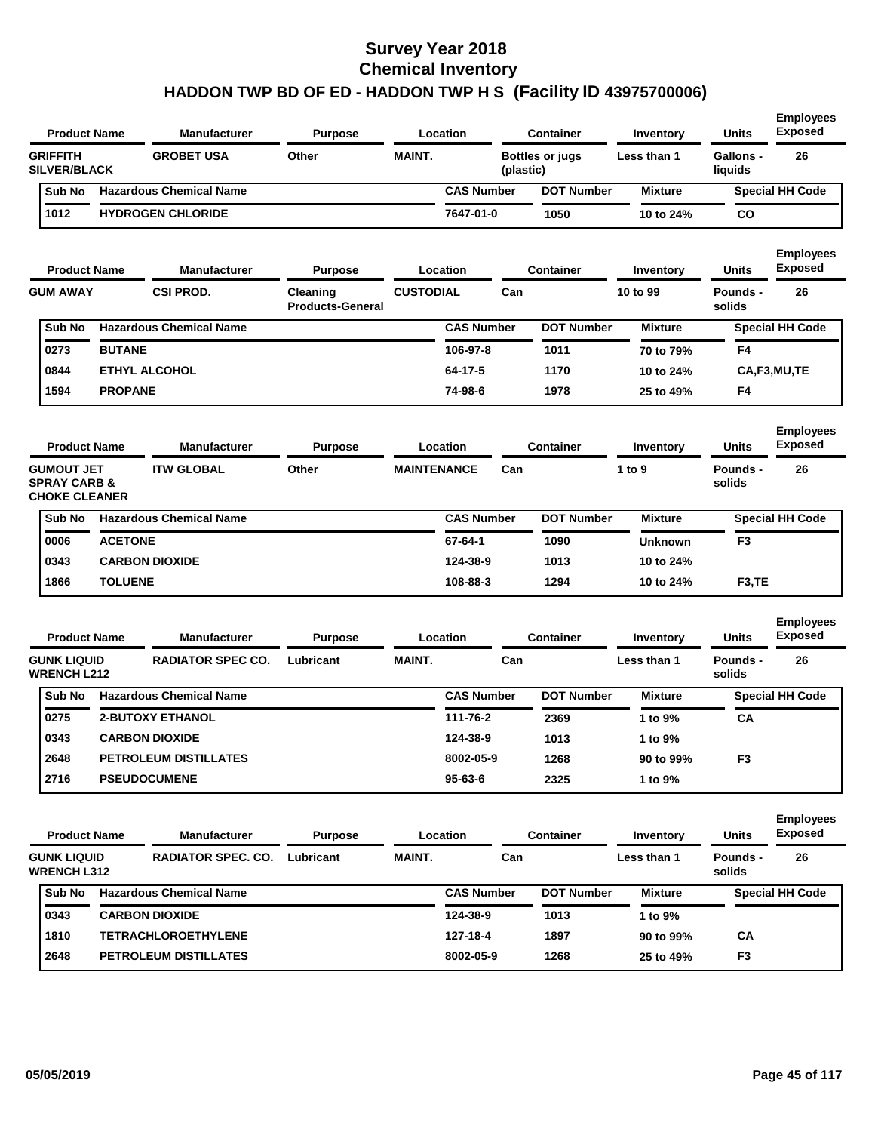| <b>Product Name</b>                                                  |                | <b>Manufacturer</b>                 | <b>Purpose</b>                      |                    | Location          |           | <b>Container</b>  | Inventory      | <b>Units</b>                | <b>Employees</b><br><b>Exposed</b> |
|----------------------------------------------------------------------|----------------|-------------------------------------|-------------------------------------|--------------------|-------------------|-----------|-------------------|----------------|-----------------------------|------------------------------------|
| <b>GRIFFITH</b><br><b>SILVER/BLACK</b>                               |                | <b>GROBET USA</b>                   | Other                               | <b>MAINT.</b>      |                   | (plastic) | Bottles or jugs   | Less than 1    | <b>Gallons -</b><br>liquids | 26                                 |
| Sub No                                                               |                | <b>Hazardous Chemical Name</b>      |                                     |                    | <b>CAS Number</b> |           | <b>DOT Number</b> | <b>Mixture</b> |                             | <b>Special HH Code</b>             |
| 1012                                                                 |                | <b>HYDROGEN CHLORIDE</b>            |                                     |                    | 7647-01-0         |           | 1050              | 10 to 24%      | CO                          |                                    |
|                                                                      |                |                                     |                                     |                    |                   |           |                   |                |                             | <b>Employees</b>                   |
| <b>Product Name</b>                                                  |                | <b>Manufacturer</b>                 | <b>Purpose</b>                      |                    | Location          |           | <b>Container</b>  | Inventory      | Units                       | <b>Exposed</b>                     |
| <b>GUM AWAY</b>                                                      |                | <b>CSI PROD.</b>                    | Cleaning<br><b>Products-General</b> | <b>CUSTODIAL</b>   |                   | Can       |                   | 10 to 99       | Pounds -<br>solids          | 26                                 |
| Sub No                                                               |                | <b>Hazardous Chemical Name</b>      |                                     |                    | <b>CAS Number</b> |           | <b>DOT Number</b> | <b>Mixture</b> |                             | Special HH Code                    |
| 0273                                                                 | <b>BUTANE</b>  |                                     |                                     |                    | 106-97-8          |           | 1011              | 70 to 79%      | F4                          |                                    |
| 0844                                                                 |                | <b>ETHYL ALCOHOL</b>                |                                     |                    | 64-17-5           |           | 1170              | 10 to 24%      |                             | CA,F3,MU,TE                        |
| 1594                                                                 | <b>PROPANE</b> |                                     |                                     |                    | 74-98-6           |           | 1978              | 25 to 49%      | F4                          |                                    |
| <b>Product Name</b>                                                  |                | Manufacturer                        | <b>Purpose</b>                      |                    | Location          |           | <b>Container</b>  | Inventory      | <b>Units</b>                | <b>Employees</b><br><b>Exposed</b> |
|                                                                      |                |                                     |                                     |                    |                   |           |                   |                |                             |                                    |
| <b>GUMOUT JET</b><br><b>SPRAY CARB &amp;</b><br><b>CHOKE CLEANER</b> |                | <b>ITW GLOBAL</b>                   | Other                               | <b>MAINTENANCE</b> |                   | Can       |                   | 1 to 9         | Pounds -<br>solids          | 26                                 |
| Sub No                                                               |                | <b>Hazardous Chemical Name</b>      |                                     |                    | <b>CAS Number</b> |           | <b>DOT Number</b> | <b>Mixture</b> |                             | <b>Special HH Code</b>             |
| 0006                                                                 | <b>ACETONE</b> |                                     |                                     |                    | 67-64-1           |           | 1090              | <b>Unknown</b> | F3                          |                                    |
| 0343                                                                 |                | <b>CARBON DIOXIDE</b>               |                                     |                    | 124-38-9          |           | 1013              | 10 to 24%      |                             |                                    |
| 1866                                                                 | <b>TOLUENE</b> |                                     |                                     |                    | 108-88-3          |           | 1294              | 10 to 24%      | F <sub>3</sub> ,TE          |                                    |
|                                                                      |                |                                     |                                     |                    |                   |           |                   |                |                             |                                    |
| <b>Product Name</b>                                                  |                | <b>Manufacturer</b>                 | <b>Purpose</b>                      |                    | Location          |           | <b>Container</b>  | Inventory      | <b>Units</b>                | <b>Employees</b><br><b>Exposed</b> |
| <b>GUNK LIQUID</b><br><b>WRENCH L212</b>                             |                | <b>RADIATOR SPEC CO.</b>            | Lubricant                           | <b>MAINT.</b>      |                   | Can       |                   | Less than 1    | Pounds -<br>solids          | 26                                 |
| Sub No                                                               |                | <b>Hazardous Chemical Name</b>      |                                     |                    | <b>CAS Number</b> |           | <b>DOT Number</b> | <b>Mixture</b> |                             | <b>Special HH Code</b>             |
| 0275                                                                 |                | 2-BUTOXY ETHANOL                    |                                     |                    | 111-76-2          |           | 2369              | 1 to 9%        | CA                          |                                    |
| 0343                                                                 |                | <b>CARBON DIOXIDE</b>               |                                     |                    | 124-38-9          |           | 1013              | 1 to 9%        |                             |                                    |
| 2648                                                                 |                | PETROLEUM DISTILLATES               |                                     |                    | 8002-05-9         |           | 1268              | 90 to 99%      | F3                          |                                    |
| 2716                                                                 |                | <b>PSEUDOCUMENE</b>                 |                                     |                    | 95-63-6           |           | 2325              | 1 to 9%        |                             |                                    |
|                                                                      |                |                                     |                                     |                    |                   |           |                   |                |                             |                                    |
| <b>Product Name</b>                                                  |                | <b>Manufacturer</b>                 | <b>Purpose</b>                      |                    | Location          |           | <b>Container</b>  | Inventory      | <b>Units</b>                | <b>Employees</b><br><b>Exposed</b> |
| <b>GUNK LIQUID</b><br><b>WRENCH L312</b>                             |                | <b>RADIATOR SPEC. CO. Lubricant</b> |                                     | <b>MAINT.</b>      |                   | Can       |                   | Less than 1    | Pounds -<br>solids          | 26                                 |
| Sub No                                                               |                | <b>Hazardous Chemical Name</b>      |                                     |                    | <b>CAS Number</b> |           | <b>DOT Number</b> | <b>Mixture</b> |                             | <b>Special HH Code</b>             |
| 0343                                                                 |                | <b>CARBON DIOXIDE</b>               |                                     |                    | 124-38-9          |           | 1013              | 1 to 9%        |                             |                                    |
| 1810                                                                 |                | <b>TETRACHLOROETHYLENE</b>          |                                     |                    | 127-18-4          |           | 1897              | 90 to 99%      | CA                          |                                    |
| 2648                                                                 |                | PETROLEUM DISTILLATES               |                                     |                    | 8002-05-9         |           | 1268              | 25 to 49%      | F3                          |                                    |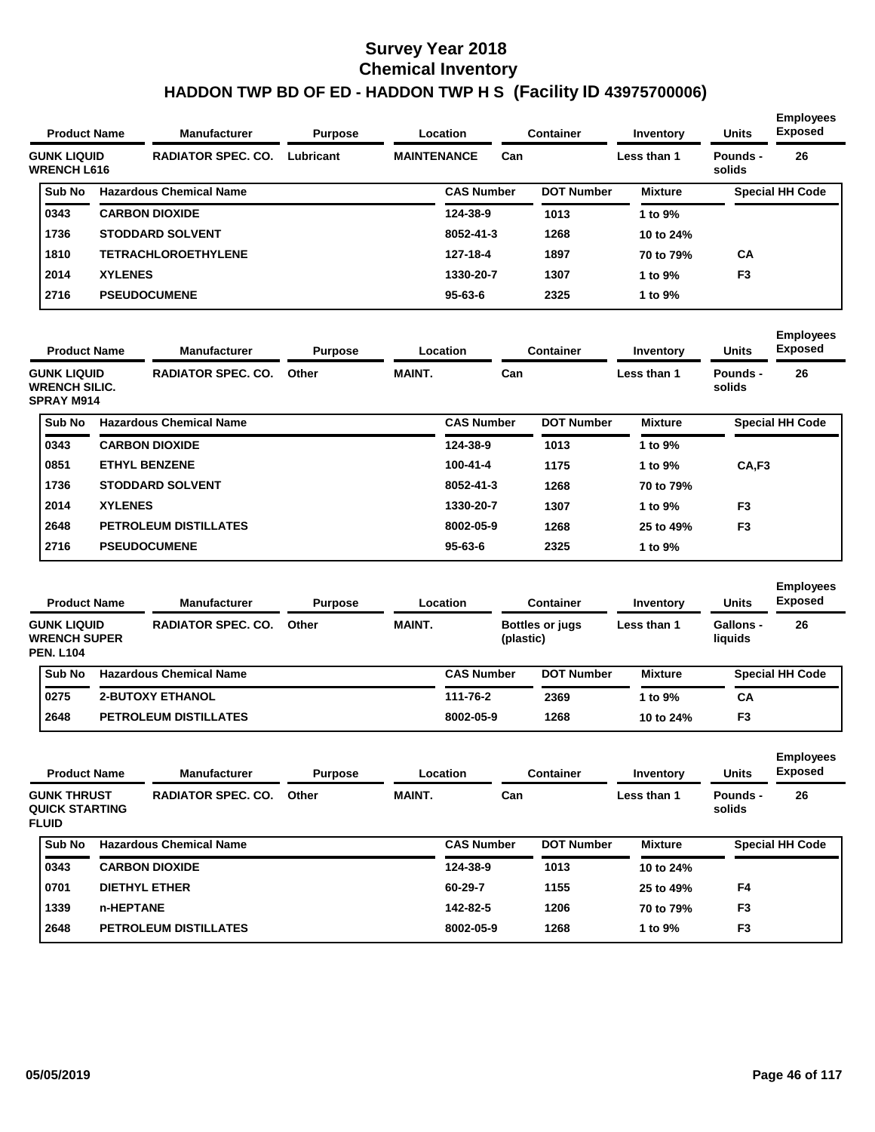| <b>Product Name</b>                      |                | <b>Manufacturer</b>            | <b>Purpose</b><br>Location<br>Lubricant<br><b>MAINTENANCE</b> |  |                   | <b>Container</b> | Inventory         | <b>Units</b>   | <b>Employees</b><br><b>Exposed</b> |                        |
|------------------------------------------|----------------|--------------------------------|---------------------------------------------------------------|--|-------------------|------------------|-------------------|----------------|------------------------------------|------------------------|
| <b>GUNK LIQUID</b><br><b>WRENCH L616</b> |                | <b>RADIATOR SPEC. CO.</b>      |                                                               |  |                   | Can              |                   | Less than 1    | Pounds -<br>solids                 | 26                     |
| Sub No                                   |                | <b>Hazardous Chemical Name</b> |                                                               |  | <b>CAS Number</b> |                  | <b>DOT Number</b> | <b>Mixture</b> |                                    | <b>Special HH Code</b> |
| 0343                                     |                | <b>CARBON DIOXIDE</b>          |                                                               |  | 124-38-9          |                  | 1013              | 1 to 9%        |                                    |                        |
| 1736                                     |                | <b>STODDARD SOLVENT</b>        |                                                               |  | 8052-41-3         |                  | 1268              | 10 to 24%      |                                    |                        |
| 1810                                     |                | <b>TETRACHLOROETHYLENE</b>     |                                                               |  | 127-18-4          |                  | 1897              | 70 to 79%      | <b>CA</b>                          |                        |
| 2014                                     | <b>XYLENES</b> |                                |                                                               |  | 1330-20-7         |                  | 1307              | 1 to 9%        | F <sub>3</sub>                     |                        |
| 2716                                     |                | <b>PSEUDOCUMENE</b>            |                                                               |  | $95 - 63 - 6$     |                  | 2325              | 1 to 9%        |                                    |                        |
|                                          |                |                                |                                                               |  |                   |                  |                   |                |                                    |                        |

| <b>Product Name</b> |                                                                                              | <b>Manufacturer</b>            |                        | Location<br><b>Purpose</b> |                   |                   | <b>Container</b> | Inventory          | <b>Units</b>           | <b>Employees</b><br><b>Exposed</b> |  |
|---------------------|----------------------------------------------------------------------------------------------|--------------------------------|------------------------|----------------------------|-------------------|-------------------|------------------|--------------------|------------------------|------------------------------------|--|
|                     | <b>RADIATOR SPEC. CO.</b><br><b>GUNK LIQUID</b><br><b>WRENCH SILIC.</b><br><b>SPRAY M914</b> |                                | <b>MAINT.</b><br>Other |                            | Can               |                   | Less than 1      | Pounds -<br>solids | 26                     |                                    |  |
| Sub No              |                                                                                              | <b>Hazardous Chemical Name</b> |                        |                            | <b>CAS Number</b> | <b>DOT Number</b> | <b>Mixture</b>   |                    | <b>Special HH Code</b> |                                    |  |
| 0343                |                                                                                              | <b>CARBON DIOXIDE</b>          |                        |                            | 124-38-9          | 1013              | l to 9%          |                    |                        |                                    |  |
| 0851                |                                                                                              | <b>ETHYL BENZENE</b>           |                        |                            | $100 - 41 - 4$    | 1175              | 1 to 9%          | CA,F3              |                        |                                    |  |
| 1736                |                                                                                              | <b>STODDARD SOLVENT</b>        |                        |                            | 8052-41-3         | 1268              | 70 to 79%        |                    |                        |                                    |  |
| 2014                | <b>XYLENES</b>                                                                               |                                |                        |                            | 1330-20-7         | 1307              | 1 to 9%          | F <sub>3</sub>     |                        |                                    |  |
| 2648                |                                                                                              | <b>PETROLEUM DISTILLATES</b>   |                        |                            | 8002-05-9         | 1268              | 25 to 49%        | F <sub>3</sub>     |                        |                                    |  |
| 2716                |                                                                                              | <b>PSEUDOCUMENE</b>            |                        |                            | $95 - 63 - 6$     | 2325              | 1 to 9%          |                    |                        |                                    |  |

| <b>Product Name</b>                                           |                         | <b>Manufacturer</b>            | <b>Purpose</b>         |  | Location          | <b>Container</b>                    | Inventory      | <b>Units</b>                | <b>Employees</b><br><b>Exposed</b> |
|---------------------------------------------------------------|-------------------------|--------------------------------|------------------------|--|-------------------|-------------------------------------|----------------|-----------------------------|------------------------------------|
| <b>GUNK LIQUID</b><br><b>WRENCH SUPER</b><br><b>PEN. L104</b> |                         | <b>RADIATOR SPEC. CO.</b>      | <b>MAINT.</b><br>Other |  |                   | <b>Bottles or jugs</b><br>(plastic) | Less than 1    | <b>Gallons -</b><br>liquids | 26                                 |
| Sub No                                                        |                         | <b>Hazardous Chemical Name</b> |                        |  | <b>CAS Number</b> | <b>DOT Number</b>                   | <b>Mixture</b> |                             | <b>Special HH Code</b>             |
| 0275                                                          | <b>2-BUTOXY ETHANOL</b> |                                |                        |  | 111-76-2          | 2369                                | 1 to $9\%$     | СA                          |                                    |
| 2648                                                          |                         | <b>PETROLEUM DISTILLATES</b>   |                        |  | 8002-05-9         | 1268                                | 10 to 24%      | F <sub>3</sub>              |                                    |

|  | <b>Product Name</b><br><b>Manufacturer</b><br><b>GUNK THRUST</b><br><b>QUICK STARTING</b><br><b>FLUID</b><br><b>Hazardous Chemical Name</b> |           | <b>Purpose</b><br>Location   |                        |  | <b>Container</b>  |                   | <b>Units</b>   | <b>Employees</b><br><b>Exposed</b> |                        |
|--|---------------------------------------------------------------------------------------------------------------------------------------------|-----------|------------------------------|------------------------|--|-------------------|-------------------|----------------|------------------------------------|------------------------|
|  |                                                                                                                                             |           | <b>RADIATOR SPEC. CO.</b>    | <b>MAINT.</b><br>Other |  | Can               |                   | Less than 1    | Pounds -<br>solids                 | 26                     |
|  | Sub No                                                                                                                                      |           |                              |                        |  | <b>CAS Number</b> | <b>DOT Number</b> | <b>Mixture</b> |                                    | <b>Special HH Code</b> |
|  | 0343                                                                                                                                        |           | <b>CARBON DIOXIDE</b>        |                        |  | 124-38-9          | 1013              | 10 to 24%      |                                    |                        |
|  | 0701                                                                                                                                        |           | <b>DIETHYL ETHER</b>         |                        |  | 60-29-7           | 1155              | 25 to 49%      | F4                                 |                        |
|  | 1339                                                                                                                                        | n-HEPTANE |                              |                        |  | 142-82-5          | 1206              | 70 to 79%      | F <sub>3</sub>                     |                        |
|  | 2648                                                                                                                                        |           | <b>PETROLEUM DISTILLATES</b> |                        |  | 8002-05-9         | 1268              | 1 to 9%        | F <sub>3</sub>                     |                        |
|  |                                                                                                                                             |           |                              |                        |  |                   |                   |                |                                    |                        |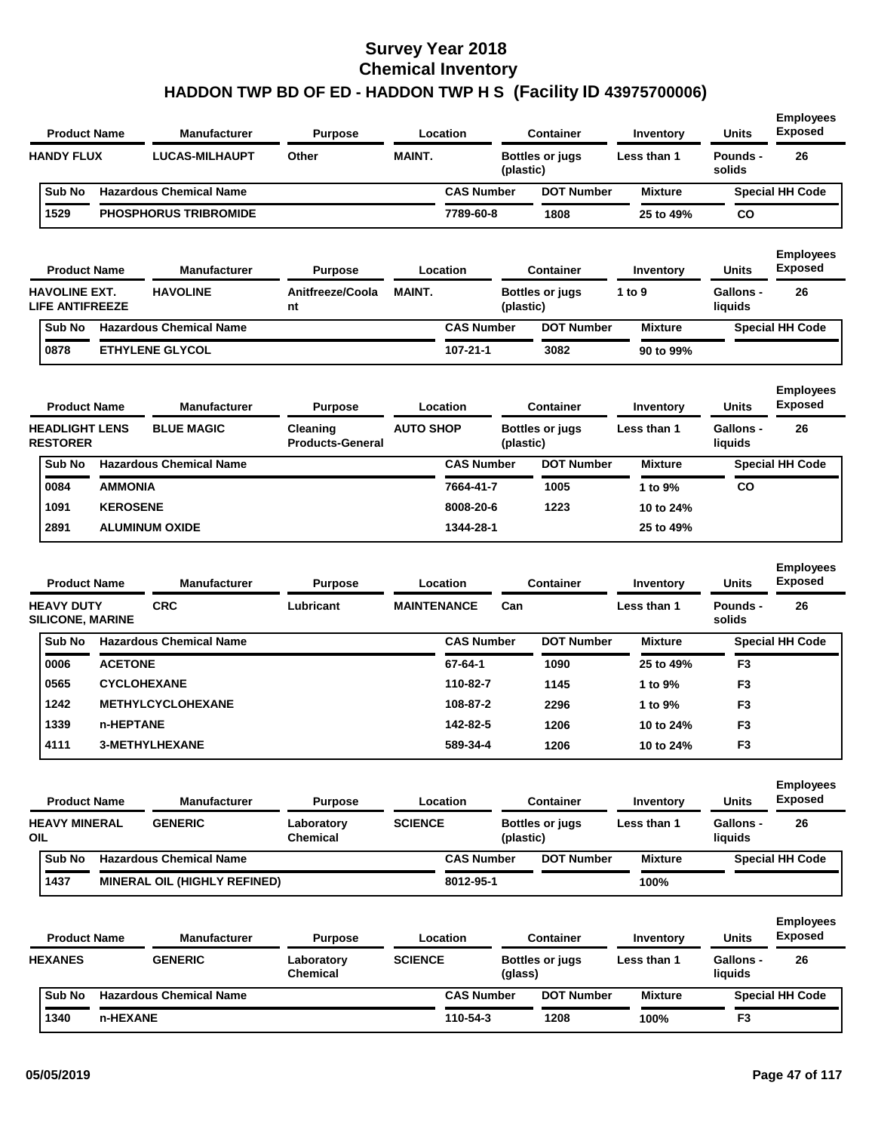| <b>Product Name</b>                                                 |                    | <b>Manufacturer</b>               | <b>Purpose</b>                      |                    | Location          |           | <b>Container</b>       | Inventory                | <b>Units</b>                | <b>Employees</b><br><b>Exposed</b>       |
|---------------------------------------------------------------------|--------------------|-----------------------------------|-------------------------------------|--------------------|-------------------|-----------|------------------------|--------------------------|-----------------------------|------------------------------------------|
| <b>HANDY FLUX</b>                                                   |                    | <b>LUCAS-MILHAUPT</b>             | Other                               | <b>MAINT.</b>      |                   | (plastic) | <b>Bottles or jugs</b> | Less than 1              | Pounds -<br>solids          | 26                                       |
| Sub No                                                              |                    | <b>Hazardous Chemical Name</b>    |                                     |                    | <b>CAS Number</b> |           | <b>DOT Number</b>      | <b>Mixture</b>           |                             | <b>Special HH Code</b>                   |
| 1529                                                                |                    | <b>PHOSPHORUS TRIBROMIDE</b>      |                                     |                    | 7789-60-8         |           | 1808                   | 25 to 49%                | co                          |                                          |
| <b>Product Name</b>                                                 |                    | <b>Manufacturer</b>               | <b>Purpose</b>                      |                    | Location          |           | <b>Container</b>       | Inventory                | <b>Units</b>                | <b>Employees</b><br><b>Exposed</b>       |
| <b>HAVOLINE EXT.</b><br><b>LIFE ANTIFREEZE</b>                      |                    | <b>HAVOLINE</b>                   | Anitfreeze/Coola<br>nt              | <b>MAINT.</b>      |                   | (plastic) | <b>Bottles or jugs</b> | 1 to 9                   | <b>Gallons -</b><br>liquids | 26                                       |
| Sub No                                                              |                    | <b>Hazardous Chemical Name</b>    |                                     |                    | <b>CAS Number</b> |           | <b>DOT Number</b>      | <b>Mixture</b>           |                             | <b>Special HH Code</b>                   |
| 0878                                                                |                    | <b>ETHYLENE GLYCOL</b>            |                                     |                    | 107-21-1          |           | 3082                   | 90 to 99%                |                             |                                          |
| <b>Product Name</b>                                                 |                    | <b>Manufacturer</b>               | <b>Purpose</b>                      |                    | Location          |           | <b>Container</b>       | Inventory                | <b>Units</b>                | <b>Employees</b><br><b>Exposed</b>       |
| <b>HEADLIGHT LENS</b><br><b>RESTORER</b>                            |                    | <b>BLUE MAGIC</b>                 | Cleaning<br><b>Products-General</b> | <b>AUTO SHOP</b>   |                   | (plastic) | <b>Bottles or jugs</b> | Less than 1              | <b>Gallons -</b><br>liquids | 26                                       |
| Sub No                                                              |                    | <b>Hazardous Chemical Name</b>    |                                     |                    | <b>CAS Number</b> |           | <b>DOT Number</b>      | <b>Mixture</b>           |                             | <b>Special HH Code</b>                   |
| 0084                                                                | <b>AMMONIA</b>     |                                   |                                     |                    | 7664-41-7         |           | 1005                   | 1 to 9%                  | co                          |                                          |
| 1091                                                                | <b>KEROSENE</b>    |                                   |                                     |                    | 8008-20-6         |           | 1223                   | 10 to 24%                |                             |                                          |
| 2891                                                                |                    | <b>ALUMINUM OXIDE</b>             |                                     |                    | 1344-28-1         |           |                        | 25 to 49%                |                             |                                          |
| <b>Product Name</b><br><b>HEAVY DUTY</b><br><b>SILICONE, MARINE</b> |                    | <b>Manufacturer</b><br><b>CRC</b> | <b>Purpose</b><br>Lubricant         | <b>MAINTENANCE</b> | Location          | Can       | <b>Container</b>       | Inventory<br>Less than 1 | Units<br>Pounds -<br>solids | <b>Employees</b><br><b>Exposed</b><br>26 |
| Sub No                                                              |                    | <b>Hazardous Chemical Name</b>    |                                     |                    | <b>CAS Number</b> |           | <b>DOT Number</b>      | <b>Mixture</b>           |                             | <b>Special HH Code</b>                   |
| 0006                                                                | <b>ACETONE</b>     |                                   |                                     |                    | 67-64-1           |           | 1090                   | 25 to 49%                | F <sub>3</sub>              |                                          |
| 0565                                                                | <b>CYCLOHEXANE</b> |                                   |                                     |                    | 110-82-7          |           | 1145                   | 1 to 9%                  | F <sub>3</sub>              |                                          |
| 1242                                                                |                    | <b>METHYLCYCLOHEXANE</b>          |                                     |                    | 108-87-2          |           | 2296                   | 1 to 9%                  | F <sub>3</sub>              |                                          |
| 1339                                                                | n-HEPTANE          |                                   |                                     |                    | 142-82-5          |           | 1206                   | 10 to 24%                | F <sub>3</sub>              |                                          |
| 4111                                                                |                    | 3-METHYLHEXANE                    |                                     |                    | 589-34-4          |           | 1206                   | 10 to 24%                | F <sub>3</sub>              |                                          |
| <b>Product Name</b>                                                 |                    | <b>Manufacturer</b>               | <b>Purpose</b>                      |                    | Location          |           | <b>Container</b>       | Inventory                | Units                       | <b>Employees</b><br><b>Exposed</b>       |
| <b>HEAVY MINERAL</b><br>OIL.                                        |                    | <b>GENERIC</b>                    | Laboratory<br>Chemical              | <b>SCIENCE</b>     |                   | (plastic) | <b>Bottles or jugs</b> | Less than 1              | <b>Gallons -</b><br>liquids | 26                                       |
| Sub No                                                              |                    | <b>Hazardous Chemical Name</b>    |                                     |                    | <b>CAS Number</b> |           | <b>DOT Number</b>      | <b>Mixture</b>           |                             | <b>Special HH Code</b>                   |
| 1437                                                                |                    | MINERAL OIL (HIGHLY REFINED)      |                                     |                    | 8012-95-1         |           |                        | 100%                     |                             |                                          |
| <b>Product Name</b>                                                 |                    | <b>Manufacturer</b>               | <b>Purpose</b>                      |                    | Location          |           | <b>Container</b>       | Inventory                | Units                       | <b>Employees</b><br><b>Exposed</b>       |
| <b>HEXANES</b>                                                      |                    | <b>GENERIC</b>                    | Laboratory<br><b>Chemical</b>       | <b>SCIENCE</b>     |                   | (glass)   | <b>Bottles or jugs</b> | Less than 1              | Gallons -<br>liquids        | 26                                       |
| Sub No                                                              |                    | <b>Hazardous Chemical Name</b>    |                                     |                    | <b>CAS Number</b> |           | <b>DOT Number</b>      | <b>Mixture</b>           |                             | <b>Special HH Code</b>                   |
| 1340                                                                | n-HEXANE           |                                   |                                     |                    | 110-54-3          |           | 1208                   | 100%                     | F <sub>3</sub>              |                                          |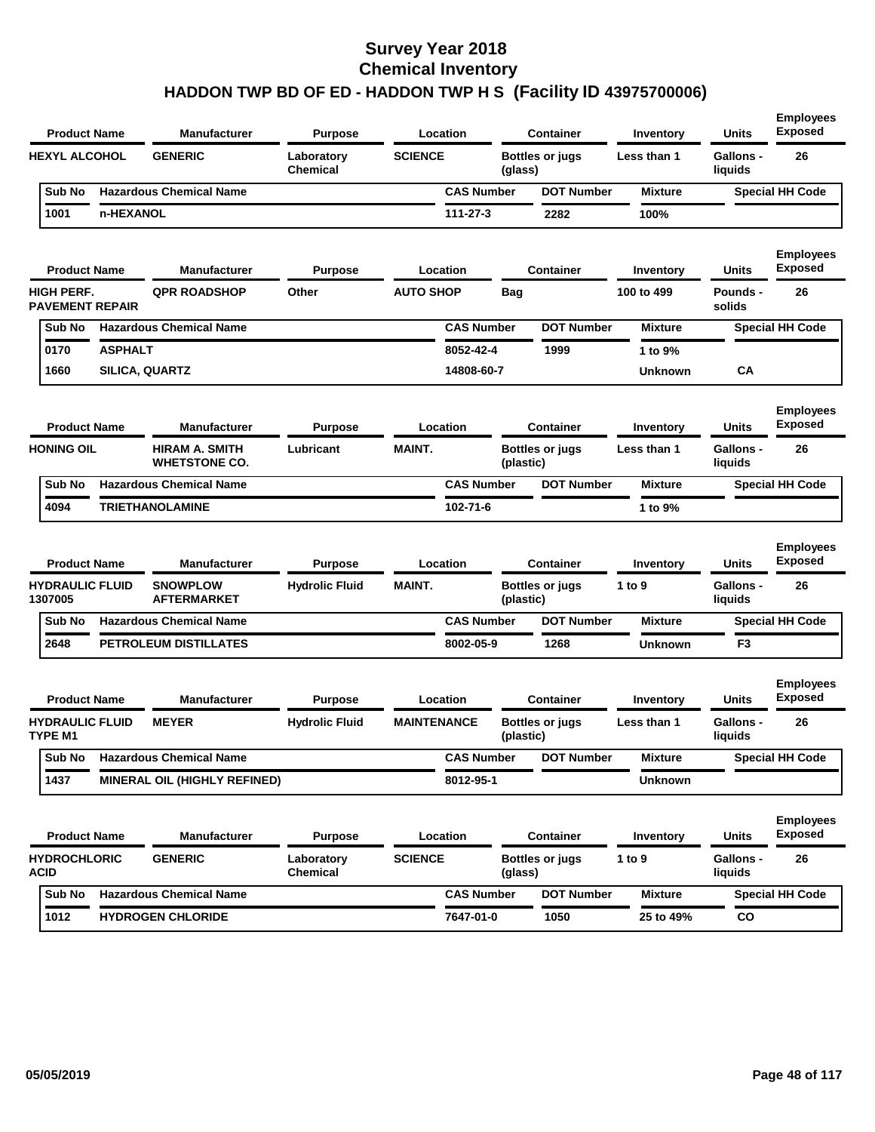| <b>Product Name</b> |                                             |                | Manufacturer                           | Purpose                       |                    | Location          | <b>Container</b> |                        | Inventory      | Units                       | <b>Employees</b><br><b>Exposed</b> |
|---------------------|---------------------------------------------|----------------|----------------------------------------|-------------------------------|--------------------|-------------------|------------------|------------------------|----------------|-----------------------------|------------------------------------|
|                     | <b>HEXYL ALCOHOL</b>                        |                | <b>GENERIC</b>                         | Laboratory<br><b>Chemical</b> | <b>SCIENCE</b>     |                   | (glass)          | <b>Bottles or jugs</b> | Less than 1    | <b>Gallons -</b><br>liquids | 26                                 |
|                     | Sub No                                      |                | <b>Hazardous Chemical Name</b>         |                               |                    | <b>CAS Number</b> |                  | <b>DOT Number</b>      | <b>Mixture</b> |                             | <b>Special HH Code</b>             |
|                     | 1001                                        | n-HEXANOL      |                                        |                               |                    | 111-27-3          |                  | 2282                   | 100%           |                             |                                    |
|                     | <b>Product Name</b>                         |                | <b>Manufacturer</b>                    | Purpose                       |                    | Location          |                  | <b>Container</b>       | Inventory      | Units                       | <b>Employees</b><br><b>Exposed</b> |
|                     | <b>HIGH PERF.</b><br><b>PAVEMENT REPAIR</b> |                | <b>QPR ROADSHOP</b>                    | Other                         | <b>AUTO SHOP</b>   |                   | Bag              |                        | 100 to 499     | <b>Pounds -</b><br>solids   | 26                                 |
|                     | Sub No                                      |                | <b>Hazardous Chemical Name</b>         |                               |                    | <b>CAS Number</b> |                  | <b>DOT Number</b>      | <b>Mixture</b> |                             | <b>Special HH Code</b>             |
|                     | 0170                                        | <b>ASPHALT</b> |                                        |                               |                    | 8052-42-4         |                  | 1999                   | 1 to 9%        |                             |                                    |
|                     | 1660                                        |                | <b>SILICA, QUARTZ</b>                  |                               |                    | 14808-60-7        |                  |                        | <b>Unknown</b> | CA                          |                                    |
|                     | <b>Product Name</b>                         |                | <b>Manufacturer</b>                    | Purpose                       |                    | Location          |                  | <b>Container</b>       | Inventory      | Units                       | <b>Employees</b><br><b>Exposed</b> |
|                     | <b>HONING OIL</b>                           |                | HIRAM A. SMITH<br><b>WHETSTONE CO.</b> | Lubricant                     | <b>MAINT.</b>      |                   | (plastic)        | <b>Bottles or jugs</b> | Less than 1    | <b>Gallons -</b><br>liquids | 26                                 |
|                     | Sub No                                      |                | <b>Hazardous Chemical Name</b>         |                               |                    | <b>CAS Number</b> |                  | <b>DOT Number</b>      | <b>Mixture</b> |                             | <b>Special HH Code</b>             |
|                     | 4094                                        |                | <b>TRIETHANOLAMINE</b>                 |                               |                    | 102-71-6          |                  |                        | 1 to 9%        |                             |                                    |
|                     | <b>Product Name</b>                         |                | <b>Manufacturer</b>                    | Purpose                       |                    | Location          |                  | <b>Container</b>       | Inventory      | Units                       | <b>Employees</b><br><b>Exposed</b> |
|                     | <b>HYDRAULIC FLUID</b><br>1307005           |                | <b>SNOWPLOW</b><br><b>AFTERMARKET</b>  | <b>Hydrolic Fluid</b>         | <b>MAINT.</b>      |                   | (plastic)        | <b>Bottles or jugs</b> | 1 to 9         | Gallons -<br>liquids        | 26                                 |
|                     | Sub No                                      |                | <b>Hazardous Chemical Name</b>         |                               |                    | <b>CAS Number</b> |                  | <b>DOT Number</b>      | <b>Mixture</b> |                             | <b>Special HH Code</b>             |
|                     | 2648                                        |                | PETROLEUM DISTILLATES                  |                               |                    | 8002-05-9         |                  | 1268                   | <b>Unknown</b> | F <sub>3</sub>              |                                    |
|                     | <b>Product Name</b>                         |                | Manufacturer                           | Purpose                       |                    | Location          |                  | <b>Container</b>       | Inventory      | Units                       | <b>Employees</b><br><b>Exposed</b> |
|                     | <b>HYDRAULIC FLUID</b><br>TYPE M1           |                | <b>MEYER</b>                           | <b>Hydrolic Fluid</b>         | <b>MAINTENANCE</b> |                   | (plastic)        | Bottles or jugs        | Less than 1    | <b>Gallons -</b><br>liquids | 26                                 |
|                     | Sub No                                      |                | <b>Hazardous Chemical Name</b>         |                               |                    | <b>CAS Number</b> |                  | <b>DOT Number</b>      | <b>Mixture</b> |                             | <b>Special HH Code</b>             |
|                     | 1437                                        |                | MINERAL OIL (HIGHLY REFINED)           |                               |                    | 8012-95-1         |                  |                        | <b>Unknown</b> |                             |                                    |
|                     | <b>Product Name</b>                         |                | <b>Manufacturer</b>                    | <b>Purpose</b>                |                    | Location          |                  | <b>Container</b>       | Inventory      | <b>Units</b>                | <b>Employees</b><br><b>Exposed</b> |
|                     | <b>HYDROCHLORIC</b><br><b>ACID</b>          |                | <b>GENERIC</b>                         | Laboratory<br>Chemical        | <b>SCIENCE</b>     |                   | (glass)          | <b>Bottles or jugs</b> | 1 to $9$       | <b>Gallons -</b><br>liquids | 26                                 |
|                     | Sub No                                      |                | <b>Hazardous Chemical Name</b>         |                               |                    | <b>CAS Number</b> |                  | <b>DOT Number</b>      | <b>Mixture</b> |                             | <b>Special HH Code</b>             |
|                     | 1012                                        |                | <b>HYDROGEN CHLORIDE</b>               |                               |                    | 7647-01-0         |                  | 1050                   | 25 to 49%      | CO                          |                                    |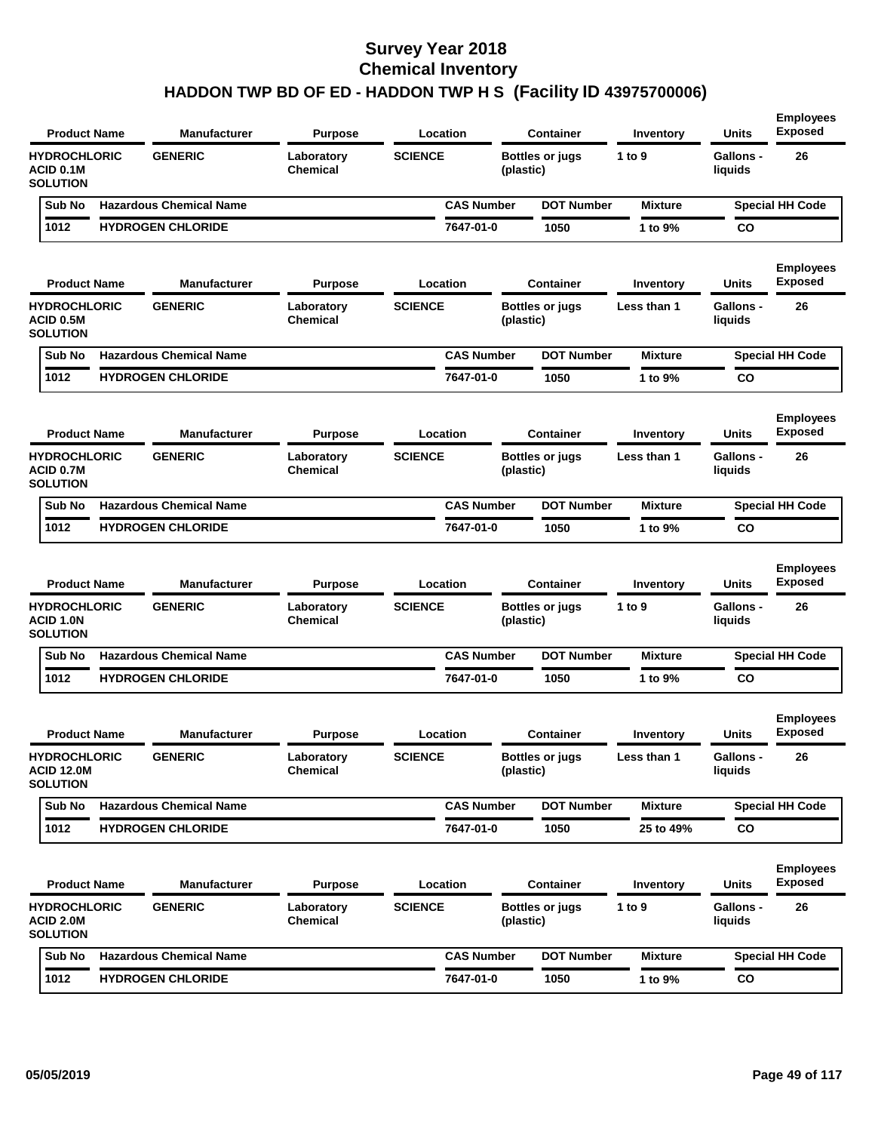| <b>Product Name</b>                                     | <b>Manufacturer</b>                                        | <b>Purpose</b>                           | Location                       |           | <b>Container</b>                           | Inventory                | <b>Units</b>                         | <b>Employees</b><br><b>Exposed</b>       |
|---------------------------------------------------------|------------------------------------------------------------|------------------------------------------|--------------------------------|-----------|--------------------------------------------|--------------------------|--------------------------------------|------------------------------------------|
| <b>HYDROCHLORIC</b><br>ACID 0.1M<br><b>SOLUTION</b>     | <b>GENERIC</b>                                             | Laboratory<br>Chemical                   | <b>SCIENCE</b>                 | (plastic) | <b>Bottles or jugs</b>                     | 1 to $9$                 | <b>Gallons -</b><br>liquids          | 26                                       |
| Sub No                                                  | <b>Hazardous Chemical Name</b>                             |                                          | <b>CAS Number</b>              |           | <b>DOT Number</b>                          | <b>Mixture</b>           |                                      | <b>Special HH Code</b>                   |
| 1012                                                    | <b>HYDROGEN CHLORIDE</b>                                   |                                          | 7647-01-0                      |           | 1050                                       | 1 to 9%                  | <b>CO</b>                            |                                          |
| <b>Product Name</b><br><b>HYDROCHLORIC</b><br>ACID 0.5M | <b>Manufacturer</b><br><b>GENERIC</b>                      | <b>Purpose</b><br>Laboratory<br>Chemical | Location<br><b>SCIENCE</b>     | (plastic) | <b>Container</b><br><b>Bottles or jugs</b> | Inventory<br>Less than 1 | <b>Units</b><br>Gallons -<br>liquids | <b>Employees</b><br><b>Exposed</b><br>26 |
| <b>SOLUTION</b>                                         |                                                            |                                          |                                |           |                                            |                          |                                      |                                          |
| Sub No<br>1012                                          | <b>Hazardous Chemical Name</b><br><b>HYDROGEN CHLORIDE</b> |                                          | <b>CAS Number</b><br>7647-01-0 |           | <b>DOT Number</b>                          | <b>Mixture</b>           |                                      | <b>Special HH Code</b>                   |
|                                                         |                                                            |                                          |                                |           | 1050                                       | 1 to 9%                  | CO                                   |                                          |
| <b>Product Name</b>                                     | <b>Manufacturer</b>                                        | <b>Purpose</b>                           | Location                       |           | Container                                  | Inventory                | Units                                | <b>Employees</b><br><b>Exposed</b>       |
| <b>HYDROCHLORIC</b><br>ACID 0.7M<br><b>SOLUTION</b>     | <b>GENERIC</b>                                             | Laboratory<br>Chemical                   | <b>SCIENCE</b>                 | (plastic) | <b>Bottles or jugs</b>                     | Less than 1              | <b>Gallons -</b><br>liquids          | 26                                       |
| Sub No                                                  | <b>Hazardous Chemical Name</b>                             |                                          | <b>CAS Number</b>              |           | <b>DOT Number</b>                          | <b>Mixture</b>           |                                      | <b>Special HH Code</b>                   |
| 1012                                                    | <b>HYDROGEN CHLORIDE</b>                                   |                                          | 7647-01-0                      |           | 1050                                       | 1 to 9%                  | <b>CO</b>                            |                                          |
| <b>Product Name</b><br><b>HYDROCHLORIC</b>              | <b>Manufacturer</b><br><b>GENERIC</b>                      | <b>Purpose</b><br>Laboratory             | Location<br><b>SCIENCE</b>     |           | <b>Container</b><br><b>Bottles or jugs</b> | Inventory<br>1 to $9$    | <b>Units</b><br><b>Gallons -</b>     | <b>Employees</b><br><b>Exposed</b><br>26 |
| ACID 1.0N<br><b>SOLUTION</b>                            |                                                            | Chemical                                 |                                | (plastic) |                                            |                          | liquids                              |                                          |
| Sub No                                                  | <b>Hazardous Chemical Name</b>                             |                                          | <b>CAS Number</b>              |           | <b>DOT Number</b>                          | <b>Mixture</b>           |                                      | <b>Special HH Code</b>                   |
| 1012                                                    | <b>HYDROGEN CHLORIDE</b>                                   |                                          | 7647-01-0                      |           | 1050                                       | 1 to 9%                  | CO                                   |                                          |
| <b>Product Name</b><br><b>HYDROCHLORIC</b>              | <b>Manufacturer</b><br><b>GENERIC</b>                      | <b>Purpose</b><br>Laboratory             | Location<br><b>SCIENCE</b>     |           | <b>Container</b><br><b>Bottles or jugs</b> | Inventory<br>Less than 1 | Units<br><b>Gallons -</b>            | <b>Employees</b><br><b>Exposed</b><br>26 |
| <b>ACID 12.0M</b><br><b>SOLUTION</b>                    |                                                            | <b>Chemical</b>                          |                                | (plastic) |                                            |                          | liquids                              |                                          |
| Sub No                                                  | <b>Hazardous Chemical Name</b>                             |                                          | <b>CAS Number</b>              |           | <b>DOT Number</b>                          | <b>Mixture</b>           |                                      | <b>Special HH Code</b>                   |
| 1012                                                    | <b>HYDROGEN CHLORIDE</b>                                   |                                          | 7647-01-0                      |           | 1050                                       | 25 to 49%                | CO                                   |                                          |
| <b>Product Name</b><br><b>HYDROCHLORIC</b><br>ACID 2.0M | <b>Manufacturer</b><br><b>GENERIC</b>                      | <b>Purpose</b><br>Laboratory<br>Chemical | Location<br><b>SCIENCE</b>     | (plastic) | <b>Container</b><br><b>Bottles or jugs</b> | Inventory<br>1 to 9      | <b>Units</b><br>Gallons -<br>liquids | <b>Employees</b><br><b>Exposed</b><br>26 |
| <b>SOLUTION</b>                                         |                                                            |                                          |                                |           |                                            |                          |                                      |                                          |
| Sub No                                                  | <b>Hazardous Chemical Name</b>                             |                                          | <b>CAS Number</b>              |           | <b>DOT Number</b>                          | <b>Mixture</b>           |                                      | <b>Special HH Code</b>                   |
| 1012                                                    | <b>HYDROGEN CHLORIDE</b>                                   |                                          | 7647-01-0                      |           | 1050                                       | 1 to 9%                  | CO                                   |                                          |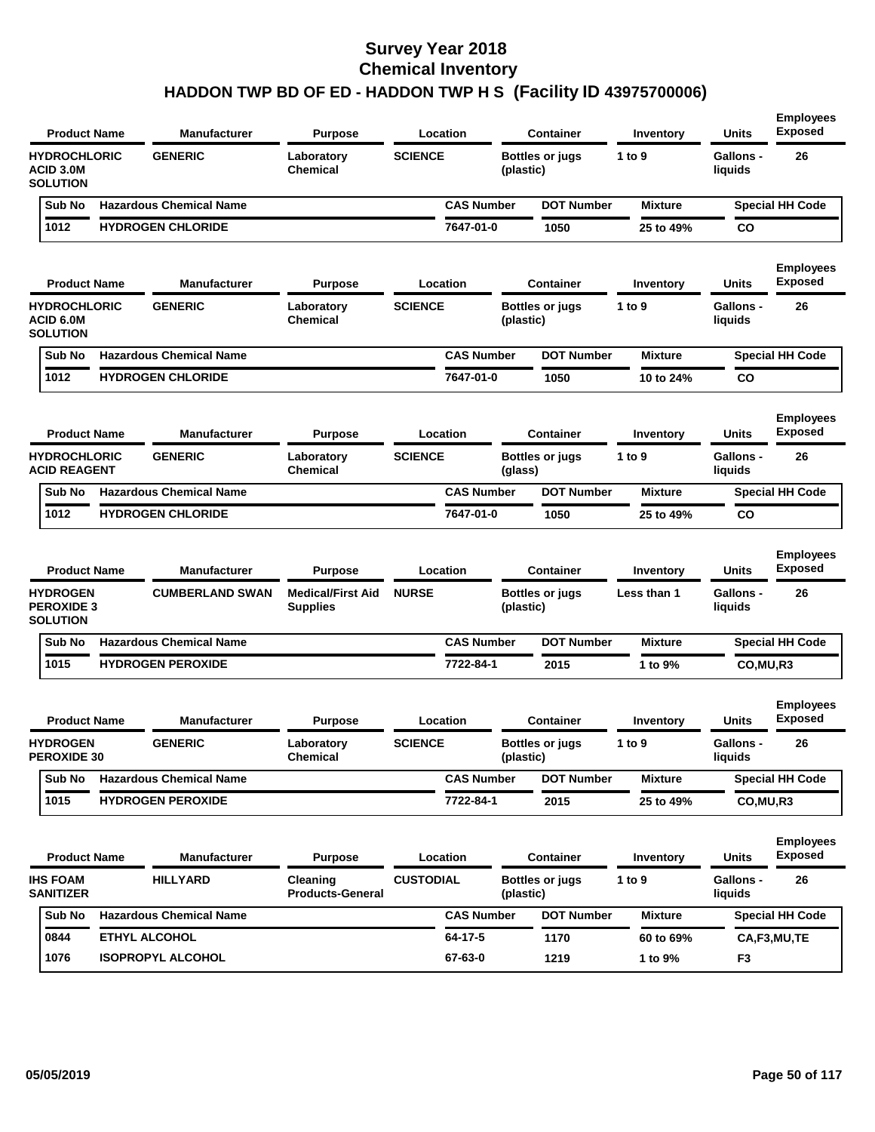| <b>Product Name</b>                                     | Manufacturer                   | <b>Purpose</b>                              | Location          |           | Container              | Inventory      | Units                       | <b>Employees</b><br><b>Exposed</b> |
|---------------------------------------------------------|--------------------------------|---------------------------------------------|-------------------|-----------|------------------------|----------------|-----------------------------|------------------------------------|
| <b>HYDROCHLORIC</b><br>ACID 3.0M<br><b>SOLUTION</b>     | <b>GENERIC</b>                 | Laboratory<br>Chemical                      | <b>SCIENCE</b>    | (plastic) | <b>Bottles or jugs</b> | 1 to 9         | <b>Gallons -</b><br>liquids | 26                                 |
| Sub No                                                  | <b>Hazardous Chemical Name</b> |                                             | <b>CAS Number</b> |           | <b>DOT Number</b>      | <b>Mixture</b> |                             | <b>Special HH Code</b>             |
| 1012                                                    | <b>HYDROGEN CHLORIDE</b>       |                                             | 7647-01-0         |           | 1050                   | 25 to 49%      | CO                          |                                    |
| <b>Product Name</b>                                     | Manufacturer                   | <b>Purpose</b>                              | Location          |           | <b>Container</b>       | Inventory      | Units                       | <b>Employees</b><br><b>Exposed</b> |
| <b>HYDROCHLORIC</b><br>ACID 6.0M<br><b>SOLUTION</b>     | <b>GENERIC</b>                 | Laboratory<br><b>Chemical</b>               | <b>SCIENCE</b>    | (plastic) | <b>Bottles or jugs</b> | 1 to 9         | <b>Gallons -</b><br>liquids | 26                                 |
| Sub No                                                  | <b>Hazardous Chemical Name</b> |                                             | <b>CAS Number</b> |           | <b>DOT Number</b>      | <b>Mixture</b> |                             | <b>Special HH Code</b>             |
| 1012                                                    | <b>HYDROGEN CHLORIDE</b>       |                                             | 7647-01-0         |           | 1050                   | 10 to 24%      | CO                          |                                    |
| <b>Product Name</b>                                     | <b>Manufacturer</b>            | <b>Purpose</b>                              | Location          |           | <b>Container</b>       | Inventory      | Units                       | <b>Employees</b><br><b>Exposed</b> |
| <b>HYDROCHLORIC</b><br><b>ACID REAGENT</b>              | <b>GENERIC</b>                 | Laboratory<br><b>Chemical</b>               | <b>SCIENCE</b>    | (glass)   | <b>Bottles or jugs</b> | 1 to 9         | <b>Gallons -</b><br>liquids | 26                                 |
| Sub No                                                  | <b>Hazardous Chemical Name</b> |                                             | <b>CAS Number</b> |           | <b>DOT Number</b>      | <b>Mixture</b> |                             | <b>Special HH Code</b>             |
| 1012                                                    | <b>HYDROGEN CHLORIDE</b>       |                                             | 7647-01-0         |           | 1050                   | 25 to 49%      | CO                          |                                    |
| <b>Product Name</b>                                     | Manufacturer                   | <b>Purpose</b>                              | Location          |           | <b>Container</b>       | Inventory      | Units                       | <b>Employees</b><br><b>Exposed</b> |
| <b>HYDROGEN</b><br><b>PEROXIDE 3</b><br><b>SOLUTION</b> | <b>CUMBERLAND SWAN</b>         | <b>Medical/First Aid</b><br><b>Supplies</b> | <b>NURSE</b>      | (plastic) | <b>Bottles or jugs</b> | Less than 1    | <b>Gallons -</b><br>liquids | 26                                 |
| Sub No                                                  | <b>Hazardous Chemical Name</b> |                                             | <b>CAS Number</b> |           | <b>DOT Number</b>      | <b>Mixture</b> |                             | <b>Special HH Code</b>             |
| 1015                                                    | <b>HYDROGEN PEROXIDE</b>       |                                             | 7722-84-1         |           | 2015                   | 1 to 9%        | CO, MU, R3                  |                                    |
| <b>Product Name</b>                                     | Manufacturer                   | <b>Purpose</b>                              | Location          |           | Container              | Inventory      | Units                       | <b>Employees</b><br><b>Exposed</b> |
| <b>HYDROGEN</b><br>PEROXIDE 30                          | <b>GENERIC</b>                 | Laboratory<br>Chemical                      | <b>SCIENCE</b>    | (plastic) | <b>Bottles or jugs</b> | 1 to $9$       | <b>Gallons -</b><br>liquids | 26                                 |
| Sub No                                                  | <b>Hazardous Chemical Name</b> |                                             | <b>CAS Number</b> |           | <b>DOT Number</b>      | <b>Mixture</b> |                             | <b>Special HH Code</b>             |
| 1015                                                    | <b>HYDROGEN PEROXIDE</b>       |                                             | 7722-84-1         |           | 2015                   | 25 to 49%      | CO, MU, R3                  |                                    |
|                                                         |                                |                                             |                   |           |                        |                |                             |                                    |
| <b>Product Name</b>                                     | Manufacturer                   | <b>Purpose</b>                              | Location          |           | <b>Container</b>       | Inventory      | Units                       | <b>Employees</b><br><b>Exposed</b> |
| <b>IHS FOAM</b><br><b>SANITIZER</b>                     | <b>HILLYARD</b>                | Cleaning<br><b>Products-General</b>         | <b>CUSTODIAL</b>  | (plastic) | <b>Bottles or jugs</b> | 1 to $9$       | <b>Gallons -</b><br>liquids | 26                                 |
| Sub No                                                  | <b>Hazardous Chemical Name</b> |                                             | <b>CAS Number</b> |           | <b>DOT Number</b>      | <b>Mixture</b> |                             | <b>Special HH Code</b>             |
| 0844                                                    | ETHYL ALCOHOL                  |                                             | $64 - 17 - 5$     |           | 1170                   | 60 to 69%      |                             | CA,F3,MU,TE                        |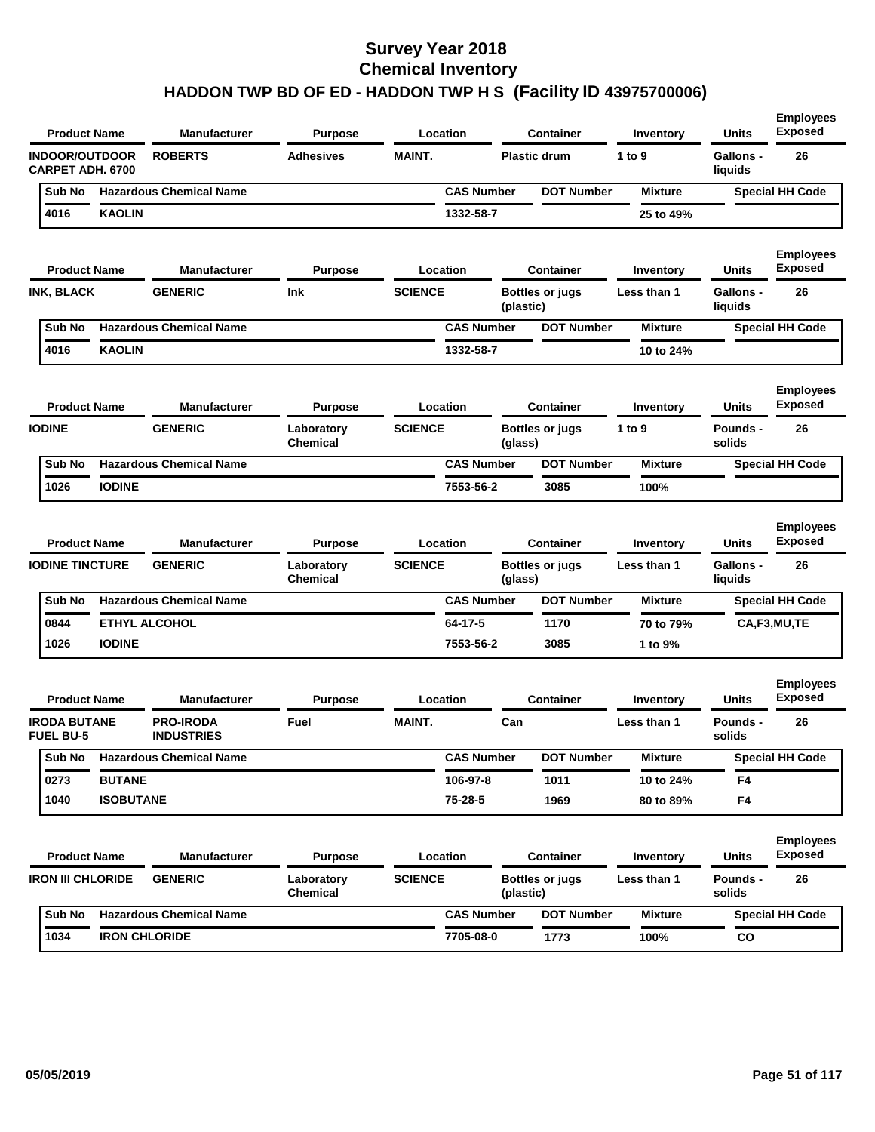|                                                  | <b>Product Name</b> | <b>Manufacturer</b>                   | <b>Purpose</b>                |                | Location             |           | <b>Container</b>       | Inventory            | <b>Units</b>                | <b>Employees</b><br><b>Exposed</b> |
|--------------------------------------------------|---------------------|---------------------------------------|-------------------------------|----------------|----------------------|-----------|------------------------|----------------------|-----------------------------|------------------------------------|
| <b>INDOOR/OUTDOOR</b><br><b>CARPET ADH. 6700</b> |                     | <b>ROBERTS</b>                        | <b>Adhesives</b>              | <b>MAINT.</b>  |                      |           | <b>Plastic drum</b>    | 1 to 9               | <b>Gallons -</b><br>liquids | 26                                 |
| Sub No                                           |                     | <b>Hazardous Chemical Name</b>        |                               |                | <b>CAS Number</b>    |           | <b>DOT Number</b>      | <b>Mixture</b>       |                             | <b>Special HH Code</b>             |
| 4016                                             | <b>KAOLIN</b>       |                                       |                               |                | 1332-58-7            |           |                        | 25 to 49%            |                             |                                    |
|                                                  | <b>Product Name</b> | <b>Manufacturer</b>                   | <b>Purpose</b>                |                | Location             |           | <b>Container</b>       | Inventory            | Units                       | <b>Employees</b><br><b>Exposed</b> |
| INK, BLACK                                       |                     | <b>GENERIC</b>                        | <b>Ink</b>                    | <b>SCIENCE</b> |                      | (plastic) | <b>Bottles or jugs</b> | Less than 1          | Gallons -<br>liquids        | 26                                 |
| Sub No                                           |                     | <b>Hazardous Chemical Name</b>        |                               |                | <b>CAS Number</b>    |           | <b>DOT Number</b>      | <b>Mixture</b>       |                             | <b>Special HH Code</b>             |
| 4016                                             | <b>KAOLIN</b>       |                                       |                               |                | 1332-58-7            |           |                        | 10 to 24%            |                             |                                    |
|                                                  | <b>Product Name</b> | <b>Manufacturer</b>                   | <b>Purpose</b>                |                | Location             |           | Container              | Inventory            | Units                       | <b>Employees</b><br><b>Exposed</b> |
| <b>IODINE</b>                                    |                     | <b>GENERIC</b>                        | Laboratory<br>Chemical        | <b>SCIENCE</b> |                      | (glass)   | <b>Bottles or jugs</b> | 1 to $9$             | <b>Pounds -</b><br>solids   | 26                                 |
| Sub No                                           |                     | <b>Hazardous Chemical Name</b>        |                               |                | <b>CAS Number</b>    |           | <b>DOT Number</b>      | <b>Mixture</b>       |                             | <b>Special HH Code</b>             |
| 1026                                             | <b>IODINE</b>       |                                       |                               |                | 7553-56-2            |           | 3085                   | 100%                 |                             |                                    |
|                                                  | <b>Product Name</b> | <b>Manufacturer</b>                   | <b>Purpose</b>                |                | Location             |           | <b>Container</b>       | Inventory            | Units                       | <b>Employees</b><br><b>Exposed</b> |
| <b>IODINE TINCTURE</b>                           |                     | <b>GENERIC</b>                        | Laboratory<br><b>Chemical</b> | <b>SCIENCE</b> |                      | (glass)   | Bottles or jugs        | Less than 1          | <b>Gallons -</b><br>liquids | 26                                 |
| Sub No                                           |                     | <b>Hazardous Chemical Name</b>        |                               |                | <b>CAS Number</b>    |           | <b>DOT Number</b>      | <b>Mixture</b>       |                             | <b>Special HH Code</b>             |
| 0844<br>1026                                     | <b>IODINE</b>       | <b>ETHYL ALCOHOL</b>                  |                               |                | 64-17-5<br>7553-56-2 |           | 1170<br>3085           | 70 to 79%<br>1 to 9% |                             | CA,F3,MU,TE                        |
|                                                  | <b>Product Name</b> | <b>Manufacturer</b>                   | <b>Purpose</b>                |                | Location             |           | <b>Container</b>       | Inventory            | <b>Units</b>                | <b>Employees</b><br><b>Exposed</b> |
| <b>IRODA BUTANE</b><br><b>FUEL BU-5</b>          |                     | <b>PRO-IRODA</b><br><b>INDUSTRIES</b> | Fuel                          | <b>MAINT.</b>  |                      | Can       |                        | Less than 1          | <b>Pounds -</b><br>solids   | 26                                 |
| Sub No                                           |                     | <b>Hazardous Chemical Name</b>        |                               |                | <b>CAS Number</b>    |           | <b>DOT Number</b>      | Mixture              |                             | <b>Special HH Code</b>             |
| 0273                                             | <b>BUTANE</b>       |                                       |                               |                | 106-97-8             |           | 1011                   | 10 to 24%            | F4                          |                                    |
| 1040                                             | <b>ISOBUTANE</b>    |                                       |                               |                | 75-28-5              |           | 1969                   | 80 to 89%            | F4                          |                                    |
|                                                  | <b>Product Name</b> | <b>Manufacturer</b>                   | <b>Purpose</b>                |                | Location             |           | <b>Container</b>       | Inventory            | Units                       | <b>Employees</b><br><b>Exposed</b> |
| <b>IRON III CHLORIDE</b>                         |                     | <b>GENERIC</b>                        | Laboratory<br>Chemical        | <b>SCIENCE</b> |                      | (plastic) | <b>Bottles or jugs</b> | Less than 1          | Pounds -<br>solids          | 26                                 |
|                                                  |                     |                                       |                               |                |                      |           |                        |                      |                             |                                    |
| Sub No                                           |                     | <b>Hazardous Chemical Name</b>        |                               |                | <b>CAS Number</b>    |           | <b>DOT Number</b>      | <b>Mixture</b>       |                             | <b>Special HH Code</b>             |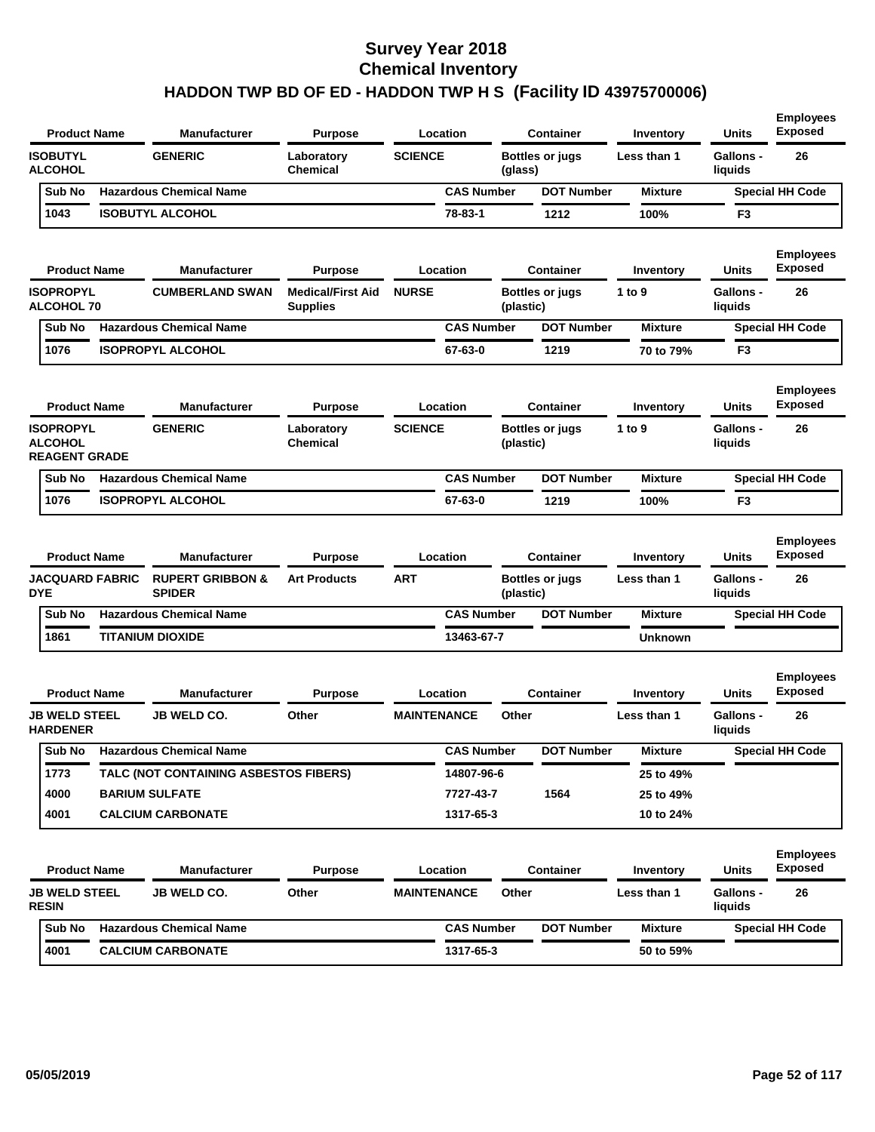| <b>Product Name</b><br><b>Manufacturer</b><br><b>Purpose</b><br>Location<br><b>Container</b>                                                                     | Inventory      | <b>Units</b>                | <b>Employees</b><br><b>Exposed</b> |
|------------------------------------------------------------------------------------------------------------------------------------------------------------------|----------------|-----------------------------|------------------------------------|
| <b>ISOBUTYL</b><br><b>GENERIC</b><br><b>SCIENCE</b><br>Laboratory<br><b>Bottles or jugs</b><br><b>ALCOHOL</b><br><b>Chemical</b><br>(glass)                      | Less than 1    | <b>Gallons -</b><br>liquids | 26                                 |
| <b>Hazardous Chemical Name</b><br><b>CAS Number</b><br><b>DOT Number</b><br>Sub No                                                                               | <b>Mixture</b> |                             | <b>Special HH Code</b>             |
| 1043<br><b>ISOBUTYL ALCOHOL</b><br>78-83-1<br>1212                                                                                                               | 100%           | F3                          |                                    |
| <b>Product Name</b><br><b>Manufacturer</b><br>Location<br><b>Purpose</b><br><b>Container</b>                                                                     | Inventory      | Units                       | <b>Employees</b><br><b>Exposed</b> |
| <b>ISOPROPYL</b><br><b>NURSE</b><br><b>CUMBERLAND SWAN</b><br><b>Medical/First Aid</b><br>Bottles or jugs<br><b>ALCOHOL 70</b><br><b>Supplies</b><br>(plastic)   | 1 to 9         | <b>Gallons -</b><br>liquids | 26                                 |
| <b>Hazardous Chemical Name</b><br><b>CAS Number</b><br>Sub No<br><b>DOT Number</b>                                                                               | <b>Mixture</b> |                             | <b>Special HH Code</b>             |
| 1076<br><b>ISOPROPYL ALCOHOL</b><br>67-63-0<br>1219                                                                                                              | 70 to 79%      | F <sub>3</sub>              |                                    |
| <b>Product Name</b><br><b>Manufacturer</b><br>Location<br><b>Container</b><br><b>Purpose</b><br><b>GENERIC</b>                                                   | Inventory      | Units                       | <b>Employees</b><br><b>Exposed</b> |
| <b>ISOPROPYL</b><br><b>SCIENCE</b><br>Laboratory<br>Bottles or jugs<br><b>ALCOHOL</b><br><b>Chemical</b><br>(plastic)<br><b>REAGENT GRADE</b>                    | 1 to 9         | <b>Gallons -</b><br>liquids | 26                                 |
| <b>Hazardous Chemical Name</b><br><b>CAS Number</b><br><b>DOT Number</b><br>Sub No                                                                               | <b>Mixture</b> |                             | <b>Special HH Code</b>             |
| 1076<br><b>ISOPROPYL ALCOHOL</b><br>67-63-0<br>1219                                                                                                              | 100%           | F <sub>3</sub>              |                                    |
| <b>Product Name</b><br><b>Manufacturer</b><br>Location<br><b>Container</b><br><b>Purpose</b>                                                                     | Inventory      | <b>Units</b>                | <b>Employees</b><br><b>Exposed</b> |
| <b>JACQUARD FABRIC</b><br><b>RUPERT GRIBBON &amp;</b><br><b>ART</b><br><b>Art Products</b><br><b>Bottles or jugs</b><br><b>DYE</b><br><b>SPIDER</b><br>(plastic) | Less than 1    | <b>Gallons -</b><br>liquids | 26                                 |
| <b>Hazardous Chemical Name</b><br><b>CAS Number</b><br><b>DOT Number</b><br>Sub No                                                                               | <b>Mixture</b> |                             | <b>Special HH Code</b>             |
| <b>TITANIUM DIOXIDE</b><br>13463-67-7<br>1861                                                                                                                    | <b>Unknown</b> |                             |                                    |
| <b>Product Name</b><br><b>Manufacturer</b><br>Purpose<br>Location<br><b>Container</b>                                                                            | Inventory      | Units                       | <b>Employees</b><br><b>Exposed</b> |
| <b>JB WELD STEEL</b><br><b>JB WELD CO.</b><br>Other<br><b>MAINTENANCE</b><br>Other<br><b>HARDENER</b>                                                            | Less than 1    | <b>Gallons -</b><br>liquids | 26                                 |
| Sub No Hazardous Chemical Name<br><b>CAS Number</b><br><b>DOT Number</b>                                                                                         | <b>Mixture</b> |                             | <b>Special HH Code</b>             |
| TALC (NOT CONTAINING ASBESTOS FIBERS)<br>14807-96-6<br>1773                                                                                                      | 25 to 49%      |                             |                                    |
| 4000<br><b>BARIUM SULFATE</b><br>7727-43-7<br>1564                                                                                                               | 25 to 49%      |                             |                                    |
| 4001<br><b>CALCIUM CARBONATE</b><br>1317-65-3                                                                                                                    | 10 to 24%      |                             |                                    |
| <b>Product Name</b><br>Manufacturer<br><b>Purpose</b><br>Location<br><b>Container</b>                                                                            | Inventory      | <b>Units</b>                | <b>Employees</b><br><b>Exposed</b> |
| <b>JB WELD STEEL</b><br><b>JB WELD CO.</b><br>Other<br><b>MAINTENANCE</b><br>Other<br><b>RESIN</b>                                                               | Less than 1    | <b>Gallons -</b><br>liquids | 26                                 |
| <b>Hazardous Chemical Name</b><br><b>CAS Number</b><br><b>DOT Number</b><br>Sub No                                                                               | <b>Mixture</b> |                             | <b>Special HH Code</b>             |
| <b>CALCIUM CARBONATE</b><br>1317-65-3<br>4001                                                                                                                    |                |                             |                                    |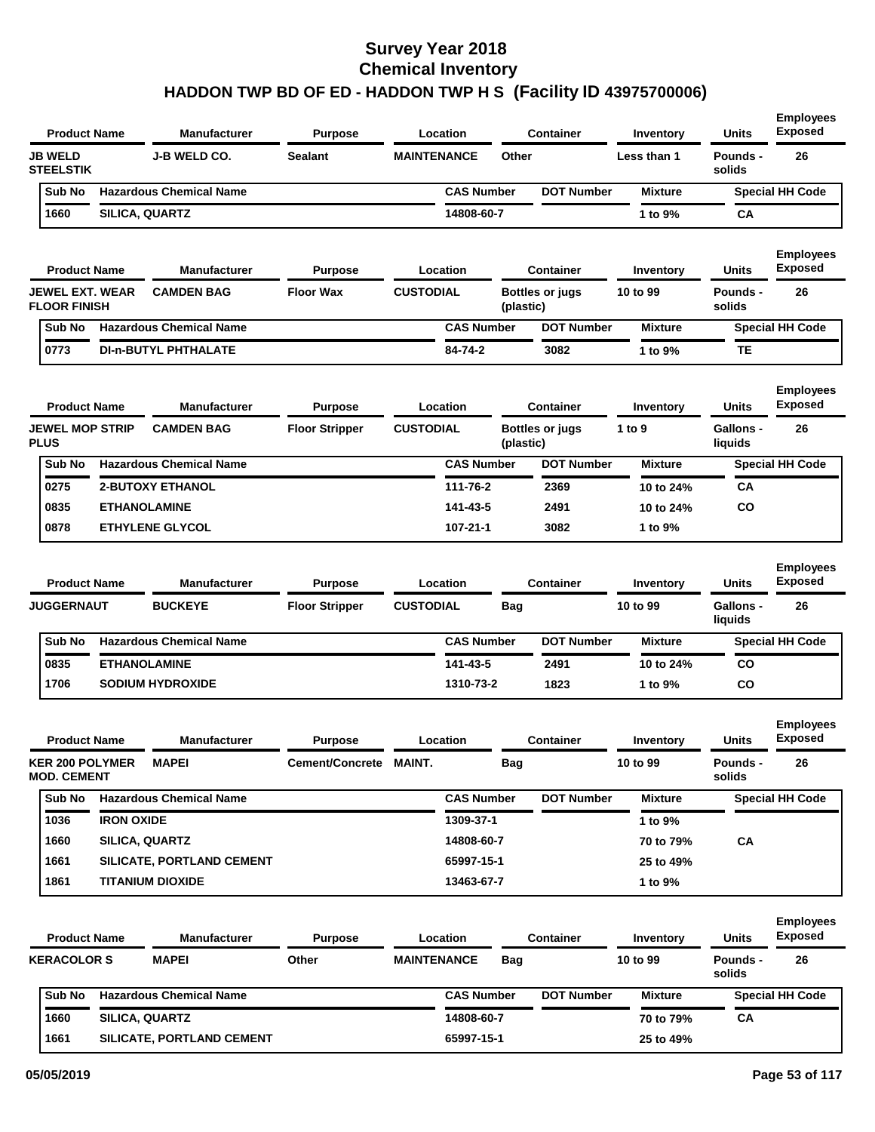| <b>JB WELD</b><br><b>J-B WELD CO.</b><br><b>Sealant</b><br><b>MAINTENANCE</b><br>Other<br>Less than 1<br>Pounds -<br>26<br><b>STEELSTIK</b><br>solids<br><b>Hazardous Chemical Name</b><br><b>CAS Number</b><br><b>DOT Number</b><br><b>Special HH Code</b><br>Sub No<br><b>Mixture</b><br>1660<br>SILICA, QUARTZ<br>14808-60-7<br>1 to 9%<br>CA<br><b>Employees</b><br><b>Exposed</b><br><b>Units</b><br><b>Product Name</b><br><b>Manufacturer</b><br>Location<br><b>Container</b><br><b>Purpose</b><br>Inventory<br><b>CUSTODIAL</b><br>JEWEL EXT. WEAR<br><b>CAMDEN BAG</b><br><b>Floor Wax</b><br>26<br><b>Bottles or jugs</b><br>10 to 99<br>Pounds -<br><b>FLOOR FINISH</b><br>solids<br>(plastic)<br><b>Hazardous Chemical Name</b><br><b>CAS Number</b><br><b>DOT Number</b><br>Sub No<br><b>Mixture</b><br><b>Special HH Code</b><br>0773<br><b>DI-n-BUTYL PHTHALATE</b><br>84-74-2<br>3082<br>1 to 9%<br>TЕ<br><b>Employees</b><br>Exposed<br><b>Product Name</b><br><b>Manufacturer</b><br>Location<br><b>Container</b><br>Units<br><b>Purpose</b><br>Inventory<br><b>CUSTODIAL</b><br><b>JEWEL MOP STRIP</b><br><b>CAMDEN BAG</b><br><b>Floor Stripper</b><br>1 to 9<br><b>Gallons -</b><br>26<br><b>Bottles or jugs</b><br><b>PLUS</b><br>(plastic)<br>liquids<br><b>Hazardous Chemical Name</b><br><b>CAS Number</b><br><b>DOT Number</b><br>Sub No<br><b>Mixture</b><br><b>Special HH Code</b><br>0275<br><b>2-BUTOXY ETHANOL</b><br>111-76-2<br>2369<br>CA<br>10 to 24%<br>0835<br>CO<br><b>ETHANOLAMINE</b><br>141-43-5<br>2491<br>10 to 24%<br>0878<br><b>ETHYLENE GLYCOL</b><br>$107 - 21 - 1$<br>3082<br>1 to 9%<br><b>Employees</b><br><b>Exposed</b><br><b>Product Name</b><br><b>Manufacturer</b><br><b>Units</b><br>Location<br><b>Container</b><br><b>Purpose</b><br>Inventory<br><b>BUCKEYE</b><br><b>CUSTODIAL</b><br>26<br><b>JUGGERNAUT</b><br><b>Floor Stripper</b><br>Bag<br>10 to 99<br><b>Gallons -</b><br>liquids<br><b>Hazardous Chemical Name</b><br><b>CAS Number</b><br><b>DOT Number</b><br>Sub No<br><b>Mixture</b><br><b>Special HH Code</b><br>0835<br><b>ETHANOLAMINE</b><br>141-43-5<br>2491<br><b>CO</b><br>10 to 24%<br>1706<br><b>SODIUM HYDROXIDE</b><br>1310-73-2<br>1823<br>1 to 9%<br><b>CO</b><br><b>Employees</b><br>Exposed<br><b>Product Name</b><br><b>Manufacturer</b><br><b>Purpose</b><br>Location<br><b>Container</b><br>Units<br>Inventory<br><b>KER 200 POLYMER</b><br><b>MAPEI</b><br>Cement/Concrete MAINT.<br>10 to 99<br>Pounds -<br>26<br><b>Bag</b><br><b>MOD. CEMENT</b><br>solids<br><b>Hazardous Chemical Name</b><br>Sub No<br><b>CAS Number</b><br><b>DOT Number</b><br><b>Mixture</b><br><b>Special HH Code</b><br><b>IRON OXIDE</b><br>1309-37-1<br>1036<br>1 to 9%<br>1660<br>CA<br><b>SILICA, QUARTZ</b><br>14808-60-7<br>70 to 79%<br>1661<br>SILICATE, PORTLAND CEMENT<br>65997-15-1<br>25 to 49%<br>1861<br><b>TITANIUM DIOXIDE</b><br>13463-67-7<br>1 to 9%<br><b>Employees</b><br><b>Exposed</b><br><b>Product Name</b><br>Location<br><b>Container</b><br>Units<br><b>Manufacturer</b><br><b>Purpose</b><br>Inventory<br><b>KERACOLOR S</b><br><b>MAPEI</b><br>Other<br><b>MAINTENANCE</b><br>10 to 99<br>Pounds -<br>26<br><b>Bag</b><br>solids<br><b>Hazardous Chemical Name</b><br><b>CAS Number</b><br><b>DOT Number</b><br><b>Mixture</b><br>Sub No<br><b>Special HH Code</b><br>1660<br>SILICA, QUARTZ<br>14808-60-7<br>CA<br>70 to 79%<br>1661<br>SILICATE, PORTLAND CEMENT<br>65997-15-1<br>25 to 49% | <b>Product Name</b> | <b>Manufacturer</b> | <b>Purpose</b> | Location | Container | Inventory | <b>Units</b> | <b>Employees</b><br><b>Exposed</b> |
|---------------------------------------------------------------------------------------------------------------------------------------------------------------------------------------------------------------------------------------------------------------------------------------------------------------------------------------------------------------------------------------------------------------------------------------------------------------------------------------------------------------------------------------------------------------------------------------------------------------------------------------------------------------------------------------------------------------------------------------------------------------------------------------------------------------------------------------------------------------------------------------------------------------------------------------------------------------------------------------------------------------------------------------------------------------------------------------------------------------------------------------------------------------------------------------------------------------------------------------------------------------------------------------------------------------------------------------------------------------------------------------------------------------------------------------------------------------------------------------------------------------------------------------------------------------------------------------------------------------------------------------------------------------------------------------------------------------------------------------------------------------------------------------------------------------------------------------------------------------------------------------------------------------------------------------------------------------------------------------------------------------------------------------------------------------------------------------------------------------------------------------------------------------------------------------------------------------------------------------------------------------------------------------------------------------------------------------------------------------------------------------------------------------------------------------------------------------------------------------------------------------------------------------------------------------------------------------------------------------------------------------------------------------------------------------------------------------------------------------------------------------------------------------------------------------------------------------------------------------------------------------------------------------------------------------------------------------------------------------------------------------------------------------------------------------------------------------------------------------------------------------------------------------------------------------------------------------------------------------------------------------------------------------------------------------------------------------------------------------------------------------------------------------------------------------------------------------------------------------------------|---------------------|---------------------|----------------|----------|-----------|-----------|--------------|------------------------------------|
|                                                                                                                                                                                                                                                                                                                                                                                                                                                                                                                                                                                                                                                                                                                                                                                                                                                                                                                                                                                                                                                                                                                                                                                                                                                                                                                                                                                                                                                                                                                                                                                                                                                                                                                                                                                                                                                                                                                                                                                                                                                                                                                                                                                                                                                                                                                                                                                                                                                                                                                                                                                                                                                                                                                                                                                                                                                                                                                                                                                                                                                                                                                                                                                                                                                                                                                                                                                                                                                                                                   |                     |                     |                |          |           |           |              |                                    |
|                                                                                                                                                                                                                                                                                                                                                                                                                                                                                                                                                                                                                                                                                                                                                                                                                                                                                                                                                                                                                                                                                                                                                                                                                                                                                                                                                                                                                                                                                                                                                                                                                                                                                                                                                                                                                                                                                                                                                                                                                                                                                                                                                                                                                                                                                                                                                                                                                                                                                                                                                                                                                                                                                                                                                                                                                                                                                                                                                                                                                                                                                                                                                                                                                                                                                                                                                                                                                                                                                                   |                     |                     |                |          |           |           |              |                                    |
|                                                                                                                                                                                                                                                                                                                                                                                                                                                                                                                                                                                                                                                                                                                                                                                                                                                                                                                                                                                                                                                                                                                                                                                                                                                                                                                                                                                                                                                                                                                                                                                                                                                                                                                                                                                                                                                                                                                                                                                                                                                                                                                                                                                                                                                                                                                                                                                                                                                                                                                                                                                                                                                                                                                                                                                                                                                                                                                                                                                                                                                                                                                                                                                                                                                                                                                                                                                                                                                                                                   |                     |                     |                |          |           |           |              |                                    |
|                                                                                                                                                                                                                                                                                                                                                                                                                                                                                                                                                                                                                                                                                                                                                                                                                                                                                                                                                                                                                                                                                                                                                                                                                                                                                                                                                                                                                                                                                                                                                                                                                                                                                                                                                                                                                                                                                                                                                                                                                                                                                                                                                                                                                                                                                                                                                                                                                                                                                                                                                                                                                                                                                                                                                                                                                                                                                                                                                                                                                                                                                                                                                                                                                                                                                                                                                                                                                                                                                                   |                     |                     |                |          |           |           |              |                                    |
|                                                                                                                                                                                                                                                                                                                                                                                                                                                                                                                                                                                                                                                                                                                                                                                                                                                                                                                                                                                                                                                                                                                                                                                                                                                                                                                                                                                                                                                                                                                                                                                                                                                                                                                                                                                                                                                                                                                                                                                                                                                                                                                                                                                                                                                                                                                                                                                                                                                                                                                                                                                                                                                                                                                                                                                                                                                                                                                                                                                                                                                                                                                                                                                                                                                                                                                                                                                                                                                                                                   |                     |                     |                |          |           |           |              |                                    |
|                                                                                                                                                                                                                                                                                                                                                                                                                                                                                                                                                                                                                                                                                                                                                                                                                                                                                                                                                                                                                                                                                                                                                                                                                                                                                                                                                                                                                                                                                                                                                                                                                                                                                                                                                                                                                                                                                                                                                                                                                                                                                                                                                                                                                                                                                                                                                                                                                                                                                                                                                                                                                                                                                                                                                                                                                                                                                                                                                                                                                                                                                                                                                                                                                                                                                                                                                                                                                                                                                                   |                     |                     |                |          |           |           |              |                                    |
|                                                                                                                                                                                                                                                                                                                                                                                                                                                                                                                                                                                                                                                                                                                                                                                                                                                                                                                                                                                                                                                                                                                                                                                                                                                                                                                                                                                                                                                                                                                                                                                                                                                                                                                                                                                                                                                                                                                                                                                                                                                                                                                                                                                                                                                                                                                                                                                                                                                                                                                                                                                                                                                                                                                                                                                                                                                                                                                                                                                                                                                                                                                                                                                                                                                                                                                                                                                                                                                                                                   |                     |                     |                |          |           |           |              |                                    |
|                                                                                                                                                                                                                                                                                                                                                                                                                                                                                                                                                                                                                                                                                                                                                                                                                                                                                                                                                                                                                                                                                                                                                                                                                                                                                                                                                                                                                                                                                                                                                                                                                                                                                                                                                                                                                                                                                                                                                                                                                                                                                                                                                                                                                                                                                                                                                                                                                                                                                                                                                                                                                                                                                                                                                                                                                                                                                                                                                                                                                                                                                                                                                                                                                                                                                                                                                                                                                                                                                                   |                     |                     |                |          |           |           |              |                                    |
|                                                                                                                                                                                                                                                                                                                                                                                                                                                                                                                                                                                                                                                                                                                                                                                                                                                                                                                                                                                                                                                                                                                                                                                                                                                                                                                                                                                                                                                                                                                                                                                                                                                                                                                                                                                                                                                                                                                                                                                                                                                                                                                                                                                                                                                                                                                                                                                                                                                                                                                                                                                                                                                                                                                                                                                                                                                                                                                                                                                                                                                                                                                                                                                                                                                                                                                                                                                                                                                                                                   |                     |                     |                |          |           |           |              |                                    |
|                                                                                                                                                                                                                                                                                                                                                                                                                                                                                                                                                                                                                                                                                                                                                                                                                                                                                                                                                                                                                                                                                                                                                                                                                                                                                                                                                                                                                                                                                                                                                                                                                                                                                                                                                                                                                                                                                                                                                                                                                                                                                                                                                                                                                                                                                                                                                                                                                                                                                                                                                                                                                                                                                                                                                                                                                                                                                                                                                                                                                                                                                                                                                                                                                                                                                                                                                                                                                                                                                                   |                     |                     |                |          |           |           |              |                                    |
|                                                                                                                                                                                                                                                                                                                                                                                                                                                                                                                                                                                                                                                                                                                                                                                                                                                                                                                                                                                                                                                                                                                                                                                                                                                                                                                                                                                                                                                                                                                                                                                                                                                                                                                                                                                                                                                                                                                                                                                                                                                                                                                                                                                                                                                                                                                                                                                                                                                                                                                                                                                                                                                                                                                                                                                                                                                                                                                                                                                                                                                                                                                                                                                                                                                                                                                                                                                                                                                                                                   |                     |                     |                |          |           |           |              |                                    |
|                                                                                                                                                                                                                                                                                                                                                                                                                                                                                                                                                                                                                                                                                                                                                                                                                                                                                                                                                                                                                                                                                                                                                                                                                                                                                                                                                                                                                                                                                                                                                                                                                                                                                                                                                                                                                                                                                                                                                                                                                                                                                                                                                                                                                                                                                                                                                                                                                                                                                                                                                                                                                                                                                                                                                                                                                                                                                                                                                                                                                                                                                                                                                                                                                                                                                                                                                                                                                                                                                                   |                     |                     |                |          |           |           |              |                                    |
|                                                                                                                                                                                                                                                                                                                                                                                                                                                                                                                                                                                                                                                                                                                                                                                                                                                                                                                                                                                                                                                                                                                                                                                                                                                                                                                                                                                                                                                                                                                                                                                                                                                                                                                                                                                                                                                                                                                                                                                                                                                                                                                                                                                                                                                                                                                                                                                                                                                                                                                                                                                                                                                                                                                                                                                                                                                                                                                                                                                                                                                                                                                                                                                                                                                                                                                                                                                                                                                                                                   |                     |                     |                |          |           |           |              |                                    |
|                                                                                                                                                                                                                                                                                                                                                                                                                                                                                                                                                                                                                                                                                                                                                                                                                                                                                                                                                                                                                                                                                                                                                                                                                                                                                                                                                                                                                                                                                                                                                                                                                                                                                                                                                                                                                                                                                                                                                                                                                                                                                                                                                                                                                                                                                                                                                                                                                                                                                                                                                                                                                                                                                                                                                                                                                                                                                                                                                                                                                                                                                                                                                                                                                                                                                                                                                                                                                                                                                                   |                     |                     |                |          |           |           |              |                                    |
|                                                                                                                                                                                                                                                                                                                                                                                                                                                                                                                                                                                                                                                                                                                                                                                                                                                                                                                                                                                                                                                                                                                                                                                                                                                                                                                                                                                                                                                                                                                                                                                                                                                                                                                                                                                                                                                                                                                                                                                                                                                                                                                                                                                                                                                                                                                                                                                                                                                                                                                                                                                                                                                                                                                                                                                                                                                                                                                                                                                                                                                                                                                                                                                                                                                                                                                                                                                                                                                                                                   |                     |                     |                |          |           |           |              |                                    |
|                                                                                                                                                                                                                                                                                                                                                                                                                                                                                                                                                                                                                                                                                                                                                                                                                                                                                                                                                                                                                                                                                                                                                                                                                                                                                                                                                                                                                                                                                                                                                                                                                                                                                                                                                                                                                                                                                                                                                                                                                                                                                                                                                                                                                                                                                                                                                                                                                                                                                                                                                                                                                                                                                                                                                                                                                                                                                                                                                                                                                                                                                                                                                                                                                                                                                                                                                                                                                                                                                                   |                     |                     |                |          |           |           |              |                                    |
|                                                                                                                                                                                                                                                                                                                                                                                                                                                                                                                                                                                                                                                                                                                                                                                                                                                                                                                                                                                                                                                                                                                                                                                                                                                                                                                                                                                                                                                                                                                                                                                                                                                                                                                                                                                                                                                                                                                                                                                                                                                                                                                                                                                                                                                                                                                                                                                                                                                                                                                                                                                                                                                                                                                                                                                                                                                                                                                                                                                                                                                                                                                                                                                                                                                                                                                                                                                                                                                                                                   |                     |                     |                |          |           |           |              |                                    |
|                                                                                                                                                                                                                                                                                                                                                                                                                                                                                                                                                                                                                                                                                                                                                                                                                                                                                                                                                                                                                                                                                                                                                                                                                                                                                                                                                                                                                                                                                                                                                                                                                                                                                                                                                                                                                                                                                                                                                                                                                                                                                                                                                                                                                                                                                                                                                                                                                                                                                                                                                                                                                                                                                                                                                                                                                                                                                                                                                                                                                                                                                                                                                                                                                                                                                                                                                                                                                                                                                                   |                     |                     |                |          |           |           |              |                                    |
|                                                                                                                                                                                                                                                                                                                                                                                                                                                                                                                                                                                                                                                                                                                                                                                                                                                                                                                                                                                                                                                                                                                                                                                                                                                                                                                                                                                                                                                                                                                                                                                                                                                                                                                                                                                                                                                                                                                                                                                                                                                                                                                                                                                                                                                                                                                                                                                                                                                                                                                                                                                                                                                                                                                                                                                                                                                                                                                                                                                                                                                                                                                                                                                                                                                                                                                                                                                                                                                                                                   |                     |                     |                |          |           |           |              |                                    |
|                                                                                                                                                                                                                                                                                                                                                                                                                                                                                                                                                                                                                                                                                                                                                                                                                                                                                                                                                                                                                                                                                                                                                                                                                                                                                                                                                                                                                                                                                                                                                                                                                                                                                                                                                                                                                                                                                                                                                                                                                                                                                                                                                                                                                                                                                                                                                                                                                                                                                                                                                                                                                                                                                                                                                                                                                                                                                                                                                                                                                                                                                                                                                                                                                                                                                                                                                                                                                                                                                                   |                     |                     |                |          |           |           |              |                                    |
|                                                                                                                                                                                                                                                                                                                                                                                                                                                                                                                                                                                                                                                                                                                                                                                                                                                                                                                                                                                                                                                                                                                                                                                                                                                                                                                                                                                                                                                                                                                                                                                                                                                                                                                                                                                                                                                                                                                                                                                                                                                                                                                                                                                                                                                                                                                                                                                                                                                                                                                                                                                                                                                                                                                                                                                                                                                                                                                                                                                                                                                                                                                                                                                                                                                                                                                                                                                                                                                                                                   |                     |                     |                |          |           |           |              |                                    |
|                                                                                                                                                                                                                                                                                                                                                                                                                                                                                                                                                                                                                                                                                                                                                                                                                                                                                                                                                                                                                                                                                                                                                                                                                                                                                                                                                                                                                                                                                                                                                                                                                                                                                                                                                                                                                                                                                                                                                                                                                                                                                                                                                                                                                                                                                                                                                                                                                                                                                                                                                                                                                                                                                                                                                                                                                                                                                                                                                                                                                                                                                                                                                                                                                                                                                                                                                                                                                                                                                                   |                     |                     |                |          |           |           |              |                                    |
|                                                                                                                                                                                                                                                                                                                                                                                                                                                                                                                                                                                                                                                                                                                                                                                                                                                                                                                                                                                                                                                                                                                                                                                                                                                                                                                                                                                                                                                                                                                                                                                                                                                                                                                                                                                                                                                                                                                                                                                                                                                                                                                                                                                                                                                                                                                                                                                                                                                                                                                                                                                                                                                                                                                                                                                                                                                                                                                                                                                                                                                                                                                                                                                                                                                                                                                                                                                                                                                                                                   |                     |                     |                |          |           |           |              |                                    |
|                                                                                                                                                                                                                                                                                                                                                                                                                                                                                                                                                                                                                                                                                                                                                                                                                                                                                                                                                                                                                                                                                                                                                                                                                                                                                                                                                                                                                                                                                                                                                                                                                                                                                                                                                                                                                                                                                                                                                                                                                                                                                                                                                                                                                                                                                                                                                                                                                                                                                                                                                                                                                                                                                                                                                                                                                                                                                                                                                                                                                                                                                                                                                                                                                                                                                                                                                                                                                                                                                                   |                     |                     |                |          |           |           |              |                                    |
|                                                                                                                                                                                                                                                                                                                                                                                                                                                                                                                                                                                                                                                                                                                                                                                                                                                                                                                                                                                                                                                                                                                                                                                                                                                                                                                                                                                                                                                                                                                                                                                                                                                                                                                                                                                                                                                                                                                                                                                                                                                                                                                                                                                                                                                                                                                                                                                                                                                                                                                                                                                                                                                                                                                                                                                                                                                                                                                                                                                                                                                                                                                                                                                                                                                                                                                                                                                                                                                                                                   |                     |                     |                |          |           |           |              |                                    |
|                                                                                                                                                                                                                                                                                                                                                                                                                                                                                                                                                                                                                                                                                                                                                                                                                                                                                                                                                                                                                                                                                                                                                                                                                                                                                                                                                                                                                                                                                                                                                                                                                                                                                                                                                                                                                                                                                                                                                                                                                                                                                                                                                                                                                                                                                                                                                                                                                                                                                                                                                                                                                                                                                                                                                                                                                                                                                                                                                                                                                                                                                                                                                                                                                                                                                                                                                                                                                                                                                                   |                     |                     |                |          |           |           |              |                                    |
|                                                                                                                                                                                                                                                                                                                                                                                                                                                                                                                                                                                                                                                                                                                                                                                                                                                                                                                                                                                                                                                                                                                                                                                                                                                                                                                                                                                                                                                                                                                                                                                                                                                                                                                                                                                                                                                                                                                                                                                                                                                                                                                                                                                                                                                                                                                                                                                                                                                                                                                                                                                                                                                                                                                                                                                                                                                                                                                                                                                                                                                                                                                                                                                                                                                                                                                                                                                                                                                                                                   |                     |                     |                |          |           |           |              |                                    |
|                                                                                                                                                                                                                                                                                                                                                                                                                                                                                                                                                                                                                                                                                                                                                                                                                                                                                                                                                                                                                                                                                                                                                                                                                                                                                                                                                                                                                                                                                                                                                                                                                                                                                                                                                                                                                                                                                                                                                                                                                                                                                                                                                                                                                                                                                                                                                                                                                                                                                                                                                                                                                                                                                                                                                                                                                                                                                                                                                                                                                                                                                                                                                                                                                                                                                                                                                                                                                                                                                                   |                     |                     |                |          |           |           |              |                                    |
|                                                                                                                                                                                                                                                                                                                                                                                                                                                                                                                                                                                                                                                                                                                                                                                                                                                                                                                                                                                                                                                                                                                                                                                                                                                                                                                                                                                                                                                                                                                                                                                                                                                                                                                                                                                                                                                                                                                                                                                                                                                                                                                                                                                                                                                                                                                                                                                                                                                                                                                                                                                                                                                                                                                                                                                                                                                                                                                                                                                                                                                                                                                                                                                                                                                                                                                                                                                                                                                                                                   |                     |                     |                |          |           |           |              |                                    |
|                                                                                                                                                                                                                                                                                                                                                                                                                                                                                                                                                                                                                                                                                                                                                                                                                                                                                                                                                                                                                                                                                                                                                                                                                                                                                                                                                                                                                                                                                                                                                                                                                                                                                                                                                                                                                                                                                                                                                                                                                                                                                                                                                                                                                                                                                                                                                                                                                                                                                                                                                                                                                                                                                                                                                                                                                                                                                                                                                                                                                                                                                                                                                                                                                                                                                                                                                                                                                                                                                                   |                     |                     |                |          |           |           |              |                                    |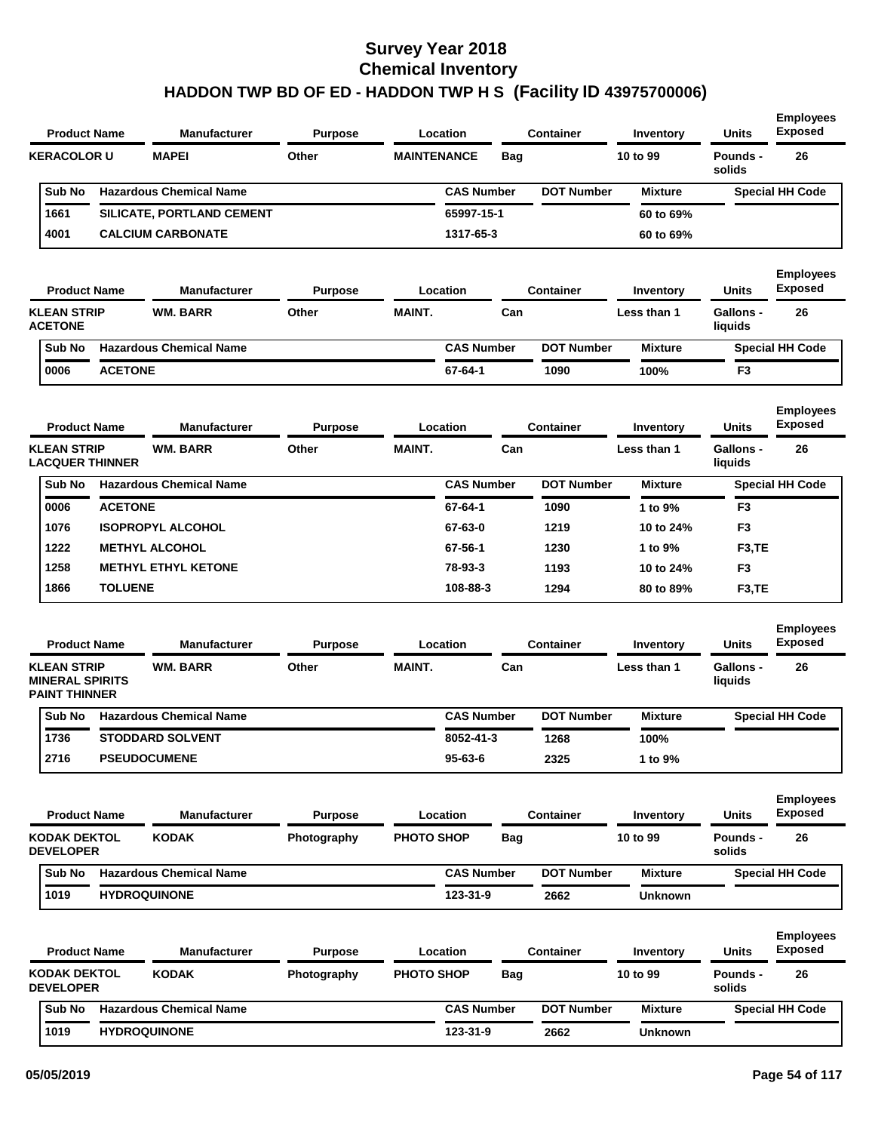| <b>MAPEI</b><br>Other<br>26<br><b>KERACOLOR U</b><br><b>MAINTENANCE</b><br><b>Bag</b><br>10 to 99<br>Pounds -<br>solids<br><b>Hazardous Chemical Name</b><br><b>CAS Number</b><br><b>DOT Number</b><br>Sub No<br><b>Mixture</b><br><b>Special HH Code</b><br>1661<br>65997-15-1<br>SILICATE, PORTLAND CEMENT<br>60 to 69%<br>4001<br><b>CALCIUM CARBONATE</b><br>1317-65-3<br>60 to 69%<br>Location<br><b>Container</b><br><b>Units</b><br><b>Product Name</b><br><b>Manufacturer</b><br><b>Purpose</b><br>Inventory<br><b>KLEAN STRIP</b><br><b>WM. BARR</b><br>Other<br><b>MAINT.</b><br>Can<br>Gallons -<br>26<br>Less than 1<br><b>ACETONE</b><br>liquids<br><b>Hazardous Chemical Name</b><br><b>CAS Number</b><br><b>DOT Number</b><br>Sub No<br><b>Mixture</b><br><b>Special HH Code</b><br><b>ACETONE</b><br>0006<br>67-64-1<br>1090<br>100%<br>F <sub>3</sub><br>Location<br><b>Container</b><br><b>Units</b><br><b>Product Name</b><br><b>Manufacturer</b><br><b>Purpose</b><br>Inventory<br><b>KLEAN STRIP</b><br><b>WM. BARR</b><br>Other<br><b>MAINT.</b><br>Can<br><b>Gallons -</b><br>26<br>Less than 1<br><b>LACQUER THINNER</b><br>liquids<br><b>Hazardous Chemical Name</b><br><b>DOT Number</b><br>Sub No<br><b>CAS Number</b><br><b>Mixture</b><br><b>Special HH Code</b><br><b>ACETONE</b><br>67-64-1<br>F <sub>3</sub><br>0006<br>1090<br>1 to 9%<br>1076<br><b>ISOPROPYL ALCOHOL</b><br>67-63-0<br>1219<br>F <sub>3</sub><br>10 to 24%<br>1222<br><b>METHYL ALCOHOL</b><br>67-56-1<br>1230<br>F <sub>3</sub> ,TE<br>1 to 9%<br>1258<br><b>METHYL ETHYL KETONE</b><br>78-93-3<br>1193<br>F <sub>3</sub><br>10 to 24%<br>1866<br><b>TOLUENE</b><br>108-88-3<br>1294<br>F <sub>3</sub> ,TE<br>80 to 89%<br><b>Product Name</b><br><b>Manufacturer</b><br>Location<br><b>Container</b><br><b>Units</b><br><b>Purpose</b><br>Inventory<br><b>KLEAN STRIP</b><br><b>WM. BARR</b><br>Other<br><b>MAINT.</b><br>Can<br><b>Gallons -</b><br>26<br>Less than 1<br><b>MINERAL SPIRITS</b><br>liquids<br><b>PAINT THINNER</b><br><b>DOT Number</b><br>Sub No<br><b>Hazardous Chemical Name</b><br><b>CAS Number</b><br><b>Mixture</b><br><b>Special HH Code</b><br>1736<br><b>STODDARD SOLVENT</b><br>8052-41-3<br>1268<br>100%<br>2716<br><b>PSEUDOCUMENE</b><br>$95 - 63 - 6$<br>2325<br>1 to 9%<br>Container<br><b>Units</b><br><b>Product Name</b><br><b>Manufacturer</b><br><b>Purpose</b><br>Location<br>Inventory<br><b>KODAK DEKTOL</b><br><b>KODAK</b><br><b>PHOTO SHOP</b><br>10 to 99<br>26<br>Photography<br><b>Bag</b><br><b>Pounds -</b><br><b>DEVELOPER</b><br>solids<br><b>DOT Number</b><br><b>Hazardous Chemical Name</b><br><b>CAS Number</b><br>Sub No<br><b>Mixture</b><br><b>Special HH Code</b><br>1019<br><b>HYDROQUINONE</b><br>123-31-9<br>2662<br>Unknown<br><b>Product Name</b><br><b>Purpose</b><br>Location<br><b>Container</b><br>Units<br><b>Manufacturer</b><br>Inventory<br><b>KODAK DEKTOL</b><br><b>KODAK</b><br><b>PHOTO SHOP</b><br>10 to 99<br>Pounds -<br>26<br>Photography<br><b>Bag</b><br><b>DEVELOPER</b><br>solids<br><b>Hazardous Chemical Name</b><br><b>CAS Number</b><br><b>DOT Number</b><br>Sub No<br><b>Mixture</b><br><b>Special HH Code</b> | <b>Product Name</b> | <b>Manufacturer</b> | <b>Purpose</b> | Location | Container | <b>Inventory</b> | <b>Units</b> | <b>Employees</b><br><b>Exposed</b> |
|--------------------------------------------------------------------------------------------------------------------------------------------------------------------------------------------------------------------------------------------------------------------------------------------------------------------------------------------------------------------------------------------------------------------------------------------------------------------------------------------------------------------------------------------------------------------------------------------------------------------------------------------------------------------------------------------------------------------------------------------------------------------------------------------------------------------------------------------------------------------------------------------------------------------------------------------------------------------------------------------------------------------------------------------------------------------------------------------------------------------------------------------------------------------------------------------------------------------------------------------------------------------------------------------------------------------------------------------------------------------------------------------------------------------------------------------------------------------------------------------------------------------------------------------------------------------------------------------------------------------------------------------------------------------------------------------------------------------------------------------------------------------------------------------------------------------------------------------------------------------------------------------------------------------------------------------------------------------------------------------------------------------------------------------------------------------------------------------------------------------------------------------------------------------------------------------------------------------------------------------------------------------------------------------------------------------------------------------------------------------------------------------------------------------------------------------------------------------------------------------------------------------------------------------------------------------------------------------------------------------------------------------------------------------------------------------------------------------------------------------------------------------------------------------------------------------------------------------------------------------------------------------------------------------------------------------------------------------------------------------------------------------------------------------------------------------------------------------------------------------------------------------------------------------------------------------------------------|---------------------|---------------------|----------------|----------|-----------|------------------|--------------|------------------------------------|
|                                                                                                                                                                                                                                                                                                                                                                                                                                                                                                                                                                                                                                                                                                                                                                                                                                                                                                                                                                                                                                                                                                                                                                                                                                                                                                                                                                                                                                                                                                                                                                                                                                                                                                                                                                                                                                                                                                                                                                                                                                                                                                                                                                                                                                                                                                                                                                                                                                                                                                                                                                                                                                                                                                                                                                                                                                                                                                                                                                                                                                                                                                                                                                                                              |                     |                     |                |          |           |                  |              |                                    |
|                                                                                                                                                                                                                                                                                                                                                                                                                                                                                                                                                                                                                                                                                                                                                                                                                                                                                                                                                                                                                                                                                                                                                                                                                                                                                                                                                                                                                                                                                                                                                                                                                                                                                                                                                                                                                                                                                                                                                                                                                                                                                                                                                                                                                                                                                                                                                                                                                                                                                                                                                                                                                                                                                                                                                                                                                                                                                                                                                                                                                                                                                                                                                                                                              |                     |                     |                |          |           |                  |              |                                    |
|                                                                                                                                                                                                                                                                                                                                                                                                                                                                                                                                                                                                                                                                                                                                                                                                                                                                                                                                                                                                                                                                                                                                                                                                                                                                                                                                                                                                                                                                                                                                                                                                                                                                                                                                                                                                                                                                                                                                                                                                                                                                                                                                                                                                                                                                                                                                                                                                                                                                                                                                                                                                                                                                                                                                                                                                                                                                                                                                                                                                                                                                                                                                                                                                              |                     |                     |                |          |           |                  |              |                                    |
|                                                                                                                                                                                                                                                                                                                                                                                                                                                                                                                                                                                                                                                                                                                                                                                                                                                                                                                                                                                                                                                                                                                                                                                                                                                                                                                                                                                                                                                                                                                                                                                                                                                                                                                                                                                                                                                                                                                                                                                                                                                                                                                                                                                                                                                                                                                                                                                                                                                                                                                                                                                                                                                                                                                                                                                                                                                                                                                                                                                                                                                                                                                                                                                                              |                     |                     |                |          |           |                  |              |                                    |
|                                                                                                                                                                                                                                                                                                                                                                                                                                                                                                                                                                                                                                                                                                                                                                                                                                                                                                                                                                                                                                                                                                                                                                                                                                                                                                                                                                                                                                                                                                                                                                                                                                                                                                                                                                                                                                                                                                                                                                                                                                                                                                                                                                                                                                                                                                                                                                                                                                                                                                                                                                                                                                                                                                                                                                                                                                                                                                                                                                                                                                                                                                                                                                                                              |                     |                     |                |          |           |                  |              | <b>Employees</b><br><b>Exposed</b> |
|                                                                                                                                                                                                                                                                                                                                                                                                                                                                                                                                                                                                                                                                                                                                                                                                                                                                                                                                                                                                                                                                                                                                                                                                                                                                                                                                                                                                                                                                                                                                                                                                                                                                                                                                                                                                                                                                                                                                                                                                                                                                                                                                                                                                                                                                                                                                                                                                                                                                                                                                                                                                                                                                                                                                                                                                                                                                                                                                                                                                                                                                                                                                                                                                              |                     |                     |                |          |           |                  |              |                                    |
|                                                                                                                                                                                                                                                                                                                                                                                                                                                                                                                                                                                                                                                                                                                                                                                                                                                                                                                                                                                                                                                                                                                                                                                                                                                                                                                                                                                                                                                                                                                                                                                                                                                                                                                                                                                                                                                                                                                                                                                                                                                                                                                                                                                                                                                                                                                                                                                                                                                                                                                                                                                                                                                                                                                                                                                                                                                                                                                                                                                                                                                                                                                                                                                                              |                     |                     |                |          |           |                  |              |                                    |
|                                                                                                                                                                                                                                                                                                                                                                                                                                                                                                                                                                                                                                                                                                                                                                                                                                                                                                                                                                                                                                                                                                                                                                                                                                                                                                                                                                                                                                                                                                                                                                                                                                                                                                                                                                                                                                                                                                                                                                                                                                                                                                                                                                                                                                                                                                                                                                                                                                                                                                                                                                                                                                                                                                                                                                                                                                                                                                                                                                                                                                                                                                                                                                                                              |                     |                     |                |          |           |                  |              |                                    |
|                                                                                                                                                                                                                                                                                                                                                                                                                                                                                                                                                                                                                                                                                                                                                                                                                                                                                                                                                                                                                                                                                                                                                                                                                                                                                                                                                                                                                                                                                                                                                                                                                                                                                                                                                                                                                                                                                                                                                                                                                                                                                                                                                                                                                                                                                                                                                                                                                                                                                                                                                                                                                                                                                                                                                                                                                                                                                                                                                                                                                                                                                                                                                                                                              |                     |                     |                |          |           |                  |              | <b>Employees</b><br><b>Exposed</b> |
|                                                                                                                                                                                                                                                                                                                                                                                                                                                                                                                                                                                                                                                                                                                                                                                                                                                                                                                                                                                                                                                                                                                                                                                                                                                                                                                                                                                                                                                                                                                                                                                                                                                                                                                                                                                                                                                                                                                                                                                                                                                                                                                                                                                                                                                                                                                                                                                                                                                                                                                                                                                                                                                                                                                                                                                                                                                                                                                                                                                                                                                                                                                                                                                                              |                     |                     |                |          |           |                  |              |                                    |
|                                                                                                                                                                                                                                                                                                                                                                                                                                                                                                                                                                                                                                                                                                                                                                                                                                                                                                                                                                                                                                                                                                                                                                                                                                                                                                                                                                                                                                                                                                                                                                                                                                                                                                                                                                                                                                                                                                                                                                                                                                                                                                                                                                                                                                                                                                                                                                                                                                                                                                                                                                                                                                                                                                                                                                                                                                                                                                                                                                                                                                                                                                                                                                                                              |                     |                     |                |          |           |                  |              |                                    |
|                                                                                                                                                                                                                                                                                                                                                                                                                                                                                                                                                                                                                                                                                                                                                                                                                                                                                                                                                                                                                                                                                                                                                                                                                                                                                                                                                                                                                                                                                                                                                                                                                                                                                                                                                                                                                                                                                                                                                                                                                                                                                                                                                                                                                                                                                                                                                                                                                                                                                                                                                                                                                                                                                                                                                                                                                                                                                                                                                                                                                                                                                                                                                                                                              |                     |                     |                |          |           |                  |              |                                    |
|                                                                                                                                                                                                                                                                                                                                                                                                                                                                                                                                                                                                                                                                                                                                                                                                                                                                                                                                                                                                                                                                                                                                                                                                                                                                                                                                                                                                                                                                                                                                                                                                                                                                                                                                                                                                                                                                                                                                                                                                                                                                                                                                                                                                                                                                                                                                                                                                                                                                                                                                                                                                                                                                                                                                                                                                                                                                                                                                                                                                                                                                                                                                                                                                              |                     |                     |                |          |           |                  |              |                                    |
|                                                                                                                                                                                                                                                                                                                                                                                                                                                                                                                                                                                                                                                                                                                                                                                                                                                                                                                                                                                                                                                                                                                                                                                                                                                                                                                                                                                                                                                                                                                                                                                                                                                                                                                                                                                                                                                                                                                                                                                                                                                                                                                                                                                                                                                                                                                                                                                                                                                                                                                                                                                                                                                                                                                                                                                                                                                                                                                                                                                                                                                                                                                                                                                                              |                     |                     |                |          |           |                  |              |                                    |
|                                                                                                                                                                                                                                                                                                                                                                                                                                                                                                                                                                                                                                                                                                                                                                                                                                                                                                                                                                                                                                                                                                                                                                                                                                                                                                                                                                                                                                                                                                                                                                                                                                                                                                                                                                                                                                                                                                                                                                                                                                                                                                                                                                                                                                                                                                                                                                                                                                                                                                                                                                                                                                                                                                                                                                                                                                                                                                                                                                                                                                                                                                                                                                                                              |                     |                     |                |          |           |                  |              |                                    |
|                                                                                                                                                                                                                                                                                                                                                                                                                                                                                                                                                                                                                                                                                                                                                                                                                                                                                                                                                                                                                                                                                                                                                                                                                                                                                                                                                                                                                                                                                                                                                                                                                                                                                                                                                                                                                                                                                                                                                                                                                                                                                                                                                                                                                                                                                                                                                                                                                                                                                                                                                                                                                                                                                                                                                                                                                                                                                                                                                                                                                                                                                                                                                                                                              |                     |                     |                |          |           |                  |              |                                    |
|                                                                                                                                                                                                                                                                                                                                                                                                                                                                                                                                                                                                                                                                                                                                                                                                                                                                                                                                                                                                                                                                                                                                                                                                                                                                                                                                                                                                                                                                                                                                                                                                                                                                                                                                                                                                                                                                                                                                                                                                                                                                                                                                                                                                                                                                                                                                                                                                                                                                                                                                                                                                                                                                                                                                                                                                                                                                                                                                                                                                                                                                                                                                                                                                              |                     |                     |                |          |           |                  |              | <b>Employees</b><br><b>Exposed</b> |
|                                                                                                                                                                                                                                                                                                                                                                                                                                                                                                                                                                                                                                                                                                                                                                                                                                                                                                                                                                                                                                                                                                                                                                                                                                                                                                                                                                                                                                                                                                                                                                                                                                                                                                                                                                                                                                                                                                                                                                                                                                                                                                                                                                                                                                                                                                                                                                                                                                                                                                                                                                                                                                                                                                                                                                                                                                                                                                                                                                                                                                                                                                                                                                                                              |                     |                     |                |          |           |                  |              |                                    |
|                                                                                                                                                                                                                                                                                                                                                                                                                                                                                                                                                                                                                                                                                                                                                                                                                                                                                                                                                                                                                                                                                                                                                                                                                                                                                                                                                                                                                                                                                                                                                                                                                                                                                                                                                                                                                                                                                                                                                                                                                                                                                                                                                                                                                                                                                                                                                                                                                                                                                                                                                                                                                                                                                                                                                                                                                                                                                                                                                                                                                                                                                                                                                                                                              |                     |                     |                |          |           |                  |              |                                    |
|                                                                                                                                                                                                                                                                                                                                                                                                                                                                                                                                                                                                                                                                                                                                                                                                                                                                                                                                                                                                                                                                                                                                                                                                                                                                                                                                                                                                                                                                                                                                                                                                                                                                                                                                                                                                                                                                                                                                                                                                                                                                                                                                                                                                                                                                                                                                                                                                                                                                                                                                                                                                                                                                                                                                                                                                                                                                                                                                                                                                                                                                                                                                                                                                              |                     |                     |                |          |           |                  |              |                                    |
|                                                                                                                                                                                                                                                                                                                                                                                                                                                                                                                                                                                                                                                                                                                                                                                                                                                                                                                                                                                                                                                                                                                                                                                                                                                                                                                                                                                                                                                                                                                                                                                                                                                                                                                                                                                                                                                                                                                                                                                                                                                                                                                                                                                                                                                                                                                                                                                                                                                                                                                                                                                                                                                                                                                                                                                                                                                                                                                                                                                                                                                                                                                                                                                                              |                     |                     |                |          |           |                  |              |                                    |
|                                                                                                                                                                                                                                                                                                                                                                                                                                                                                                                                                                                                                                                                                                                                                                                                                                                                                                                                                                                                                                                                                                                                                                                                                                                                                                                                                                                                                                                                                                                                                                                                                                                                                                                                                                                                                                                                                                                                                                                                                                                                                                                                                                                                                                                                                                                                                                                                                                                                                                                                                                                                                                                                                                                                                                                                                                                                                                                                                                                                                                                                                                                                                                                                              |                     |                     |                |          |           |                  |              | <b>Employees</b><br><b>Exposed</b> |
|                                                                                                                                                                                                                                                                                                                                                                                                                                                                                                                                                                                                                                                                                                                                                                                                                                                                                                                                                                                                                                                                                                                                                                                                                                                                                                                                                                                                                                                                                                                                                                                                                                                                                                                                                                                                                                                                                                                                                                                                                                                                                                                                                                                                                                                                                                                                                                                                                                                                                                                                                                                                                                                                                                                                                                                                                                                                                                                                                                                                                                                                                                                                                                                                              |                     |                     |                |          |           |                  |              |                                    |
|                                                                                                                                                                                                                                                                                                                                                                                                                                                                                                                                                                                                                                                                                                                                                                                                                                                                                                                                                                                                                                                                                                                                                                                                                                                                                                                                                                                                                                                                                                                                                                                                                                                                                                                                                                                                                                                                                                                                                                                                                                                                                                                                                                                                                                                                                                                                                                                                                                                                                                                                                                                                                                                                                                                                                                                                                                                                                                                                                                                                                                                                                                                                                                                                              |                     |                     |                |          |           |                  |              |                                    |
|                                                                                                                                                                                                                                                                                                                                                                                                                                                                                                                                                                                                                                                                                                                                                                                                                                                                                                                                                                                                                                                                                                                                                                                                                                                                                                                                                                                                                                                                                                                                                                                                                                                                                                                                                                                                                                                                                                                                                                                                                                                                                                                                                                                                                                                                                                                                                                                                                                                                                                                                                                                                                                                                                                                                                                                                                                                                                                                                                                                                                                                                                                                                                                                                              |                     |                     |                |          |           |                  |              |                                    |
|                                                                                                                                                                                                                                                                                                                                                                                                                                                                                                                                                                                                                                                                                                                                                                                                                                                                                                                                                                                                                                                                                                                                                                                                                                                                                                                                                                                                                                                                                                                                                                                                                                                                                                                                                                                                                                                                                                                                                                                                                                                                                                                                                                                                                                                                                                                                                                                                                                                                                                                                                                                                                                                                                                                                                                                                                                                                                                                                                                                                                                                                                                                                                                                                              |                     |                     |                |          |           |                  |              | <b>Employees</b><br><b>Exposed</b> |
|                                                                                                                                                                                                                                                                                                                                                                                                                                                                                                                                                                                                                                                                                                                                                                                                                                                                                                                                                                                                                                                                                                                                                                                                                                                                                                                                                                                                                                                                                                                                                                                                                                                                                                                                                                                                                                                                                                                                                                                                                                                                                                                                                                                                                                                                                                                                                                                                                                                                                                                                                                                                                                                                                                                                                                                                                                                                                                                                                                                                                                                                                                                                                                                                              |                     |                     |                |          |           |                  |              |                                    |
|                                                                                                                                                                                                                                                                                                                                                                                                                                                                                                                                                                                                                                                                                                                                                                                                                                                                                                                                                                                                                                                                                                                                                                                                                                                                                                                                                                                                                                                                                                                                                                                                                                                                                                                                                                                                                                                                                                                                                                                                                                                                                                                                                                                                                                                                                                                                                                                                                                                                                                                                                                                                                                                                                                                                                                                                                                                                                                                                                                                                                                                                                                                                                                                                              |                     |                     |                |          |           |                  |              |                                    |
| <b>HYDROQUINONE</b><br>1019<br>123-31-9<br>2662<br>Unknown                                                                                                                                                                                                                                                                                                                                                                                                                                                                                                                                                                                                                                                                                                                                                                                                                                                                                                                                                                                                                                                                                                                                                                                                                                                                                                                                                                                                                                                                                                                                                                                                                                                                                                                                                                                                                                                                                                                                                                                                                                                                                                                                                                                                                                                                                                                                                                                                                                                                                                                                                                                                                                                                                                                                                                                                                                                                                                                                                                                                                                                                                                                                                   |                     |                     |                |          |           |                  |              |                                    |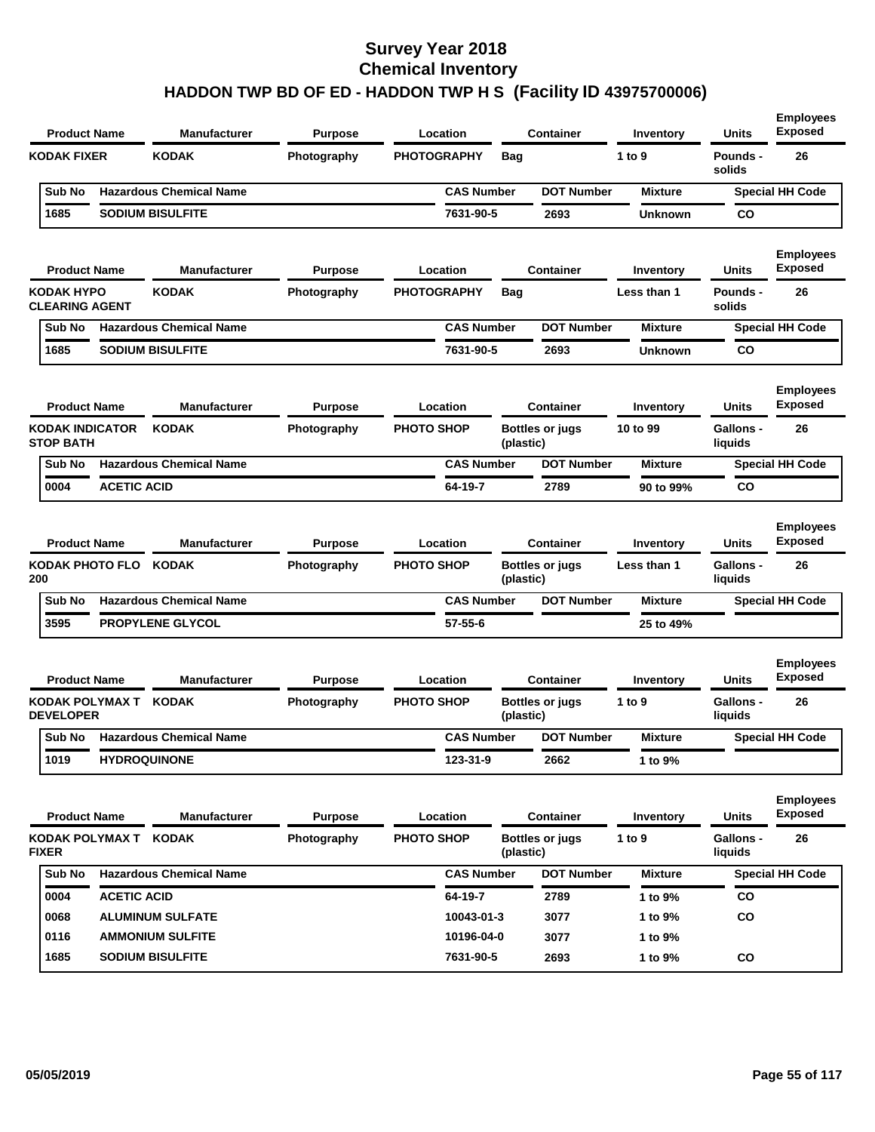| <b>Product Name</b>                           |                    | <b>Manufacturer</b>                 | <b>Purpose</b>                | Location                      |            | <b>Container</b>                    | Inventory                | Units                                | <b>Employees</b><br><b>Exposed</b>       |
|-----------------------------------------------|--------------------|-------------------------------------|-------------------------------|-------------------------------|------------|-------------------------------------|--------------------------|--------------------------------------|------------------------------------------|
| <b>KODAK FIXER</b>                            |                    | <b>KODAK</b>                        | Photography                   | <b>PHOTOGRAPHY</b>            | <b>Bag</b> |                                     | 1 to 9                   | Pounds -<br>solids                   | 26                                       |
| Sub No                                        |                    | <b>Hazardous Chemical Name</b>      |                               | <b>CAS Number</b>             |            | <b>DOT Number</b>                   | <b>Mixture</b>           |                                      | <b>Special HH Code</b>                   |
| 1685                                          |                    | <b>SODIUM BISULFITE</b>             |                               | 7631-90-5                     |            | 2693                                | <b>Unknown</b>           | CO                                   |                                          |
| <b>Product Name</b>                           |                    | <b>Manufacturer</b>                 | <b>Purpose</b>                | Location                      |            | <b>Container</b>                    | Inventory                | Units                                | <b>Employees</b><br><b>Exposed</b>       |
| KODAK HYPO<br><b>CLEARING AGENT</b>           |                    | <b>KODAK</b>                        | Photography                   | <b>PHOTOGRAPHY</b>            | Bag        |                                     | Less than 1              | <b>Pounds -</b><br>solids            | 26                                       |
| Sub No                                        |                    | <b>Hazardous Chemical Name</b>      |                               | <b>CAS Number</b>             |            | <b>DOT Number</b>                   | <b>Mixture</b>           |                                      | <b>Special HH Code</b>                   |
| 1685                                          |                    | <b>SODIUM BISULFITE</b>             |                               | 7631-90-5                     |            | 2693                                | <b>Unknown</b>           | CO                                   |                                          |
| <b>Product Name</b>                           |                    | <b>Manufacturer</b>                 | <b>Purpose</b>                | Location                      |            | <b>Container</b>                    | Inventory                | Units                                | <b>Employees</b><br><b>Exposed</b>       |
| <b>KODAK INDICATOR</b><br><b>STOP BATH</b>    |                    | <b>KODAK</b>                        | Photography                   | <b>PHOTO SHOP</b>             | (plastic)  | Bottles or jugs                     | 10 to 99                 | <b>Gallons -</b><br>liquids          | 26                                       |
| Sub No                                        |                    | <b>Hazardous Chemical Name</b>      |                               | <b>CAS Number</b>             |            | <b>DOT Number</b>                   | <b>Mixture</b>           |                                      | <b>Special HH Code</b>                   |
| 0004                                          | <b>ACETIC ACID</b> |                                     |                               | 64-19-7                       |            | 2789                                | 90 to 99%                | CO                                   |                                          |
| <b>Product Name</b><br>KODAK PHOTO FLO<br>200 |                    | <b>Manufacturer</b><br><b>KODAK</b> | <b>Purpose</b><br>Photography | Location<br><b>PHOTO SHOP</b> | (plastic)  | <b>Container</b><br>Bottles or jugs | Inventory<br>Less than 1 | Units<br><b>Gallons -</b><br>liquids | <b>Employees</b><br><b>Exposed</b><br>26 |
| Sub No                                        |                    | <b>Hazardous Chemical Name</b>      |                               | <b>CAS Number</b>             |            | <b>DOT Number</b>                   | <b>Mixture</b>           |                                      | <b>Special HH Code</b>                   |
| 3595                                          |                    | <b>PROPYLENE GLYCOL</b>             |                               | 57-55-6                       |            |                                     | 25 to 49%                |                                      |                                          |
| <b>Product Name</b>                           |                    | <b>Manufacturer</b>                 | <b>Purpose</b>                | Location                      |            | <b>Container</b>                    | Inventory                | Units                                | <b>Employees</b><br><b>Exposed</b>       |
| KODAK POLYMAX T KODAK<br><b>DEVELOPER</b>     |                    |                                     | Photography                   | <b>PHOTO SHOP</b>             | (plastic)  | <b>Bottles or jugs</b>              | 1 to 9                   | Gallons -<br>liquids                 | 26                                       |
| Sub No                                        |                    | <b>Hazardous Chemical Name</b>      |                               | <b>CAS Number</b>             |            | <b>DOT Number</b>                   | <b>Mixture</b>           |                                      | <b>Special HH Code</b>                   |
| 1019                                          |                    | <b>HYDROQUINONE</b>                 |                               | 123-31-9                      |            | 2662                                | 1 to 9%                  |                                      |                                          |
| <b>Product Name</b>                           |                    | <b>Manufacturer</b>                 | <b>Purpose</b>                | Location                      |            | Container                           | Inventory                | <b>Units</b>                         | <b>Employees</b><br><b>Exposed</b>       |
| KODAK POLYMAX T KODAK<br><b>FIXER</b>         |                    |                                     | Photography                   | PHOTO SHOP                    | (plastic)  | <b>Bottles or jugs</b>              | 1 to $9$                 | Gallons -<br>liquids                 | 26                                       |
| Sub No                                        |                    | <b>Hazardous Chemical Name</b>      |                               | <b>CAS Number</b>             |            | <b>DOT Number</b>                   | <b>Mixture</b>           |                                      | <b>Special HH Code</b>                   |
| 0004                                          | <b>ACETIC ACID</b> |                                     |                               | 64-19-7                       |            | 2789                                | 1 to 9%                  | <b>CO</b>                            |                                          |
| 8900                                          |                    | <b>ALUMINUM SULFATE</b>             |                               | 10043-01-3                    |            | 3077                                | 1 to 9%                  | <b>CO</b>                            |                                          |
| 0116                                          |                    | <b>AMMONIUM SULFITE</b>             |                               | 10196-04-0                    |            | 3077                                | 1 to 9%                  |                                      |                                          |
| 1685                                          |                    | <b>SODIUM BISULFITE</b>             |                               | 7631-90-5                     |            | 2693                                | 1 to 9%                  | CO                                   |                                          |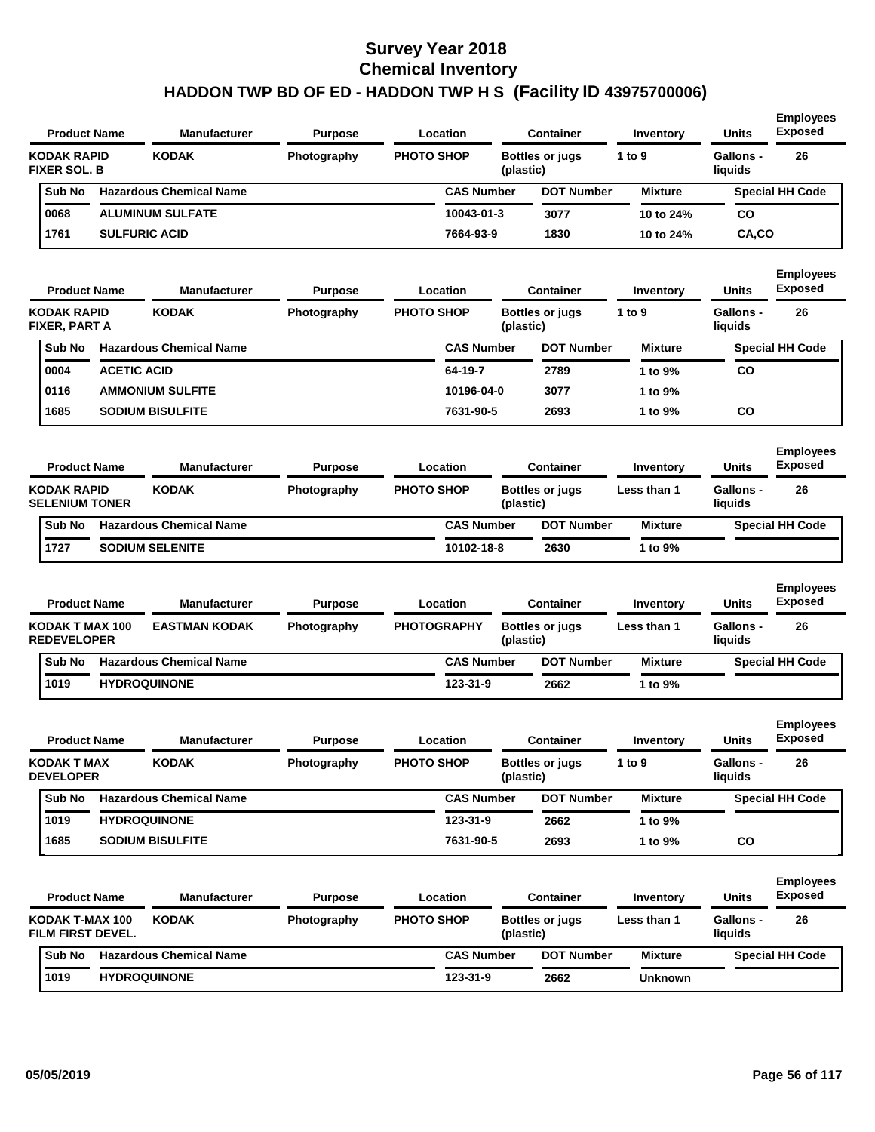| <b>Product Name</b>                       |                      | <b>Manufacturer</b>            | <b>Purpose</b> | Location           |           | <b>Container</b>       | Inventory      | <b>Units</b>                | <b>Employees</b><br><b>Exposed</b> |
|-------------------------------------------|----------------------|--------------------------------|----------------|--------------------|-----------|------------------------|----------------|-----------------------------|------------------------------------|
| <b>KODAK RAPID</b><br><b>FIXER SOL. B</b> |                      | <b>KODAK</b>                   | Photography    | <b>PHOTO SHOP</b>  | (plastic) | <b>Bottles or jugs</b> | 1 to $9$       | <b>Gallons -</b><br>liquids | 26                                 |
| Sub No                                    |                      | <b>Hazardous Chemical Name</b> |                | <b>CAS Number</b>  |           | <b>DOT Number</b>      | <b>Mixture</b> |                             | <b>Special HH Code</b>             |
| 0068                                      |                      | <b>ALUMINUM SULFATE</b>        |                | 10043-01-3         |           | 3077                   | 10 to 24%      | <b>CO</b>                   |                                    |
| 1761                                      | <b>SULFURIC ACID</b> |                                |                | 7664-93-9          |           | 1830                   | 10 to 24%      | CA,CO                       |                                    |
| <b>Product Name</b>                       |                      | <b>Manufacturer</b>            | <b>Purpose</b> | Location           |           | <b>Container</b>       | Inventory      | <b>Units</b>                | <b>Employees</b><br><b>Exposed</b> |
| KODAK RAPID<br>FIXER, PART A              |                      | <b>KODAK</b>                   | Photography    | <b>PHOTO SHOP</b>  | (plastic) | <b>Bottles or jugs</b> | 1 to $9$       | <b>Gallons -</b><br>liquids | 26                                 |
| Sub No                                    |                      | <b>Hazardous Chemical Name</b> |                | <b>CAS Number</b>  |           | <b>DOT Number</b>      | <b>Mixture</b> |                             | <b>Special HH Code</b>             |
| 0004                                      | <b>ACETIC ACID</b>   |                                |                | 64-19-7            |           | 2789                   | 1 to 9%        | <b>CO</b>                   |                                    |
| 0116                                      |                      | <b>AMMONIUM SULFITE</b>        |                | 10196-04-0         |           | 3077                   | 1 to 9%        |                             |                                    |
| 1685                                      |                      | <b>SODIUM BISULFITE</b>        |                | 7631-90-5          |           | 2693                   | 1 to 9%        | CO                          |                                    |
|                                           |                      |                                |                |                    |           |                        |                |                             |                                    |
| <b>Product Name</b>                       |                      | <b>Manufacturer</b>            | <b>Purpose</b> | Location           |           | <b>Container</b>       | Inventory      | <b>Units</b>                | <b>Employees</b><br><b>Exposed</b> |
| KODAK RAPID<br><b>SELENIUM TONER</b>      |                      | <b>KODAK</b>                   | Photography    | <b>PHOTO SHOP</b>  | (plastic) | <b>Bottles or jugs</b> | Less than 1    | <b>Gallons -</b><br>liquids | 26                                 |
| Sub No                                    |                      | <b>Hazardous Chemical Name</b> |                | <b>CAS Number</b>  |           | <b>DOT Number</b>      | <b>Mixture</b> |                             | <b>Special HH Code</b>             |
| 1727                                      |                      | <b>SODIUM SELENITE</b>         |                | 10102-18-8         |           | 2630                   | 1 to 9%        |                             |                                    |
| <b>Product Name</b>                       |                      | <b>Manufacturer</b>            | <b>Purpose</b> | Location           |           | <b>Container</b>       | Inventory      | <b>Units</b>                | <b>Employees</b><br><b>Exposed</b> |
| KODAK T MAX 100<br><b>REDEVELOPER</b>     |                      | <b>EASTMAN KODAK</b>           | Photography    | <b>PHOTOGRAPHY</b> | (plastic) | <b>Bottles or jugs</b> | Less than 1    | <b>Gallons -</b><br>liquids | 26                                 |
| Sub No                                    |                      | <b>Hazardous Chemical Name</b> |                | <b>CAS Number</b>  |           | <b>DOT Number</b>      | <b>Mixture</b> |                             | <b>Special HH Code</b>             |
| 1019                                      |                      | <b>HYDROQUINONE</b>            |                | 123-31-9           |           | 2662                   | 1 to 9%        |                             |                                    |
| <b>Product Name</b>                       |                      | <b>Manufacturer</b>            | <b>Purpose</b> | Location           |           | <b>Container</b>       | Inventory      | <b>Units</b>                | <b>Employees</b><br><b>Exposed</b> |
| <b>KODAK T MAX</b><br><b>DEVELOPER</b>    |                      | <b>KODAK</b>                   | Photography    | <b>PHOTO SHOP</b>  | (plastic) | <b>Bottles or jugs</b> | 1 to 9         | Gallons -<br>liquids        | 26                                 |
| Sub No                                    |                      | <b>Hazardous Chemical Name</b> |                | <b>CAS Number</b>  |           | <b>DOT Number</b>      | <b>Mixture</b> |                             | <b>Special HH Code</b>             |
| 1019                                      |                      | <b>HYDROQUINONE</b>            |                | 123-31-9           |           | 2662                   | 1 to 9%        |                             |                                    |
| 1685                                      |                      | <b>SODIUM BISULFITE</b>        |                | 7631-90-5          |           | 2693                   | 1 to 9%        | co                          |                                    |
| <b>Product Name</b>                       |                      | <b>Manufacturer</b>            | <b>Purpose</b> | Location           |           | <b>Container</b>       | Inventory      | <b>Units</b>                | <b>Employees</b><br><b>Exposed</b> |
| KODAK T-MAX 100<br>FILM FIRST DEVEL.      |                      | <b>KODAK</b>                   | Photography    | <b>PHOTO SHOP</b>  | (plastic) | <b>Bottles or jugs</b> | Less than 1    | Gallons -<br>liquids        | 26                                 |
| Sub No                                    |                      | <b>Hazardous Chemical Name</b> |                | <b>CAS Number</b>  |           | <b>DOT Number</b>      | <b>Mixture</b> |                             | <b>Special HH Code</b>             |
| 1019                                      |                      | <b>HYDROQUINONE</b>            |                | 123-31-9           |           | 2662                   | <b>Unknown</b> |                             |                                    |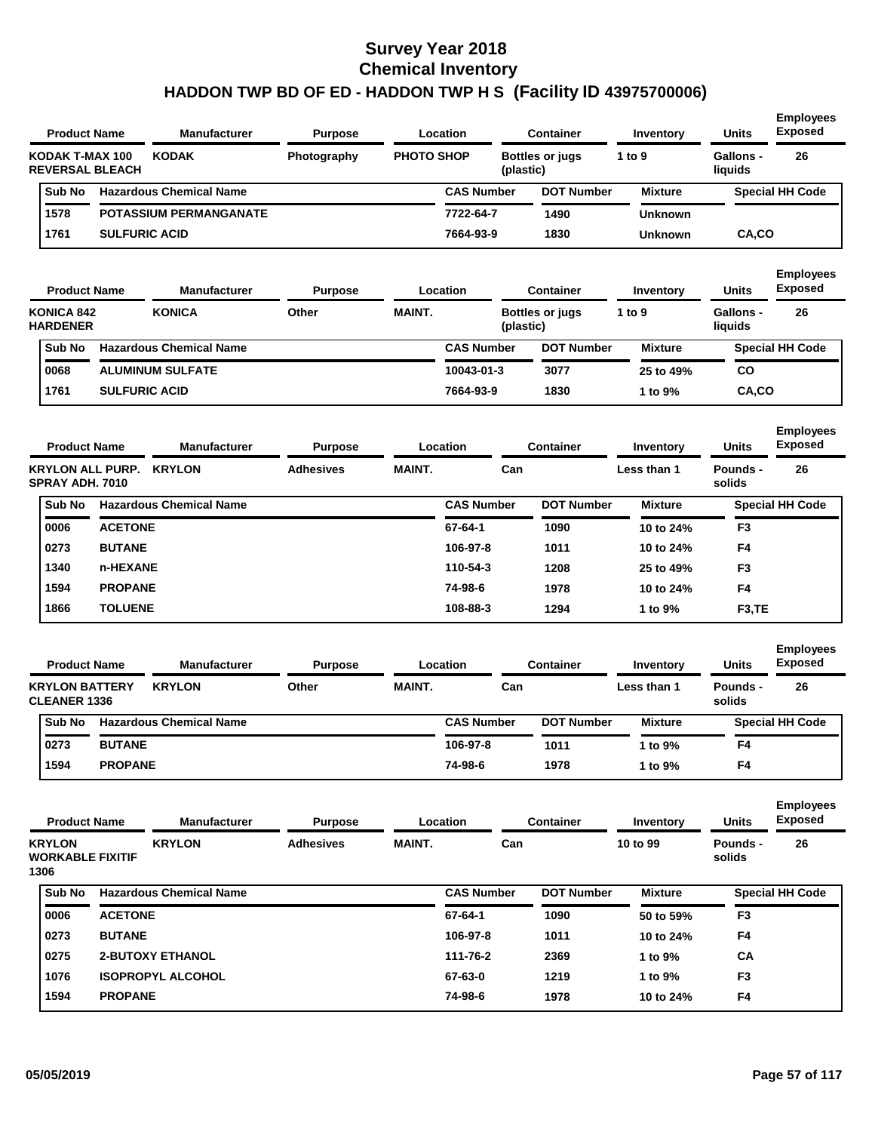| <b>Product Name</b> |                        | <b>Manufacturer</b>            | <b>Purpose</b> |                   | Location          |           | Container              | Inventory      | <b>Units</b>         | <b>Employees</b><br><b>Exposed</b> |
|---------------------|------------------------|--------------------------------|----------------|-------------------|-------------------|-----------|------------------------|----------------|----------------------|------------------------------------|
| KODAK T-MAX 100     | <b>REVERSAL BLEACH</b> | <b>KODAK</b>                   | Photography    | <b>PHOTO SHOP</b> |                   | (plastic) | <b>Bottles or jugs</b> | 1 to $9$       | Gallons -<br>liauids | 26                                 |
| <b>Sub No</b>       |                        | <b>Hazardous Chemical Name</b> |                |                   | <b>CAS Number</b> |           | <b>DOT Number</b>      | <b>Mixture</b> |                      | <b>Special HH Code</b>             |
| 1578                |                        | <b>POTASSIUM PERMANGANATE</b>  |                |                   | 7722-64-7         |           | 1490                   | <b>Unknown</b> |                      |                                    |
| 1761                | <b>SULFURIC ACID</b>   |                                |                |                   | 7664-93-9         |           | 1830                   | <b>Unknown</b> | CA.CO                |                                    |
|                     |                        |                                |                |                   |                   |           |                        |                |                      |                                    |

| <b>Product Name</b>                  |                      | <b>Manufacturer</b>            | <b>Purpose</b> |               | Location          | Container              | Inventory      | <b>Units</b>         | <b>Employees</b><br><b>Exposed</b> |
|--------------------------------------|----------------------|--------------------------------|----------------|---------------|-------------------|------------------------|----------------|----------------------|------------------------------------|
| <b>KONICA 842</b><br><b>HARDENER</b> |                      | <b>KONICA</b>                  | Other          | <b>MAINT.</b> | (plastic)         | <b>Bottles or jugs</b> | 1 to $9$       | Gallons -<br>liquids | 26                                 |
| Sub No                               |                      | <b>Hazardous Chemical Name</b> |                |               | <b>CAS Number</b> | <b>DOT Number</b>      | <b>Mixture</b> |                      | <b>Special HH Code</b>             |
| 0068                                 |                      | <b>ALUMINUM SULFATE</b>        |                |               | 10043-01-3        | 3077                   | 25 to 49%      | CO                   |                                    |
| 1761                                 | <b>SULFURIC ACID</b> |                                |                |               | 7664-93-9         | 1830                   | 1 to $9\%$     | CA,CO                |                                    |

| <b>Product Name</b>                        |                | <b>Manufacturer</b>            | <b>Purpose</b>   |               | Location          | <b>Container</b>  | Inventory      | <b>Units</b>        | <b>Employees</b><br><b>Exposed</b> |
|--------------------------------------------|----------------|--------------------------------|------------------|---------------|-------------------|-------------------|----------------|---------------------|------------------------------------|
| <b>KRYLON ALL PURP.</b><br>SPRAY ADH. 7010 |                | <b>KRYLON</b>                  | <b>Adhesives</b> | <b>MAINT.</b> | Can               |                   | Less than 1    | Pounds -<br>solids  | 26                                 |
| Sub No                                     |                | <b>Hazardous Chemical Name</b> |                  |               | <b>CAS Number</b> | <b>DOT Number</b> | <b>Mixture</b> |                     | <b>Special HH Code</b>             |
| 0006                                       | <b>ACETONE</b> |                                |                  |               | 67-64-1           | 1090              | 10 to 24%      | F <sub>3</sub>      |                                    |
| 0273                                       | <b>BUTANE</b>  |                                |                  |               | 106-97-8          | 1011              | 10 to 24%      | F <sub>4</sub>      |                                    |
| 1340                                       | n-HEXANE       |                                |                  |               | 110-54-3          | 1208              | 25 to 49%      | F <sub>3</sub>      |                                    |
| 1594                                       | <b>PROPANE</b> |                                |                  |               | 74-98-6           | 1978              | 10 to 24%      | F <sub>4</sub>      |                                    |
| 1866                                       | <b>TOLUENE</b> |                                |                  |               | 108-88-3          | 1294              | 1 to 9%        | F <sub>3</sub> , TE |                                    |

| <b>Product Name</b>                          |                | <b>Manufacturer</b>            | <b>Purpose</b> |               | Location          | <b>Container</b>  | Inventory      | <b>Units</b>       | <b>Employees</b><br><b>Exposed</b> |
|----------------------------------------------|----------------|--------------------------------|----------------|---------------|-------------------|-------------------|----------------|--------------------|------------------------------------|
| <b>KRYLON BATTERY</b><br><b>CLEANER 1336</b> |                | <b>KRYLON</b>                  | Other          | <b>MAINT.</b> | Can               |                   | Less than 1    | Pounds -<br>solids | 26                                 |
| <b>Sub No</b>                                |                | <b>Hazardous Chemical Name</b> |                |               | <b>CAS Number</b> | <b>DOT Number</b> | <b>Mixture</b> |                    | <b>Special HH Code</b>             |
| 0273                                         | <b>BUTANE</b>  |                                |                |               | 106-97-8          | 1011              | 1 to 9%        | F4                 |                                    |
| 1594                                         | <b>PROPANE</b> |                                |                |               | 74-98-6           | 1978              | 1 to 9%        | F4                 |                                    |

|                                                  | <b>Product Name</b> | <b>Manufacturer</b>            | <b>Purpose</b>   |               | Location          | <b>Container</b>  | Inventory      | <b>Units</b>       | <b>Employees</b><br><b>Exposed</b> |
|--------------------------------------------------|---------------------|--------------------------------|------------------|---------------|-------------------|-------------------|----------------|--------------------|------------------------------------|
| <b>KRYLON</b><br><b>WORKABLE FIXITIF</b><br>1306 |                     | <b>KRYLON</b>                  | <b>Adhesives</b> | <b>MAINT.</b> | Can               |                   | 10 to 99       | Pounds -<br>solids | 26                                 |
| <b>Sub No</b>                                    |                     | <b>Hazardous Chemical Name</b> |                  |               | <b>CAS Number</b> | <b>DOT Number</b> | <b>Mixture</b> |                    | <b>Special HH Code</b>             |
| 0006                                             | <b>ACETONE</b>      |                                |                  |               | 67-64-1           | 1090              | 50 to 59%      | F <sub>3</sub>     |                                    |
| 0273                                             | <b>BUTANE</b>       |                                |                  |               | 106-97-8          | 1011              | 10 to 24%      | F <sub>4</sub>     |                                    |
| 0275                                             |                     | <b>2-BUTOXY ETHANOL</b>        |                  |               | 111-76-2          | 2369              | 1 to $9\%$     | <b>CA</b>          |                                    |
| 1076                                             |                     | <b>ISOPROPYL ALCOHOL</b>       |                  |               | 67-63-0           | 1219              | 1 to 9%        | F <sub>3</sub>     |                                    |
| 1594                                             | <b>PROPANE</b>      |                                |                  |               | 74-98-6           | 1978              | 10 to 24%      | F4                 |                                    |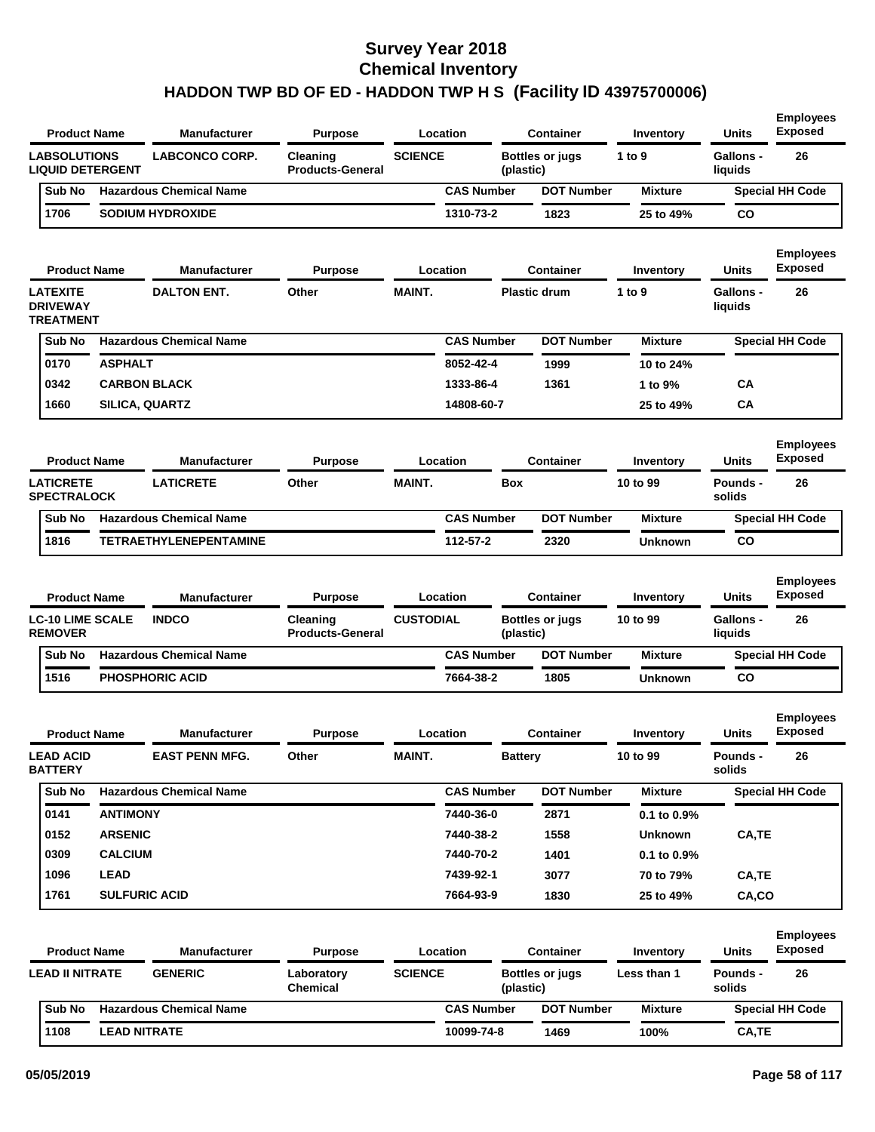| <b>Product Name</b>                                    |                       | <b>Manufacturer</b>            | Purpose                             |                  | Location          |                | <b>Container</b>       | Inventory      | <b>Units</b>                | <b>Employees</b><br><b>Exposed</b> |
|--------------------------------------------------------|-----------------------|--------------------------------|-------------------------------------|------------------|-------------------|----------------|------------------------|----------------|-----------------------------|------------------------------------|
| <b>LABSOLUTIONS</b><br><b>LIQUID DETERGENT</b>         |                       | <b>LABCONCO CORP.</b>          | Cleaning<br><b>Products-General</b> | <b>SCIENCE</b>   |                   | (plastic)      | <b>Bottles or jugs</b> | 1 to 9         | <b>Gallons -</b><br>liquids | 26                                 |
| Sub No                                                 |                       | <b>Hazardous Chemical Name</b> |                                     |                  | <b>CAS Number</b> |                | <b>DOT Number</b>      | <b>Mixture</b> |                             | <b>Special HH Code</b>             |
| 1706                                                   |                       | <b>SODIUM HYDROXIDE</b>        |                                     |                  | 1310-73-2         |                | 1823                   | 25 to 49%      | <b>CO</b>                   |                                    |
| <b>Product Name</b>                                    |                       | <b>Manufacturer</b>            | <b>Purpose</b>                      |                  | Location          |                | <b>Container</b>       | Inventory      | <b>Units</b>                | <b>Employees</b><br>Exposed        |
| <b>LATEXITE</b><br><b>DRIVEWAY</b><br><b>TREATMENT</b> |                       | <b>DALTON ENT.</b>             | Other                               | <b>MAINT.</b>    |                   |                | <b>Plastic drum</b>    | 1 to 9         | <b>Gallons -</b><br>liquids | 26                                 |
| Sub No                                                 |                       | <b>Hazardous Chemical Name</b> |                                     |                  | <b>CAS Number</b> |                | <b>DOT Number</b>      | <b>Mixture</b> |                             | <b>Special HH Code</b>             |
| 0170                                                   | <b>ASPHALT</b>        |                                |                                     |                  | 8052-42-4         |                | 1999                   | 10 to 24%      |                             |                                    |
| 0342                                                   | <b>CARBON BLACK</b>   |                                |                                     |                  | 1333-86-4         |                | 1361                   | 1 to 9%        | CA                          |                                    |
| 1660                                                   | <b>SILICA, QUARTZ</b> |                                |                                     |                  | 14808-60-7        |                |                        | 25 to 49%      | CA                          |                                    |
| <b>Product Name</b>                                    |                       | <b>Manufacturer</b>            | <b>Purpose</b>                      |                  | Location          |                | <b>Container</b>       | Inventory      | <b>Units</b>                | <b>Employees</b><br><b>Exposed</b> |
| <b>LATICRETE</b><br><b>SPECTRALOCK</b>                 |                       | <b>LATICRETE</b>               | Other                               | <b>MAINT.</b>    |                   | <b>Box</b>     |                        | 10 to 99       | Pounds -<br>solids          | 26                                 |
| Sub No                                                 |                       | <b>Hazardous Chemical Name</b> |                                     |                  | <b>CAS Number</b> |                | <b>DOT Number</b>      | <b>Mixture</b> |                             | <b>Special HH Code</b>             |
| 1816                                                   |                       | <b>TETRAETHYLENEPENTAMINE</b>  |                                     |                  | 112-57-2          |                | 2320                   | Unknown        | <b>CO</b>                   |                                    |
| <b>Product Name</b>                                    |                       | <b>Manufacturer</b>            | <b>Purpose</b>                      |                  | Location          |                | <b>Container</b>       | Inventory      | <b>Units</b>                | <b>Employees</b><br><b>Exposed</b> |
| <b>LC-10 LIME SCALE</b><br><b>REMOVER</b>              |                       | <b>INDCO</b>                   | Cleaning<br><b>Products-General</b> | <b>CUSTODIAL</b> |                   | (plastic)      | <b>Bottles or jugs</b> | 10 to 99       | <b>Gallons -</b><br>liquids | 26                                 |
| Sub No                                                 |                       | <b>Hazardous Chemical Name</b> |                                     |                  | <b>CAS Number</b> |                | <b>DOT Number</b>      | <b>Mixture</b> |                             | <b>Special HH Code</b>             |
| 1516                                                   |                       | <b>PHOSPHORIC ACID</b>         |                                     |                  | 7664-38-2         |                | 1805                   | Unknown        | <b>CO</b>                   |                                    |
| <b>Product Name</b>                                    |                       | <b>Manufacturer</b>            | Purpose                             |                  | Location          |                | Container              | Inventory      | <b>Units</b>                | <b>Employees</b><br><b>Exposed</b> |
| <b>LEAD ACID</b><br><b>BATTERY</b>                     |                       | <b>EAST PENN MFG.</b>          | Other                               | MAINT.           |                   | <b>Battery</b> |                        | 10 to 99       | Pounds -<br>solids          | 26                                 |
| Sub No                                                 |                       | <b>Hazardous Chemical Name</b> |                                     |                  | <b>CAS Number</b> |                | <b>DOT Number</b>      | <b>Mixture</b> |                             | <b>Special HH Code</b>             |
| 0141                                                   | <b>ANTIMONY</b>       |                                |                                     |                  | 7440-36-0         |                | 2871                   | 0.1 to 0.9%    |                             |                                    |
| 0152                                                   |                       |                                |                                     |                  | 7440-38-2         |                | 1558                   | <b>Unknown</b> | CA,TE                       |                                    |
|                                                        | <b>ARSENIC</b>        |                                |                                     |                  |                   |                |                        |                |                             |                                    |
| 0309                                                   | <b>CALCIUM</b>        |                                |                                     |                  | 7440-70-2         |                | 1401                   | 0.1 to 0.9%    |                             |                                    |
| 1096                                                   | <b>LEAD</b>           |                                |                                     |                  | 7439-92-1         |                | 3077                   | 70 to 79%      | CA,TE                       |                                    |
| 1761                                                   | <b>SULFURIC ACID</b>  |                                |                                     |                  | 7664-93-9         |                | 1830                   | 25 to 49%      | CA,CO                       |                                    |
| <b>Product Name</b>                                    |                       | <b>Manufacturer</b>            | <b>Purpose</b>                      |                  | Location          |                | <b>Container</b>       | Inventory      | <b>Units</b>                | <b>Employees</b><br><b>Exposed</b> |
| <b>LEAD II NITRATE</b>                                 |                       | <b>GENERIC</b>                 | Laboratory<br>Chemical              | <b>SCIENCE</b>   |                   | (plastic)      | <b>Bottles or jugs</b> | Less than 1    | Pounds -<br>solids          | 26                                 |
| Sub No                                                 |                       | <b>Hazardous Chemical Name</b> |                                     |                  | <b>CAS Number</b> |                | <b>DOT Number</b>      | <b>Mixture</b> |                             | <b>Special HH Code</b>             |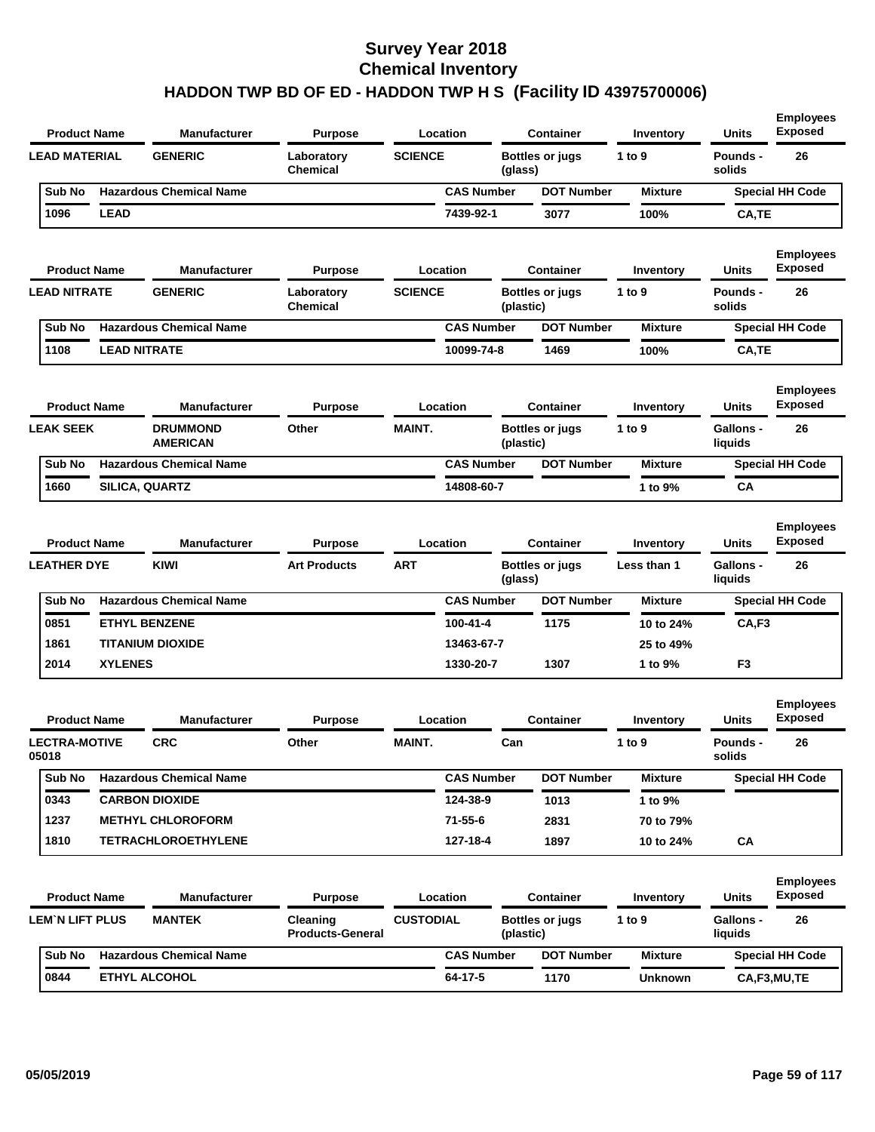| <b>Product Name</b>           |                     | <b>Manufacturer</b>                | <b>Purpose</b>                      |                  | Location          |           | <b>Container</b>       | Inventory      | Units                       | <b>Employees</b><br><b>Exposed</b> |
|-------------------------------|---------------------|------------------------------------|-------------------------------------|------------------|-------------------|-----------|------------------------|----------------|-----------------------------|------------------------------------|
| <b>LEAD MATERIAL</b>          |                     | <b>GENERIC</b>                     | Laboratory<br><b>Chemical</b>       | <b>SCIENCE</b>   |                   | (glass)   | <b>Bottles or jugs</b> | 1 to 9         | <b>Pounds -</b><br>solids   | 26                                 |
| Sub No                        |                     | <b>Hazardous Chemical Name</b>     |                                     |                  | <b>CAS Number</b> |           | <b>DOT Number</b>      | <b>Mixture</b> |                             | <b>Special HH Code</b>             |
| 1096                          | <b>LEAD</b>         |                                    |                                     |                  | 7439-92-1         |           | 3077                   | 100%           | CA,TE                       |                                    |
| <b>Product Name</b>           |                     | <b>Manufacturer</b>                | <b>Purpose</b>                      |                  | Location          |           | <b>Container</b>       | Inventory      | Units                       | <b>Employees</b><br><b>Exposed</b> |
| <b>LEAD NITRATE</b>           |                     | <b>GENERIC</b>                     | Laboratory<br><b>Chemical</b>       | <b>SCIENCE</b>   |                   | (plastic) | <b>Bottles or jugs</b> | 1 to 9         | Pounds -<br>solids          | 26                                 |
| Sub No                        |                     | <b>Hazardous Chemical Name</b>     |                                     |                  | <b>CAS Number</b> |           | <b>DOT Number</b>      | <b>Mixture</b> |                             | <b>Special HH Code</b>             |
| 1108                          | <b>LEAD NITRATE</b> |                                    |                                     |                  | 10099-74-8        |           | 1469                   | 100%           | CA,TE                       |                                    |
| <b>Product Name</b>           |                     | <b>Manufacturer</b>                | <b>Purpose</b>                      |                  | Location          |           | <b>Container</b>       | Inventory      | Units                       | <b>Employees</b><br><b>Exposed</b> |
| <b>LEAK SEEK</b>              |                     | <b>DRUMMOND</b><br><b>AMERICAN</b> | Other                               | <b>MAINT.</b>    |                   | (plastic) | <b>Bottles or jugs</b> | 1 to 9         | <b>Gallons -</b><br>liquids | 26                                 |
| Sub No                        |                     | <b>Hazardous Chemical Name</b>     |                                     |                  | <b>CAS Number</b> |           | <b>DOT Number</b>      | <b>Mixture</b> |                             | <b>Special HH Code</b>             |
| 1660                          |                     | SILICA, QUARTZ                     |                                     |                  | 14808-60-7        |           |                        | 1 to 9%        | СA                          |                                    |
| <b>Product Name</b>           |                     | <b>Manufacturer</b>                | <b>Purpose</b>                      |                  | Location          |           | <b>Container</b>       | Inventory      | <b>Units</b>                | <b>Employees</b><br><b>Exposed</b> |
| <b>LEATHER DYE</b>            |                     | KIWI                               | <b>Art Products</b>                 | <b>ART</b>       |                   | (glass)   | <b>Bottles or jugs</b> | Less than 1    | <b>Gallons -</b><br>liquids | 26                                 |
| Sub No                        |                     | <b>Hazardous Chemical Name</b>     |                                     |                  | <b>CAS Number</b> |           | <b>DOT Number</b>      | <b>Mixture</b> |                             | <b>Special HH Code</b>             |
| 0851                          |                     | <b>ETHYL BENZENE</b>               |                                     |                  | 100-41-4          |           | 1175                   | 10 to 24%      | CA,F3                       |                                    |
| 1861                          |                     | <b>TITANIUM DIOXIDE</b>            |                                     |                  | 13463-67-7        |           |                        | 25 to 49%      |                             |                                    |
| 2014                          | <b>XYLENES</b>      |                                    |                                     |                  | 1330-20-7         |           | 1307                   | 1 to 9%        | F <sub>3</sub>              |                                    |
| <b>Product Name</b>           |                     | <b>Manufacturer</b>                | <b>Purpose</b>                      |                  | Location          |           | <b>Container</b>       | Inventory      | Units                       | <b>Employees</b><br><b>Exposed</b> |
| <b>LECTRA-MOTIVE</b><br>05018 |                     | <b>CRC</b>                         | Other                               | <b>MAINT.</b>    |                   | Can       |                        | 1 to 9         | Pounds -<br>solids          | 26                                 |
| Sub No                        |                     | <b>Hazardous Chemical Name</b>     |                                     |                  | <b>CAS Number</b> |           | <b>DOT Number</b>      | <b>Mixture</b> |                             | <b>Special HH Code</b>             |
| 0343                          |                     | <b>CARBON DIOXIDE</b>              |                                     |                  | 124-38-9          |           | 1013                   | 1 to 9%        |                             |                                    |
| 1237                          |                     | <b>METHYL CHLOROFORM</b>           |                                     |                  | 71-55-6           |           | 2831                   | 70 to 79%      |                             |                                    |
| 1810                          |                     | <b>TETRACHLOROETHYLENE</b>         |                                     |                  | 127-18-4          |           | 1897                   | 10 to 24%      | CA                          |                                    |
| <b>Product Name</b>           |                     | <b>Manufacturer</b>                | <b>Purpose</b>                      |                  | Location          |           | <b>Container</b>       | Inventory      | Units                       | <b>Employees</b><br><b>Exposed</b> |
| <b>LEM'N LIFT PLUS</b>        |                     | <b>MANTEK</b>                      | Cleaning<br><b>Products-General</b> | <b>CUSTODIAL</b> |                   | (plastic) | <b>Bottles or jugs</b> | 1 to 9         | <b>Gallons -</b><br>liquids | 26                                 |
| Sub No                        |                     | <b>Hazardous Chemical Name</b>     |                                     |                  | <b>CAS Number</b> |           | <b>DOT Number</b>      | <b>Mixture</b> |                             | <b>Special HH Code</b>             |
|                               |                     |                                    |                                     |                  |                   |           |                        |                |                             |                                    |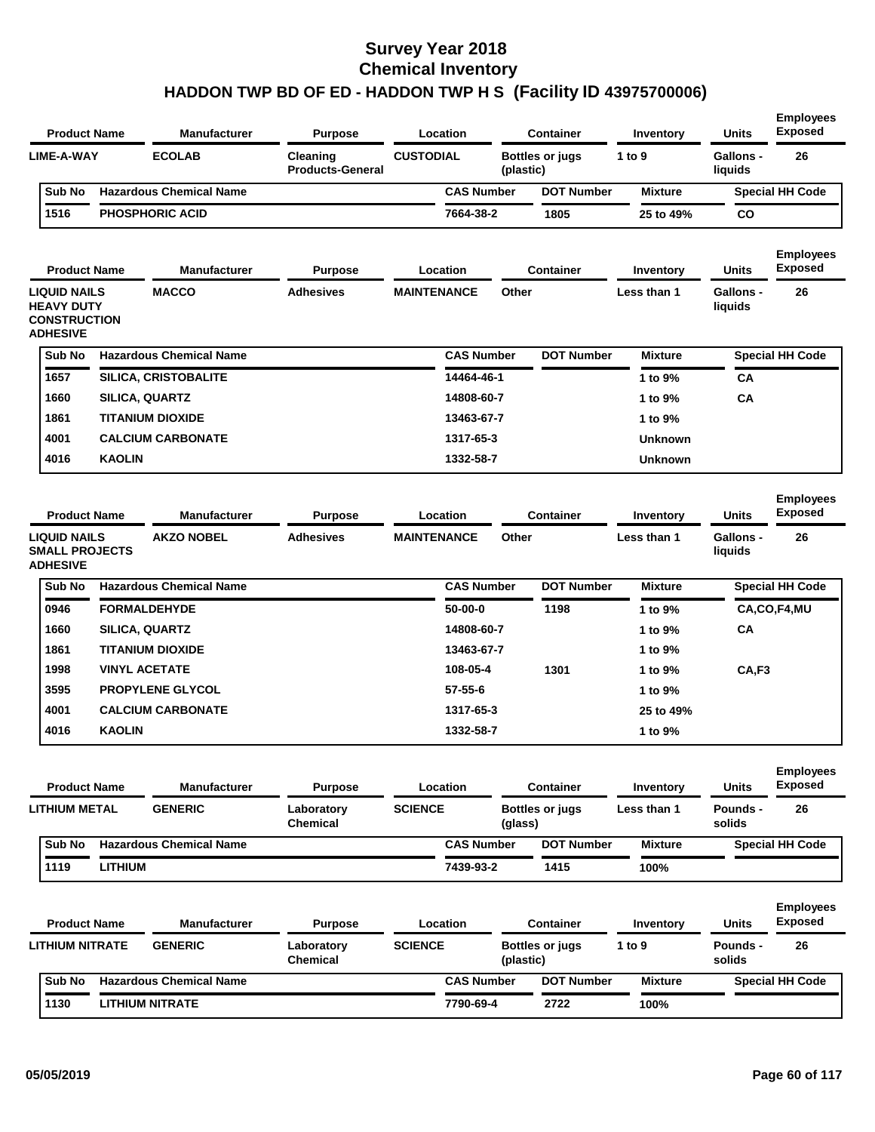| <b>Product Name</b>                                                         |                | <b>Manufacturer</b>            | <b>Purpose</b>                      | Location           |                   | <b>Container</b>                    | Inventory        | <b>Units</b>                | <b>Employees</b><br><b>Exposed</b> |
|-----------------------------------------------------------------------------|----------------|--------------------------------|-------------------------------------|--------------------|-------------------|-------------------------------------|------------------|-----------------------------|------------------------------------|
| <b>LIME-A-WAY</b>                                                           |                | <b>ECOLAB</b>                  | Cleaning<br><b>Products-General</b> | <b>CUSTODIAL</b>   |                   | Bottles or jugs<br>(plastic)        | 1 to 9           | <b>Gallons -</b><br>liquids | 26                                 |
| Sub No                                                                      |                | <b>Hazardous Chemical Name</b> |                                     |                    | <b>CAS Number</b> | <b>DOT Number</b>                   | <b>Mixture</b>   |                             | <b>Special HH Code</b>             |
| 1516                                                                        |                | <b>PHOSPHORIC ACID</b>         |                                     |                    | 7664-38-2         | 1805                                | 25 to 49%        | CO                          |                                    |
|                                                                             |                |                                |                                     |                    |                   |                                     |                  |                             | <b>Employees</b>                   |
| <b>Product Name</b>                                                         |                | <b>Manufacturer</b>            | <b>Purpose</b>                      | Location           |                   | <b>Container</b>                    | Inventory        | <b>Units</b>                | <b>Exposed</b>                     |
| LIQUID NAILS<br><b>HEAVY DUTY</b><br><b>CONSTRUCTION</b><br><b>ADHESIVE</b> |                | <b>MACCO</b>                   | <b>Adhesives</b>                    | <b>MAINTENANCE</b> | Other             |                                     | Less than 1      | <b>Gallons -</b><br>liquids | 26                                 |
| Sub No                                                                      |                | <b>Hazardous Chemical Name</b> |                                     |                    | <b>CAS Number</b> | <b>DOT Number</b>                   | <b>Mixture</b>   |                             | <b>Special HH Code</b>             |
| 1657                                                                        |                | <b>SILICA, CRISTOBALITE</b>    |                                     |                    | 14464-46-1        |                                     | 1 to 9%          | СA                          |                                    |
| 1660                                                                        |                | <b>SILICA, QUARTZ</b>          |                                     |                    | 14808-60-7        |                                     | 1 to 9%          | CA                          |                                    |
| 1861                                                                        |                | <b>TITANIUM DIOXIDE</b>        |                                     |                    | 13463-67-7        |                                     | 1 to 9%          |                             |                                    |
| 4001                                                                        |                | <b>CALCIUM CARBONATE</b>       |                                     |                    | 1317-65-3         |                                     | <b>Unknown</b>   |                             |                                    |
| 4016                                                                        | <b>KAOLIN</b>  |                                |                                     |                    | 1332-58-7         |                                     | <b>Unknown</b>   |                             |                                    |
| <b>Product Name</b>                                                         |                | <b>Manufacturer</b>            | <b>Purpose</b>                      | Location           |                   | <b>Container</b>                    | <b>Inventory</b> | <b>Units</b>                | <b>Employees</b><br><b>Exposed</b> |
| <b>LIQUID NAILS</b><br><b>SMALL PROJECTS</b><br><b>ADHESIVE</b>             |                | <b>AKZO NOBEL</b>              | <b>Adhesives</b>                    | <b>MAINTENANCE</b> | Other             |                                     | Less than 1      | <b>Gallons -</b><br>liquids | 26                                 |
| Sub No                                                                      |                | <b>Hazardous Chemical Name</b> |                                     |                    | <b>CAS Number</b> | <b>DOT Number</b>                   | <b>Mixture</b>   |                             | <b>Special HH Code</b>             |
| 0946                                                                        |                | <b>FORMALDEHYDE</b>            |                                     |                    | $50-00-0$         | 1198                                | 1 to 9%          |                             | CA,CO,F4,MU                        |
| 1660                                                                        |                | <b>SILICA, QUARTZ</b>          |                                     |                    | 14808-60-7        |                                     | 1 to 9%          | CA                          |                                    |
| 1861                                                                        |                | <b>TITANIUM DIOXIDE</b>        |                                     |                    | 13463-67-7        |                                     | 1 to 9%          |                             |                                    |
| 1998                                                                        |                | <b>VINYL ACETATE</b>           |                                     |                    | 108-05-4          | 1301                                | 1 to 9%          | CA,F3                       |                                    |
| 3595                                                                        |                | <b>PROPYLENE GLYCOL</b>        |                                     |                    | 57-55-6           |                                     | 1 to 9%          |                             |                                    |
| 4001                                                                        |                | <b>CALCIUM CARBONATE</b>       |                                     |                    | 1317-65-3         |                                     | 25 to 49%        |                             |                                    |
| 4016                                                                        | <b>KAOLIN</b>  |                                |                                     |                    | 1332-58-7         |                                     | 1 to 9%          |                             |                                    |
| <b>Product Name</b>                                                         |                | <b>Manufacturer</b>            | <b>Purpose</b>                      | Location           |                   | <b>Container</b>                    | Inventory        | <b>Units</b>                | <b>Employees</b><br><b>Exposed</b> |
| <b>LITHIUM METAL</b>                                                        |                | <b>GENERIC</b>                 | Laboratory<br>Chemical              | <b>SCIENCE</b>     | (glass)           | <b>Bottles or jugs</b>              | Less than 1      | Pounds -<br>solids          | 26                                 |
| Sub No                                                                      |                | <b>Hazardous Chemical Name</b> |                                     |                    | <b>CAS Number</b> | <b>DOT Number</b>                   | <b>Mixture</b>   |                             | <b>Special HH Code</b>             |
| 1119                                                                        | <b>LITHIUM</b> |                                |                                     |                    | 7439-93-2         | 1415                                | 100%             |                             |                                    |
| <b>Product Name</b>                                                         |                | <b>Manufacturer</b>            | <b>Purpose</b>                      | Location           |                   | <b>Container</b>                    | Inventory        | <b>Units</b>                | <b>Employees</b><br><b>Exposed</b> |
| LITHIUM NITRATE                                                             |                | <b>GENERIC</b>                 | Laboratory<br><b>Chemical</b>       | <b>SCIENCE</b>     |                   | <b>Bottles or jugs</b><br>(plastic) | 1 to 9           | <b>Pounds -</b><br>solids   | 26                                 |
|                                                                             |                |                                |                                     |                    |                   |                                     |                  |                             |                                    |
| Sub No                                                                      |                | <b>Hazardous Chemical Name</b> |                                     |                    | <b>CAS Number</b> | <b>DOT Number</b>                   | <b>Mixture</b>   |                             | <b>Special HH Code</b>             |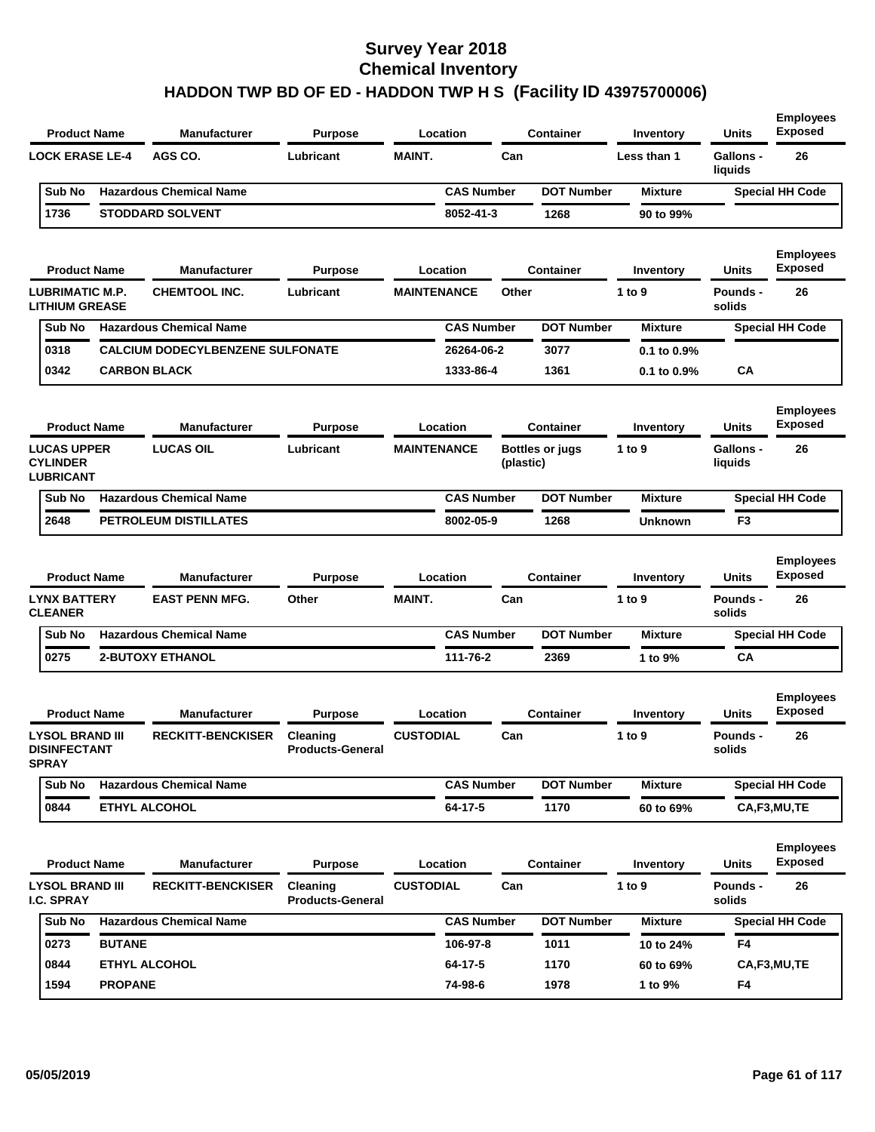| <b>Product Name</b>                                           |                | <b>Manufacturer</b>                          | Purpose                             |                    | Location           |           | Container              | Inventory           | <b>Units</b>                    | <b>Employees</b><br><b>Exposed</b>       |
|---------------------------------------------------------------|----------------|----------------------------------------------|-------------------------------------|--------------------|--------------------|-----------|------------------------|---------------------|---------------------------------|------------------------------------------|
| <b>LOCK ERASE LE-4</b>                                        |                | AGS CO.                                      | Lubricant                           | <b>MAINT.</b>      |                    | Can       |                        | Less than 1         | Gallons -<br>liquids            | 26                                       |
| Sub No                                                        |                | <b>Hazardous Chemical Name</b>               |                                     |                    | <b>CAS Number</b>  |           | <b>DOT Number</b>      | <b>Mixture</b>      |                                 | <b>Special HH Code</b>                   |
| 1736                                                          |                | <b>STODDARD SOLVENT</b>                      |                                     |                    | 8052-41-3          |           | 1268                   | 90 to 99%           |                                 |                                          |
| <b>Product Name</b>                                           |                | <b>Manufacturer</b>                          | <b>Purpose</b>                      |                    | Location           |           | <b>Container</b>       | Inventory           | <b>Units</b>                    | <b>Employees</b><br><b>Exposed</b>       |
| <b>LUBRIMATIC M.P.</b><br><b>LITHIUM GREASE</b>               |                | CHEMTOOL INC.                                | Lubricant                           | <b>MAINTENANCE</b> |                    | Other     |                        | 1 to 9              | <b>Pounds -</b><br>solids       | 26                                       |
| Sub No                                                        |                | <b>Hazardous Chemical Name</b>               |                                     |                    | <b>CAS Number</b>  |           | <b>DOT Number</b>      | <b>Mixture</b>      |                                 | <b>Special HH Code</b>                   |
| 0318                                                          |                | <b>CALCIUM DODECYLBENZENE SULFONATE</b>      |                                     |                    | 26264-06-2         |           | 3077                   | 0.1 to 0.9%         |                                 |                                          |
| 0342                                                          |                | <b>CARBON BLACK</b>                          |                                     |                    | 1333-86-4          |           | 1361                   | 0.1 to 0.9%         | CA                              |                                          |
| <b>Product Name</b>                                           |                | <b>Manufacturer</b>                          | <b>Purpose</b>                      |                    | Location           |           | <b>Container</b>       | Inventory           | <b>Units</b>                    | <b>Employees</b><br><b>Exposed</b>       |
| <b>LUCAS UPPER</b><br><b>CYLINDER</b><br><b>LUBRICANT</b>     |                | <b>LUCAS OIL</b>                             | Lubricant                           | <b>MAINTENANCE</b> |                    | (plastic) | <b>Bottles or jugs</b> | 1 to 9              | Gallons -<br>liquids            | 26                                       |
| Sub No                                                        |                | <b>Hazardous Chemical Name</b>               |                                     |                    | <b>CAS Number</b>  |           | <b>DOT Number</b>      | <b>Mixture</b>      |                                 | <b>Special HH Code</b>                   |
| 2648                                                          |                | <b>PETROLEUM DISTILLATES</b>                 |                                     |                    | 8002-05-9          |           | 1268                   | <b>Unknown</b>      | F3                              |                                          |
| <b>Product Name</b><br><b>LYNX BATTERY</b>                    |                | <b>Manufacturer</b><br><b>EAST PENN MFG.</b> | Purpose<br>Other                    | <b>MAINT.</b>      | Location           | Can       | <b>Container</b>       | Inventory<br>1 to 9 | <b>Units</b><br><b>Pounds -</b> | <b>Employees</b><br><b>Exposed</b><br>26 |
| <b>CLEANER</b>                                                |                |                                              |                                     |                    |                    |           |                        |                     | solids                          |                                          |
| Sub No                                                        |                | <b>Hazardous Chemical Name</b>               |                                     |                    | <b>CAS Number</b>  |           | <b>DOT Number</b>      | <b>Mixture</b>      |                                 | <b>Special HH Code</b>                   |
| 0275                                                          |                | <b>2-BUTOXY ETHANOL</b>                      |                                     |                    | 111-76-2           |           | 2369                   | 1 to 9%             | CA                              |                                          |
| <b>Product Name</b>                                           |                | <b>Manufacturer</b>                          | Purpose                             |                    | Location           |           | <b>Container</b>       | Inventory           | Units                           | <b>Employees</b><br><b>Exposed</b>       |
| <b>LYSOL BRAND III</b><br><b>DISINFECTANT</b><br><b>SPRAY</b> |                | <b>RECKITT-BENCKISER</b>                     | Cleaning<br><b>Products-General</b> | <b>CUSTODIAL</b>   |                    | Can       |                        | 1 to 9              | <b>Pounds -</b><br>solids       | 26                                       |
| Sub No                                                        |                | <b>Hazardous Chemical Name</b>               |                                     |                    | <b>CAS Number</b>  |           | <b>DOT Number</b>      | <b>Mixture</b>      |                                 | <b>Special HH Code</b>                   |
| 0844                                                          |                | <b>ETHYL ALCOHOL</b>                         |                                     |                    | 64-17-5            |           | 1170                   | 60 to 69%           |                                 | CA,F3,MU,TE                              |
| <b>Product Name</b>                                           |                | <b>Manufacturer</b>                          | <b>Purpose</b>                      |                    | Location           |           | <b>Container</b>       | Inventory           | <b>Units</b>                    | <b>Employees</b><br><b>Exposed</b>       |
| <b>LYSOL BRAND III</b><br>I.C. SPRAY                          |                | <b>RECKITT-BENCKISER</b>                     | Cleaning<br><b>Products-General</b> | <b>CUSTODIAL</b>   |                    | Can       |                        | 1 to $9$            | Pounds -<br>solids              | 26                                       |
| Sub No                                                        |                | <b>Hazardous Chemical Name</b>               |                                     |                    | <b>CAS Number</b>  |           | <b>DOT Number</b>      | <b>Mixture</b>      |                                 | <b>Special HH Code</b>                   |
| 0273                                                          | <b>BUTANE</b>  |                                              |                                     |                    | 106-97-8           |           | 1011                   | 10 to 24%           | F4                              |                                          |
|                                                               |                |                                              |                                     |                    |                    |           |                        |                     |                                 |                                          |
| 0844<br>1594                                                  | <b>PROPANE</b> | <b>ETHYL ALCOHOL</b>                         |                                     |                    | 64-17-5<br>74-98-6 |           | 1170<br>1978           | 60 to 69%           | F4                              | CA,F3,MU,TE                              |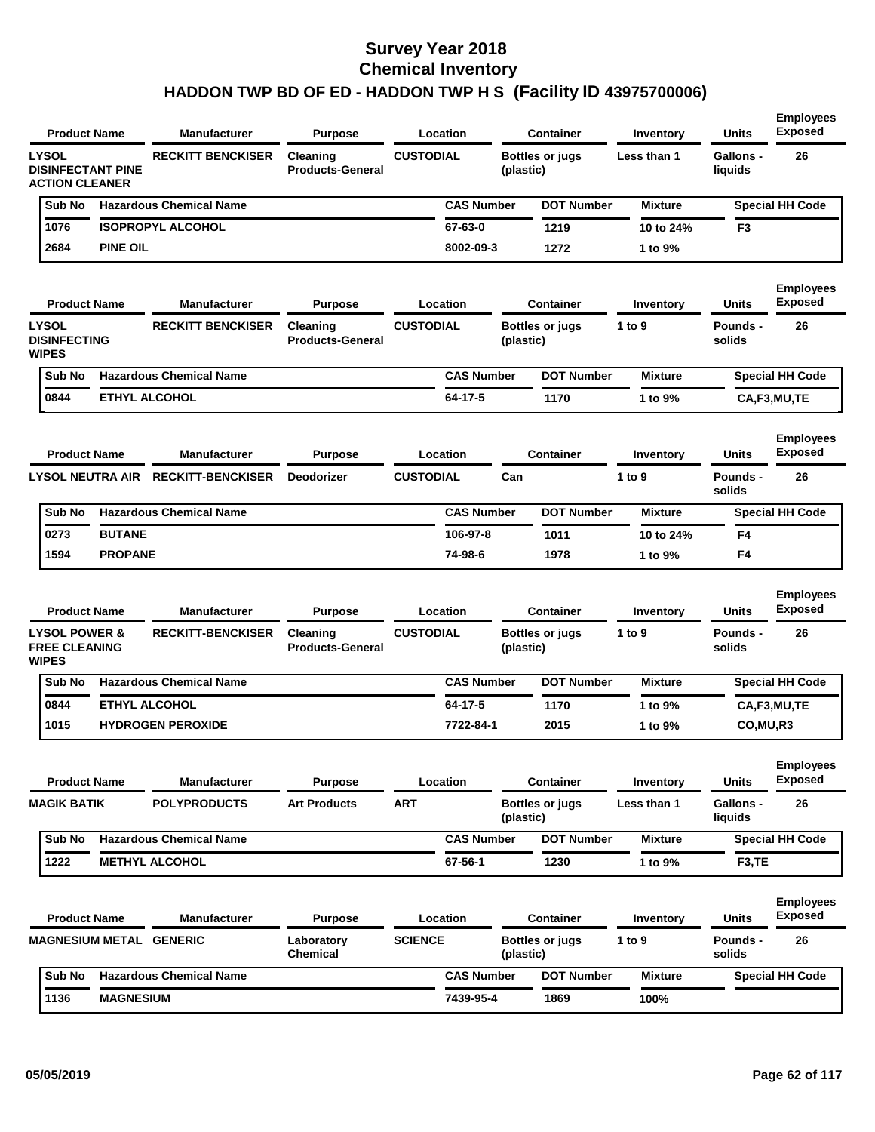| <b>Product Name</b>                                               |                     | <b>Manufacturer</b>                | <b>Purpose</b>                      | Location          |           | <b>Container</b>       | Inventory      | <b>Units</b>                | <b>Employees</b><br><b>Exposed</b> |
|-------------------------------------------------------------------|---------------------|------------------------------------|-------------------------------------|-------------------|-----------|------------------------|----------------|-----------------------------|------------------------------------|
| <b>LYSOL</b><br><b>DISINFECTANT PINE</b><br><b>ACTION CLEANER</b> |                     | <b>RECKITT BENCKISER</b>           | Cleaning<br><b>Products-General</b> | <b>CUSTODIAL</b>  | (plastic) | <b>Bottles or jugs</b> | Less than 1    | <b>Gallons -</b><br>liquids | 26                                 |
| Sub No                                                            |                     | <b>Hazardous Chemical Name</b>     |                                     | <b>CAS Number</b> |           | <b>DOT Number</b>      | <b>Mixture</b> |                             | <b>Special HH Code</b>             |
| 1076                                                              |                     | <b>ISOPROPYL ALCOHOL</b>           |                                     | 67-63-0           |           | 1219                   | 10 to 24%      | F3                          |                                    |
| 2684                                                              | <b>PINE OIL</b>     |                                    |                                     | 8002-09-3         |           | 1272                   | 1 to 9%        |                             |                                    |
| <b>Product Name</b>                                               |                     | <b>Manufacturer</b>                | <b>Purpose</b>                      | Location          |           | <b>Container</b>       | Inventory      | Units                       | <b>Employees</b><br><b>Exposed</b> |
| <b>LYSOL</b><br><b>DISINFECTING</b><br><b>WIPES</b>               |                     | <b>RECKITT BENCKISER</b>           | Cleaning<br><b>Products-General</b> | <b>CUSTODIAL</b>  | (plastic) | <b>Bottles or jugs</b> | 1 to 9         | <b>Pounds -</b><br>solids   | 26                                 |
| Sub No                                                            |                     | <b>Hazardous Chemical Name</b>     |                                     | <b>CAS Number</b> |           | <b>DOT Number</b>      | <b>Mixture</b> |                             | <b>Special HH Code</b>             |
| 0844                                                              |                     | <b>ETHYL ALCOHOL</b>               |                                     | 64-17-5           |           | 1170                   | 1 to 9%        |                             | CA,F3,MU,TE                        |
| <b>Product Name</b>                                               |                     | <b>Manufacturer</b>                | <b>Purpose</b>                      | Location          |           | <b>Container</b>       | Inventory      | Units                       | <b>Employees</b><br><b>Exposed</b> |
|                                                                   |                     | LYSOL NEUTRA AIR RECKITT-BENCKISER | <b>Deodorizer</b>                   | <b>CUSTODIAL</b>  | Can       |                        | 1 to 9         | Pounds -<br>solids          | 26                                 |
| Sub No                                                            |                     | <b>Hazardous Chemical Name</b>     |                                     | <b>CAS Number</b> |           | <b>DOT Number</b>      | <b>Mixture</b> |                             | <b>Special HH Code</b>             |
| 0273                                                              | <b>BUTANE</b>       |                                    |                                     | 106-97-8          |           | 1011                   | 10 to 24%      | F4                          |                                    |
| 1594                                                              | <b>PROPANE</b>      |                                    |                                     | 74-98-6           |           | 1978                   | 1 to 9%        | F4                          |                                    |
| <b>Product Name</b>                                               |                     | <b>Manufacturer</b>                | <b>Purpose</b>                      | Location          |           | <b>Container</b>       | Inventory      | Units                       | <b>Employees</b><br><b>Exposed</b> |
| <b>LYSOL POWER &amp;</b><br><b>FREE CLEANING</b><br><b>WIPES</b>  |                     | <b>RECKITT-BENCKISER</b>           | Cleaning<br><b>Products-General</b> | <b>CUSTODIAL</b>  | (plastic) | <b>Bottles or jugs</b> | 1 to 9         | Pounds -<br>solids          | 26                                 |
| Sub No                                                            |                     | <b>Hazardous Chemical Name</b>     |                                     | <b>CAS Number</b> |           | <b>DOT Number</b>      | <b>Mixture</b> |                             | <b>Special HH Code</b>             |
| 0844                                                              |                     | <b>ETHYL ALCOHOL</b>               |                                     | 64-17-5           |           | 1170                   | 1 to 9%        |                             | CA,F3,MU,TE                        |
| 1015                                                              |                     | <b>HYDROGEN PEROXIDE</b>           |                                     | 7722-84-1         |           | 2015                   | 1 to 9%        | CO,MU,R3                    |                                    |
|                                                                   |                     |                                    |                                     |                   |           |                        |                |                             | <b>Employees</b><br><b>Exposed</b> |
|                                                                   | <b>Product Name</b> | <b>Manufacturer</b>                | <b>Purpose</b>                      | Location          |           | <b>Container</b>       | Inventory      | Units                       |                                    |
| <b>MAGIK BATIK</b>                                                |                     | <b>POLYPRODUCTS</b>                | <b>Art Products</b>                 | <b>ART</b>        | (plastic) | <b>Bottles or jugs</b> | Less than 1    | <b>Gallons -</b><br>liquids | 26                                 |
| Sub No                                                            |                     | <b>Hazardous Chemical Name</b>     |                                     | <b>CAS Number</b> |           | <b>DOT Number</b>      | <b>Mixture</b> |                             | <b>Special HH Code</b>             |
| 1222                                                              |                     | <b>METHYL ALCOHOL</b>              |                                     | 67-56-1           |           | 1230                   | 1 to 9%        | F <sub>3</sub> ,TE          |                                    |
| <b>Product Name</b>                                               |                     | <b>Manufacturer</b>                | <b>Purpose</b>                      | Location          |           | <b>Container</b>       | Inventory      | <b>Units</b>                | <b>Employees</b><br><b>Exposed</b> |
| <b>MAGNESIUM METAL GENERIC</b>                                    |                     |                                    | Laboratory<br>Chemical              | <b>SCIENCE</b>    | (plastic) | <b>Bottles or jugs</b> | 1 to 9         | <b>Pounds -</b><br>solids   | 26                                 |
| Sub No                                                            |                     | <b>Hazardous Chemical Name</b>     |                                     | <b>CAS Number</b> |           | <b>DOT Number</b>      | <b>Mixture</b> |                             | <b>Special HH Code</b>             |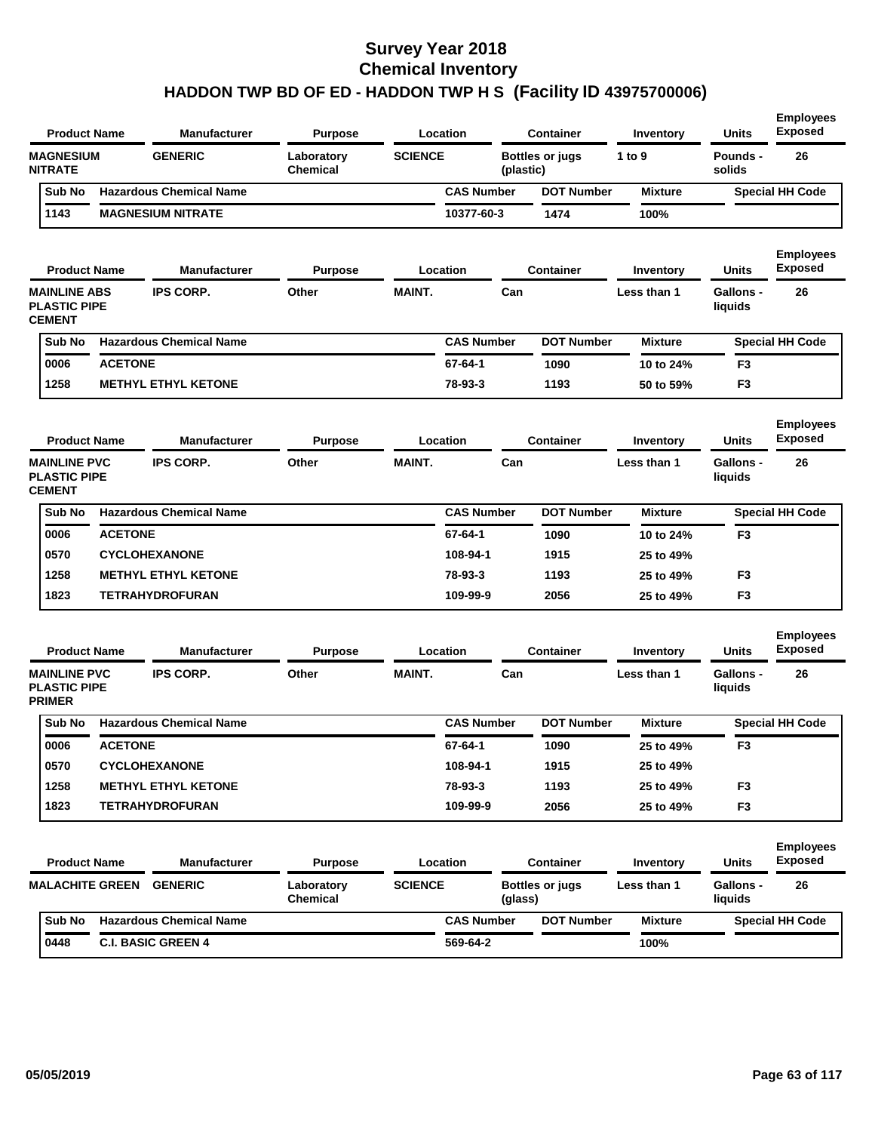| <b>Product Name</b>                                         |                | <b>Manufacturer</b>            | <b>Purpose</b>                |                | Location          |           | <b>Container</b>       | Inventory      | <b>Units</b>                | <b>Employees</b><br><b>Exposed</b> |
|-------------------------------------------------------------|----------------|--------------------------------|-------------------------------|----------------|-------------------|-----------|------------------------|----------------|-----------------------------|------------------------------------|
| <b>MAGNESIUM</b><br><b>NITRATE</b>                          |                | <b>GENERIC</b>                 | Laboratory<br><b>Chemical</b> | <b>SCIENCE</b> |                   | (plastic) | <b>Bottles or jugs</b> | 1 to 9         | <b>Pounds -</b><br>solids   | 26                                 |
| Sub No                                                      |                | <b>Hazardous Chemical Name</b> |                               |                | <b>CAS Number</b> |           | <b>DOT Number</b>      | <b>Mixture</b> |                             | <b>Special HH Code</b>             |
| 1143                                                        |                | <b>MAGNESIUM NITRATE</b>       |                               |                | 10377-60-3        |           | 1474                   | 100%           |                             |                                    |
| <b>Product Name</b>                                         |                | <b>Manufacturer</b>            | <b>Purpose</b>                |                | Location          |           | <b>Container</b>       | Inventory      | Units                       | <b>Employees</b><br><b>Exposed</b> |
| <b>MAINLINE ABS</b><br><b>PLASTIC PIPE</b><br><b>CEMENT</b> |                | <b>IPS CORP.</b>               | Other                         | <b>MAINT.</b>  |                   | Can       |                        | Less than 1    | <b>Gallons -</b><br>liquids | 26                                 |
| Sub No                                                      |                | <b>Hazardous Chemical Name</b> |                               |                | <b>CAS Number</b> |           | <b>DOT Number</b>      | <b>Mixture</b> |                             | <b>Special HH Code</b>             |
| 0006                                                        | <b>ACETONE</b> |                                |                               |                | 67-64-1           |           | 1090                   | 10 to 24%      | F <sub>3</sub>              |                                    |
| 1258                                                        |                | <b>METHYL ETHYL KETONE</b>     |                               |                | 78-93-3           |           | 1193                   | 50 to 59%      | F <sub>3</sub>              |                                    |
| <b>Product Name</b>                                         |                | <b>Manufacturer</b>            | <b>Purpose</b>                |                | Location          |           | Container              | Inventory      | Units                       | <b>Employees</b><br><b>Exposed</b> |
| <b>MAINLINE PVC</b><br><b>PLASTIC PIPE</b><br><b>CEMENT</b> |                | <b>IPS CORP.</b>               | Other                         | <b>MAINT.</b>  |                   | Can       |                        | Less than 1    | <b>Gallons -</b><br>liquids | 26                                 |
| Sub No                                                      |                | <b>Hazardous Chemical Name</b> |                               |                | <b>CAS Number</b> |           | <b>DOT Number</b>      | <b>Mixture</b> |                             | <b>Special HH Code</b>             |
| 0006                                                        | <b>ACETONE</b> |                                |                               |                | 67-64-1           |           | 1090                   | 10 to 24%      | F <sub>3</sub>              |                                    |
| 0570                                                        |                | <b>CYCLOHEXANONE</b>           |                               |                | 108-94-1          |           | 1915                   | 25 to 49%      |                             |                                    |
| 1258                                                        |                | <b>METHYL ETHYL KETONE</b>     |                               |                | 78-93-3           |           | 1193                   | 25 to 49%      | F <sub>3</sub>              |                                    |
| 1823                                                        |                | <b>TETRAHYDROFURAN</b>         |                               |                | 109-99-9          |           | 2056                   | 25 to 49%      | F <sub>3</sub>              |                                    |
| <b>Product Name</b>                                         |                | <b>Manufacturer</b>            | <b>Purpose</b>                |                | Location          |           | <b>Container</b>       | Inventory      | Units                       | <b>Employees</b><br><b>Exposed</b> |
| <b>MAINLINE PVC</b><br><b>PLASTIC PIPE</b><br><b>PRIMER</b> |                | <b>IPS CORP.</b>               | Other                         | <b>MAINT.</b>  |                   | Can       |                        | Less than 1    | <b>Gallons -</b><br>liquids | 26                                 |
| Sub No                                                      |                | <b>Hazardous Chemical Name</b> |                               |                | <b>CAS Number</b> |           | <b>DOT Number</b>      | <b>Mixture</b> |                             | <b>Special HH Code</b>             |
| 0006                                                        | <b>ACETONE</b> |                                |                               |                | 67-64-1           |           | 1090                   | 25 to 49%      | F <sub>3</sub>              |                                    |
| 0570                                                        |                | <b>CYCLOHEXANONE</b>           |                               |                | 108-94-1          |           | 1915                   | 25 to 49%      |                             |                                    |
| 1258                                                        |                | <b>METHYL ETHYL KETONE</b>     |                               |                | 78-93-3           |           | 1193                   | 25 to 49%      | F <sub>3</sub>              |                                    |
| 1823                                                        |                | <b>TETRAHYDROFURAN</b>         |                               |                | 109-99-9          |           | 2056                   | 25 to 49%      | F <sub>3</sub>              |                                    |
| <b>Product Name</b>                                         |                | <b>Manufacturer</b>            | <b>Purpose</b>                |                | Location          |           | <b>Container</b>       | Inventory      | <b>Units</b>                | <b>Employees</b><br><b>Exposed</b> |
| <b>MALACHITE GREEN</b>                                      |                | <b>GENERIC</b>                 | Laboratory<br>Chemical        | <b>SCIENCE</b> |                   | (glass)   | <b>Bottles or jugs</b> | Less than 1    | Gallons -<br>liquids        | 26                                 |
| Sub No                                                      |                | <b>Hazardous Chemical Name</b> |                               |                | <b>CAS Number</b> |           | <b>DOT Number</b>      | <b>Mixture</b> |                             | <b>Special HH Code</b>             |
|                                                             |                |                                |                               |                |                   |           |                        |                |                             |                                    |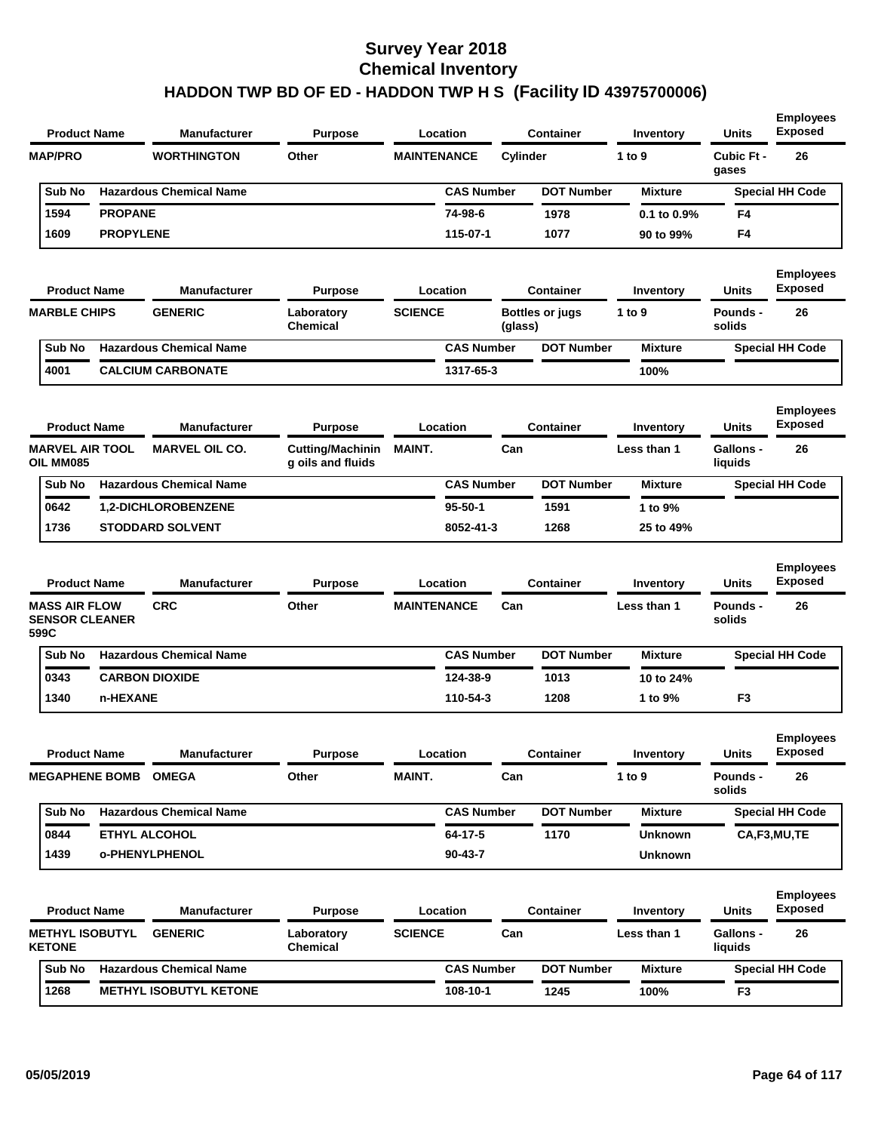| <b>Product Name</b>                                   |                  | Manufacturer                   | <b>Purpose</b>                               |                    | Location          |          | <b>Container</b>       | Inventory      | <b>Units</b>                | <b>Employees</b><br><b>Exposed</b> |
|-------------------------------------------------------|------------------|--------------------------------|----------------------------------------------|--------------------|-------------------|----------|------------------------|----------------|-----------------------------|------------------------------------|
| <b>MAP/PRO</b>                                        |                  | <b>WORTHINGTON</b>             | Other                                        | <b>MAINTENANCE</b> |                   | Cylinder |                        | 1 to 9         | Cubic Ft -<br>gases         | 26                                 |
| Sub No                                                |                  | <b>Hazardous Chemical Name</b> |                                              |                    | <b>CAS Number</b> |          | <b>DOT Number</b>      | <b>Mixture</b> |                             | <b>Special HH Code</b>             |
| 1594                                                  | <b>PROPANE</b>   |                                |                                              |                    | 74-98-6           |          | 1978                   | 0.1 to 0.9%    | F4                          |                                    |
| 1609                                                  | <b>PROPYLENE</b> |                                |                                              |                    | 115-07-1          |          | 1077                   | 90 to 99%      | F4                          |                                    |
| <b>Product Name</b>                                   |                  | <b>Manufacturer</b>            | <b>Purpose</b>                               |                    | Location          |          | <b>Container</b>       | Inventory      | <b>Units</b>                | <b>Employees</b><br><b>Exposed</b> |
| <b>MARBLE CHIPS</b>                                   |                  | <b>GENERIC</b>                 | Laboratory<br>Chemical                       | <b>SCIENCE</b>     |                   | (glass)  | <b>Bottles or jugs</b> | 1 to 9         | Pounds -<br>solids          | 26                                 |
| Sub No                                                |                  | <b>Hazardous Chemical Name</b> |                                              |                    | <b>CAS Number</b> |          | <b>DOT Number</b>      | <b>Mixture</b> |                             | <b>Special HH Code</b>             |
| 4001                                                  |                  | <b>CALCIUM CARBONATE</b>       |                                              |                    | 1317-65-3         |          |                        | 100%           |                             |                                    |
| <b>Product Name</b>                                   |                  | <b>Manufacturer</b>            | <b>Purpose</b>                               |                    | Location          |          | <b>Container</b>       | Inventory      | Units                       | <b>Employees</b><br><b>Exposed</b> |
| <b>MARVEL AIR TOOL</b><br>OIL MM085                   |                  | <b>MARVEL OIL CO.</b>          | <b>Cutting/Machinin</b><br>g oils and fluids | <b>MAINT.</b>      |                   | Can      |                        | Less than 1    | <b>Gallons -</b><br>liquids | 26                                 |
| Sub No                                                |                  | <b>Hazardous Chemical Name</b> |                                              |                    | <b>CAS Number</b> |          | <b>DOT Number</b>      | <b>Mixture</b> |                             | <b>Special HH Code</b>             |
| 0642                                                  |                  | 1,2-DICHLOROBENZENE            |                                              |                    | $95 - 50 - 1$     |          | 1591                   | 1 to 9%        |                             |                                    |
| 1736                                                  |                  | <b>STODDARD SOLVENT</b>        |                                              |                    | 8052-41-3         |          | 1268                   | 25 to 49%      |                             |                                    |
| <b>Product Name</b>                                   |                  | <b>Manufacturer</b>            | <b>Purpose</b>                               |                    | Location          |          | <b>Container</b>       | Inventory      | <b>Units</b>                | <b>Employees</b><br><b>Exposed</b> |
| <b>MASS AIR FLOW</b><br><b>SENSOR CLEANER</b><br>599C |                  | <b>CRC</b>                     | Other                                        | <b>MAINTENANCE</b> |                   | Can      |                        | Less than 1    | <b>Pounds -</b><br>solids   | 26                                 |
| Sub No                                                |                  | <b>Hazardous Chemical Name</b> |                                              |                    | <b>CAS Number</b> |          | <b>DOT Number</b>      | <b>Mixture</b> |                             | <b>Special HH Code</b>             |
| 0343                                                  |                  | <b>CARBON DIOXIDE</b>          |                                              |                    | 124-38-9          |          | 1013                   | 10 to 24%      |                             |                                    |
| 1340                                                  | n-HEXANE         |                                |                                              |                    | 110-54-3          |          | 1208                   | 1 to 9%        | F3                          |                                    |
| <b>Product Name</b>                                   |                  | <b>Manufacturer</b>            | <b>Purpose</b>                               |                    | Location          |          | <b>Container</b>       | Inventory      | Units                       | <b>Employees</b><br><b>Exposed</b> |
| <b>MEGAPHENE BOMB OMEGA</b>                           |                  |                                | Other                                        | MAINT.             |                   | Can      |                        | 1 to $9$       | <b>Pounds -</b><br>solids   | 26                                 |
| Sub No                                                |                  | <b>Hazardous Chemical Name</b> |                                              |                    | <b>CAS Number</b> |          | <b>DOT Number</b>      | <b>Mixture</b> |                             | <b>Special HH Code</b>             |
| 0844                                                  |                  | ETHYL ALCOHOL                  |                                              |                    | 64-17-5           |          | 1170                   | <b>Unknown</b> |                             | CA,F3,MU,TE                        |
| 1439                                                  |                  | o-PHENYLPHENOL                 |                                              |                    | $90 - 43 - 7$     |          |                        | <b>Unknown</b> |                             |                                    |
| <b>Product Name</b>                                   |                  | <b>Manufacturer</b>            | <b>Purpose</b>                               |                    | Location          |          | <b>Container</b>       | Inventory      | Units                       | <b>Employees</b><br><b>Exposed</b> |
| <b>METHYL ISOBUTYL</b><br><b>KETONE</b>               |                  | <b>GENERIC</b>                 | Laboratory<br><b>Chemical</b>                | <b>SCIENCE</b>     |                   | Can      |                        | Less than 1    | Gallons -<br>liquids        | 26                                 |
| Sub No                                                |                  | <b>Hazardous Chemical Name</b> |                                              |                    | <b>CAS Number</b> |          | <b>DOT Number</b>      | <b>Mixture</b> |                             | <b>Special HH Code</b>             |
| 1268                                                  |                  | <b>METHYL ISOBUTYL KETONE</b>  |                                              |                    | 108-10-1          |          | 1245                   | 100%           | F3                          |                                    |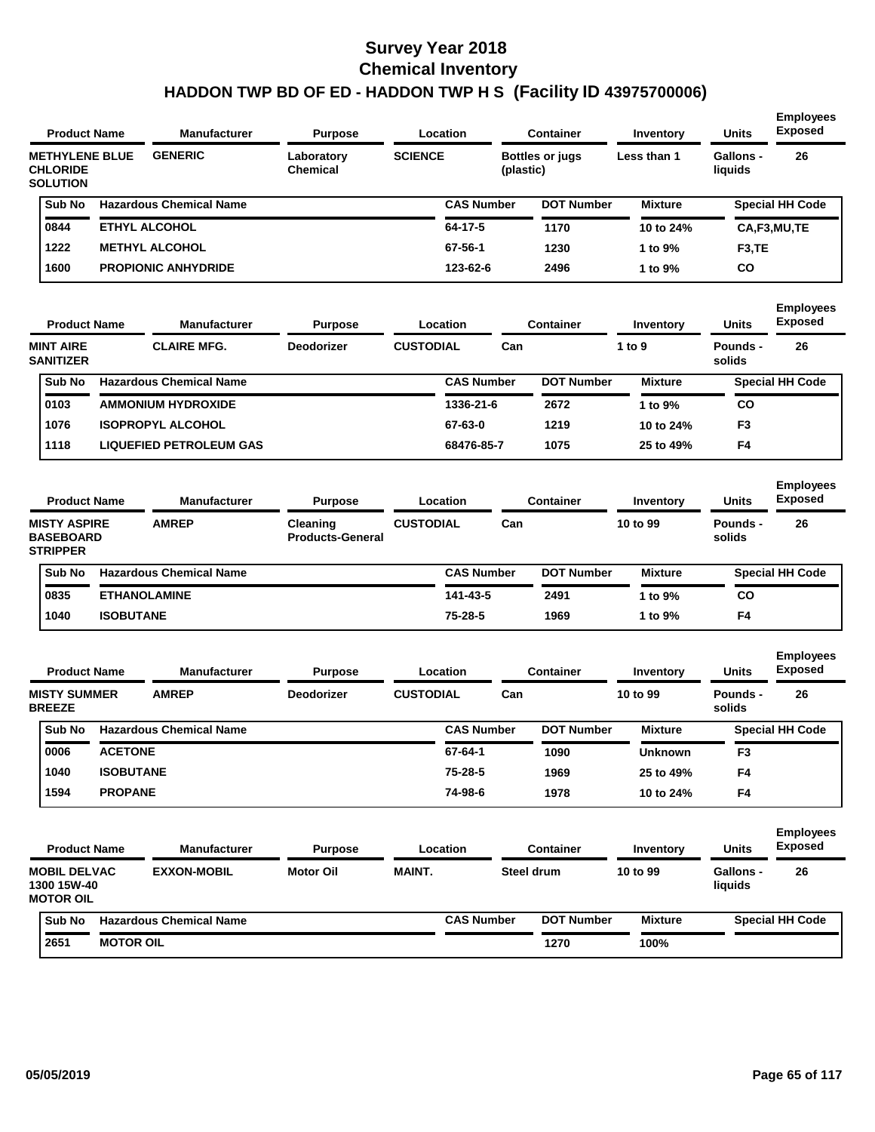| <b>Product Name</b>                                         |                  | <b>Manufacturer</b>            | <b>Purpose</b>                      |                  | Location          |           | <b>Container</b>       | Inventory      | <b>Units</b>                | <b>Employees</b><br><b>Exposed</b> |
|-------------------------------------------------------------|------------------|--------------------------------|-------------------------------------|------------------|-------------------|-----------|------------------------|----------------|-----------------------------|------------------------------------|
| <b>METHYLENE BLUE</b><br><b>CHLORIDE</b><br><b>SOLUTION</b> |                  | <b>GENERIC</b>                 | Laboratory<br><b>Chemical</b>       | <b>SCIENCE</b>   |                   | (plastic) | <b>Bottles or jugs</b> | Less than 1    | <b>Gallons -</b><br>liquids | 26                                 |
| Sub No                                                      |                  | <b>Hazardous Chemical Name</b> |                                     |                  | <b>CAS Number</b> |           | <b>DOT Number</b>      | <b>Mixture</b> |                             | <b>Special HH Code</b>             |
| 0844                                                        |                  | <b>ETHYL ALCOHOL</b>           |                                     |                  | 64-17-5           |           | 1170                   | 10 to 24%      |                             | CA,F3,MU,TE                        |
| 1222                                                        |                  | <b>METHYL ALCOHOL</b>          |                                     |                  | 67-56-1           |           | 1230                   | 1 to 9%        | F <sub>3</sub> ,TE          |                                    |
| 1600                                                        |                  | <b>PROPIONIC ANHYDRIDE</b>     |                                     |                  | 123-62-6          |           | 2496                   | 1 to 9%        | CO                          |                                    |
| <b>Product Name</b>                                         |                  | <b>Manufacturer</b>            | <b>Purpose</b>                      |                  | Location          |           | <b>Container</b>       | Inventory      | Units                       | <b>Employees</b><br><b>Exposed</b> |
| <b>MINT AIRE</b><br><b>SANITIZER</b>                        |                  | <b>CLAIRE MFG.</b>             | <b>Deodorizer</b>                   | <b>CUSTODIAL</b> |                   | Can       |                        | 1 to 9         | <b>Pounds -</b><br>solids   | 26                                 |
| Sub No                                                      |                  | <b>Hazardous Chemical Name</b> |                                     |                  | <b>CAS Number</b> |           | <b>DOT Number</b>      | <b>Mixture</b> |                             | <b>Special HH Code</b>             |
| 0103                                                        |                  | <b>AMMONIUM HYDROXIDE</b>      |                                     |                  | 1336-21-6         |           | 2672                   | 1 to 9%        | CO                          |                                    |
| 1076                                                        |                  | <b>ISOPROPYL ALCOHOL</b>       |                                     |                  | 67-63-0           |           | 1219                   | 10 to 24%      | F3                          |                                    |
| 1118                                                        |                  | <b>LIQUEFIED PETROLEUM GAS</b> |                                     |                  | 68476-85-7        |           | 1075                   | 25 to 49%      | F4                          |                                    |
| <b>Product Name</b>                                         |                  | <b>Manufacturer</b>            | <b>Purpose</b>                      |                  | Location          |           | <b>Container</b>       | Inventory      | <b>Units</b>                | <b>Employees</b><br><b>Exposed</b> |
| <b>MISTY ASPIRE</b><br><b>BASEBOARD</b><br><b>STRIPPER</b>  |                  | <b>AMREP</b>                   | Cleaning<br><b>Products-General</b> | <b>CUSTODIAL</b> |                   | Can       |                        | 10 to 99       | <b>Pounds -</b><br>solids   | 26                                 |
| Sub No                                                      |                  | <b>Hazardous Chemical Name</b> |                                     |                  | <b>CAS Number</b> |           | <b>DOT Number</b>      | <b>Mixture</b> |                             | <b>Special HH Code</b>             |
| 0835                                                        |                  | <b>ETHANOLAMINE</b>            |                                     |                  | 141-43-5          |           | 2491                   | 1 to 9%        | CO                          |                                    |
| 1040                                                        | <b>ISOBUTANE</b> |                                |                                     |                  | 75-28-5           |           | 1969                   | 1 to 9%        | F4                          |                                    |
| <b>Product Name</b>                                         |                  | <b>Manufacturer</b>            | <b>Purpose</b>                      |                  | Location          |           | <b>Container</b>       | Inventory      | <b>Units</b>                | <b>Employees</b><br><b>Exposed</b> |
| <b>MISTY SUMMER</b><br><b>BREEZE</b>                        |                  | <b>AMREP</b>                   | <b>Deodorizer</b>                   | <b>CUSTODIAL</b> |                   | Can       |                        | 10 to 99       | Pounds -<br>solids          | 26                                 |
| Sub No                                                      |                  | <b>Hazardous Chemical Name</b> |                                     |                  | <b>CAS Number</b> |           | <b>DOT Number</b>      | <b>Mixture</b> |                             | <b>Special HH Code</b>             |
| 0006                                                        | <b>ACETONE</b>   |                                |                                     |                  | 67-64-1           |           | 1090                   | <b>Unknown</b> | F <sub>3</sub>              |                                    |
| 1040                                                        | <b>ISOBUTANE</b> |                                |                                     |                  | 75-28-5           |           | 1969                   | 25 to 49%      | F4                          |                                    |
| 1594                                                        | <b>PROPANE</b>   |                                |                                     |                  | 74-98-6           |           | 1978                   | 10 to 24%      | F4                          |                                    |
| <b>Product Name</b>                                         |                  | Manufacturer                   | <b>Purpose</b>                      |                  | Location          |           | <b>Container</b>       | Inventory      | <b>Units</b>                | <b>Employees</b><br><b>Exposed</b> |
| <b>MOBIL DELVAC</b><br>1300 15W-40<br><b>MOTOR OIL</b>      |                  | <b>EXXON-MOBIL</b>             | <b>Motor Oil</b>                    | MAINT.           |                   |           | Steel drum             | 10 to 99       | Gallons -<br>liquids        | 26                                 |
| Sub No                                                      |                  | <b>Hazardous Chemical Name</b> |                                     |                  | <b>CAS Number</b> |           | <b>DOT Number</b>      | <b>Mixture</b> |                             | <b>Special HH Code</b>             |
| 2651                                                        | <b>MOTOR OIL</b> |                                |                                     |                  |                   |           | 1270                   | 100%           |                             |                                    |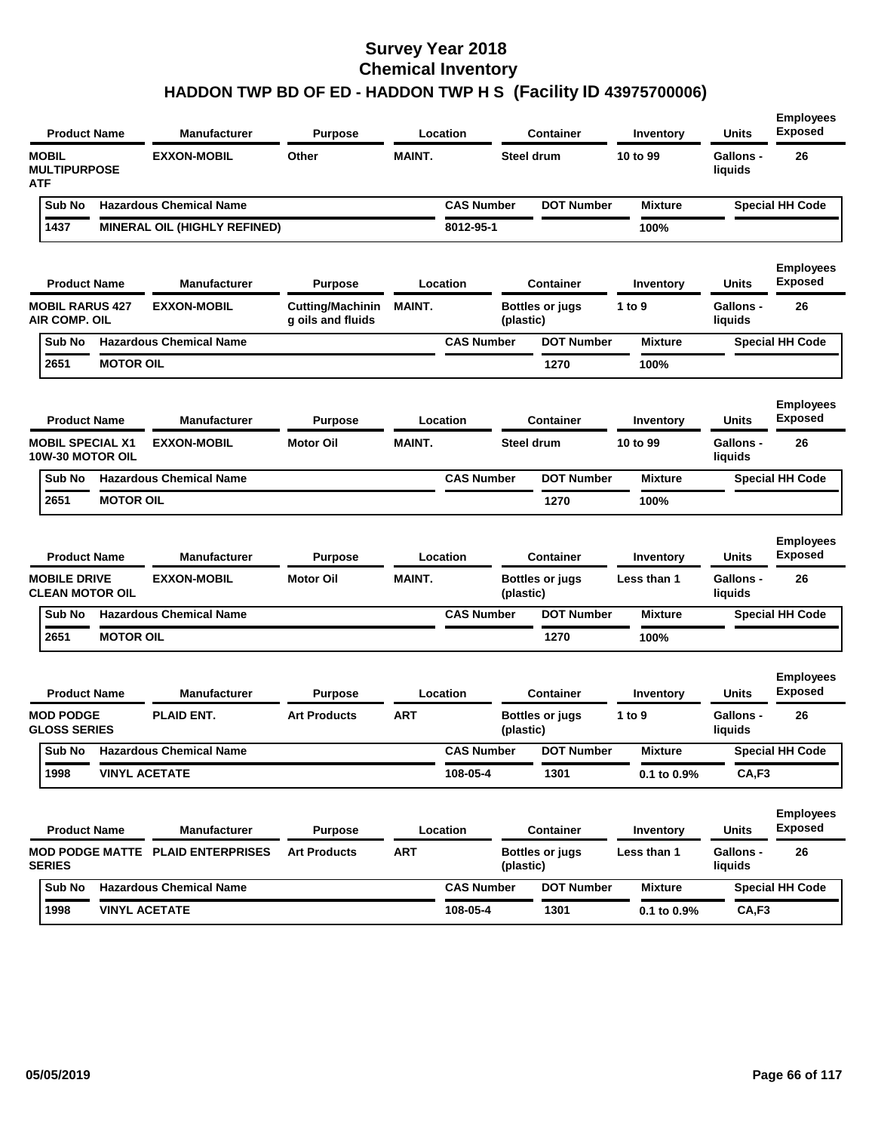| <b>Product Name</b>                                |                      | <b>Manufacturer</b>                      | <b>Purpose</b>                               |               | Location          |           | <b>Container</b>       | Inventory      | <b>Units</b>                | <b>Employees</b><br><b>Exposed</b> |
|----------------------------------------------------|----------------------|------------------------------------------|----------------------------------------------|---------------|-------------------|-----------|------------------------|----------------|-----------------------------|------------------------------------|
| <b>MOBIL</b><br><b>MULTIPURPOSE</b><br><b>ATF</b>  |                      | <b>EXXON-MOBIL</b>                       | Other                                        | <b>MAINT.</b> |                   |           | Steel drum             | 10 to 99       | <b>Gallons -</b><br>liquids | 26                                 |
| Sub No                                             |                      | <b>Hazardous Chemical Name</b>           |                                              |               | <b>CAS Number</b> |           | <b>DOT Number</b>      | <b>Mixture</b> |                             | <b>Special HH Code</b>             |
| 1437                                               |                      | MINERAL OIL (HIGHLY REFINED)             |                                              |               | 8012-95-1         |           |                        | 100%           |                             |                                    |
| <b>Product Name</b>                                |                      | <b>Manufacturer</b>                      | <b>Purpose</b>                               |               | Location          |           | <b>Container</b>       | Inventory      | Units                       | <b>Employees</b><br><b>Exposed</b> |
| <b>MOBIL RARUS 427</b><br><b>AIR COMP. OIL</b>     |                      | <b>EXXON-MOBIL</b>                       | <b>Cutting/Machinin</b><br>g oils and fluids | <b>MAINT.</b> |                   | (plastic) | Bottles or jugs        | 1 to 9         | <b>Gallons -</b><br>liquids | 26                                 |
| Sub No                                             |                      | <b>Hazardous Chemical Name</b>           |                                              |               | <b>CAS Number</b> |           | <b>DOT Number</b>      | <b>Mixture</b> |                             | <b>Special HH Code</b>             |
| 2651                                               | <b>MOTOR OIL</b>     |                                          |                                              |               |                   |           | 1270                   | 100%           |                             |                                    |
| <b>Product Name</b>                                |                      | <b>Manufacturer</b>                      | <b>Purpose</b>                               |               | Location          |           | <b>Container</b>       | Inventory      | Units                       | <b>Employees</b><br><b>Exposed</b> |
| <b>MOBIL SPECIAL X1</b><br><b>10W-30 MOTOR OIL</b> |                      | <b>EXXON-MOBIL</b>                       | <b>Motor Oil</b>                             | <b>MAINT.</b> |                   |           | Steel drum             | 10 to 99       | <b>Gallons -</b><br>liquids | 26                                 |
| Sub No                                             |                      | <b>Hazardous Chemical Name</b>           |                                              |               | <b>CAS Number</b> |           | <b>DOT Number</b>      | <b>Mixture</b> |                             | <b>Special HH Code</b>             |
| 2651                                               | <b>MOTOR OIL</b>     |                                          |                                              |               |                   |           | 1270                   | 100%           |                             |                                    |
| <b>Product Name</b>                                |                      | <b>Manufacturer</b>                      | <b>Purpose</b>                               |               | Location          |           | <b>Container</b>       | Inventory      | Units                       | <b>Employees</b><br><b>Exposed</b> |
| <b>MOBILE DRIVE</b><br><b>CLEAN MOTOR OIL</b>      |                      | <b>EXXON-MOBIL</b>                       | <b>Motor Oil</b>                             | <b>MAINT.</b> |                   | (plastic) | <b>Bottles or jugs</b> | Less than 1    | <b>Gallons -</b><br>liquids | 26                                 |
| Sub No                                             |                      | <b>Hazardous Chemical Name</b>           |                                              |               | <b>CAS Number</b> |           | <b>DOT Number</b>      | <b>Mixture</b> |                             | <b>Special HH Code</b>             |
| 2651                                               | <b>MOTOR OIL</b>     |                                          |                                              |               |                   |           | 1270                   | 100%           |                             |                                    |
| <b>Product Name</b>                                |                      | <b>Manufacturer</b>                      | <b>Purpose</b>                               |               | Location          |           | <b>Container</b>       | Inventory      | Units                       | <b>Employees</b><br><b>Exposed</b> |
| <b>MOD PODGE</b><br><b>GLOSS SERIES</b>            |                      | <b>PLAID ENT.</b>                        | <b>Art Products</b>                          | <b>ART</b>    |                   | (plastic) | <b>Bottles or jugs</b> | 1 to 9         | Gallons -<br>liquids        | 26                                 |
|                                                    |                      | Sub No Hazardous Chemical Name           |                                              |               | <b>CAS Number</b> |           | <b>DOT Number</b>      | <b>Mixture</b> |                             | <b>Special HH Code</b>             |
| 1998                                               |                      | <b>VINYL ACETATE</b>                     |                                              |               | 108-05-4          |           | 1301                   | 0.1 to 0.9%    | CA, F3                      |                                    |
| <b>Product Name</b>                                |                      | <b>Manufacturer</b>                      | <b>Purpose</b>                               |               | Location          |           | <b>Container</b>       | Inventory      | Units                       | <b>Employees</b><br><b>Exposed</b> |
| <b>SERIES</b>                                      |                      | <b>MOD PODGE MATTE PLAID ENTERPRISES</b> | <b>Art Products</b>                          | <b>ART</b>    |                   | (plastic) | <b>Bottles or jugs</b> | Less than 1    | Gallons -<br>liquids        | 26                                 |
| Sub No                                             |                      | <b>Hazardous Chemical Name</b>           |                                              |               | <b>CAS Number</b> |           | <b>DOT Number</b>      | <b>Mixture</b> |                             | <b>Special HH Code</b>             |
| 1998                                               | <b>VINYL ACETATE</b> |                                          |                                              |               | 108-05-4          |           | 1301                   | 0.1 to 0.9%    | CA, F3                      |                                    |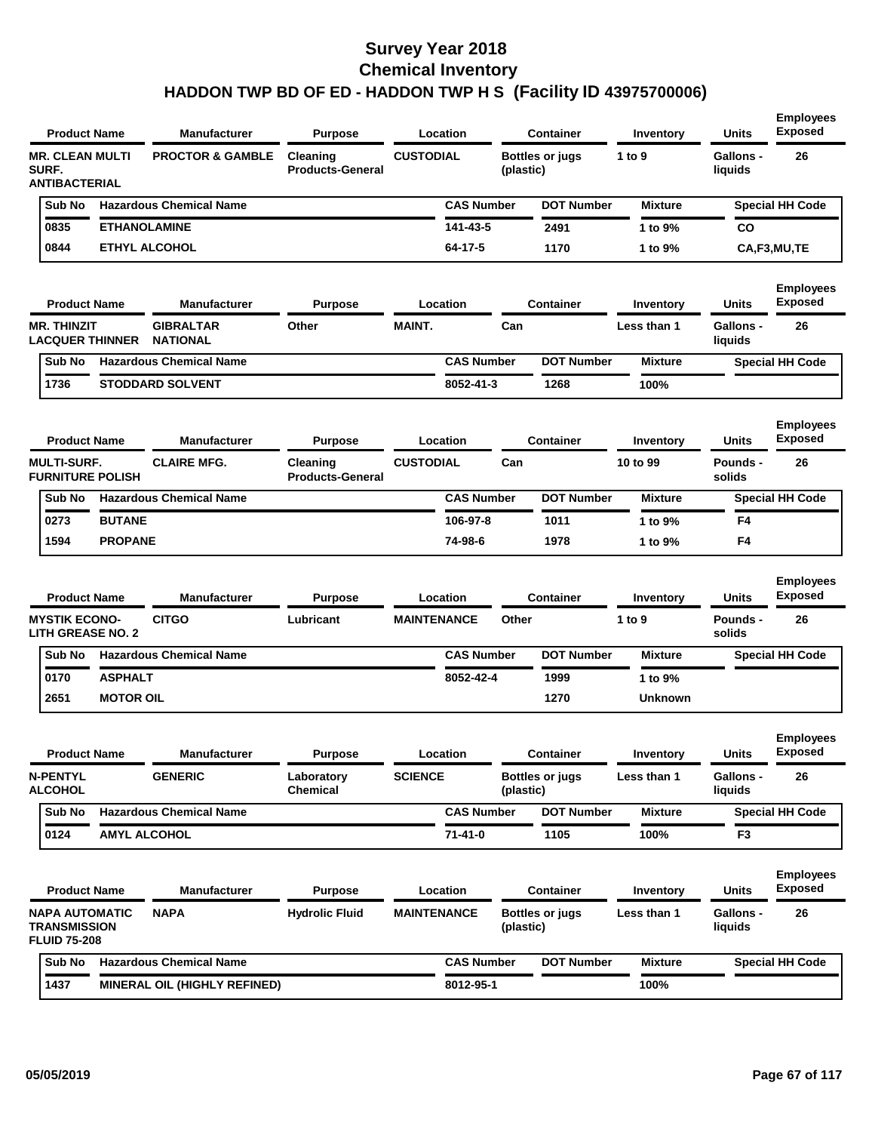| <b>MR. CLEAN MULTI</b><br><b>CUSTODIAL</b><br>1 to 9<br><b>Gallons -</b><br>26<br><b>PROCTOR &amp; GAMBLE</b><br>Cleaning<br><b>Bottles or jugs</b><br>SURF.<br><b>Products-General</b><br>liquids<br>(plastic)<br><b>ANTIBACTERIAL</b><br><b>Hazardous Chemical Name</b><br><b>CAS Number</b><br><b>DOT Number</b><br><b>Special HH Code</b><br>Sub No<br><b>Mixture</b><br>0835<br><b>ETHANOLAMINE</b><br>141-43-5<br>2491<br>1 to 9%<br>CO<br>0844<br><b>ETHYL ALCOHOL</b><br>64-17-5<br>1170<br>CA,F3,MU,TE<br>1 to 9%<br><b>Employees</b><br><b>Exposed</b><br><b>Product Name</b><br><b>Manufacturer</b><br>Location<br><b>Container</b><br>Units<br><b>Purpose</b><br>Inventory<br><b>MAINT.</b><br><b>MR. THINZIT</b><br><b>GIBRALTAR</b><br>Other<br>Can<br>Less than 1<br><b>Gallons -</b><br>26<br><b>LACQUER THINNER</b><br><b>NATIONAL</b><br>liquids<br><b>DOT Number</b><br><b>Hazardous Chemical Name</b><br><b>CAS Number</b><br>Sub No<br><b>Mixture</b><br><b>Special HH Code</b><br>1736<br><b>STODDARD SOLVENT</b><br>8052-41-3<br>1268<br>100%<br><b>Employees</b><br><b>Exposed</b><br><b>Units</b><br><b>Product Name</b><br><b>Manufacturer</b><br>Location<br><b>Container</b><br><b>Purpose</b><br>Inventory<br><b>CLAIRE MFG.</b><br><b>MULTI-SURF.</b><br><b>CUSTODIAL</b><br>Can<br>10 to 99<br>26<br>Cleaning<br>Pounds -<br><b>FURNITURE POLISH</b><br><b>Products-General</b><br>solids<br>Sub No<br><b>Hazardous Chemical Name</b><br><b>CAS Number</b><br><b>DOT Number</b><br><b>Special HH Code</b><br><b>Mixture</b><br><b>BUTANE</b><br>0273<br>106-97-8<br>1011<br>1 to 9%<br>F4<br>1594<br><b>PROPANE</b><br>74-98-6<br>F4<br>1978<br>1 to 9%<br><b>Employees</b><br><b>Exposed</b><br><b>Product Name</b><br><b>Manufacturer</b><br><b>Container</b><br><b>Units</b><br><b>Purpose</b><br>Location<br>Inventory<br><b>CITGO</b><br><b>MYSTIK ECONO-</b><br>Lubricant<br><b>MAINTENANCE</b><br>Other<br>1 to 9<br>Pounds -<br>26<br><b>LITH GREASE NO. 2</b><br>solids<br><b>Hazardous Chemical Name</b><br><b>CAS Number</b><br><b>DOT Number</b><br><b>Special HH Code</b><br>Sub No<br><b>Mixture</b><br><b>ASPHALT</b><br>0170<br>8052-42-4<br>1999<br>1 to 9%<br><b>MOTOR OIL</b><br>2651<br>1270<br>Unknown<br><b>Employees</b><br><b>Product Name</b><br><b>Manufacturer</b><br><b>Purpose</b><br>Location<br>Container<br>Inventory<br>Units<br>Exposed<br><b>SCIENCE</b><br><b>N-PENTYL</b><br><b>GENERIC</b><br>Laboratory<br><b>Bottles or jugs</b><br>Less than 1<br>Gallons -<br>26<br><b>ALCOHOL</b><br>Chemical<br>(plastic)<br>liquids<br><b>Hazardous Chemical Name</b><br><b>CAS Number</b><br><b>DOT Number</b><br>Sub No<br><b>Mixture</b><br><b>Special HH Code</b><br>$71 - 41 - 0$<br>0124<br><b>AMYL ALCOHOL</b><br>1105<br>F <sub>3</sub><br>100%<br><b>Employees</b><br><b>Exposed</b><br><b>Product Name</b><br><b>Manufacturer</b><br><b>Container</b><br><b>Units</b><br><b>Purpose</b><br>Location<br>Inventory<br><b>NAPA</b><br>NAPA AUTOMATIC<br><b>Hydrolic Fluid</b><br><b>MAINTENANCE</b><br>Gallons -<br>26<br><b>Bottles or jugs</b><br>Less than 1<br><b>TRANSMISSION</b><br>(plastic)<br>liquids<br><b>FLUID 75-208</b><br><b>Hazardous Chemical Name</b><br><b>CAS Number</b><br><b>DOT Number</b><br>Sub No<br><b>Mixture</b><br><b>Special HH Code</b><br>1437<br><b>MINERAL OIL (HIGHLY REFINED)</b><br>8012-95-1<br>100% | <b>Product Name</b> | <b>Manufacturer</b> | <b>Purpose</b> | Location | <b>Container</b> | Inventory | <b>Units</b> | <b>Employees</b><br><b>Exposed</b> |
|----------------------------------------------------------------------------------------------------------------------------------------------------------------------------------------------------------------------------------------------------------------------------------------------------------------------------------------------------------------------------------------------------------------------------------------------------------------------------------------------------------------------------------------------------------------------------------------------------------------------------------------------------------------------------------------------------------------------------------------------------------------------------------------------------------------------------------------------------------------------------------------------------------------------------------------------------------------------------------------------------------------------------------------------------------------------------------------------------------------------------------------------------------------------------------------------------------------------------------------------------------------------------------------------------------------------------------------------------------------------------------------------------------------------------------------------------------------------------------------------------------------------------------------------------------------------------------------------------------------------------------------------------------------------------------------------------------------------------------------------------------------------------------------------------------------------------------------------------------------------------------------------------------------------------------------------------------------------------------------------------------------------------------------------------------------------------------------------------------------------------------------------------------------------------------------------------------------------------------------------------------------------------------------------------------------------------------------------------------------------------------------------------------------------------------------------------------------------------------------------------------------------------------------------------------------------------------------------------------------------------------------------------------------------------------------------------------------------------------------------------------------------------------------------------------------------------------------------------------------------------------------------------------------------------------------------------------------------------------------------------------------------------------------------------------------------------------------------------------------------------------------------------------------------------------------------------------------------------------------------------------------------------------------------------------------------------------------------------------------------------------------------------------------|---------------------|---------------------|----------------|----------|------------------|-----------|--------------|------------------------------------|
|                                                                                                                                                                                                                                                                                                                                                                                                                                                                                                                                                                                                                                                                                                                                                                                                                                                                                                                                                                                                                                                                                                                                                                                                                                                                                                                                                                                                                                                                                                                                                                                                                                                                                                                                                                                                                                                                                                                                                                                                                                                                                                                                                                                                                                                                                                                                                                                                                                                                                                                                                                                                                                                                                                                                                                                                                                                                                                                                                                                                                                                                                                                                                                                                                                                                                                                                                                                                                |                     |                     |                |          |                  |           |              |                                    |
|                                                                                                                                                                                                                                                                                                                                                                                                                                                                                                                                                                                                                                                                                                                                                                                                                                                                                                                                                                                                                                                                                                                                                                                                                                                                                                                                                                                                                                                                                                                                                                                                                                                                                                                                                                                                                                                                                                                                                                                                                                                                                                                                                                                                                                                                                                                                                                                                                                                                                                                                                                                                                                                                                                                                                                                                                                                                                                                                                                                                                                                                                                                                                                                                                                                                                                                                                                                                                |                     |                     |                |          |                  |           |              |                                    |
|                                                                                                                                                                                                                                                                                                                                                                                                                                                                                                                                                                                                                                                                                                                                                                                                                                                                                                                                                                                                                                                                                                                                                                                                                                                                                                                                                                                                                                                                                                                                                                                                                                                                                                                                                                                                                                                                                                                                                                                                                                                                                                                                                                                                                                                                                                                                                                                                                                                                                                                                                                                                                                                                                                                                                                                                                                                                                                                                                                                                                                                                                                                                                                                                                                                                                                                                                                                                                |                     |                     |                |          |                  |           |              |                                    |
|                                                                                                                                                                                                                                                                                                                                                                                                                                                                                                                                                                                                                                                                                                                                                                                                                                                                                                                                                                                                                                                                                                                                                                                                                                                                                                                                                                                                                                                                                                                                                                                                                                                                                                                                                                                                                                                                                                                                                                                                                                                                                                                                                                                                                                                                                                                                                                                                                                                                                                                                                                                                                                                                                                                                                                                                                                                                                                                                                                                                                                                                                                                                                                                                                                                                                                                                                                                                                |                     |                     |                |          |                  |           |              |                                    |
|                                                                                                                                                                                                                                                                                                                                                                                                                                                                                                                                                                                                                                                                                                                                                                                                                                                                                                                                                                                                                                                                                                                                                                                                                                                                                                                                                                                                                                                                                                                                                                                                                                                                                                                                                                                                                                                                                                                                                                                                                                                                                                                                                                                                                                                                                                                                                                                                                                                                                                                                                                                                                                                                                                                                                                                                                                                                                                                                                                                                                                                                                                                                                                                                                                                                                                                                                                                                                |                     |                     |                |          |                  |           |              |                                    |
|                                                                                                                                                                                                                                                                                                                                                                                                                                                                                                                                                                                                                                                                                                                                                                                                                                                                                                                                                                                                                                                                                                                                                                                                                                                                                                                                                                                                                                                                                                                                                                                                                                                                                                                                                                                                                                                                                                                                                                                                                                                                                                                                                                                                                                                                                                                                                                                                                                                                                                                                                                                                                                                                                                                                                                                                                                                                                                                                                                                                                                                                                                                                                                                                                                                                                                                                                                                                                |                     |                     |                |          |                  |           |              |                                    |
|                                                                                                                                                                                                                                                                                                                                                                                                                                                                                                                                                                                                                                                                                                                                                                                                                                                                                                                                                                                                                                                                                                                                                                                                                                                                                                                                                                                                                                                                                                                                                                                                                                                                                                                                                                                                                                                                                                                                                                                                                                                                                                                                                                                                                                                                                                                                                                                                                                                                                                                                                                                                                                                                                                                                                                                                                                                                                                                                                                                                                                                                                                                                                                                                                                                                                                                                                                                                                |                     |                     |                |          |                  |           |              |                                    |
|                                                                                                                                                                                                                                                                                                                                                                                                                                                                                                                                                                                                                                                                                                                                                                                                                                                                                                                                                                                                                                                                                                                                                                                                                                                                                                                                                                                                                                                                                                                                                                                                                                                                                                                                                                                                                                                                                                                                                                                                                                                                                                                                                                                                                                                                                                                                                                                                                                                                                                                                                                                                                                                                                                                                                                                                                                                                                                                                                                                                                                                                                                                                                                                                                                                                                                                                                                                                                |                     |                     |                |          |                  |           |              |                                    |
|                                                                                                                                                                                                                                                                                                                                                                                                                                                                                                                                                                                                                                                                                                                                                                                                                                                                                                                                                                                                                                                                                                                                                                                                                                                                                                                                                                                                                                                                                                                                                                                                                                                                                                                                                                                                                                                                                                                                                                                                                                                                                                                                                                                                                                                                                                                                                                                                                                                                                                                                                                                                                                                                                                                                                                                                                                                                                                                                                                                                                                                                                                                                                                                                                                                                                                                                                                                                                |                     |                     |                |          |                  |           |              |                                    |
|                                                                                                                                                                                                                                                                                                                                                                                                                                                                                                                                                                                                                                                                                                                                                                                                                                                                                                                                                                                                                                                                                                                                                                                                                                                                                                                                                                                                                                                                                                                                                                                                                                                                                                                                                                                                                                                                                                                                                                                                                                                                                                                                                                                                                                                                                                                                                                                                                                                                                                                                                                                                                                                                                                                                                                                                                                                                                                                                                                                                                                                                                                                                                                                                                                                                                                                                                                                                                |                     |                     |                |          |                  |           |              |                                    |
|                                                                                                                                                                                                                                                                                                                                                                                                                                                                                                                                                                                                                                                                                                                                                                                                                                                                                                                                                                                                                                                                                                                                                                                                                                                                                                                                                                                                                                                                                                                                                                                                                                                                                                                                                                                                                                                                                                                                                                                                                                                                                                                                                                                                                                                                                                                                                                                                                                                                                                                                                                                                                                                                                                                                                                                                                                                                                                                                                                                                                                                                                                                                                                                                                                                                                                                                                                                                                |                     |                     |                |          |                  |           |              |                                    |
|                                                                                                                                                                                                                                                                                                                                                                                                                                                                                                                                                                                                                                                                                                                                                                                                                                                                                                                                                                                                                                                                                                                                                                                                                                                                                                                                                                                                                                                                                                                                                                                                                                                                                                                                                                                                                                                                                                                                                                                                                                                                                                                                                                                                                                                                                                                                                                                                                                                                                                                                                                                                                                                                                                                                                                                                                                                                                                                                                                                                                                                                                                                                                                                                                                                                                                                                                                                                                |                     |                     |                |          |                  |           |              |                                    |
|                                                                                                                                                                                                                                                                                                                                                                                                                                                                                                                                                                                                                                                                                                                                                                                                                                                                                                                                                                                                                                                                                                                                                                                                                                                                                                                                                                                                                                                                                                                                                                                                                                                                                                                                                                                                                                                                                                                                                                                                                                                                                                                                                                                                                                                                                                                                                                                                                                                                                                                                                                                                                                                                                                                                                                                                                                                                                                                                                                                                                                                                                                                                                                                                                                                                                                                                                                                                                |                     |                     |                |          |                  |           |              |                                    |
|                                                                                                                                                                                                                                                                                                                                                                                                                                                                                                                                                                                                                                                                                                                                                                                                                                                                                                                                                                                                                                                                                                                                                                                                                                                                                                                                                                                                                                                                                                                                                                                                                                                                                                                                                                                                                                                                                                                                                                                                                                                                                                                                                                                                                                                                                                                                                                                                                                                                                                                                                                                                                                                                                                                                                                                                                                                                                                                                                                                                                                                                                                                                                                                                                                                                                                                                                                                                                |                     |                     |                |          |                  |           |              |                                    |
|                                                                                                                                                                                                                                                                                                                                                                                                                                                                                                                                                                                                                                                                                                                                                                                                                                                                                                                                                                                                                                                                                                                                                                                                                                                                                                                                                                                                                                                                                                                                                                                                                                                                                                                                                                                                                                                                                                                                                                                                                                                                                                                                                                                                                                                                                                                                                                                                                                                                                                                                                                                                                                                                                                                                                                                                                                                                                                                                                                                                                                                                                                                                                                                                                                                                                                                                                                                                                |                     |                     |                |          |                  |           |              |                                    |
|                                                                                                                                                                                                                                                                                                                                                                                                                                                                                                                                                                                                                                                                                                                                                                                                                                                                                                                                                                                                                                                                                                                                                                                                                                                                                                                                                                                                                                                                                                                                                                                                                                                                                                                                                                                                                                                                                                                                                                                                                                                                                                                                                                                                                                                                                                                                                                                                                                                                                                                                                                                                                                                                                                                                                                                                                                                                                                                                                                                                                                                                                                                                                                                                                                                                                                                                                                                                                |                     |                     |                |          |                  |           |              |                                    |
|                                                                                                                                                                                                                                                                                                                                                                                                                                                                                                                                                                                                                                                                                                                                                                                                                                                                                                                                                                                                                                                                                                                                                                                                                                                                                                                                                                                                                                                                                                                                                                                                                                                                                                                                                                                                                                                                                                                                                                                                                                                                                                                                                                                                                                                                                                                                                                                                                                                                                                                                                                                                                                                                                                                                                                                                                                                                                                                                                                                                                                                                                                                                                                                                                                                                                                                                                                                                                |                     |                     |                |          |                  |           |              |                                    |
|                                                                                                                                                                                                                                                                                                                                                                                                                                                                                                                                                                                                                                                                                                                                                                                                                                                                                                                                                                                                                                                                                                                                                                                                                                                                                                                                                                                                                                                                                                                                                                                                                                                                                                                                                                                                                                                                                                                                                                                                                                                                                                                                                                                                                                                                                                                                                                                                                                                                                                                                                                                                                                                                                                                                                                                                                                                                                                                                                                                                                                                                                                                                                                                                                                                                                                                                                                                                                |                     |                     |                |          |                  |           |              |                                    |
|                                                                                                                                                                                                                                                                                                                                                                                                                                                                                                                                                                                                                                                                                                                                                                                                                                                                                                                                                                                                                                                                                                                                                                                                                                                                                                                                                                                                                                                                                                                                                                                                                                                                                                                                                                                                                                                                                                                                                                                                                                                                                                                                                                                                                                                                                                                                                                                                                                                                                                                                                                                                                                                                                                                                                                                                                                                                                                                                                                                                                                                                                                                                                                                                                                                                                                                                                                                                                |                     |                     |                |          |                  |           |              |                                    |
|                                                                                                                                                                                                                                                                                                                                                                                                                                                                                                                                                                                                                                                                                                                                                                                                                                                                                                                                                                                                                                                                                                                                                                                                                                                                                                                                                                                                                                                                                                                                                                                                                                                                                                                                                                                                                                                                                                                                                                                                                                                                                                                                                                                                                                                                                                                                                                                                                                                                                                                                                                                                                                                                                                                                                                                                                                                                                                                                                                                                                                                                                                                                                                                                                                                                                                                                                                                                                |                     |                     |                |          |                  |           |              |                                    |
|                                                                                                                                                                                                                                                                                                                                                                                                                                                                                                                                                                                                                                                                                                                                                                                                                                                                                                                                                                                                                                                                                                                                                                                                                                                                                                                                                                                                                                                                                                                                                                                                                                                                                                                                                                                                                                                                                                                                                                                                                                                                                                                                                                                                                                                                                                                                                                                                                                                                                                                                                                                                                                                                                                                                                                                                                                                                                                                                                                                                                                                                                                                                                                                                                                                                                                                                                                                                                |                     |                     |                |          |                  |           |              |                                    |
|                                                                                                                                                                                                                                                                                                                                                                                                                                                                                                                                                                                                                                                                                                                                                                                                                                                                                                                                                                                                                                                                                                                                                                                                                                                                                                                                                                                                                                                                                                                                                                                                                                                                                                                                                                                                                                                                                                                                                                                                                                                                                                                                                                                                                                                                                                                                                                                                                                                                                                                                                                                                                                                                                                                                                                                                                                                                                                                                                                                                                                                                                                                                                                                                                                                                                                                                                                                                                |                     |                     |                |          |                  |           |              |                                    |
|                                                                                                                                                                                                                                                                                                                                                                                                                                                                                                                                                                                                                                                                                                                                                                                                                                                                                                                                                                                                                                                                                                                                                                                                                                                                                                                                                                                                                                                                                                                                                                                                                                                                                                                                                                                                                                                                                                                                                                                                                                                                                                                                                                                                                                                                                                                                                                                                                                                                                                                                                                                                                                                                                                                                                                                                                                                                                                                                                                                                                                                                                                                                                                                                                                                                                                                                                                                                                |                     |                     |                |          |                  |           |              |                                    |
|                                                                                                                                                                                                                                                                                                                                                                                                                                                                                                                                                                                                                                                                                                                                                                                                                                                                                                                                                                                                                                                                                                                                                                                                                                                                                                                                                                                                                                                                                                                                                                                                                                                                                                                                                                                                                                                                                                                                                                                                                                                                                                                                                                                                                                                                                                                                                                                                                                                                                                                                                                                                                                                                                                                                                                                                                                                                                                                                                                                                                                                                                                                                                                                                                                                                                                                                                                                                                |                     |                     |                |          |                  |           |              |                                    |
|                                                                                                                                                                                                                                                                                                                                                                                                                                                                                                                                                                                                                                                                                                                                                                                                                                                                                                                                                                                                                                                                                                                                                                                                                                                                                                                                                                                                                                                                                                                                                                                                                                                                                                                                                                                                                                                                                                                                                                                                                                                                                                                                                                                                                                                                                                                                                                                                                                                                                                                                                                                                                                                                                                                                                                                                                                                                                                                                                                                                                                                                                                                                                                                                                                                                                                                                                                                                                |                     |                     |                |          |                  |           |              |                                    |
|                                                                                                                                                                                                                                                                                                                                                                                                                                                                                                                                                                                                                                                                                                                                                                                                                                                                                                                                                                                                                                                                                                                                                                                                                                                                                                                                                                                                                                                                                                                                                                                                                                                                                                                                                                                                                                                                                                                                                                                                                                                                                                                                                                                                                                                                                                                                                                                                                                                                                                                                                                                                                                                                                                                                                                                                                                                                                                                                                                                                                                                                                                                                                                                                                                                                                                                                                                                                                |                     |                     |                |          |                  |           |              |                                    |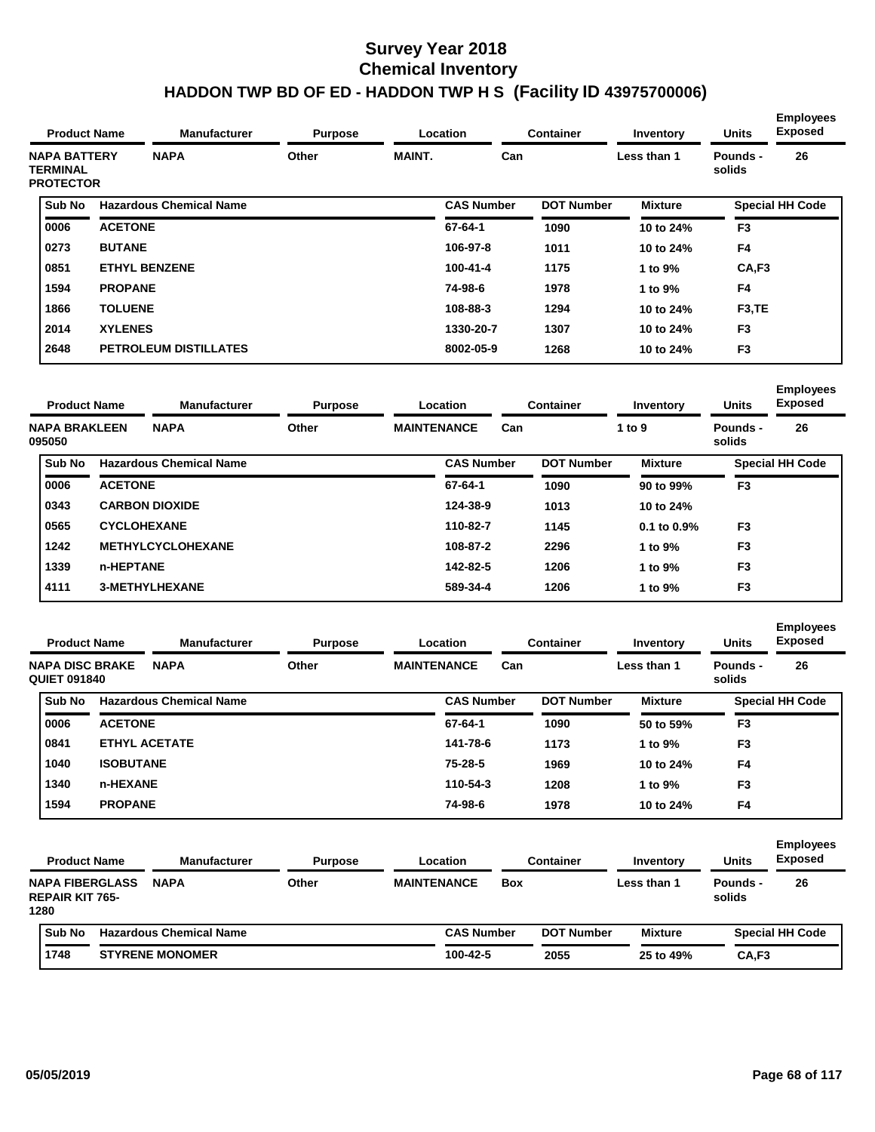| <b>Product Name</b><br><b>NAPA BATTERY</b> | <b>Manufacturer</b> | <b>Purpose</b>                 |       | Location      | <b>Container</b>  | Inventory<br>Less than 1 | <b>Units</b>   | <b>Employees</b><br><b>Exposed</b> |                        |
|--------------------------------------------|---------------------|--------------------------------|-------|---------------|-------------------|--------------------------|----------------|------------------------------------|------------------------|
| <b>TERMINAL</b><br><b>PROTECTOR</b>        |                     | <b>NAPA</b>                    | Other | <b>MAINT.</b> | Can               |                          |                | Pounds -<br>solids                 | 26                     |
| Sub No                                     |                     | <b>Hazardous Chemical Name</b> |       |               | <b>CAS Number</b> | <b>DOT Number</b>        | <b>Mixture</b> |                                    | <b>Special HH Code</b> |
| 0006                                       | <b>ACETONE</b>      |                                |       |               | 67-64-1           | 1090                     | 10 to 24%      | F <sub>3</sub>                     |                        |
| 0273                                       | <b>BUTANE</b>       |                                |       |               | 106-97-8          | 1011                     | 10 to 24%      | F4                                 |                        |
| 0851                                       |                     | <b>ETHYL BENZENE</b>           |       |               | $100 - 41 - 4$    | 1175                     | 1 to 9%        | CA,F3                              |                        |
| 1594                                       | <b>PROPANE</b>      |                                |       |               | 74-98-6           | 1978                     | 1 to 9%        | F <sub>4</sub>                     |                        |
| 1866                                       | <b>TOLUENE</b>      |                                |       |               | 108-88-3          | 1294                     | 10 to 24%      | F <sub>3</sub> ,TE                 |                        |
| 2014                                       | <b>XYLENES</b>      |                                |       |               | 1330-20-7         | 1307                     | 10 to 24%      | F <sub>3</sub>                     |                        |
| 2648                                       |                     | <b>PETROLEUM DISTILLATES</b>   |       |               | 8002-05-9         | 1268                     | 10 to 24%      | F <sub>3</sub>                     |                        |

| <b>Product Name</b>            |                    | <b>Manufacturer</b>            | <b>Purpose</b> |                    | Location          |     | <b>Container</b>  | Inventory        | <b>Units</b>       | <b>Employees</b><br><b>Exposed</b> |
|--------------------------------|--------------------|--------------------------------|----------------|--------------------|-------------------|-----|-------------------|------------------|--------------------|------------------------------------|
| <b>NAPA BRAKLEEN</b><br>095050 |                    | <b>NAPA</b>                    | Other          | <b>MAINTENANCE</b> |                   | Can |                   | 1 to 9           | Pounds -<br>solids | 26                                 |
| <b>Sub No</b>                  |                    | <b>Hazardous Chemical Name</b> |                |                    | <b>CAS Number</b> |     | <b>DOT Number</b> | <b>Mixture</b>   |                    | <b>Special HH Code</b>             |
| 0006                           | <b>ACETONE</b>     |                                |                |                    | 67-64-1           |     | 1090              | 90 to 99%        | F <sub>3</sub>     |                                    |
| 0343                           |                    | <b>CARBON DIOXIDE</b>          |                |                    | 124-38-9          |     | 1013              | 10 to 24%        |                    |                                    |
| 0565                           | <b>CYCLOHEXANE</b> |                                |                |                    | 110-82-7          |     | 1145              | $0.1$ to $0.9\%$ | F <sub>3</sub>     |                                    |
| 1242                           |                    | <b>METHYLCYCLOHEXANE</b>       |                |                    | 108-87-2          |     | 2296              | 1 to 9%          | F <sub>3</sub>     |                                    |
| 1339                           | n-HEPTANE          |                                |                |                    | 142-82-5          |     | 1206              | 1 to $9\%$       | F <sub>3</sub>     |                                    |
| 4111                           |                    | <b>3-METHYLHEXANE</b>          |                |                    | 589-34-4          |     | 1206              | 1 to 9%          | F <sub>3</sub>     |                                    |
|                                |                    |                                |                |                    |                   |     |                   |                  |                    |                                    |

| <b>Product Name</b>                           |                  | <b>Manufacturer</b>            | <b>Purpose</b> |                    | Location          |     | <b>Container</b>  | Inventory      | <b>Units</b>       | <b>Employees</b><br><b>Exposed</b> |
|-----------------------------------------------|------------------|--------------------------------|----------------|--------------------|-------------------|-----|-------------------|----------------|--------------------|------------------------------------|
| <b>NAPA DISC BRAKE</b><br><b>QUIET 091840</b> |                  | <b>NAPA</b>                    | Other          | <b>MAINTENANCE</b> |                   | Can |                   | Less than 1    | Pounds -<br>solids | 26                                 |
| Sub No                                        |                  | <b>Hazardous Chemical Name</b> |                |                    | <b>CAS Number</b> |     | <b>DOT Number</b> | <b>Mixture</b> |                    | <b>Special HH Code</b>             |
| 0006                                          | <b>ACETONE</b>   |                                |                |                    | 67-64-1           |     | 1090              | 50 to 59%      | F <sub>3</sub>     |                                    |
| 0841                                          |                  | <b>ETHYL ACETATE</b>           |                |                    | 141-78-6          |     | 1173              | 1 to 9%        | F <sub>3</sub>     |                                    |
| 1040                                          | <b>ISOBUTANE</b> |                                |                |                    | $75 - 28 - 5$     |     | 1969              | 10 to 24%      | F <sub>4</sub>     |                                    |
| 1340                                          | n-HEXANE         |                                |                |                    | 110-54-3          |     | 1208              | 1 to 9%        | F <sub>3</sub>     |                                    |
| 1594                                          | <b>PROPANE</b>   |                                |                |                    | 74-98-6           |     | 1978              | 10 to 24%      | F4                 |                                    |

| <b>Product Name</b>                                      | <b>Manufacturer</b>            | <b>Purpose</b> |                    | Location          |            | <b>Container</b>  | Inventory      | <b>Units</b>       | <b>Employees</b><br><b>Exposed</b> |
|----------------------------------------------------------|--------------------------------|----------------|--------------------|-------------------|------------|-------------------|----------------|--------------------|------------------------------------|
| <b>NAPA FIBERGLASS</b><br><b>REPAIR KIT 765-</b><br>1280 | <b>NAPA</b>                    | Other          | <b>MAINTENANCE</b> |                   | <b>Box</b> |                   | Less than 1    | Pounds -<br>solids | 26                                 |
| Sub No                                                   | <b>Hazardous Chemical Name</b> |                |                    | <b>CAS Number</b> |            | <b>DOT Number</b> | <b>Mixture</b> |                    | <b>Special HH Code</b>             |
| 1748                                                     | <b>STYRENE MONOMER</b>         |                |                    | 100-42-5          |            | 2055              | 25 to 49%      | CA,F3              |                                    |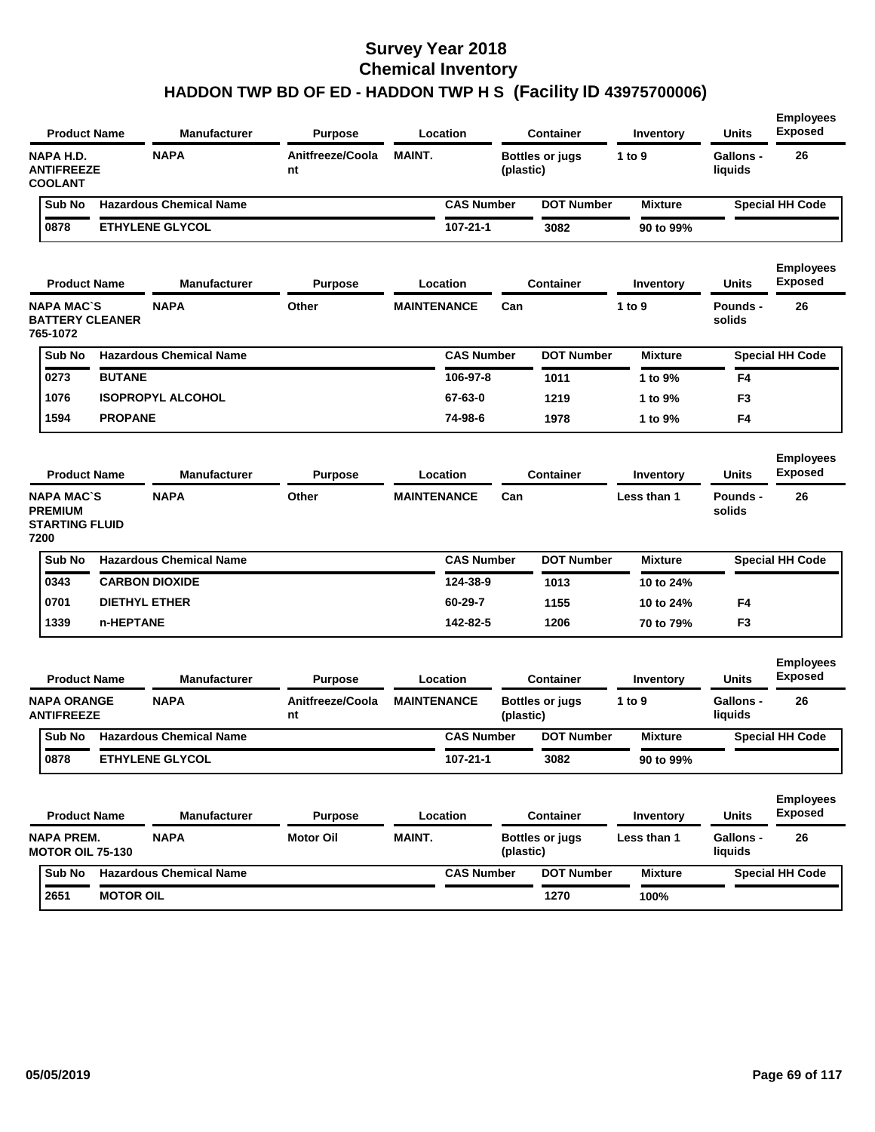| <b>Product Name</b>                                                  |                      | <b>Manufacturer</b>            | <b>Purpose</b>         |                    | Location          |           | Container              | Inventory      | <b>Units</b>                | <b>Employees</b><br><b>Exposed</b> |
|----------------------------------------------------------------------|----------------------|--------------------------------|------------------------|--------------------|-------------------|-----------|------------------------|----------------|-----------------------------|------------------------------------|
| NAPA H.D.<br><b>ANTIFREEZE</b><br><b>COOLANT</b>                     |                      | <b>NAPA</b>                    | Anitfreeze/Coola<br>nt | <b>MAINT.</b>      |                   | (plastic) | <b>Bottles or jugs</b> | 1 to 9         | Gallons -<br>liquids        | 26                                 |
| Sub No                                                               |                      | <b>Hazardous Chemical Name</b> |                        |                    | <b>CAS Number</b> |           | <b>DOT Number</b>      | <b>Mixture</b> |                             | <b>Special HH Code</b>             |
| 0878                                                                 |                      | <b>ETHYLENE GLYCOL</b>         |                        |                    | 107-21-1          |           | 3082                   | 90 to 99%      |                             |                                    |
| <b>Product Name</b>                                                  |                      | <b>Manufacturer</b>            | <b>Purpose</b>         |                    | Location          |           | <b>Container</b>       | Inventory      | Units                       | <b>Employees</b><br><b>Exposed</b> |
| <b>NAPA MAC'S</b><br><b>BATTERY CLEANER</b><br>765-1072              |                      | <b>NAPA</b>                    | Other                  | <b>MAINTENANCE</b> |                   | Can       |                        | 1 to 9         | Pounds -<br>solids          | 26                                 |
| Sub No                                                               |                      | <b>Hazardous Chemical Name</b> |                        |                    | <b>CAS Number</b> |           | <b>DOT Number</b>      | <b>Mixture</b> |                             | <b>Special HH Code</b>             |
| 0273                                                                 | <b>BUTANE</b>        |                                |                        |                    | 106-97-8          |           | 1011                   | 1 to 9%        | F4                          |                                    |
| 1076                                                                 |                      | <b>ISOPROPYL ALCOHOL</b>       |                        |                    | 67-63-0           |           | 1219                   | 1 to 9%        | F <sub>3</sub>              |                                    |
| 1594                                                                 | <b>PROPANE</b>       |                                |                        |                    | 74-98-6           |           | 1978                   | 1 to 9%        | F4                          |                                    |
| <b>Product Name</b>                                                  |                      | <b>Manufacturer</b>            | <b>Purpose</b>         |                    | Location          |           | <b>Container</b>       | Inventory      | <b>Units</b>                | <b>Employees</b><br><b>Exposed</b> |
| <b>NAPA MAC'S</b><br><b>PREMIUM</b><br><b>STARTING FLUID</b><br>7200 |                      | <b>NAPA</b>                    | Other                  | <b>MAINTENANCE</b> |                   | Can       |                        | Less than 1    | <b>Pounds -</b><br>solids   | 26                                 |
| Sub No                                                               |                      | <b>Hazardous Chemical Name</b> |                        |                    | <b>CAS Number</b> |           | <b>DOT Number</b>      | <b>Mixture</b> |                             | <b>Special HH Code</b>             |
| 0343                                                                 |                      | <b>CARBON DIOXIDE</b>          |                        |                    | 124-38-9          |           | 1013                   | 10 to 24%      |                             |                                    |
| 0701                                                                 | <b>DIETHYL ETHER</b> |                                |                        |                    | 60-29-7           |           | 1155                   | 10 to 24%      | F4                          |                                    |
| 1339                                                                 | n-HEPTANE            |                                |                        |                    | 142-82-5          |           | 1206                   | 70 to 79%      | F <sub>3</sub>              |                                    |
| <b>Product Name</b>                                                  |                      | <b>Manufacturer</b>            | <b>Purpose</b>         |                    | Location          |           | <b>Container</b>       | Inventory      | <b>Units</b>                | <b>Employees</b><br>Exposed        |
| <b>NAPA ORANGE</b><br><b>ANTIFREEZE</b>                              |                      | <b>NAPA</b>                    | Anitfreeze/Coola<br>nt | <b>MAINTENANCE</b> |                   | (plastic) | <b>Bottles or jugs</b> | 1 to $9$       | <b>Gallons -</b><br>liquids | 26                                 |
| Sub No                                                               |                      | <b>Hazardous Chemical Name</b> |                        |                    | <b>CAS Number</b> |           | <b>DOT Number</b>      | <b>Mixture</b> |                             | <b>Special HH Code</b>             |
| 0878                                                                 |                      | <b>ETHYLENE GLYCOL</b>         |                        |                    | 107-21-1          |           | 3082                   | 90 to 99%      |                             |                                    |
| <b>Product Name</b>                                                  |                      | <b>Manufacturer</b>            | <b>Purpose</b>         |                    | Location          |           | Container              | Inventory      | Units                       | <b>Employees</b><br><b>Exposed</b> |
| <b>NAPA PREM.</b><br><b>MOTOR OIL 75-130</b>                         |                      | <b>NAPA</b>                    | <b>Motor Oil</b>       | MAINT.             |                   | (plastic) | <b>Bottles or jugs</b> | Less than 1    | Gallons -<br>liquids        | 26                                 |
|                                                                      |                      |                                |                        |                    |                   |           |                        |                |                             |                                    |
| Sub No                                                               |                      | <b>Hazardous Chemical Name</b> |                        |                    | <b>CAS Number</b> |           | <b>DOT Number</b>      | <b>Mixture</b> |                             | <b>Special HH Code</b>             |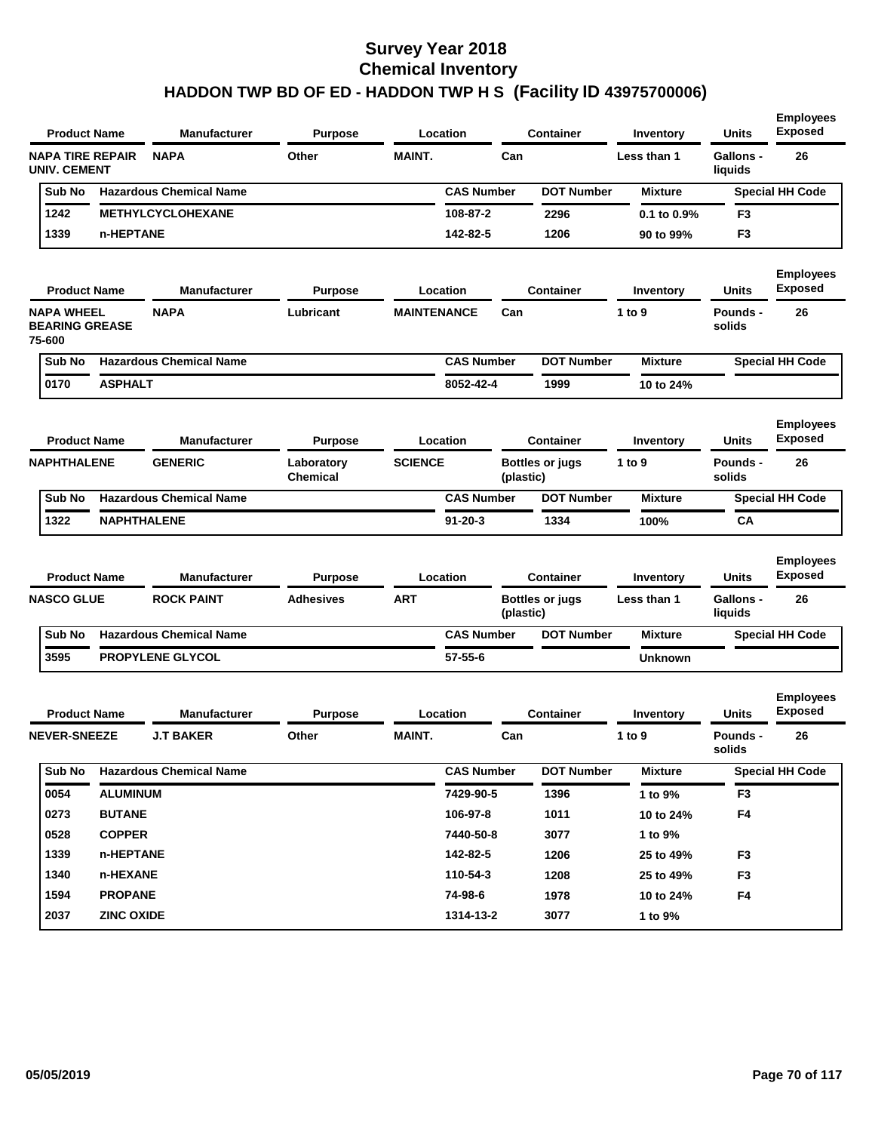| <b>Product Name</b>                                  |                   | Manufacturer                   | <b>Purpose</b>         |                    | Location          |           | <b>Container</b>       | Inventory        | <b>Units</b>                | <b>Employees</b><br><b>Exposed</b> |
|------------------------------------------------------|-------------------|--------------------------------|------------------------|--------------------|-------------------|-----------|------------------------|------------------|-----------------------------|------------------------------------|
| <b>NAPA TIRE REPAIR</b><br><b>UNIV. CEMENT</b>       |                   | <b>NAPA</b>                    | Other                  | <b>MAINT.</b>      |                   | Can       |                        | Less than 1      | <b>Gallons -</b><br>liquids | 26                                 |
| Sub No                                               |                   | <b>Hazardous Chemical Name</b> |                        |                    | <b>CAS Number</b> |           | <b>DOT Number</b>      | <b>Mixture</b>   |                             | <b>Special HH Code</b>             |
| 1242                                                 |                   | <b>METHYLCYCLOHEXANE</b>       |                        |                    | 108-87-2          |           | 2296                   | 0.1 to 0.9%      | F <sub>3</sub>              |                                    |
| 1339                                                 | n-HEPTANE         |                                |                        |                    | 142-82-5          |           | 1206                   | 90 to 99%        | F <sub>3</sub>              |                                    |
|                                                      |                   |                                |                        |                    |                   |           |                        |                  |                             | <b>Employees</b>                   |
| <b>Product Name</b>                                  |                   | <b>Manufacturer</b>            | <b>Purpose</b>         |                    | Location          |           | <b>Container</b>       | Inventory        | <b>Units</b>                | <b>Exposed</b>                     |
| <b>NAPA WHEEL</b><br><b>BEARING GREASE</b><br>75-600 |                   | <b>NAPA</b>                    | Lubricant              | <b>MAINTENANCE</b> |                   | Can       |                        | 1 to $9$         | Pounds -<br>solids          | 26                                 |
| Sub No                                               |                   | <b>Hazardous Chemical Name</b> |                        |                    | <b>CAS Number</b> |           | <b>DOT Number</b>      | <b>Mixture</b>   |                             | <b>Special HH Code</b>             |
| 0170                                                 | <b>ASPHALT</b>    |                                |                        |                    | 8052-42-4         |           | 1999                   | 10 to 24%        |                             |                                    |
|                                                      |                   |                                |                        |                    |                   |           |                        |                  |                             |                                    |
| <b>Product Name</b>                                  |                   | <b>Manufacturer</b>            | <b>Purpose</b>         |                    | Location          |           | Container              | <b>Inventory</b> | <b>Units</b>                | <b>Employees</b><br><b>Exposed</b> |
| <b>NAPHTHALENE</b>                                   |                   | <b>GENERIC</b>                 | Laboratory<br>Chemical | <b>SCIENCE</b>     |                   | (plastic) | <b>Bottles or jugs</b> | 1 to 9           | Pounds -<br>solids          | 26                                 |
| Sub No                                               |                   | <b>Hazardous Chemical Name</b> |                        |                    | <b>CAS Number</b> |           | <b>DOT Number</b>      | <b>Mixture</b>   |                             | <b>Special HH Code</b>             |
| 1322                                                 |                   | <b>NAPHTHALENE</b>             |                        |                    | $91 - 20 - 3$     |           | 1334                   | 100%             | CA                          |                                    |
|                                                      |                   |                                |                        |                    |                   |           |                        |                  |                             |                                    |
| <b>Product Name</b>                                  |                   | <b>Manufacturer</b>            | <b>Purpose</b>         |                    | Location          |           | <b>Container</b>       | Inventory        | <b>Units</b>                | <b>Employees</b><br><b>Exposed</b> |
| <b>NASCO GLUE</b>                                    |                   | <b>ROCK PAINT</b>              | <b>Adhesives</b>       | <b>ART</b>         |                   | (plastic) | <b>Bottles or jugs</b> | Less than 1      | <b>Gallons -</b><br>liquids | 26                                 |
| Sub No                                               |                   | <b>Hazardous Chemical Name</b> |                        |                    | <b>CAS Number</b> |           | <b>DOT Number</b>      | <b>Mixture</b>   |                             | <b>Special HH Code</b>             |
| 3595                                                 |                   | PROPYLENE GLYCOL               |                        |                    | $57 - 55 - 6$     |           |                        | <b>Unknown</b>   |                             |                                    |
|                                                      |                   |                                |                        |                    |                   |           |                        |                  |                             |                                    |
| <b>Product Name</b>                                  |                   | <b>Manufacturer</b>            | <b>Purpose</b>         |                    | Location          |           | <b>Container</b>       | Inventory        | <b>Units</b>                | <b>Employees</b><br><b>Exposed</b> |
| <b>NEVER-SNEEZE</b>                                  |                   | <b>J.T BAKER</b>               | Other                  | <b>MAINT.</b>      |                   | Can       |                        | 1 to 9           | Pounds -<br>solids          | 26                                 |
| Sub No                                               |                   | <b>Hazardous Chemical Name</b> |                        |                    | <b>CAS Number</b> |           | <b>DOT Number</b>      | <b>Mixture</b>   |                             | <b>Special HH Code</b>             |
| 0054                                                 | <b>ALUMINUM</b>   |                                |                        |                    | 7429-90-5         |           | 1396                   | 1 to 9%          | F <sub>3</sub>              |                                    |
| 0273                                                 | <b>BUTANE</b>     |                                |                        |                    | 106-97-8          |           | 1011                   | 10 to 24%        | F4                          |                                    |
| 0528                                                 | <b>COPPER</b>     |                                |                        |                    | 7440-50-8         |           | 3077                   | 1 to 9%          |                             |                                    |
| 1339                                                 | n-HEPTANE         |                                |                        |                    | 142-82-5          |           | 1206                   | 25 to 49%        | F <sub>3</sub>              |                                    |
| 1340                                                 | n-HEXANE          |                                |                        |                    | 110-54-3          |           | 1208                   | 25 to 49%        | F <sub>3</sub>              |                                    |
| 1594                                                 | <b>PROPANE</b>    |                                |                        |                    | 74-98-6           |           | 1978                   | 10 to 24%        | F4                          |                                    |
| 2037                                                 | <b>ZINC OXIDE</b> |                                |                        |                    | 1314-13-2         |           | 3077                   | 1 to 9%          |                             |                                    |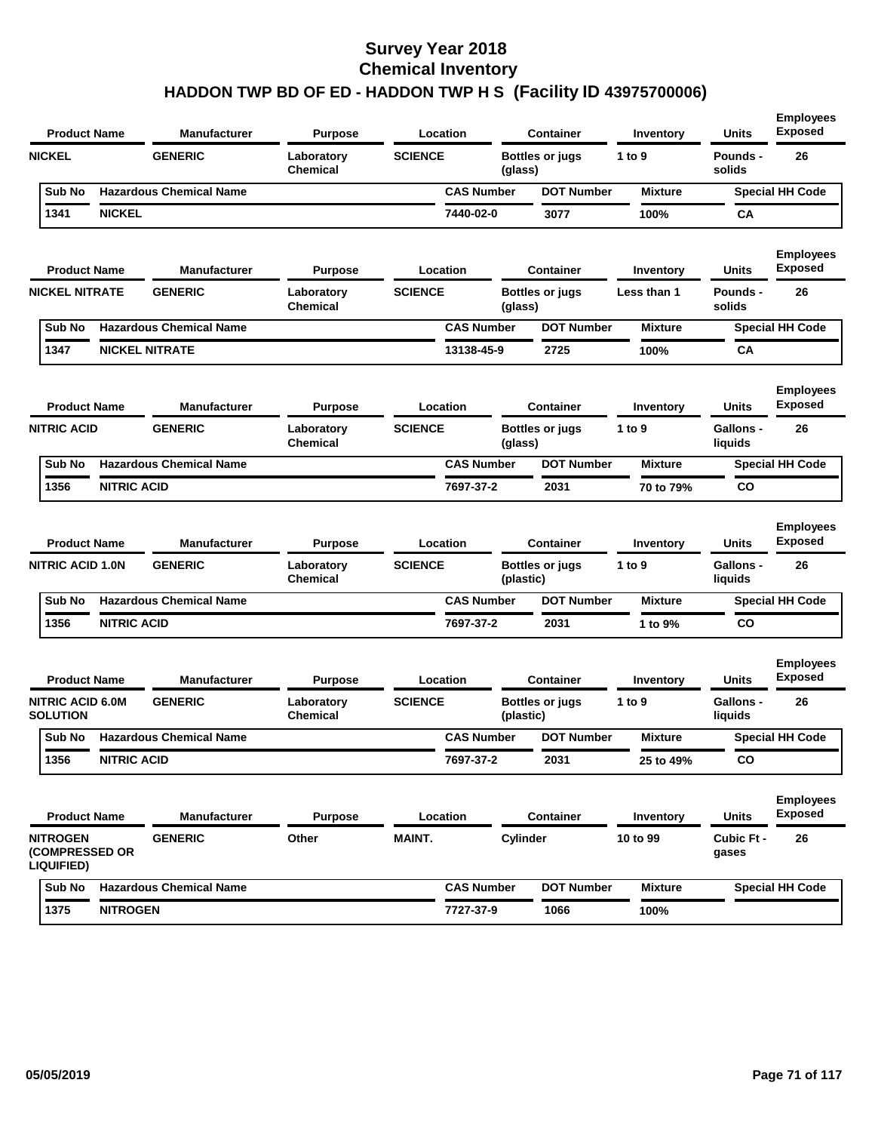| <b>Product Name</b>                                    |                    | Manufacturer                   | <b>Purpose</b>                | Location       |                   | <b>Container</b>                    | Inventory      | <b>Units</b>                | <b>Employees</b><br><b>Exposed</b> |
|--------------------------------------------------------|--------------------|--------------------------------|-------------------------------|----------------|-------------------|-------------------------------------|----------------|-----------------------------|------------------------------------|
| <b>NICKEL</b>                                          |                    | <b>GENERIC</b>                 | Laboratory<br><b>Chemical</b> | <b>SCIENCE</b> | (glass)           | <b>Bottles or jugs</b>              | 1 to 9         | Pounds -<br>solids          | 26                                 |
| Sub No                                                 |                    | <b>Hazardous Chemical Name</b> |                               |                | <b>CAS Number</b> | <b>DOT Number</b>                   | <b>Mixture</b> |                             | <b>Special HH Code</b>             |
| 1341                                                   | <b>NICKEL</b>      |                                |                               |                | 7440-02-0         | 3077                                | 100%           | СA                          |                                    |
| <b>Product Name</b>                                    |                    | <b>Manufacturer</b>            | <b>Purpose</b>                | Location       |                   | <b>Container</b>                    | Inventory      | Units                       | <b>Employees</b><br><b>Exposed</b> |
| <b>NICKEL NITRATE</b>                                  |                    | <b>GENERIC</b>                 | Laboratory<br><b>Chemical</b> | <b>SCIENCE</b> | (glass)           | <b>Bottles or jugs</b>              | Less than 1    | Pounds -<br>solids          | 26                                 |
| Sub No                                                 |                    | <b>Hazardous Chemical Name</b> |                               |                | <b>CAS Number</b> | <b>DOT Number</b>                   | <b>Mixture</b> |                             | <b>Special HH Code</b>             |
| 1347                                                   |                    | <b>NICKEL NITRATE</b>          |                               |                | 13138-45-9        | 2725                                | 100%           | СA                          |                                    |
| <b>Product Name</b>                                    |                    | <b>Manufacturer</b>            | <b>Purpose</b>                | Location       |                   | <b>Container</b>                    | Inventory      | Units                       | <b>Employees</b><br><b>Exposed</b> |
| <b>NITRIC ACID</b>                                     |                    | <b>GENERIC</b>                 | Laboratory<br><b>Chemical</b> | <b>SCIENCE</b> | (glass)           | <b>Bottles or jugs</b>              | 1 to $9$       | <b>Gallons -</b><br>liquids | 26                                 |
| Sub No                                                 |                    | <b>Hazardous Chemical Name</b> |                               |                | <b>CAS Number</b> | <b>DOT Number</b>                   | <b>Mixture</b> |                             | <b>Special HH Code</b>             |
| 1356                                                   | <b>NITRIC ACID</b> |                                |                               |                | 7697-37-2         | 2031                                | 70 to 79%      | CO                          |                                    |
| <b>Product Name</b>                                    |                    | <b>Manufacturer</b>            | <b>Purpose</b>                | Location       |                   | <b>Container</b>                    | Inventory      | Units                       | <b>Employees</b><br><b>Exposed</b> |
| <b>NITRIC ACID 1.0N</b>                                |                    | <b>GENERIC</b>                 | Laboratory<br>Chemical        | <b>SCIENCE</b> |                   | <b>Bottles or jugs</b><br>(plastic) | 1 to $9$       | <b>Gallons -</b><br>liquids | 26                                 |
| Sub No                                                 |                    | <b>Hazardous Chemical Name</b> |                               |                | <b>CAS Number</b> | <b>DOT Number</b>                   | <b>Mixture</b> |                             | <b>Special HH Code</b>             |
| 1356                                                   | <b>NITRIC ACID</b> |                                |                               |                | 7697-37-2         | 2031                                | 1 to 9%        | CO                          |                                    |
| <b>Product Name</b>                                    |                    | <b>Manufacturer</b>            | <b>Purpose</b>                | Location       |                   | <b>Container</b>                    | Inventory      | Units                       | <b>Employees</b><br><b>Exposed</b> |
| <b>NITRIC ACID 6.0M</b><br>SOLUTION                    |                    | <b>GENERIC</b>                 | Laboratory<br><b>Chemical</b> | <b>SCIENCE</b> |                   | <b>Bottles or jugs</b><br>(plastic) | 1 to 9         | Gallons -<br>liquids        | 26                                 |
| Sub No                                                 |                    | <b>Hazardous Chemical Name</b> |                               |                | <b>CAS Number</b> | <b>DOT Number</b>                   | <b>Mixture</b> |                             | <b>Special HH Code</b>             |
| 1356                                                   | <b>NITRIC ACID</b> |                                |                               |                | 7697-37-2         | 2031                                | 25 to 49%      | CO                          |                                    |
| <b>Product Name</b>                                    |                    | <b>Manufacturer</b>            | <b>Purpose</b>                | Location       |                   | <b>Container</b>                    | Inventory      | <b>Units</b>                | <b>Employees</b><br><b>Exposed</b> |
| <b>NITROGEN</b><br>(COMPRESSED OR<br><b>LIQUIFIED)</b> |                    | <b>GENERIC</b>                 | Other                         | MAINT.         |                   | Cylinder                            | 10 to 99       | Cubic Ft -<br>gases         | 26                                 |
| Sub No                                                 |                    | <b>Hazardous Chemical Name</b> |                               |                | <b>CAS Number</b> | <b>DOT Number</b>                   | <b>Mixture</b> |                             | <b>Special HH Code</b>             |
| 1375                                                   | <b>NITROGEN</b>    |                                |                               |                | 7727-37-9         | 1066                                | 100%           |                             |                                    |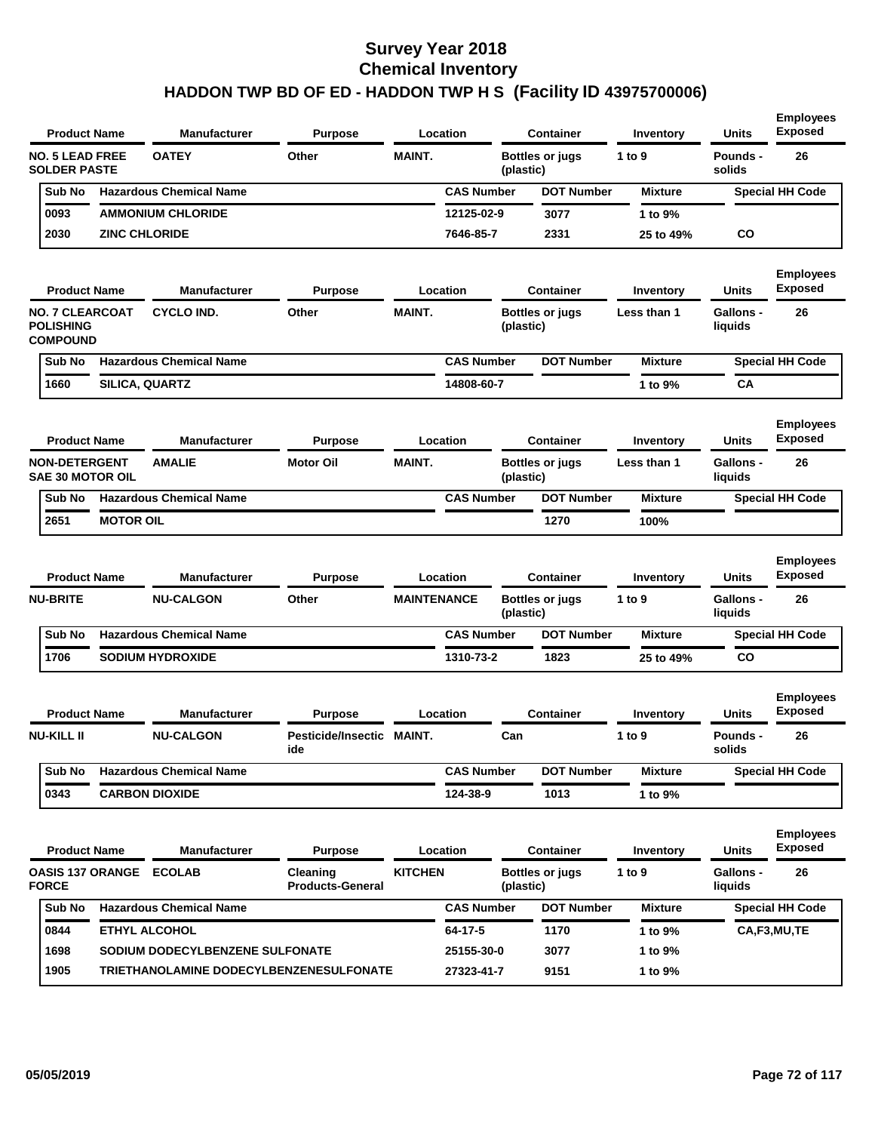| <b>Product Name</b>                                           |                      | <b>Manufacturer</b>                     | <b>Purpose</b>                      |                    | Location          |           | <b>Container</b>       | Inventory      | <b>Units</b>                | <b>Employees</b><br><b>Exposed</b> |
|---------------------------------------------------------------|----------------------|-----------------------------------------|-------------------------------------|--------------------|-------------------|-----------|------------------------|----------------|-----------------------------|------------------------------------|
| <b>NO. 5 LEAD FREE</b><br><b>SOLDER PASTE</b>                 |                      | <b>OATEY</b>                            | Other                               | <b>MAINT.</b>      |                   | (plastic) | <b>Bottles or jugs</b> | 1 to $9$       | Pounds -<br>solids          | 26                                 |
| Sub No                                                        |                      | <b>Hazardous Chemical Name</b>          |                                     |                    | <b>CAS Number</b> |           | <b>DOT Number</b>      | <b>Mixture</b> |                             | <b>Special HH Code</b>             |
| 0093                                                          |                      | <b>AMMONIUM CHLORIDE</b>                |                                     |                    | 12125-02-9        |           | 3077                   | 1 to 9%        |                             |                                    |
| 2030                                                          | <b>ZINC CHLORIDE</b> |                                         |                                     |                    | 7646-85-7         |           | 2331                   | 25 to 49%      | <b>CO</b>                   |                                    |
| <b>Product Name</b>                                           |                      | <b>Manufacturer</b>                     | <b>Purpose</b>                      |                    | Location          |           | <b>Container</b>       | Inventory      | <b>Units</b>                | <b>Employees</b><br><b>Exposed</b> |
| <b>NO. 7 CLEARCOAT</b><br><b>POLISHING</b><br><b>COMPOUND</b> |                      | <b>CYCLO IND.</b>                       | Other                               | <b>MAINT.</b>      |                   | (plastic) | <b>Bottles or jugs</b> | Less than 1    | Gallons -<br>liquids        | 26                                 |
| Sub No                                                        |                      | <b>Hazardous Chemical Name</b>          |                                     |                    | <b>CAS Number</b> |           | <b>DOT Number</b>      | <b>Mixture</b> |                             | <b>Special HH Code</b>             |
| 1660                                                          | SILICA, QUARTZ       |                                         |                                     |                    | 14808-60-7        |           |                        | 1 to 9%        | CA                          |                                    |
| <b>Product Name</b>                                           |                      | <b>Manufacturer</b>                     | <b>Purpose</b>                      |                    | Location          |           | <b>Container</b>       | Inventory      | Units                       | <b>Employees</b><br><b>Exposed</b> |
| <b>NON-DETERGENT</b><br><b>SAE 30 MOTOR OIL</b>               |                      | <b>AMALIE</b>                           | <b>Motor Oil</b>                    | <b>MAINT.</b>      |                   | (plastic) | <b>Bottles or jugs</b> | Less than 1    | <b>Gallons -</b><br>liquids | 26                                 |
| Sub No                                                        |                      | <b>Hazardous Chemical Name</b>          |                                     |                    | <b>CAS Number</b> |           | <b>DOT Number</b>      | <b>Mixture</b> |                             | <b>Special HH Code</b>             |
| 2651                                                          | <b>MOTOR OIL</b>     |                                         |                                     |                    |                   |           | 1270                   | 100%           |                             |                                    |
| <b>Product Name</b>                                           |                      | <b>Manufacturer</b>                     | <b>Purpose</b>                      |                    | Location          |           | <b>Container</b>       | Inventory      | <b>Units</b>                | <b>Employees</b><br><b>Exposed</b> |
| <b>NU-BRITE</b>                                               |                      | <b>NU-CALGON</b>                        | Other                               | <b>MAINTENANCE</b> |                   | (plastic) | <b>Bottles or jugs</b> | 1 to 9         | Gallons -<br>liquids        | 26                                 |
| Sub No                                                        |                      | <b>Hazardous Chemical Name</b>          |                                     |                    | <b>CAS Number</b> |           | <b>DOT Number</b>      | <b>Mixture</b> |                             | <b>Special HH Code</b>             |
| 1706                                                          |                      | <b>SODIUM HYDROXIDE</b>                 |                                     |                    | 1310-73-2         |           | 1823                   | 25 to 49%      | CO                          |                                    |
| <b>Product Name</b>                                           |                      | <b>Manufacturer</b>                     | <b>Purpose</b>                      |                    | Location          |           | <b>Container</b>       | Inventory      | Units                       | <b>Employees</b><br><b>Exposed</b> |
| <b>NU-KILL II</b>                                             |                      | <b>NU-CALGON</b>                        | Pesticide/Insectic MAINT.<br>ide    |                    |                   | Can       |                        | 1 to 9         | Pounds -<br>solids          | 26                                 |
| Sub No                                                        |                      | <b>Hazardous Chemical Name</b>          |                                     |                    | <b>CAS Number</b> |           | <b>DOT Number</b>      | <b>Mixture</b> |                             | <b>Special HH Code</b>             |
| 0343                                                          |                      | <b>CARBON DIOXIDE</b>                   |                                     |                    | 124-38-9          |           | 1013                   | 1 to 9%        |                             |                                    |
| <b>Product Name</b>                                           |                      | <b>Manufacturer</b>                     | <b>Purpose</b>                      |                    | Location          |           | <b>Container</b>       | Inventory      | Units                       | <b>Employees</b><br><b>Exposed</b> |
| <b>OASIS 137 ORANGE ECOLAB</b><br><b>FORCE</b>                |                      |                                         | Cleaning<br><b>Products-General</b> | <b>KITCHEN</b>     |                   | (plastic) | <b>Bottles or jugs</b> | 1 to 9         | Gallons -<br>liquids        | 26                                 |
| Sub No                                                        |                      | <b>Hazardous Chemical Name</b>          |                                     |                    | <b>CAS Number</b> |           | <b>DOT Number</b>      | <b>Mixture</b> |                             | <b>Special HH Code</b>             |
| 0844                                                          | ETHYL ALCOHOL        |                                         |                                     |                    | 64-17-5           |           | 1170                   | 1 to 9%        |                             | CA,F3,MU,TE                        |
| 1698                                                          |                      | SODIUM DODECYLBENZENE SULFONATE         |                                     |                    | 25155-30-0        |           | 3077                   | 1 to 9%        |                             |                                    |
| 1905                                                          |                      | TRIETHANOLAMINE DODECYLBENZENESULFONATE |                                     |                    | 27323-41-7        |           | 9151                   | 1 to 9%        |                             |                                    |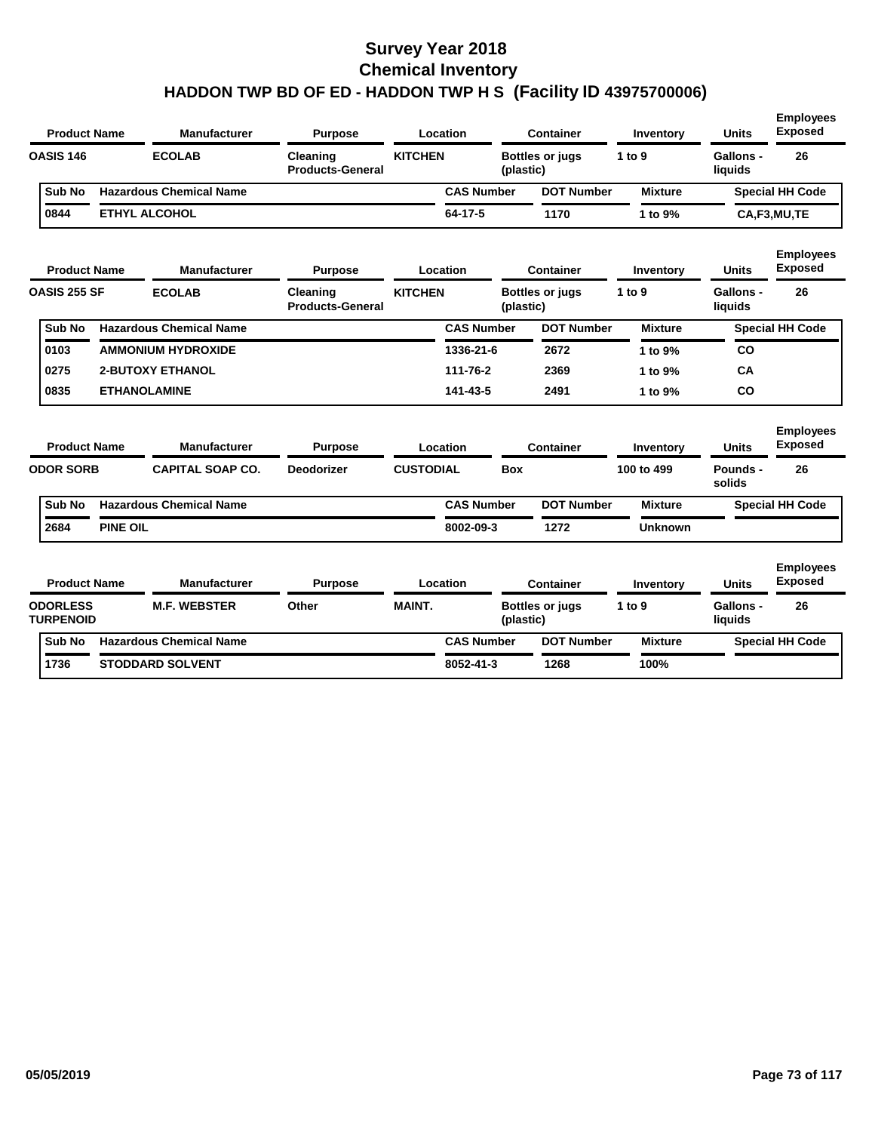| <b>Product Name</b>                 |                 | <b>Manufacturer</b>            | <b>Purpose</b>                      |                  | Location          |            | <b>Container</b>       | Inventory      | <b>Units</b>         | <b>Employees</b><br><b>Exposed</b> |
|-------------------------------------|-----------------|--------------------------------|-------------------------------------|------------------|-------------------|------------|------------------------|----------------|----------------------|------------------------------------|
| <b>OASIS 146</b>                    |                 | <b>ECOLAB</b>                  | Cleaning<br><b>Products-General</b> | <b>KITCHEN</b>   |                   | (plastic)  | <b>Bottles or jugs</b> | 1 to 9         | Gallons -<br>liquids | 26                                 |
| Sub No                              |                 | <b>Hazardous Chemical Name</b> |                                     |                  | <b>CAS Number</b> |            | <b>DOT Number</b>      | <b>Mixture</b> |                      | <b>Special HH Code</b>             |
| 0844                                |                 | ETHYL ALCOHOL                  |                                     |                  | 64-17-5           |            | 1170                   | 1 to 9%        |                      | CA,F3,MU,TE                        |
| <b>Product Name</b>                 |                 | <b>Manufacturer</b>            | <b>Purpose</b>                      |                  | Location          |            | <b>Container</b>       | Inventory      | <b>Units</b>         | <b>Employees</b><br><b>Exposed</b> |
| OASIS 255 SF                        |                 | <b>ECOLAB</b>                  | Cleaning<br><b>Products-General</b> | <b>KITCHEN</b>   |                   | (plastic)  | <b>Bottles or jugs</b> | 1 to 9         | Gallons -<br>liquids | 26                                 |
| Sub No                              |                 | <b>Hazardous Chemical Name</b> |                                     |                  | <b>CAS Number</b> |            | <b>DOT Number</b>      | <b>Mixture</b> |                      | <b>Special HH Code</b>             |
| 0103                                |                 | <b>AMMONIUM HYDROXIDE</b>      |                                     |                  | 1336-21-6         |            | 2672                   | 1 to 9%        | CO                   |                                    |
| 0275                                |                 | <b>2-BUTOXY ETHANOL</b>        |                                     |                  | 111-76-2          |            | 2369                   | 1 to 9%        | <b>CA</b>            |                                    |
| 0835                                |                 | <b>ETHANOLAMINE</b>            |                                     |                  | 141-43-5          |            | 2491                   | 1 to 9%        | <b>CO</b>            |                                    |
| <b>Product Name</b>                 |                 | <b>Manufacturer</b>            | <b>Purpose</b>                      |                  | Location          |            | <b>Container</b>       | Inventory      | <b>Units</b>         | <b>Employees</b><br><b>Exposed</b> |
| <b>ODOR SORB</b>                    |                 | <b>CAPITAL SOAP CO.</b>        | <b>Deodorizer</b>                   | <b>CUSTODIAL</b> |                   | <b>Box</b> |                        | 100 to 499     | Pounds -<br>solids   | 26                                 |
| Sub No                              |                 | <b>Hazardous Chemical Name</b> |                                     |                  | <b>CAS Number</b> |            | <b>DOT Number</b>      | <b>Mixture</b> |                      | <b>Special HH Code</b>             |
| 2684                                | <b>PINE OIL</b> |                                |                                     |                  | 8002-09-3         |            | 1272                   | <b>Unknown</b> |                      |                                    |
| <b>Product Name</b>                 |                 | <b>Manufacturer</b>            | <b>Purpose</b>                      |                  | Location          |            | <b>Container</b>       | Inventory      | Units                | <b>Employees</b><br><b>Exposed</b> |
| <b>ODORLESS</b><br><b>TURPENOID</b> |                 | <b>M.F. WEBSTER</b>            | Other                               | <b>MAINT.</b>    |                   | (plastic)  | <b>Bottles or jugs</b> | 1 to 9         | Gallons -<br>liquids | 26                                 |
| <b>Sub No</b>                       |                 | <b>Hazardous Chemical Name</b> |                                     |                  | <b>CAS Number</b> |            | <b>DOT Number</b>      | <b>Mixture</b> |                      | <b>Special HH Code</b>             |
| 1736                                |                 | <b>STODDARD SOLVENT</b>        |                                     |                  | 8052-41-3         |            | 1268                   | 100%           |                      |                                    |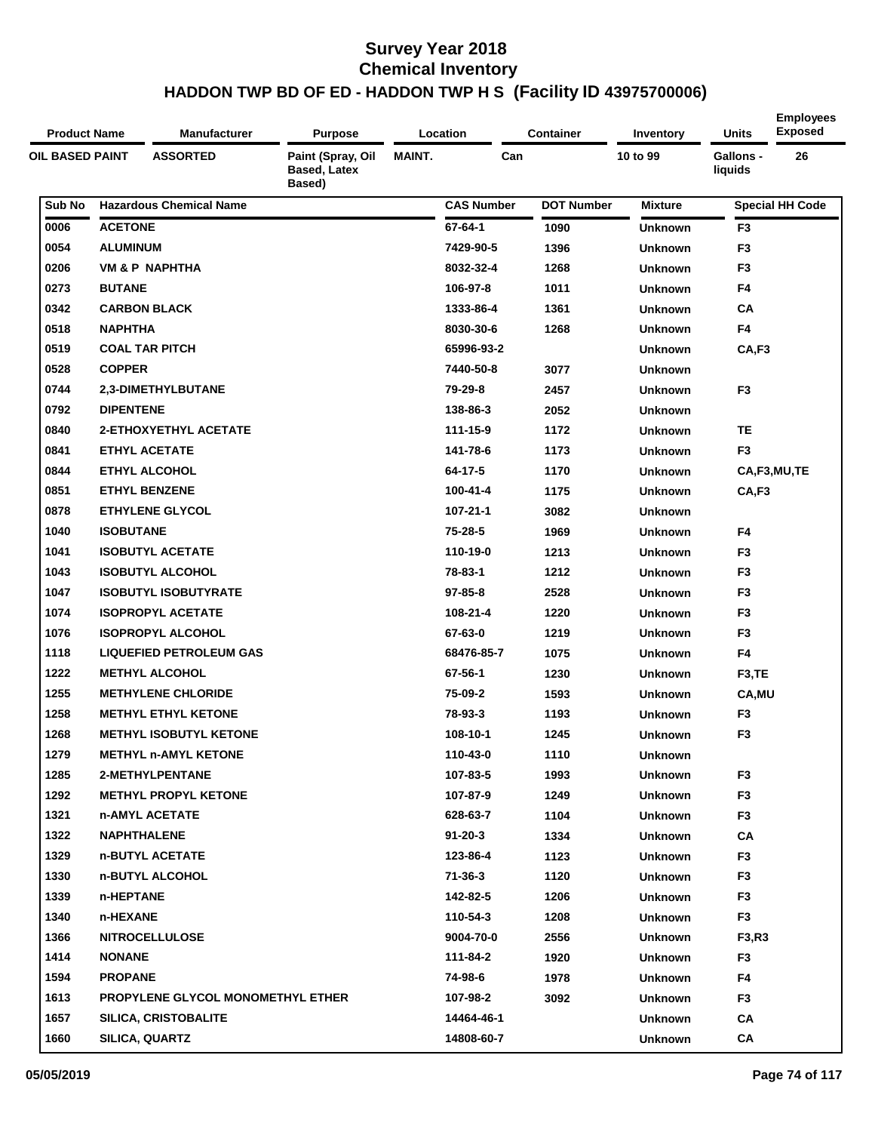| <b>Product Name</b> | <b>Manufacturer</b>               | <b>Purpose</b>                                     |               | Location          | <b>Container</b>  | Inventory      | Units                | <b>Employees</b><br><b>Exposed</b> |
|---------------------|-----------------------------------|----------------------------------------------------|---------------|-------------------|-------------------|----------------|----------------------|------------------------------------|
| OIL BASED PAINT     | <b>ASSORTED</b>                   | Paint (Spray, Oil<br><b>Based, Latex</b><br>Based) | <b>MAINT.</b> | Can               |                   | 10 to 99       | Gallons -<br>liquids | 26                                 |
| Sub No              | <b>Hazardous Chemical Name</b>    |                                                    |               | <b>CAS Number</b> | <b>DOT Number</b> | <b>Mixture</b> |                      | <b>Special HH Code</b>             |
| 0006                | <b>ACETONE</b>                    |                                                    |               | 67-64-1           | 1090              | <b>Unknown</b> | F <sub>3</sub>       |                                    |
| 0054                | <b>ALUMINUM</b>                   |                                                    |               | 7429-90-5         | 1396              | <b>Unknown</b> | F <sub>3</sub>       |                                    |
| 0206                | <b>VM &amp; P NAPHTHA</b>         |                                                    |               | 8032-32-4         | 1268              | <b>Unknown</b> | F <sub>3</sub>       |                                    |
| 0273                | <b>BUTANE</b>                     |                                                    |               | 106-97-8          | 1011              | <b>Unknown</b> | F4                   |                                    |
| 0342                | <b>CARBON BLACK</b>               |                                                    |               | 1333-86-4         | 1361              | <b>Unknown</b> | CA                   |                                    |
| 0518                | <b>NAPHTHA</b>                    |                                                    |               | 8030-30-6         | 1268              | <b>Unknown</b> | F4                   |                                    |
| 0519                | <b>COAL TAR PITCH</b>             |                                                    |               | 65996-93-2        |                   | <b>Unknown</b> | CA,F3                |                                    |
| 0528                | <b>COPPER</b>                     |                                                    |               | 7440-50-8         | 3077              | <b>Unknown</b> |                      |                                    |
| 0744                | 2,3-DIMETHYLBUTANE                |                                                    |               | 79-29-8           | 2457              | <b>Unknown</b> | F <sub>3</sub>       |                                    |
| 0792                | <b>DIPENTENE</b>                  |                                                    |               | 138-86-3          | 2052              | <b>Unknown</b> |                      |                                    |
| 0840                | <b>2-ETHOXYETHYL ACETATE</b>      |                                                    |               | 111-15-9          | 1172              | <b>Unknown</b> | <b>TE</b>            |                                    |
| 0841                | <b>ETHYL ACETATE</b>              |                                                    |               | 141-78-6          | 1173              | <b>Unknown</b> | F <sub>3</sub>       |                                    |
| 0844                | <b>ETHYL ALCOHOL</b>              |                                                    |               | 64-17-5           | 1170              | <b>Unknown</b> |                      | CA,F3,MU,TE                        |
| 0851                | <b>ETHYL BENZENE</b>              |                                                    |               | 100-41-4          | 1175              | <b>Unknown</b> | CA,F3                |                                    |
| 0878                | <b>ETHYLENE GLYCOL</b>            |                                                    |               | 107-21-1          | 3082              | <b>Unknown</b> |                      |                                    |
| 1040                | <b>ISOBUTANE</b>                  |                                                    |               | 75-28-5           | 1969              | <b>Unknown</b> | F4                   |                                    |
| 1041                | <b>ISOBUTYL ACETATE</b>           |                                                    |               | 110-19-0          | 1213              | <b>Unknown</b> | F <sub>3</sub>       |                                    |
| 1043                | <b>ISOBUTYL ALCOHOL</b>           |                                                    |               | 78-83-1           | 1212              | <b>Unknown</b> | F <sub>3</sub>       |                                    |
| 1047                | <b>ISOBUTYL ISOBUTYRATE</b>       |                                                    |               | $97 - 85 - 8$     | 2528              | <b>Unknown</b> | F <sub>3</sub>       |                                    |
| 1074                | <b>ISOPROPYL ACETATE</b>          |                                                    |               | 108-21-4          | 1220              | <b>Unknown</b> | F <sub>3</sub>       |                                    |
| 1076                | <b>ISOPROPYL ALCOHOL</b>          |                                                    |               | 67-63-0           | 1219              | <b>Unknown</b> | F <sub>3</sub>       |                                    |
| 1118                | <b>LIQUEFIED PETROLEUM GAS</b>    |                                                    |               | 68476-85-7        | 1075              | <b>Unknown</b> | F4                   |                                    |
| 1222                | <b>METHYL ALCOHOL</b>             |                                                    |               | 67-56-1           | 1230              | <b>Unknown</b> | F <sub>3</sub> ,TE   |                                    |
| 1255                | <b>METHYLENE CHLORIDE</b>         |                                                    |               | 75-09-2           | 1593              | <b>Unknown</b> | CA, MU               |                                    |
| 1258                | <b>METHYL ETHYL KETONE</b>        |                                                    |               | 78-93-3           | 1193              | <b>Unknown</b> | F <sub>3</sub>       |                                    |
| 1268                | <b>METHYL ISOBUTYL KETONE</b>     |                                                    |               | 108-10-1          | 1245              | <b>Unknown</b> | F <sub>3</sub>       |                                    |
| 1279                | <b>METHYL n-AMYL KETONE</b>       |                                                    |               | 110-43-0          | 1110              | <b>Unknown</b> |                      |                                    |
| 1285                | 2-METHYLPENTANE                   |                                                    |               | 107-83-5          | 1993              | <b>Unknown</b> | F <sub>3</sub>       |                                    |
| 1292                | <b>METHYL PROPYL KETONE</b>       |                                                    |               | 107-87-9          | 1249              | <b>Unknown</b> | F <sub>3</sub>       |                                    |
| 1321                | n-AMYL ACETATE                    |                                                    |               | 628-63-7          | 1104              | <b>Unknown</b> | F <sub>3</sub>       |                                    |
| 1322                | <b>NAPHTHALENE</b>                |                                                    |               | $91 - 20 - 3$     | 1334              | <b>Unknown</b> | CA                   |                                    |
| 1329                | n-BUTYL ACETATE                   |                                                    |               | 123-86-4          | 1123              | <b>Unknown</b> | F <sub>3</sub>       |                                    |
| 1330                | n-BUTYL ALCOHOL                   |                                                    |               | 71-36-3           | 1120              | <b>Unknown</b> | F3                   |                                    |
| 1339                | n-HEPTANE                         |                                                    |               | 142-82-5          | 1206              | <b>Unknown</b> | F <sub>3</sub>       |                                    |
| 1340                | n-HEXANE                          |                                                    |               | 110-54-3          | 1208              | <b>Unknown</b> | F <sub>3</sub>       |                                    |
| 1366                | <b>NITROCELLULOSE</b>             |                                                    |               | 9004-70-0         | 2556              | <b>Unknown</b> | F3,R3                |                                    |
| 1414                | <b>NONANE</b>                     |                                                    |               | 111-84-2          | 1920              | <b>Unknown</b> | F <sub>3</sub>       |                                    |
| 1594                | <b>PROPANE</b>                    |                                                    |               | 74-98-6           | 1978              | <b>Unknown</b> | F4                   |                                    |
| 1613                | PROPYLENE GLYCOL MONOMETHYL ETHER |                                                    |               | 107-98-2          | 3092              | <b>Unknown</b> | F <sub>3</sub>       |                                    |
| 1657                | <b>SILICA, CRISTOBALITE</b>       |                                                    |               | 14464-46-1        |                   | <b>Unknown</b> | CA                   |                                    |
| 1660                | SILICA, QUARTZ                    |                                                    |               | 14808-60-7        |                   | <b>Unknown</b> | CA                   |                                    |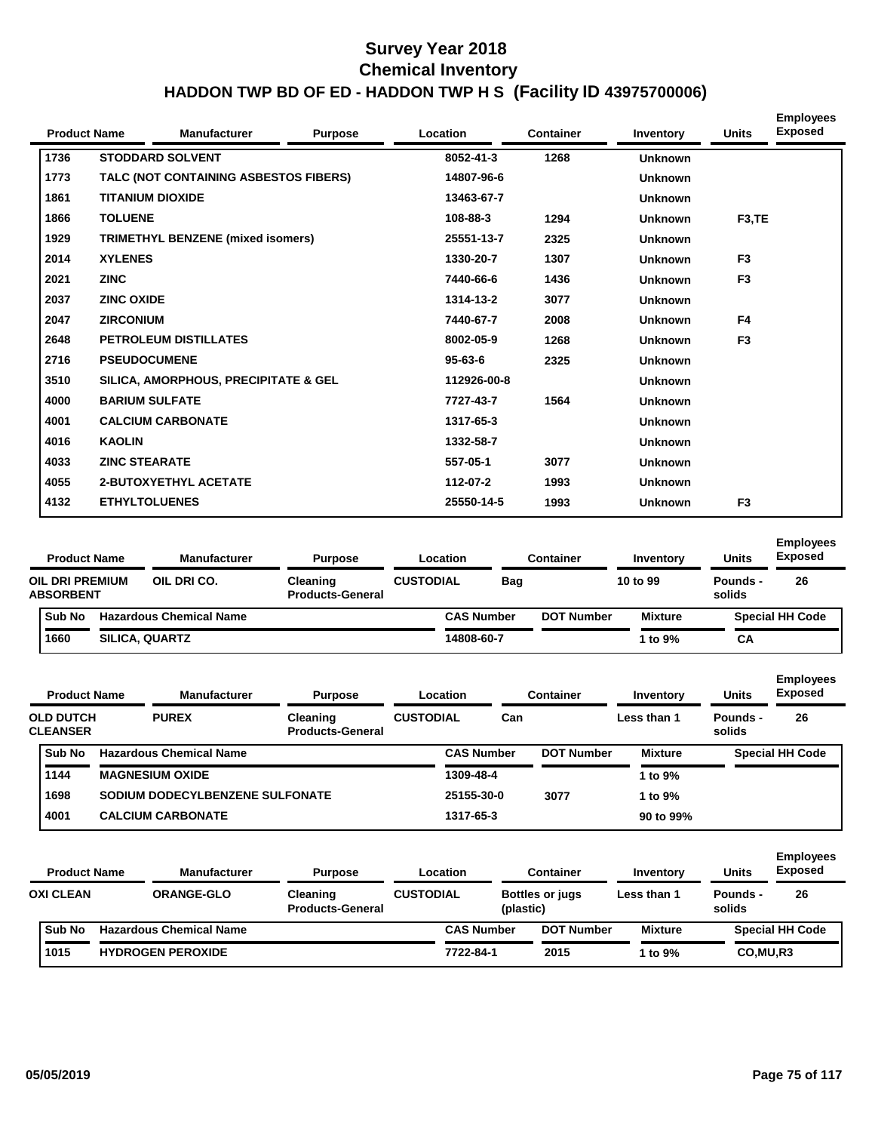| <b>Product Name</b> |                       | <b>Manufacturer</b>                   | <b>Purpose</b> | Location      | <b>Container</b> | Inventory      | <b>Units</b>       | <b>Employees</b><br><b>Exposed</b> |
|---------------------|-----------------------|---------------------------------------|----------------|---------------|------------------|----------------|--------------------|------------------------------------|
| 1736                |                       | <b>STODDARD SOLVENT</b>               |                | 8052-41-3     | 1268             | <b>Unknown</b> |                    |                                    |
| 1773                |                       | TALC (NOT CONTAINING ASBESTOS FIBERS) |                | 14807-96-6    |                  | <b>Unknown</b> |                    |                                    |
| 1861                |                       | <b>TITANIUM DIOXIDE</b>               |                | 13463-67-7    |                  | <b>Unknown</b> |                    |                                    |
| 1866                | <b>TOLUENE</b>        |                                       |                | 108-88-3      | 1294             | <b>Unknown</b> | F <sub>3</sub> ,TE |                                    |
| 1929                |                       | TRIMETHYL BENZENE (mixed isomers)     |                | 25551-13-7    | 2325             | <b>Unknown</b> |                    |                                    |
| 2014                | <b>XYLENES</b>        |                                       |                | 1330-20-7     | 1307             | <b>Unknown</b> | F <sub>3</sub>     |                                    |
| 2021                | <b>ZINC</b>           |                                       |                | 7440-66-6     | 1436             | <b>Unknown</b> | F <sub>3</sub>     |                                    |
| 2037                | <b>ZINC OXIDE</b>     |                                       |                | 1314-13-2     | 3077             | <b>Unknown</b> |                    |                                    |
| 2047                | <b>ZIRCONIUM</b>      |                                       |                | 7440-67-7     | 2008             | <b>Unknown</b> | F4                 |                                    |
| 2648                |                       | <b>PETROLEUM DISTILLATES</b>          |                | 8002-05-9     | 1268             | <b>Unknown</b> | F <sub>3</sub>     |                                    |
| 2716                | <b>PSEUDOCUMENE</b>   |                                       |                | $95 - 63 - 6$ | 2325             | <b>Unknown</b> |                    |                                    |
| 3510                |                       | SILICA, AMORPHOUS, PRECIPITATE & GEL  |                | 112926-00-8   |                  | <b>Unknown</b> |                    |                                    |
| 4000                | <b>BARIUM SULFATE</b> |                                       |                | 7727-43-7     | 1564             | <b>Unknown</b> |                    |                                    |
| 4001                |                       | <b>CALCIUM CARBONATE</b>              |                | 1317-65-3     |                  | <b>Unknown</b> |                    |                                    |
| 4016                | <b>KAOLIN</b>         |                                       |                | 1332-58-7     |                  | <b>Unknown</b> |                    |                                    |
| 4033                | <b>ZINC STEARATE</b>  |                                       |                | 557-05-1      | 3077             | <b>Unknown</b> |                    |                                    |
| 4055                |                       | <b>2-BUTOXYETHYL ACETATE</b>          |                | 112-07-2      | 1993             | <b>Unknown</b> |                    |                                    |
| 4132                | <b>ETHYLTOLUENES</b>  |                                       |                | 25550-14-5    | 1993             | <b>Unknown</b> | F <sub>3</sub>     |                                    |

| <b>Product Name</b>                        |                       | <b>Manufacturer</b>            | <b>Purpose</b>                             |                  | Location          |     | <b>Container</b>  | Inventory      | <b>Units</b>       | <b>Employees</b><br><b>Exposed</b> |
|--------------------------------------------|-----------------------|--------------------------------|--------------------------------------------|------------------|-------------------|-----|-------------------|----------------|--------------------|------------------------------------|
| <b>OIL DRI PREMIUM</b><br><b>ABSORBENT</b> |                       | OIL DRI CO.                    | <b>Cleaning</b><br><b>Products-General</b> | <b>CUSTODIAL</b> |                   | Bag |                   | 10 to 99       | Pounds -<br>solids | 26                                 |
| <b>Sub No</b>                              |                       | <b>Hazardous Chemical Name</b> |                                            |                  | <b>CAS Number</b> |     | <b>DOT Number</b> | <b>Mixture</b> |                    | <b>Special HH Code</b>             |
| 1660                                       | <b>SILICA, QUARTZ</b> |                                |                                            |                  | 14808-60-7        |     |                   | ∣ to 9%        | CA                 |                                    |

| <b>Product Name</b>                 | <b>Manufacturer</b>             | <b>Purpose</b>                      |                  | Location          |     | <b>Container</b>  | Inventory      | <b>Units</b>       | <b>Employees</b><br><b>Exposed</b> |
|-------------------------------------|---------------------------------|-------------------------------------|------------------|-------------------|-----|-------------------|----------------|--------------------|------------------------------------|
| <b>OLD DUTCH</b><br><b>CLEANSER</b> | <b>PUREX</b>                    | Cleaning<br><b>Products-General</b> | <b>CUSTODIAL</b> |                   | Can |                   | Less than 1    | Pounds -<br>solids | 26                                 |
| Sub No                              | <b>Hazardous Chemical Name</b>  |                                     |                  | <b>CAS Number</b> |     | <b>DOT Number</b> | <b>Mixture</b> |                    | <b>Special HH Code</b>             |
| 1144                                | <b>MAGNESIUM OXIDE</b>          |                                     |                  | 1309-48-4         |     |                   | 1 to 9%        |                    |                                    |
| 1698                                | SODIUM DODECYLBENZENE SULFONATE |                                     |                  | 25155-30-0        |     | 3077              | 1 to 9%        |                    |                                    |
| 4001                                | <b>CALCIUM CARBONATE</b>        |                                     |                  | 1317-65-3         |     |                   | 90 to 99%      |                    |                                    |
|                                     |                                 |                                     |                  |                   |     |                   |                |                    |                                    |

| <b>Product Name</b> |  | <b>Manufacturer</b>            | <b>Purpose</b>                             |                  | Location          |           | <b>Container</b>       | Inventory        | <b>Units</b>       | <b>Employees</b><br><b>Exposed</b> |
|---------------------|--|--------------------------------|--------------------------------------------|------------------|-------------------|-----------|------------------------|------------------|--------------------|------------------------------------|
| <b>OXI CLEAN</b>    |  | ORANGE-GLO                     | <b>Cleaning</b><br><b>Products-General</b> | <b>CUSTODIAL</b> |                   | (plastic) | <b>Bottles or jugs</b> | Less than 1      | Pounds -<br>solids | 26                                 |
| <b>Sub No</b>       |  | <b>Hazardous Chemical Name</b> |                                            |                  | <b>CAS Number</b> |           | <b>DOT Number</b>      | <b>Mixture</b>   |                    | <b>Special HH Code</b>             |
| 1015                |  | <b>HYDROGEN PEROXIDE</b>       |                                            |                  | 7722-84-1         |           | 2015                   | $^{\circ}$ to 9% | CO, MU, R3         |                                    |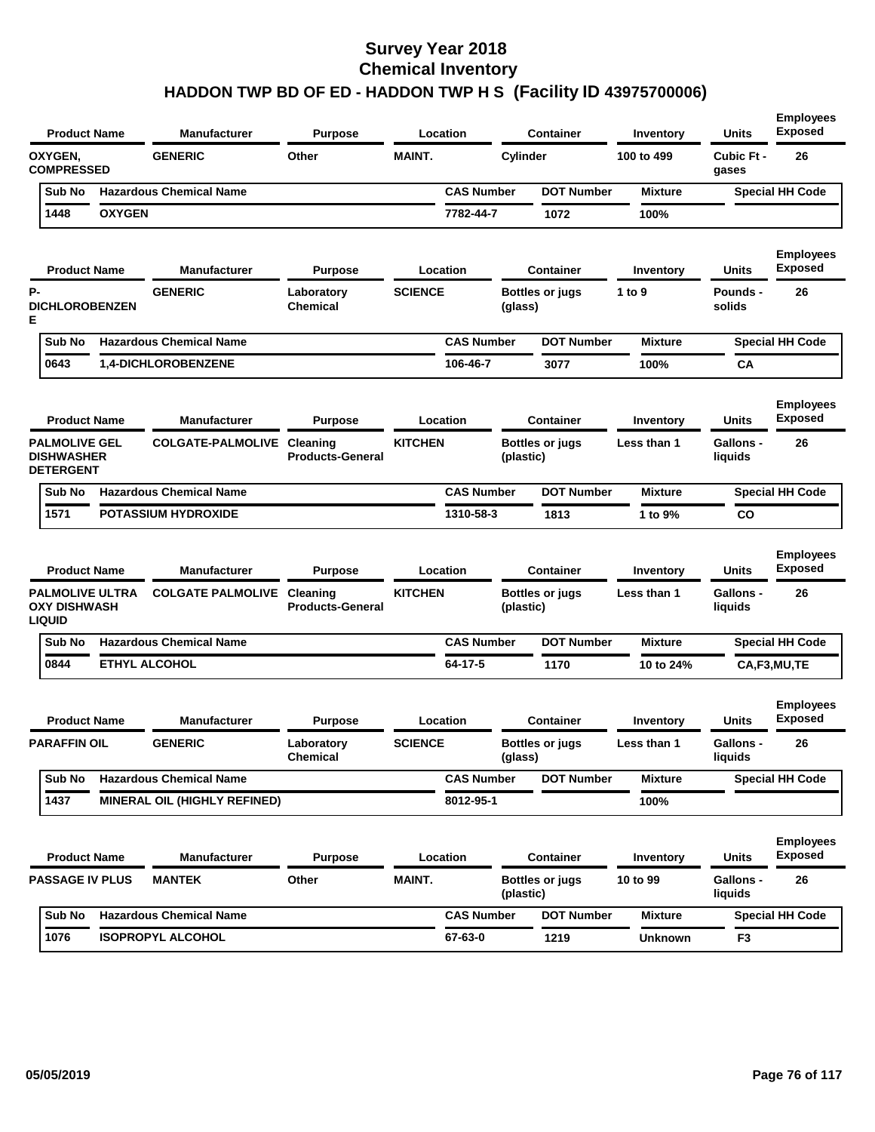| <b>Product Name</b>                                            |               | <b>Manufacturer</b>            | <b>Purpose</b>                      | Location       |                   | <b>Container</b>                    | Inventory      | <b>Units</b>                | <b>Employees</b><br><b>Exposed</b> |
|----------------------------------------------------------------|---------------|--------------------------------|-------------------------------------|----------------|-------------------|-------------------------------------|----------------|-----------------------------|------------------------------------|
| OXYGEN,<br><b>COMPRESSED</b>                                   |               | <b>GENERIC</b>                 | Other                               | <b>MAINT.</b>  |                   | Cylinder                            | 100 to 499     | Cubic Ft -<br>gases         | 26                                 |
| Sub No                                                         |               | <b>Hazardous Chemical Name</b> |                                     |                | <b>CAS Number</b> | <b>DOT Number</b>                   | <b>Mixture</b> |                             | <b>Special HH Code</b>             |
| 1448                                                           | <b>OXYGEN</b> |                                |                                     |                | 7782-44-7         | 1072                                | 100%           |                             |                                    |
| <b>Product Name</b>                                            |               | <b>Manufacturer</b>            | <b>Purpose</b>                      | Location       |                   | <b>Container</b>                    | Inventory      | Units                       | <b>Employees</b><br><b>Exposed</b> |
| Р-<br><b>DICHLOROBENZEN</b><br>Е                               |               | <b>GENERIC</b>                 | Laboratory<br><b>Chemical</b>       | <b>SCIENCE</b> |                   | <b>Bottles or jugs</b><br>(glass)   | 1 to 9         | Pounds -<br>solids          | 26                                 |
| Sub No                                                         |               | <b>Hazardous Chemical Name</b> |                                     |                | <b>CAS Number</b> | <b>DOT Number</b>                   | <b>Mixture</b> |                             | <b>Special HH Code</b>             |
| 0643                                                           |               | 1,4-DICHLOROBENZENE            |                                     |                | 106-46-7          | 3077                                | 100%           | CА                          |                                    |
| <b>Product Name</b>                                            |               | <b>Manufacturer</b>            | <b>Purpose</b>                      | Location       |                   | <b>Container</b>                    | Inventory      | <b>Units</b>                | <b>Employees</b><br><b>Exposed</b> |
| <b>PALMOLIVE GEL</b><br><b>DISHWASHER</b><br><b>DETERGENT</b>  |               | <b>COLGATE-PALMOLIVE</b>       | Cleaning<br><b>Products-General</b> | <b>KITCHEN</b> |                   | Bottles or jugs<br>(plastic)        | Less than 1    | Gallons -<br>liquids        | 26                                 |
| Sub No                                                         |               | <b>Hazardous Chemical Name</b> |                                     |                | <b>CAS Number</b> | <b>DOT Number</b>                   | <b>Mixture</b> |                             | <b>Special HH Code</b>             |
| 1571                                                           |               | <b>POTASSIUM HYDROXIDE</b>     |                                     |                | 1310-58-3         | 1813                                | 1 to 9%        | CO                          |                                    |
| <b>Product Name</b>                                            |               | <b>Manufacturer</b>            | <b>Purpose</b>                      | Location       |                   | <b>Container</b>                    | Inventory      | <b>Units</b>                | <b>Employees</b><br><b>Exposed</b> |
| <b>PALMOLIVE ULTRA</b><br><b>OXY DISHWASH</b><br><b>LIQUID</b> |               | <b>COLGATE PALMOLIVE</b>       | Cleaning<br><b>Products-General</b> | <b>KITCHEN</b> |                   | Bottles or jugs<br>(plastic)        | Less than 1    | <b>Gallons -</b><br>liquids | 26                                 |
| Sub No                                                         |               | <b>Hazardous Chemical Name</b> |                                     |                | <b>CAS Number</b> | <b>DOT Number</b>                   | <b>Mixture</b> |                             | <b>Special HH Code</b>             |
| 0844                                                           |               | <b>ETHYL ALCOHOL</b>           |                                     |                | 64-17-5           | 1170                                | 10 to 24%      |                             | CA,F3,MU,TE                        |
| <b>Product Name</b>                                            |               | <b>Manufacturer</b>            | <b>Purpose</b>                      | Location       |                   | <b>Container</b>                    | Inventory      | <b>Units</b>                | <b>Employees</b><br><b>Exposed</b> |
| <b>PARAFFIN OIL</b>                                            |               | <b>GENERIC</b>                 | Laboratory<br>Chemical              | <b>SCIENCE</b> |                   | Bottles or jugs<br>(glass)          | Less than 1    | <b>Gallons -</b><br>liquids | 26                                 |
| Sub No                                                         |               | <b>Hazardous Chemical Name</b> |                                     |                | <b>CAS Number</b> | <b>DOT Number</b>                   | <b>Mixture</b> |                             | <b>Special HH Code</b>             |
|                                                                |               |                                |                                     |                |                   |                                     |                |                             |                                    |
| 1437                                                           |               | MINERAL OIL (HIGHLY REFINED)   |                                     |                | 8012-95-1         |                                     | 100%           |                             |                                    |
| <b>Product Name</b>                                            |               | <b>Manufacturer</b>            | <b>Purpose</b>                      | Location       |                   | <b>Container</b>                    | Inventory      | Units                       | <b>Employees</b><br><b>Exposed</b> |
| <b>PASSAGE IV PLUS</b>                                         |               | <b>MANTEK</b>                  | Other                               | <b>MAINT.</b>  |                   | <b>Bottles or jugs</b><br>(plastic) | 10 to 99       | Gallons -<br>liquids        | 26                                 |
| Sub No                                                         |               | <b>Hazardous Chemical Name</b> |                                     |                | <b>CAS Number</b> | <b>DOT Number</b>                   | <b>Mixture</b> |                             | <b>Special HH Code</b>             |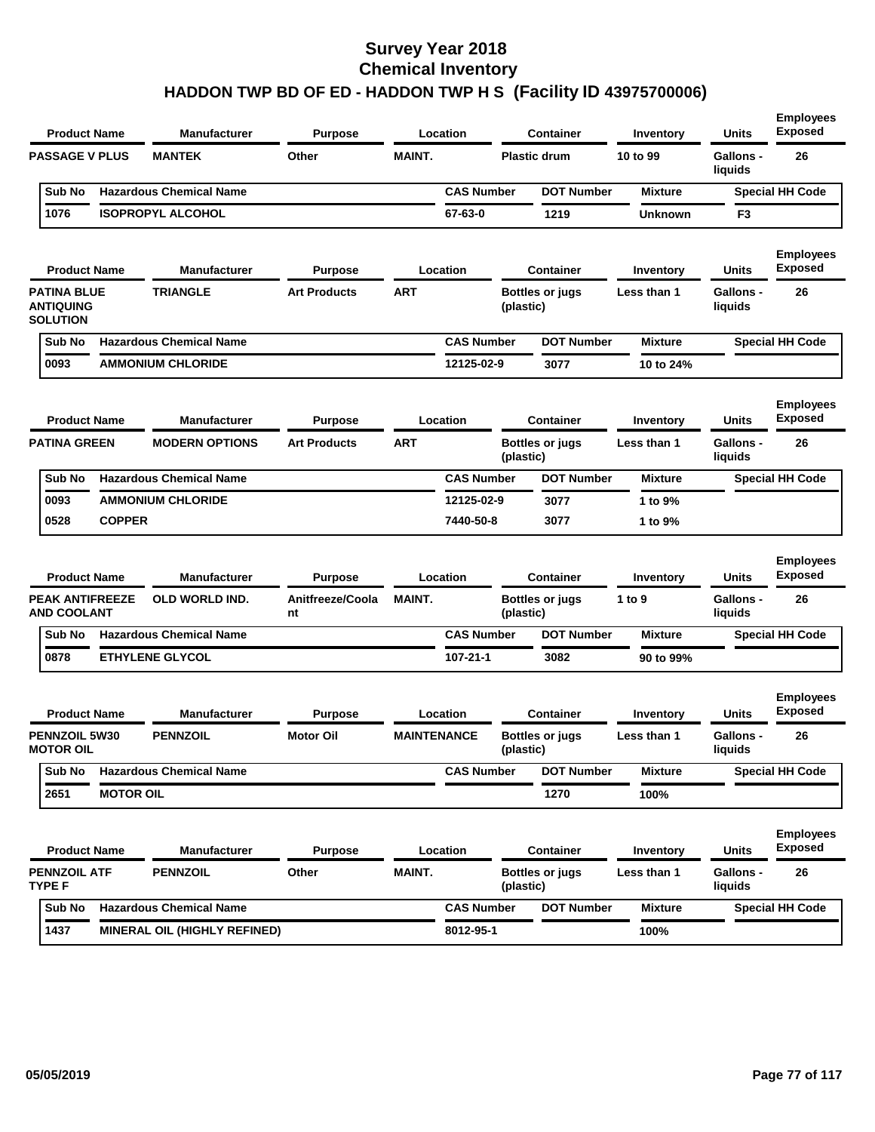| <b>Product Name</b>                                       |                  | Manufacturer                   | <b>Purpose</b>         |                    | Location          |           | <b>Container</b>       | Inventory        | <b>Units</b>                | <b>Employees</b><br><b>Exposed</b> |
|-----------------------------------------------------------|------------------|--------------------------------|------------------------|--------------------|-------------------|-----------|------------------------|------------------|-----------------------------|------------------------------------|
| <b>PASSAGE V PLUS</b>                                     |                  | <b>MANTEK</b>                  | Other                  | <b>MAINT.</b>      |                   |           | <b>Plastic drum</b>    | 10 to 99         | Gallons -<br>liquids        | 26                                 |
| Sub No                                                    |                  | <b>Hazardous Chemical Name</b> |                        |                    | <b>CAS Number</b> |           | <b>DOT Number</b>      | <b>Mixture</b>   |                             | <b>Special HH Code</b>             |
| 1076                                                      |                  | <b>ISOPROPYL ALCOHOL</b>       |                        |                    | 67-63-0           |           | 1219                   | <b>Unknown</b>   | F3                          |                                    |
| <b>Product Name</b>                                       |                  | <b>Manufacturer</b>            | <b>Purpose</b>         |                    | Location          |           | <b>Container</b>       | Inventory        | <b>Units</b>                | <b>Employees</b><br><b>Exposed</b> |
| <b>PATINA BLUE</b><br><b>ANTIQUING</b><br><b>SOLUTION</b> |                  | <b>TRIANGLE</b>                | <b>Art Products</b>    | <b>ART</b>         |                   | (plastic) | Bottles or jugs        | Less than 1      | <b>Gallons -</b><br>liquids | 26                                 |
| Sub No                                                    |                  | <b>Hazardous Chemical Name</b> |                        |                    | <b>CAS Number</b> |           | <b>DOT Number</b>      | <b>Mixture</b>   |                             | <b>Special HH Code</b>             |
| 0093                                                      |                  | <b>AMMONIUM CHLORIDE</b>       |                        |                    | 12125-02-9        |           | 3077                   | 10 to 24%        |                             |                                    |
| <b>Product Name</b>                                       |                  | <b>Manufacturer</b>            | <b>Purpose</b>         |                    | Location          |           | <b>Container</b>       | <b>Inventory</b> | Units                       | <b>Employees</b><br><b>Exposed</b> |
| <b>PATINA GREEN</b>                                       |                  | <b>MODERN OPTIONS</b>          | <b>Art Products</b>    | ART                |                   | (plastic) | <b>Bottles or jugs</b> | Less than 1      | <b>Gallons -</b><br>liquids | 26                                 |
| Sub No                                                    |                  | <b>Hazardous Chemical Name</b> |                        |                    | <b>CAS Number</b> |           | <b>DOT Number</b>      | <b>Mixture</b>   |                             | <b>Special HH Code</b>             |
| 0093                                                      |                  | <b>AMMONIUM CHLORIDE</b>       |                        |                    | 12125-02-9        |           | 3077                   | 1 to 9%          |                             |                                    |
| 0528                                                      | <b>COPPER</b>    |                                |                        |                    | 7440-50-8         |           | 3077                   | 1 to 9%          |                             |                                    |
| <b>Product Name</b>                                       |                  | <b>Manufacturer</b>            | <b>Purpose</b>         |                    | Location          |           | <b>Container</b>       | Inventory        | <b>Units</b>                | <b>Employees</b><br><b>Exposed</b> |
| <b>PEAK ANTIFREEZE</b><br><b>AND COOLANT</b>              |                  | <b>OLD WORLD IND.</b>          | Anitfreeze/Coola<br>nt | <b>MAINT.</b>      |                   | (plastic) | <b>Bottles or jugs</b> | 1 to 9           | <b>Gallons -</b><br>liquids | 26                                 |
| Sub No                                                    |                  | <b>Hazardous Chemical Name</b> |                        |                    | <b>CAS Number</b> |           | <b>DOT Number</b>      | <b>Mixture</b>   |                             | <b>Special HH Code</b>             |
| 0878                                                      |                  | <b>ETHYLENE GLYCOL</b>         |                        |                    | 107-21-1          |           | 3082                   | 90 to 99%        |                             |                                    |
| <b>Product Name</b>                                       |                  | <b>Manufacturer</b>            | <b>Purpose</b>         |                    | Location          |           | <b>Container</b>       | Inventory        | <b>Units</b>                | <b>Employees</b><br><b>Exposed</b> |
| <b>PENNZOIL 5W30</b><br><b>MOTOR OIL</b>                  |                  | <b>PENNZOIL</b>                | <b>Motor Oil</b>       | <b>MAINTENANCE</b> |                   | (plastic) | Bottles or jugs        | Less than 1      | <b>Gallons -</b><br>liquids | 26                                 |
| Sub No                                                    |                  | <b>Hazardous Chemical Name</b> |                        |                    | <b>CAS Number</b> |           | <b>DOT Number</b>      | <b>Mixture</b>   |                             | <b>Special HH Code</b>             |
| 2651                                                      | <b>MOTOR OIL</b> |                                |                        |                    |                   |           | 1270                   | 100%             |                             |                                    |
| <b>Product Name</b>                                       |                  | Manufacturer                   | <b>Purpose</b>         |                    | Location          |           | Container              | Inventory        | <b>Units</b>                | <b>Employees</b><br><b>Exposed</b> |
| <b>PENNZOIL ATF</b>                                       |                  | <b>PENNZOIL</b>                | Other                  | MAINT.             |                   |           | <b>Bottles or jugs</b> | Less than 1      | <b>Gallons -</b>            | 26                                 |
| <b>TYPE F</b>                                             |                  |                                |                        |                    |                   | (plastic) |                        |                  | liquids                     |                                    |
| Sub No                                                    |                  | <b>Hazardous Chemical Name</b> |                        |                    | <b>CAS Number</b> |           | <b>DOT Number</b>      | <b>Mixture</b>   |                             | <b>Special HH Code</b>             |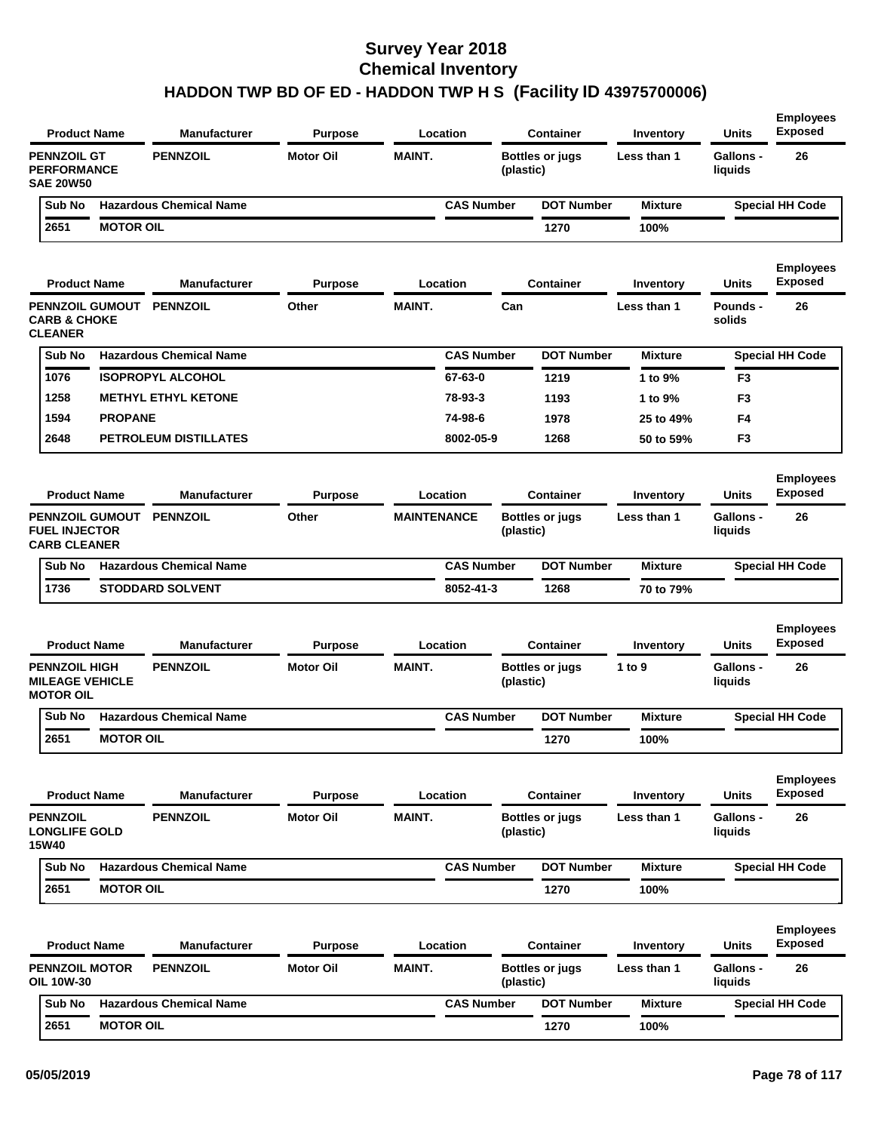| <b>Product Name</b>                                                   |                  | <b>Manufacturer</b>            | <b>Purpose</b>   |                    | Location          |           | <b>Container</b>       | Inventory        | <b>Units</b>                | <b>Employees</b><br><b>Exposed</b> |
|-----------------------------------------------------------------------|------------------|--------------------------------|------------------|--------------------|-------------------|-----------|------------------------|------------------|-----------------------------|------------------------------------|
| <b>PENNZOIL GT</b><br><b>PERFORMANCE</b><br><b>SAE 20W50</b>          |                  | <b>PENNZOIL</b>                | <b>Motor Oil</b> | <b>MAINT.</b>      |                   | (plastic) | <b>Bottles or jugs</b> | Less than 1      | <b>Gallons -</b><br>liquids | 26                                 |
| Sub No                                                                |                  | <b>Hazardous Chemical Name</b> |                  |                    | <b>CAS Number</b> |           | <b>DOT Number</b>      | <b>Mixture</b>   |                             | <b>Special HH Code</b>             |
| 2651                                                                  | <b>MOTOR OIL</b> |                                |                  |                    |                   |           | 1270                   | 100%             |                             |                                    |
| <b>Product Name</b>                                                   |                  | <b>Manufacturer</b>            | <b>Purpose</b>   |                    | Location          |           | <b>Container</b>       | <b>Inventory</b> | Units                       | <b>Employees</b><br><b>Exposed</b> |
| <b>CARB &amp; CHOKE</b><br><b>CLEANER</b>                             |                  | PENNZOIL GUMOUT PENNZOIL       | Other            | <b>MAINT.</b>      |                   | Can       |                        | Less than 1      | Pounds -<br>solids          | 26                                 |
| Sub No                                                                |                  | <b>Hazardous Chemical Name</b> |                  |                    | <b>CAS Number</b> |           | <b>DOT Number</b>      | <b>Mixture</b>   |                             | <b>Special HH Code</b>             |
| 1076                                                                  |                  | <b>ISOPROPYL ALCOHOL</b>       |                  |                    | 67-63-0           |           | 1219                   | 1 to 9%          | F <sub>3</sub>              |                                    |
| 1258                                                                  |                  | <b>METHYL ETHYL KETONE</b>     |                  |                    | 78-93-3           |           | 1193                   | 1 to 9%          | F <sub>3</sub>              |                                    |
| 1594                                                                  | <b>PROPANE</b>   |                                |                  |                    | 74-98-6           |           | 1978                   | 25 to 49%        | F4                          |                                    |
| 2648                                                                  |                  | PETROLEUM DISTILLATES          |                  |                    | 8002-05-9         |           | 1268                   | 50 to 59%        | F <sub>3</sub>              |                                    |
| <b>Product Name</b>                                                   |                  | <b>Manufacturer</b>            | <b>Purpose</b>   |                    | Location          |           | <b>Container</b>       | Inventory        | <b>Units</b>                | <b>Employees</b><br><b>Exposed</b> |
| <b>PENNZOIL GUMOUT</b><br><b>FUEL INJECTOR</b><br><b>CARB CLEANER</b> |                  | <b>PENNZOIL</b>                | Other            | <b>MAINTENANCE</b> |                   | (plastic) | <b>Bottles or jugs</b> | Less than 1      | <b>Gallons -</b><br>liquids | 26                                 |
| Sub No                                                                |                  | <b>Hazardous Chemical Name</b> |                  |                    | <b>CAS Number</b> |           | <b>DOT Number</b>      | <b>Mixture</b>   |                             | <b>Special HH Code</b>             |
| 1736                                                                  |                  | <b>STODDARD SOLVENT</b>        |                  |                    | 8052-41-3         |           | 1268                   | 70 to 79%        |                             |                                    |
| <b>Product Name</b>                                                   |                  | Manufacturer                   | <b>Purpose</b>   |                    | Location          |           | <b>Container</b>       | Inventory        | Units                       | <b>Employees</b><br><b>Exposed</b> |
| <b>PENNZOIL HIGH</b><br><b>MILEAGE VEHICLE</b><br><b>MOTOR OIL</b>    |                  | <b>PENNZOIL</b>                | <b>Motor Oil</b> | <b>MAINT.</b>      |                   | (plastic) | <b>Bottles or jugs</b> | 1 to 9           | <b>Gallons -</b><br>liquids | 26                                 |
| Sub No                                                                |                  | <b>Hazardous Chemical Name</b> |                  |                    | <b>CAS Number</b> |           | <b>DOT Number</b>      | <b>Mixture</b>   |                             | <b>Special HH Code</b>             |
| 2651                                                                  | <b>MOTOR OIL</b> |                                |                  |                    |                   |           | 1270                   | 100%             |                             |                                    |
| <b>Product Name</b>                                                   |                  | <b>Manufacturer</b>            | <b>Purpose</b>   |                    | Location          |           | <b>Container</b>       | Inventory        | <b>Units</b>                | <b>Employees</b><br><b>Exposed</b> |
| <b>PENNZOIL</b><br><b>LONGLIFE GOLD</b><br><b>15W40</b>               |                  | <b>PENNZOIL</b>                | <b>Motor Oil</b> | MAINT.             |                   | (plastic) | <b>Bottles or jugs</b> | Less than 1      | <b>Gallons -</b><br>liquids | 26                                 |
| Sub No                                                                |                  | <b>Hazardous Chemical Name</b> |                  |                    | <b>CAS Number</b> |           | <b>DOT Number</b>      | <b>Mixture</b>   |                             | <b>Special HH Code</b>             |
| 2651                                                                  | <b>MOTOR OIL</b> |                                |                  |                    |                   |           | 1270                   | 100%             |                             |                                    |
| <b>Product Name</b>                                                   |                  | <b>Manufacturer</b>            | <b>Purpose</b>   |                    | <b>Location</b>   |           | <b>Container</b>       | Inventory        | <b>Units</b>                | <b>Employees</b><br>Exposed        |
| <b>PENNZOIL MOTOR</b><br>OIL 10W-30                                   |                  | <b>PENNZOIL</b>                | <b>Motor Oil</b> | MAINT.             |                   | (plastic) | <b>Bottles or jugs</b> | Less than 1      | <b>Gallons -</b><br>liquids | 26                                 |
| Sub No                                                                |                  | <b>Hazardous Chemical Name</b> |                  |                    | <b>CAS Number</b> |           | <b>DOT Number</b>      | <b>Mixture</b>   |                             | <b>Special HH Code</b>             |
| 2651                                                                  | <b>MOTOR OIL</b> |                                |                  |                    |                   |           | 1270                   | 100%             |                             |                                    |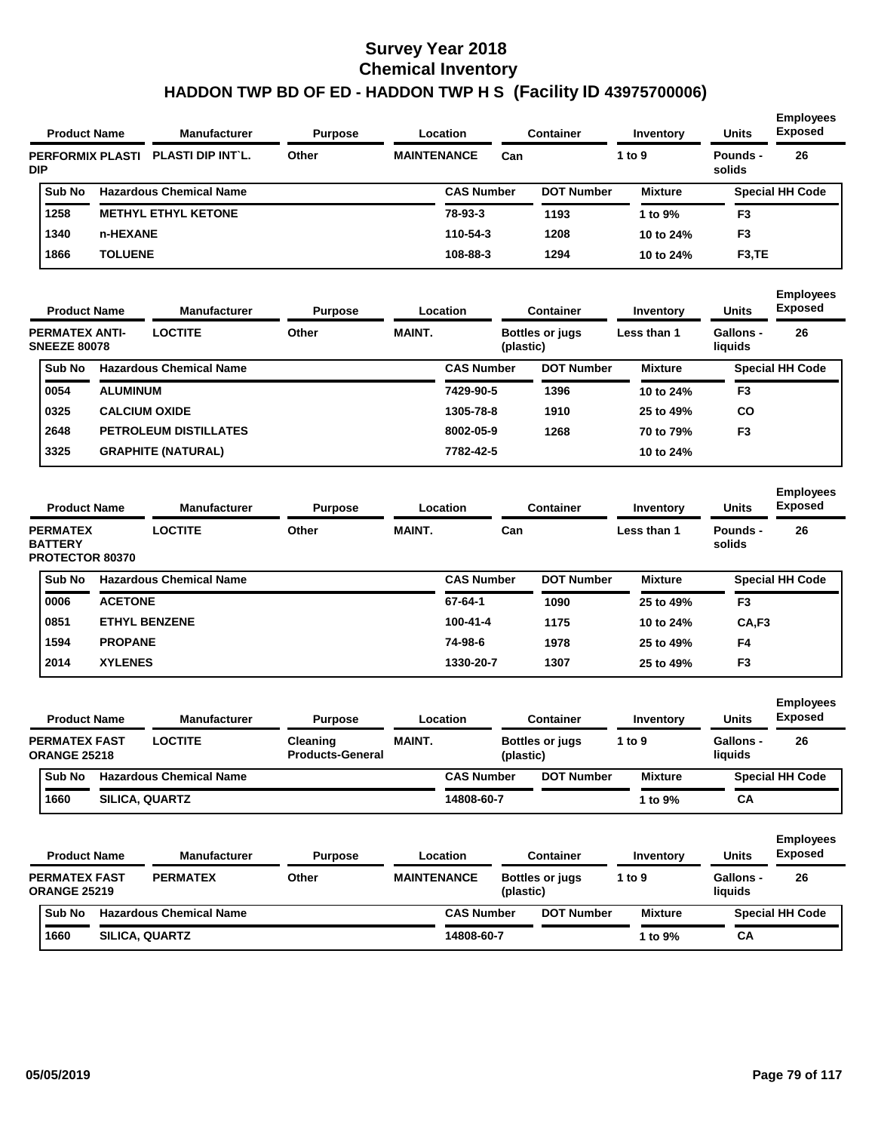| <b>Product Name</b>                                                         |                 | <b>Manufacturer</b>                   | <b>Purpose</b>                      |                    | Location          | <b>Container</b>                    | Inventory                | <b>Units</b>                | <b>Exposed</b>                             |
|-----------------------------------------------------------------------------|-----------------|---------------------------------------|-------------------------------------|--------------------|-------------------|-------------------------------------|--------------------------|-----------------------------|--------------------------------------------|
| <b>PERFORMIX PLASTI</b><br>DIP                                              |                 | PLASTI DIP INT'L.                     | Other                               | <b>MAINTENANCE</b> |                   | Can                                 | 1 to 9                   | Pounds -<br>solids          | 26                                         |
| Sub No                                                                      |                 | <b>Hazardous Chemical Name</b>        |                                     |                    | <b>CAS Number</b> | <b>DOT Number</b>                   | <b>Mixture</b>           |                             | <b>Special HH Code</b>                     |
| 1258                                                                        |                 | <b>METHYL ETHYL KETONE</b>            |                                     |                    | 78-93-3           | 1193                                | 1 to 9%                  | F <sub>3</sub>              |                                            |
| 1340                                                                        | n-HEXANE        |                                       |                                     |                    | 110-54-3          | 1208                                | 10 to 24%                | F <sub>3</sub>              |                                            |
| 1866                                                                        | <b>TOLUENE</b>  |                                       |                                     |                    | 108-88-3          | 1294                                | 10 to 24%                | F <sub>3</sub> ,TE          |                                            |
| <b>Product Name</b>                                                         |                 | <b>Manufacturer</b>                   | Purpose                             |                    | Location          | <b>Container</b>                    | Inventory                | Units                       | <b>Employees</b><br>Exposed                |
| <b>PERMATEX ANTI-</b><br><b>SNEEZE 80078</b>                                |                 | <b>LOCTITE</b>                        | Other                               | <b>MAINT.</b>      |                   | Bottles or jugs<br>(plastic)        | Less than 1              | <b>Gallons -</b><br>liquids | 26                                         |
| Sub No                                                                      |                 | <b>Hazardous Chemical Name</b>        |                                     |                    | <b>CAS Number</b> | <b>DOT Number</b>                   | <b>Mixture</b>           |                             | <b>Special HH Code</b>                     |
| 0054                                                                        | <b>ALUMINUM</b> |                                       |                                     |                    | 7429-90-5         | 1396                                | 10 to 24%                | F <sub>3</sub>              |                                            |
| 0325                                                                        |                 | <b>CALCIUM OXIDE</b>                  |                                     |                    | 1305-78-8         | 1910                                | 25 to 49%                | CO                          |                                            |
| 2648                                                                        |                 | <b>PETROLEUM DISTILLATES</b>          |                                     |                    | 8002-05-9         | 1268                                | 70 to 79%                | F <sub>3</sub>              |                                            |
| 3325                                                                        |                 | <b>GRAPHITE (NATURAL)</b>             |                                     |                    | 7782-42-5         |                                     | 10 to 24%                |                             |                                            |
|                                                                             |                 |                                       |                                     |                    |                   |                                     |                          |                             |                                            |
| <b>Product Name</b><br><b>PERMATEX</b><br><b>BATTERY</b><br>PROTECTOR 80370 |                 | <b>Manufacturer</b><br><b>LOCTITE</b> | <b>Purpose</b><br>Other             | <b>MAINT.</b>      | Location          | <b>Container</b><br>Can             | Inventory<br>Less than 1 | Units<br>Pounds -<br>solids | <b>Exposed</b><br>26                       |
| Sub No                                                                      |                 | <b>Hazardous Chemical Name</b>        |                                     |                    | <b>CAS Number</b> | <b>DOT Number</b>                   | <b>Mixture</b>           |                             | <b>Special HH Code</b>                     |
| 0006                                                                        | <b>ACETONE</b>  |                                       |                                     |                    | 67-64-1           | 1090                                | 25 to 49%                | F <sub>3</sub>              |                                            |
| 0851                                                                        |                 | <b>ETHYL BENZENE</b>                  |                                     |                    | 100-41-4          | 1175                                | 10 to 24%                | CA,F3                       |                                            |
| 1594                                                                        | <b>PROPANE</b>  |                                       |                                     |                    | 74-98-6           | 1978                                | 25 to 49%                | F4                          |                                            |
| 2014                                                                        | <b>XYLENES</b>  |                                       |                                     |                    | 1330-20-7         | 1307                                | 25 to 49%                | F <sub>3</sub>              |                                            |
| <b>Product Name</b>                                                         |                 | <b>Manufacturer</b>                   | Purpose                             |                    | Location          | <b>Container</b>                    | Inventory                | Units                       | <b>Exposed</b>                             |
| <b>PERMATEX FAST</b>                                                        |                 | <b>LOCTITE</b>                        | Cleaning<br><b>Products-General</b> | <b>MAINT.</b>      |                   | <b>Bottles or jugs</b><br>(plastic) | 1 to 9                   | <b>Gallons -</b><br>liquids | 26                                         |
| Sub No                                                                      |                 | <b>Hazardous Chemical Name</b>        |                                     |                    | <b>CAS Number</b> | <b>DOT Number</b>                   | <b>Mixture</b>           |                             | <b>Employees</b><br><b>Special HH Code</b> |
| <b>ORANGE 25218</b><br>1660                                                 |                 | <b>SILICA, QUARTZ</b>                 |                                     |                    | 14808-60-7        |                                     | 1 to 9%                  | CА                          |                                            |
| <b>Product Name</b>                                                         |                 | <b>Manufacturer</b>                   | <b>Purpose</b>                      |                    | Location          | <b>Container</b>                    | Inventory                | <b>Units</b>                | <b>Exposed</b>                             |
| <b>PERMATEX FAST</b>                                                        |                 | <b>PERMATEX</b>                       | Other                               | <b>MAINTENANCE</b> |                   | Bottles or jugs<br>(plastic)        | 1 to 9                   | <b>Gallons -</b><br>liquids | 26                                         |
| <b>ORANGE 25219</b><br>Sub No                                               |                 | <b>Hazardous Chemical Name</b>        |                                     |                    | <b>CAS Number</b> | <b>DOT Number</b>                   | <b>Mixture</b>           |                             | <b>Employees</b><br><b>Special HH Code</b> |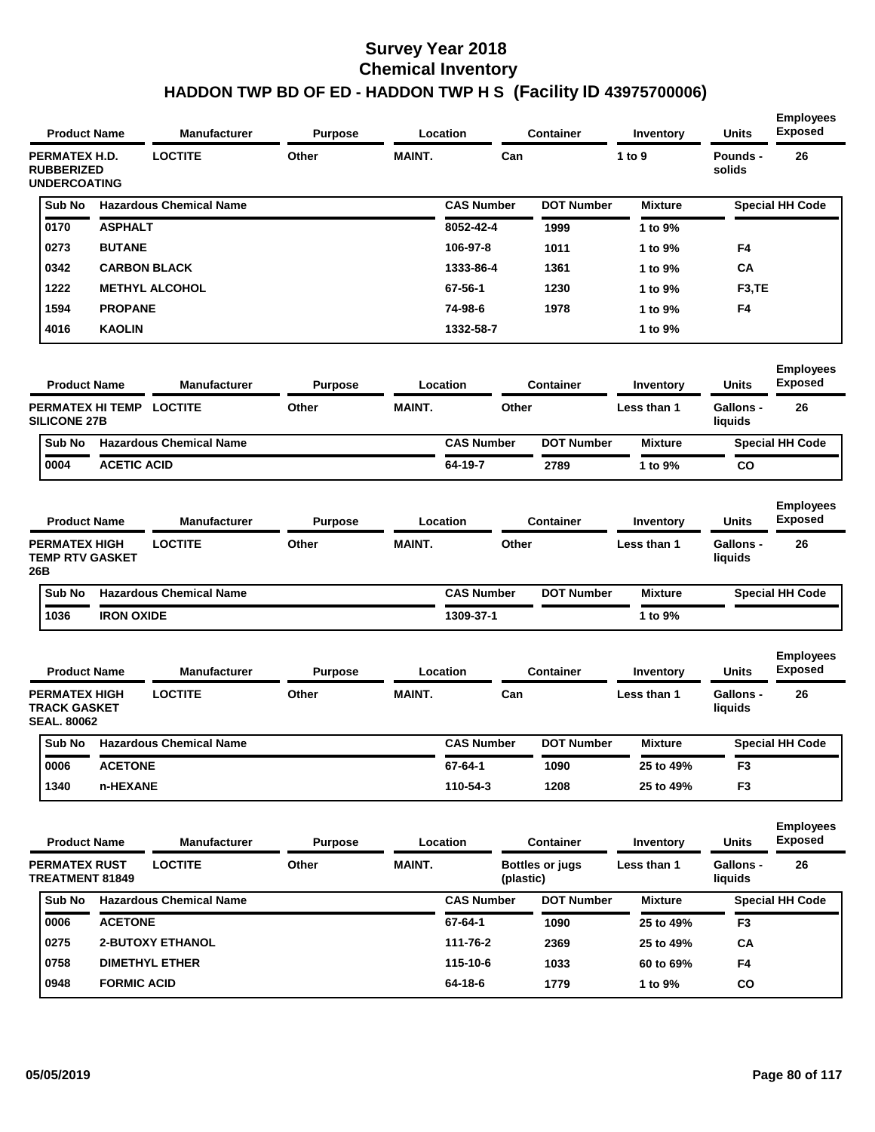| <b>Product Name</b>                                                                      |                    | <b>Manufacturer</b>            | <b>Purpose</b> |               | Location          | <b>Container</b>                    | Inventory      | Units                       | <b>Exposed</b>                     |
|------------------------------------------------------------------------------------------|--------------------|--------------------------------|----------------|---------------|-------------------|-------------------------------------|----------------|-----------------------------|------------------------------------|
| PERMATEX H.D.<br><b>RUBBERIZED</b><br><b>UNDERCOATING</b>                                |                    | <b>LOCTITE</b>                 | Other          | <b>MAINT.</b> |                   | Can                                 | 1 to 9         | Pounds -<br>solids          | 26                                 |
| Sub No                                                                                   |                    | <b>Hazardous Chemical Name</b> |                |               | <b>CAS Number</b> | <b>DOT Number</b>                   | <b>Mixture</b> |                             | <b>Special HH Code</b>             |
| 0170                                                                                     | <b>ASPHALT</b>     |                                |                |               | 8052-42-4         | 1999                                | 1 to 9%        |                             |                                    |
| 0273                                                                                     | <b>BUTANE</b>      |                                |                |               | 106-97-8          | 1011                                | 1 to 9%        | F4                          |                                    |
| 0342                                                                                     |                    | <b>CARBON BLACK</b>            |                |               | 1333-86-4         | 1361                                | 1 to 9%        | СA                          |                                    |
| 1222                                                                                     |                    | <b>METHYL ALCOHOL</b>          |                |               | 67-56-1           | 1230                                | 1 to 9%        | F <sub>3</sub> ,TE          |                                    |
| 1594                                                                                     | <b>PROPANE</b>     |                                |                |               | 74-98-6           | 1978                                | 1 to 9%        | F4                          |                                    |
| 4016                                                                                     | <b>KAOLIN</b>      |                                |                |               | 1332-58-7         |                                     | 1 to 9%        |                             |                                    |
| <b>Product Name</b>                                                                      |                    | <b>Manufacturer</b>            | <b>Purpose</b> |               | Location          | <b>Container</b>                    | Inventory      | Units                       | <b>Employees</b><br><b>Exposed</b> |
| PERMATEX HI TEMP<br><b>SILICONE 27B</b>                                                  |                    | <b>LOCTITE</b>                 | Other          | <b>MAINT.</b> |                   | Other                               | Less than 1    | <b>Gallons -</b><br>liquids | 26                                 |
| Sub No                                                                                   |                    | <b>Hazardous Chemical Name</b> |                |               | <b>CAS Number</b> | <b>DOT Number</b>                   | <b>Mixture</b> |                             | <b>Special HH Code</b>             |
| 0004                                                                                     | <b>ACETIC ACID</b> |                                |                |               | 64-19-7           | 2789                                | 1 to 9%        | CO                          |                                    |
| <b>Product Name</b>                                                                      |                    | <b>Manufacturer</b>            | Purpose        |               | Location          | <b>Container</b>                    | Inventory      | Units                       | <b>Employees</b><br><b>Exposed</b> |
| <b>PERMATEX HIGH</b><br><b>TEMP RTV GASKET</b><br>26B                                    |                    | <b>LOCTITE</b>                 | Other          | <b>MAINT.</b> |                   | Other                               | Less than 1    | <b>Gallons -</b><br>liquids | 26                                 |
| Sub No                                                                                   |                    | <b>Hazardous Chemical Name</b> |                |               | <b>CAS Number</b> | <b>DOT Number</b>                   | <b>Mixture</b> |                             | <b>Special HH Code</b>             |
| 1036                                                                                     | <b>IRON OXIDE</b>  |                                |                |               | 1309-37-1         |                                     | 1 to 9%        |                             |                                    |
|                                                                                          |                    |                                |                |               |                   |                                     |                |                             |                                    |
| <b>Product Name</b>                                                                      |                    | <b>Manufacturer</b>            | <b>Purpose</b> |               | Location          | Container                           | Inventory      | <b>Units</b>                | <b>Employees</b><br><b>Exposed</b> |
|                                                                                          |                    | <b>LOCTITE</b>                 | Other          | <b>MAINT.</b> |                   | Can                                 | Less than 1    | <b>Gallons -</b><br>liquids | 26                                 |
| Sub No                                                                                   |                    | <b>Hazardous Chemical Name</b> |                |               | <b>CAS Number</b> | <b>DOT Number</b>                   | <b>Mixture</b> |                             | <b>Special HH Code</b>             |
| 0006                                                                                     | <b>ACETONE</b>     |                                |                |               | 67-64-1           | 1090                                | 25 to 49%      | F3                          |                                    |
| 1340                                                                                     | n-HEXANE           |                                |                |               | 110-54-3          | 1208                                | 25 to 49%      | F <sub>3</sub>              |                                    |
| <b>PERMATEX HIGH</b><br><b>TRACK GASKET</b><br><b>SEAL. 80062</b><br><b>Product Name</b> |                    | <b>Manufacturer</b>            | <b>Purpose</b> |               | <b>Location</b>   | <b>Container</b>                    | Inventory      | <b>Units</b>                | <b>Employees</b><br><b>Exposed</b> |
|                                                                                          |                    | <b>LOCTITE</b>                 | Other          | <b>MAINT.</b> |                   | <b>Bottles or jugs</b><br>(plastic) | Less than 1    | <b>Gallons -</b><br>liquids | 26                                 |
| Sub No                                                                                   |                    | <b>Hazardous Chemical Name</b> |                |               | <b>CAS Number</b> | <b>DOT Number</b>                   | <b>Mixture</b> |                             | <b>Special HH Code</b>             |
| 0006                                                                                     | <b>ACETONE</b>     |                                |                |               | 67-64-1           | 1090                                | 25 to 49%      | F <sub>3</sub>              |                                    |
| 0275                                                                                     |                    | <b>2-BUTOXY ETHANOL</b>        |                |               | 111-76-2          | 2369                                | 25 to 49%      | CA                          |                                    |
| <b>PERMATEX RUST</b><br>TREATMENT 81849<br>0758                                          |                    | <b>DIMETHYL ETHER</b>          |                |               | 115-10-6          | 1033                                | 60 to 69%      | F4                          |                                    |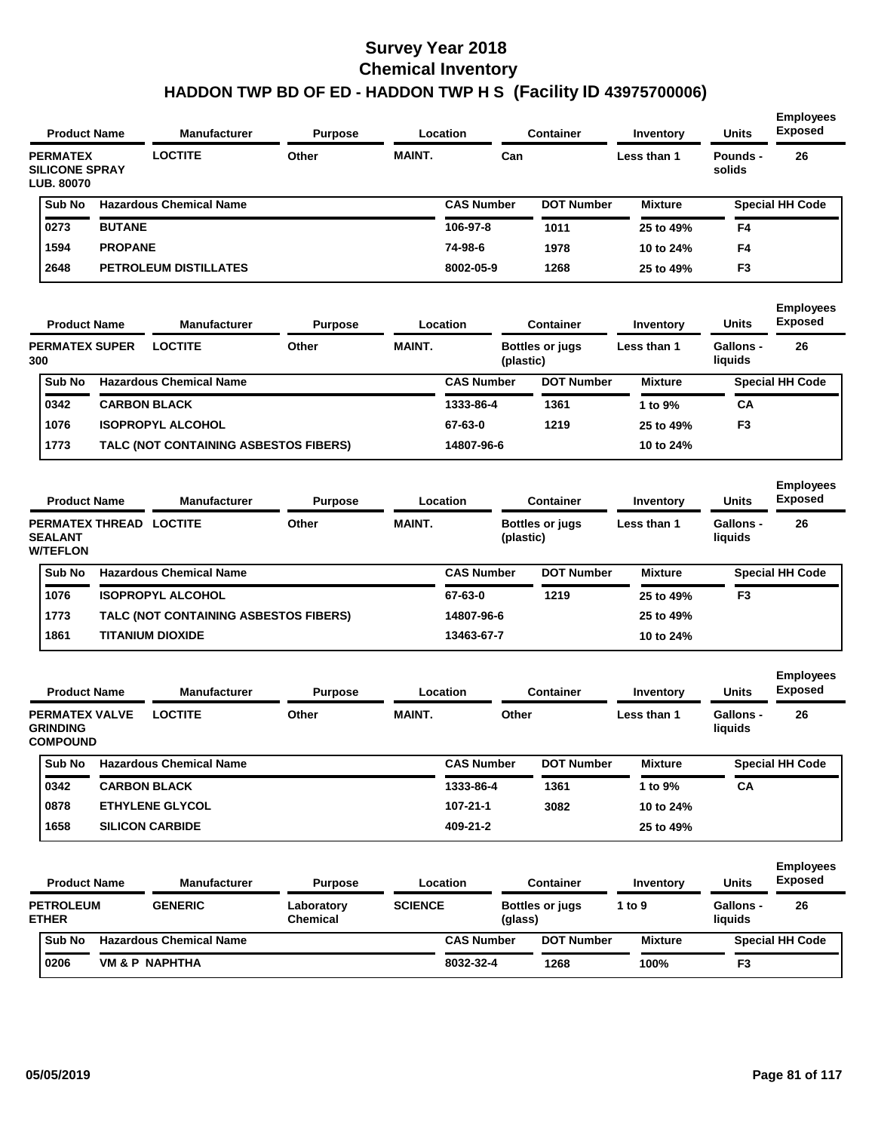| <b>Product Name</b>                                           |                | <b>Manufacturer</b>                   | <b>Purpose</b>                |                | Location          |           | <b>Container</b>       | Inventory      | <b>Units</b>                | <b>Employees</b><br><b>Exposed</b> |
|---------------------------------------------------------------|----------------|---------------------------------------|-------------------------------|----------------|-------------------|-----------|------------------------|----------------|-----------------------------|------------------------------------|
| <b>PERMATEX</b><br><b>SILICONE SPRAY</b><br><b>LUB. 80070</b> |                | <b>LOCTITE</b>                        | Other                         | <b>MAINT.</b>  |                   | Can       |                        | Less than 1    | Pounds -<br>solids          | 26                                 |
| Sub No                                                        |                | <b>Hazardous Chemical Name</b>        |                               |                | <b>CAS Number</b> |           | <b>DOT Number</b>      | <b>Mixture</b> |                             | <b>Special HH Code</b>             |
| 0273                                                          | <b>BUTANE</b>  |                                       |                               |                | 106-97-8          |           | 1011                   | 25 to 49%      | F4                          |                                    |
| 1594                                                          | <b>PROPANE</b> |                                       |                               |                | 74-98-6           |           | 1978                   | 10 to 24%      | F4                          |                                    |
| 2648                                                          |                | <b>PETROLEUM DISTILLATES</b>          |                               |                | 8002-05-9         |           | 1268                   | 25 to 49%      | F <sub>3</sub>              |                                    |
| <b>Product Name</b>                                           |                | <b>Manufacturer</b>                   | <b>Purpose</b>                |                | Location          |           | <b>Container</b>       | Inventory      | <b>Units</b>                | <b>Employees</b><br><b>Exposed</b> |
| <b>PERMATEX SUPER</b><br>300                                  |                | <b>LOCTITE</b>                        | Other                         | <b>MAINT.</b>  |                   | (plastic) | <b>Bottles or jugs</b> | Less than 1    | <b>Gallons -</b><br>liquids | 26                                 |
| Sub No                                                        |                | <b>Hazardous Chemical Name</b>        |                               |                | <b>CAS Number</b> |           | <b>DOT Number</b>      | <b>Mixture</b> |                             | <b>Special HH Code</b>             |
| 0342                                                          |                | <b>CARBON BLACK</b>                   |                               |                | 1333-86-4         |           | 1361                   | 1 to 9%        | CA                          |                                    |
| 1076                                                          |                | <b>ISOPROPYL ALCOHOL</b>              |                               |                | 67-63-0           |           | 1219                   | 25 to 49%      | F <sub>3</sub>              |                                    |
| 1773                                                          |                | TALC (NOT CONTAINING ASBESTOS FIBERS) |                               |                | 14807-96-6        |           |                        | 10 to 24%      |                             |                                    |
| <b>Product Name</b>                                           |                | <b>Manufacturer</b>                   | <b>Purpose</b>                |                | Location          |           | <b>Container</b>       | Inventory      | <b>Units</b>                | <b>Employees</b><br><b>Exposed</b> |
| PERMATEX THREAD LOCTITE<br><b>SEALANT</b><br><b>W/TEFLON</b>  |                |                                       | Other                         | <b>MAINT.</b>  |                   | (plastic) | <b>Bottles or jugs</b> | Less than 1    | Gallons -<br>liquids        | 26                                 |
| Sub No                                                        |                | <b>Hazardous Chemical Name</b>        |                               |                | <b>CAS Number</b> |           | <b>DOT Number</b>      | <b>Mixture</b> |                             | <b>Special HH Code</b>             |
| 1076                                                          |                | <b>ISOPROPYL ALCOHOL</b>              |                               |                | 67-63-0           |           | 1219                   | 25 to 49%      | F <sub>3</sub>              |                                    |
| 1773                                                          |                | TALC (NOT CONTAINING ASBESTOS FIBERS) |                               |                | 14807-96-6        |           |                        | 25 to 49%      |                             |                                    |
| 1861                                                          |                | <b>TITANIUM DIOXIDE</b>               |                               |                | 13463-67-7        |           |                        | 10 to 24%      |                             |                                    |
| <b>Product Name</b>                                           |                | Manufacturer                          | <b>Purpose</b>                |                | Location          |           | Container              | Inventory      | <b>Units</b>                | <b>Employees</b><br><b>Exposed</b> |
| <b>PERMATEX VALVE</b><br><b>GRINDING</b><br><b>COMPOUND</b>   |                | <b>LOCTITE</b>                        | Other                         | <b>MAINT.</b>  |                   | Other     |                        | Less than 1    | Gallons -<br>liquids        | 26                                 |
| Sub No                                                        |                | <b>Hazardous Chemical Name</b>        |                               |                | <b>CAS Number</b> |           | <b>DOT Number</b>      | <b>Mixture</b> |                             | <b>Special HH Code</b>             |
| 0342                                                          |                | <b>CARBON BLACK</b>                   |                               |                | 1333-86-4         |           | 1361                   | 1 to 9%        | СA                          |                                    |
| 0878                                                          |                | <b>ETHYLENE GLYCOL</b>                |                               |                | 107-21-1          |           | 3082                   | 10 to 24%      |                             |                                    |
| 1658                                                          |                | <b>SILICON CARBIDE</b>                |                               |                | 409-21-2          |           |                        | 25 to 49%      |                             |                                    |
| <b>Product Name</b>                                           |                | Manufacturer                          | <b>Purpose</b>                |                | Location          |           | <b>Container</b>       | Inventory      | Units                       | <b>Employees</b><br><b>Exposed</b> |
| <b>PETROLEUM</b><br><b>ETHER</b>                              |                | <b>GENERIC</b>                        | Laboratory<br><b>Chemical</b> | <b>SCIENCE</b> |                   | (glass)   | <b>Bottles or jugs</b> | 1 to 9         | Gallons -<br>liquids        | 26                                 |
| Sub No                                                        |                | <b>Hazardous Chemical Name</b>        |                               |                | <b>CAS Number</b> |           | <b>DOT Number</b>      | <b>Mixture</b> |                             | <b>Special HH Code</b>             |
| 0206                                                          |                | VM & P NAPHTHA                        |                               |                | 8032-32-4         |           | 1268                   | 100%           | F <sub>3</sub>              |                                    |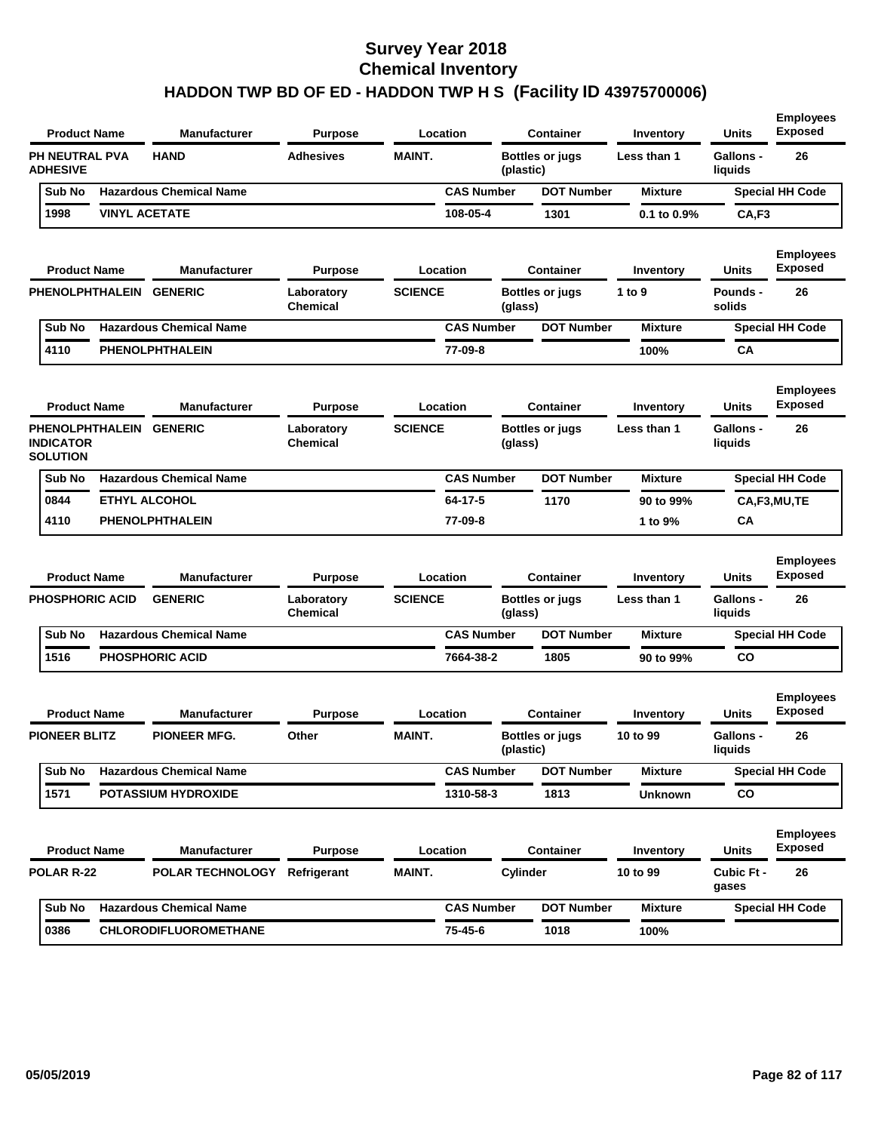| <b>Product Name</b>                                            |                      | <b>Manufacturer</b>            | <b>Purpose</b>                |                | Location          |           | <b>Container</b>       | Inventory        | <b>Units</b>                | <b>Employees</b><br><b>Exposed</b> |
|----------------------------------------------------------------|----------------------|--------------------------------|-------------------------------|----------------|-------------------|-----------|------------------------|------------------|-----------------------------|------------------------------------|
| PH NEUTRAL PVA<br><b>ADHESIVE</b>                              |                      | <b>HAND</b>                    | <b>Adhesives</b>              | <b>MAINT.</b>  |                   | (plastic) | <b>Bottles or jugs</b> | Less than 1      | <b>Gallons -</b><br>liquids | 26                                 |
| Sub No                                                         |                      | <b>Hazardous Chemical Name</b> |                               |                | <b>CAS Number</b> |           | <b>DOT Number</b>      | <b>Mixture</b>   |                             | <b>Special HH Code</b>             |
| 1998                                                           | <b>VINYL ACETATE</b> |                                |                               |                | 108-05-4          |           | 1301                   | $0.1$ to $0.9\%$ | CA,F3                       |                                    |
| <b>Product Name</b>                                            |                      | <b>Manufacturer</b>            | <b>Purpose</b>                |                | Location          |           | Container              | Inventory        | Units                       | <b>Employees</b><br><b>Exposed</b> |
| PHENOLPHTHALEIN GENERIC                                        |                      |                                | Laboratory<br><b>Chemical</b> | <b>SCIENCE</b> |                   | (glass)   | <b>Bottles or jugs</b> | 1 to 9           | Pounds -<br>solids          | 26                                 |
| Sub No                                                         |                      | <b>Hazardous Chemical Name</b> |                               |                | <b>CAS Number</b> |           | <b>DOT Number</b>      | <b>Mixture</b>   |                             | <b>Special HH Code</b>             |
| 4110                                                           |                      | <b>PHENOLPHTHALEIN</b>         |                               |                | 77-09-8           |           |                        | 100%             | СA                          |                                    |
| <b>Product Name</b>                                            |                      | <b>Manufacturer</b>            | <b>Purpose</b>                |                | Location          |           | <b>Container</b>       | Inventory        | Units                       | <b>Employees</b><br><b>Exposed</b> |
| PHENOLPHTHALEIN GENERIC<br><b>INDICATOR</b><br><b>SOLUTION</b> |                      |                                | Laboratory<br><b>Chemical</b> | <b>SCIENCE</b> |                   | (glass)   | <b>Bottles or jugs</b> | Less than 1      | <b>Gallons -</b><br>liquids | 26                                 |
| Sub No                                                         |                      | <b>Hazardous Chemical Name</b> |                               |                | <b>CAS Number</b> |           | <b>DOT Number</b>      | <b>Mixture</b>   |                             | <b>Special HH Code</b>             |
| 0844                                                           |                      | <b>ETHYL ALCOHOL</b>           |                               |                | 64-17-5           |           | 1170                   | 90 to 99%        |                             | CA,F3,MU,TE                        |
| 4110                                                           |                      | PHENOLPHTHALEIN                |                               |                | 77-09-8           |           |                        | 1 to 9%          | <b>CA</b>                   |                                    |
| <b>Product Name</b>                                            |                      | <b>Manufacturer</b>            | <b>Purpose</b>                |                | Location          |           | <b>Container</b>       | Inventory        | <b>Units</b>                | <b>Employees</b><br><b>Exposed</b> |
| <b>PHOSPHORIC ACID</b>                                         |                      | <b>GENERIC</b>                 | Laboratory<br><b>Chemical</b> | <b>SCIENCE</b> |                   | (glass)   | <b>Bottles or jugs</b> | Less than 1      | <b>Gallons -</b><br>liquids | 26                                 |
| Sub No                                                         |                      | <b>Hazardous Chemical Name</b> |                               |                | <b>CAS Number</b> |           | <b>DOT Number</b>      | <b>Mixture</b>   |                             | Special HH Code                    |
| 1516                                                           |                      | <b>PHOSPHORIC ACID</b>         |                               |                | 7664-38-2         |           | 1805                   | 90 to 99%        | co                          |                                    |
| <b>Product Name</b>                                            |                      | <b>Manufacturer</b>            | <b>Purpose</b>                |                | Location          |           | <b>Container</b>       | Inventory        | Units                       | <b>Employees</b><br><b>Exposed</b> |
| <b>PIONEER BLITZ</b>                                           |                      | <b>PIONEER MFG.</b>            | Other                         | <b>MAINT.</b>  |                   | (plastic) | <b>Bottles or jugs</b> | 10 to 99         | <b>Gallons -</b><br>liquids | 26                                 |
| Sub No                                                         |                      | <b>Hazardous Chemical Name</b> |                               |                | <b>CAS Number</b> |           | <b>DOT Number</b>      | <b>Mixture</b>   |                             | <b>Special HH Code</b>             |
| 1571                                                           |                      | <b>POTASSIUM HYDROXIDE</b>     |                               |                | 1310-58-3         |           | 1813                   | <b>Unknown</b>   | CO                          |                                    |
| <b>Product Name</b>                                            |                      | Manufacturer                   | <b>Purpose</b>                |                | Location          |           | <b>Container</b>       | Inventory        | <b>Units</b>                | <b>Employees</b><br><b>Exposed</b> |
| <b>POLAR R-22</b>                                              |                      | POLAR TECHNOLOGY Refrigerant   |                               | MAINT.         |                   | Cylinder  |                        | 10 to 99         | Cubic Ft -<br>gases         | 26                                 |
| Sub No                                                         |                      | <b>Hazardous Chemical Name</b> |                               |                | <b>CAS Number</b> |           | <b>DOT Number</b>      | <b>Mixture</b>   |                             | <b>Special HH Code</b>             |
|                                                                |                      |                                |                               |                |                   |           |                        |                  |                             |                                    |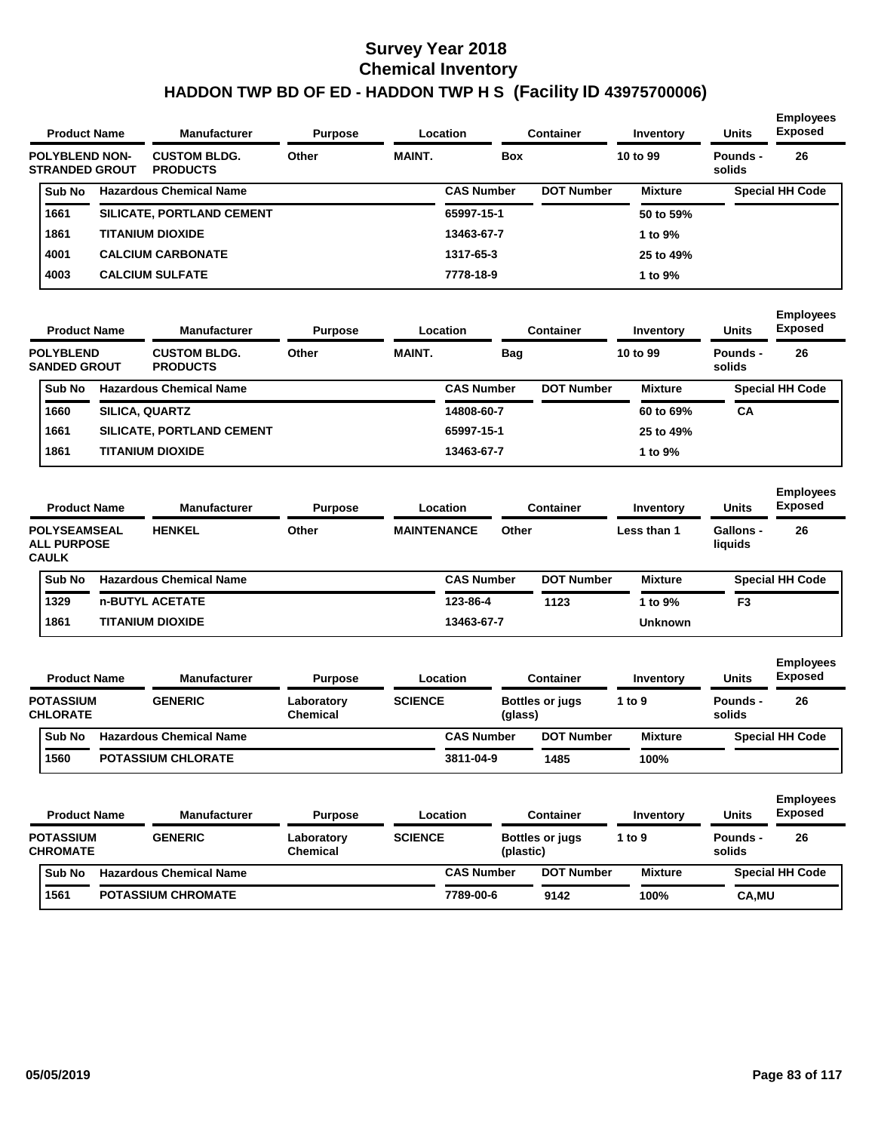| <b>Product Name</b>                                                              | <b>Manufacturer</b>                    | <b>Purpose</b>                |                    | Location          |           | <b>Container</b>       | Inventory                | <b>Units</b>                                | <b>Employees</b><br><b>Exposed</b>       |
|----------------------------------------------------------------------------------|----------------------------------------|-------------------------------|--------------------|-------------------|-----------|------------------------|--------------------------|---------------------------------------------|------------------------------------------|
| <b>POLYBLEND NON-</b><br><b>STRANDED GROUT</b>                                   | <b>CUSTOM BLDG.</b><br><b>PRODUCTS</b> | Other                         | <b>MAINT.</b>      |                   | Box       |                        | 10 to 99                 | <b>Pounds -</b><br>solids                   | 26                                       |
| Sub No                                                                           | <b>Hazardous Chemical Name</b>         |                               |                    | <b>CAS Number</b> |           | <b>DOT Number</b>      | <b>Mixture</b>           |                                             | <b>Special HH Code</b>                   |
| 1661                                                                             | SILICATE, PORTLAND CEMENT              |                               |                    | 65997-15-1        |           |                        | 50 to 59%                |                                             |                                          |
| 1861                                                                             | TITANIUM DIOXIDE                       |                               |                    | 13463-67-7        |           |                        | 1 to 9%                  |                                             |                                          |
| 4001                                                                             | <b>CALCIUM CARBONATE</b>               |                               |                    | 1317-65-3         |           |                        | 25 to 49%                |                                             |                                          |
| 4003                                                                             | <b>CALCIUM SULFATE</b>                 |                               |                    | 7778-18-9         |           |                        | 1 to 9%                  |                                             |                                          |
| <b>Product Name</b>                                                              | <b>Manufacturer</b>                    | <b>Purpose</b>                |                    | Location          |           | <b>Container</b>       | Inventory                | <b>Units</b>                                | <b>Employees</b><br><b>Exposed</b>       |
| <b>POLYBLEND</b><br><b>SANDED GROUT</b>                                          | <b>CUSTOM BLDG.</b><br><b>PRODUCTS</b> | Other                         | <b>MAINT.</b>      |                   | Bag       |                        | 10 to 99                 | <b>Pounds -</b><br>solids                   | 26                                       |
| Sub No                                                                           | <b>Hazardous Chemical Name</b>         |                               |                    | <b>CAS Number</b> |           | <b>DOT Number</b>      | <b>Mixture</b>           |                                             | <b>Special HH Code</b>                   |
| 1660                                                                             | SILICA, QUARTZ                         |                               |                    | 14808-60-7        |           |                        | 60 to 69%                | СA                                          |                                          |
| 1661                                                                             | SILICATE, PORTLAND CEMENT              |                               |                    | 65997-15-1        |           |                        | 25 to 49%                |                                             |                                          |
| 1861                                                                             | TITANIUM DIOXIDE                       |                               |                    | 13463-67-7        |           |                        | 1 to 9%                  |                                             |                                          |
| <b>Product Name</b><br><b>POLYSEAMSEAL</b><br><b>ALL PURPOSE</b><br><b>CAULK</b> | <b>Manufacturer</b><br><b>HENKEL</b>   | <b>Purpose</b><br>Other       | <b>MAINTENANCE</b> | Location          | Other     | Container              | Inventory<br>Less than 1 | <b>Units</b><br><b>Gallons -</b><br>liquids | <b>Employees</b><br><b>Exposed</b><br>26 |
| Sub No                                                                           | <b>Hazardous Chemical Name</b>         |                               |                    | <b>CAS Number</b> |           | <b>DOT Number</b>      | <b>Mixture</b>           |                                             | <b>Special HH Code</b>                   |
| 1329                                                                             | n-BUTYL ACETATE                        |                               |                    | 123-86-4          |           | 1123                   | 1 to 9%                  | F3                                          |                                          |
| 1861                                                                             | TITANIUM DIOXIDE                       |                               |                    | 13463-67-7        |           |                        | <b>Unknown</b>           |                                             |                                          |
| <b>Product Name</b>                                                              | <b>Manufacturer</b>                    | <b>Purpose</b>                |                    | Location          |           | <b>Container</b>       | Inventory                | <b>Units</b>                                | <b>Employees</b><br><b>Exposed</b>       |
| <b>POTASSIUM</b><br><b>CHLORATE</b>                                              | <b>GENERIC</b>                         | Laboratory<br>Chemical        | <b>SCIENCE</b>     |                   | (glass)   | <b>Bottles or jugs</b> | 1 to $9$                 | <b>Pounds -</b><br>solids                   | 26                                       |
| Sub No                                                                           | <b>Hazardous Chemical Name</b>         |                               |                    | <b>CAS Number</b> |           | <b>DOT Number</b>      | <b>Mixture</b>           |                                             | <b>Special HH Code</b>                   |
| 1560                                                                             | POTASSIUM CHLORATE                     |                               |                    | 3811-04-9         |           | 1485                   | 100%                     |                                             |                                          |
| <b>Product Name</b>                                                              | <b>Manufacturer</b>                    | <b>Purpose</b>                |                    | <b>Location</b>   |           | <b>Container</b>       | Inventory                | <b>Units</b>                                | <b>Employees</b><br><b>Exposed</b>       |
| <b>POTASSIUM</b><br><b>CHROMATE</b>                                              | <b>GENERIC</b>                         | Laboratory<br><b>Chemical</b> | <b>SCIENCE</b>     |                   | (plastic) | <b>Bottles or jugs</b> | 1 to 9                   | Pounds -<br>solids                          | 26                                       |
| Sub No                                                                           | <b>Hazardous Chemical Name</b>         |                               |                    | <b>CAS Number</b> |           | <b>DOT Number</b>      | <b>Mixture</b>           |                                             | <b>Special HH Code</b>                   |
| 1561                                                                             | <b>POTASSIUM CHROMATE</b>              |                               |                    | 7789-00-6         |           | 9142                   | 100%                     | CA, MU                                      |                                          |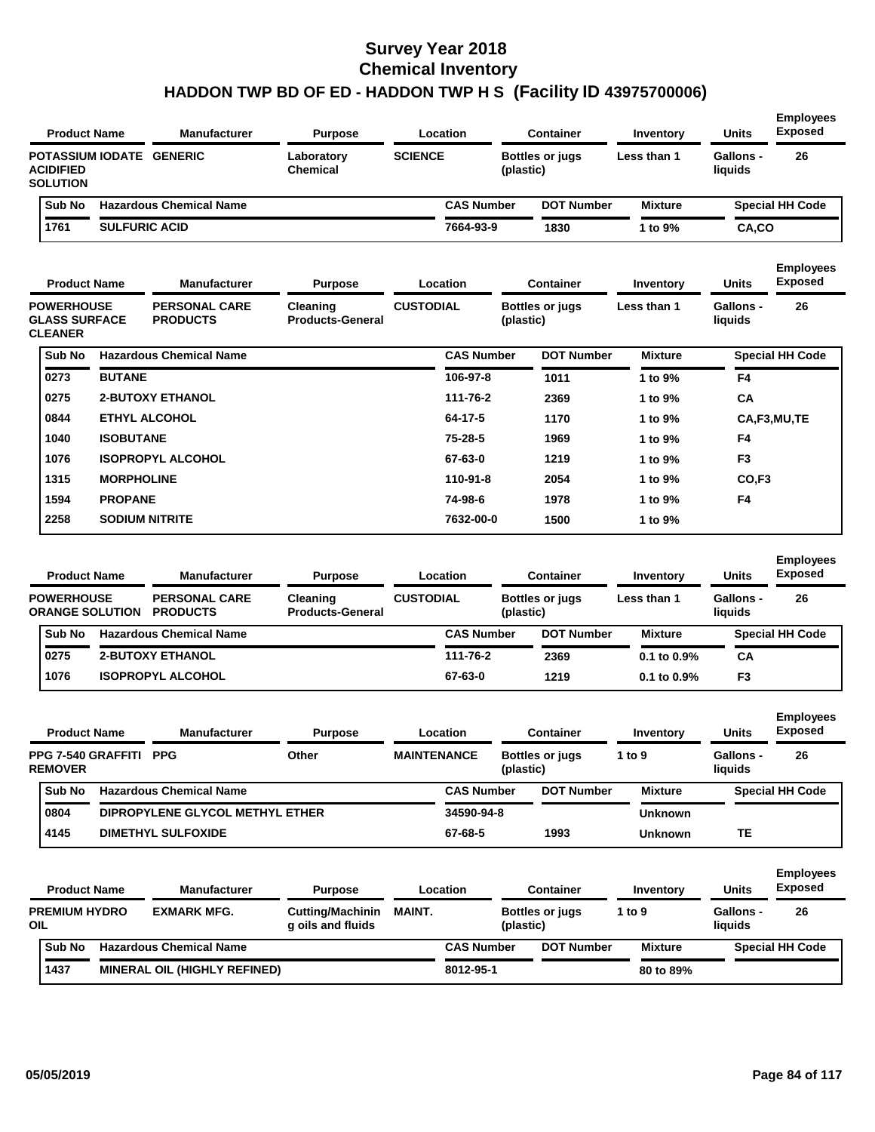| <b>Product Name</b>                 | <b>Manufacturer</b>            | <b>Purpose</b>         |                | Location          | Container              | Inventory      | <b>Units</b>         | <b>Employees</b><br><b>Exposed</b> |
|-------------------------------------|--------------------------------|------------------------|----------------|-------------------|------------------------|----------------|----------------------|------------------------------------|
| <b>ACIDIFIED</b><br><b>SOLUTION</b> | POTASSIUM IODATE GENERIC       | Laboratory<br>Chemical | <b>SCIENCE</b> | (plastic)         | <b>Bottles or jugs</b> | Less than 1    | Gallons -<br>liquids | 26                                 |
| Sub No                              | <b>Hazardous Chemical Name</b> |                        |                | <b>CAS Number</b> | <b>DOT Number</b>      | <b>Mixture</b> |                      | <b>Special HH Code</b>             |
| 1761                                | <b>SULFURIC ACID</b>           |                        |                | 7664-93-9         | 1830                   | 1 to 9%        | CA,CO                |                                    |

| <b>Product Name</b>                                         |                   | <b>Manufacturer</b>                     | <b>Purpose</b>                             | Location         |                   | <b>Container</b>       | Inventory      | <b>Units</b>         | <b>Employees</b><br><b>Exposed</b> |
|-------------------------------------------------------------|-------------------|-----------------------------------------|--------------------------------------------|------------------|-------------------|------------------------|----------------|----------------------|------------------------------------|
| <b>POWERHOUSE</b><br><b>GLASS SURFACE</b><br><b>CLEANER</b> |                   | <b>PERSONAL CARE</b><br><b>PRODUCTS</b> | <b>Cleaning</b><br><b>Products-General</b> | <b>CUSTODIAL</b> | (plastic)         | <b>Bottles or jugs</b> | Less than 1    | Gallons -<br>liquids | 26                                 |
| Sub No                                                      |                   | <b>Hazardous Chemical Name</b>          |                                            |                  | <b>CAS Number</b> | <b>DOT Number</b>      | <b>Mixture</b> |                      | <b>Special HH Code</b>             |
| 0273                                                        | <b>BUTANE</b>     |                                         |                                            | 106-97-8         |                   | 1011                   | 1 to 9%        | F4                   |                                    |
| 0275                                                        |                   | <b>2-BUTOXY ETHANOL</b>                 |                                            | 111-76-2         |                   | 2369                   | 1 to 9%        | <b>CA</b>            |                                    |
| 0844                                                        |                   | <b>ETHYL ALCOHOL</b>                    |                                            | 64-17-5          |                   | 1170                   | 1 to 9%        |                      | CA,F3,MU,TE                        |
| 1040                                                        | <b>ISOBUTANE</b>  |                                         |                                            | $75 - 28 - 5$    |                   | 1969                   | 1 to 9%        | F <sub>4</sub>       |                                    |
| 1076                                                        |                   | <b>ISOPROPYL ALCOHOL</b>                |                                            | 67-63-0          |                   | 1219                   | 1 to 9%        | F <sub>3</sub>       |                                    |
| 1315                                                        | <b>MORPHOLINE</b> |                                         |                                            | 110-91-8         |                   | 2054                   | 1 to 9%        | CO <sub>.F3</sub>    |                                    |
| 1594                                                        | <b>PROPANE</b>    |                                         |                                            | 74-98-6          |                   | 1978                   | 1 to 9%        | F <sub>4</sub>       |                                    |
| 2258                                                        |                   | <b>SODIUM NITRITE</b>                   |                                            | 7632-00-0        |                   | 1500                   | 1 to 9%        |                      |                                    |
|                                                             |                   |                                         |                                            |                  |                   |                        |                |                      |                                    |

| <b>Product Name</b>                         |  | <b>Manufacturer</b>                     | <b>Purpose</b>                      |                  | Location          | <b>Container</b>                    | Inventory        | <b>Units</b>         | <b>Employees</b><br><b>Exposed</b> |
|---------------------------------------------|--|-----------------------------------------|-------------------------------------|------------------|-------------------|-------------------------------------|------------------|----------------------|------------------------------------|
| <b>POWERHOUSE</b><br><b>ORANGE SOLUTION</b> |  | <b>PERSONAL CARE</b><br><b>PRODUCTS</b> | Cleaning<br><b>Products-General</b> | <b>CUSTODIAL</b> |                   | <b>Bottles or jugs</b><br>(plastic) | Less than 1      | Gallons -<br>liquids | 26                                 |
| Sub No                                      |  | <b>Hazardous Chemical Name</b>          |                                     |                  | <b>CAS Number</b> | <b>DOT Number</b>                   | <b>Mixture</b>   |                      | <b>Special HH Code</b>             |
| 0275                                        |  | <b>2-BUTOXY ETHANOL</b>                 |                                     |                  | 111-76-2          | 2369                                | $0.1$ to $0.9\%$ | CA                   |                                    |
| 1076                                        |  | <b>ISOPROPYL ALCOHOL</b>                |                                     |                  | 67-63-0           | 1219                                | $0.1$ to $0.9\%$ | F <sub>3</sub>       |                                    |
|                                             |  |                                         |                                     |                  |                   |                                     |                  |                      |                                    |

| <b>Product Name</b> |                                |                           | <b>Manufacturer</b>             | <b>Purpose</b> |                    | Location          |           | Container              | Inventory      | <b>Units</b>         | <b>Employees</b><br><b>Exposed</b> |
|---------------------|--------------------------------|---------------------------|---------------------------------|----------------|--------------------|-------------------|-----------|------------------------|----------------|----------------------|------------------------------------|
| <b>REMOVER</b>      | PPG 7-540 GRAFFITI             | PPG                       |                                 | Other          | <b>MAINTENANCE</b> |                   | (plastic) | <b>Bottles or jugs</b> | 1 to $9$       | Gallons -<br>liauids | 26                                 |
| <b>Sub No</b>       | <b>Hazardous Chemical Name</b> |                           |                                 |                |                    | <b>CAS Number</b> |           | <b>DOT Number</b>      | <b>Mixture</b> |                      | <b>Special HH Code</b>             |
| 0804                |                                |                           | DIPROPYLENE GLYCOL METHYL ETHER |                |                    | 34590-94-8        |           |                        | <b>Unknown</b> |                      |                                    |
| 4145                |                                | <b>DIMETHYL SULFOXIDE</b> |                                 |                |                    | 67-68-5           |           | 1993                   | Unknown        | TЕ                   |                                    |

|     | <b>Product Name</b>  |  | <b>Manufacturer</b>                 | <b>Purpose</b>                               |               | Location          | Container              | Inventory      | <b>Units</b>         | <b>Employees</b><br><b>Exposed</b> |  |
|-----|----------------------|--|-------------------------------------|----------------------------------------------|---------------|-------------------|------------------------|----------------|----------------------|------------------------------------|--|
| OIL | <b>PREMIUM HYDRO</b> |  | <b>EXMARK MFG.</b>                  | <b>Cutting/Machinin</b><br>g oils and fluids | <b>MAINT.</b> | (plastic)         | <b>Bottles or jugs</b> | 1 to 9         | Gallons -<br>liquids | 26                                 |  |
|     | <b>Sub No</b>        |  | <b>Hazardous Chemical Name</b>      |                                              |               | <b>CAS Number</b> | <b>DOT Number</b>      | <b>Mixture</b> |                      | <b>Special HH Code</b>             |  |
|     | 1437                 |  | <b>MINERAL OIL (HIGHLY REFINED)</b> |                                              |               | 8012-95-1         |                        | 80 to 89%      |                      |                                    |  |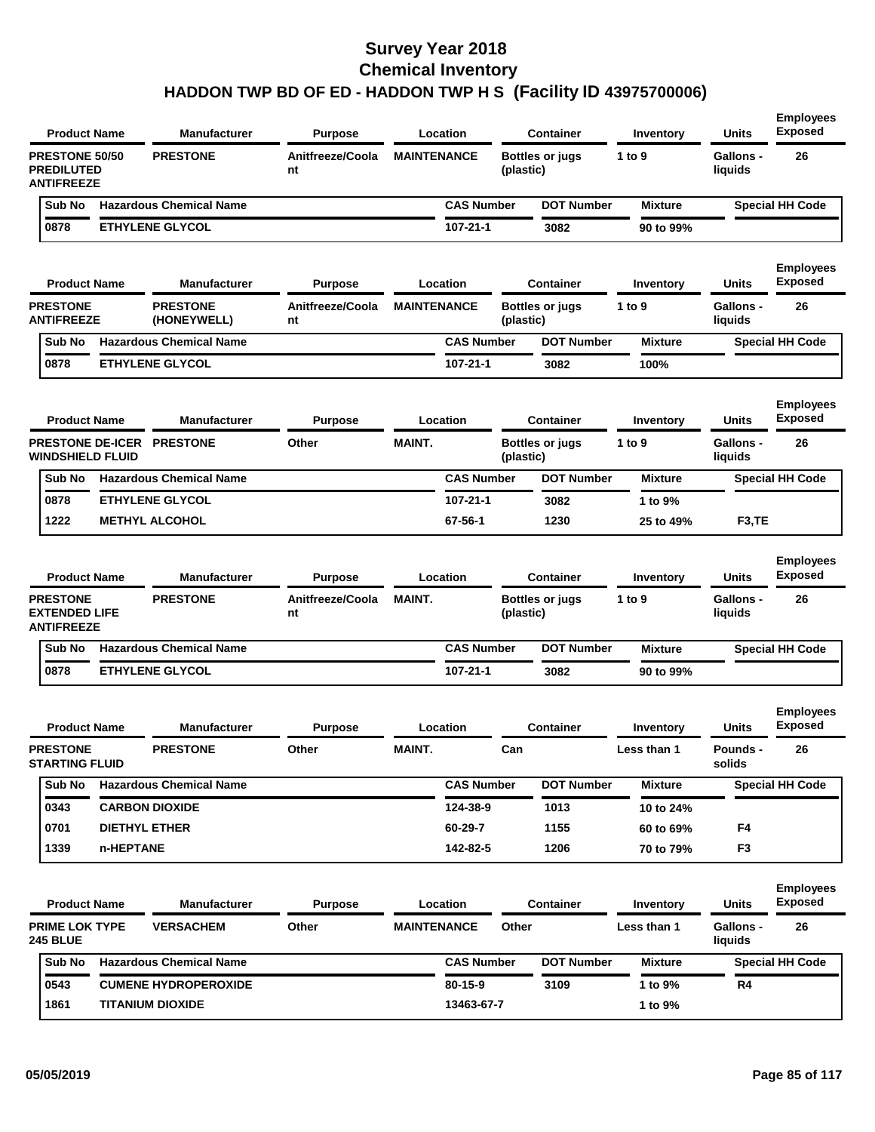| <b>Product Name</b>                                             |           | <b>Manufacturer</b>            | <b>Purpose</b>         |                    | Location          |           | <b>Container</b>       | Inventory      | Units                       | <b>Employees</b><br><b>Exposed</b> |
|-----------------------------------------------------------------|-----------|--------------------------------|------------------------|--------------------|-------------------|-----------|------------------------|----------------|-----------------------------|------------------------------------|
| <b>PRESTONE 50/50</b><br><b>PREDILUTED</b><br><b>ANTIFREEZE</b> |           | <b>PRESTONE</b>                | Anitfreeze/Coola<br>nt | <b>MAINTENANCE</b> |                   | (plastic) | <b>Bottles or jugs</b> | 1 to 9         | <b>Gallons -</b><br>liquids | 26                                 |
| Sub No                                                          |           | <b>Hazardous Chemical Name</b> |                        |                    | <b>CAS Number</b> |           | <b>DOT Number</b>      | <b>Mixture</b> |                             | <b>Special HH Code</b>             |
| 0878                                                            |           | <b>ETHYLENE GLYCOL</b>         |                        |                    | 107-21-1          |           | 3082                   | 90 to 99%      |                             |                                    |
| <b>Product Name</b>                                             |           | <b>Manufacturer</b>            | <b>Purpose</b>         |                    | Location          |           | <b>Container</b>       | Inventory      | Units                       | <b>Employees</b><br><b>Exposed</b> |
| <b>PRESTONE</b><br><b>ANTIFREEZE</b>                            |           | <b>PRESTONE</b><br>(HONEYWELL) | Anitfreeze/Coola<br>nt | <b>MAINTENANCE</b> |                   | (plastic) | <b>Bottles or jugs</b> | 1 to 9         | <b>Gallons -</b><br>liquids | 26                                 |
| Sub No                                                          |           | <b>Hazardous Chemical Name</b> |                        |                    | <b>CAS Number</b> |           | <b>DOT Number</b>      | <b>Mixture</b> |                             | <b>Special HH Code</b>             |
| 0878                                                            |           | <b>ETHYLENE GLYCOL</b>         |                        |                    | 107-21-1          |           | 3082                   | 100%           |                             |                                    |
| <b>Product Name</b>                                             |           | <b>Manufacturer</b>            | <b>Purpose</b>         |                    | Location          |           | <b>Container</b>       | Inventory      | <b>Units</b>                | <b>Employees</b><br><b>Exposed</b> |
| <b>WINDSHIELD FLUID</b>                                         |           | PRESTONE DE-ICER PRESTONE      | Other                  | <b>MAINT.</b>      |                   | (plastic) | <b>Bottles or jugs</b> | 1 to 9         | <b>Gallons -</b><br>liquids | 26                                 |
| Sub No                                                          |           | <b>Hazardous Chemical Name</b> |                        |                    | <b>CAS Number</b> |           | <b>DOT Number</b>      | <b>Mixture</b> |                             | <b>Special HH Code</b>             |
| 0878                                                            |           | <b>ETHYLENE GLYCOL</b>         |                        |                    | 107-21-1          |           | 3082                   | 1 to 9%        |                             |                                    |
| 1222                                                            |           | <b>METHYL ALCOHOL</b>          |                        |                    | 67-56-1           |           | 1230                   | 25 to 49%      | F <sub>3</sub> ,TE          |                                    |
| <b>Product Name</b>                                             |           | <b>Manufacturer</b>            | <b>Purpose</b>         |                    | Location          |           | <b>Container</b>       | Inventory      | <b>Units</b>                | <b>Employees</b><br><b>Exposed</b> |
| <b>PRESTONE</b><br><b>EXTENDED LIFE</b><br><b>ANTIFREEZE</b>    |           | <b>PRESTONE</b>                | Anitfreeze/Coola<br>nt | <b>MAINT.</b>      |                   | (plastic) | <b>Bottles or jugs</b> | 1 to 9         | <b>Gallons -</b><br>liquids | 26                                 |
| Sub No                                                          |           | <b>Hazardous Chemical Name</b> |                        |                    | <b>CAS Number</b> |           | <b>DOT Number</b>      | <b>Mixture</b> |                             | <b>Special HH Code</b>             |
| 0878                                                            |           | <b>ETHYLENE GLYCOL</b>         |                        |                    | $107 - 21 - 1$    |           | 3082                   | 90 to 99%      |                             |                                    |
| <b>Product Name</b>                                             |           | <b>Manufacturer</b>            | <b>Purpose</b>         |                    | Location          |           | <b>Container</b>       | Inventory      | <b>Units</b>                | <b>Employees</b><br><b>Exposed</b> |
| <b>PRESTONE</b><br><b>STARTING FLUID</b>                        |           | <b>PRESTONE</b>                | Other                  | <b>MAINT.</b>      |                   | Can       |                        | Less than 1    | Pounds -<br>solids          | 26                                 |
| Sub No                                                          |           |                                |                        |                    |                   |           |                        |                |                             |                                    |
|                                                                 |           | <b>Hazardous Chemical Name</b> |                        |                    | <b>CAS Number</b> |           | <b>DOT Number</b>      | <b>Mixture</b> |                             | <b>Special HH Code</b>             |
| 0343                                                            |           | <b>CARBON DIOXIDE</b>          |                        |                    | 124-38-9          |           | 1013                   | 10 to 24%      |                             |                                    |
| 0701                                                            |           | <b>DIETHYL ETHER</b>           |                        |                    | 60-29-7           |           | 1155                   | 60 to 69%      | F4                          |                                    |
| 1339                                                            | n-HEPTANE |                                |                        |                    | 142-82-5          |           | 1206                   | 70 to 79%      | F <sub>3</sub>              |                                    |
| <b>Product Name</b>                                             |           | <b>Manufacturer</b>            | <b>Purpose</b>         |                    | Location          |           | <b>Container</b>       | Inventory      | Units                       | <b>Employees</b><br><b>Exposed</b> |
| <b>PRIME LOK TYPE</b><br><b>245 BLUE</b>                        |           | <b>VERSACHEM</b>               | Other                  | <b>MAINTENANCE</b> |                   | Other     |                        | Less than 1    | <b>Gallons -</b><br>liquids | 26                                 |
| Sub No                                                          |           | <b>Hazardous Chemical Name</b> |                        |                    | <b>CAS Number</b> |           | <b>DOT Number</b>      | <b>Mixture</b> |                             | <b>Special HH Code</b>             |
| 0543                                                            |           | <b>CUMENE HYDROPEROXIDE</b>    |                        |                    | 80-15-9           |           | 3109                   | 1 to 9%        | R4                          |                                    |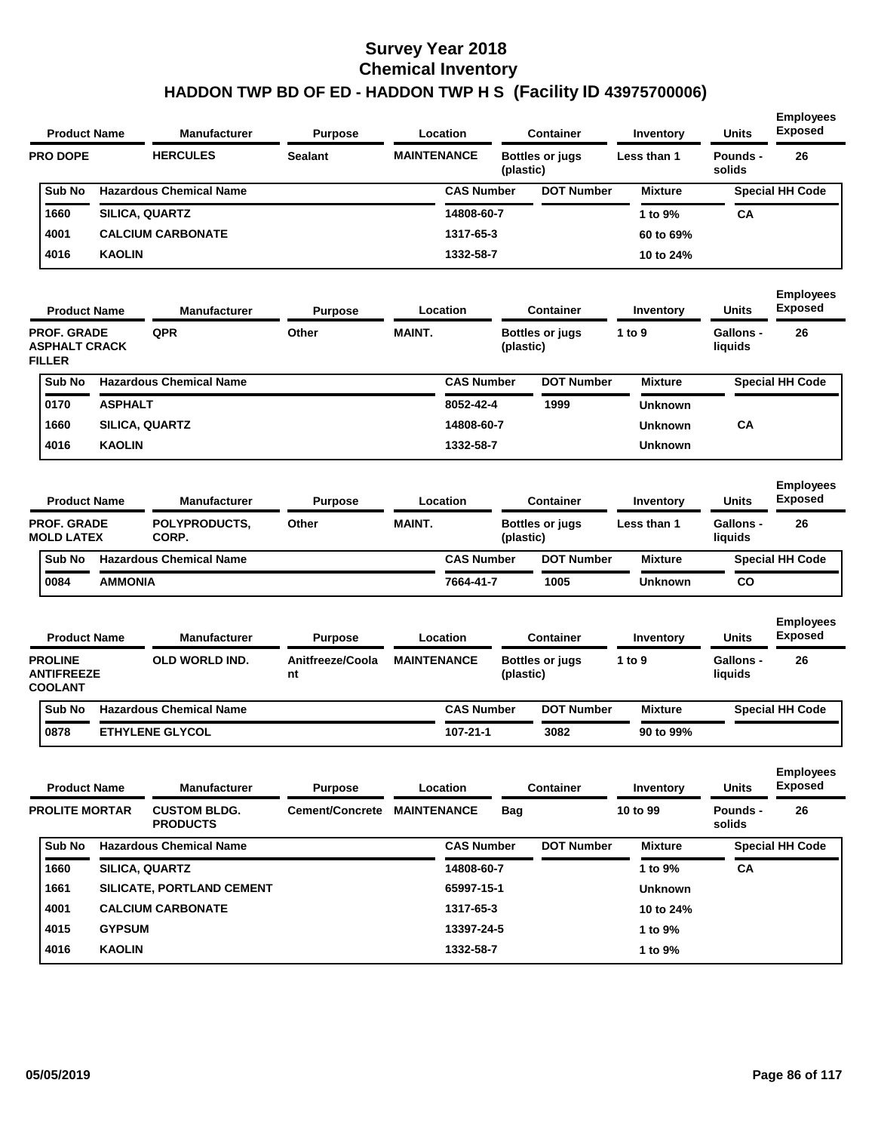| <b>Product Name</b>                                         |                | <b>Manufacturer</b>                    | <b>Purpose</b>              |                    | Location          |            | <b>Container</b>       | Inventory      | <b>Units</b>                | <b>Employees</b><br><b>Exposed</b> |
|-------------------------------------------------------------|----------------|----------------------------------------|-----------------------------|--------------------|-------------------|------------|------------------------|----------------|-----------------------------|------------------------------------|
| <b>PRO DOPE</b>                                             |                | <b>HERCULES</b>                        | <b>Sealant</b>              | <b>MAINTENANCE</b> |                   | (plastic)  | <b>Bottles or jugs</b> | Less than 1    | Pounds -<br>solids          | 26                                 |
| Sub No                                                      |                | <b>Hazardous Chemical Name</b>         |                             |                    | <b>CAS Number</b> |            | <b>DOT Number</b>      | <b>Mixture</b> |                             | <b>Special HH Code</b>             |
| 1660                                                        |                | SILICA, QUARTZ                         |                             |                    | 14808-60-7        |            |                        | 1 to 9%        | СA                          |                                    |
| 4001                                                        |                | <b>CALCIUM CARBONATE</b>               |                             |                    | 1317-65-3         |            |                        | 60 to 69%      |                             |                                    |
| 4016                                                        | <b>KAOLIN</b>  |                                        |                             |                    | 1332-58-7         |            |                        | 10 to 24%      |                             |                                    |
| <b>Product Name</b>                                         |                | <b>Manufacturer</b>                    | <b>Purpose</b>              |                    | Location          |            | <b>Container</b>       | Inventory      | <b>Units</b>                | <b>Employees</b><br><b>Exposed</b> |
| <b>PROF. GRADE</b><br><b>ASPHALT CRACK</b><br><b>FILLER</b> |                | QPR                                    | Other                       | <b>MAINT.</b>      |                   | (plastic)  | <b>Bottles or jugs</b> | 1 to 9         | <b>Gallons -</b><br>liquids | 26                                 |
| Sub No                                                      |                | <b>Hazardous Chemical Name</b>         |                             |                    | <b>CAS Number</b> |            | <b>DOT Number</b>      | <b>Mixture</b> |                             | <b>Special HH Code</b>             |
| 0170                                                        | <b>ASPHALT</b> |                                        |                             |                    | 8052-42-4         |            | 1999                   | <b>Unknown</b> |                             |                                    |
| 1660                                                        |                | <b>SILICA, QUARTZ</b>                  |                             |                    | 14808-60-7        |            |                        | <b>Unknown</b> | CA                          |                                    |
| 4016                                                        | <b>KAOLIN</b>  |                                        |                             |                    | 1332-58-7         |            |                        | <b>Unknown</b> |                             |                                    |
| <b>Product Name</b>                                         |                | <b>Manufacturer</b>                    | <b>Purpose</b>              |                    | Location          |            | <b>Container</b>       | Inventory      | Units                       | <b>Employees</b><br><b>Exposed</b> |
| PROF. GRADE<br><b>MOLD LATEX</b>                            |                | POLYPRODUCTS,<br>CORP.                 | Other                       | <b>MAINT.</b>      |                   | (plastic)  | <b>Bottles or jugs</b> | Less than 1    | <b>Gallons -</b><br>liquids | 26                                 |
| Sub No                                                      |                | <b>Hazardous Chemical Name</b>         |                             |                    | <b>CAS Number</b> |            | <b>DOT Number</b>      | <b>Mixture</b> |                             | <b>Special HH Code</b>             |
| 0084                                                        | <b>AMMONIA</b> |                                        |                             |                    | 7664-41-7         |            | 1005                   | Unknown        | co                          |                                    |
| <b>Product Name</b>                                         |                | Manufacturer                           | <b>Purpose</b>              |                    | Location          |            | <b>Container</b>       | Inventory      | Units                       | <b>Employees</b><br><b>Exposed</b> |
| <b>PROLINE</b><br><b>ANTIFREEZE</b><br><b>COOLANT</b>       |                | OLD WORLD IND.                         | Anitfreeze/Coola<br>nt      | <b>MAINTENANCE</b> |                   | (plastic)  | <b>Bottles or jugs</b> | 1 to 9         | <b>Gallons -</b><br>liquids | 26                                 |
| Sub No                                                      |                | <b>Hazardous Chemical Name</b>         |                             |                    | <b>CAS Number</b> |            | <b>DOT Number</b>      | <b>Mixture</b> |                             | <b>Special HH Code</b>             |
| 0878                                                        |                | <b>ETHYLENE GLYCOL</b>                 |                             |                    | 107-21-1          |            | 3082                   | 90 to 99%      |                             |                                    |
| <b>Product Name</b>                                         |                | <b>Manufacturer</b>                    | <b>Purpose</b>              |                    | Location          |            | <b>Container</b>       | Inventory      | Units                       | <b>Employees</b><br><b>Exposed</b> |
| <b>PROLITE MORTAR</b>                                       |                | <b>CUSTOM BLDG.</b><br><b>PRODUCTS</b> | Cement/Concrete MAINTENANCE |                    |                   | <b>Bag</b> |                        | 10 to 99       | Pounds -<br>solids          | 26                                 |
| Sub No                                                      |                | <b>Hazardous Chemical Name</b>         |                             |                    | <b>CAS Number</b> |            | <b>DOT Number</b>      | <b>Mixture</b> |                             | <b>Special HH Code</b>             |
| 1660                                                        |                | SILICA, QUARTZ                         |                             |                    | 14808-60-7        |            |                        | 1 to 9%        | CA                          |                                    |
| 1661                                                        |                | SILICATE, PORTLAND CEMENT              |                             |                    | 65997-15-1        |            |                        | <b>Unknown</b> |                             |                                    |
| 4001                                                        |                | <b>CALCIUM CARBONATE</b>               |                             |                    | 1317-65-3         |            |                        | 10 to 24%      |                             |                                    |
| 4015                                                        | <b>GYPSUM</b>  |                                        |                             |                    | 13397-24-5        |            |                        | 1 to 9%        |                             |                                    |
|                                                             |                |                                        |                             |                    |                   |            |                        |                |                             |                                    |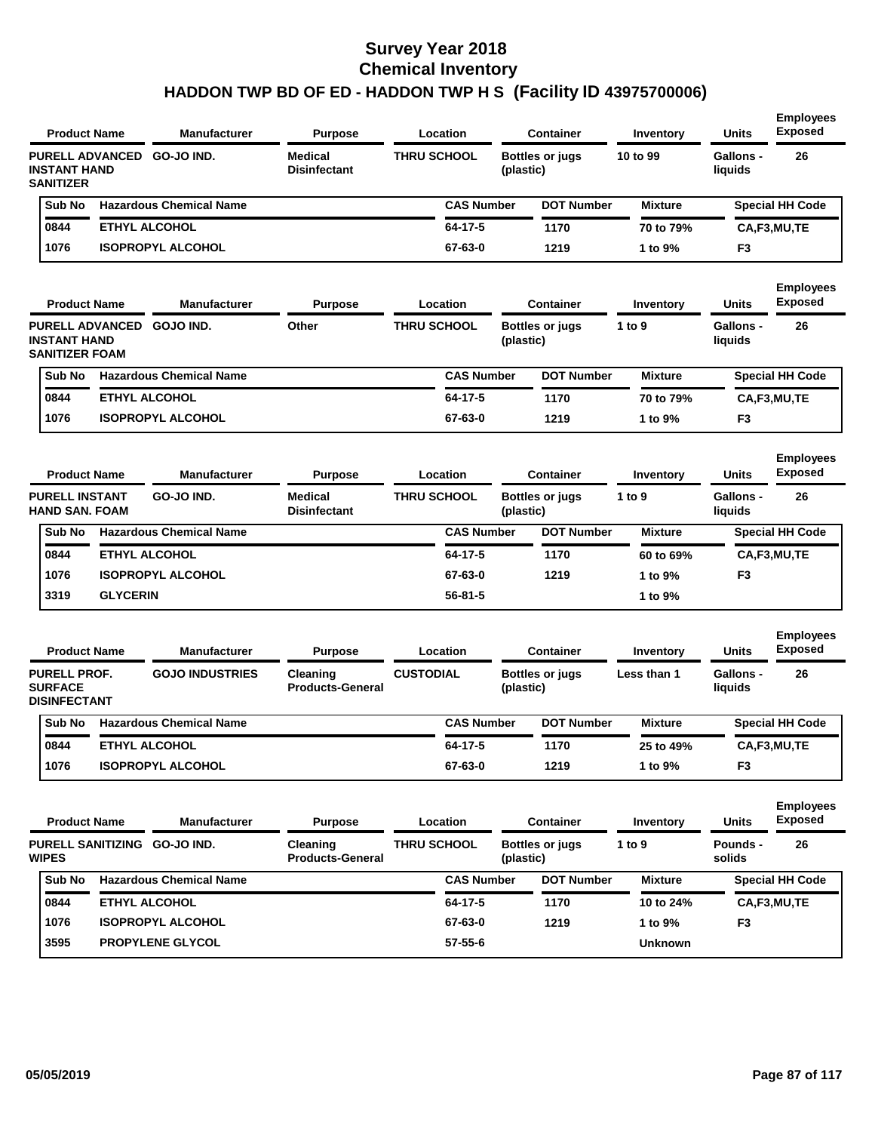**Employees** 

| <b>Product Name</b>                                                    |                 | Manufacturer                   | <b>Purpose</b>                        | Location           |                   | <b>Container</b>                    | Inventory      | <b>Units</b>                | <b>Exposed</b>                     |
|------------------------------------------------------------------------|-----------------|--------------------------------|---------------------------------------|--------------------|-------------------|-------------------------------------|----------------|-----------------------------|------------------------------------|
| <b>PURELL ADVANCED</b><br><b>INSTANT HAND</b><br><b>SANITIZER</b>      |                 | <b>GO-JO IND.</b>              | <b>Medical</b><br><b>Disinfectant</b> | <b>THRU SCHOOL</b> |                   | <b>Bottles or jugs</b><br>(plastic) | 10 to 99       | <b>Gallons -</b><br>liquids | 26                                 |
| Sub No                                                                 |                 | <b>Hazardous Chemical Name</b> |                                       |                    | <b>CAS Number</b> | <b>DOT Number</b>                   | <b>Mixture</b> |                             | <b>Special HH Code</b>             |
| 0844                                                                   |                 | <b>ETHYL ALCOHOL</b>           |                                       | 64-17-5            |                   | 1170                                | 70 to 79%      |                             | CA,F3,MU,TE                        |
| 1076                                                                   |                 | <b>ISOPROPYL ALCOHOL</b>       |                                       | 67-63-0            |                   | 1219                                | 1 to 9%        | F <sub>3</sub>              |                                    |
| <b>Product Name</b>                                                    |                 | <b>Manufacturer</b>            | <b>Purpose</b>                        | Location           |                   | <b>Container</b>                    | Inventory      | <b>Units</b>                | <b>Employees</b><br><b>Exposed</b> |
| <b>PURELL ADVANCED</b><br><b>INSTANT HAND</b><br><b>SANITIZER FOAM</b> |                 | <b>GOJO IND.</b>               | Other                                 | <b>THRU SCHOOL</b> |                   | <b>Bottles or jugs</b><br>(plastic) | 1 to 9         | <b>Gallons -</b><br>liquids | 26                                 |
| Sub No                                                                 |                 | <b>Hazardous Chemical Name</b> |                                       |                    | <b>CAS Number</b> | <b>DOT Number</b>                   | <b>Mixture</b> |                             | Special HH Code                    |
| 0844                                                                   |                 | <b>ETHYL ALCOHOL</b>           |                                       | 64-17-5            |                   | 1170                                | 70 to 79%      |                             | CA,F3,MU,TE                        |
| 1076                                                                   |                 | <b>ISOPROPYL ALCOHOL</b>       |                                       | 67-63-0            |                   | 1219                                | 1 to 9%        | F <sub>3</sub>              |                                    |
| <b>Product Name</b>                                                    |                 | <b>Manufacturer</b>            | <b>Purpose</b>                        | Location           |                   | <b>Container</b>                    | Inventory      | <b>Units</b>                | <b>Employees</b><br><b>Exposed</b> |
| <b>PURELL INSTANT</b><br><b>HAND SAN, FOAM</b>                         |                 | GO-JO IND.                     | <b>Medical</b><br><b>Disinfectant</b> | <b>THRU SCHOOL</b> |                   | <b>Bottles or jugs</b><br>(plastic) | 1 to $9$       | Gallons -<br>liquids        | 26                                 |
| Sub No                                                                 |                 | <b>Hazardous Chemical Name</b> |                                       |                    | <b>CAS Number</b> | <b>DOT Number</b>                   | <b>Mixture</b> |                             | <b>Special HH Code</b>             |
| 0844                                                                   |                 | <b>ETHYL ALCOHOL</b>           |                                       | 64-17-5            |                   | 1170                                | 60 to 69%      |                             | CA,F3,MU,TE                        |
| 1076                                                                   |                 | <b>ISOPROPYL ALCOHOL</b>       |                                       | 67-63-0            |                   | 1219                                | 1 to 9%        | F <sub>3</sub>              |                                    |
| 3319                                                                   | <b>GLYCERIN</b> |                                |                                       | $56 - 81 - 5$      |                   |                                     | 1 to 9%        |                             |                                    |
| <b>Product Name</b>                                                    |                 | <b>Manufacturer</b>            | <b>Purpose</b>                        | Location           |                   | <b>Container</b>                    | Inventory      | <b>Units</b>                | <b>Employees</b><br><b>Exposed</b> |
| <b>PURELL PROF.</b><br><b>SURFACE</b><br><b>DISINFECTANT</b>           |                 | <b>GOJO INDUSTRIES</b>         | Cleaning<br><b>Products-General</b>   | <b>CUSTODIAL</b>   |                   | <b>Bottles or jugs</b><br>(plastic) | Less than 1    | <b>Gallons -</b><br>liquids | 26                                 |
| Sub No                                                                 |                 | <b>Hazardous Chemical Name</b> |                                       |                    | <b>CAS Number</b> | <b>DOT Number</b>                   | <b>Mixture</b> |                             | <b>Special HH Code</b>             |
| 0844                                                                   |                 | <b>ETHYL ALCOHOL</b>           |                                       | 64-17-5            |                   | 1170                                | 25 to 49%      |                             | CA,F3,MU,TE                        |
| 1076                                                                   |                 | <b>ISOPROPYL ALCOHOL</b>       |                                       | 67-63-0            |                   | 1219                                | 1 to 9%        | F3                          |                                    |
| <b>Product Name</b>                                                    |                 | <b>Manufacturer</b>            | <b>Purpose</b>                        | Location           |                   | <b>Container</b>                    | Inventory      | <b>Units</b>                | <b>Employees</b><br><b>Exposed</b> |
| <b>WIPES</b>                                                           |                 | PURELL SANITIZING GO-JO IND.   | Cleaning<br><b>Products-General</b>   | <b>THRU SCHOOL</b> |                   | <b>Bottles or jugs</b><br>(plastic) | 1 to 9         | Pounds -<br>solids          | 26                                 |
| Sub No                                                                 |                 | <b>Hazardous Chemical Name</b> |                                       |                    | <b>CAS Number</b> | <b>DOT Number</b>                   | <b>Mixture</b> |                             | <b>Special HH Code</b>             |
| 0844                                                                   |                 | ETHYL ALCOHOL                  |                                       | 64-17-5            |                   | 1170                                | 10 to 24%      |                             | CA,F3,MU,TE                        |
| 1076                                                                   |                 | <b>ISOPROPYL ALCOHOL</b>       |                                       | 67-63-0            |                   | 1219                                | 1 to 9%        | F <sub>3</sub>              |                                    |
| 3595                                                                   |                 | PROPYLENE GLYCOL               |                                       | 57-55-6            |                   |                                     | <b>Unknown</b> |                             |                                    |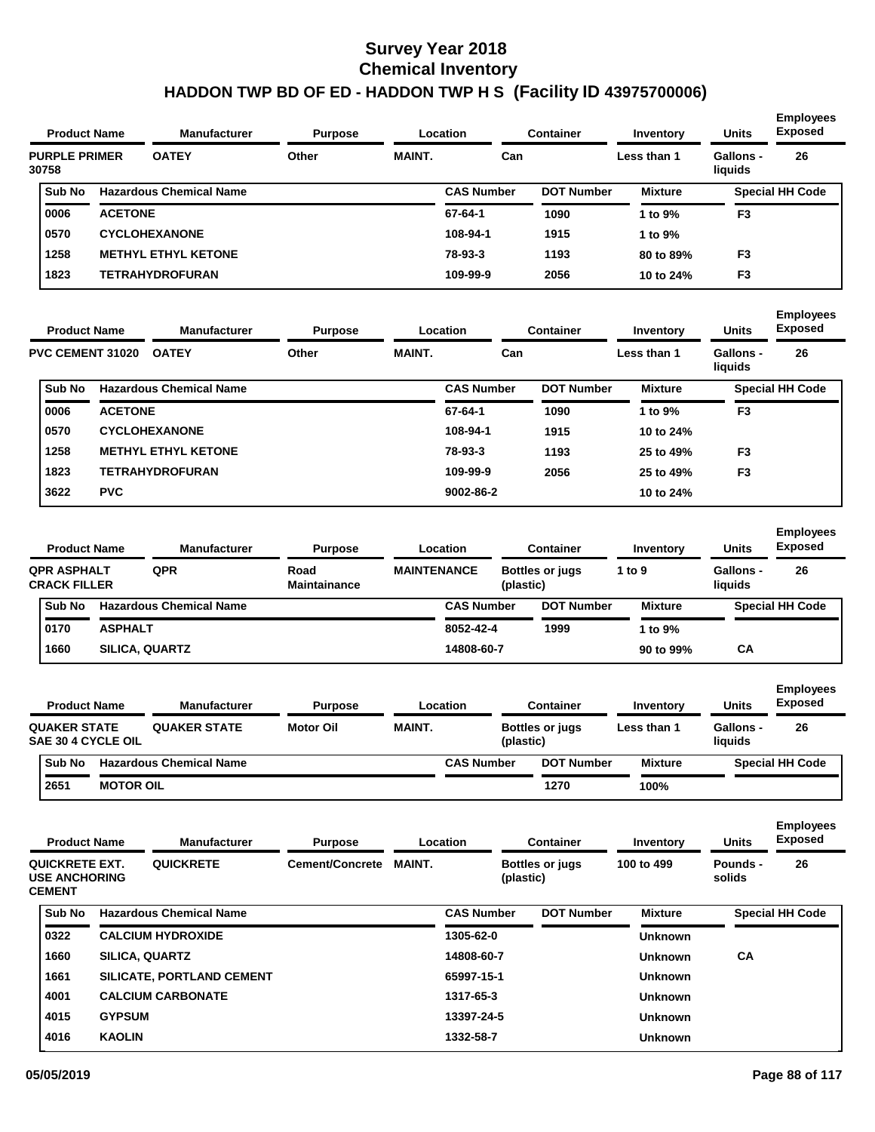|                               | <b>Product Name</b> | <b>Manufacturer</b>            | <b>Purpose</b> |               | Location          | <b>Container</b>  | Inventory      | <b>Units</b>                | <b>Employees</b><br>Exposed |
|-------------------------------|---------------------|--------------------------------|----------------|---------------|-------------------|-------------------|----------------|-----------------------------|-----------------------------|
| <b>PURPLE PRIMER</b><br>30758 |                     | <b>OATEY</b>                   | Other          | <b>MAINT.</b> | Can               |                   | Less than 1    | <b>Gallons -</b><br>liquids | 26                          |
| <b>Sub No</b>                 |                     | <b>Hazardous Chemical Name</b> |                |               | <b>CAS Number</b> | <b>DOT Number</b> | <b>Mixture</b> |                             | <b>Special HH Code</b>      |
| 0006                          | <b>ACETONE</b>      |                                |                |               | 67-64-1           | 1090              | 1 to $9\%$     | F <sub>3</sub>              |                             |
| 0570                          |                     | <b>CYCLOHEXANONE</b>           |                |               | 108-94-1          | 1915              | 1 to $9\%$     |                             |                             |
| 1258                          |                     | <b>METHYL ETHYL KETONE</b>     |                |               | 78-93-3           | 1193              | 80 to 89%      | F <sub>3</sub>              |                             |
| 1823                          |                     | TETRAHYDROFURAN                |                |               | 109-99-9          | 2056              | 10 to 24%      | F <sub>3</sub>              |                             |

| <b>Product Name</b> |                | <b>Manufacturer</b>            | <b>Purpose</b> |               | <b>Container</b><br>Location |                   | Inventory      | <b>Units</b>         | <b>Employees</b><br><b>Exposed</b> |
|---------------------|----------------|--------------------------------|----------------|---------------|------------------------------|-------------------|----------------|----------------------|------------------------------------|
| PVC CEMENT 31020    |                | <b>OATEY</b>                   | Other          | <b>MAINT.</b> | Can                          |                   | Less than 1    | Gallons -<br>liquids | 26                                 |
| Sub No              |                | <b>Hazardous Chemical Name</b> |                |               | <b>CAS Number</b>            | <b>DOT Number</b> | <b>Mixture</b> |                      | <b>Special HH Code</b>             |
| 0006                | <b>ACETONE</b> |                                |                |               | 67-64-1                      | 1090              | 1 to 9%        | F <sub>3</sub>       |                                    |
| 0570                |                | <b>CYCLOHEXANONE</b>           |                |               | 108-94-1                     | 1915              | 10 to 24%      |                      |                                    |
| 1258                |                | <b>METHYL ETHYL KETONE</b>     |                |               | 78-93-3                      | 1193              | 25 to 49%      | F <sub>3</sub>       |                                    |
| 1823                |                | <b>TETRAHYDROFURAN</b>         |                |               | 109-99-9                     | 2056              | 25 to 49%      | F <sub>3</sub>       |                                    |
| 3622                | <b>PVC</b>     |                                |                |               | 9002-86-2                    |                   | 10 to 24%      |                      |                                    |

| <b>Manufacturer</b><br><b>Product Name</b> |                |                                | <b>Purpose</b>              |                    | Location          |           | Container              | Inventory      | <b>Units</b>                | <b>Employees</b><br><b>Exposed</b> |
|--------------------------------------------|----------------|--------------------------------|-----------------------------|--------------------|-------------------|-----------|------------------------|----------------|-----------------------------|------------------------------------|
| QPR ASPHALT<br><b>CRACK FILLER</b>         |                | QPR                            | Road<br><b>Maintainance</b> | <b>MAINTENANCE</b> |                   | (plastic) | <b>Bottles or jugs</b> | 1 to $9$       | <b>Gallons -</b><br>liauids | 26                                 |
| <b>Sub No</b>                              |                | <b>Hazardous Chemical Name</b> |                             |                    | <b>CAS Number</b> |           | <b>DOT Number</b>      | <b>Mixture</b> |                             | <b>Special HH Code</b>             |
| 0170                                       | <b>ASPHALT</b> |                                |                             |                    | 8052-42-4         |           | 1999                   | 1 to 9%        |                             |                                    |
| 1660                                       |                | <b>SILICA, QUARTZ</b>          |                             |                    | 14808-60-7        |           |                        | 90 to 99%      | СA                          |                                    |

| <b>Product Name</b> |                                                  |                  | <b>Manufacturer</b>            | <b>Purpose</b>   |               | Location          | Container              | Inventory      | <b>Units</b>         | <b>Employees</b><br><b>Exposed</b> |
|---------------------|--------------------------------------------------|------------------|--------------------------------|------------------|---------------|-------------------|------------------------|----------------|----------------------|------------------------------------|
|                     | <b>QUAKER STATE</b><br><b>SAE 30 4 CYCLE OIL</b> |                  | <b>QUAKER STATE</b>            | <b>Motor Oil</b> | <b>MAINT.</b> | (plastic)         | <b>Bottles or jugs</b> | Less than 1    | Gallons -<br>liauids | 26                                 |
|                     | <b>Sub No</b>                                    |                  | <b>Hazardous Chemical Name</b> |                  |               | <b>CAS Number</b> | <b>DOT Number</b>      | <b>Mixture</b> |                      | <b>Special HH Code</b>             |
|                     | 2651                                             | <b>MOTOR OIL</b> |                                |                  |               |                   | 1270                   | 100%           |                      |                                    |

| <b>Product Name</b>                                     | <b>Manufacturer</b> | <b>Purpose</b>                   |                                  | <b>Container</b><br>Location |                   | Inventory              | <b>Units</b>   | <b>Employees</b><br><b>Exposed</b> |                        |
|---------------------------------------------------------|---------------------|----------------------------------|----------------------------------|------------------------------|-------------------|------------------------|----------------|------------------------------------|------------------------|
| QUICKRETE EXT.<br><b>USE ANCHORING</b><br><b>CEMENT</b> |                     | <b>QUICKRETE</b>                 | Cement/Concrete<br><b>MAINT.</b> |                              | (plastic)         | <b>Bottles or jugs</b> | 100 to 499     | Pounds -<br>solids                 | 26                     |
| Sub No                                                  |                     | <b>Hazardous Chemical Name</b>   |                                  |                              | <b>CAS Number</b> | <b>DOT Number</b>      | <b>Mixture</b> |                                    | <b>Special HH Code</b> |
| 0322                                                    |                     | <b>CALCIUM HYDROXIDE</b>         |                                  |                              | 1305-62-0         |                        | <b>Unknown</b> |                                    |                        |
| 1660                                                    |                     | <b>SILICA, QUARTZ</b>            |                                  |                              | 14808-60-7        |                        | <b>Unknown</b> | <b>CA</b>                          |                        |
| 1661                                                    |                     | <b>SILICATE, PORTLAND CEMENT</b> |                                  |                              | 65997-15-1        |                        | <b>Unknown</b> |                                    |                        |
| 4001                                                    |                     | <b>CALCIUM CARBONATE</b>         |                                  |                              | 1317-65-3         |                        | <b>Unknown</b> |                                    |                        |
| 4015                                                    | <b>GYPSUM</b>       |                                  |                                  |                              | 13397-24-5        |                        | <b>Unknown</b> |                                    |                        |
| 4016                                                    | <b>KAOLIN</b>       |                                  |                                  |                              | 1332-58-7         |                        | <b>Unknown</b> |                                    |                        |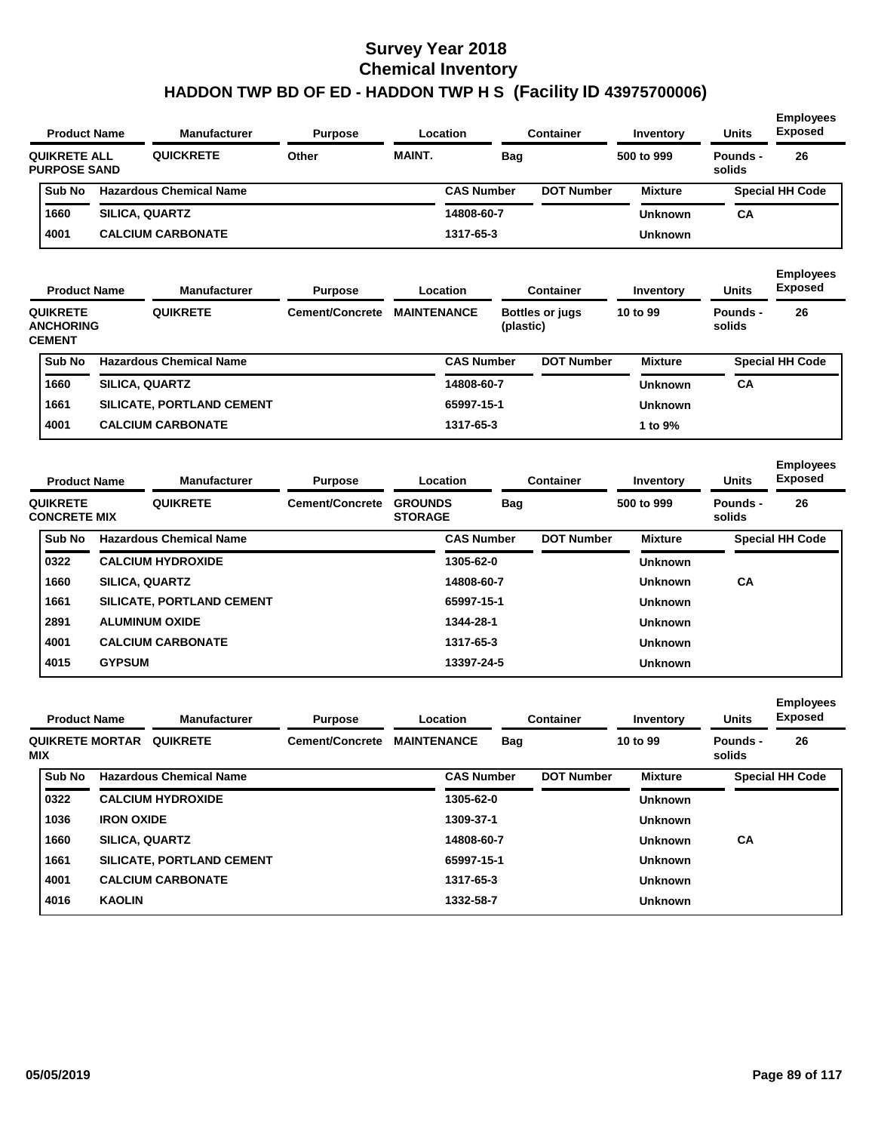| <b>Units</b><br>Inventory        | <b>Employees</b><br><b>Exposed</b>                 |
|----------------------------------|----------------------------------------------------|
| 500 to 999<br>Pounds -<br>solids | 26                                                 |
|                                  | <b>Special HH Code</b>                             |
| CA                               |                                                    |
|                                  |                                                    |
|                                  | <b>Mixture</b><br><b>Unknown</b><br><b>Unknown</b> |

| <b>Product Name</b>                                  | <b>Manufacturer</b>              | <b>Purpose</b>         |                    | <b>Container</b><br>Location |                                     |                   | Inventory      | <b>Units</b>       | <b>Employees</b><br><b>Exposed</b><br>26 |
|------------------------------------------------------|----------------------------------|------------------------|--------------------|------------------------------|-------------------------------------|-------------------|----------------|--------------------|------------------------------------------|
| <b>QUIKRETE</b><br><b>ANCHORING</b><br><b>CEMENT</b> | <b>QUIKRETE</b>                  | <b>Cement/Concrete</b> | <b>MAINTENANCE</b> |                              | <b>Bottles or jugs</b><br>(plastic) |                   | 10 to 99       | Pounds -<br>solids |                                          |
| Sub No                                               | <b>Hazardous Chemical Name</b>   |                        |                    | <b>CAS Number</b>            |                                     | <b>DOT Number</b> | <b>Mixture</b> |                    | <b>Special HH Code</b>                   |
| 1660                                                 | <b>SILICA, QUARTZ</b>            |                        |                    | 14808-60-7                   |                                     |                   | <b>Unknown</b> | CA                 |                                          |
| 1661                                                 | <b>SILICATE, PORTLAND CEMENT</b> |                        |                    | 65997-15-1                   |                                     |                   | <b>Unknown</b> |                    |                                          |
| 4001                                                 | <b>CALCIUM CARBONATE</b>         |                        |                    | 1317-65-3                    |                                     |                   | 1 to $9\%$     |                    |                                          |

| <b>Product Name</b>                    |               | <b>Manufacturer</b>              | <b>Purpose</b>         |                                  |                   | Location |                   | <b>Container</b> | Inventory          | <b>Units</b>           | <b>Employees</b><br><b>Exposed</b> |
|----------------------------------------|---------------|----------------------------------|------------------------|----------------------------------|-------------------|----------|-------------------|------------------|--------------------|------------------------|------------------------------------|
| <b>QUIKRETE</b><br><b>CONCRETE MIX</b> |               | <b>QUIKRETE</b>                  | <b>Cement/Concrete</b> | <b>GROUNDS</b><br><b>STORAGE</b> |                   | Bag      |                   | 500 to 999       | Pounds -<br>solids | 26                     |                                    |
| Sub No                                 |               | <b>Hazardous Chemical Name</b>   |                        |                                  | <b>CAS Number</b> |          | <b>DOT Number</b> | <b>Mixture</b>   |                    | <b>Special HH Code</b> |                                    |
| 0322                                   |               | <b>CALCIUM HYDROXIDE</b>         |                        |                                  | 1305-62-0         |          |                   | <b>Unknown</b>   |                    |                        |                                    |
| 1660                                   |               | <b>SILICA, QUARTZ</b>            |                        |                                  | 14808-60-7        |          |                   | <b>Unknown</b>   | <b>CA</b>          |                        |                                    |
| 1661                                   |               | <b>SILICATE, PORTLAND CEMENT</b> |                        |                                  | 65997-15-1        |          |                   | <b>Unknown</b>   |                    |                        |                                    |
| 2891                                   |               | <b>ALUMINUM OXIDE</b>            |                        |                                  | 1344-28-1         |          |                   | <b>Unknown</b>   |                    |                        |                                    |
| 4001                                   |               | <b>CALCIUM CARBONATE</b>         |                        |                                  | 1317-65-3         |          |                   | <b>Unknown</b>   |                    |                        |                                    |
| 4015                                   | <b>GYPSUM</b> |                                  |                        |                                  | 13397-24-5        |          |                   | <b>Unknown</b>   |                    |                        |                                    |

| <b>Product Name</b>           |                       | <b>Manufacturer</b><br><b>Purpose</b> |                        |                    | Location          |            | <b>Container</b>  | Inventory      | <b>Units</b>       | <b>Employees</b><br><b>Exposed</b> |
|-------------------------------|-----------------------|---------------------------------------|------------------------|--------------------|-------------------|------------|-------------------|----------------|--------------------|------------------------------------|
| <b>QUIKRETE MORTAR</b><br>MIX |                       | <b>QUIKRETE</b>                       | <b>Cement/Concrete</b> | <b>MAINTENANCE</b> |                   | <b>Bag</b> |                   | 10 to 99       | Pounds -<br>solids | 26                                 |
| Sub No                        |                       | <b>Hazardous Chemical Name</b>        |                        |                    | <b>CAS Number</b> |            | <b>DOT Number</b> | <b>Mixture</b> |                    | <b>Special HH Code</b>             |
| 0322                          |                       | <b>CALCIUM HYDROXIDE</b>              |                        |                    | 1305-62-0         |            |                   | <b>Unknown</b> |                    |                                    |
| 1036                          | <b>IRON OXIDE</b>     |                                       |                        |                    | 1309-37-1         |            |                   | <b>Unknown</b> |                    |                                    |
| 1660                          | <b>SILICA, QUARTZ</b> |                                       |                        |                    | 14808-60-7        |            |                   | <b>Unknown</b> | CА                 |                                    |
| 1661                          |                       | <b>SILICATE, PORTLAND CEMENT</b>      |                        |                    | 65997-15-1        |            |                   | <b>Unknown</b> |                    |                                    |
| 4001                          |                       | <b>CALCIUM CARBONATE</b>              |                        |                    | 1317-65-3         |            |                   | <b>Unknown</b> |                    |                                    |
| 4016                          | <b>KAOLIN</b>         |                                       |                        |                    | 1332-58-7         |            |                   | <b>Unknown</b> |                    |                                    |
|                               |                       |                                       |                        |                    |                   |            |                   |                |                    |                                    |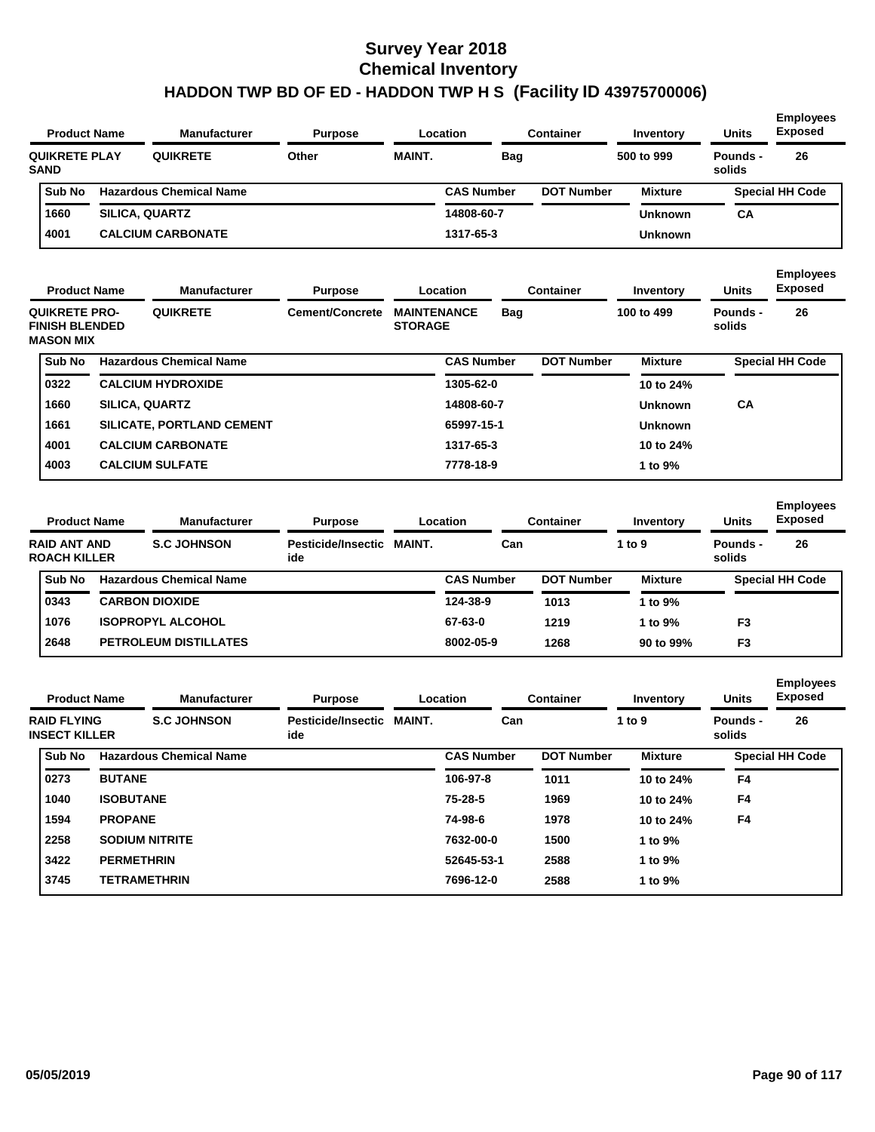| <b>Product Name</b>                 | <b>Manufacturer</b>            | <b>Purpose</b> |               | Location          | Container         | Inventory      | <b>Units</b>       | <b>Employees</b><br><b>Exposed</b> |
|-------------------------------------|--------------------------------|----------------|---------------|-------------------|-------------------|----------------|--------------------|------------------------------------|
| <b>QUIKRETE PLAY</b><br><b>SAND</b> | <b>QUIKRETE</b>                | Other          | <b>MAINT.</b> | Bag               |                   | 500 to 999     | Pounds -<br>solids | 26                                 |
| Sub No                              | <b>Hazardous Chemical Name</b> |                |               | <b>CAS Number</b> | <b>DOT Number</b> | <b>Mixture</b> |                    | <b>Special HH Code</b>             |
| 1660                                | <b>SILICA, QUARTZ</b>          |                |               | 14808-60-7        |                   | <b>Unknown</b> | CA                 |                                    |
| 4001                                | <b>CALCIUM CARBONATE</b>       |                |               | 1317-65-3         |                   | <b>Unknown</b> |                    |                                    |

| <b>Product Name</b>                                               | <b>Manufacturer</b>   | <b>Purpose</b>                   |                 | Location                             |                   | <b>Container</b> | Inventory         | <b>Units</b>   | <b>Employees</b><br><b>Exposed</b> |                        |
|-------------------------------------------------------------------|-----------------------|----------------------------------|-----------------|--------------------------------------|-------------------|------------------|-------------------|----------------|------------------------------------|------------------------|
| <b>QUIKRETE PRO-</b><br><b>FINISH BLENDED</b><br><b>MASON MIX</b> |                       | <b>QUIKRETE</b>                  | Cement/Concrete | <b>MAINTENANCE</b><br><b>STORAGE</b> |                   | <b>Bag</b>       |                   | 100 to 499     | Pounds -<br>solids                 | 26                     |
| Sub No                                                            |                       | <b>Hazardous Chemical Name</b>   |                 |                                      | <b>CAS Number</b> |                  | <b>DOT Number</b> | <b>Mixture</b> |                                    | <b>Special HH Code</b> |
| 0322                                                              |                       | <b>CALCIUM HYDROXIDE</b>         |                 |                                      | 1305-62-0         |                  |                   | 10 to 24%      |                                    |                        |
| 1660                                                              | <b>SILICA, QUARTZ</b> |                                  |                 |                                      | 14808-60-7        |                  |                   | <b>Unknown</b> | <b>CA</b>                          |                        |
| 1661                                                              |                       | <b>SILICATE, PORTLAND CEMENT</b> |                 |                                      | 65997-15-1        |                  |                   | <b>Unknown</b> |                                    |                        |
| 4001                                                              |                       | <b>CALCIUM CARBONATE</b>         |                 |                                      | 1317-65-3         |                  |                   | 10 to 24%      |                                    |                        |
| 4003                                                              |                       | <b>CALCIUM SULFATE</b>           |                 |                                      | 7778-18-9         |                  |                   | 1 to 9%        |                                    |                        |
|                                                                   |                       |                                  |                 |                                      |                   |                  |                   |                |                                    |                        |

| <b>Product Name</b> |                                            | <b>Manufacturer</b>            | <b>Purpose</b><br>Location       |  |                   | Container         | Inventory      | <b>Units</b>       | <b>Employees</b><br><b>Exposed</b> |  |
|---------------------|--------------------------------------------|--------------------------------|----------------------------------|--|-------------------|-------------------|----------------|--------------------|------------------------------------|--|
|                     | <b>RAID ANT AND</b><br><b>ROACH KILLER</b> | <b>S.C. JOHNSON</b>            | Pesticide/Insectic MAINT.<br>ide |  | Can               |                   | 1 to $9$       | Pounds -<br>solids | 26                                 |  |
|                     | Sub No                                     | <b>Hazardous Chemical Name</b> |                                  |  | <b>CAS Number</b> | <b>DOT Number</b> | <b>Mixture</b> |                    | <b>Special HH Code</b>             |  |
|                     | 0343                                       | <b>CARBON DIOXIDE</b>          |                                  |  | 124-38-9          | 1013              | 1 to $9\%$     |                    |                                    |  |
|                     | 1076                                       | <b>ISOPROPYL ALCOHOL</b>       |                                  |  | 67-63-0           | 1219              | 1 to $9\%$     | F <sub>3</sub>     |                                    |  |
|                     | 2648                                       | <b>PETROLEUM DISTILLATES</b>   |                                  |  | 8002-05-9         | 1268              | 90 to 99%      | F <sub>3</sub>     |                                    |  |
|                     |                                            |                                |                                  |  |                   |                   |                |                    |                                    |  |

| <b>Product Name</b>                        |                   | <b>Manufacturer</b>            | <b>Purpose</b>                   |        | Location          | <b>Container</b>  | Inventory      | <b>Units</b>       | <b>Employees</b><br><b>Exposed</b> |
|--------------------------------------------|-------------------|--------------------------------|----------------------------------|--------|-------------------|-------------------|----------------|--------------------|------------------------------------|
| <b>RAID FLYING</b><br><b>INSECT KILLER</b> |                   | <b>S.C JOHNSON</b>             | <b>Pesticide/Insectic</b><br>ide | MAINT. | Can               |                   | 1 to 9         | Pounds -<br>solids | 26                                 |
| Sub No                                     |                   | <b>Hazardous Chemical Name</b> |                                  |        | <b>CAS Number</b> | <b>DOT Number</b> | <b>Mixture</b> |                    | <b>Special HH Code</b>             |
| 0273                                       | <b>BUTANE</b>     |                                |                                  |        | 106-97-8          | 1011              | 10 to 24%      | F4                 |                                    |
| 1040                                       | <b>ISOBUTANE</b>  |                                |                                  |        | $75 - 28 - 5$     | 1969              | 10 to 24%      | F <sub>4</sub>     |                                    |
| 1594                                       | <b>PROPANE</b>    |                                |                                  |        | 74-98-6           | 1978              | 10 to 24%      | F <sub>4</sub>     |                                    |
| 2258                                       |                   | <b>SODIUM NITRITE</b>          |                                  |        | 7632-00-0         | 1500              | 1 to 9%        |                    |                                    |
| 3422                                       | <b>PERMETHRIN</b> |                                |                                  |        | 52645-53-1        | 2588              | 1 to 9%        |                    |                                    |
| 3745                                       |                   | <b>TETRAMETHRIN</b>            |                                  |        | 7696-12-0         | 2588              | 1 to 9%        |                    |                                    |
|                                            |                   |                                |                                  |        |                   |                   |                |                    |                                    |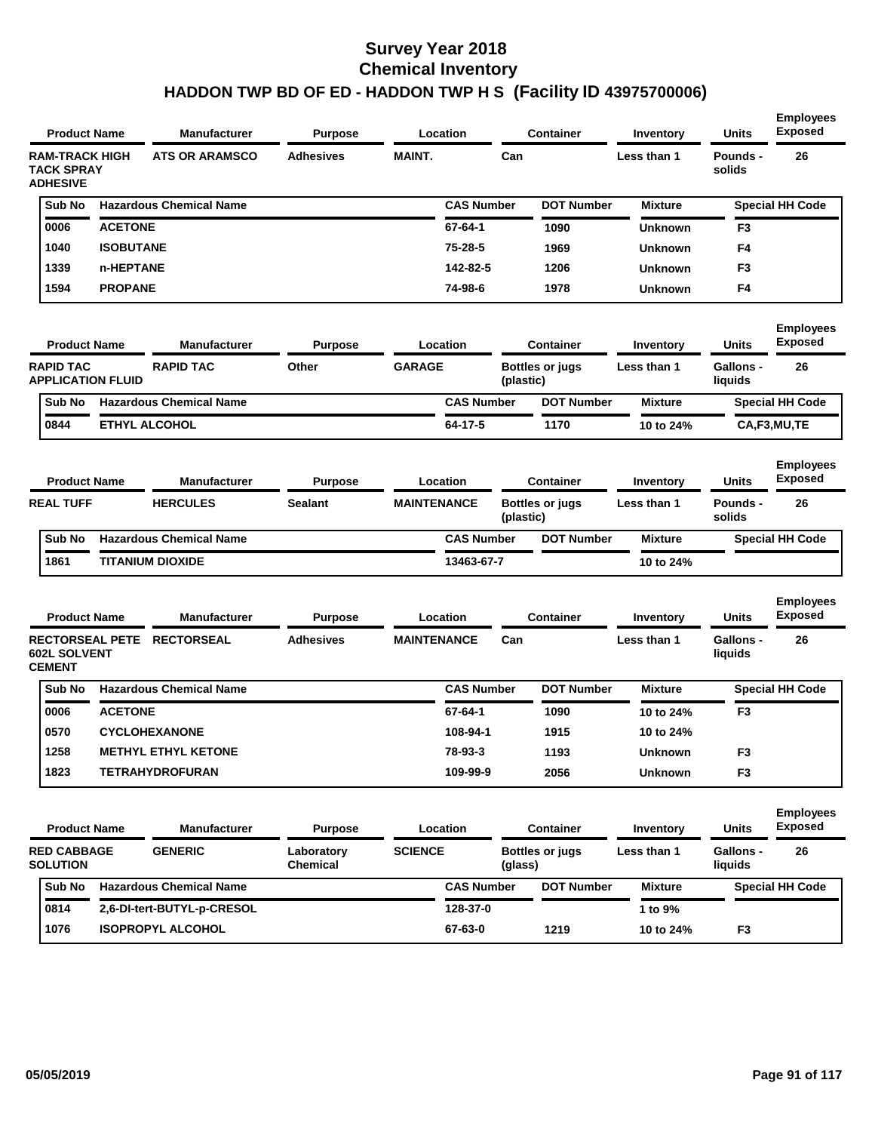| <b>Product Name</b>                                            |                      | <b>Manufacturer</b>            | <b>Purpose</b>         |                    | Location          |           | <b>Container</b>       | Inventory      | <b>Units</b>                | <b>Employees</b><br><b>Exposed</b> |
|----------------------------------------------------------------|----------------------|--------------------------------|------------------------|--------------------|-------------------|-----------|------------------------|----------------|-----------------------------|------------------------------------|
| <b>RAM-TRACK HIGH</b><br><b>TACK SPRAY</b><br><b>ADHESIVE</b>  |                      | <b>ATS OR ARAMSCO</b>          | <b>Adhesives</b>       | <b>MAINT.</b>      |                   | Can       |                        | Less than 1    | Pounds -<br>solids          | 26                                 |
| Sub No                                                         |                      | <b>Hazardous Chemical Name</b> |                        |                    | <b>CAS Number</b> |           | <b>DOT Number</b>      | <b>Mixture</b> |                             | <b>Special HH Code</b>             |
| 0006                                                           | <b>ACETONE</b>       |                                |                        |                    | 67-64-1           |           | 1090                   | <b>Unknown</b> | F <sub>3</sub>              |                                    |
| 1040                                                           | <b>ISOBUTANE</b>     |                                |                        |                    | 75-28-5           |           | 1969                   | <b>Unknown</b> | F4                          |                                    |
| 1339                                                           | n-HEPTANE            |                                |                        |                    | 142-82-5          |           | 1206                   | <b>Unknown</b> | F <sub>3</sub>              |                                    |
| 1594                                                           | <b>PROPANE</b>       |                                |                        |                    | 74-98-6           |           | 1978                   | <b>Unknown</b> | F4                          |                                    |
| <b>Product Name</b>                                            |                      | <b>Manufacturer</b>            | <b>Purpose</b>         |                    | Location          |           | <b>Container</b>       | Inventory      | Units                       | <b>Employees</b><br><b>Exposed</b> |
| <b>RAPID TAC</b><br><b>APPLICATION FLUID</b>                   |                      | <b>RAPID TAC</b>               | Other                  | <b>GARAGE</b>      |                   | (plastic) | <b>Bottles or jugs</b> | Less than 1    | <b>Gallons -</b><br>liquids | 26                                 |
| Sub No                                                         |                      | <b>Hazardous Chemical Name</b> |                        |                    | <b>CAS Number</b> |           | <b>DOT Number</b>      | <b>Mixture</b> |                             | <b>Special HH Code</b>             |
| 0844                                                           | <b>ETHYL ALCOHOL</b> |                                |                        |                    | 64-17-5           |           | 1170                   | 10 to 24%      |                             | CA,F3,MU,TE                        |
| <b>Product Name</b>                                            |                      | <b>Manufacturer</b>            | <b>Purpose</b>         |                    | Location          |           | <b>Container</b>       | Inventory      | <b>Units</b>                | <b>Employees</b><br><b>Exposed</b> |
| <b>REAL TUFF</b>                                               |                      | <b>HERCULES</b>                | Sealant                | <b>MAINTENANCE</b> |                   | (plastic) | <b>Bottles or jugs</b> | Less than 1    | Pounds -<br>solids          | 26                                 |
| Sub No                                                         |                      | <b>Hazardous Chemical Name</b> |                        |                    | <b>CAS Number</b> |           | <b>DOT Number</b>      | <b>Mixture</b> |                             | <b>Special HH Code</b>             |
| 1861                                                           |                      | <b>TITANIUM DIOXIDE</b>        |                        |                    | 13463-67-7        |           |                        | 10 to 24%      |                             |                                    |
| <b>Product Name</b>                                            |                      | <b>Manufacturer</b>            | <b>Purpose</b>         |                    | Location          |           | <b>Container</b>       | Inventory      | Units                       | <b>Employees</b><br><b>Exposed</b> |
| <b>RECTORSEAL PETE</b><br><b>602L SOLVENT</b><br><b>CEMENT</b> |                      | <b>RECTORSEAL</b>              | <b>Adhesives</b>       | <b>MAINTENANCE</b> |                   | Can       |                        | Less than 1    | <b>Gallons -</b><br>liquids | 26                                 |
| Sub No                                                         |                      | <b>Hazardous Chemical Name</b> |                        |                    | <b>CAS Number</b> |           | <b>DOT Number</b>      | <b>Mixture</b> |                             | <b>Special HH Code</b>             |
| 0006                                                           | <b>ACETONE</b>       |                                |                        |                    | 67-64-1           |           | 1090                   | 10 to 24%      | F <sub>3</sub>              |                                    |
| 0570                                                           |                      | <b>CYCLOHEXANONE</b>           |                        |                    | 108-94-1          |           | 1915                   | 10 to 24%      |                             |                                    |
| 1258                                                           |                      | <b>METHYL ETHYL KETONE</b>     |                        |                    | 78-93-3           |           | 1193                   | <b>Unknown</b> | F3                          |                                    |
| 1823                                                           |                      | <b>TETRAHYDROFURAN</b>         |                        |                    | 109-99-9          |           | 2056                   | <b>Unknown</b> | F <sub>3</sub>              |                                    |
|                                                                | <b>Product Name</b>  | <b>Manufacturer</b>            | <b>Purpose</b>         |                    | Location          |           | <b>Container</b>       | Inventory      | <b>Units</b>                | <b>Employees</b><br><b>Exposed</b> |
| <b>RED CABBAGE</b><br><b>SOLUTION</b>                          |                      | <b>GENERIC</b>                 | Laboratory<br>Chemical | <b>SCIENCE</b>     |                   | (glass)   | <b>Bottles or jugs</b> | Less than 1    | Gallons -<br>liquids        | 26                                 |
| Sub No                                                         |                      | <b>Hazardous Chemical Name</b> |                        |                    | <b>CAS Number</b> |           | <b>DOT Number</b>      | <b>Mixture</b> |                             | <b>Special HH Code</b>             |
| 0814                                                           |                      | 2,6-DI-tert-BUTYL-p-CRESOL     |                        |                    | 128-37-0          |           |                        | 1 to 9%        |                             |                                    |
| 1076                                                           |                      | <b>ISOPROPYL ALCOHOL</b>       |                        |                    | 67-63-0           |           | 1219                   | 10 to 24%      | F <sub>3</sub>              |                                    |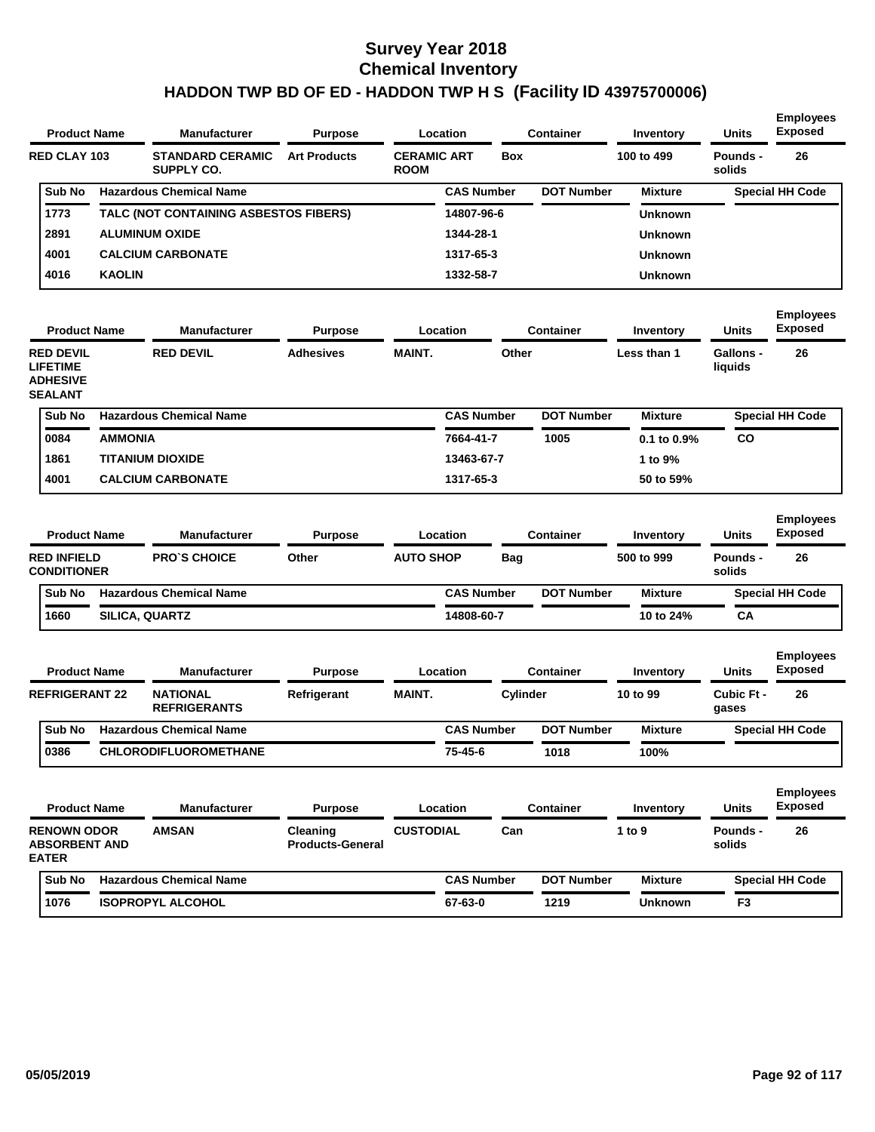| <b>Product Name</b> |               | <b>Manufacturer</b>                   | <b>Purpose</b>      |                                   | Location          |            | <b>Container</b>  | Inventory      | <b>Units</b>       | <b>Employees</b><br><b>Exposed</b> |
|---------------------|---------------|---------------------------------------|---------------------|-----------------------------------|-------------------|------------|-------------------|----------------|--------------------|------------------------------------|
| <b>RED CLAY 103</b> |               | <b>STANDARD CERAMIC</b><br>SUPPLY CO. | <b>Art Products</b> | <b>CERAMIC ART</b><br><b>ROOM</b> |                   | <b>Box</b> |                   | 100 to 499     | Pounds -<br>solids | 26                                 |
| Sub No              |               | <b>Hazardous Chemical Name</b>        |                     |                                   | <b>CAS Number</b> |            | <b>DOT Number</b> | <b>Mixture</b> |                    | <b>Special HH Code</b>             |
| 1773                |               | TALC (NOT CONTAINING ASBESTOS FIBERS) |                     |                                   | 14807-96-6        |            |                   | <b>Unknown</b> |                    |                                    |
| 2891                |               | <b>ALUMINUM OXIDE</b>                 |                     |                                   | 1344-28-1         |            |                   | <b>Unknown</b> |                    |                                    |
| 4001                |               | <b>CALCIUM CARBONATE</b>              |                     |                                   | 1317-65-3         |            |                   | <b>Unknown</b> |                    |                                    |
| 4016                | <b>KAOLIN</b> |                                       |                     |                                   | 1332-58-7         |            |                   | <b>Unknown</b> |                    |                                    |

| <b>Product Name</b>                                                      |                | <b>Manufacturer</b>            | <b>Purpose</b>   |               | Location          | <b>Container</b>  | Inventory        | Units                | <b>Exposed</b>         |
|--------------------------------------------------------------------------|----------------|--------------------------------|------------------|---------------|-------------------|-------------------|------------------|----------------------|------------------------|
| <b>RED DEVIL</b><br><b>LIFETIME</b><br><b>ADHESIVE</b><br><b>SEALANT</b> |                | <b>RED DEVIL</b>               | <b>Adhesives</b> | <b>MAINT.</b> | Other             |                   | Less than 1      | Gallons -<br>liquids | 26                     |
| Sub No                                                                   |                | <b>Hazardous Chemical Name</b> |                  |               | <b>CAS Number</b> | <b>DOT Number</b> | <b>Mixture</b>   |                      | <b>Special HH Code</b> |
| 0084                                                                     | <b>AMMONIA</b> |                                |                  |               | 7664-41-7         | 1005              | $0.1$ to $0.9\%$ | CO                   |                        |
| 1861                                                                     |                | <b>TITANIUM DIOXIDE</b>        |                  |               | 13463-67-7        |                   | 1 to $9\%$       |                      |                        |
| 4001                                                                     |                | <b>CALCIUM CARBONATE</b>       |                  |               | 1317-65-3         |                   | 50 to 59%        |                      |                        |

| <b>Product Name</b>                      | <b>Manufacturer</b>            | <b>Purpose</b> | Location         |                   | Container         | Inventory      | <b>Units</b>       | <b>Employees</b><br><b>Exposed</b> |
|------------------------------------------|--------------------------------|----------------|------------------|-------------------|-------------------|----------------|--------------------|------------------------------------|
| <b>RED INFIELD</b><br><b>CONDITIONER</b> | <b>PRO'S CHOICE</b>            | Other          | <b>AUTO SHOP</b> | Bag               |                   | 500 to 999     | Pounds -<br>solids | 26                                 |
| <b>Sub No</b>                            | <b>Hazardous Chemical Name</b> |                |                  | <b>CAS Number</b> | <b>DOT Number</b> | <b>Mixture</b> |                    | <b>Special HH Code</b>             |
| 1660                                     | <b>SILICA, QUARTZ</b>          |                |                  | 14808-60-7        |                   | 10 to 24%      | CA                 |                                    |

| <b>Product Name</b>   | <b>Manufacturer</b>                    | <b>Purpose</b> |        | Location          | Container         | Inventory | <b>Units</b>        | <b>Employees</b><br><b>Exposed</b> |
|-----------------------|----------------------------------------|----------------|--------|-------------------|-------------------|-----------|---------------------|------------------------------------|
| <b>REFRIGERANT 22</b> | <b>NATIONAL</b><br><b>REFRIGERANTS</b> | Refrigerant    | MAINT. | Cylinder          |                   | 10 to 99  | Cubic Ft -<br>gases | 26                                 |
| Sub No                | <b>Hazardous Chemical Name</b>         |                |        | <b>CAS Number</b> | <b>DOT Number</b> | Mixture   |                     | <b>Special HH Code</b>             |
| 0386                  | <b>CHLORODIFLUOROMETHANE</b>           |                |        | 75-45-6           | 1018              | 100%      |                     |                                    |

| <b>Product Name</b>                                        | <b>Manufacturer</b>            | <b>Purpose</b>                             |                  | Location          |     | Container         | Inventory      | <b>Units</b>       | <b>Employees</b><br><b>Exposed</b> |
|------------------------------------------------------------|--------------------------------|--------------------------------------------|------------------|-------------------|-----|-------------------|----------------|--------------------|------------------------------------|
| <b>RENOWN ODOR</b><br><b>ABSORBENT AND</b><br><b>EATER</b> | <b>AMSAN</b>                   | <b>Cleaning</b><br><b>Products-General</b> | <b>CUSTODIAL</b> |                   | Can |                   | 1 to $9$       | Pounds -<br>solids | 26                                 |
| Sub No                                                     | <b>Hazardous Chemical Name</b> |                                            |                  | <b>CAS Number</b> |     | <b>DOT Number</b> | <b>Mixture</b> |                    | <b>Special HH Code</b>             |
| 1076                                                       | <b>ISOPROPYL ALCOHOL</b>       |                                            |                  | 67-63-0           |     | 1219              | <b>Unknown</b> | F <sub>3</sub>     |                                    |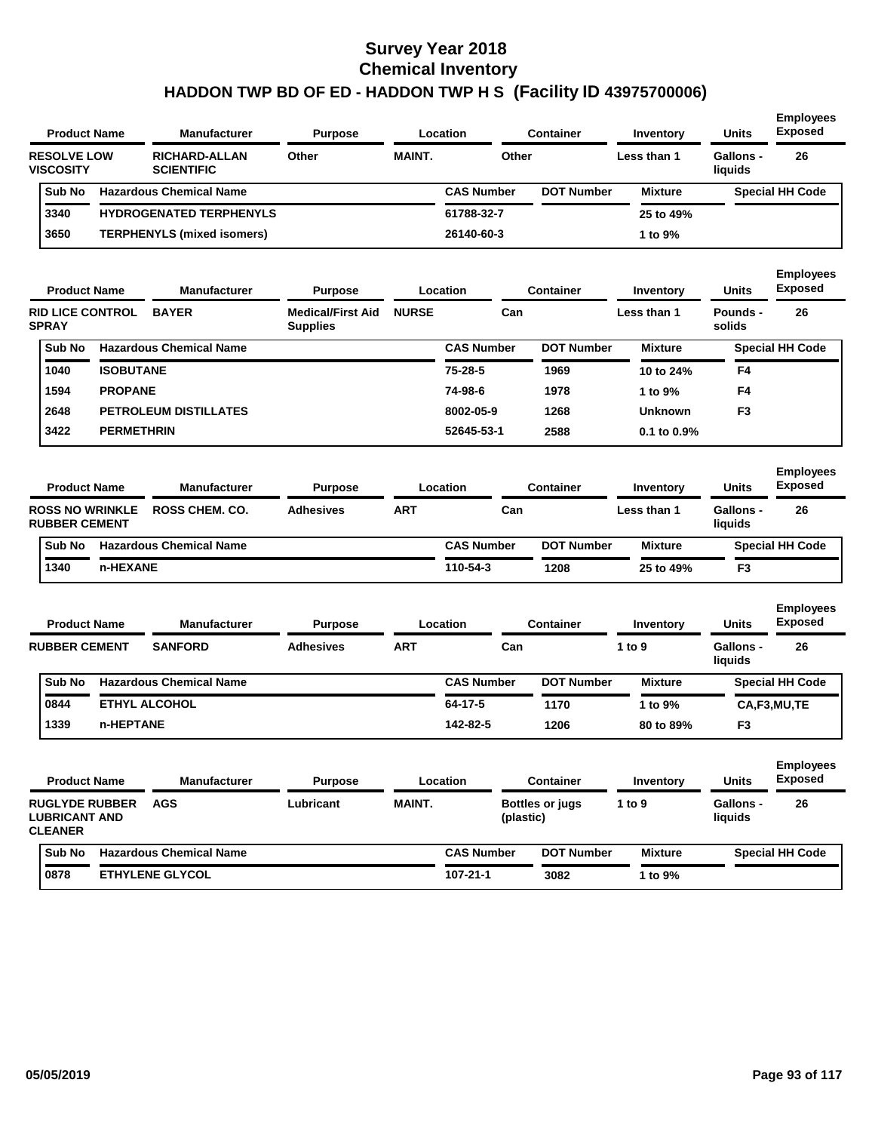|                                        | <b>Product Name</b>     | <b>Manufacturer</b>                       | <b>Purpose</b>                              |               | Location          |           | <b>Container</b>       | Inventory      | <b>Units</b>                | <b>Employees</b><br><b>Exposed</b> |
|----------------------------------------|-------------------------|-------------------------------------------|---------------------------------------------|---------------|-------------------|-----------|------------------------|----------------|-----------------------------|------------------------------------|
| <b>RESOLVE LOW</b><br><b>VISCOSITY</b> |                         | <b>RICHARD-ALLAN</b><br><b>SCIENTIFIC</b> | Other                                       | <b>MAINT.</b> |                   | Other     |                        | Less than 1    | <b>Gallons -</b><br>liquids | 26                                 |
| Sub No                                 |                         | <b>Hazardous Chemical Name</b>            |                                             |               | <b>CAS Number</b> |           | <b>DOT Number</b>      | <b>Mixture</b> |                             | <b>Special HH Code</b>             |
| 3340                                   |                         | <b>HYDROGENATED TERPHENYLS</b>            |                                             |               | 61788-32-7        |           |                        | 25 to 49%      |                             |                                    |
| 3650                                   |                         | TERPHENYLS (mixed isomers)                |                                             |               | 26140-60-3        |           |                        | 1 to 9%        |                             |                                    |
|                                        | <b>Product Name</b>     | <b>Manufacturer</b>                       | <b>Purpose</b>                              |               | Location          |           | <b>Container</b>       | Inventory      | <b>Units</b>                | <b>Employees</b><br><b>Exposed</b> |
| <b>SPRAY</b>                           | <b>RID LICE CONTROL</b> | <b>BAYER</b>                              | <b>Medical/First Aid</b><br><b>Supplies</b> | <b>NURSE</b>  |                   | Can       |                        | Less than 1    | <b>Pounds -</b><br>solids   | 26                                 |
| Sub No                                 |                         | <b>Hazardous Chemical Name</b>            |                                             |               | <b>CAS Number</b> |           | <b>DOT Number</b>      | <b>Mixture</b> |                             | <b>Special HH Code</b>             |
| 1040                                   | <b>ISOBUTANE</b>        |                                           |                                             |               | 75-28-5           |           | 1969                   | 10 to 24%      | F4                          |                                    |
| 1594                                   | <b>PROPANE</b>          |                                           |                                             |               | 74-98-6           |           | 1978                   | 1 to 9%        | F4                          |                                    |
| 2648                                   |                         | <b>PETROLEUM DISTILLATES</b>              |                                             |               | 8002-05-9         |           | 1268                   | <b>Unknown</b> | F <sub>3</sub>              |                                    |
| 3422                                   | <b>PERMETHRIN</b>       |                                           |                                             |               | 52645-53-1        |           | 2588                   | 0.1 to 0.9%    |                             |                                    |
|                                        | <b>Product Name</b>     | <b>Manufacturer</b>                       | <b>Purpose</b>                              |               | Location          |           | <b>Container</b>       | Inventory      | <b>Units</b>                | <b>Employees</b><br><b>Exposed</b> |
| <b>RUBBER CEMENT</b>                   | <b>ROSS NO WRINKLE</b>  | <b>ROSS CHEM. CO.</b>                     | <b>Adhesives</b>                            | <b>ART</b>    |                   | Can       |                        | Less than 1    | <b>Gallons -</b><br>liquids | 26                                 |
| Sub No                                 |                         | <b>Hazardous Chemical Name</b>            |                                             |               | <b>CAS Number</b> |           | <b>DOT Number</b>      | <b>Mixture</b> |                             | <b>Special HH Code</b>             |
| 1340                                   | n-HEXANE                |                                           |                                             |               | 110-54-3          |           | 1208                   | 25 to 49%      | F <sub>3</sub>              |                                    |
|                                        | <b>Product Name</b>     | <b>Manufacturer</b>                       | <b>Purpose</b>                              |               | Location          |           | Container              | Inventory      | <b>Units</b>                | <b>Employees</b><br><b>Exposed</b> |
| <b>RUBBER CEMENT</b>                   |                         | <b>SANFORD</b>                            | <b>Adhesives</b>                            | ART           |                   | Can       |                        | 1 to 9         | <b>Gallons -</b><br>liquids | 26                                 |
| Sub No                                 |                         | <b>Hazardous Chemical Name</b>            |                                             |               | <b>CAS Number</b> |           | <b>DOT Number</b>      | <b>Mixture</b> |                             | <b>Special HH Code</b>             |
| 0844                                   |                         | <b>ETHYL ALCOHOL</b>                      |                                             |               | 64-17-5           |           | 1170                   | 1 to 9%        |                             | CA,F3,MU,TE                        |
| 1339                                   | n-HEPTANE               |                                           |                                             |               | 142-82-5          |           | 1206                   | 80 to 89%      | F3                          |                                    |
|                                        | <b>Product Name</b>     | <b>Manufacturer</b>                       | <b>Purpose</b>                              |               | <b>Location</b>   |           | <b>Container</b>       | Inventory      | Units                       | <b>Employees</b><br><b>Exposed</b> |
| <b>LUBRICANT AND</b><br><b>CLEANER</b> | <b>RUGLYDE RUBBER</b>   | <b>AGS</b>                                | Lubricant                                   | <b>MAINT.</b> |                   | (plastic) | <b>Bottles or jugs</b> | 1 to 9         | Gallons -<br>liquids        | 26                                 |
| Sub No                                 |                         | <b>Hazardous Chemical Name</b>            |                                             |               | <b>CAS Number</b> |           | <b>DOT Number</b>      | <b>Mixture</b> |                             | <b>Special HH Code</b>             |
| 0878                                   |                         | <b>ETHYLENE GLYCOL</b>                    |                                             |               | $107 - 21 - 1$    |           | 3082                   | 1 to 9%        |                             |                                    |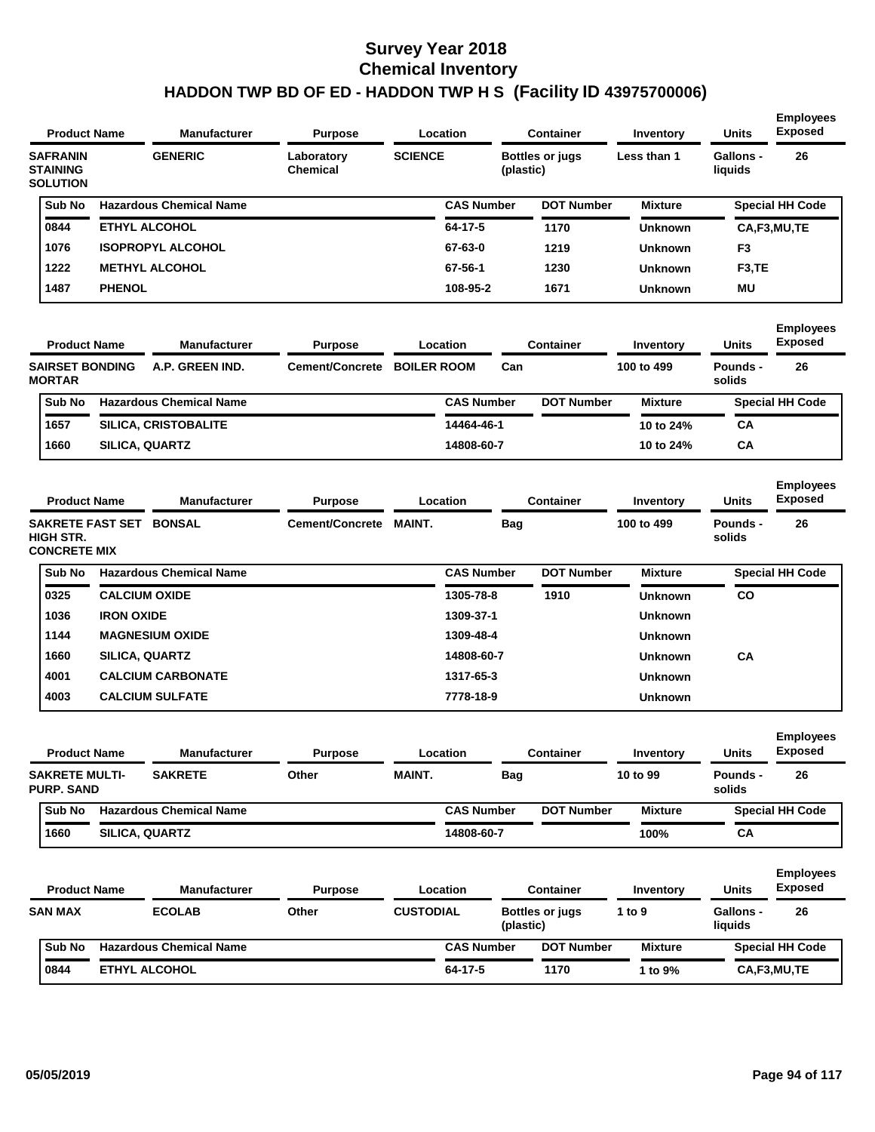|                                                       | <b>Product Name</b>    | <b>Manufacturer</b>            | <b>Purpose</b>                |                    | Location          |            | <b>Container</b>       | Inventory      | <b>Units</b>                | <b>Employees</b><br><b>Exposed</b> |
|-------------------------------------------------------|------------------------|--------------------------------|-------------------------------|--------------------|-------------------|------------|------------------------|----------------|-----------------------------|------------------------------------|
| <b>SAFRANIN</b><br><b>STAINING</b><br><b>SOLUTION</b> |                        | <b>GENERIC</b>                 | Laboratory<br><b>Chemical</b> | <b>SCIENCE</b>     |                   | (plastic)  | <b>Bottles or jugs</b> | Less than 1    | <b>Gallons -</b><br>liquids | 26                                 |
| Sub No                                                |                        | <b>Hazardous Chemical Name</b> |                               |                    | <b>CAS Number</b> |            | <b>DOT Number</b>      | <b>Mixture</b> |                             | <b>Special HH Code</b>             |
| 0844                                                  |                        | <b>ETHYL ALCOHOL</b>           |                               |                    | 64-17-5           |            | 1170                   | Unknown        |                             | CA,F3,MU,TE                        |
| 1076                                                  |                        | <b>ISOPROPYL ALCOHOL</b>       |                               |                    | 67-63-0           |            | 1219                   | Unknown        | F3                          |                                    |
| 1222                                                  |                        | <b>METHYL ALCOHOL</b>          |                               |                    | 67-56-1           |            | 1230                   | <b>Unknown</b> | F3.TE                       |                                    |
| 1487                                                  | <b>PHENOL</b>          |                                |                               |                    | 108-95-2          |            | 1671                   | Unknown        | ΜU                          |                                    |
|                                                       | <b>Product Name</b>    | <b>Manufacturer</b>            | <b>Purpose</b>                |                    | Location          |            | <b>Container</b>       | Inventory      | <b>Units</b>                | <b>Employees</b><br><b>Exposed</b> |
| <b>MORTAR</b>                                         | <b>SAIRSET BONDING</b> | A.P. GREEN IND.                | Cement/Concrete               | <b>BOILER ROOM</b> |                   | Can        |                        | 100 to 499     | <b>Pounds -</b><br>solids   | 26                                 |
| Sub No                                                |                        | <b>Hazardous Chemical Name</b> |                               |                    | <b>CAS Number</b> |            | <b>DOT Number</b>      | <b>Mixture</b> |                             | <b>Special HH Code</b>             |
| 1657                                                  |                        | <b>SILICA, CRISTOBALITE</b>    |                               |                    | 14464-46-1        |            |                        | 10 to 24%      | <b>CA</b>                   |                                    |
| 1660                                                  | SILICA, QUARTZ         |                                |                               |                    | 14808-60-7        |            |                        | 10 to 24%      | СA                          |                                    |
|                                                       | <b>Product Name</b>    | <b>Manufacturer</b>            | <b>Purpose</b>                |                    | Location          |            | <b>Container</b>       | Inventory      | <b>Units</b>                | <b>Employees</b><br><b>Exposed</b> |
| <b>HIGH STR.</b><br><b>CONCRETE MIX</b>               |                        | SAKRETE FAST SET BONSAL        | Cement/Concrete MAINT.        |                    |                   | Bag        |                        | 100 to 499     | <b>Pounds -</b><br>solids   | 26                                 |
| Sub No                                                |                        | <b>Hazardous Chemical Name</b> |                               |                    | <b>CAS Number</b> |            | <b>DOT Number</b>      | <b>Mixture</b> |                             | <b>Special HH Code</b>             |
| 0325                                                  | <b>CALCIUM OXIDE</b>   |                                |                               |                    | 1305-78-8         |            | 1910                   | Unknown        | <b>CO</b>                   |                                    |
| 1036                                                  | <b>IRON OXIDE</b>      |                                |                               |                    | 1309-37-1         |            |                        | Unknown        |                             |                                    |
| 1144                                                  |                        | <b>MAGNESIUM OXIDE</b>         |                               |                    | 1309-48-4         |            |                        | Unknown        |                             |                                    |
| 1660                                                  | <b>SILICA, QUARTZ</b>  |                                |                               |                    | 14808-60-7        |            |                        | <b>Unknown</b> | <b>CA</b>                   |                                    |
| 4001                                                  |                        | <b>CALCIUM CARBONATE</b>       |                               |                    | 1317-65-3         |            |                        | <b>Unknown</b> |                             |                                    |
| 4003                                                  |                        | <b>CALCIUM SULFATE</b>         |                               |                    | 7778-18-9         |            |                        | <b>Unknown</b> |                             |                                    |
|                                                       | <b>Product Name</b>    | Manufacturer                   | <b>Purpose</b>                |                    | Location          |            | Container              | Inventory      | Units                       | <b>Employees</b><br><b>Exposed</b> |
| <b>SAKRETE MULTI-</b><br><b>PURP. SAND</b>            |                        | <b>SAKRETE</b>                 | Other                         | <b>MAINT.</b>      |                   | <b>Bag</b> |                        | 10 to 99       | Pounds -<br>solids          | 26                                 |
| Sub No                                                |                        | <b>Hazardous Chemical Name</b> |                               |                    | <b>CAS Number</b> |            | <b>DOT Number</b>      | <b>Mixture</b> |                             | <b>Special HH Code</b>             |
| 1660                                                  | SILICA, QUARTZ         |                                |                               |                    | 14808-60-7        |            |                        | 100%           | CA                          |                                    |
|                                                       | <b>Product Name</b>    | <b>Manufacturer</b>            | <b>Purpose</b>                |                    | Location          |            | <b>Container</b>       | Inventory      | Units                       | <b>Employees</b><br><b>Exposed</b> |
| <b>SAN MAX</b>                                        |                        | <b>ECOLAB</b>                  | Other                         | <b>CUSTODIAL</b>   |                   | (plastic)  | <b>Bottles or jugs</b> | 1 to 9         | <b>Gallons -</b><br>liquids | 26                                 |
| Sub No                                                |                        | <b>Hazardous Chemical Name</b> |                               |                    | <b>CAS Number</b> |            | <b>DOT Number</b>      | <b>Mixture</b> |                             | <b>Special HH Code</b>             |
| 0844                                                  |                        | ETHYL ALCOHOL                  |                               |                    | 64-17-5           |            | 1170                   | 1 to 9%        |                             | CA,F3,MU,TE                        |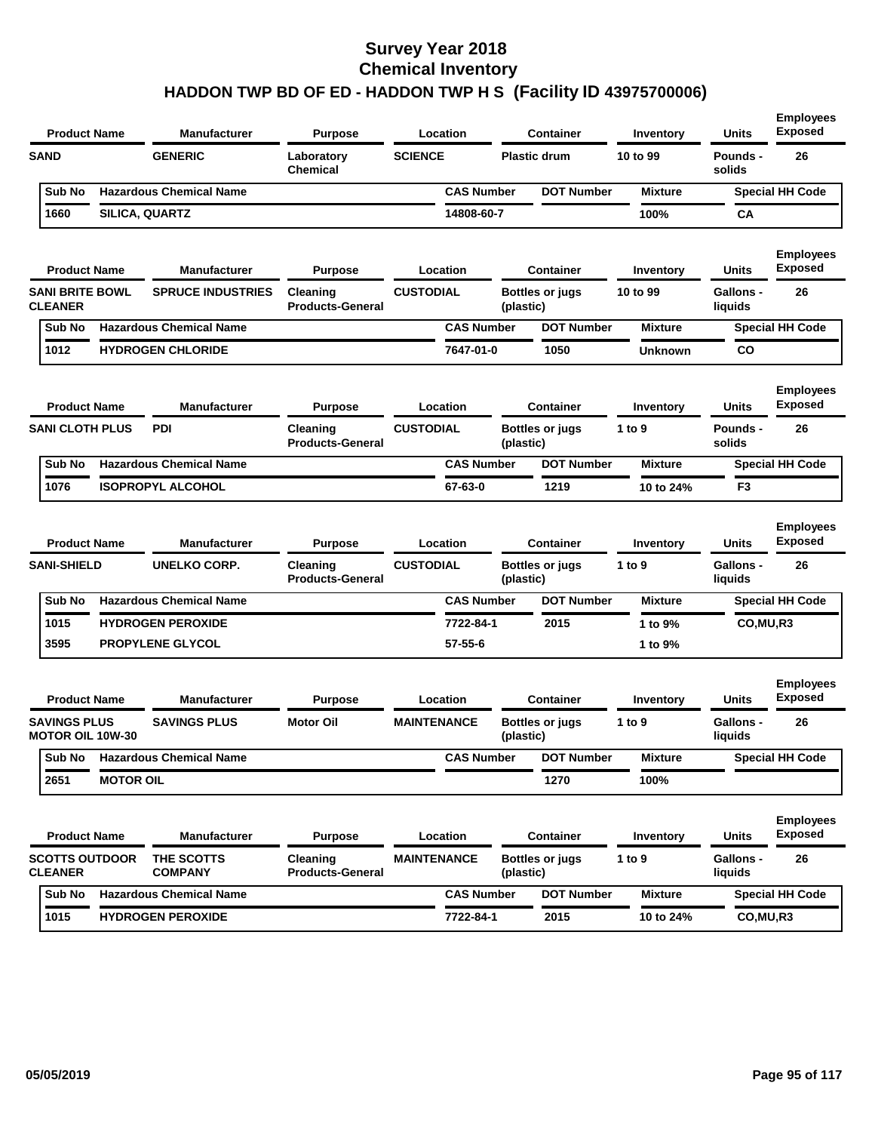| <b>Product Name</b>                            |                  | Manufacturer                   | <b>Purpose</b>                      | Location           |                   |           | <b>Container</b>       | Inventory      | <b>Units</b>                | <b>Employees</b><br><b>Exposed</b> |
|------------------------------------------------|------------------|--------------------------------|-------------------------------------|--------------------|-------------------|-----------|------------------------|----------------|-----------------------------|------------------------------------|
| <b>SAND</b>                                    |                  | <b>GENERIC</b>                 | Laboratory<br><b>Chemical</b>       | <b>SCIENCE</b>     |                   |           | <b>Plastic drum</b>    | 10 to 99       | <b>Pounds -</b><br>solids   | 26                                 |
| Sub No                                         |                  | <b>Hazardous Chemical Name</b> |                                     |                    | <b>CAS Number</b> |           | <b>DOT Number</b>      | <b>Mixture</b> |                             | <b>Special HH Code</b>             |
| 1660                                           |                  | SILICA, QUARTZ                 |                                     |                    | 14808-60-7        |           |                        | 100%           | CА                          |                                    |
| <b>Product Name</b>                            |                  | Manufacturer                   | <b>Purpose</b>                      | Location           |                   |           | <b>Container</b>       | Inventory      | Units                       | <b>Employees</b><br><b>Exposed</b> |
| <b>SANI BRITE BOWL</b><br><b>CLEANER</b>       |                  | <b>SPRUCE INDUSTRIES</b>       | Cleaning<br><b>Products-General</b> | <b>CUSTODIAL</b>   |                   | (plastic) | Bottles or jugs        | 10 to 99       | <b>Gallons -</b><br>liquids | 26                                 |
| Sub No                                         |                  | <b>Hazardous Chemical Name</b> |                                     |                    | <b>CAS Number</b> |           | <b>DOT Number</b>      | <b>Mixture</b> |                             | <b>Special HH Code</b>             |
| 1012                                           |                  | <b>HYDROGEN CHLORIDE</b>       |                                     |                    | 7647-01-0         |           | 1050                   | <b>Unknown</b> | CO                          |                                    |
| <b>Product Name</b>                            |                  | <b>Manufacturer</b>            | <b>Purpose</b>                      | Location           |                   |           | <b>Container</b>       | Inventory      | Units                       | <b>Employees</b><br><b>Exposed</b> |
| <b>SANI CLOTH PLUS</b>                         |                  | <b>PDI</b>                     | Cleaning<br><b>Products-General</b> | <b>CUSTODIAL</b>   |                   | (plastic) | <b>Bottles or jugs</b> | 1 to 9         | Pounds -<br>solids          | 26                                 |
| Sub No                                         |                  | <b>Hazardous Chemical Name</b> |                                     |                    | <b>CAS Number</b> |           | <b>DOT Number</b>      | <b>Mixture</b> |                             | <b>Special HH Code</b>             |
| 1076                                           |                  | <b>ISOPROPYL ALCOHOL</b>       |                                     |                    | 67-63-0           |           | 1219                   | 10 to 24%      | F <sub>3</sub>              |                                    |
| <b>Product Name</b>                            |                  | <b>Manufacturer</b>            | <b>Purpose</b>                      | Location           |                   |           | <b>Container</b>       | Inventory      | Units                       | <b>Employees</b><br><b>Exposed</b> |
| <b>SANI-SHIELD</b>                             |                  | <b>UNELKO CORP.</b>            | Cleaning<br><b>Products-General</b> | <b>CUSTODIAL</b>   |                   | (plastic) | <b>Bottles or jugs</b> | 1 to 9         | <b>Gallons -</b><br>liquids | 26                                 |
| Sub No                                         |                  | <b>Hazardous Chemical Name</b> |                                     |                    | <b>CAS Number</b> |           | <b>DOT Number</b>      | <b>Mixture</b> |                             | <b>Special HH Code</b>             |
| 1015                                           |                  | <b>HYDROGEN PEROXIDE</b>       |                                     |                    | 7722-84-1         |           | 2015                   | 1 to 9%        | CO, MU, R3                  |                                    |
| 3595                                           |                  | <b>PROPYLENE GLYCOL</b>        |                                     |                    | 57-55-6           |           |                        | 1 to 9%        |                             |                                    |
| <b>Product Name</b>                            |                  | <b>Manufacturer</b>            | <b>Purpose</b>                      | Location           |                   |           | <b>Container</b>       | Inventory      | Units                       | <b>Employees</b><br><b>Exposed</b> |
| <b>SAVINGS PLUS</b><br><b>MOTOR OIL 10W-30</b> |                  | <b>SAVINGS PLUS</b>            | <b>Motor Oil</b>                    | <b>MAINTENANCE</b> |                   | (plastic) | <b>Bottles or jugs</b> | 1 to 9         | <b>Gallons -</b><br>liquids | 26                                 |
| Sub No                                         |                  | <b>Hazardous Chemical Name</b> |                                     |                    | <b>CAS Number</b> |           | <b>DOT Number</b>      | <b>Mixture</b> |                             | <b>Special HH Code</b>             |
| 2651                                           | <b>MOTOR OIL</b> |                                |                                     |                    |                   |           | 1270                   | 100%           |                             |                                    |
| <b>Product Name</b>                            |                  | Manufacturer                   | <b>Purpose</b>                      | Location           |                   |           | <b>Container</b>       | Inventory      | <b>Units</b>                | <b>Employees</b><br><b>Exposed</b> |
| <b>SCOTTS OUTDOOR</b><br><b>CLEANER</b>        |                  | THE SCOTTS<br><b>COMPANY</b>   | Cleaning<br><b>Products-General</b> | <b>MAINTENANCE</b> |                   | (plastic) | <b>Bottles or jugs</b> | 1 to $9$       | Gallons -<br>liquids        | 26                                 |
| Sub No                                         |                  | <b>Hazardous Chemical Name</b> |                                     |                    | <b>CAS Number</b> |           | <b>DOT Number</b>      | <b>Mixture</b> |                             | <b>Special HH Code</b>             |
| 1015                                           |                  | <b>HYDROGEN PEROXIDE</b>       |                                     |                    | 7722-84-1         |           | 2015                   | 10 to 24%      | CO,MU,R3                    |                                    |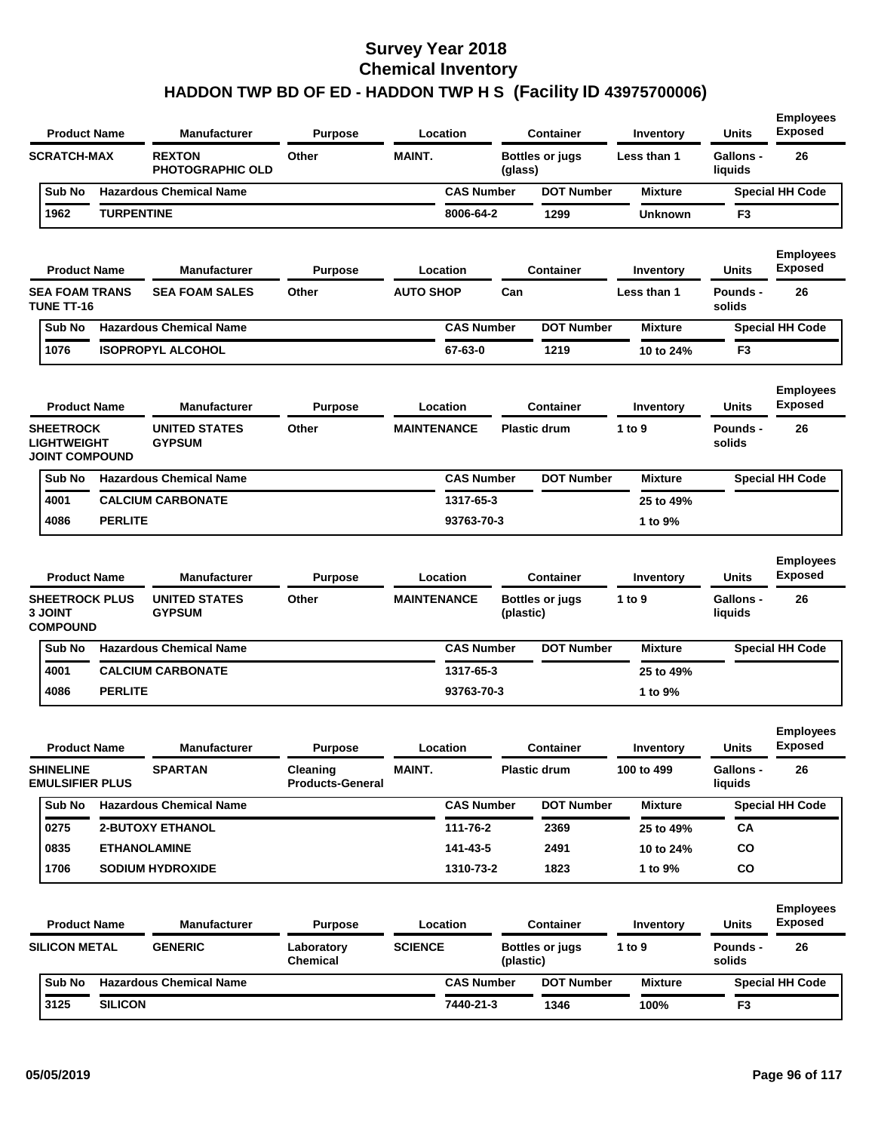| <b>Product Name</b>                                                               |                   | <b>Manufacturer</b>                                          | <b>Purpose</b>                      |                    | Location          |           | <b>Container</b>                           | Inventory             | Units                                       | <b>Exposed</b>                     |
|-----------------------------------------------------------------------------------|-------------------|--------------------------------------------------------------|-------------------------------------|--------------------|-------------------|-----------|--------------------------------------------|-----------------------|---------------------------------------------|------------------------------------|
| <b>SCRATCH-MAX</b>                                                                |                   | <b>REXTON</b><br><b>PHOTOGRAPHIC OLD</b>                     | Other                               | <b>MAINT.</b>      |                   | (glass)   | <b>Bottles or jugs</b>                     | Less than 1           | <b>Gallons -</b><br>liquids                 | 26                                 |
| Sub No                                                                            |                   | <b>Hazardous Chemical Name</b>                               |                                     |                    | <b>CAS Number</b> |           | <b>DOT Number</b>                          | <b>Mixture</b>        |                                             | <b>Special HH Code</b>             |
| 1962                                                                              | <b>TURPENTINE</b> |                                                              |                                     |                    | 8006-64-2         |           | 1299                                       | <b>Unknown</b>        | F3                                          |                                    |
| <b>Product Name</b>                                                               |                   | <b>Manufacturer</b>                                          | <b>Purpose</b>                      |                    | Location          |           | <b>Container</b>                           | Inventory             | Units                                       | <b>Employees</b><br><b>Exposed</b> |
| <b>SEA FOAM TRANS</b><br><b>TUNE TT-16</b>                                        |                   | <b>SEA FOAM SALES</b>                                        | Other                               | <b>AUTO SHOP</b>   |                   | Can       |                                            | Less than 1           | Pounds -<br>solids                          | 26                                 |
| Sub No                                                                            |                   | <b>Hazardous Chemical Name</b>                               |                                     |                    | <b>CAS Number</b> |           | <b>DOT Number</b>                          | <b>Mixture</b>        |                                             | <b>Special HH Code</b>             |
| 1076                                                                              |                   | <b>ISOPROPYL ALCOHOL</b>                                     |                                     |                    | 67-63-0           |           | 1219                                       | 10 to 24%             | F3                                          |                                    |
| <b>Product Name</b>                                                               |                   | <b>Manufacturer</b>                                          | <b>Purpose</b>                      |                    | Location          |           | <b>Container</b>                           | Inventory             | <b>Units</b>                                | <b>Employees</b><br><b>Exposed</b> |
| <b>SHEETROCK</b><br><b>LIGHTWEIGHT</b><br><b>JOINT COMPOUND</b>                   |                   | <b>UNITED STATES</b><br><b>GYPSUM</b>                        | Other                               | <b>MAINTENANCE</b> |                   |           | <b>Plastic drum</b>                        | 1 to 9                | Pounds -<br>solids                          | 26                                 |
| Sub No                                                                            |                   | <b>Hazardous Chemical Name</b>                               |                                     |                    | <b>CAS Number</b> |           | <b>DOT Number</b>                          | <b>Mixture</b>        |                                             | <b>Special HH Code</b>             |
| 4001                                                                              |                   | <b>CALCIUM CARBONATE</b>                                     |                                     |                    | 1317-65-3         |           |                                            | 25 to 49%             |                                             |                                    |
|                                                                                   |                   |                                                              |                                     |                    | 93763-70-3        |           |                                            | 1 to 9%               |                                             |                                    |
| 4086                                                                              | <b>PERLITE</b>    |                                                              |                                     |                    |                   |           |                                            |                       |                                             | <b>Employees</b>                   |
| <b>Product Name</b><br><b>SHEETROCK PLUS</b><br><b>3 JOINT</b><br><b>COMPOUND</b> |                   | <b>Manufacturer</b><br><b>UNITED STATES</b><br><b>GYPSUM</b> | <b>Purpose</b><br>Other             | <b>MAINTENANCE</b> | Location          | (plastic) | <b>Container</b><br><b>Bottles or jugs</b> | Inventory<br>1 to $9$ | <b>Units</b><br><b>Gallons -</b><br>liquids | <b>Exposed</b><br>26               |
| Sub No                                                                            |                   | <b>Hazardous Chemical Name</b>                               |                                     |                    | <b>CAS Number</b> |           | <b>DOT Number</b>                          | <b>Mixture</b>        |                                             | <b>Special HH Code</b>             |
| 4001                                                                              |                   | <b>CALCIUM CARBONATE</b>                                     |                                     |                    | 1317-65-3         |           |                                            | 25 to 49%             |                                             |                                    |
| 4086                                                                              | <b>PERLITE</b>    |                                                              |                                     |                    | 93763-70-3        |           |                                            | 1 to 9%               |                                             |                                    |
| <b>Product Name</b>                                                               |                   | <b>Manufacturer</b>                                          | <b>Purpose</b>                      |                    | Location          |           | <b>Container</b>                           | Inventory             | Units                                       | <b>Employees</b><br><b>Exposed</b> |
| <b>SHINELINE</b><br><b>EMULSIFIER PLUS</b>                                        |                   | <b>SPARTAN</b>                                               | Cleaning<br><b>Products-General</b> | MAINT.             |                   |           | <b>Plastic drum</b>                        | 100 to 499            | Gallons -<br>liquids                        | 26                                 |
| Sub No                                                                            |                   | <b>Hazardous Chemical Name</b>                               |                                     |                    | <b>CAS Number</b> |           | <b>DOT Number</b>                          | <b>Mixture</b>        |                                             | <b>Special HH Code</b>             |
| 0275                                                                              |                   | <b>2-BUTOXY ETHANOL</b>                                      |                                     |                    | 111-76-2          |           | 2369                                       | 25 to 49%             | CA                                          |                                    |
| 0835                                                                              |                   | <b>ETHANOLAMINE</b>                                          |                                     |                    | 141-43-5          |           | 2491                                       | 10 to 24%             | CO                                          |                                    |
| 1706                                                                              |                   | <b>SODIUM HYDROXIDE</b>                                      |                                     |                    | 1310-73-2         |           | 1823                                       | 1 to 9%               | CO                                          |                                    |
| <b>Product Name</b>                                                               |                   | <b>Manufacturer</b>                                          | <b>Purpose</b>                      |                    | Location          |           | <b>Container</b>                           | Inventory             | Units                                       | <b>Employees</b><br><b>Exposed</b> |
| <b>SILICON METAL</b>                                                              |                   | <b>GENERIC</b>                                               | Laboratory<br>Chemical              | <b>SCIENCE</b>     |                   | (plastic) | <b>Bottles or jugs</b>                     | 1 to $9$              | <b>Pounds -</b><br>solids                   | 26                                 |
| Sub No                                                                            |                   | <b>Hazardous Chemical Name</b>                               |                                     |                    | <b>CAS Number</b> |           | <b>DOT Number</b>                          | <b>Mixture</b>        |                                             | <b>Special HH Code</b>             |

**Employees**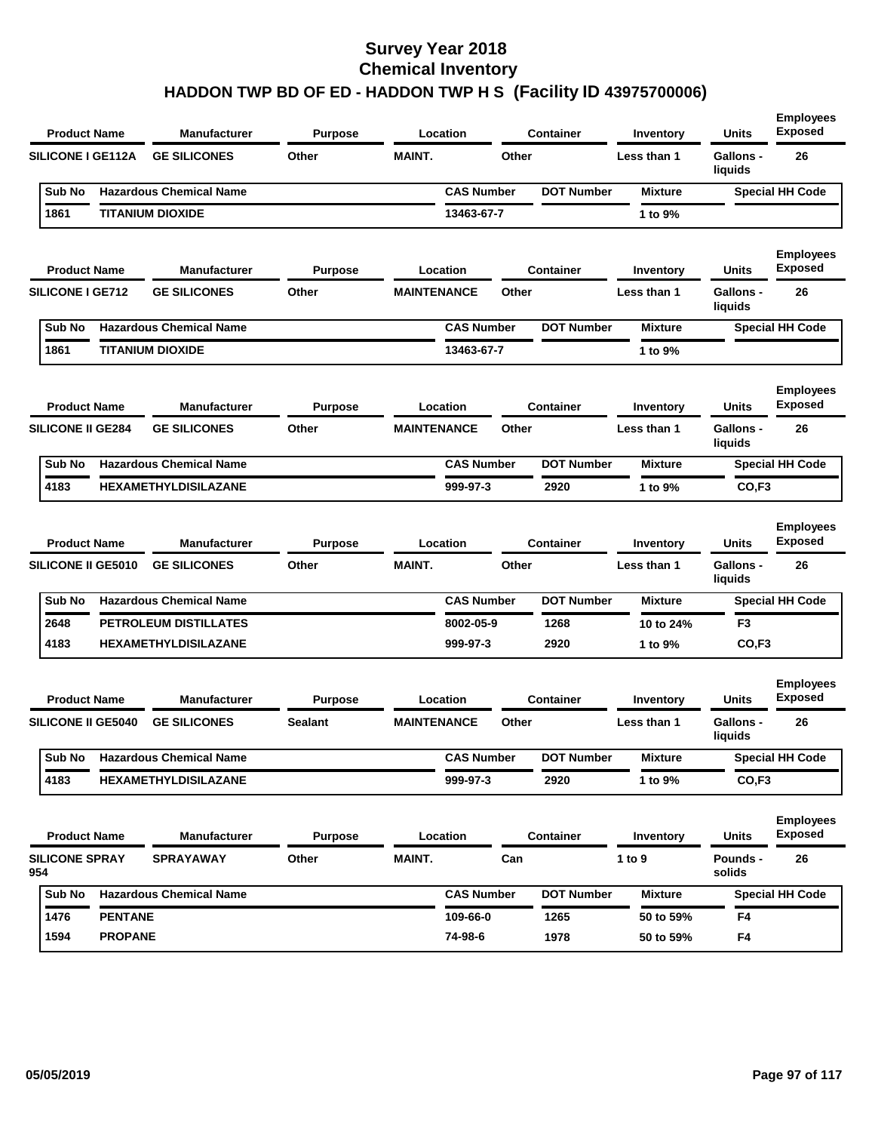|                              | <b>Product Name</b>                              | <b>Manufacturer</b>                        | <b>Purpose</b>   |                    | Location          |       | <b>Container</b>  | Inventory                | Units                       | <b>Employees</b><br><b>Exposed</b>       |
|------------------------------|--------------------------------------------------|--------------------------------------------|------------------|--------------------|-------------------|-------|-------------------|--------------------------|-----------------------------|------------------------------------------|
|                              | <b>SILICONE I GE112A</b>                         | <b>GE SILICONES</b>                        | Other            | <b>MAINT.</b>      |                   | Other |                   | Less than 1              | <b>Gallons -</b><br>liquids | 26                                       |
| Sub No                       |                                                  | <b>Hazardous Chemical Name</b>             |                  |                    | <b>CAS Number</b> |       | <b>DOT Number</b> | <b>Mixture</b>           |                             | <b>Special HH Code</b>                   |
| 1861                         |                                                  | <b>TITANIUM DIOXIDE</b>                    |                  |                    | 13463-67-7        |       |                   | 1 to 9%                  |                             |                                          |
|                              | <b>Product Name</b>                              | <b>Manufacturer</b>                        | Purpose          |                    | Location          |       | <b>Container</b>  | Inventory                | Units                       | <b>Employees</b><br><b>Exposed</b>       |
| <b>SILICONE I GE712</b>      |                                                  | <b>GE SILICONES</b>                        | Other            | <b>MAINTENANCE</b> |                   | Other |                   | Less than 1              | <b>Gallons -</b><br>liquids | 26                                       |
| Sub No                       |                                                  | <b>Hazardous Chemical Name</b>             |                  |                    | <b>CAS Number</b> |       | <b>DOT Number</b> | <b>Mixture</b>           |                             | <b>Special HH Code</b>                   |
| 1861                         |                                                  | <b>TITANIUM DIOXIDE</b>                    |                  |                    | 13463-67-7        |       |                   | 1 to 9%                  |                             |                                          |
|                              | <b>Product Name</b>                              | <b>Manufacturer</b>                        | Purpose          |                    | Location          |       | <b>Container</b>  | Inventory                | Units                       | <b>Employees</b><br><b>Exposed</b>       |
|                              | <b>SILICONE II GE284</b>                         | <b>GE SILICONES</b>                        | Other            | <b>MAINTENANCE</b> |                   | Other |                   | Less than 1              | Gallons -<br>liquids        | 26                                       |
| Sub No                       |                                                  | <b>Hazardous Chemical Name</b>             |                  |                    | <b>CAS Number</b> |       | <b>DOT Number</b> | <b>Mixture</b>           |                             | <b>Special HH Code</b>                   |
| 4183                         |                                                  | <b>HEXAMETHYLDISILAZANE</b>                |                  |                    | 999-97-3          |       | 2920              | 1 to 9%                  | CO, F3                      |                                          |
|                              | <b>Product Name</b><br><b>SILICONE II GE5010</b> | <b>Manufacturer</b><br><b>GE SILICONES</b> | Purpose<br>Other | <b>MAINT.</b>      | Location          | Other | <b>Container</b>  | Inventory<br>Less than 1 | Units<br>Gallons -          | <b>Employees</b><br><b>Exposed</b><br>26 |
|                              |                                                  |                                            |                  |                    |                   |       |                   |                          | liquids                     |                                          |
| Sub No                       |                                                  | <b>Hazardous Chemical Name</b>             |                  |                    | <b>CAS Number</b> |       | <b>DOT Number</b> | <b>Mixture</b>           |                             | <b>Special HH Code</b>                   |
| 2648                         |                                                  | PETROLEUM DISTILLATES                      |                  |                    | 8002-05-9         |       | 1268              | 10 to 24%                | F3                          |                                          |
| 4183                         |                                                  | <b>HEXAMETHYLDISILAZANE</b>                |                  |                    | 999-97-3          |       | 2920              | 1 to 9%                  | CO, F3                      |                                          |
|                              | <b>Product Name</b>                              | Manufacturer                               | <b>Purpose</b>   |                    | Location          |       | <b>Container</b>  | Inventory                | Units                       | <b>Employees</b><br><b>Exposed</b>       |
|                              | <b>SILICONE II GE5040</b>                        | <b>GE SILICONES</b>                        | <b>Sealant</b>   | <b>MAINTENANCE</b> |                   | Other |                   | Less than 1              | <b>Gallons -</b><br>liquids | 26                                       |
| Sub No                       |                                                  | <b>Hazardous Chemical Name</b>             |                  |                    | <b>CAS Number</b> |       | <b>DOT Number</b> | <b>Mixture</b>           |                             | <b>Special HH Code</b>                   |
| 4183                         |                                                  | <b>HEXAMETHYLDISILAZANE</b>                |                  |                    | 999-97-3          |       | 2920              | 1 to 9%                  | CO,F3                       |                                          |
|                              | <b>Product Name</b>                              | Manufacturer                               | <b>Purpose</b>   |                    | Location          |       | Container         | Inventory                | <b>Units</b>                | <b>Employees</b><br><b>Exposed</b>       |
| <b>SILICONE SPRAY</b><br>954 |                                                  | <b>SPRAYAWAY</b>                           | Other            | <b>MAINT.</b>      |                   | Can   |                   | 1 to 9                   | Pounds -<br>solids          | 26                                       |
| Sub No                       |                                                  | <b>Hazardous Chemical Name</b>             |                  |                    | <b>CAS Number</b> |       | <b>DOT Number</b> | <b>Mixture</b>           |                             | <b>Special HH Code</b>                   |
| 1476                         | <b>PENTANE</b>                                   |                                            |                  |                    | 109-66-0          |       | 1265              | 50 to 59%                | F4                          |                                          |
| 1594                         | <b>PROPANE</b>                                   |                                            |                  |                    | 74-98-6           |       | 1978              | 50 to 59%                | F4                          |                                          |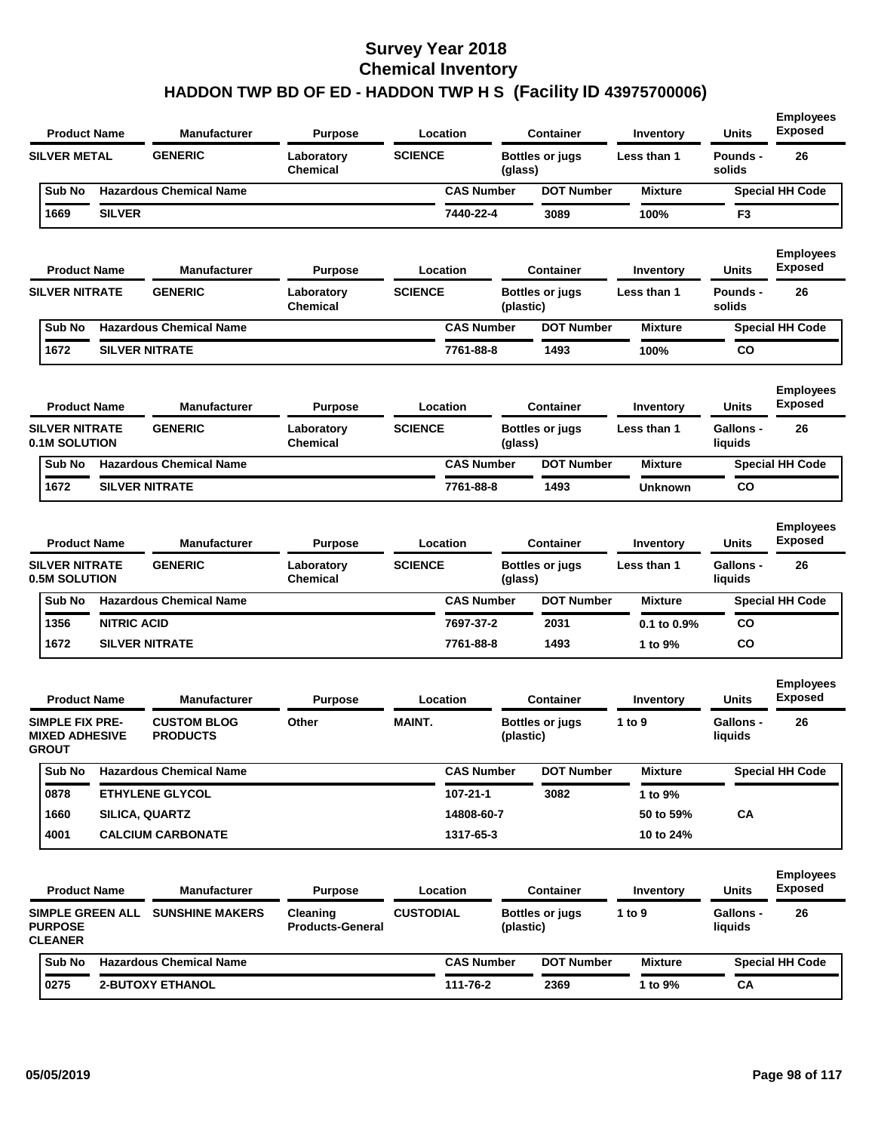| <b>Product Name</b>                                             |                    | <b>Manufacturer</b>                   | <b>Purpose</b>                      |                  | Location          |           | <b>Container</b>       | Inventory      | <b>Units</b>                | <b>Employees</b><br><b>Exposed</b> |
|-----------------------------------------------------------------|--------------------|---------------------------------------|-------------------------------------|------------------|-------------------|-----------|------------------------|----------------|-----------------------------|------------------------------------|
| <b>SILVER METAL</b>                                             |                    | <b>GENERIC</b>                        | Laboratory<br><b>Chemical</b>       | <b>SCIENCE</b>   |                   | (glass)   | <b>Bottles or jugs</b> | Less than 1    | Pounds -<br>solids          | 26                                 |
| Sub No                                                          |                    | <b>Hazardous Chemical Name</b>        |                                     |                  | <b>CAS Number</b> |           | <b>DOT Number</b>      | <b>Mixture</b> |                             | <b>Special HH Code</b>             |
| 1669                                                            | <b>SILVER</b>      |                                       |                                     |                  | 7440-22-4         |           | 3089                   | 100%           | F <sub>3</sub>              |                                    |
| <b>Product Name</b>                                             |                    | <b>Manufacturer</b>                   | <b>Purpose</b>                      |                  | Location          |           | <b>Container</b>       | Inventory      | Units                       | <b>Employees</b><br><b>Exposed</b> |
| <b>SILVER NITRATE</b>                                           |                    | <b>GENERIC</b>                        | Laboratory<br>Chemical              | <b>SCIENCE</b>   |                   | (plastic) | <b>Bottles or jugs</b> | Less than 1    | Pounds -<br>solids          | 26                                 |
| Sub No                                                          |                    | <b>Hazardous Chemical Name</b>        |                                     |                  | <b>CAS Number</b> |           | <b>DOT Number</b>      | <b>Mixture</b> |                             | <b>Special HH Code</b>             |
| 1672                                                            |                    | <b>SILVER NITRATE</b>                 |                                     |                  | 7761-88-8         |           | 1493                   | 100%           | CO                          |                                    |
| <b>Product Name</b>                                             |                    | <b>Manufacturer</b>                   | <b>Purpose</b>                      |                  | Location          |           | <b>Container</b>       | Inventory      | Units                       | <b>Employees</b><br><b>Exposed</b> |
| <b>SILVER NITRATE</b><br><b>0.1M SOLUTION</b>                   |                    | <b>GENERIC</b>                        | Laboratory<br>Chemical              | <b>SCIENCE</b>   |                   | (glass)   | <b>Bottles or jugs</b> | Less than 1    | <b>Gallons -</b><br>liquids | 26                                 |
| Sub No                                                          |                    | <b>Hazardous Chemical Name</b>        |                                     |                  | <b>CAS Number</b> |           | <b>DOT Number</b>      | <b>Mixture</b> |                             | <b>Special HH Code</b>             |
| 1672                                                            |                    | <b>SILVER NITRATE</b>                 |                                     |                  | 7761-88-8         |           | 1493                   | <b>Unknown</b> | CO                          |                                    |
| <b>Product Name</b>                                             |                    | <b>Manufacturer</b>                   | <b>Purpose</b>                      |                  | Location          |           | <b>Container</b>       | Inventory      | <b>Units</b>                | <b>Employees</b><br><b>Exposed</b> |
| <b>SILVER NITRATE</b><br><b>0.5M SOLUTION</b>                   |                    | <b>GENERIC</b>                        | Laboratory<br>Chemical              | <b>SCIENCE</b>   |                   | (glass)   | <b>Bottles or jugs</b> | Less than 1    | <b>Gallons -</b><br>liquids | 26                                 |
| Sub No                                                          |                    | <b>Hazardous Chemical Name</b>        |                                     |                  | <b>CAS Number</b> |           | <b>DOT Number</b>      | <b>Mixture</b> |                             | <b>Special HH Code</b>             |
| 1356                                                            | <b>NITRIC ACID</b> |                                       |                                     |                  | 7697-37-2         |           | 2031                   | 0.1 to 0.9%    | CO                          |                                    |
| 1672                                                            |                    | <b>SILVER NITRATE</b>                 |                                     |                  | 7761-88-8         |           | 1493                   | 1 to 9%        | CO                          |                                    |
| <b>Product Name</b>                                             |                    | <b>Manufacturer</b>                   | <b>Purpose</b>                      |                  | Location          |           | <b>Container</b>       | Inventory      | Units                       | <b>Employees</b><br><b>Exposed</b> |
| <b>SIMPLE FIX PRE-</b><br><b>MIXED ADHESIVE</b><br><b>GROUT</b> |                    | <b>CUSTOM BLOG</b><br><b>PRODUCTS</b> | Other                               | <b>MAINT.</b>    |                   | (plastic) | <b>Bottles or jugs</b> | 1 to 9         | <b>Gallons -</b><br>liquids | 26                                 |
| Sub No                                                          |                    | <b>Hazardous Chemical Name</b>        |                                     |                  | <b>CAS Number</b> |           | <b>DOT Number</b>      | <b>Mixture</b> |                             | <b>Special HH Code</b>             |
| 0878                                                            |                    | ETHYLENE GLYCOL                       |                                     |                  | 107-21-1          |           | 3082                   | 1 to 9%        |                             |                                    |
| 1660                                                            |                    | SILICA, QUARTZ                        |                                     |                  | 14808-60-7        |           |                        | 50 to 59%      | CA                          |                                    |
| 4001                                                            |                    | <b>CALCIUM CARBONATE</b>              |                                     |                  | 1317-65-3         |           |                        | 10 to 24%      |                             |                                    |
| <b>Product Name</b>                                             |                    | <b>Manufacturer</b>                   | <b>Purpose</b>                      |                  | Location          |           | <b>Container</b>       | Inventory      | <b>Units</b>                | <b>Employees</b><br><b>Exposed</b> |
| <b>PURPOSE</b><br><b>CLEANER</b>                                |                    | SIMPLE GREEN ALL SUNSHINE MAKERS      | Cleaning<br><b>Products-General</b> | <b>CUSTODIAL</b> |                   | (plastic) | <b>Bottles or jugs</b> | 1 to $9$       | <b>Gallons -</b><br>liquids | 26                                 |
| Sub No                                                          |                    | <b>Hazardous Chemical Name</b>        |                                     |                  | <b>CAS Number</b> |           | <b>DOT Number</b>      | <b>Mixture</b> |                             | <b>Special HH Code</b>             |
| 0275                                                            |                    | 2-BUTOXY ETHANOL                      |                                     |                  | 111-76-2          |           | 2369                   | 1 to 9%        | CA                          |                                    |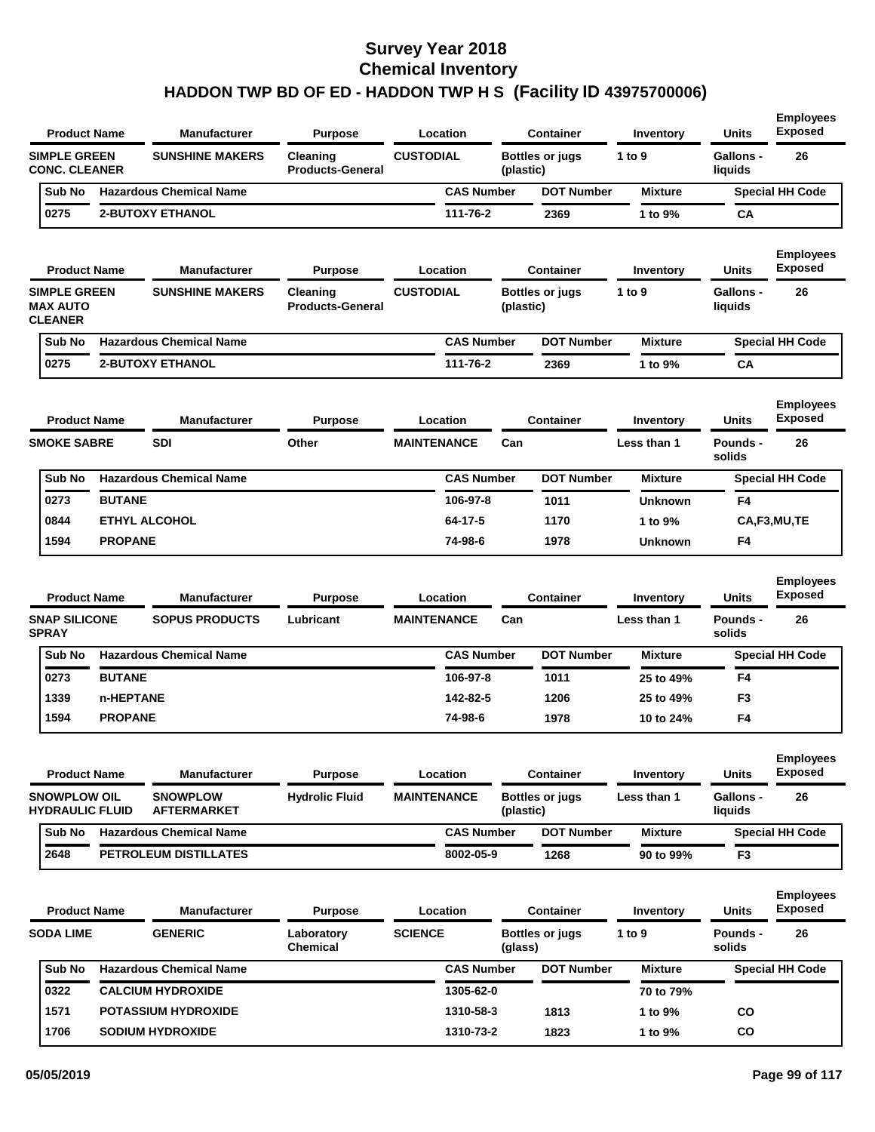| <b>Product Name</b>                                      |                | <b>Manufacturer</b>                          | <b>Purpose</b>                      | Location                       |           | <b>Container</b>       | Inventory                | <b>Units</b>                    | <b>Employees</b><br><b>Exposed</b>       |
|----------------------------------------------------------|----------------|----------------------------------------------|-------------------------------------|--------------------------------|-----------|------------------------|--------------------------|---------------------------------|------------------------------------------|
| <b>SIMPLE GREEN</b><br><b>CONC. CLEANER</b>              |                | <b>SUNSHINE MAKERS</b>                       | Cleaning<br><b>Products-General</b> | <b>CUSTODIAL</b>               | (plastic) | <b>Bottles or jugs</b> | 1 to 9                   | <b>Gallons -</b><br>liquids     | 26                                       |
| Sub No                                                   |                | <b>Hazardous Chemical Name</b>               |                                     | <b>CAS Number</b>              |           | <b>DOT Number</b>      | <b>Mixture</b>           |                                 | <b>Special HH Code</b>                   |
| 0275                                                     |                | <b>2-BUTOXY ETHANOL</b>                      |                                     | 111-76-2                       |           | 2369                   | 1 to 9%                  | CA                              |                                          |
| <b>Product Name</b>                                      |                | <b>Manufacturer</b>                          | <b>Purpose</b>                      | Location                       |           | <b>Container</b>       | Inventory                | <b>Units</b>                    | <b>Employees</b><br><b>Exposed</b>       |
| <b>SIMPLE GREEN</b><br><b>MAX AUTO</b><br><b>CLEANER</b> |                | <b>SUNSHINE MAKERS</b>                       | Cleaning<br><b>Products-General</b> | <b>CUSTODIAL</b>               | (plastic) | <b>Bottles or jugs</b> | 1 to 9                   | <b>Gallons -</b><br>liquids     | 26                                       |
| Sub No                                                   |                | <b>Hazardous Chemical Name</b>               |                                     | <b>CAS Number</b>              |           | <b>DOT Number</b>      | <b>Mixture</b>           |                                 | <b>Special HH Code</b>                   |
| 0275                                                     |                | <b>2-BUTOXY ETHANOL</b>                      |                                     | 111-76-2                       |           | 2369                   | 1 to 9%                  | CA                              |                                          |
| <b>Product Name</b>                                      |                | <b>Manufacturer</b>                          | <b>Purpose</b>                      | Location                       |           | Container              | Inventory                | <b>Units</b>                    | <b>Employees</b><br><b>Exposed</b>       |
| <b>SMOKE SABRE</b>                                       |                | <b>SDI</b>                                   | Other                               | <b>MAINTENANCE</b>             | Can       |                        | Less than 1              | Pounds -<br>solids              | 26                                       |
| Sub No                                                   |                | <b>Hazardous Chemical Name</b>               |                                     | <b>CAS Number</b>              |           | <b>DOT Number</b>      | <b>Mixture</b>           |                                 | <b>Special HH Code</b>                   |
| 0273                                                     | <b>BUTANE</b>  |                                              |                                     | 106-97-8                       |           | 1011                   | <b>Unknown</b>           | F4                              |                                          |
| 0844                                                     |                | <b>ETHYL ALCOHOL</b>                         |                                     | 64-17-5                        |           | 1170                   | 1 to 9%                  |                                 | CA,F3,MU,TE                              |
| 1594                                                     | <b>PROPANE</b> |                                              |                                     | 74-98-6                        |           | 1978                   | <b>Unknown</b>           | F4                              |                                          |
| <b>Product Name</b><br><b>SNAP SILICONE</b>              |                | <b>Manufacturer</b><br><b>SOPUS PRODUCTS</b> | <b>Purpose</b><br>Lubricant         | Location<br><b>MAINTENANCE</b> | Can       | <b>Container</b>       | Inventory<br>Less than 1 | <b>Units</b><br><b>Pounds -</b> | <b>Employees</b><br><b>Exposed</b><br>26 |
| <b>SPRAY</b><br>Sub No                                   |                | <b>Hazardous Chemical Name</b>               |                                     | <b>CAS Number</b>              |           | <b>DOT Number</b>      | <b>Mixture</b>           | solids                          | <b>Special HH Code</b>                   |
| 0273                                                     | <b>BUTANE</b>  |                                              |                                     | 106-97-8                       |           | 1011                   |                          | F4                              |                                          |
| 1339                                                     | n-HEPTANE      |                                              |                                     | 142-82-5                       |           | 1206                   | 25 to 49%<br>25 to 49%   | F <sub>3</sub>                  |                                          |
| 1594                                                     | <b>PROPANE</b> |                                              |                                     | 74-98-6                        |           | 1978                   | 10 to 24%                | F4                              |                                          |
| <b>Product Name</b>                                      |                | <b>Manufacturer</b>                          | <b>Purpose</b>                      | Location                       |           | <b>Container</b>       | Inventory                | <b>Units</b>                    | <b>Employees</b><br><b>Exposed</b>       |
| <b>SNOWPLOW OIL</b><br><b>HYDRAULIC FLUID</b>            |                | <b>SNOWPLOW</b><br><b>AFTERMARKET</b>        | <b>Hydrolic Fluid</b>               | <b>MAINTENANCE</b>             | (plastic) | <b>Bottles or jugs</b> | Less than 1              | <b>Gallons -</b><br>liquids     | 26                                       |
| Sub No                                                   |                | <b>Hazardous Chemical Name</b>               |                                     | <b>CAS Number</b>              |           | <b>DOT Number</b>      | <b>Mixture</b>           |                                 | <b>Special HH Code</b>                   |
| 2648                                                     |                | <b>PETROLEUM DISTILLATES</b>                 |                                     | 8002-05-9                      |           | 1268                   | 90 to 99%                | F3                              |                                          |
|                                                          |                |                                              |                                     |                                |           |                        |                          |                                 | <b>Employees</b>                         |
| <b>Product Name</b>                                      |                | <b>Manufacturer</b>                          | <b>Purpose</b>                      | Location                       |           | <b>Container</b>       | Inventory                | <b>Units</b>                    | <b>Exposed</b>                           |
| <b>SODA LIME</b>                                         |                | <b>GENERIC</b>                               | Laboratory<br><b>Chemical</b>       | <b>SCIENCE</b>                 | (glass)   | <b>Bottles or jugs</b> | 1 to 9                   | Pounds -<br>solids              | 26                                       |
| Sub No                                                   |                | <b>Hazardous Chemical Name</b>               |                                     | <b>CAS Number</b>              |           | <b>DOT Number</b>      | <b>Mixture</b>           |                                 | <b>Special HH Code</b>                   |
| 0322                                                     |                | <b>CALCIUM HYDROXIDE</b>                     |                                     | 1305-62-0                      |           |                        | 70 to 79%                |                                 |                                          |
|                                                          |                |                                              |                                     |                                |           |                        |                          |                                 |                                          |
| 1571                                                     |                | <b>POTASSIUM HYDROXIDE</b>                   |                                     | 1310-58-3                      |           | 1813                   | 1 to 9%                  | co                              |                                          |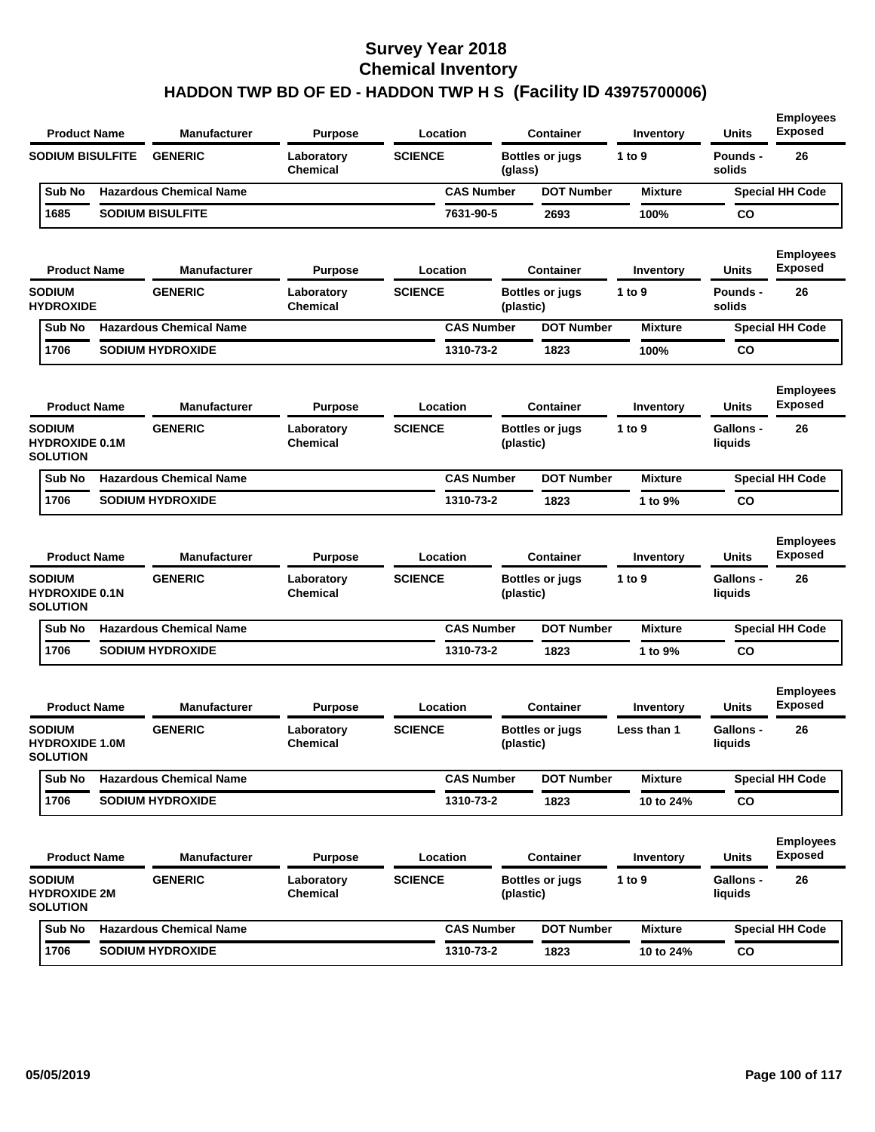| <b>Product Name</b>                                       | <b>Manufacturer</b>            | <b>Purpose</b>                | Location          |           | <b>Container</b>       | Inventory      | <b>Units</b>                | <b>Employees</b><br><b>Exposed</b> |
|-----------------------------------------------------------|--------------------------------|-------------------------------|-------------------|-----------|------------------------|----------------|-----------------------------|------------------------------------|
| <b>SODIUM BISULFITE</b>                                   | <b>GENERIC</b>                 | Laboratory<br><b>Chemical</b> | <b>SCIENCE</b>    | (glass)   | <b>Bottles or jugs</b> | 1 to 9         | Pounds -<br>solids          | 26                                 |
| Sub No                                                    | <b>Hazardous Chemical Name</b> |                               | <b>CAS Number</b> |           | <b>DOT Number</b>      | <b>Mixture</b> |                             | <b>Special HH Code</b>             |
| 1685                                                      | <b>SODIUM BISULFITE</b>        |                               | 7631-90-5         |           | 2693                   | 100%           | CO                          |                                    |
| <b>Product Name</b>                                       | <b>Manufacturer</b>            | <b>Purpose</b>                | Location          |           | <b>Container</b>       | Inventory      | Units                       | <b>Employees</b><br><b>Exposed</b> |
| <b>SODIUM</b><br><b>HYDROXIDE</b>                         | <b>GENERIC</b>                 | Laboratory<br><b>Chemical</b> | <b>SCIENCE</b>    | (plastic) | <b>Bottles or jugs</b> | 1 to 9         | Pounds -<br>solids          | 26                                 |
| Sub No                                                    | <b>Hazardous Chemical Name</b> |                               | <b>CAS Number</b> |           | <b>DOT Number</b>      | <b>Mixture</b> |                             | <b>Special HH Code</b>             |
| 1706                                                      | <b>SODIUM HYDROXIDE</b>        |                               | 1310-73-2         |           | 1823                   | 100%           | CO                          |                                    |
| <b>Product Name</b>                                       | <b>Manufacturer</b>            | <b>Purpose</b>                | Location          |           | <b>Container</b>       | Inventory      | Units                       | <b>Employees</b><br><b>Exposed</b> |
| <b>SODIUM</b><br><b>HYDROXIDE 0.1M</b><br><b>SOLUTION</b> | <b>GENERIC</b>                 | Laboratory<br><b>Chemical</b> | <b>SCIENCE</b>    | (plastic) | <b>Bottles or jugs</b> | 1 to 9         | <b>Gallons -</b><br>liquids | 26                                 |
| Sub No                                                    | <b>Hazardous Chemical Name</b> |                               | <b>CAS Number</b> |           | <b>DOT Number</b>      | <b>Mixture</b> |                             | <b>Special HH Code</b>             |
| 1706                                                      | <b>SODIUM HYDROXIDE</b>        |                               | 1310-73-2         |           | 1823                   | 1 to 9%        | CO                          |                                    |
| <b>Product Name</b>                                       | <b>Manufacturer</b>            | <b>Purpose</b>                | Location          |           | <b>Container</b>       | Inventory      | Units                       | <b>Employees</b><br><b>Exposed</b> |
| <b>SODIUM</b><br><b>HYDROXIDE 0.1N</b><br><b>SOLUTION</b> | <b>GENERIC</b>                 | Laboratory<br><b>Chemical</b> | <b>SCIENCE</b>    | (plastic) | <b>Bottles or jugs</b> | 1 to $9$       | <b>Gallons -</b><br>liquids | 26                                 |
| Sub No                                                    | <b>Hazardous Chemical Name</b> |                               | <b>CAS Number</b> |           | <b>DOT Number</b>      | <b>Mixture</b> |                             | <b>Special HH Code</b>             |
| 1706                                                      | <b>SODIUM HYDROXIDE</b>        |                               | 1310-73-2         |           | 1823                   | 1 to 9%        | CO                          |                                    |
| <b>Product Name</b>                                       | <b>Manufacturer</b>            | <b>Purpose</b>                | Location          |           | <b>Container</b>       | Inventory      | Units                       | <b>Employees</b><br><b>Exposed</b> |
| <b>SODIUM</b><br><b>HYDROXIDE 1.0M</b><br><b>SOLUTION</b> | <b>GENERIC</b>                 | Laboratory<br><b>Chemical</b> | <b>SCIENCE</b>    | (plastic) | <b>Bottles or jugs</b> | Less than 1    | <b>Gallons -</b><br>liquids | 26                                 |
| Sub No                                                    | <b>Hazardous Chemical Name</b> |                               | <b>CAS Number</b> |           | <b>DOT Number</b>      | <b>Mixture</b> |                             | <b>Special HH Code</b>             |
| 1706                                                      | <b>SODIUM HYDROXIDE</b>        |                               | 1310-73-2         |           | 1823                   | 10 to 24%      | $\mathsf{co}$               |                                    |
| <b>Product Name</b>                                       | <b>Manufacturer</b>            | <b>Purpose</b>                | Location          |           | <b>Container</b>       | Inventory      | Units                       | <b>Employees</b><br><b>Exposed</b> |
| <b>SODIUM</b><br><b>HYDROXIDE 2M</b><br><b>SOLUTION</b>   | <b>GENERIC</b>                 | Laboratory<br>Chemical        | <b>SCIENCE</b>    | (plastic) | <b>Bottles or jugs</b> | 1 to 9         | Gallons -<br>liquids        | 26                                 |
| Sub No                                                    | <b>Hazardous Chemical Name</b> |                               | <b>CAS Number</b> |           | <b>DOT Number</b>      | <b>Mixture</b> |                             | <b>Special HH Code</b>             |
| 1706                                                      | <b>SODIUM HYDROXIDE</b>        |                               | 1310-73-2         |           | 1823                   | 10 to 24%      | CO                          |                                    |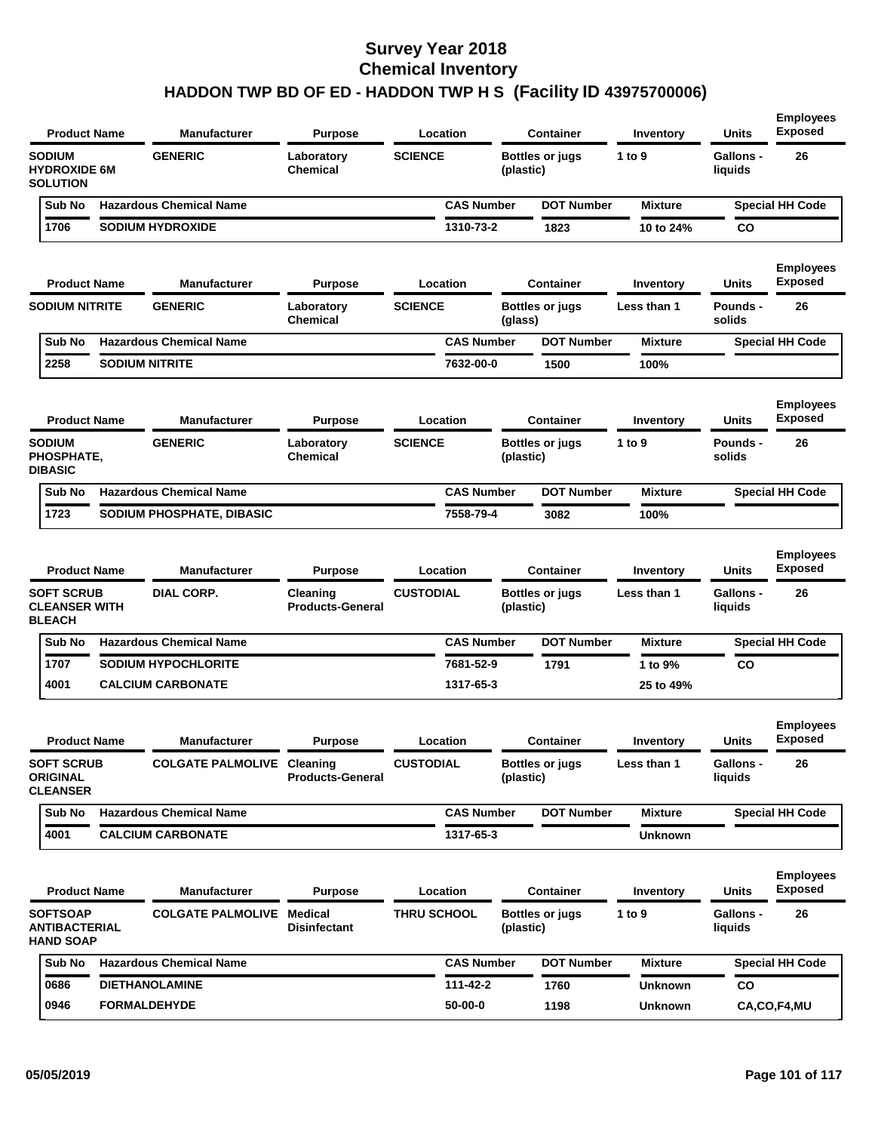| <b>SODIUM</b><br><b>GENERIC</b><br><b>SCIENCE</b><br>Laboratory<br><b>Bottles or jugs</b><br>1 to $9$<br><b>HYDROXIDE 6M</b><br>Chemical<br>(plastic)<br><b>SOLUTION</b>                          | <b>Gallons -</b><br>26<br>liquids                  |
|---------------------------------------------------------------------------------------------------------------------------------------------------------------------------------------------------|----------------------------------------------------|
|                                                                                                                                                                                                   |                                                    |
| <b>Hazardous Chemical Name</b><br><b>CAS Number</b><br><b>DOT Number</b><br>Sub No<br><b>Mixture</b>                                                                                              | <b>Special HH Code</b>                             |
| 1706<br><b>SODIUM HYDROXIDE</b><br>1310-73-2<br>1823<br>10 to 24%                                                                                                                                 | CO                                                 |
| <b>Product Name</b><br><b>Manufacturer</b><br>Location<br><b>Container</b><br><b>Purpose</b><br>Inventory                                                                                         | <b>Employees</b><br><b>Exposed</b><br>Units        |
| <b>SODIUM NITRITE</b><br><b>GENERIC</b><br><b>SCIENCE</b><br>Laboratory<br><b>Bottles or jugs</b><br>Less than 1<br>Chemical<br>(glass)                                                           | 26<br>Pounds -<br>solids                           |
| <b>Hazardous Chemical Name</b><br><b>CAS Number</b><br><b>DOT Number</b><br>Sub No<br><b>Mixture</b>                                                                                              | <b>Special HH Code</b>                             |
| 2258<br><b>SODIUM NITRITE</b><br>7632-00-0<br>1500<br>100%                                                                                                                                        |                                                    |
| <b>Product Name</b><br><b>Manufacturer</b><br><b>Purpose</b><br>Location<br><b>Container</b><br>Inventory                                                                                         | <b>Employees</b><br><b>Exposed</b><br><b>Units</b> |
| <b>SODIUM</b><br><b>SCIENCE</b><br><b>GENERIC</b><br>Laboratory<br><b>Bottles or jugs</b><br>1 to 9<br>PHOSPHATE,<br>Chemical<br>(plastic)<br><b>DIBASIC</b>                                      | 26<br>Pounds -<br>solids                           |
| <b>Hazardous Chemical Name</b><br><b>DOT Number</b><br>Sub No<br><b>CAS Number</b><br><b>Mixture</b>                                                                                              | <b>Special HH Code</b>                             |
| 1723<br>SODIUM PHOSPHATE, DIBASIC<br>7558-79-4<br>3082<br>100%                                                                                                                                    |                                                    |
| <b>Container</b><br><b>Product Name</b><br><b>Manufacturer</b><br><b>Purpose</b><br>Location<br>Inventory                                                                                         | <b>Employees</b><br>Exposed<br><b>Units</b>        |
| <b>CUSTODIAL</b><br><b>SOFT SCRUB</b><br>DIAL CORP.<br>Cleaning<br><b>Bottles or jugs</b><br>Less than 1<br><b>CLEANSER WITH</b><br><b>Products-General</b><br>(plastic)<br><b>BLEACH</b>         | <b>Gallons -</b><br>26<br>liquids                  |
| <b>Hazardous Chemical Name</b><br><b>CAS Number</b><br><b>DOT Number</b><br>Sub No<br><b>Mixture</b>                                                                                              | <b>Special HH Code</b>                             |
| 1707<br><b>SODIUM HYPOCHLORITE</b><br>7681-52-9<br>1791<br>1 to 9%                                                                                                                                | <b>CO</b>                                          |
| 4001<br><b>CALCIUM CARBONATE</b><br>1317-65-3<br>25 to 49%                                                                                                                                        |                                                    |
| <b>Product Name</b><br><b>Manufacturer</b><br><b>Purpose</b><br>Location<br><b>Container</b><br>Inventory                                                                                         | <b>Employees</b><br><b>Exposed</b><br>Units        |
| <b>SOFT SCRUB</b><br><b>CUSTODIAL</b><br><b>COLGATE PALMOLIVE Cleaning</b><br><b>Bottles or jugs</b><br>Less than 1<br><b>ORIGINAL</b><br><b>Products-General</b><br>(plastic)<br><b>CLEANSER</b> | Gallons -<br>26<br>liquids                         |
| Sub No<br><b>Hazardous Chemical Name</b><br><b>CAS Number</b><br><b>DOT Number</b><br><b>Mixture</b>                                                                                              | <b>Special HH Code</b>                             |
| 4001<br><b>CALCIUM CARBONATE</b><br>1317-65-3<br>Unknown                                                                                                                                          |                                                    |
| <b>Manufacturer</b><br><b>Container</b><br><b>Product Name</b><br><b>Purpose</b><br>Location<br>Inventory                                                                                         | <b>Employees</b><br><b>Exposed</b><br><b>Units</b> |
| <b>SOFTSOAP</b><br><b>COLGATE PALMOLIVE</b><br>Medical<br><b>THRU SCHOOL</b><br><b>Bottles or jugs</b><br>1 to 9<br><b>ANTIBACTERIAL</b><br><b>Disinfectant</b><br>(plastic)<br><b>HAND SOAP</b>  | <b>Gallons -</b><br>26<br>liquids                  |
| <b>Hazardous Chemical Name</b><br><b>DOT Number</b><br>Sub No<br><b>CAS Number</b><br><b>Mixture</b>                                                                                              | <b>Special HH Code</b>                             |
| <b>DIETHANOLAMINE</b><br>111-42-2<br>1760<br>0686<br>Unknown                                                                                                                                      | co                                                 |
| 0946<br><b>FORMALDEHYDE</b><br>50-00-0<br>1198<br><b>Unknown</b>                                                                                                                                  | CA,CO,F4,MU                                        |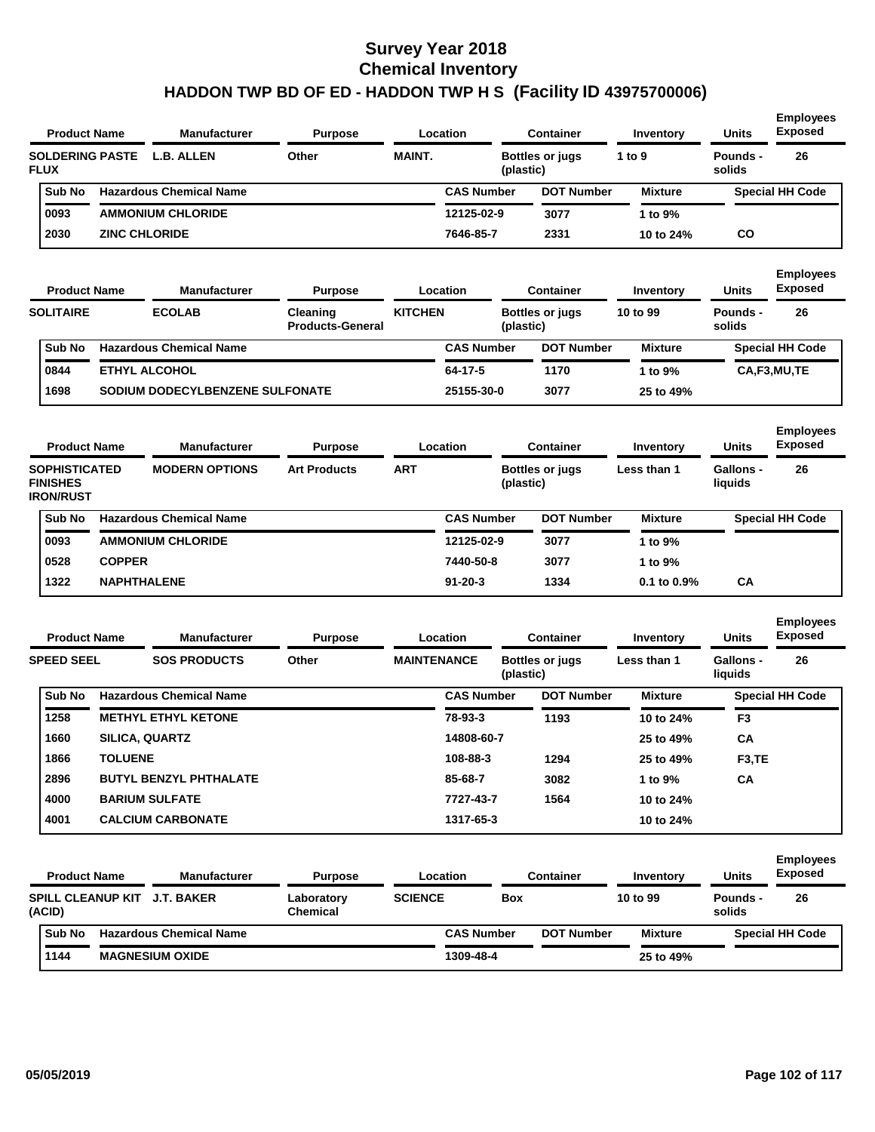|             | <b>Manufacturer</b>                           | <b>Purpose</b>                                                                                   |               |                   | Container | Inventory                           | <b>Units</b>       | <b>Employees</b><br><b>Exposed</b> |
|-------------|-----------------------------------------------|--------------------------------------------------------------------------------------------------|---------------|-------------------|-----------|-------------------------------------|--------------------|------------------------------------|
| <b>FLUX</b> |                                               | Other                                                                                            | <b>MAINT.</b> |                   |           | 1 to $9$                            | Pounds -<br>solids | 26                                 |
| Sub No      |                                               |                                                                                                  |               | <b>CAS Number</b> |           | <b>Mixture</b>                      |                    | <b>Special HH Code</b>             |
| 0093        |                                               |                                                                                                  |               | 12125-02-9        | 3077      | 1 to $9\%$                          |                    |                                    |
| 2030        |                                               |                                                                                                  |               | 7646-85-7         | 2331      | 10 to 24%                           | CO                 |                                    |
|             | <b>Product Name</b><br><b>SOLDERING PASTE</b> | L.B. ALLEN<br><b>Hazardous Chemical Name</b><br><b>AMMONIUM CHLORIDE</b><br><b>ZINC CHLORIDE</b> |               |                   | Location  | <b>Bottles or jugs</b><br>(plastic) | <b>DOT Number</b>  |                                    |

| <b>Product Name</b> | <b>Manufacturer</b>             | <b>Purpose</b>                      |                | Container<br>Location |                                     | Inventory  | <b>Units</b>       | <b>Employees</b><br><b>Exposed</b> |
|---------------------|---------------------------------|-------------------------------------|----------------|-----------------------|-------------------------------------|------------|--------------------|------------------------------------|
| <b>SOLITAIRE</b>    | <b>ECOLAB</b>                   | Cleaning<br><b>Products-General</b> | <b>KITCHEN</b> |                       | <b>Bottles or jugs</b><br>(plastic) | 10 to 99   | Pounds -<br>solids | 26                                 |
| Sub No              | <b>Hazardous Chemical Name</b>  |                                     |                | <b>CAS Number</b>     | <b>DOT Number</b>                   | Mixture    |                    | <b>Special HH Code</b>             |
| 0844                | <b>ETHYL ALCOHOL</b>            |                                     |                | 64-17-5               | 1170                                | 1 to $9\%$ |                    | CA,F3,MU,TE                        |
| 1698                | SODIUM DODECYLBENZENE SULFONATE |                                     |                | 25155-30-0            | 3077                                | 25 to 49%  |                    |                                    |

| <b>Product Name</b>                                         |               | <b>Manufacturer</b>            | <b>Purpose</b>      |     | Location          | <b>Container</b>                    | Inventory        | <b>Units</b>         | <b>Employees</b><br><b>Exposed</b> |
|-------------------------------------------------------------|---------------|--------------------------------|---------------------|-----|-------------------|-------------------------------------|------------------|----------------------|------------------------------------|
| <b>SOPHISTICATED</b><br><b>FINISHES</b><br><b>IRON/RUST</b> |               | <b>MODERN OPTIONS</b>          | <b>Art Products</b> | ART |                   | <b>Bottles or jugs</b><br>(plastic) | Less than 1      | Gallons -<br>liquids | 26                                 |
| Sub No                                                      |               | <b>Hazardous Chemical Name</b> |                     |     | <b>CAS Number</b> | <b>DOT Number</b>                   | <b>Mixture</b>   |                      | <b>Special HH Code</b>             |
| 0093                                                        |               | <b>AMMONIUM CHLORIDE</b>       |                     |     | 12125-02-9        | 3077                                | 1 to 9%          |                      |                                    |
| 0528                                                        | <b>COPPER</b> |                                |                     |     | 7440-50-8         | 3077                                | 1 to $9\%$       |                      |                                    |
| 1322                                                        |               | <b>NAPHTHALENE</b>             |                     |     | $91 - 20 - 3$     | 1334                                | $0.1$ to $0.9\%$ | СA                   |                                    |

|                   | <b>Product Name</b> | <b>Manufacturer</b><br>Location<br><b>Purpose</b> |       | <b>Container</b>   | Inventory | <b>Units</b>           | <b>Employees</b><br><b>Exposed</b> |                             |                        |
|-------------------|---------------------|---------------------------------------------------|-------|--------------------|-----------|------------------------|------------------------------------|-----------------------------|------------------------|
| <b>SPEED SEEL</b> |                     | <b>SOS PRODUCTS</b>                               | Other | <b>MAINTENANCE</b> | (plastic) | <b>Bottles or jugs</b> | Less than 1                        | <b>Gallons -</b><br>liquids | 26                     |
| Sub No            |                     | <b>Hazardous Chemical Name</b>                    |       | <b>CAS Number</b>  |           | <b>DOT Number</b>      | <b>Mixture</b>                     |                             | <b>Special HH Code</b> |
| 1258              |                     | <b>METHYL ETHYL KETONE</b>                        |       | 78-93-3            |           | 1193                   | 10 to 24%                          | F <sub>3</sub>              |                        |
| 1660              |                     | <b>SILICA, QUARTZ</b>                             |       | 14808-60-7         |           |                        | 25 to 49%                          | CA                          |                        |
| 1866              | <b>TOLUENE</b>      |                                                   |       | 108-88-3           |           | 1294                   | 25 to 49%                          | F <sub>3</sub> , TE         |                        |
| 2896              |                     | <b>BUTYL BENZYL PHTHALATE</b>                     |       | 85-68-7            |           | 3082                   | 1 to 9%                            | CA                          |                        |
| 4000              |                     | <b>BARIUM SULFATE</b>                             |       | 7727-43-7          |           | 1564                   | 10 to 24%                          |                             |                        |
| 4001              |                     | <b>CALCIUM CARBONATE</b>                          |       | 1317-65-3          |           |                        | 10 to 24%                          |                             |                        |

| <b>Product Name</b> |                                    | <b>Manufacturer</b>            | <b>Purpose</b>                | Location       |                   | <b>Container</b>  |                | <b>Units</b>       | <b>Employees</b><br><b>Exposed</b> |  |
|---------------------|------------------------------------|--------------------------------|-------------------------------|----------------|-------------------|-------------------|----------------|--------------------|------------------------------------|--|
|                     | <b>SPILL CLEANUP KIT</b><br>(ACID) | J.T. BAKER                     | Laboratory<br><b>Chemical</b> | <b>SCIENCE</b> | Box               |                   | 10 to 99       | Pounds -<br>solids | 26                                 |  |
|                     | Sub No                             | <b>Hazardous Chemical Name</b> |                               |                | <b>CAS Number</b> | <b>DOT Number</b> | <b>Mixture</b> |                    | <b>Special HH Code</b>             |  |
|                     | 1144                               | <b>MAGNESIUM OXIDE</b>         |                               |                | 1309-48-4         |                   | 25 to 49%      |                    |                                    |  |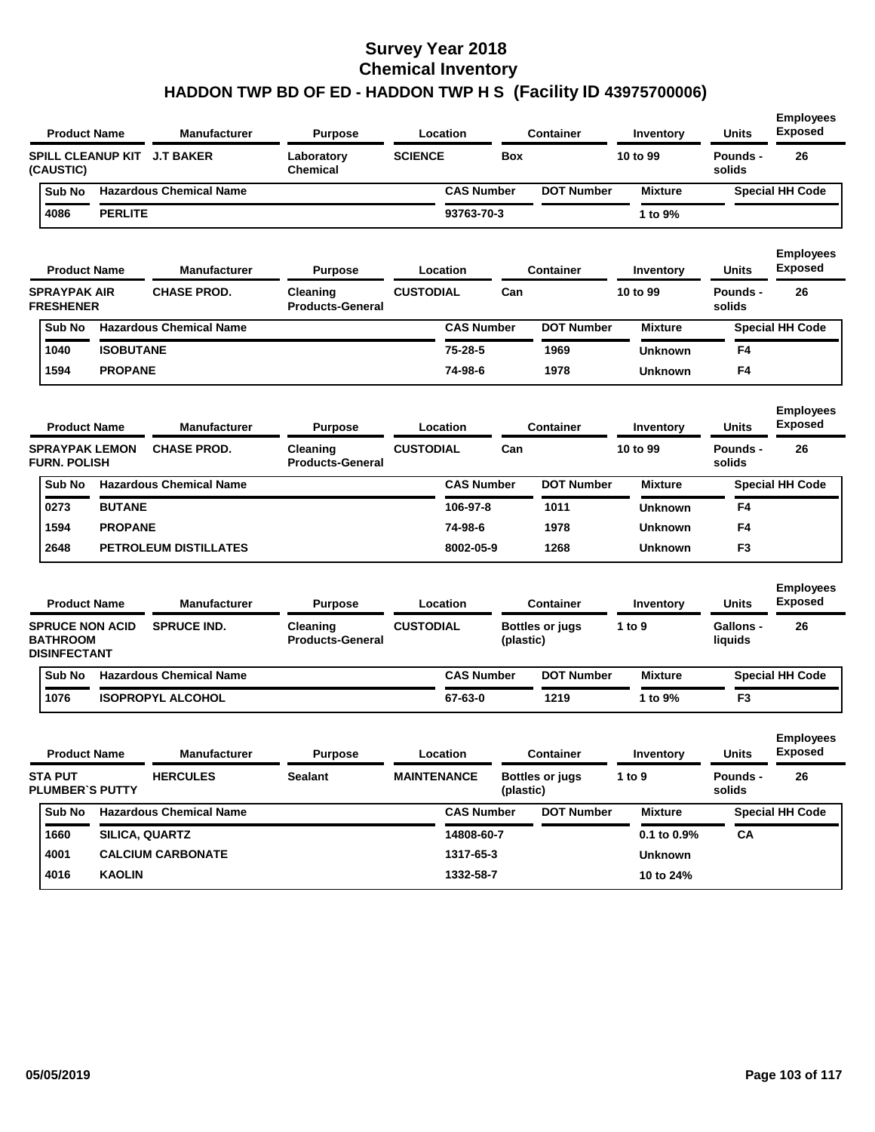|                                         | <b>Product Name</b>    | Manufacturer                   | <b>Purpose</b>                      | Location           |           | <b>Container</b>       | Inventory        | <b>Units</b>                | <b>Employees</b><br><b>Exposed</b> |
|-----------------------------------------|------------------------|--------------------------------|-------------------------------------|--------------------|-----------|------------------------|------------------|-----------------------------|------------------------------------|
| (CAUSTIC)                               |                        | SPILL CLEANUP KIT J.T BAKER    | Laboratory<br><b>Chemical</b>       | <b>SCIENCE</b>     | Box       |                        | 10 to 99         | <b>Pounds -</b><br>solids   | 26                                 |
| Sub No                                  |                        | <b>Hazardous Chemical Name</b> |                                     | <b>CAS Number</b>  |           | <b>DOT Number</b>      | <b>Mixture</b>   |                             | <b>Special HH Code</b>             |
| 4086                                    | <b>PERLITE</b>         |                                |                                     | 93763-70-3         |           |                        | 1 to 9%          |                             |                                    |
|                                         | <b>Product Name</b>    | Manufacturer                   | <b>Purpose</b>                      | Location           |           | <b>Container</b>       | Inventory        | Units                       | <b>Employees</b><br><b>Exposed</b> |
| <b>SPRAYPAK AIR</b><br><b>FRESHENER</b> |                        | <b>CHASE PROD.</b>             | Cleaning<br><b>Products-General</b> | <b>CUSTODIAL</b>   | Can       |                        | 10 to 99         | <b>Pounds -</b><br>solids   | 26                                 |
| Sub No                                  |                        | <b>Hazardous Chemical Name</b> |                                     | <b>CAS Number</b>  |           | <b>DOT Number</b>      | <b>Mixture</b>   |                             | <b>Special HH Code</b>             |
| 1040                                    | <b>ISOBUTANE</b>       |                                |                                     | 75-28-5            |           | 1969                   | <b>Unknown</b>   | F4                          |                                    |
| 1594                                    | <b>PROPANE</b>         |                                |                                     | 74-98-6            |           | 1978                   | <b>Unknown</b>   | F4                          |                                    |
|                                         | <b>Product Name</b>    | <b>Manufacturer</b>            | Purpose                             | Location           |           | <b>Container</b>       | Inventory        | <b>Units</b>                | <b>Employees</b><br><b>Exposed</b> |
| <b>FURN. POLISH</b>                     | <b>SPRAYPAK LEMON</b>  | <b>CHASE PROD.</b>             | Cleaning<br><b>Products-General</b> | <b>CUSTODIAL</b>   | Can       |                        | 10 to 99         | <b>Pounds -</b><br>solids   | 26                                 |
| Sub No                                  |                        | <b>Hazardous Chemical Name</b> |                                     | <b>CAS Number</b>  |           | <b>DOT Number</b>      | <b>Mixture</b>   |                             | <b>Special HH Code</b>             |
| 0273                                    | <b>BUTANE</b>          |                                |                                     | 106-97-8           |           | 1011                   | <b>Unknown</b>   | F4                          |                                    |
| 1594                                    | <b>PROPANE</b>         |                                |                                     | 74-98-6            |           | 1978                   | <b>Unknown</b>   | F4                          |                                    |
| 2648                                    |                        | PETROLEUM DISTILLATES          |                                     | 8002-05-9          |           | 1268                   | <b>Unknown</b>   | F <sub>3</sub>              |                                    |
|                                         | <b>Product Name</b>    | Manufacturer                   | <b>Purpose</b>                      | Location           |           | <b>Container</b>       | Inventory        | <b>Units</b>                | <b>Employees</b><br><b>Exposed</b> |
| <b>BATHROOM</b><br><b>DISINFECTANT</b>  | <b>SPRUCE NON ACID</b> | <b>SPRUCE IND.</b>             | Cleaning<br><b>Products-General</b> | <b>CUSTODIAL</b>   | (plastic) | <b>Bottles or jugs</b> | 1 to 9           | <b>Gallons -</b><br>liquids | 26                                 |
| Sub No                                  |                        | <b>Hazardous Chemical Name</b> |                                     | <b>CAS Number</b>  |           | <b>DOT Number</b>      | <b>Mixture</b>   |                             | <b>Special HH Code</b>             |
| 1076                                    |                        | <b>ISOPROPYL ALCOHOL</b>       |                                     | 67-63-0            |           | 1219                   | 1 to 9%          | F3                          |                                    |
|                                         | <b>Product Name</b>    | Manufacturer                   | <b>Purpose</b>                      | Location           |           | Container              | Inventory        | Units                       | <b>Employees</b><br>Exposed        |
| <b>STA PUT</b>                          | <b>PLUMBER'S PUTTY</b> | <b>HERCULES</b>                | Sealant                             | <b>MAINTENANCE</b> | (plastic) | <b>Bottles or jugs</b> | 1 to $9$         | <b>Pounds -</b><br>solids   | 26                                 |
| Sub No                                  |                        | <b>Hazardous Chemical Name</b> |                                     | <b>CAS Number</b>  |           | <b>DOT Number</b>      | <b>Mixture</b>   |                             | <b>Special HH Code</b>             |
| 1660                                    |                        | SILICA, QUARTZ                 |                                     | 14808-60-7         |           |                        | $0.1$ to $0.9\%$ | СA                          |                                    |
| 4001                                    |                        | <b>CALCIUM CARBONATE</b>       |                                     | 1317-65-3          |           |                        | <b>Unknown</b>   |                             |                                    |
| 4016                                    | <b>KAOLIN</b>          |                                |                                     | 1332-58-7          |           |                        | 10 to 24%        |                             |                                    |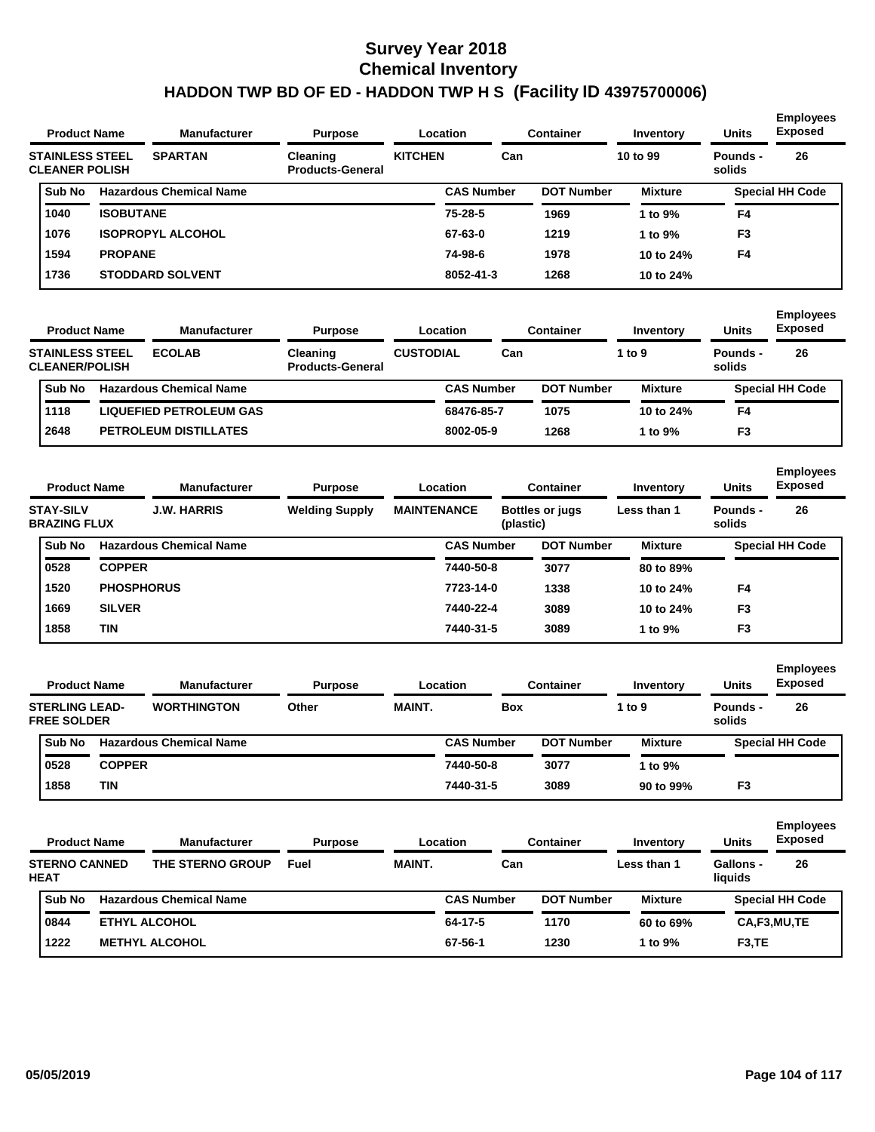| <b>Product Name</b>                             |                  | <b>Manufacturer</b>            | <b>Purpose</b>                      |                | Location          | <b>Container</b>  |                | <b>Units</b>       | <b>Employees</b><br>Exposed |  |
|-------------------------------------------------|------------------|--------------------------------|-------------------------------------|----------------|-------------------|-------------------|----------------|--------------------|-----------------------------|--|
| <b>STAINLESS STEEL</b><br><b>CLEANER POLISH</b> |                  | <b>SPARTAN</b>                 | Cleaning<br><b>Products-General</b> | <b>KITCHEN</b> | Can               |                   | 10 to 99       | Pounds -<br>solids | 26                          |  |
| Sub No                                          |                  | <b>Hazardous Chemical Name</b> |                                     |                | <b>CAS Number</b> | <b>DOT Number</b> | <b>Mixture</b> |                    | <b>Special HH Code</b>      |  |
| 1040                                            | <b>ISOBUTANE</b> |                                |                                     |                | $75 - 28 - 5$     | 1969              | 1 to $9\%$     | F <sub>4</sub>     |                             |  |
| 1076                                            |                  | <b>ISOPROPYL ALCOHOL</b>       |                                     |                | 67-63-0           | 1219              | 1 to 9%        | F <sub>3</sub>     |                             |  |
| 1594                                            | <b>PROPANE</b>   |                                |                                     |                | 74-98-6           | 1978              | 10 to 24%      | F <sub>4</sub>     |                             |  |
| 1736                                            |                  | <b>STODDARD SOLVENT</b>        |                                     |                | 8052-41-3         | 1268              | 10 to 24%      |                    |                             |  |
|                                                 |                  |                                |                                     |                |                   |                   |                |                    |                             |  |

| <b>Manufacturer</b><br><b>Product Name</b>      |  |                                | <b>Purpose</b>                      |                  | Location          | Container |                   | Inventory      | <b>Units</b>       | <b>Employees</b><br><b>Exposed</b> |
|-------------------------------------------------|--|--------------------------------|-------------------------------------|------------------|-------------------|-----------|-------------------|----------------|--------------------|------------------------------------|
| <b>STAINLESS STEEL</b><br><b>CLEANER/POLISH</b> |  | <b>ECOLAB</b>                  | Cleaning<br><b>Products-General</b> | <b>CUSTODIAL</b> |                   | Can       |                   | 1 to $9$       | Pounds -<br>solids | 26                                 |
| <b>Sub No</b>                                   |  | <b>Hazardous Chemical Name</b> |                                     |                  | <b>CAS Number</b> |           | <b>DOT Number</b> | <b>Mixture</b> |                    | <b>Special HH Code</b>             |
| 1118                                            |  | <b>LIQUEFIED PETROLEUM GAS</b> |                                     |                  | 68476-85-7        |           | 1075              | 10 to 24%      | F4                 |                                    |
| 2648                                            |  | <b>PETROLEUM DISTILLATES</b>   |                                     |                  | 8002-05-9         |           | 1268              | 1 to 9%        | F <sub>3</sub>     |                                    |

| <b>Product Name</b>                     |                   | <b>Manufacturer</b><br><b>Purpose</b> |                       |                    | <b>Location</b>   |                                     | <b>Container</b>  | Inventory      | <b>Units</b>       | <b>Employees</b><br><b>Exposed</b> |
|-----------------------------------------|-------------------|---------------------------------------|-----------------------|--------------------|-------------------|-------------------------------------|-------------------|----------------|--------------------|------------------------------------|
| <b>STAY-SILV</b><br><b>BRAZING FLUX</b> |                   | <b>J.W. HARRIS</b>                    | <b>Welding Supply</b> | <b>MAINTENANCE</b> |                   | <b>Bottles or jugs</b><br>(plastic) |                   | Less than 1    | Pounds -<br>solids | 26                                 |
| Sub No                                  |                   | <b>Hazardous Chemical Name</b>        |                       |                    | <b>CAS Number</b> |                                     | <b>DOT Number</b> | <b>Mixture</b> |                    | <b>Special HH Code</b>             |
| 0528                                    | <b>COPPER</b>     |                                       |                       |                    | 7440-50-8         |                                     | 3077              | 80 to 89%      |                    |                                    |
| 1520                                    | <b>PHOSPHORUS</b> |                                       |                       |                    | 7723-14-0         |                                     | 1338              | 10 to 24%      | F4                 |                                    |
| 1669                                    | <b>SILVER</b>     |                                       |                       |                    | 7440-22-4         |                                     | 3089              | 10 to 24%      | F <sub>3</sub>     |                                    |
| 1858                                    | TIN               |                                       |                       |                    | 7440-31-5         |                                     | 3089              | 1 to $9\%$     | F <sub>3</sub>     |                                    |

| <b>Product Name</b>                         |               | <b>Manufacturer</b>            | <b>Purpose</b> |               | Location          | Container         | Inventory      | <b>Units</b>       | <b>Employees</b><br><b>Exposed</b> |
|---------------------------------------------|---------------|--------------------------------|----------------|---------------|-------------------|-------------------|----------------|--------------------|------------------------------------|
| <b>STERLING LEAD-</b><br><b>FREE SOLDER</b> |               | <b>WORTHINGTON</b>             | Other          | <b>MAINT.</b> | Box               |                   | 1 to $9$       | Pounds -<br>solids | 26                                 |
| <b>Sub No</b>                               |               | <b>Hazardous Chemical Name</b> |                |               | <b>CAS Number</b> | <b>DOT Number</b> | <b>Mixture</b> |                    | <b>Special HH Code</b>             |
| 0528                                        | <b>COPPER</b> |                                |                |               | 7440-50-8         | 3077              | 1 to 9%        |                    |                                    |
| 1858                                        | TIN           |                                |                |               | 7440-31-5         | 3089              | 90 to 99%      | F <sub>3</sub>     |                                    |

| <b>Product Name</b>                 |  | <b>Manufacturer</b>            | <b>Purpose</b> |               | Location          | Container         | Inventory      | <b>Units</b>         | <b>Employees</b><br><b>Exposed</b> |
|-------------------------------------|--|--------------------------------|----------------|---------------|-------------------|-------------------|----------------|----------------------|------------------------------------|
| <b>STERNO CANNED</b><br><b>HEAT</b> |  | THE STERNO GROUP               | Fuel           | <b>MAINT.</b> | Can               |                   | Less than 1    | Gallons -<br>liquids | 26                                 |
| <b>Sub No</b>                       |  | <b>Hazardous Chemical Name</b> |                |               | <b>CAS Number</b> | <b>DOT Number</b> | <b>Mixture</b> |                      | <b>Special HH Code</b>             |
| 0844                                |  | <b>ETHYL ALCOHOL</b>           |                | 64-17-5       | 1170              | 60 to 69%         | CA,F3,MU,TE    |                      |                                    |
| 1222                                |  | <b>METHYL ALCOHOL</b>          |                |               | 67-56-1           | 1230              | 1 to 9%        | F <sub>3</sub> .TE   |                                    |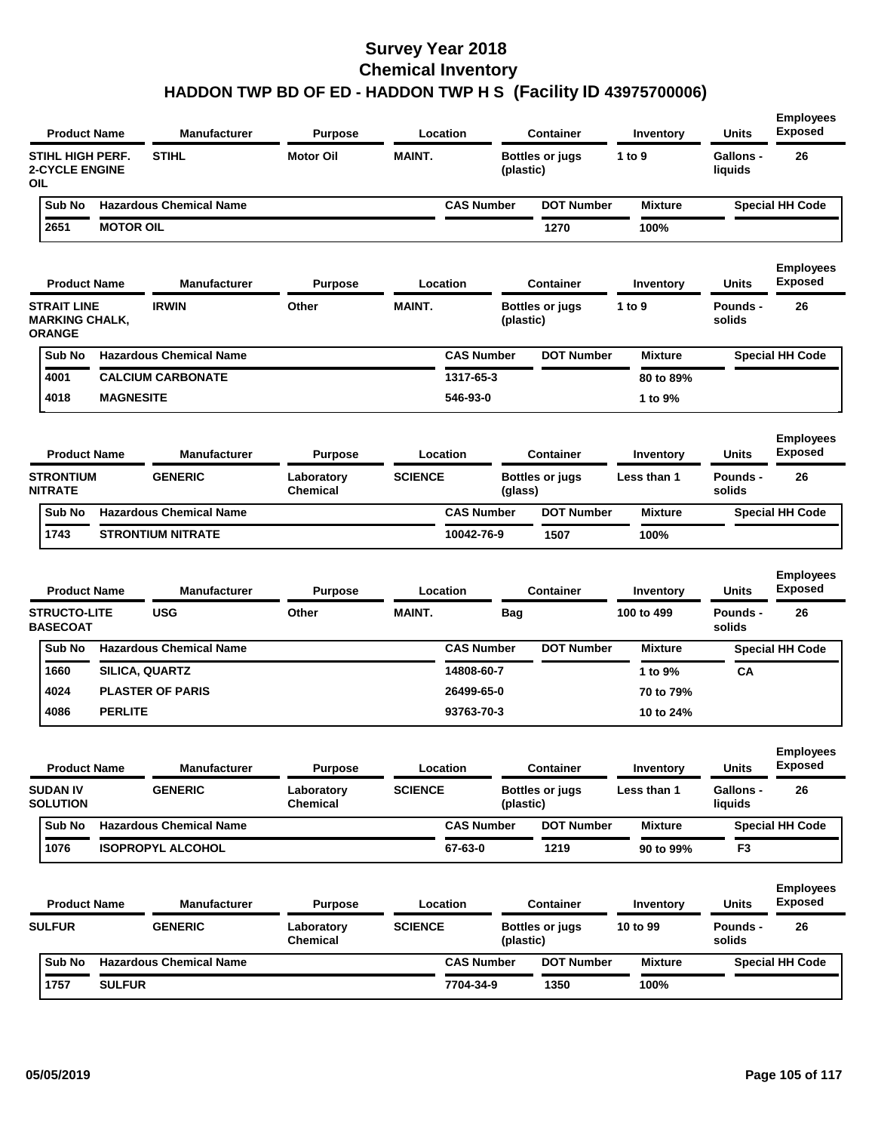| <b>Product Name</b>                                            |                  | <b>Manufacturer</b>            | <b>Purpose</b>                | Location          |            | <b>Container</b>       | Inventory      | <b>Units</b>                | <b>Employees</b><br><b>Exposed</b> |
|----------------------------------------------------------------|------------------|--------------------------------|-------------------------------|-------------------|------------|------------------------|----------------|-----------------------------|------------------------------------|
| <b>STIHL HIGH PERF.</b><br><b>2-CYCLE ENGINE</b><br><b>OIL</b> |                  | <b>STIHL</b>                   | <b>Motor Oil</b>              | <b>MAINT.</b>     | (plastic)  | <b>Bottles or jugs</b> | 1 to 9         | <b>Gallons -</b><br>liquids | 26                                 |
| Sub No                                                         |                  | <b>Hazardous Chemical Name</b> |                               | <b>CAS Number</b> |            | <b>DOT Number</b>      | <b>Mixture</b> |                             | <b>Special HH Code</b>             |
| 2651                                                           | <b>MOTOR OIL</b> |                                |                               |                   |            | 1270                   | 100%           |                             |                                    |
| <b>Product Name</b>                                            |                  | <b>Manufacturer</b>            | <b>Purpose</b>                | Location          |            | <b>Container</b>       | Inventory      | Units                       | <b>Employees</b><br><b>Exposed</b> |
| <b>STRAIT LINE</b><br><b>MARKING CHALK,</b><br><b>ORANGE</b>   |                  | <b>IRWIN</b>                   | Other                         | <b>MAINT.</b>     | (plastic)  | <b>Bottles or jugs</b> | 1 to 9         | Pounds -<br>solids          | 26                                 |
| Sub No                                                         |                  | <b>Hazardous Chemical Name</b> |                               | <b>CAS Number</b> |            | <b>DOT Number</b>      | <b>Mixture</b> |                             | <b>Special HH Code</b>             |
| 4001                                                           |                  | <b>CALCIUM CARBONATE</b>       |                               | 1317-65-3         |            |                        | 80 to 89%      |                             |                                    |
| 4018                                                           | <b>MAGNESITE</b> |                                |                               | 546-93-0          |            |                        | 1 to 9%        |                             |                                    |
| <b>Product Name</b>                                            |                  | <b>Manufacturer</b>            | <b>Purpose</b>                | Location          |            | <b>Container</b>       | Inventory      | <b>Units</b>                | <b>Employees</b><br><b>Exposed</b> |
| <b>STRONTIUM</b><br><b>NITRATE</b>                             |                  | <b>GENERIC</b>                 | Laboratory<br><b>Chemical</b> | <b>SCIENCE</b>    | (glass)    | <b>Bottles or jugs</b> | Less than 1    | <b>Pounds -</b><br>solids   | 26                                 |
| Sub No                                                         |                  | <b>Hazardous Chemical Name</b> |                               | <b>CAS Number</b> |            | <b>DOT Number</b>      | <b>Mixture</b> |                             | <b>Special HH Code</b>             |
| 1743                                                           |                  | <b>STRONTIUM NITRATE</b>       |                               | 10042-76-9        |            | 1507                   | 100%           |                             |                                    |
| <b>Product Name</b>                                            |                  | <b>Manufacturer</b>            | <b>Purpose</b>                | Location          |            | <b>Container</b>       | Inventory      | <b>Units</b>                | <b>Employees</b><br><b>Exposed</b> |
| <b>STRUCTO-LITE</b><br><b>BASECOAT</b>                         |                  | <b>USG</b>                     | Other                         | MAINT.            | <b>Bag</b> |                        | 100 to 499     | Pounds -<br>solids          | 26                                 |
| Sub No                                                         |                  | <b>Hazardous Chemical Name</b> |                               | <b>CAS Number</b> |            | <b>DOT Number</b>      | <b>Mixture</b> |                             | <b>Special HH Code</b>             |
| 1660                                                           | SILICA, QUARTZ   |                                |                               | 14808-60-7        |            |                        | 1 to 9%        | CA                          |                                    |
| 4024                                                           |                  | <b>PLASTER OF PARIS</b>        |                               | 26499-65-0        |            |                        | 70 to 79%      |                             |                                    |
| 4086                                                           | <b>PERLITE</b>   |                                |                               | 93763-70-3        |            |                        | 10 to 24%      |                             |                                    |
|                                                                |                  |                                |                               |                   |            |                        |                |                             |                                    |
| <b>Product Name</b>                                            |                  | <b>Manufacturer</b>            | <b>Purpose</b>                | Location          |            | <b>Container</b>       | Inventory      | Units                       | <b>Employees</b><br><b>Exposed</b> |
| <b>SUDAN IV</b><br><b>SOLUTION</b>                             |                  | <b>GENERIC</b>                 | Laboratory<br><b>Chemical</b> | <b>SCIENCE</b>    | (plastic)  | <b>Bottles or jugs</b> | Less than 1    | <b>Gallons -</b><br>liquids | 26                                 |
| Sub No                                                         |                  | <b>Hazardous Chemical Name</b> |                               | <b>CAS Number</b> |            | <b>DOT Number</b>      | <b>Mixture</b> |                             | <b>Special HH Code</b>             |
| 1076                                                           |                  | <b>ISOPROPYL ALCOHOL</b>       |                               | 67-63-0           |            | 1219                   | 90 to 99%      | F3                          |                                    |
| <b>Product Name</b>                                            |                  | <b>Manufacturer</b>            | <b>Purpose</b>                | Location          |            | <b>Container</b>       | Inventory      | <b>Units</b>                | <b>Employees</b><br><b>Exposed</b> |
| <b>SULFUR</b>                                                  |                  | <b>GENERIC</b>                 | Laboratory<br>Chemical        | <b>SCIENCE</b>    | (plastic)  | Bottles or jugs        | 10 to 99       | <b>Pounds -</b><br>solids   | 26                                 |
| Sub No                                                         |                  | <b>Hazardous Chemical Name</b> |                               | <b>CAS Number</b> |            | <b>DOT Number</b>      | <b>Mixture</b> |                             | <b>Special HH Code</b>             |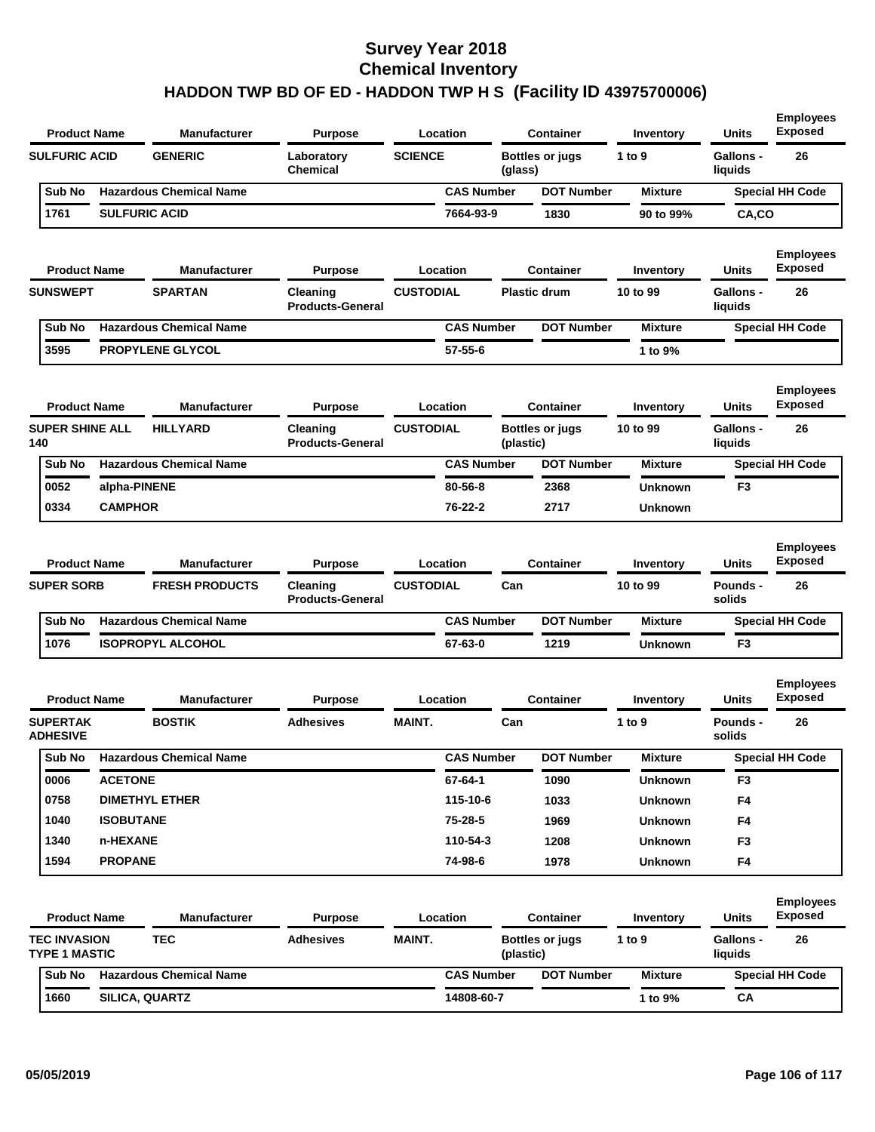| <b>Product Name</b>                                                                                              |                  | <b>Manufacturer</b>                          | <b>Purpose</b>                                        | Location                     |                                     | <b>Container</b>       | Inventory             | <b>Units</b>                              |                                          |
|------------------------------------------------------------------------------------------------------------------|------------------|----------------------------------------------|-------------------------------------------------------|------------------------------|-------------------------------------|------------------------|-----------------------|-------------------------------------------|------------------------------------------|
| <b>SULFURIC ACID</b>                                                                                             |                  | <b>GENERIC</b>                               | Laboratory<br><b>Chemical</b>                         | <b>SCIENCE</b>               | (glass)                             | <b>Bottles or jugs</b> | 1 to 9                | Gallons -<br>liquids                      | 26                                       |
| Sub No                                                                                                           |                  | <b>Hazardous Chemical Name</b>               |                                                       | <b>CAS Number</b>            |                                     | <b>DOT Number</b>      | <b>Mixture</b>        |                                           | <b>Special HH Code</b>                   |
| 1761                                                                                                             |                  | <b>SULFURIC ACID</b>                         |                                                       | 7664-93-9                    |                                     | 1830                   | 90 to 99%             | CA,CO                                     |                                          |
| <b>Product Name</b>                                                                                              |                  | <b>Manufacturer</b>                          | <b>Purpose</b>                                        | Location                     |                                     | <b>Container</b>       | Inventory             | Units                                     | <b>Employees</b><br><b>Exposed</b>       |
| <b>SUNSWEPT</b>                                                                                                  |                  | <b>SPARTAN</b>                               | Cleaning<br><b>Products-General</b>                   | <b>CUSTODIAL</b>             |                                     | <b>Plastic drum</b>    | 10 to 99              | <b>Gallons -</b><br>liquids               | 26                                       |
| Sub No                                                                                                           |                  | <b>Hazardous Chemical Name</b>               |                                                       | <b>CAS Number</b>            |                                     | <b>DOT Number</b>      | <b>Mixture</b>        |                                           | <b>Special HH Code</b>                   |
| 3595                                                                                                             |                  | <b>PROPYLENE GLYCOL</b>                      |                                                       | $57 - 55 - 6$                |                                     |                        | 1 to 9%               |                                           |                                          |
| <b>Product Name</b>                                                                                              |                  | <b>Manufacturer</b>                          | <b>Purpose</b>                                        | Location                     |                                     | <b>Container</b>       | Inventory             | Units                                     | <b>Employees</b><br><b>Exposed</b>       |
| <b>SUPER SHINE ALL</b><br>140                                                                                    | <b>HILLYARD</b>  |                                              | Cleaning<br><b>Products-General</b>                   | <b>CUSTODIAL</b>             | <b>Bottles or jugs</b><br>(plastic) |                        | 10 to 99              | <b>Gallons -</b><br>liquids               | 26                                       |
| Sub No                                                                                                           |                  | <b>Hazardous Chemical Name</b>               |                                                       | <b>CAS Number</b>            |                                     | <b>DOT Number</b>      | <b>Mixture</b>        |                                           | <b>Special HH Code</b>                   |
| 0052                                                                                                             | alpha-PINENE     |                                              |                                                       | $80 - 56 - 8$                |                                     | 2368                   | <b>Unknown</b>        | F3                                        |                                          |
|                                                                                                                  | <b>CAMPHOR</b>   |                                              |                                                       | 76-22-2                      |                                     | 2717                   | <b>Unknown</b>        |                                           |                                          |
| 0334                                                                                                             |                  |                                              |                                                       |                              |                                     |                        |                       |                                           |                                          |
| <b>Product Name</b>                                                                                              |                  | <b>Manufacturer</b><br><b>FRESH PRODUCTS</b> | <b>Purpose</b><br>Cleaning<br><b>Products-General</b> | Location<br><b>CUSTODIAL</b> | Can                                 | <b>Container</b>       | Inventory<br>10 to 99 | <b>Units</b><br><b>Pounds -</b><br>solids | <b>Employees</b><br><b>Exposed</b><br>26 |
| Sub No                                                                                                           |                  | <b>Hazardous Chemical Name</b>               |                                                       | <b>CAS Number</b>            |                                     | <b>DOT Number</b>      | <b>Mixture</b>        |                                           | <b>Special HH Code</b>                   |
| 1076                                                                                                             |                  | <b>ISOPROPYL ALCOHOL</b>                     |                                                       | 67-63-0                      |                                     | 1219                   | <b>Unknown</b>        | F <sub>3</sub>                            |                                          |
| <b>Product Name</b>                                                                                              |                  | <b>Manufacturer</b>                          | <b>Purpose</b>                                        | Location                     |                                     | <b>Container</b>       | Inventory             | <b>Units</b>                              | <b>Employees</b><br><b>Exposed</b>       |
|                                                                                                                  |                  | <b>BOSTIK</b>                                | <b>Adhesives</b>                                      | <b>MAINT.</b>                | Can                                 |                        | 1 to $9$              | <b>Pounds -</b><br>solids                 | 26                                       |
| Sub No                                                                                                           |                  | <b>Hazardous Chemical Name</b>               |                                                       | <b>CAS Number</b>            |                                     | <b>DOT Number</b>      | Mixture               |                                           | Special HH Code                          |
| 0006                                                                                                             | <b>ACETONE</b>   |                                              |                                                       | 67-64-1                      |                                     | 1090                   | <b>Unknown</b>        | F3                                        |                                          |
| 0758                                                                                                             |                  | <b>DIMETHYL ETHER</b>                        |                                                       | 115-10-6                     |                                     | 1033                   | <b>Unknown</b>        | F4                                        |                                          |
| 1040                                                                                                             | <b>ISOBUTANE</b> |                                              |                                                       | 75-28-5                      |                                     | 1969                   | <b>Unknown</b>        | F4                                        |                                          |
| 1340                                                                                                             | n-HEXANE         |                                              |                                                       | 110-54-3                     |                                     | 1208                   | <b>Unknown</b>        | F3                                        |                                          |
| 1594                                                                                                             | <b>PROPANE</b>   |                                              |                                                       | 74-98-6                      |                                     | 1978                   | <b>Unknown</b>        | F4                                        |                                          |
| <b>Product Name</b>                                                                                              |                  | <b>Manufacturer</b>                          | <b>Purpose</b>                                        | Location                     |                                     | <b>Container</b>       | Inventory             | <b>Units</b>                              | <b>Employees</b><br><b>Exposed</b>       |
|                                                                                                                  |                  | <b>TEC</b>                                   | <b>Adhesives</b>                                      | <b>MAINT.</b>                | (plastic)                           | <b>Bottles or jugs</b> | 1 to 9                | Gallons -<br>liquids                      | 26                                       |
| <b>SUPER SORB</b><br><b>SUPERTAK</b><br><b>ADHESIVE</b><br><b>TEC INVASION</b><br><b>TYPE 1 MASTIC</b><br>Sub No |                  | <b>Hazardous Chemical Name</b>               |                                                       | <b>CAS Number</b>            |                                     | <b>DOT Number</b>      | <b>Mixture</b>        |                                           | <b>Special HH Code</b>                   |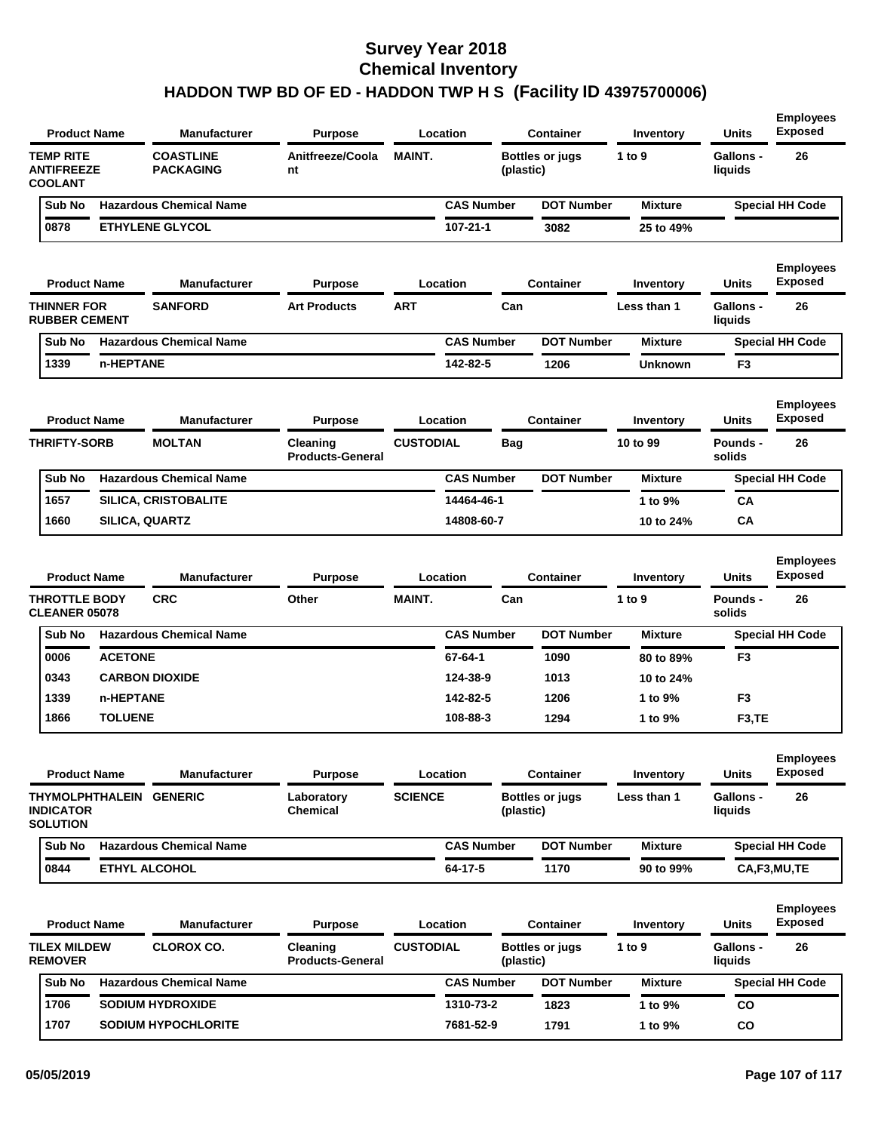| <b>Product Name</b>                                            |                      | <b>Manufacturer</b>                  | <b>Purpose</b>                             |                  | Location             |            | Container              | Inventory           | <b>Units</b>                    | <b>Employees</b><br><b>Exposed</b>       |
|----------------------------------------------------------------|----------------------|--------------------------------------|--------------------------------------------|------------------|----------------------|------------|------------------------|---------------------|---------------------------------|------------------------------------------|
| <b>TEMP RITE</b><br><b>ANTIFREEZE</b><br><b>COOLANT</b>        |                      | <b>COASTLINE</b><br><b>PACKAGING</b> | Anitfreeze/Coola<br>nt                     | <b>MAINT.</b>    |                      | (plastic)  | <b>Bottles or jugs</b> | 1 to $9$            | <b>Gallons -</b><br>liquids     | 26                                       |
| Sub No                                                         |                      | <b>Hazardous Chemical Name</b>       |                                            |                  | <b>CAS Number</b>    |            | <b>DOT Number</b>      | <b>Mixture</b>      |                                 | <b>Special HH Code</b>                   |
| 0878                                                           |                      | <b>ETHYLENE GLYCOL</b>               |                                            |                  | 107-21-1             |            | 3082                   | 25 to 49%           |                                 |                                          |
| <b>Product Name</b>                                            |                      | <b>Manufacturer</b>                  | <b>Purpose</b>                             |                  | Location             |            | <b>Container</b>       | Inventory           | <b>Units</b>                    | <b>Employees</b><br><b>Exposed</b>       |
| <b>THINNER FOR</b><br><b>RUBBER CEMENT</b>                     |                      | <b>SANFORD</b>                       | <b>Art Products</b>                        | <b>ART</b>       |                      | Can        |                        | Less than 1         | <b>Gallons -</b><br>liquids     | 26                                       |
| Sub No                                                         |                      | <b>Hazardous Chemical Name</b>       |                                            |                  | <b>CAS Number</b>    |            | <b>DOT Number</b>      | <b>Mixture</b>      |                                 | <b>Special HH Code</b>                   |
| 1339                                                           | n-HEPTANE            |                                      |                                            |                  | 142-82-5             |            | 1206                   | <b>Unknown</b>      | F <sub>3</sub>                  |                                          |
| <b>Product Name</b>                                            |                      | <b>Manufacturer</b>                  | <b>Purpose</b>                             |                  | Location             |            | <b>Container</b>       | Inventory           | <b>Units</b>                    | <b>Employees</b><br><b>Exposed</b>       |
| <b>THRIFTY-SORB</b>                                            |                      | <b>MOLTAN</b>                        | Cleaning<br><b>Products-General</b>        | <b>CUSTODIAL</b> |                      | <b>Bag</b> |                        | 10 to 99            | Pounds -<br>solids              | 26                                       |
| Sub No                                                         |                      | <b>Hazardous Chemical Name</b>       |                                            |                  | <b>CAS Number</b>    |            | <b>DOT Number</b>      | <b>Mixture</b>      |                                 | <b>Special HH Code</b>                   |
| 1657                                                           |                      | SILICA, CRISTOBALITE                 |                                            |                  | 14464-46-1           |            |                        | 1 to 9%             | CА                              |                                          |
| 1660                                                           |                      | <b>SILICA, QUARTZ</b>                |                                            |                  | 14808-60-7           |            |                        | 10 to 24%           | CA                              |                                          |
| <b>Product Name</b><br><b>THROTTLE BODY</b>                    |                      | <b>Manufacturer</b><br><b>CRC</b>    | <b>Purpose</b><br>Other                    | <b>MAINT.</b>    | Location             | Can        | <b>Container</b>       | Inventory<br>1 to 9 | <b>Units</b><br><b>Pounds -</b> | <b>Employees</b><br><b>Exposed</b><br>26 |
| <b>CLEANER 05078</b>                                           |                      |                                      |                                            |                  |                      |            |                        |                     | solids                          |                                          |
| Sub No                                                         |                      | <b>Hazardous Chemical Name</b>       |                                            |                  | <b>CAS Number</b>    |            | <b>DOT Number</b>      | <b>Mixture</b>      |                                 | <b>Special HH Code</b>                   |
| 0006                                                           | <b>ACETONE</b>       |                                      |                                            |                  | 67-64-1              |            | 1090                   | 80 to 89%           | F3                              |                                          |
| 0343<br>1339                                                   | n-HEPTANE            | <b>CARBON DIOXIDE</b>                |                                            |                  | 124-38-9<br>142-82-5 |            | 1013<br>1206           | 10 to 24%           | F <sub>3</sub>                  |                                          |
| 1866                                                           | <b>TOLUENE</b>       |                                      |                                            |                  | 108-88-3             |            | 1294                   | 1 to 9%<br>1 to 9%  | F <sub>3</sub> ,TE              |                                          |
|                                                                |                      |                                      |                                            |                  |                      |            |                        |                     |                                 |                                          |
| <b>Product Name</b>                                            |                      | <b>Manufacturer</b>                  | <b>Purpose</b>                             |                  | Location             |            | <b>Container</b>       | Inventory           | <b>Units</b>                    | <b>Employees</b><br><b>Exposed</b>       |
| THYMOLPHTHALEIN GENERIC<br><b>INDICATOR</b><br><b>SOLUTION</b> |                      |                                      | Laboratory<br>Chemical                     | <b>SCIENCE</b>   |                      | (plastic)  | <b>Bottles or jugs</b> | Less than 1         | <b>Gallons -</b><br>liquids     | 26                                       |
| Sub No                                                         |                      | <b>Hazardous Chemical Name</b>       |                                            |                  | <b>CAS Number</b>    |            | <b>DOT Number</b>      | <b>Mixture</b>      |                                 | <b>Special HH Code</b>                   |
|                                                                |                      |                                      |                                            |                  | $64 - 17 - 5$        |            | 1170                   | 90 to 99%           |                                 | CA,F3,MU,TE                              |
| 0844                                                           | <b>ETHYL ALCOHOL</b> |                                      |                                            |                  |                      |            |                        |                     |                                 |                                          |
|                                                                |                      |                                      |                                            |                  |                      |            |                        |                     |                                 | <b>Employees</b>                         |
| <b>Product Name</b>                                            |                      | <b>Manufacturer</b>                  | <b>Purpose</b>                             |                  | Location             |            | <b>Container</b>       | Inventory           | <b>Units</b>                    | <b>Exposed</b>                           |
| <b>TILEX MILDEW</b><br><b>REMOVER</b>                          |                      | <b>CLOROX CO.</b>                    | <b>Cleaning</b><br><b>Products-General</b> | <b>CUSTODIAL</b> |                      | (plastic)  | <b>Bottles or jugs</b> | 1 to $9$            | <b>Gallons -</b><br>liquids     | 26                                       |
| Sub No                                                         |                      | <b>Hazardous Chemical Name</b>       |                                            |                  | <b>CAS Number</b>    |            | <b>DOT Number</b>      | <b>Mixture</b>      |                                 | <b>Special HH Code</b>                   |
| 1706                                                           |                      | <b>SODIUM HYDROXIDE</b>              |                                            |                  | 1310-73-2            |            | 1823                   | 1 to 9%             | <b>CO</b><br>co                 |                                          |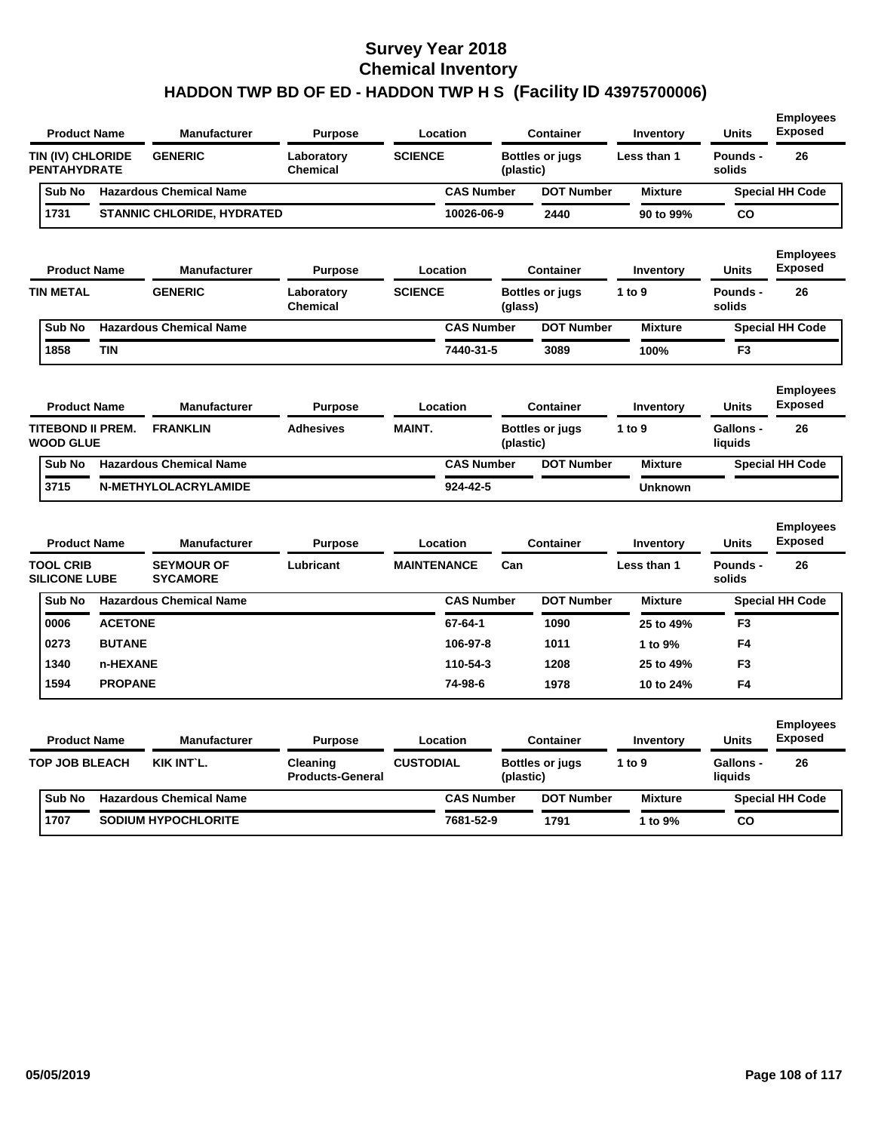| <b>Product Name</b>                      |                | <b>Manufacturer</b>                  | <b>Purpose</b>                      | Location           |                                     | <b>Container</b>       | <b>Inventory</b> | Units                | <b>Employees</b><br><b>Exposed</b> |
|------------------------------------------|----------------|--------------------------------------|-------------------------------------|--------------------|-------------------------------------|------------------------|------------------|----------------------|------------------------------------|
| TIN (IV) CHLORIDE<br><b>PENTAHYDRATE</b> |                | <b>GENERIC</b>                       | Laboratory<br><b>Chemical</b>       | <b>SCIENCE</b>     | (plastic)                           | <b>Bottles or jugs</b> | Less than 1      | Pounds -<br>solids   | 26                                 |
| Sub No                                   |                | <b>Hazardous Chemical Name</b>       |                                     | <b>CAS Number</b>  |                                     | <b>DOT Number</b>      | <b>Mixture</b>   |                      | <b>Special HH Code</b>             |
| 1731                                     |                | <b>STANNIC CHLORIDE, HYDRATED</b>    |                                     | 10026-06-9         |                                     | 2440                   | 90 to 99%        | <b>CO</b>            |                                    |
| <b>Product Name</b>                      |                | Manufacturer                         | <b>Purpose</b>                      | Location           |                                     | <b>Container</b>       | Inventory        | Units                | <b>Employees</b><br><b>Exposed</b> |
| <b>TIN METAL</b>                         | <b>GENERIC</b> |                                      | Laboratory<br><b>Chemical</b>       | <b>SCIENCE</b>     | (glass)                             | <b>Bottles or jugs</b> | 1 to $9$         | Pounds -<br>solids   | 26                                 |
| Sub No                                   |                | <b>Hazardous Chemical Name</b>       |                                     | <b>CAS Number</b>  |                                     | <b>DOT Number</b>      | <b>Mixture</b>   |                      | <b>Special HH Code</b>             |
| 1858                                     | <b>TIN</b>     |                                      |                                     | 7440-31-5          |                                     | 3089                   | 100%             | F <sub>3</sub>       |                                    |
| <b>Product Name</b>                      |                | Manufacturer                         | <b>Purpose</b>                      | Location           |                                     | <b>Container</b>       | Inventory        | Units                | <b>Employees</b><br><b>Exposed</b> |
| TITEBOND II PREM.<br><b>WOOD GLUE</b>    |                | <b>FRANKLIN</b>                      | <b>Adhesives</b>                    | <b>MAINT.</b>      | <b>Bottles or jugs</b><br>(plastic) |                        | 1 to 9           | Gallons -<br>liquids | 26                                 |
| Sub No                                   |                | <b>Hazardous Chemical Name</b>       |                                     | <b>CAS Number</b>  |                                     | <b>DOT Number</b>      | <b>Mixture</b>   |                      | <b>Special HH Code</b>             |
| 3715                                     |                | N-METHYLOLACRYLAMIDE                 |                                     | 924-42-5           |                                     |                        | <b>Unknown</b>   |                      |                                    |
| <b>Product Name</b>                      |                | <b>Manufacturer</b>                  | Purpose                             | Location           |                                     | <b>Container</b>       | Inventory        | <b>Units</b>         | <b>Employees</b><br><b>Exposed</b> |
| <b>TOOL CRIB</b><br><b>SILICONE LUBE</b> |                | <b>SEYMOUR OF</b><br><b>SYCAMORE</b> | Lubricant                           | <b>MAINTENANCE</b> | Can                                 |                        | Less than 1      | Pounds -<br>solids   | 26                                 |
| Sub No                                   |                | <b>Hazardous Chemical Name</b>       |                                     | <b>CAS Number</b>  |                                     | <b>DOT Number</b>      | <b>Mixture</b>   |                      | <b>Special HH Code</b>             |
| 0006                                     | <b>ACETONE</b> |                                      |                                     | $67 - 64 - 1$      |                                     | 1090                   | 25 to 49%        | F <sub>3</sub>       |                                    |
| 0273                                     | <b>BUTANE</b>  |                                      |                                     | 106-97-8           |                                     | 1011                   | 1 to 9%          | F4                   |                                    |
| 1340                                     | n-HEXANE       |                                      |                                     | 110-54-3           |                                     | 1208                   | 25 to 49%        | F3                   |                                    |
| 1594                                     | <b>PROPANE</b> |                                      |                                     | 74-98-6            |                                     | 1978                   | 10 to 24%        | F4                   |                                    |
| <b>Product Name</b>                      |                | <b>Manufacturer</b>                  | Purpose                             | Location           |                                     | <b>Container</b>       | Inventory        | <b>Units</b>         | <b>Employees</b><br><b>Exposed</b> |
| <b>TOP JOB BLEACH</b>                    |                | <b>KIK INT'L.</b>                    | Cleaning<br><b>Products-General</b> | <b>CUSTODIAL</b>   | (plastic)                           | <b>Bottles or jugs</b> | 1 to 9           | Gallons -<br>liquids | 26                                 |
| Sub No                                   |                | <b>Hazardous Chemical Name</b>       |                                     | <b>CAS Number</b>  |                                     | <b>DOT Number</b>      | <b>Mixture</b>   |                      | <b>Special HH Code</b>             |
|                                          |                |                                      |                                     |                    |                                     |                        |                  |                      |                                    |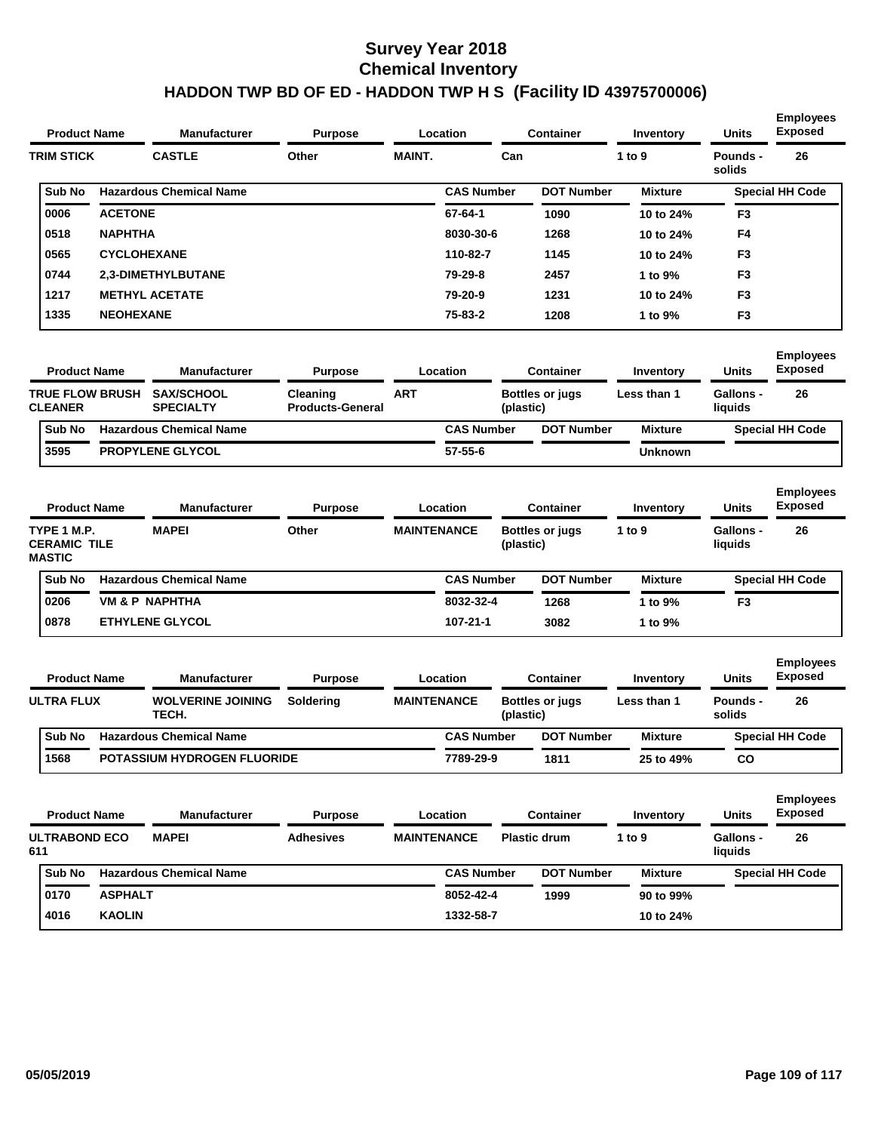| <b>Product Name</b>                                 |                    | <b>Manufacturer</b>                   | <b>Purpose</b>                      |                    | Location          |           | <b>Container</b>       | <b>Inventory</b> | Units                       | <b>Employees</b><br><b>Exposed</b> |
|-----------------------------------------------------|--------------------|---------------------------------------|-------------------------------------|--------------------|-------------------|-----------|------------------------|------------------|-----------------------------|------------------------------------|
| <b>TRIM STICK</b>                                   |                    | <b>CASTLE</b>                         | Other                               | <b>MAINT.</b>      |                   | Can       |                        | 1 to 9           | Pounds -<br>solids          | 26                                 |
| Sub No                                              |                    | <b>Hazardous Chemical Name</b>        |                                     |                    | <b>CAS Number</b> |           | <b>DOT Number</b>      | <b>Mixture</b>   |                             | <b>Special HH Code</b>             |
| 0006                                                | <b>ACETONE</b>     |                                       |                                     |                    | 67-64-1           |           | 1090                   | 10 to 24%        | F3                          |                                    |
| 0518                                                | <b>NAPHTHA</b>     |                                       |                                     |                    | 8030-30-6         |           | 1268                   | 10 to 24%        | F4                          |                                    |
| 0565                                                | <b>CYCLOHEXANE</b> |                                       |                                     |                    | 110-82-7          |           | 1145                   | 10 to 24%        | F3                          |                                    |
| 0744                                                |                    | <b>2,3-DIMETHYLBUTANE</b>             |                                     |                    | 79-29-8           |           | 2457                   | 1 to 9%          | F <sub>3</sub>              |                                    |
| 1217                                                |                    | <b>METHYL ACETATE</b>                 |                                     |                    | 79-20-9           |           | 1231                   | 10 to 24%        | F3                          |                                    |
| 1335                                                | <b>NEOHEXANE</b>   |                                       |                                     |                    | 75-83-2           |           | 1208                   | 1 to 9%          | F <sub>3</sub>              |                                    |
| <b>Product Name</b>                                 |                    | <b>Manufacturer</b>                   | <b>Purpose</b>                      |                    | Location          |           | <b>Container</b>       | Inventory        | <b>Units</b>                | <b>Employees</b><br><b>Exposed</b> |
| <b>TRUE FLOW BRUSH</b><br><b>CLEANER</b>            |                    | <b>SAX/SCHOOL</b><br><b>SPECIALTY</b> | Cleaning<br><b>Products-General</b> | <b>ART</b>         |                   | (plastic) | <b>Bottles or jugs</b> | Less than 1      | Gallons -<br>liquids        | 26                                 |
| Sub No                                              |                    | <b>Hazardous Chemical Name</b>        |                                     |                    | <b>CAS Number</b> |           | <b>DOT Number</b>      | <b>Mixture</b>   |                             | <b>Special HH Code</b>             |
| 3595                                                |                    | PROPYLENE GLYCOL                      |                                     |                    | $57 - 55 - 6$     |           |                        | <b>Unknown</b>   |                             |                                    |
| <b>Product Name</b>                                 |                    | <b>Manufacturer</b>                   | <b>Purpose</b>                      |                    | Location          |           | <b>Container</b>       | Inventory        | Units                       | <b>Employees</b><br><b>Exposed</b> |
| TYPE 1 M.P.<br><b>CERAMIC TILE</b><br><b>MASTIC</b> |                    | <b>MAPEI</b>                          | Other                               | <b>MAINTENANCE</b> |                   | (plastic) | <b>Bottles or jugs</b> | 1 to 9           | Gallons -<br>liquids        | 26                                 |
| Sub No                                              |                    | <b>Hazardous Chemical Name</b>        |                                     |                    | <b>CAS Number</b> |           | <b>DOT Number</b>      | <b>Mixture</b>   |                             | <b>Special HH Code</b>             |
| 0206                                                |                    | <b>VM &amp; P NAPHTHA</b>             |                                     |                    | 8032-32-4         |           | 1268                   | 1 to 9%          | F3                          |                                    |
| 0878                                                |                    | <b>ETHYLENE GLYCOL</b>                |                                     |                    | 107-21-1          |           | 3082                   | 1 to 9%          |                             |                                    |
| <b>Product Name</b>                                 |                    | <b>Manufacturer</b>                   | <b>Purpose</b>                      |                    | Location          |           | <b>Container</b>       | Inventory        | Units                       | <b>Employees</b><br><b>Exposed</b> |
| <b>ULTRA FLUX</b>                                   |                    | <b>WOLVERINE JOINING</b><br>TECH.     | Soldering                           | <b>MAINTENANCE</b> |                   | (plastic) | <b>Bottles or jugs</b> | Less than 1      | Pounds -<br>solids          | 26                                 |
| Sub No                                              |                    | <b>Hazardous Chemical Name</b>        |                                     |                    | <b>CAS Number</b> |           | <b>DOT Number</b>      | <b>Mixture</b>   |                             | <b>Special HH Code</b>             |
| 1568                                                |                    | POTASSIUM HYDROGEN FLUORIDE           |                                     |                    | 7789-29-9         |           | 1811                   | 25 to 49%        | CO                          |                                    |
| <b>Product Name</b>                                 |                    | <b>Manufacturer</b>                   | <b>Purpose</b>                      |                    | Location          |           | <b>Container</b>       | <b>Inventory</b> | Units                       | <b>Employees</b><br><b>Exposed</b> |
| <b>ULTRABOND ECO</b><br>611                         |                    | <b>MAPEI</b>                          | <b>Adhesives</b>                    | <b>MAINTENANCE</b> |                   |           | Plastic drum           | 1 to 9           | <b>Gallons -</b><br>liquids | 26                                 |
| Sub No                                              |                    | <b>Hazardous Chemical Name</b>        |                                     |                    | <b>CAS Number</b> |           | <b>DOT Number</b>      | <b>Mixture</b>   |                             | <b>Special HH Code</b>             |
| 0170                                                | <b>ASPHALT</b>     |                                       |                                     |                    | 8052-42-4         |           | 1999                   | 90 to 99%        |                             |                                    |
| 4016                                                | <b>KAOLIN</b>      |                                       |                                     |                    | 1332-58-7         |           |                        | 10 to 24%        |                             |                                    |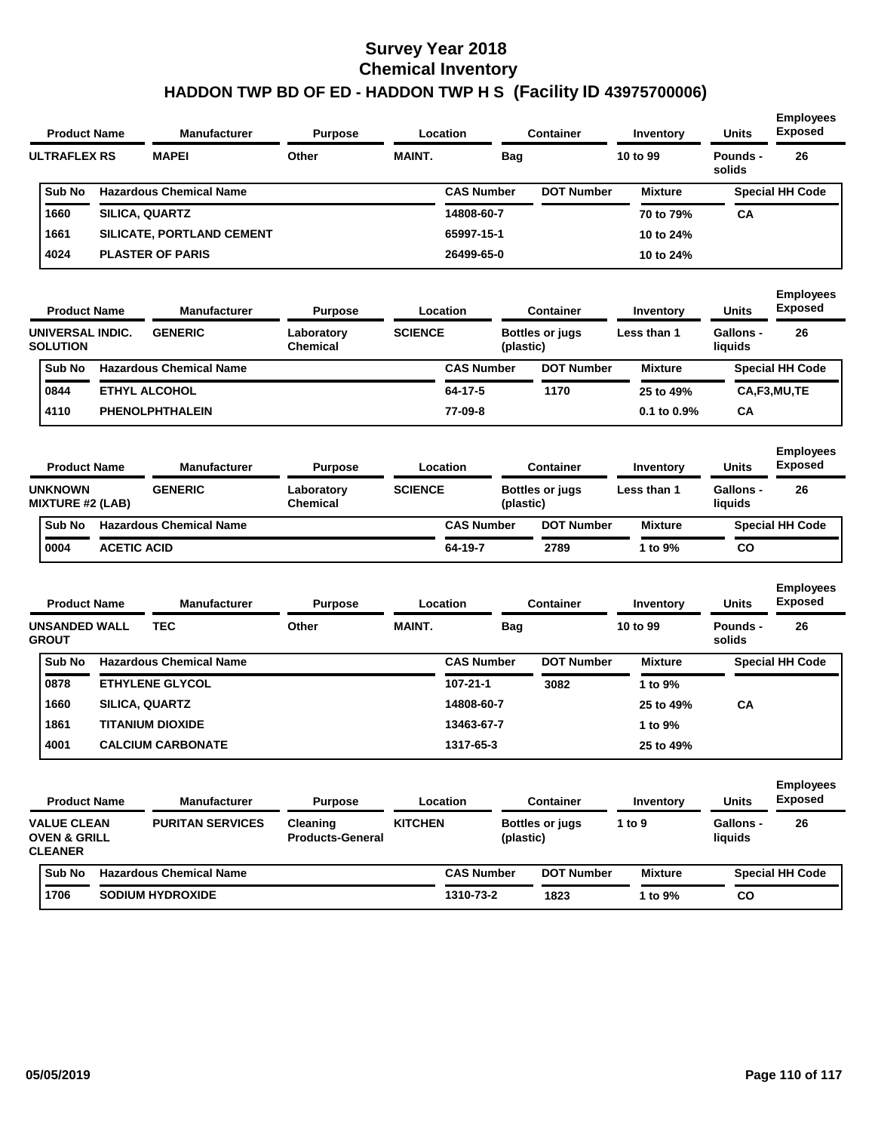| <b>Product Name</b>                                             |                    | <b>Manufacturer</b>            | <b>Purpose</b>                      |                | Location          |            | <b>Container</b>       | Inventory        | <b>Units</b>                | <b>Employees</b><br><b>Exposed</b> |
|-----------------------------------------------------------------|--------------------|--------------------------------|-------------------------------------|----------------|-------------------|------------|------------------------|------------------|-----------------------------|------------------------------------|
| <b>ULTRAFLEX RS</b>                                             |                    | <b>MAPEI</b>                   | Other                               | <b>MAINT.</b>  |                   | <b>Bag</b> |                        | 10 to 99         | Pounds -<br>solids          | 26                                 |
| Sub No                                                          |                    | <b>Hazardous Chemical Name</b> |                                     |                | <b>CAS Number</b> |            | <b>DOT Number</b>      | <b>Mixture</b>   |                             | <b>Special HH Code</b>             |
| 1660                                                            |                    | SILICA, QUARTZ                 |                                     |                | 14808-60-7        |            |                        | 70 to 79%        | СA                          |                                    |
| 1661                                                            |                    | SILICATE, PORTLAND CEMENT      |                                     |                | 65997-15-1        |            |                        | 10 to 24%        |                             |                                    |
| 4024                                                            |                    | <b>PLASTER OF PARIS</b>        |                                     |                | 26499-65-0        |            |                        | 10 to 24%        |                             |                                    |
| <b>Product Name</b>                                             |                    | <b>Manufacturer</b>            | <b>Purpose</b>                      |                | Location          |            | <b>Container</b>       | Inventory        | <b>Units</b>                | <b>Employees</b><br><b>Exposed</b> |
| UNIVERSAL INDIC.<br><b>SOLUTION</b>                             |                    | <b>GENERIC</b>                 | Laboratory<br>Chemical              | <b>SCIENCE</b> |                   | (plastic)  | <b>Bottles or jugs</b> | Less than 1      | <b>Gallons -</b><br>liquids | 26                                 |
| Sub No                                                          |                    | <b>Hazardous Chemical Name</b> |                                     |                | <b>CAS Number</b> |            | <b>DOT Number</b>      | <b>Mixture</b>   |                             | <b>Special HH Code</b>             |
| 0844                                                            |                    | <b>ETHYL ALCOHOL</b>           |                                     |                | 64-17-5           |            | 1170                   | 25 to 49%        |                             | CA,F3,MU,TE                        |
| 4110                                                            |                    | PHENOLPHTHALEIN                |                                     |                | 77-09-8           |            |                        | $0.1$ to $0.9\%$ | CА                          |                                    |
| <b>Product Name</b>                                             |                    | Manufacturer                   | <b>Purpose</b>                      |                | Location          |            | Container              | <b>Inventory</b> | <b>Units</b>                | <b>Employees</b><br><b>Exposed</b> |
| <b>UNKNOWN</b><br><b>MIXTURE #2 (LAB)</b>                       |                    | <b>GENERIC</b>                 | Laboratory<br><b>Chemical</b>       | <b>SCIENCE</b> |                   | (plastic)  | <b>Bottles or jugs</b> | Less than 1      | <b>Gallons -</b><br>liquids | 26                                 |
| Sub No                                                          |                    | <b>Hazardous Chemical Name</b> |                                     |                | <b>CAS Number</b> |            | <b>DOT Number</b>      | <b>Mixture</b>   |                             | <b>Special HH Code</b>             |
| 0004                                                            | <b>ACETIC ACID</b> |                                |                                     |                | 64-19-7           |            | 2789                   | 1 to 9%          | CO                          |                                    |
| <b>Product Name</b>                                             |                    | Manufacturer                   | <b>Purpose</b>                      |                | Location          |            | <b>Container</b>       | Inventory        | <b>Units</b>                | <b>Employees</b><br><b>Exposed</b> |
| <b>UNSANDED WALL</b><br><b>GROUT</b>                            |                    | <b>TEC</b>                     | Other                               | <b>MAINT.</b>  |                   | Bag        |                        | 10 to 99         | Pounds -<br>solids          | 26                                 |
| Sub No                                                          |                    | <b>Hazardous Chemical Name</b> |                                     |                | <b>CAS Number</b> |            | <b>DOT Number</b>      | <b>Mixture</b>   |                             | <b>Special HH Code</b>             |
| 0878                                                            |                    | <b>ETHYLENE GLYCOL</b>         |                                     |                | 107-21-1          |            | 3082                   | 1 to 9%          |                             |                                    |
| 1660                                                            |                    | <b>SILICA, QUARTZ</b>          |                                     |                | 14808-60-7        |            |                        | 25 to 49%        | СA                          |                                    |
| 1861                                                            |                    | <b>TITANIUM DIOXIDE</b>        |                                     |                | 13463-67-7        |            |                        | 1 to 9%          |                             |                                    |
| 4001                                                            |                    | <b>CALCIUM CARBONATE</b>       |                                     |                | 1317-65-3         |            |                        | 25 to 49%        |                             |                                    |
| <b>Product Name</b>                                             |                    | <b>Manufacturer</b>            | <b>Purpose</b>                      |                | Location          |            | <b>Container</b>       | Inventory        | <b>Units</b>                | <b>Employees</b><br><b>Exposed</b> |
| <b>VALUE CLEAN</b><br><b>OVEN &amp; GRILL</b><br><b>CLEANER</b> |                    | <b>PURITAN SERVICES</b>        | Cleaning<br><b>Products-General</b> | <b>KITCHEN</b> |                   | (plastic)  | <b>Bottles or jugs</b> | 1 to 9           | Gallons -<br>liquids        | 26                                 |
| <b>Sub No</b>                                                   |                    | <b>Hazardous Chemical Name</b> |                                     |                | <b>CAS Number</b> |            | <b>DOT Number</b>      | <b>Mixture</b>   |                             | <b>Special HH Code</b>             |
| 1706                                                            |                    | <b>SODIUM HYDROXIDE</b>        |                                     |                | 1310-73-2         |            | 1823                   | 1 to 9%          | CO                          |                                    |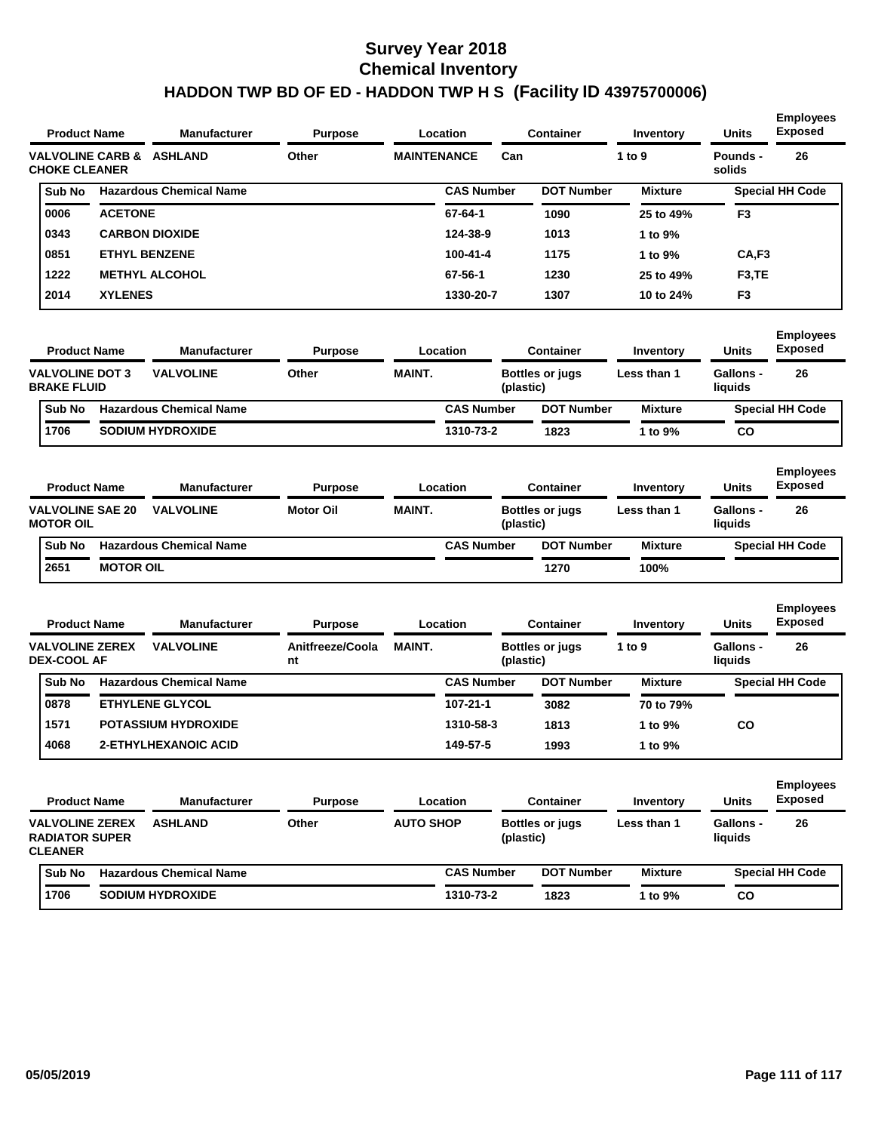| <b>Product Name</b>                             |                  | Manufacturer                            | <b>Purpose</b>                     |                    | Location          |           | <b>Container</b>                    | Inventory                | <b>Units</b>                | <b>Employees</b><br><b>Exposed</b>       |
|-------------------------------------------------|------------------|-----------------------------------------|------------------------------------|--------------------|-------------------|-----------|-------------------------------------|--------------------------|-----------------------------|------------------------------------------|
| <b>CHOKE CLEANER</b>                            |                  | <b>VALVOLINE CARB &amp; ASHLAND</b>     | Other                              | <b>MAINTENANCE</b> |                   | Can       |                                     | 1 to 9                   | Pounds -<br>solids          | 26                                       |
| Sub No                                          |                  | <b>Hazardous Chemical Name</b>          |                                    |                    | <b>CAS Number</b> |           | <b>DOT Number</b>                   | <b>Mixture</b>           |                             | <b>Special HH Code</b>                   |
| 0006                                            | <b>ACETONE</b>   |                                         |                                    |                    | 67-64-1           |           | 1090                                | 25 to 49%                | F3                          |                                          |
| 0343                                            |                  | <b>CARBON DIOXIDE</b>                   |                                    |                    | 124-38-9          |           | 1013                                | 1 to 9%                  |                             |                                          |
| 0851                                            |                  | <b>ETHYL BENZENE</b>                    |                                    |                    | 100-41-4          |           | 1175                                | 1 to 9%                  | CA,F3                       |                                          |
| 1222                                            |                  | <b>METHYL ALCOHOL</b>                   |                                    |                    | 67-56-1           |           | 1230                                | 25 to 49%                | F <sub>3</sub> ,TE          |                                          |
| 2014                                            | <b>XYLENES</b>   |                                         |                                    |                    | 1330-20-7         |           | 1307                                | 10 to 24%                | F3                          |                                          |
| <b>Product Name</b>                             |                  | <b>Manufacturer</b>                     | <b>Purpose</b>                     |                    | Location          |           | Container                           | Inventory                | Units                       | <b>Employees</b><br><b>Exposed</b>       |
| <b>VALVOLINE DOT 3</b><br><b>BRAKE FLUID</b>    |                  | <b>VALVOLINE</b>                        | Other                              | <b>MAINT.</b>      |                   | (plastic) | <b>Bottles or jugs</b>              | Less than 1              | <b>Gallons -</b><br>liquids | 26                                       |
| Sub No                                          |                  | <b>Hazardous Chemical Name</b>          |                                    |                    | <b>CAS Number</b> |           | <b>DOT Number</b>                   | <b>Mixture</b>           |                             | <b>Special HH Code</b>                   |
| 1706                                            |                  | <b>SODIUM HYDROXIDE</b>                 |                                    |                    | 1310-73-2         |           | 1823                                | 1 to 9%                  | CO                          |                                          |
| <b>Product Name</b><br><b>VALVOLINE SAE 20</b>  |                  | <b>Manufacturer</b><br><b>VALVOLINE</b> | <b>Purpose</b><br><b>Motor Oil</b> | <b>MAINT.</b>      | Location          |           | Container<br><b>Bottles or jugs</b> | Inventory<br>Less than 1 | <b>Units</b><br>Gallons -   | <b>Employees</b><br><b>Exposed</b><br>26 |
| <b>MOTOR OIL</b>                                |                  |                                         |                                    |                    |                   | (plastic) |                                     |                          | liquids                     |                                          |
| Sub No                                          |                  | <b>Hazardous Chemical Name</b>          |                                    |                    | <b>CAS Number</b> |           | <b>DOT Number</b>                   | <b>Mixture</b>           |                             | <b>Special HH Code</b>                   |
| 2651                                            | <b>MOTOR OIL</b> |                                         |                                    |                    |                   |           | 1270                                | 100%                     |                             |                                          |
| <b>Product Name</b>                             |                  | <b>Manufacturer</b>                     | <b>Purpose</b>                     |                    | Location          |           | <b>Container</b>                    | Inventory                | <b>Units</b>                | <b>Employees</b><br><b>Exposed</b>       |
| <b>VALVOLINE ZEREX</b><br><b>DEX-COOL AF</b>    |                  | <b>VALVOLINE</b>                        | Anitfreeze/Coola<br>nt             | <b>MAINT.</b>      |                   | (plastic) | <b>Bottles or jugs</b>              | 1 to 9                   | <b>Gallons -</b><br>liquids | 26                                       |
| Sub No                                          |                  | <b>Hazardous Chemical Name</b>          |                                    |                    | <b>CAS Number</b> |           | <b>DOT Number</b>                   | <b>Mixture</b>           |                             | <b>Special HH Code</b>                   |
| 0878                                            |                  | <b>ETHYLENE GLYCOL</b>                  |                                    |                    | 107-21-1          |           | 3082                                | 70 to 79%                |                             |                                          |
| 1571                                            |                  | <b>POTASSIUM HYDROXIDE</b>              |                                    |                    | 1310-58-3         |           | 1813                                | 1 to 9%                  | CO                          |                                          |
| 4068                                            |                  | <b>2-ETHYLHEXANOIC ACID</b>             |                                    |                    | 149-57-5          |           | 1993                                | 1 to 9%                  |                             |                                          |
| <b>Product Name</b>                             |                  | <b>Manufacturer</b>                     | <b>Purpose</b>                     |                    | Location          |           | Container                           | Inventory                | Units                       | <b>Employees</b><br><b>Exposed</b>       |
| <b>VALVOLINE ZEREX</b><br><b>RADIATOR SUPER</b> |                  |                                         |                                    |                    |                   |           |                                     |                          |                             |                                          |
| <b>CLEANER</b>                                  |                  | <b>ASHLAND</b>                          | Other                              | <b>AUTO SHOP</b>   |                   | (plastic) | <b>Bottles or jugs</b>              | Less than 1              | <b>Gallons -</b><br>liquids | 26                                       |
| Sub No                                          |                  | <b>Hazardous Chemical Name</b>          |                                    |                    | <b>CAS Number</b> |           | <b>DOT Number</b>                   | <b>Mixture</b>           |                             | <b>Special HH Code</b>                   |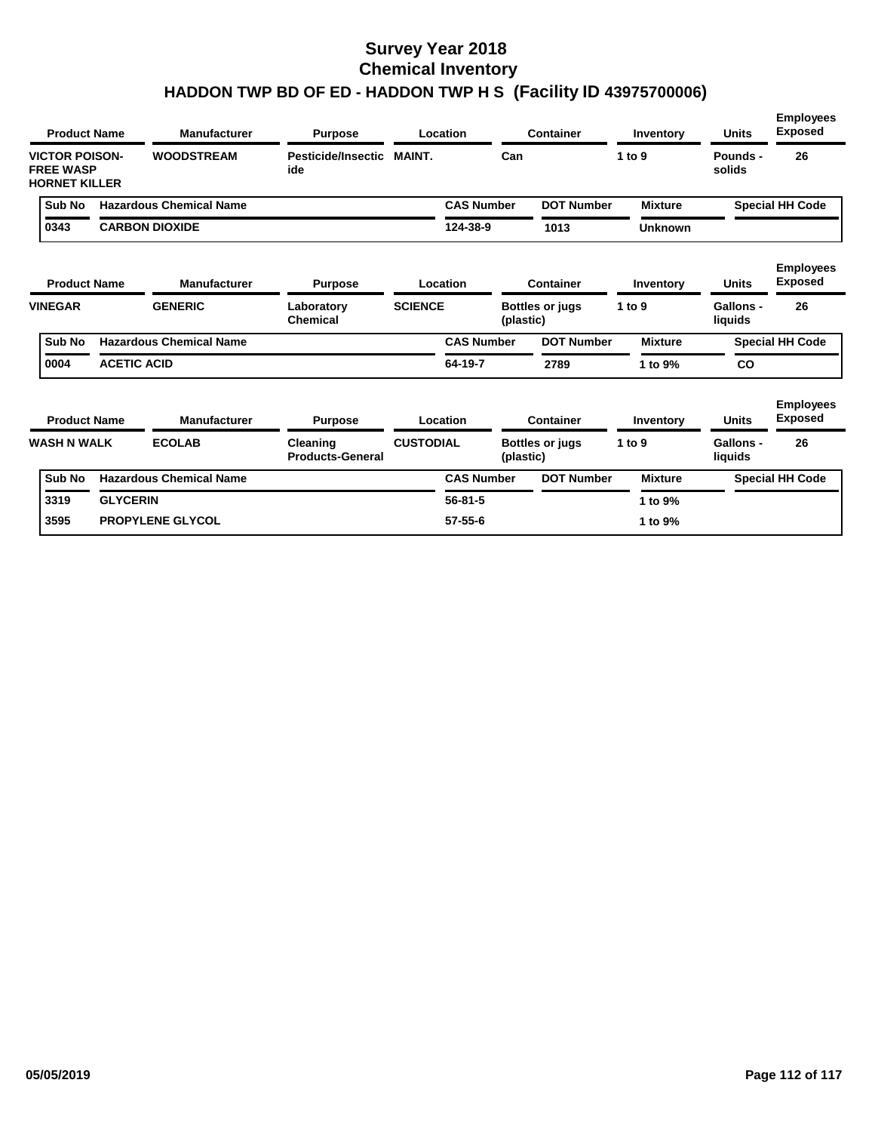|                                                                   | <b>Product Name</b> | <b>Manufacturer</b>            | <b>Purpose</b>                      |                  | Location          |           | <b>Container</b>       | Inventory      | <b>Units</b>         | <b>Employees</b><br><b>Exposed</b> |
|-------------------------------------------------------------------|---------------------|--------------------------------|-------------------------------------|------------------|-------------------|-----------|------------------------|----------------|----------------------|------------------------------------|
| <b>VICTOR POISON-</b><br><b>FREE WASP</b><br><b>HORNET KILLER</b> |                     | <b>WOODSTREAM</b>              | Pesticide/Insectic<br>ide           | <b>MAINT.</b>    |                   | Can       |                        | 1 to 9         | Pounds -<br>solids   | 26                                 |
| Sub No                                                            |                     | <b>Hazardous Chemical Name</b> |                                     |                  | <b>CAS Number</b> |           | <b>DOT Number</b>      | <b>Mixture</b> |                      | <b>Special HH Code</b>             |
| 0343                                                              |                     | <b>CARBON DIOXIDE</b>          |                                     |                  | 124-38-9          |           | 1013                   | <b>Unknown</b> |                      |                                    |
|                                                                   | <b>Product Name</b> | <b>Manufacturer</b>            | <b>Purpose</b>                      |                  | Location          |           | <b>Container</b>       | Inventory      | <b>Units</b>         | <b>Employees</b><br><b>Exposed</b> |
| <b>VINEGAR</b>                                                    |                     | <b>GENERIC</b>                 | Laboratory<br><b>Chemical</b>       | <b>SCIENCE</b>   |                   | (plastic) | <b>Bottles or jugs</b> | 1 to 9         | Gallons -<br>liquids | 26                                 |
| Sub No                                                            |                     | <b>Hazardous Chemical Name</b> |                                     |                  | <b>CAS Number</b> |           | <b>DOT Number</b>      | <b>Mixture</b> |                      | <b>Special HH Code</b>             |
| 0004                                                              | <b>ACETIC ACID</b>  |                                |                                     |                  | 64-19-7           |           | 2789                   | 1 to 9%        | <b>CO</b>            |                                    |
|                                                                   | <b>Product Name</b> | <b>Manufacturer</b>            | <b>Purpose</b>                      |                  | Location          |           | <b>Container</b>       | Inventory      | <b>Units</b>         | <b>Employees</b><br><b>Exposed</b> |
| <b>WASH N WALK</b>                                                |                     | <b>ECOLAB</b>                  | Cleaning<br><b>Products-General</b> | <b>CUSTODIAL</b> |                   | (plastic) | <b>Bottles or jugs</b> | 1 to $9$       | Gallons -<br>liquids | 26                                 |
| Sub No                                                            |                     | <b>Hazardous Chemical Name</b> |                                     |                  | <b>CAS Number</b> |           | <b>DOT Number</b>      | <b>Mixture</b> |                      | <b>Special HH Code</b>             |
| 3319                                                              | <b>GLYCERIN</b>     |                                |                                     |                  | $56 - 81 - 5$     |           |                        | 1 to 9%        |                      |                                    |
| 3595                                                              |                     | <b>PROPYLENE GLYCOL</b>        |                                     |                  | $57 - 55 - 6$     |           |                        | 1 to 9%        |                      |                                    |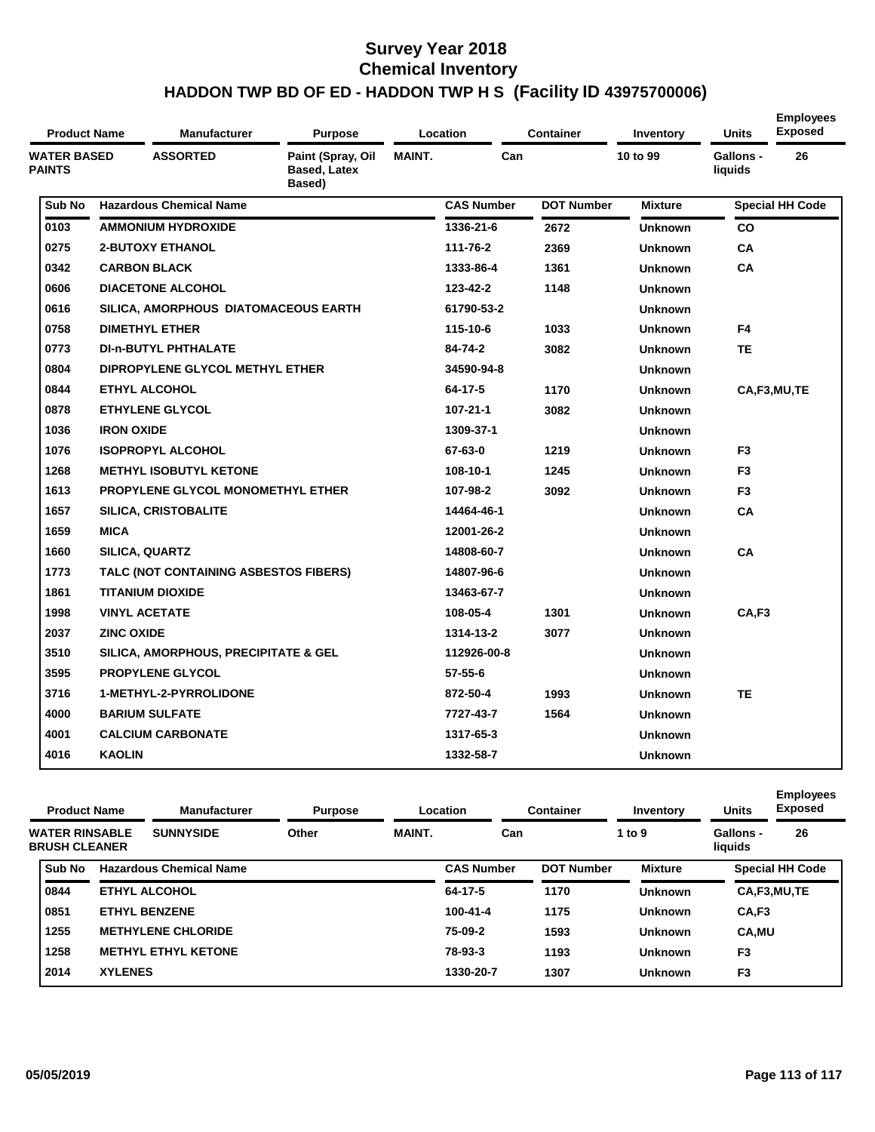| <b>Product Name</b>                 |                   | <b>Manufacturer</b>                             | <b>Purpose</b>                                     |               | Location          | <b>Container</b>  | Inventory      | <b>Units</b>                | <b>Employees</b><br><b>Exposed</b> |
|-------------------------------------|-------------------|-------------------------------------------------|----------------------------------------------------|---------------|-------------------|-------------------|----------------|-----------------------------|------------------------------------|
| <b>WATER BASED</b><br><b>PAINTS</b> |                   | <b>ASSORTED</b>                                 | Paint (Spray, Oil<br><b>Based, Latex</b><br>Based) | <b>MAINT.</b> | Can               |                   | 10 to 99       | <b>Gallons -</b><br>liquids | 26                                 |
| Sub No                              |                   | <b>Hazardous Chemical Name</b>                  |                                                    |               | <b>CAS Number</b> | <b>DOT Number</b> | <b>Mixture</b> |                             | <b>Special HH Code</b>             |
| 0103                                |                   | <b>AMMONIUM HYDROXIDE</b>                       |                                                    |               | 1336-21-6         | 2672              | <b>Unknown</b> | <b>CO</b>                   |                                    |
| 0275                                |                   | <b>2-BUTOXY ETHANOL</b>                         |                                                    |               | 111-76-2          | 2369              | <b>Unknown</b> | CA                          |                                    |
| 0342                                |                   | <b>CARBON BLACK</b>                             |                                                    |               | 1333-86-4         | 1361              | <b>Unknown</b> | <b>CA</b>                   |                                    |
| 0606                                |                   | <b>DIACETONE ALCOHOL</b>                        |                                                    |               | 123-42-2          | 1148              | <b>Unknown</b> |                             |                                    |
| 0616                                |                   | SILICA, AMORPHOUS DIATOMACEOUS EARTH            |                                                    |               | 61790-53-2        |                   | <b>Unknown</b> |                             |                                    |
| 0758                                |                   | <b>DIMETHYL ETHER</b>                           |                                                    |               | 115-10-6          | 1033              | <b>Unknown</b> | F <sub>4</sub>              |                                    |
| 0773                                |                   | <b>DI-n-BUTYL PHTHALATE</b>                     |                                                    |               | 84-74-2           | 3082              | <b>Unknown</b> | <b>TE</b>                   |                                    |
| 0804                                |                   | DIPROPYLENE GLYCOL METHYL ETHER                 |                                                    |               | 34590-94-8        |                   | <b>Unknown</b> |                             |                                    |
| 0844                                |                   | <b>ETHYL ALCOHOL</b>                            |                                                    |               | 64-17-5           | 1170              | <b>Unknown</b> |                             | CA,F3,MU,TE                        |
| 0878                                |                   | <b>ETHYLENE GLYCOL</b>                          |                                                    |               | $107 - 21 - 1$    | 3082              | <b>Unknown</b> |                             |                                    |
| 1036                                | <b>IRON OXIDE</b> |                                                 |                                                    |               | 1309-37-1         |                   | <b>Unknown</b> |                             |                                    |
| 1076                                |                   | <b>ISOPROPYL ALCOHOL</b>                        |                                                    |               | 67-63-0           | 1219              | <b>Unknown</b> | F <sub>3</sub>              |                                    |
| 1268                                |                   | <b>METHYL ISOBUTYL KETONE</b>                   |                                                    |               | 108-10-1          | 1245              | <b>Unknown</b> | F <sub>3</sub>              |                                    |
| 1613                                |                   | <b>PROPYLENE GLYCOL MONOMETHYL ETHER</b>        |                                                    |               | 107-98-2          | 3092              | <b>Unknown</b> | F <sub>3</sub>              |                                    |
| 1657                                |                   | <b>SILICA, CRISTOBALITE</b>                     |                                                    |               | 14464-46-1        |                   | <b>Unknown</b> | <b>CA</b>                   |                                    |
| 1659                                | <b>MICA</b>       |                                                 |                                                    |               | 12001-26-2        |                   | <b>Unknown</b> |                             |                                    |
| 1660                                |                   | <b>SILICA, QUARTZ</b>                           |                                                    |               | 14808-60-7        |                   | <b>Unknown</b> | <b>CA</b>                   |                                    |
| 1773                                |                   | TALC (NOT CONTAINING ASBESTOS FIBERS)           |                                                    |               | 14807-96-6        |                   | <b>Unknown</b> |                             |                                    |
| 1861                                |                   | <b>TITANIUM DIOXIDE</b>                         |                                                    |               | 13463-67-7        |                   | <b>Unknown</b> |                             |                                    |
| 1998                                |                   | <b>VINYL ACETATE</b>                            |                                                    |               | 108-05-4          | 1301              | <b>Unknown</b> | CA,F3                       |                                    |
| 2037                                | <b>ZINC OXIDE</b> |                                                 |                                                    |               | 1314-13-2         | 3077              | <b>Unknown</b> |                             |                                    |
| 3510                                |                   | <b>SILICA, AMORPHOUS, PRECIPITATE &amp; GEL</b> |                                                    |               | 112926-00-8       |                   | <b>Unknown</b> |                             |                                    |
| 3595                                |                   | <b>PROPYLENE GLYCOL</b>                         |                                                    |               | $57 - 55 - 6$     |                   | <b>Unknown</b> |                             |                                    |
| 3716                                |                   | 1-METHYL-2-PYRROLIDONE                          |                                                    |               | 872-50-4          | 1993              | <b>Unknown</b> | <b>TE</b>                   |                                    |
| 4000                                |                   | <b>BARIUM SULFATE</b>                           |                                                    |               | 7727-43-7         | 1564              | <b>Unknown</b> |                             |                                    |
| 4001                                |                   | <b>CALCIUM CARBONATE</b>                        |                                                    |               | 1317-65-3         |                   | <b>Unknown</b> |                             |                                    |
| 4016                                | <b>KAOLIN</b>     |                                                 |                                                    |               | 1332-58-7         |                   | <b>Unknown</b> |                             |                                    |

| <b>Product Name</b>                           |                | <b>Manufacturer</b>            | <b>Purpose</b> |               | Location          | <b>Container</b>  | Inventory      | <b>Units</b>         | <b>Employees</b><br><b>Exposed</b> |
|-----------------------------------------------|----------------|--------------------------------|----------------|---------------|-------------------|-------------------|----------------|----------------------|------------------------------------|
| <b>WATER RINSABLE</b><br><b>BRUSH CLEANER</b> |                | <b>SUNNYSIDE</b>               | Other          | <b>MAINT.</b> | Can               |                   | 1 to 9         | Gallons -<br>liquids | 26                                 |
| Sub No                                        |                | <b>Hazardous Chemical Name</b> |                |               | <b>CAS Number</b> | <b>DOT Number</b> | <b>Mixture</b> |                      | <b>Special HH Code</b>             |
| 0844                                          |                | <b>ETHYL ALCOHOL</b>           |                |               | 64-17-5           | 1170              | <b>Unknown</b> |                      | CA,F3,MU,TE                        |
| 0851                                          |                | <b>ETHYL BENZENE</b>           |                |               | 100-41-4          | 1175              | <b>Unknown</b> | CA,F3                |                                    |
| 1255                                          |                | <b>METHYLENE CHLORIDE</b>      |                |               | 75-09-2           | 1593              | <b>Unknown</b> | <b>CA.MU</b>         |                                    |
| 1258                                          |                | <b>METHYL ETHYL KETONE</b>     |                |               | 78-93-3           | 1193              | <b>Unknown</b> | F <sub>3</sub>       |                                    |
| 2014                                          | <b>XYLENES</b> |                                |                |               | 1330-20-7         | 1307              | <b>Unknown</b> | F <sub>3</sub>       |                                    |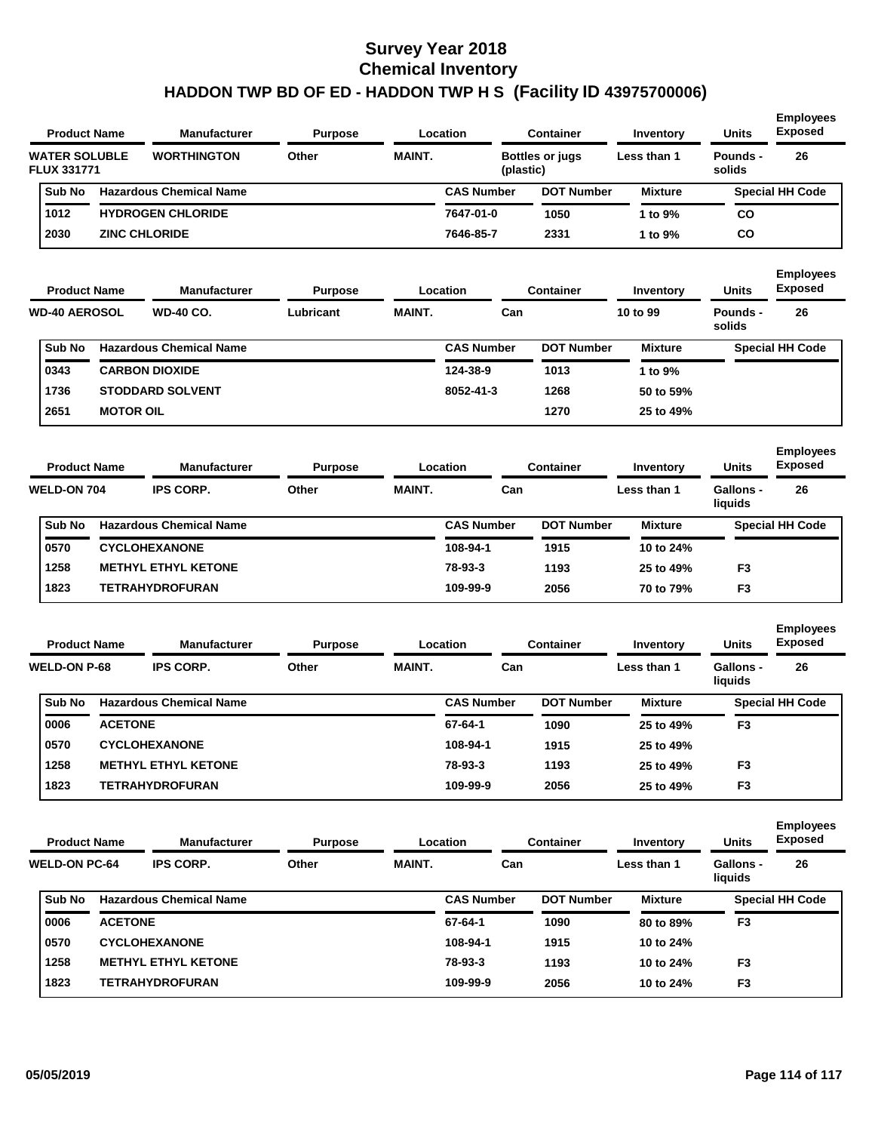| <b>Product Name</b>                        |                  | <b>Manufacturer</b>            | <b>Purpose</b> |               | Location          |           | <b>Container</b>       | <b>Inventory</b> | <b>Units</b>                | <b>Employees</b><br><b>Exposed</b> |
|--------------------------------------------|------------------|--------------------------------|----------------|---------------|-------------------|-----------|------------------------|------------------|-----------------------------|------------------------------------|
| <b>WATER SOLUBLE</b><br><b>FLUX 331771</b> |                  | <b>WORTHINGTON</b>             | Other          | <b>MAINT.</b> |                   | (plastic) | <b>Bottles or jugs</b> | Less than 1      | <b>Pounds -</b><br>solids   | 26                                 |
| Sub No                                     |                  | <b>Hazardous Chemical Name</b> |                |               | <b>CAS Number</b> |           | <b>DOT Number</b>      | <b>Mixture</b>   |                             | <b>Special HH Code</b>             |
| 1012                                       |                  | <b>HYDROGEN CHLORIDE</b>       |                |               | 7647-01-0         |           | 1050                   | 1 to 9%          | co                          |                                    |
| 2030                                       |                  | <b>ZINC CHLORIDE</b>           |                |               | 7646-85-7         |           | 2331                   | 1 to 9%          | CO                          |                                    |
| <b>Product Name</b>                        |                  | <b>Manufacturer</b>            | <b>Purpose</b> |               | Location          |           | Container              | Inventory        | <b>Units</b>                | <b>Employees</b><br><b>Exposed</b> |
| <b>WD-40 AEROSOL</b>                       |                  | <b>WD-40 CO.</b>               | Lubricant      | <b>MAINT.</b> |                   | Can       |                        | 10 to 99         | <b>Pounds -</b><br>solids   | 26                                 |
| Sub No                                     |                  | <b>Hazardous Chemical Name</b> |                |               | <b>CAS Number</b> |           | <b>DOT Number</b>      | <b>Mixture</b>   |                             | <b>Special HH Code</b>             |
| 0343                                       |                  | <b>CARBON DIOXIDE</b>          |                |               | 124-38-9          |           | 1013                   | 1 to 9%          |                             |                                    |
| 1736                                       |                  | <b>STODDARD SOLVENT</b>        |                |               | 8052-41-3         |           | 1268                   | 50 to 59%        |                             |                                    |
| 2651                                       | <b>MOTOR OIL</b> |                                |                |               |                   |           | 1270                   | 25 to 49%        |                             |                                    |
| <b>Product Name</b>                        |                  | <b>Manufacturer</b>            | <b>Purpose</b> |               | Location          |           | <b>Container</b>       | Inventory        | <b>Units</b>                | <b>Employees</b><br><b>Exposed</b> |
| <b>WELD-ON 704</b>                         |                  | <b>IPS CORP.</b>               | Other          | <b>MAINT.</b> |                   | Can       |                        | Less than 1      | Gallons -<br>liquids        | 26                                 |
| Sub No                                     |                  | <b>Hazardous Chemical Name</b> |                |               | <b>CAS Number</b> |           | <b>DOT Number</b>      | <b>Mixture</b>   |                             | <b>Special HH Code</b>             |
| 0570                                       |                  | <b>CYCLOHEXANONE</b>           |                |               | 108-94-1          |           | 1915                   | 10 to 24%        |                             |                                    |
| 1258                                       |                  | <b>METHYL ETHYL KETONE</b>     |                |               | 78-93-3           |           | 1193                   | 25 to 49%        | F3                          |                                    |
| 1823                                       |                  | TETRAHYDROFURAN                |                |               | 109-99-9          |           | 2056                   | 70 to 79%        | F3                          |                                    |
| <b>Product Name</b>                        |                  | <b>Manufacturer</b>            | <b>Purpose</b> |               | Location          |           | <b>Container</b>       | Inventory        | <b>Units</b>                | <b>Employees</b><br><b>Exposed</b> |
| <b>WELD-ON P-68</b>                        |                  | <b>IPS CORP.</b>               | Other          | <b>MAINT.</b> |                   | Can       |                        | Less than 1      | <b>Gallons -</b><br>liquids | 26                                 |
| Sub No                                     |                  | <b>Hazardous Chemical Name</b> |                |               | <b>CAS Number</b> |           | <b>DOT Number</b>      | <b>Mixture</b>   |                             | <b>Special HH Code</b>             |
| 0006                                       | <b>ACETONE</b>   |                                |                |               | 67-64-1           |           | 1090                   | 25 to 49%        | F3                          |                                    |
| 0570                                       |                  | <b>CYCLOHEXANONE</b>           |                |               | 108-94-1          |           | 1915                   | 25 to 49%        |                             |                                    |
| 1258                                       |                  | <b>METHYL ETHYL KETONE</b>     |                |               | 78-93-3           |           | 1193                   | 25 to 49%        | F3                          |                                    |
| 1823                                       |                  | <b>TETRAHYDROFURAN</b>         |                |               | 109-99-9          |           | 2056                   | 25 to 49%        | F <sub>3</sub>              |                                    |
| <b>Product Name</b>                        |                  | <b>Manufacturer</b>            | <b>Purpose</b> |               | Location          |           | <b>Container</b>       | Inventory        | <b>Units</b>                | <b>Employees</b><br><b>Exposed</b> |
| <b>WELD-ON PC-64</b>                       |                  | <b>IPS CORP.</b>               | Other          | MAINT.        |                   | Can       |                        | Less than 1      | Gallons -<br>liquids        | 26                                 |
| Sub No                                     |                  | <b>Hazardous Chemical Name</b> |                |               | <b>CAS Number</b> |           | <b>DOT Number</b>      | <b>Mixture</b>   |                             | <b>Special HH Code</b>             |
| 0006                                       | <b>ACETONE</b>   |                                |                |               | 67-64-1           |           | 1090                   | 80 to 89%        | F <sub>3</sub>              |                                    |
| 0570                                       |                  | <b>CYCLOHEXANONE</b>           |                |               | 108-94-1          |           | 1915                   | 10 to 24%        |                             |                                    |
| 1258                                       |                  | <b>METHYL ETHYL KETONE</b>     |                |               | 78-93-3           |           | 1193                   | 10 to 24%        | F <sub>3</sub>              |                                    |
| 1823                                       |                  | <b>TETRAHYDROFURAN</b>         |                |               | 109-99-9          |           | 2056                   | 10 to 24%        | F <sub>3</sub>              |                                    |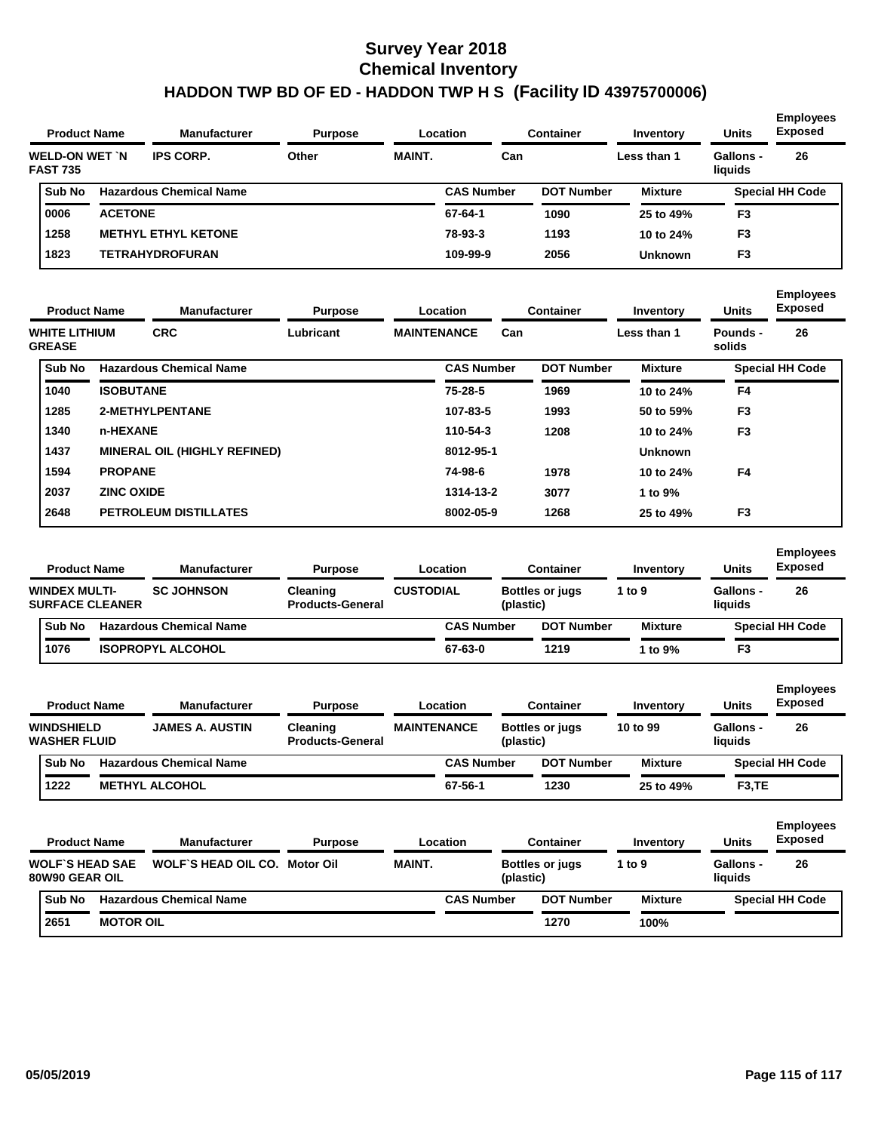| <b>Product Name</b>                     |                | <b>Manufacturer</b>            | <b>Purpose</b> |               | Location          | <b>Container</b>  | Inventory      | <b>Units</b>         | <b>Employees</b><br><b>Exposed</b> |
|-----------------------------------------|----------------|--------------------------------|----------------|---------------|-------------------|-------------------|----------------|----------------------|------------------------------------|
| <b>WELD-ON WET N</b><br><b>FAST 735</b> |                | <b>IPS CORP.</b>               | Other          | <b>MAINT.</b> | Can               |                   | Less than 1    | Gallons -<br>liquids | 26                                 |
| Sub No                                  |                | <b>Hazardous Chemical Name</b> |                |               | <b>CAS Number</b> | <b>DOT Number</b> | <b>Mixture</b> |                      | <b>Special HH Code</b>             |
| 0006                                    | <b>ACETONE</b> |                                |                |               | 67-64-1           | 1090              | 25 to 49%      | F <sub>3</sub>       |                                    |
| 1258                                    |                | <b>METHYL ETHYL KETONE</b>     |                |               | 78-93-3           | 1193              | 10 to 24%      | F <sub>3</sub>       |                                    |
| 1823                                    |                | TETRAHYDROFURAN                |                |               | 109-99-9          | 2056              | <b>Unknown</b> | F <sub>3</sub>       |                                    |
|                                         |                |                                |                |               |                   |                   |                |                      |                                    |

|                                |               | <b>Product Name</b> | <b>Manufacturer</b>                 | <b>Purpose</b> |                    | Location          |     | <b>Container</b>  | Inventory      | <b>Units</b>       | <b>Employees</b><br><b>Exposed</b> |
|--------------------------------|---------------|---------------------|-------------------------------------|----------------|--------------------|-------------------|-----|-------------------|----------------|--------------------|------------------------------------|
| WHITE LITHIUM<br><b>GREASE</b> |               |                     | <b>CRC</b>                          | Lubricant      | <b>MAINTENANCE</b> |                   | Can |                   | Less than 1    | Pounds -<br>solids | 26                                 |
|                                | <b>Sub No</b> |                     | <b>Hazardous Chemical Name</b>      |                |                    | <b>CAS Number</b> |     | <b>DOT Number</b> | <b>Mixture</b> |                    | <b>Special HH Code</b>             |
| 1040                           |               | <b>ISOBUTANE</b>    |                                     |                |                    | $75 - 28 - 5$     |     | 1969              | 10 to 24%      | F4                 |                                    |
| 1285                           |               |                     | 2-METHYLPENTANE                     |                |                    | 107-83-5          |     | 1993              | 50 to 59%      | F <sub>3</sub>     |                                    |
| 1340                           |               | n-HEXANE            |                                     |                |                    | 110-54-3          |     | 1208              | 10 to 24%      | F <sub>3</sub>     |                                    |
| 1437                           |               |                     | <b>MINERAL OIL (HIGHLY REFINED)</b> |                |                    | 8012-95-1         |     |                   | <b>Unknown</b> |                    |                                    |
| 1594                           |               | <b>PROPANE</b>      |                                     |                |                    | 74-98-6           |     | 1978              | 10 to 24%      | F4                 |                                    |
| 2037                           |               | <b>ZINC OXIDE</b>   |                                     |                |                    | 1314-13-2         |     | 3077              | 1 to 9%        |                    |                                    |
| 2648                           |               |                     | <b>PETROLEUM DISTILLATES</b>        |                |                    | 8002-05-9         |     | 1268              | 25 to 49%      | F <sub>3</sub>     |                                    |

| <b>Product Name</b>                            | <b>Manufacturer</b>            | <b>Purpose</b>                      |                  | Location          |           | <b>Container</b>       |        | Inventory      | <b>Units</b>                | <b>Employees</b><br><b>Exposed</b> |
|------------------------------------------------|--------------------------------|-------------------------------------|------------------|-------------------|-----------|------------------------|--------|----------------|-----------------------------|------------------------------------|
| <b>WINDEX MULTI-</b><br><b>SURFACE CLEANER</b> | <b>SC JOHNSON</b>              | Cleaning<br><b>Products-General</b> | <b>CUSTODIAL</b> |                   | (plastic) | <b>Bottles or jugs</b> | 1 to 9 |                | <b>Gallons -</b><br>liquids | 26                                 |
| <b>Sub No</b>                                  | <b>Hazardous Chemical Name</b> |                                     |                  | <b>CAS Number</b> |           | <b>DOT Number</b>      |        | <b>Mixture</b> |                             | <b>Special HH Code</b>             |
| 1076                                           | <b>ISOPROPYL ALCOHOL</b>       |                                     |                  | 67-63-0           |           | 1219                   |        | 1 to 9%        | F3                          |                                    |

| <b>Product Name</b>                      |                        | <b>Manufacturer</b>            | <b>Purpose</b>                      |                    | Location          |           | <b>Container</b>       | Inventory      | <b>Units</b>         | <b>Employees</b><br><b>Exposed</b> |
|------------------------------------------|------------------------|--------------------------------|-------------------------------------|--------------------|-------------------|-----------|------------------------|----------------|----------------------|------------------------------------|
| <b>WINDSHIELD</b><br><b>WASHER FLUID</b> |                        | <b>JAMES A. AUSTIN</b>         | Cleaning<br><b>Products-General</b> | <b>MAINTENANCE</b> |                   | (plastic) | <b>Bottles or jugs</b> | 10 to 99       | Gallons -<br>liquids | 26                                 |
| Sub No                                   |                        | <b>Hazardous Chemical Name</b> |                                     |                    | <b>CAS Number</b> |           | <b>DOT Number</b>      | <b>Mixture</b> |                      | <b>Special HH Code</b>             |
| 1222                                     |                        | <b>METHYL ALCOHOL</b>          |                                     |                    | 67-56-1           |           | 1230                   | 25 to 49%      | F <sub>3</sub> , TE  |                                    |
| <b>Product Name</b>                      |                        | <b>Manufacturer</b>            | <b>Purpose</b>                      |                    | Location          |           | <b>Container</b>       | Inventory      | <b>Units</b>         | <b>Employees</b><br><b>Exposed</b> |
| 80W90 GEAR OIL                           | <b>WOLF'S HEAD SAE</b> | <b>WOLF'S HEAD OIL CO.</b>     | Motor Oil                           | <b>MAINT.</b>      |                   | (plastic) | <b>Bottles or jugs</b> | 1 to $9$       | Gallons -<br>liquids | 26                                 |
| Sub No                                   |                        | <b>Hazardous Chemical Name</b> |                                     |                    | <b>CAS Number</b> |           | <b>DOT Number</b>      | <b>Mixture</b> |                      | <b>Special HH Code</b>             |
| 2651                                     | <b>MOTOR OIL</b>       |                                |                                     |                    |                   |           | 1270                   | 100%           |                      |                                    |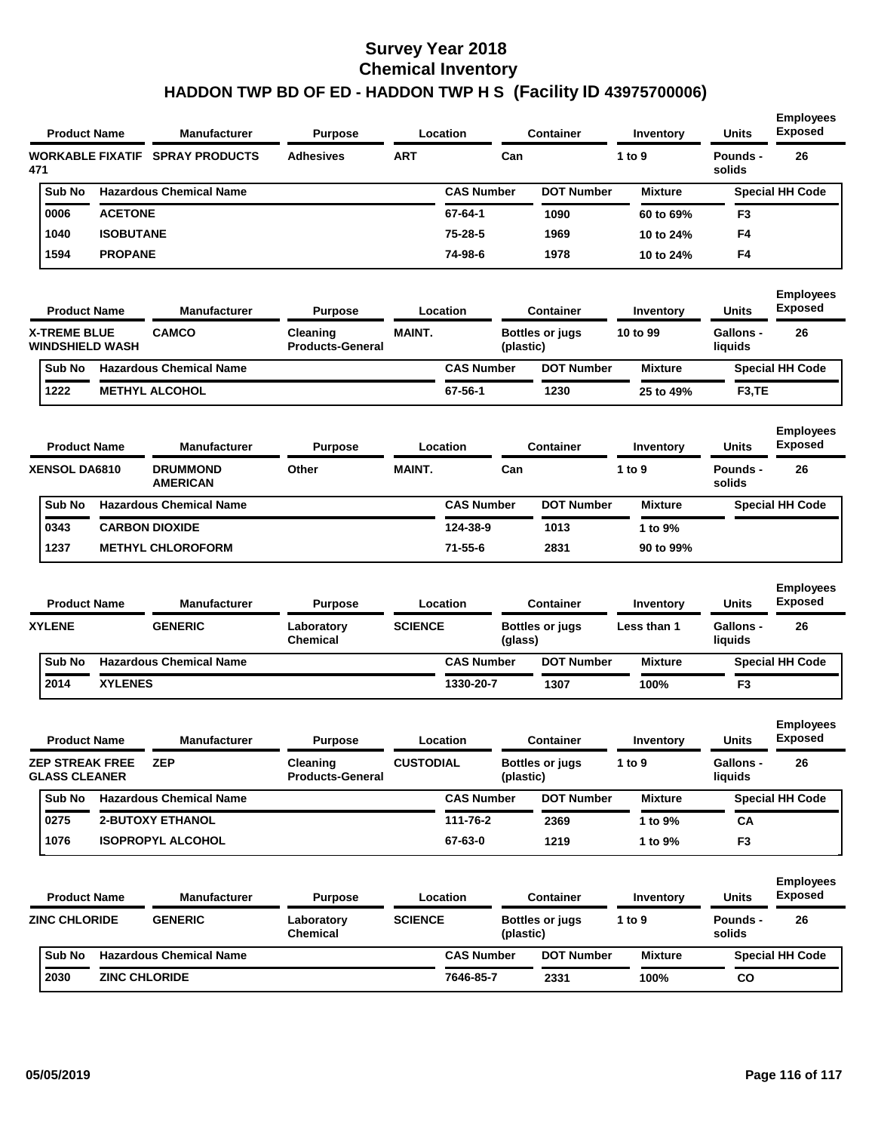| <b>Product Name</b>                            |                         | <b>Manufacturer</b>                | <b>Purpose</b>                      |                  | Location          |           | Container              | Inventory      | Units                       | <b>Employees</b><br><b>Exposed</b> |
|------------------------------------------------|-------------------------|------------------------------------|-------------------------------------|------------------|-------------------|-----------|------------------------|----------------|-----------------------------|------------------------------------|
| 471                                            | <b>WORKABLE FIXATIF</b> | <b>SPRAY PRODUCTS</b>              | <b>Adhesives</b>                    | <b>ART</b>       |                   | Can       |                        | 1 to 9         | Pounds -<br>solids          | 26                                 |
| Sub No                                         |                         | <b>Hazardous Chemical Name</b>     |                                     |                  | <b>CAS Number</b> |           | <b>DOT Number</b>      | <b>Mixture</b> |                             | <b>Special HH Code</b>             |
| 0006                                           | <b>ACETONE</b>          |                                    |                                     |                  | 67-64-1           |           | 1090                   | 60 to 69%      | F3                          |                                    |
| 1040                                           | <b>ISOBUTANE</b>        |                                    |                                     |                  | 75-28-5           |           | 1969                   | 10 to 24%      | F4                          |                                    |
| 1594                                           | <b>PROPANE</b>          |                                    |                                     |                  | 74-98-6           |           | 1978                   | 10 to 24%      | F4                          |                                    |
| <b>Product Name</b>                            |                         | Manufacturer                       | <b>Purpose</b>                      |                  | Location          |           | <b>Container</b>       | Inventory      | Units                       | <b>Employees</b><br><b>Exposed</b> |
| <b>X-TREME BLUE</b><br><b>WINDSHIELD WASH</b>  |                         | <b>CAMCO</b>                       | Cleaning<br><b>Products-General</b> | <b>MAINT.</b>    |                   | (plastic) | <b>Bottles or jugs</b> | 10 to 99       | Gallons -<br>liquids        | 26                                 |
| Sub No                                         |                         | <b>Hazardous Chemical Name</b>     |                                     |                  | <b>CAS Number</b> |           | <b>DOT Number</b>      | <b>Mixture</b> |                             | <b>Special HH Code</b>             |
| 1222                                           |                         | <b>METHYL ALCOHOL</b>              |                                     |                  | 67-56-1           |           | 1230                   | 25 to 49%      | F3,TE                       |                                    |
| <b>Product Name</b>                            |                         | Manufacturer                       | <b>Purpose</b>                      |                  | Location          |           | <b>Container</b>       | Inventory      | Units                       | <b>Employees</b><br><b>Exposed</b> |
| <b>XENSOL DA6810</b>                           |                         | <b>DRUMMOND</b><br><b>AMERICAN</b> | Other                               | <b>MAINT.</b>    |                   | Can       |                        | 1 to 9         | Pounds -<br>solids          | 26                                 |
| Sub No                                         |                         | <b>Hazardous Chemical Name</b>     |                                     |                  | <b>CAS Number</b> |           | <b>DOT Number</b>      | <b>Mixture</b> |                             | <b>Special HH Code</b>             |
| 0343                                           |                         | <b>CARBON DIOXIDE</b>              |                                     |                  | 124-38-9          |           | 1013                   | 1 to 9%        |                             |                                    |
| 1237                                           |                         | <b>METHYL CHLOROFORM</b>           |                                     |                  | $71 - 55 - 6$     |           | 2831                   | 90 to 99%      |                             |                                    |
| <b>Product Name</b>                            |                         | Manufacturer                       | <b>Purpose</b>                      |                  | Location          |           | <b>Container</b>       | Inventory      | Units                       | <b>Employees</b><br><b>Exposed</b> |
| <b>XYLENE</b>                                  |                         | <b>GENERIC</b>                     | Laboratory<br><b>Chemical</b>       | <b>SCIENCE</b>   |                   | (glass)   | <b>Bottles or jugs</b> | Less than 1    | <b>Gallons -</b><br>liquids | 26                                 |
| Sub No                                         |                         | <b>Hazardous Chemical Name</b>     |                                     |                  | <b>CAS Number</b> |           | <b>DOT Number</b>      | <b>Mixture</b> |                             | <b>Special HH Code</b>             |
| 2014                                           | <b>XYLENES</b>          |                                    |                                     |                  | 1330-20-7         |           | 1307                   | 100%           | F3                          |                                    |
| <b>Product Name</b>                            |                         | <b>Manufacturer</b>                | <b>Purpose</b>                      |                  | Location          |           | <b>Container</b>       | Inventory      | Units                       | <b>Employees</b><br><b>Exposed</b> |
| <b>ZEP STREAK FREE</b><br><b>GLASS CLEANER</b> |                         | <b>ZEP</b>                         | Cleaning<br><b>Products-General</b> | <b>CUSTODIAL</b> |                   | (plastic) | <b>Bottles or jugs</b> | 1 to $9$       | Gallons -<br>liquids        | 26                                 |
| Sub No                                         |                         | <b>Hazardous Chemical Name</b>     |                                     |                  | <b>CAS Number</b> |           | <b>DOT Number</b>      | <b>Mixture</b> |                             | <b>Special HH Code</b>             |
| 0275                                           |                         | <b>2-BUTOXY ETHANOL</b>            |                                     |                  | 111-76-2          |           | 2369                   | 1 to 9%        | CA                          |                                    |
| 1076                                           |                         | <b>ISOPROPYL ALCOHOL</b>           |                                     |                  | 67-63-0           |           | 1219                   | 1 to 9%        | F <sub>3</sub>              |                                    |
| <b>Product Name</b>                            |                         | Manufacturer                       | <b>Purpose</b>                      |                  | Location          |           | <b>Container</b>       | Inventory      | Units                       | <b>Employees</b><br><b>Exposed</b> |
| <b>ZINC CHLORIDE</b>                           |                         | <b>GENERIC</b>                     | Laboratory<br><b>Chemical</b>       | <b>SCIENCE</b>   |                   | (plastic) | <b>Bottles or jugs</b> | 1 to $9$       | Pounds -<br>solids          | 26                                 |
|                                                |                         | <b>Hazardous Chemical Name</b>     |                                     |                  |                   |           |                        |                |                             |                                    |
| Sub No                                         |                         |                                    |                                     |                  | <b>CAS Number</b> |           | <b>DOT Number</b>      | <b>Mixture</b> |                             | <b>Special HH Code</b>             |